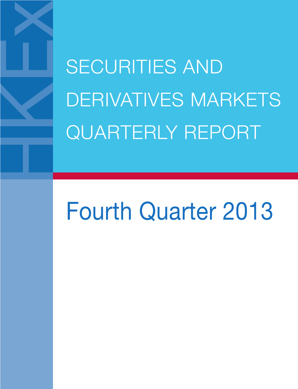SECURITIES AND DERIVATIVES MARKETS QUARTERLY REPORT

# Fourth Quarter 2013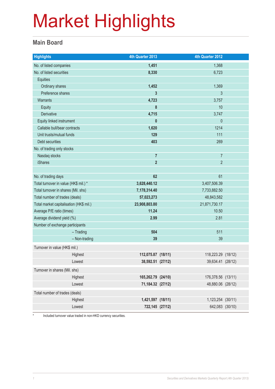#### **Main Board**

| <b>Highlights</b>                                             | 4th Quarter 2013       | 4th Quarter 2012       |  |
|---------------------------------------------------------------|------------------------|------------------------|--|
| No. of listed companies                                       | 1,451                  | 1,368                  |  |
| No. of listed securities                                      | 8,330                  | 6,723                  |  |
| <b>Equities</b>                                               |                        |                        |  |
| Ordinary shares                                               | 1,452                  | 1,369                  |  |
| Preference shares                                             | 3                      | 3                      |  |
| <b>Warrants</b>                                               | 4,723                  | 3,757                  |  |
| Equity                                                        | 8                      | 10                     |  |
| Derivative                                                    | 4,715                  | 3,747                  |  |
| Equity linked instrument                                      | $\mathbf{0}$           | $\mathbf 0$            |  |
| Callable bull/bear contracts                                  | 1,620                  | 1214                   |  |
| Unit trusts/mutual funds                                      | 129                    | 111                    |  |
| Debt securities                                               | 403                    | 269                    |  |
| No. of trading only stocks                                    |                        |                        |  |
| Nasdaq stocks                                                 | $\overline{7}$         | $\overline{7}$         |  |
| <b>iShares</b>                                                | $\overline{2}$         | $\overline{2}$         |  |
|                                                               |                        |                        |  |
| No. of trading days                                           | 62                     | 61                     |  |
| Total turnover in value (HK\$ mil.) *                         | 3,628,440.12           | 3,407,506.39           |  |
| Total turnover in shares (Mil. shs)                           | 7,178,314.40           | 7,733,882.50           |  |
| Total number of trades (deals)                                | 57,023,273             | 48,843,582             |  |
| Total market capitalisation (HK\$ mil.)                       | 23,908,803.80<br>11.24 | 21,871,730.17<br>10.50 |  |
| Average P/E ratio (times)                                     |                        |                        |  |
| Average dividend yield (%)<br>Number of exchange participants | 2.99                   | 2.81                   |  |
| $-$ Trading                                                   | 504                    | 511                    |  |
| - Non-trading                                                 | 39                     | 39                     |  |
| Turnover in value (HK\$ mil.)                                 |                        |                        |  |
| Highest                                                       | 112,075.87 (18/11)     | 118,223.29 (18/12)     |  |
| Lowest                                                        | 38,592.51 (27/12)      | 39,634.41 (28/12)      |  |
|                                                               |                        |                        |  |
| Turnover in shares (Mil. shs)                                 |                        |                        |  |
| Highest                                                       | 165,262.79 (24/10)     | 176,378.56 (13/11)     |  |
| Lowest                                                        | 71,184.32 (27/12)      | 48,880.06 (28/12)      |  |
| Total number of trades (deals)                                |                        |                        |  |
| Highest                                                       | 1,421,597 (18/11)      | 1,123,254 (30/11)      |  |
| Lowest                                                        | 722,145 (27/12)        | 642,083 (30/10)        |  |

\* Included turnover value traded in non-HKD currency securities.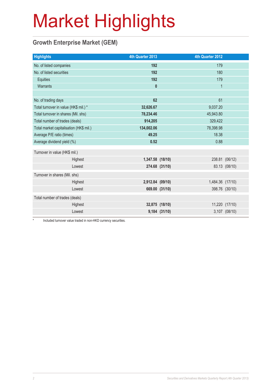### **Growth Enterprise Market (GEM)**

| <b>Highlights</b>                       | 4th Quarter 2013 |                | 4th Quarter 2012 |                |
|-----------------------------------------|------------------|----------------|------------------|----------------|
| No. of listed companies                 | 192              |                | 179              |                |
| No. of listed securities                | 192              |                | 180              |                |
| <b>Equities</b>                         | 192              |                | 179              |                |
| Warrants                                | $\mathbf{0}$     |                | $\mathbf{1}$     |                |
|                                         |                  |                |                  |                |
| No. of trading days                     | 62               |                | 61               |                |
| Total turnover in value (HK\$ mil.) *   | 32,626.67        |                | 9,037.20         |                |
| Total turnover in shares (Mil. shs)     | 78,234.46        |                | 45,943.80        |                |
| Total number of trades (deals)          | 914,205          |                | 329,422          |                |
| Total market capitalisation (HK\$ mil.) | 134,002.06       |                | 78,398.98        |                |
| Average P/E ratio (times)               | 18.38<br>49.25   |                |                  |                |
| Average dividend yield (%)              | 0.52             |                | 0.88             |                |
| Turnover in value (HK\$ mil.)           |                  |                |                  |                |
| Highest                                 | 1,347.58 (18/10) |                |                  | 238.81 (06/12) |
| Lowest                                  |                  | 274.68 (31/10) |                  | 83.13 (08/10)  |
| Turnover in shares (Mil. shs)           |                  |                |                  |                |
| Highest                                 | 2,912.84 (09/10) |                | 1,484.36 (17/10) |                |
| Lowest                                  |                  | 669.00 (31/10) |                  | 398.76 (30/10) |
| Total number of trades (deals)          |                  |                |                  |                |
| Highest                                 |                  | 32,875 (18/10) |                  | 11,220 (17/10) |
| Lowest                                  |                  | 9,184 (31/10)  |                  | 3,107 (08/10)  |

Included turnover value traded in non-HKD currency securities.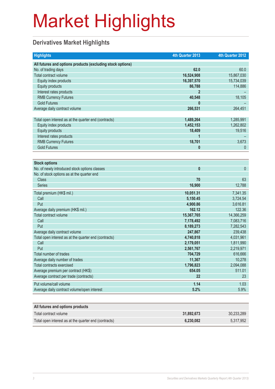### **Derivatives Market Highlights**

| <b>Highlights</b>                                          | 4th Quarter 2013 | 4th Quarter 2012 |
|------------------------------------------------------------|------------------|------------------|
| All futures and options products (excluding stock options) |                  |                  |
| No. of trading days                                        | 62.0             | 60.0             |
| Total contract volume                                      | 16,524,908       | 15,867,030       |
| Equity index products                                      | 16,397,570       | 15,734,039       |
| <b>Equity products</b>                                     | 86,788           | 114,886          |
| Interest rates products                                    |                  |                  |
| <b>RMB Currency Futures</b>                                | 40,548           | 18,105           |
| <b>Gold Futures</b>                                        |                  |                  |
| Average daily contract volume                              | 266,531          | 264,451          |
|                                                            |                  |                  |
| Total open interest as at the quarter end (contracts)      | 1,489,264        | 1,285,991        |
| Equity index products                                      | 1,452,153        | 1,262,802        |
| <b>Equity products</b>                                     | 18,409           | 19,516           |
| Interest rates products                                    |                  |                  |
| <b>RMB Currency Futures</b>                                | 18,701           | 3,673            |
| <b>Gold Futures</b>                                        | 0                | $\mathbf{0}$     |
|                                                            |                  |                  |
| <b>Stock options</b>                                       |                  |                  |
| No. of newly introduced stock options classes              | $\bf{0}$         | $\mathbf{0}$     |
| No. of stock options as at the quarter end                 |                  |                  |
| <b>Class</b>                                               | 70               | 63               |
| <b>Series</b>                                              | 16,900           | 12,788           |
| Total premium (HK\$ mil.)                                  | 10,051.31        | 7,341.35         |
| Call                                                       | 5,150.45         | 3,724.54         |
| Put                                                        | 4,900.86         | 3,616.81         |
| Average daily premium (HK\$ mil.)                          | 162.12           | 122.36           |
| Total contract volume                                      | 15,367,765       | 14,366,259       |
| Call                                                       | 7,178,492        | 7,083,716        |
| Put                                                        | 8,189,273        | 7,282,543        |
| Average daily contract volume                              | 247,867          | 239,438          |
| Total open interest as at the quarter end (contracts)      | 4,740,818        | 4,031,961        |
| Call                                                       | 2,179,051        | 1,811,990        |
| Put                                                        | 2,561,767        | 2,219,971        |
| Total number of trades                                     | 704,729          | 616,666          |
| Average daily number of trades                             | 11,367           | 10,278           |
| <b>Total contracts exercised</b>                           | 1,796,823        | 2,094,088        |
| Average premium per contract (HK\$)                        | 654.05           | 511.01           |
| Average contract per trade (contracts)                     | 22               | 23               |
| Put volume/call volume                                     | 1.14             | 1.03             |
| Average daily contract volume/open interest                | 5.2%             | 5.9%             |
|                                                            |                  |                  |
| All futures and options products                           |                  |                  |
| Total contract volume                                      | 31,892,673       | 30,233,289       |
| Total open interest as at the quarter end (contracts)      | 6,230,082        | 5,317,952        |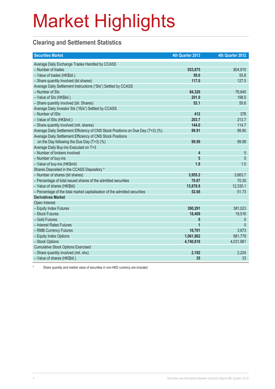### **Clearing and Settlement Statistics**

| <b>Securities Market</b>                                                        | 4th Quarter 2013 | 4th Quarter 2012 |
|---------------------------------------------------------------------------------|------------------|------------------|
| Average Daily Exchange Trades Handled by CCASS                                  |                  |                  |
| - Number of trades                                                              | 933,875          | 804,910          |
| - Value of trades (HK\$bil.)                                                    | 59.0             | 55.8             |
| - Share quantity Involved (bil shares)                                          | 117.0            | 127.5            |
| Average Daily Settlement Instructions ("SIs") Settled by CCASS                  |                  |                  |
| - Number of SIs                                                                 | 84,326           | 76,640           |
| - Value of SIs (HK\$bil.)                                                       | 201.9            | 198.5            |
| - Share quantity involved (bil. Shares)                                         | 52.1             | 50.6             |
| Average Daily Investor SIs ("ISIs") Settled by CCASS                            |                  |                  |
| - Number of ISIs                                                                | 412              | 378              |
| - Value of ISIs (HK\$mil.)                                                      | 203.7            | 213.7            |
| - Share quantity involved (mil. shares)                                         | 144.0            | 114.7            |
| Average Daily Settlement Efficiency of CNS Stock Positions on Due Day (T+2) (%) | 99.91            | 99.90            |
| Average Daily Settlement Efficiency of CNS Stock Positions                      |                  |                  |
| on the Day following the Due Day (T+3) (%)                                      | 99.99            | 99.99            |
| Average Daily Buy-ins Executed on T+3                                           |                  |                  |
| - Number of brokers involved                                                    | 4                | 5                |
| - Number of buy-ins                                                             | 5                | 5                |
| - Value of buy-ins (HK\$mil)                                                    | 1.9              | 1.5              |
| Shares Deposited in the CCASS Depository *                                      |                  |                  |
| - Number of shares (bil shares)                                                 | 3,955.2          | 3,663.7          |
| - Percentage of total issued shares of the admitted securities                  | 70.87            | 70.30            |
| - Value of shares (HK\$bil)                                                     | 13,878.9         | 12,330.1         |
| - Percentage of the total market capitalisation of the admitted securities      | 52.68            | 51.73            |
| <b>Derivatives Market</b>                                                       |                  |                  |
| Open Interest                                                                   |                  |                  |
| - Equity Index Futures                                                          | 390,291          | 381,023          |
| - Stock Futures                                                                 | 18,409           | 19,516           |
| - Gold Futures                                                                  | 0                | $\boldsymbol{0}$ |
| - Interest Rates Futures                                                        | $\overline{1}$   | $\Omega$         |
| - RMB Currency Futures                                                          | 18,701           | 3,673            |
| - Equity Index Options                                                          | 1,061,862        | 881,779          |
| - Stock Options                                                                 | 4,740,818        | 4,031,961        |
| <b>Cumulative Stock Options Exercised</b>                                       |                  |                  |
| - Share quantity involved (mil. shs)                                            | 2,192            | 2,224            |
| - Value of shares (HK\$bil.)                                                    | 35               | 33               |

Share quantity and market value of securities in non-HKD currency are included.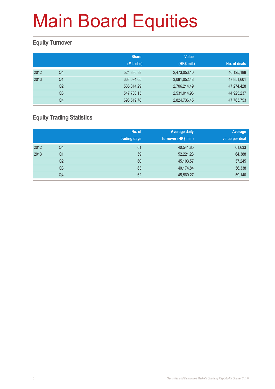#### **Equity Turnover**

|      |                | <b>Share</b><br>(Mil. shs) | <b>Value</b><br>(HK\$ mil.) | No. of deals |
|------|----------------|----------------------------|-----------------------------|--------------|
| 2012 | Q4             | 524,830.38                 | 2,473,053.10                | 40,125,188   |
| 2013 | Q <sub>1</sub> | 668,094.05                 | 3,081,052.48                | 47,851,601   |
|      | Q <sub>2</sub> | 535,314.29                 | 2,706,214.49                | 47,274,428   |
|      | Q <sub>3</sub> | 547,703.15                 | 2,531,014.96                | 44,925,237   |
|      | Q4             | 696,519.78                 | 2,824,736.45                | 47,763,753   |

### **Equity Trading Statistics**

|      |                | No. of<br>trading days | <b>Average daily</b><br>turnover (HK\$ mil.) | Average<br>value per deal |
|------|----------------|------------------------|----------------------------------------------|---------------------------|
| 2012 | Q4             | 61                     | 40,541.85                                    | 61,633                    |
| 2013 | Q <sub>1</sub> | 59                     | 52,221.23                                    | 64,388                    |
|      | Q2             | 60                     | 45,103.57                                    | 57,245                    |
|      | Q <sub>3</sub> | 63                     | 40,174.84                                    | 56,338                    |
|      | Q <sub>4</sub> | 62                     | 45,560.27                                    | 59,140                    |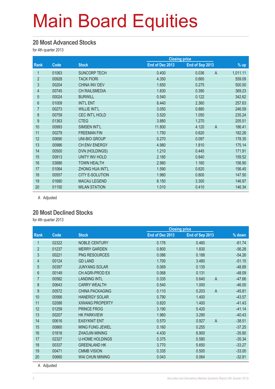#### **20 Most Advanced Stocks**

for 4th quarter 2013

|                |       |                        |                 | <b>Closing price</b> |                |          |
|----------------|-------|------------------------|-----------------|----------------------|----------------|----------|
| Rank           | Code  | <b>Stock</b>           | End of Dec 2013 | End of Sep 2013      |                | % up     |
| 1              | 01063 | <b>SUNCORP TECH</b>    | 0.400           | 0.036                | $\mathsf A$    | 1,011.11 |
| $\overline{2}$ | 00928 | <b>TACK FIORI</b>      | 4.350           | 0.660                |                | 559.09   |
| 3              | 00204 | <b>CHINA INV DEV</b>   | 1.650           | 0.275                |                | 500.00   |
| 4              | 00745 | <b>CH RAILSMEDIA</b>   | 1.830           | 0.390                |                | 369.23   |
| $\overline{5}$ | 00024 | <b>BURWILL</b>         | 0.540           | 0.122                |                | 342.62   |
| $6\phantom{.}$ | 01009 | <b>INT'L ENT</b>       | 8.440           | 2.360                |                | 257.63   |
| $\overline{7}$ | 00273 | <b>WILLIE INT'L</b>    | 3.050           | 0.880                |                | 246.59   |
| $\bf 8$        | 00759 | <b>CEC INT'L HOLD</b>  | 3.520           | 1.050                |                | 235.24   |
| 9              | 01363 | <b>CTEG</b>            | 3.880           | 1.270                |                | 205.51   |
| 10             | 00993 | SIMSEN INT'L           | 11.800          | 4.120                | $\overline{A}$ | 186.41   |
| 11             | 00279 | <b>FREEMAN FIN</b>     | 1.750           | 0.620                |                | 182.26   |
| 12             | 00690 | <b>UNI-BIO GROUP</b>   | 0.270           | 0.097                |                | 178.35   |
| 13             | 00986 | CH ENV ENERGY          | 4.980           | 1.810                |                | 175.14   |
| 14             | 00500 | <b>DVN (HOLDINGS)</b>  | 1.210           | 0.445                |                | 171.91   |
| 15             | 00913 | UNITY INV HOLD         | 2.180           | 0.840                |                | 159.52   |
| 16             | 03886 | <b>TOWN HEALTH</b>     | 2.980           | 1.160                |                | 156.90   |
| 17             | 01064 | ZHONG HUA INT'L        | 1.590           | 0.620                |                | 156.45   |
| 18             | 00557 | <b>CITY E-SOLUTION</b> | 1.980           | 0.800                |                | 147.50   |
| 19             | 01680 | <b>MACAU LEGEND</b>    | 8.150           | 3.300                |                | 146.97   |
| 20             | 01150 | <b>MILAN STATION</b>   | 1.010           | 0.410                |                | 146.34   |

A Adjusted

#### **20 Most Declined Stocks**

for 4th quarter 2013

|                |       |                        | <b>Closing price</b> |                         |          |
|----------------|-------|------------------------|----------------------|-------------------------|----------|
| Rank           | Code  | <b>Stock</b>           | End of Dec 2013      | End of Sep 2013         | % down   |
| 1              | 02322 | <b>NOBLE CENTURY</b>   | 0.176                | 0.460                   | $-61.74$ |
| $\overline{2}$ | 01237 | <b>MERRY GARDEN</b>    | 0.800                | 1.830                   | $-56.28$ |
| 3              | 00221 | <b>PNG RESOURCES</b>   | 0.086                | 0.188                   | $-54.26$ |
| 4              | 00124 | <b>GD LAND</b>         | 1.700                | 3.480                   | $-51.15$ |
| 5              | 00397 | <b>JUNYANG SOLAR</b>   | 0.069                | 0.135                   | $-48.89$ |
| 6              | 00149 | <b>CH AGRI-PROD EX</b> | 0.068                | 0.131                   | $-48.09$ |
| $\overline{7}$ | 00582 | <b>LANDING INTL</b>    | 0.335                | $\overline{A}$<br>0.640 | $-47.66$ |
| 8              | 00643 | <b>CARRY WEALTH</b>    | 0.540                | 1.000                   | $-46.00$ |
| 9              | 00572 | <b>CHINA PACKAGING</b> | 0.110                | 0.203<br>$\overline{A}$ | $-45.81$ |
| 10             | 00566 | <b>HANERGY SOLAR</b>   | 0.790                | 1.400                   | $-43.57$ |
| 11             | 02088 | <b>XIWANG PROPERTY</b> | 0.820                | 1.400                   | $-41.43$ |
| 12             | 01259 | PRINCE FROG            | 3.190                | 5.420                   | $-41.14$ |
| 13             | 00207 | <b>HK PARKVIEW</b>     | 1.960                | 3.290                   | $-40.43$ |
| 14             | 00616 | <b>EASYKNIT ENT</b>    | 0.570                | $\overline{A}$<br>0.927 | $-38.51$ |
| 15             | 00860 | <b>MING FUNG JEWEL</b> | 0.160                | 0.255                   | $-37.25$ |
| 16             | 01818 | <b>ZHAOJIN MINING</b>  | 4.430                | 6.900                   | $-35.80$ |
| 17             | 02327 | <b>U-HOME HOLDINGS</b> | 0.375                | 0.580                   | $-35.34$ |
| 18             | 00337 | <b>GREENLAND HK</b>    | 3.770                | 5.650                   | $-33.27$ |
| 19             | 00471 | <b>CMMB VISION</b>     | 0.335                | 0.500                   | $-33.00$ |
| 20             | 00660 | <b>WAI CHUN MINING</b> | 0.043                | 0.064                   | $-32.81$ |

A Adjusted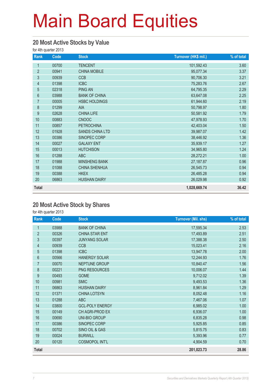#### **20 Most Active Stocks by Value**

for 4th quarter 2013

| Rank           | Code  | <b>Stock</b>           | Turnover (HK\$ mil.) | % of total |
|----------------|-------|------------------------|----------------------|------------|
| 1              | 00700 | <b>TENCENT</b>         | 101,592.43           | 3.60       |
| $\overline{2}$ | 00941 | <b>CHINA MOBILE</b>    | 95,077.34            | 3.37       |
| $\mathfrak{S}$ | 00939 | <b>CCB</b>             | 90,706.30            | 3.21       |
| 4              | 01398 | <b>ICBC</b>            | 75,283.76            | 2.67       |
| $\overline{5}$ | 02318 | <b>PING AN</b>         | 64,795.35            | 2.29       |
| $6\phantom{a}$ | 03988 | <b>BANK OF CHINA</b>   | 63,647.08            | 2.25       |
| $\overline{7}$ | 00005 | <b>HSBC HOLDINGS</b>   | 61,944.60            | 2.19       |
| 8              | 01299 | <b>AIA</b>             | 50,798.97            | 1.80       |
| 9              | 02628 | <b>CHINA LIFE</b>      | 50,581.92            | 1.79       |
| 10             | 00883 | <b>CNOOC</b>           | 47,978.93            | 1.70       |
| 11             | 00857 | <b>PETROCHINA</b>      | 42,403.04            | 1.50       |
| 12             | 01928 | <b>SANDS CHINA LTD</b> | 39,987.07            | 1.42       |
| 13             | 00386 | SINOPEC CORP           | 38,446.92            | 1.36       |
| 14             | 00027 | <b>GALAXY ENT</b>      | 35,939.17            | 1.27       |
| 15             | 00013 | <b>HUTCHISON</b>       | 34,965.80            | 1.24       |
| 16             | 01288 | <b>ABC</b>             | 28,272.21            | 1.00       |
| 17             | 01988 | <b>MINSHENG BANK</b>   | 27, 187.87           | 0.96       |
| 18             | 01088 | <b>CHINA SHENHUA</b>   | 26,545.73            | 0.94       |
| 19             | 00388 | <b>HKEX</b>            | 26,485.28            | 0.94       |
| 20             | 06863 | <b>HUISHAN DAIRY</b>   | 26,029.98            | 0.92       |
| <b>Total</b>   |       |                        | 1,028,669.74         | 36.42      |

#### **20 Most Active Stock by Shares**

for 4th quarter 2013

| Rank           | Code  | <b>Stock</b>           | <b>Turnover (Mil. shs)</b> | % of total |
|----------------|-------|------------------------|----------------------------|------------|
| 1              | 03988 | <b>BANK OF CHINA</b>   | 17,595.34                  | 2.53       |
| $\overline{2}$ | 00326 | CHINA STAR ENT         | 17,493.89                  | 2.51       |
| 3              | 00397 | <b>JUNYANG SOLAR</b>   | 17,388.38                  | 2.50       |
| $\overline{4}$ | 00939 | <b>CCB</b>             | 15,023.41                  | 2.16       |
| 5              | 01398 | <b>ICBC</b>            | 13,947.78                  | 2.00       |
| 6              | 00566 | <b>HANERGY SOLAR</b>   | 12,244.93                  | 1.76       |
| $\overline{7}$ | 00070 | NEPTUNE GROUP          | 10,840.47                  | 1.56       |
| 8              | 00221 | PNG RESOURCES          | 10,006.07                  | 1.44       |
| 9              | 00493 | <b>GOME</b>            | 9,712.02                   | 1.39       |
| 10             | 00981 | <b>SMIC</b>            | 9,493.53                   | 1.36       |
| 11             | 06863 | <b>HUISHAN DAIRY</b>   | 8,961.84                   | 1.29       |
| 12             | 01371 | <b>CHINA LOTSYN</b>    | 8,052.48                   | 1.16       |
| 13             | 01288 | <b>ABC</b>             | 7,467.06                   | 1.07       |
| 14             | 03800 | <b>GCL-POLY ENERGY</b> | 6,985.02                   | 1.00       |
| 15             | 00149 | CH AGRI-PROD EX        | 6,936.07                   | 1.00       |
| 16             | 00690 | <b>UNI-BIO GROUP</b>   | 6,835.28                   | 0.98       |
| 17             | 00386 | SINOPEC CORP           | 5,925.85                   | 0.85       |
| 18             | 00702 | SINO OIL & GAS         | 5,815.75                   | 0.83       |
| 19             | 00024 | <b>BURWILL</b>         | 5,393.96                   | 0.77       |
| 20             | 00120 | <b>COSMOPOL INT'L</b>  | 4,904.59                   | 0.70       |
| <b>Total</b>   |       |                        | 201,023.73                 | 28.86      |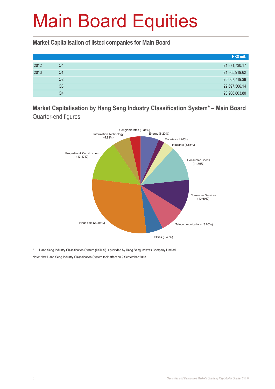**Market Capitalisation of listed companies for Main Board**

|      |    | HK\$ mil.     |
|------|----|---------------|
| 2012 | Q4 | 21,871,730.17 |
| 2013 | Q1 | 21,865,919.62 |
|      | Q2 | 20,607,719.38 |
|      | Q3 | 22,697,506.14 |
|      | Q4 | 23,908,803.80 |

**Market Capitalisation by Hang Seng Industry Classification System\* – Main Board**  Quarter-end figures



\* Hang Seng Industry Classification System (HSICS) is provided by Hang Seng Indexes Company Limited. Note: New Hang Seng Industry Classification System took effect on 9 September 2013.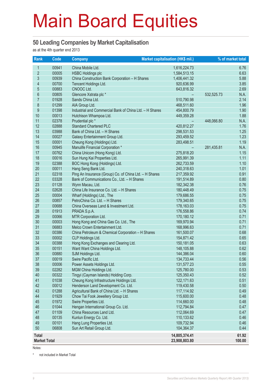#### **50 Leading Companies by Market Capitalisation**

as at the 4th quarter end 2013

| Rank                | Code           | Company                                                                         | Market capitalisation (HK\$ mil.) |            | % of market total |
|---------------------|----------------|---------------------------------------------------------------------------------|-----------------------------------|------------|-------------------|
| $\mathbf{1}$        | 00941          | China Mobile Ltd.                                                               | 1,616,224.73                      |            | 6.76              |
| $\overline{2}$      | 00005          | <b>HSBC Holdings plc</b>                                                        | 1,584,513.15                      |            | 6.63              |
| 3                   | 00939          | China Construction Bank Corporation - H Shares                                  | 1,406,441.32                      |            | 5.88              |
| 4                   | 00700          | Tencent Holdings Ltd.                                                           | 920,636.99                        |            | 3.85              |
| 5                   | 00883          | CNOOC Ltd.                                                                      | 643,816.32                        |            | 2.69              |
| $6\phantom{a}$      | 00805          | Glencore Xstrata plc *                                                          |                                   | 532,525.73 | N.A.              |
| $\overline{7}$      | 01928          | Sands China Ltd.                                                                | 510,790.98                        |            | 2.14              |
| 8                   | 01299          | AIA Group Ltd.                                                                  | 468,511.60                        |            | 1.96              |
| 9                   | 01398          | Industrial and Commercial Bank of China Ltd. - H Shares                         | 454,800.79                        |            | 1.90              |
| 10                  | 00013          | Hutchison Whampoa Ltd.                                                          | 449,359.28                        |            | 1.88              |
| 11                  | 02378          | Prudential plc *                                                                |                                   | 448,066.80 | N.A.              |
| 12                  | 02888          | <b>Standard Chartered PLC</b>                                                   | 420,812.27                        |            | 1.76              |
| 13                  | 03988          | Bank of China Ltd. - H Shares                                                   | 298,531.53                        |            | 1.25              |
| 14                  | 00027          | Galaxy Entertainment Group Ltd.                                                 | 293,459.52                        |            | 1.23              |
| 15                  | 00001          | Cheung Kong (Holdings) Ltd.                                                     | 283,498.51                        |            | 1.19              |
| 16                  | 00945          | Manulife Financial Corporation *                                                |                                   | 281,435.81 | N.A.              |
| 17                  | 00762          | China Unicom (Hong Kong) Ltd.                                                   | 275,818.20                        |            | 1.15              |
| 18                  | 00016          | Sun Hung Kai Properties Ltd.                                                    | 265,991.39                        |            | 1.11              |
| 19                  | 02388          | BOC Hong Kong (Holdings) Ltd.                                                   | 262,733.59                        |            | 1.10              |
| 20                  | 00011          | Hang Seng Bank Ltd.                                                             | 240,318.63                        |            | 1.01              |
| 21                  | 02318          | Ping An Insurance (Group) Co. of China Ltd. - H Shares                          | 217,359.92                        |            | 0.91              |
| 22                  | 03328          | Bank of Communications Co., Ltd. - H Shares                                     | 191,514.89                        |            | 0.80              |
| 23                  | 01128          | Wynn Macau, Ltd.                                                                | 182,342.38                        |            | 0.76              |
| 24                  | 02628          | China Life Insurance Co. Ltd. - H Shares                                        | 180,448.49                        |            | 0.75              |
| 25                  | 00004          | Wharf (Holdings) Ltd., The                                                      | 179,686.55                        |            | 0.75              |
| 26                  | 00857          | PetroChina Co. Ltd. - H Shares                                                  | 179,340.65                        |            | 0.75              |
| 27                  | 00688          | China Overseas Land & Investment Ltd.                                           | 178,163.03                        |            | 0.75              |
| 28                  | 01913          | PRADA S.p.A.                                                                    | 176,558.86                        |            | 0.74              |
| 29                  | 00066          | MTR Corporation Ltd.                                                            | 170,180.12                        |            | 0.71              |
| 30                  | 00003          | Hong Kong and China Gas Co. Ltd., The                                           | 169,970.94                        |            | 0.71              |
| 31                  | 06883          | Melco Crown Entertainment Ltd.                                                  | 168,996.63                        |            | 0.71              |
| 32                  | 00386          | China Petroleum & Chemical Corporation - H Shares                               | 161,500.07                        |            | 0.68              |
| 33                  | 00002          | CLP Holdings Ltd.                                                               | 154,871.42                        |            | 0.65              |
| 34                  | 00388          | Hong Kong Exchanges and Clearing Ltd.                                           | 150,181.05                        |            | 0.63              |
| 35                  | 00151          | Want Want China Holdings Ltd.                                                   | 148,105.88                        |            | 0.62              |
| 36                  | 00880          | SJM Holdings Ltd.                                                               | 144,386.04                        |            | 0.60              |
| 37                  | 00019<br>00006 | Swire Pacific Ltd.                                                              | 134,733.44                        |            | 0.56              |
| 38<br>39            | 02282          | Power Assets Holdings Ltd.<br>MGM China Holdings Ltd.                           | 131,577.23                        |            | 0.55<br>0.53      |
|                     |                | Tingyi (Cayman Islands) Holding Corp.                                           | 125,780.00                        |            | 0.52              |
| 40                  | 00322          |                                                                                 | 125,350.43                        |            | 0.51              |
| 41<br>42            | 01038          | Cheung Kong Infrastructure Holdings Ltd.<br>Henderson Land Development Co. Ltd. | 122,171.63                        |            |                   |
| 43                  | 00012<br>01288 | Agricultural Bank of China Ltd. - H Shares                                      | 119,430.58<br>117,114.92          |            | 0.50<br>0.49      |
| 44                  |                |                                                                                 |                                   |            |                   |
| 45                  | 01929<br>01972 | Chow Tai Fook Jewellery Group Ltd.<br>Swire Properties Ltd.                     | 115,600.00<br>114,660.00          |            | 0.48<br>0.48      |
| 46                  | 01044          | Hengan International Group Co. Ltd.                                             | 112,794.84                        |            | 0.47              |
| 47                  | 01109          | China Resources Land Ltd.                                                       | 112,064.69                        |            | 0.47              |
| 48                  | 00135          | Kunlun Energy Co. Ltd.                                                          | 110,133.62                        |            | 0.46              |
| 49                  | 00101          | Hang Lung Properties Ltd.                                                       | 109,732.94                        |            | 0.46              |
| 50                  | 06808          | Sun Art Retail Group Ltd.                                                       | 104,364.37                        |            | 0.44              |
|                     |                |                                                                                 |                                   |            |                   |
| <b>Total</b>        |                |                                                                                 | 14,805,374.41                     |            | 61.92             |
| <b>Market Total</b> |                |                                                                                 | 23,908,803.80                     |            | 100.00            |

Notes:

\* not included in Market Total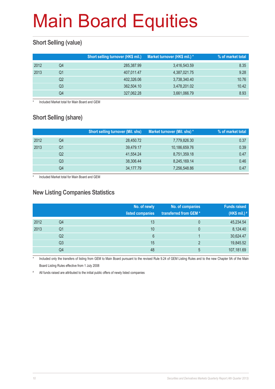### **Short Selling (value)**

|      |    | Short selling turnover (HK\$ mil.) | Market turnover (HK\$ mil.) * | % of market total |
|------|----|------------------------------------|-------------------------------|-------------------|
| 2012 | Q4 | 285,387.99                         | 3,416,543.59                  | 8.35              |
| 2013 | Q1 | 407.011.47                         | 4,387,021.75                  | 9.28              |
|      | Q2 | 402,326.06                         | 3,738,340.40                  | 10.76             |
|      | Q3 | 362,504.10                         | 3,478,201.02                  | 10.42             |
|      | Q4 | 327,062.28                         | 3,661,066.79                  | 8.93              |

Included Market total for Main Board and GEM

### **Short Selling (share)**

|      |    | <b>Short selling turnover (Mil. shs)</b> | Market turnover (Mil. shs) * | % of market total |
|------|----|------------------------------------------|------------------------------|-------------------|
| 2012 | Q4 | 28,450.72                                | 7,779,826.30                 | 0.37              |
| 2013 | Q1 | 39,479.17                                | 10,186,659.76                | 0.39              |
|      | Q2 | 41.554.24                                | 8,751,359.18                 | 0.47              |
|      | Q3 | 38,306.44                                | 8,245,169.14                 | 0.46              |
|      | Q4 | 34,177.79                                | 7,256,548.86                 | 0.47              |

Included Market total for Main Board and GEM

#### **New Listing Companies Statistics**

|      |                | No. of newly<br>listed companies | No. of companies<br>transferred from GEM* | <b>Funds raised</b><br>(HK\$ mil.) # |
|------|----------------|----------------------------------|-------------------------------------------|--------------------------------------|
| 2012 | Q4             | 13                               | 0                                         | 45,234.54                            |
| 2013 | Q <sub>1</sub> | 10                               | $\mathbf{0}$                              | 8,124.40                             |
|      | Q2             | 6                                |                                           | 30,624.47                            |
|      | Q3             | 15                               | $\mathcal{P}$                             | 19,845.52                            |
|      | Q4             | 48                               | 5                                         | 107,181.69                           |

Included only the transfers of listing from GEM to Main Board pursuant to the revised Rule 9.24 of GEM Listing Rules and to the new Chapter 9A of the Main Board Listing Rules effective from 1 July 2008

# All funds raised are attributed to the initial public offers of newly listed companies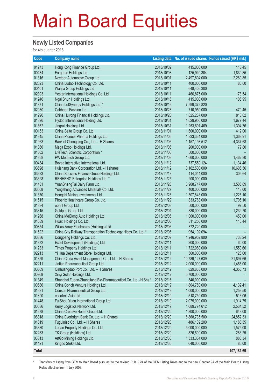#### **Newly Listed Companies**

for 4th quarter 2013

| Code         | <b>Company name</b>                                                                                       |                          |                              | Listing date No. of issued shares Funds raised (HK\$ mil.) |
|--------------|-----------------------------------------------------------------------------------------------------------|--------------------------|------------------------------|------------------------------------------------------------|
| 01273        | Hong Kong Finance Group Ltd.                                                                              | 2013/10/02               | 415,000,000                  | 118.45                                                     |
| 00484        | Forgame Holdings Ltd.                                                                                     | 2013/10/03               | 125,940,304                  | 1,839.85                                                   |
| 01316        | Nexteer Automotive Group Ltd.                                                                             | 2013/10/07               | 2,497,804,000                | 2,289.85                                                   |
| 02023        | China Ludao Technology Co. Ltd.                                                                           | 2013/10/11               | 400,000,000                  | 80.00                                                      |
| 00401        | Wanjia Group Holdings Ltd.                                                                                | 2013/10/11               | 648,405,300                  |                                                            |
| 02393        | Yestar International Holdings Co. Ltd.                                                                    | 2013/10/11               | 466,875,000                  | 178.54                                                     |
| 01246        | Ngai Shun Holdings Ltd.                                                                                   | 2013/10/16               | 415,000,000                  | 106.95                                                     |
| 01371        | China LotSynergy Holdings Ltd. *                                                                          | 2013/10/16               | 7,599,372,820                |                                                            |
| 02030        | Cabbeen Fashion Ltd.                                                                                      | 2013/10/28               | 710,950,000                  | 470.45                                                     |
| 01290        | China Huirong Financial Holdings Ltd.                                                                     | 2013/10/28               | 1,025,237,000                | 818.02                                                     |
| 01396        | Hydoo International Holding Ltd.                                                                          | 2013/10/31               | 4,029,950,000                | 1,677.44                                                   |
| 01862        | Jingrui Holdings Ltd.                                                                                     | 2013/10/31               | 1,253,691,469                | 1,394.76                                                   |
| 00153        | China Saite Group Co. Ltd.                                                                                | 2013/11/01               | 1,600,000,000                | 412.00                                                     |
| 01345        | China Pioneer Pharma Holdings Ltd.                                                                        | 2013/11/05               | 1,333,334,000                | 1,368.91                                                   |
| 01963        | Bank of Chongqing Co., Ltd. - H Shares                                                                    | 2013/11/06               | 1,157,193,512                | 4,337.68                                                   |
| 01360        | Mega Expo Holdings Ltd.                                                                                   | 2013/11/06               | 200,000,000                  | 79.80                                                      |
| 01302        | LifeTech Scientific Corporation *                                                                         | 2013/11/06               | 500,000,000                  |                                                            |
| 01358        | PW Medtech Group Ltd.                                                                                     | 2013/11/08               | 1,660,000,000                | 1,462.80                                                   |
| 00434        | Boyaa Interactive International Ltd.                                                                      | 2013/11/12               | 737,559,124                  | 1,134.46                                                   |
| 03698        | Huishang Bank Corporation Ltd. - H shares                                                                 | 2013/11/12               | 3,162,500,000                | 10,606.56                                                  |
| 03623        | China Success Finance Group Holdings Ltd.                                                                 | 2013/11/13               | 414,044,000                  | 305.64                                                     |
| 03628        | RENHENG Enterprise Holdings Ltd. *                                                                        | 2013/11/25               | 200,000,000                  |                                                            |
| 01431        | YuanShengTai Dairy Farm Ltd.                                                                              | 2013/11/26               | 3,908,747,000                | 3,506.69                                                   |
| 03608        | Yongsheng Advanced Materials Co. Ltd.                                                                     | 2013/11/27               | 400,000,000                  | 118.00                                                     |
| 01370        | Hengshi Mining Investments Ltd.                                                                           | 2013/11/28               | 1,507,843,000                | 1,225.10                                                   |
| 01515        | Phoenix Healthcare Group Co. Ltd.                                                                         | 2013/11/29               | 833,763,000                  | 1,705.10                                                   |
| 01884        | eprint Group Ltd.                                                                                         | 2013/12/03               | 500,000,000                  | 97.50                                                      |
| 03315        | Goldpac Group Ltd.                                                                                        | 2013/12/04               | 830,000,000                  | 1,239.70                                                   |
| 01268        | China MeiDong Auto Holdings Ltd.                                                                          | 2013/12/05               | 1,000,000,000                | 450.00                                                     |
| 01689        | Huaxi Holdings Co. Ltd.                                                                                   |                          | 311,250,000                  | 116.44                                                     |
| 00854        |                                                                                                           | 2013/12/06<br>2013/12/06 | 372,720,000                  |                                                            |
| 01522        | Willas-Array Electronics (Holdings) Ltd.<br>China City Railway Transportation Technology HIdgs Co. Ltd. * | 2013/12/06               | 954,192,094                  |                                                            |
| 03386        | Dongpeng Holdings Co. Ltd.                                                                                |                          |                              | 733.24                                                     |
| 01372        | Excel Development (Holdings) Ltd.                                                                         | 2013/12/09<br>2013/12/11 | 1,246,952,800<br>200,000,000 | 60.00                                                      |
| 01233        | Times Property Holdings Ltd.                                                                              | 2013/12/11               |                              |                                                            |
| 02213        |                                                                                                           |                          | 1,722,960,000                | 1,550.66<br>126.00                                         |
|              | Yi Hua Department Store Holdings Ltd.                                                                     | 2013/12/11               | 360,000,000                  |                                                            |
| 01359        | China Cinda Asset Management Co., Ltd. - H Shares                                                         | 2013/12/12               | 10,789,127,639               | 21,897.66                                                  |
| 02211        | Jintian Pharmaceutical Group Ltd.                                                                         | 2013/12/12               | 2,000,000,000                | 1,455.00                                                   |
| 03369        | Qinhuangdao Port Co., Ltd. - H Shares                                                                     | 2013/12/12               | 829,853,000                  | 4,356.73                                                   |
| 00968        | Xinyi Solar Holdings Ltd.                                                                                 | 2013/12/12               | 5,700,000,000                |                                                            |
| 01349        | Shanghai Fudan-Zhangjiang Bio-Pharmaceutical Co. Ltd. -H Shs *                                            | 2013/12/16               | 340,000,000                  |                                                            |
| 00586        | China Conch Venture Holdings Ltd.                                                                         | 2013/12/19               | 1,804,750,000                | 4,132.41                                                   |
| 01681        | Consun Pharmaceutical Group Ltd.                                                                          | 2013/12/19               | 1,000,000,000                | 1,253.50                                                   |
| 01390        | econtext Asia Ltd.                                                                                        | 2013/12/19               | 518,750,000                  | 516.06                                                     |
| 01448        | Fu Shou Yuan International Group Ltd.                                                                     | 2013/12/19               | 2,075,000,000                | 1,914.75                                                   |
| 00636        | Kerry Logistics Network Ltd.                                                                              | 2013/12/19               | 1,689,774,612                | 2,534.52                                                   |
| 01678        | China Creative Home Group Ltd.                                                                            | 2013/12/20               | 1,800,000,000                | 648.00                                                     |
| 06818        | China Everbright Bank Co. Ltd. - H Shares                                                                 | 2013/12/20               | 6,868,735,500                | 24,852.33                                                  |
| 01819        | Fuguiniao Co., Ltd. - H Shares                                                                            | 2013/12/20               | 486,109,200                  | 1,188.55                                                   |
| 03380        | Logan Property Holdings Co. Ltd.                                                                          | 2013/12/20               | 5,000,000,000                | 1,575.00                                                   |
| 02283        | TK Group (Holdings) Ltd.                                                                                  | 2013/12/20               | 826,600,000                  | 283.25                                                     |
| 03313        | ArtGo Mining Holdings Ltd.                                                                                | 2013/12/30               | 1,333,334,000                | 883.34                                                     |
| 01421        | Kingbo Strike Ltd.                                                                                        | 2013/12/30               | 640,000,000                  | 80.00                                                      |
| <b>Total</b> |                                                                                                           |                          |                              | 107,181.69                                                 |

Transfers of listing from GEM to Main Board pursuant to the revised Rule 9.24 of the GEM Listing Rules and to the new Chapter 9A of the Main Board Listing Rules effective from 1 July 2008.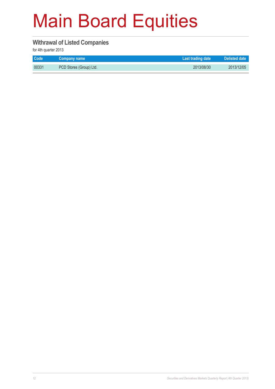#### **Withrawal of Listed Companies**

for 4th quarter 2013

| <b>Code</b> | Company name            | Last trading date | <b>Delisted date</b> |
|-------------|-------------------------|-------------------|----------------------|
| 00331       | PCD Stores (Group) Ltd. | 2013/08/30        | 2013/12/05           |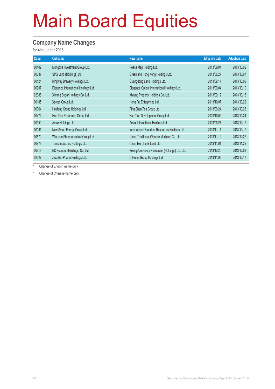### **Company Name Changes**

for 4th quarter 2013

| Code  | Old name                             | New name                                        | <b>Effective date</b> | <b>Adoption date</b> |
|-------|--------------------------------------|-------------------------------------------------|-----------------------|----------------------|
| 00402 | Mongolia Investment Group Ltd.       | Peace Map Holding Ltd.                          | 2013/09/04            | 2013/10/02           |
| 00337 | SPG Land (Holdings) Ltd.             | Greenland Hong Kong Holdings Ltd.               | 2013/08/27            | 2013/10/07           |
| 00124 | Kingway Brewery Holdings Ltd.        | Guangdong Land Holdings Ltd.                    | 2013/09/17            | 2013/10/09           |
| 00907 | Elegance International Holdings Ltd. | Elegance Optical International Holdings Ltd.    | 2013/09/04            | 2013/10/10           |
| 02088 | Xiwang Sugar Holdings Co. Ltd.       | Xiwang Property Holdings Co. Ltd.               | 2013/09/12            | 2013/10/18           |
| 00185 | Xpress Group Ltd.                    | Heng Fai Enterprises Ltd.                       | 2013/10/07            | 2013/10/22           |
| 00364 | Huafeng Group Holdings Ltd.          | Ping Shan Tea Group Ltd.                        | 2013/09/24            | 2013/10/23           |
| 00474 | Hao Tian Resources Group Ltd.        | Hao Tian Development Group Ltd.                 | 2013/10/02            | 2013/10/24           |
| 00959 | Amax Holdings Ltd.                   | Amax International Holdings Ltd.                | 2013/09/27            | 2013/11/12           |
| 00091 | New Smart Energy Group Ltd.          | International Standard Resources Holdings Ltd.  | 2013/11/11            | 2013/11/19           |
| 00570 | Winteam Pharmaceutical Group Ltd.    | China Traditional Chinese Medicine Co. Ltd.     | 2013/11/12            | 2013/11/22           |
| 00978 | Tonic Industries Holdings Ltd.       | China Merchants Land Ltd.                       | 2013/11/01            | 2013/11/29           |
| 00618 | EC-Founder (Holdings) Co. Ltd.       | Peking University Resources (Holdings) Co. Ltd. | 2013/10/25            | 2013/12/03           |
| 02327 | Jiwa Bio-Pharm Holdings Ltd.         | U-Home Group Holdings Ltd.                      | 2013/11/08            | 2013/12/17           |

\* Change of English name only

# Change of Chinese name only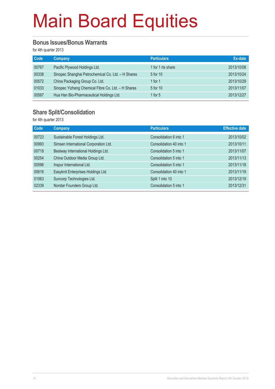#### **Bonus Issues/Bonus Warrants**

for 4th quarter 2013

| Code  | <b>Company</b>                                     | <b>Particulars</b> | Ex-date    |
|-------|----------------------------------------------------|--------------------|------------|
| 00767 | Pacific Plywood Holdings Ltd.                      | 1 for 1 rts share  | 2013/10/08 |
| 00338 | Sinopec Shanghai Petrochemical Co. Ltd. - H Shares | 5 for 10           | 2013/10/24 |
| 00572 | China Packaging Group Co. Ltd.                     | 1 for 1            | 2013/10/29 |
| 01033 | Sinopec Yizheng Chemical Fibre Co. Ltd. - H Shares | 5 for 10           | 2013/11/07 |
| 00587 | Hua Han Bio-Pharmaceutical Holdings Ltd.           | 1 for $5$          | 2013/12/27 |

#### **Share Split/Consolidation**

for 4th quarter 2013

| <b>Code</b> | Company                               | <b>Particulars</b>      | <b>Effective date</b> |
|-------------|---------------------------------------|-------------------------|-----------------------|
| 00723       | Sustainable Forest Holdings Ltd.      | Consolidation 6 into 1  | 2013/10/02            |
| 00993       | Simsen International Corporation Ltd. | Consolidation 40 into 1 | 2013/10/11            |
| 00718       | Bestway International Holdings Ltd.   | Consolidation 5 into 1  | 2013/11/07            |
| 00254       | China Outdoor Media Group Ltd.        | Consolidation 5 into 1  | 2013/11/13            |
| 00596       | Inspur International Ltd.             | Consolidation 5 into 1  | 2013/11/18            |
| 00616       | Easyknit Enterprises Holdings Ltd.    | Consolidation 40 into 1 | 2013/11/19            |
| 01063       | Suncorp Technologies Ltd.             | Split 1 into 10         | 2013/12/19            |
| 02339       | Norstar Founders Group Ltd.           | Consolidation 5 into 1  | 2013/12/31            |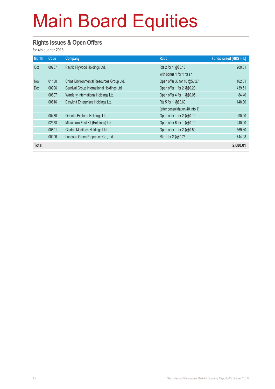#### **Rights Issues & Open Offers**

for 4th quarter 2013

| <b>Month</b> | Code  | <b>Company</b>                             | <b>Ratio</b>                    | Funds raised (HK\$ mil.) |
|--------------|-------|--------------------------------------------|---------------------------------|--------------------------|
| Oct          | 00767 | Pacific Plywood Holdings Ltd.              | Rts 2 for 1 @\$0.18             | 200.31                   |
|              |       |                                            | with bonus 1 for 1 rts sh       |                          |
| <b>Nov</b>   | 01130 | China Environmental Resources Group Ltd.   | Open offer 33 for 10 @\$0.27    | 162.81                   |
| <b>Dec</b>   | 00996 | Carnival Group International Holdings Ltd. | Open offer 1 for 2 @\$0.20      | 439.61                   |
|              | 00607 | Warderly International Holdings Ltd.       | Open offer 4 for 1 @\$0.05      | 84.40                    |
|              | 00616 | Easyknit Enterprises Holdings Ltd.         | Rts 5 for 1 @\$0.60             | 148.30                   |
|              |       |                                            | (after consolidation 40 into 1) |                          |
|              | 00430 | Oriental Explorer Holdings Ltd.            | Open offer 1 for 2 @\$0.10      | 90.00                    |
|              | 02358 | Mitsumaru East Kit (Holdings) Ltd.         | Open offer 6 for 1 @\$0.10      | 240.00                   |
|              | 00801 | Golden Meditech Holdings Ltd.              | Open offer 1 for 2 @\$0.50      | 569.60                   |
|              | 00106 | Landsea Green Properties Co., Ltd.         | Rts 1 for 2 @\$0.75             | 744.98                   |
| Total        |       |                                            |                                 | 2,680.01                 |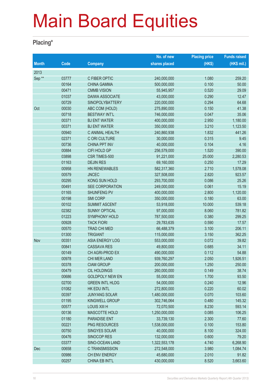#### **Placing\***

|                   |       |                        | No. of new    | <b>Placing price</b> | <b>Funds raised</b> |
|-------------------|-------|------------------------|---------------|----------------------|---------------------|
| <b>Month</b>      | Code  | <b>Company</b>         | shares placed | (HK\$)               | (HK\$ mil.)         |
| 2013              |       |                        |               |                      |                     |
| Sep <sup>**</sup> | 03777 | C FIBER OPTIC          | 240,000,000   | 1.080                | 259.20              |
|                   | 00164 | <b>CHINA GAMMA</b>     | 500,000,000   | 0.100                | 50.00               |
|                   | 00471 | <b>CMMB VISION</b>     | 55,945,957    | 0.520                | 29.09               |
|                   | 01037 | <b>DAIWA ASSOCIATE</b> | 43,000,000    | 0.290                | 12.47               |
|                   | 00729 | SINOPOLYBATTERY        | 220,000,000   | 0.294                | 64.68               |
| Oct               | 00030 | ABC COM (HOLD)         | 275,890,000   | 0.150                | 41.38               |
|                   | 00718 | <b>BESTWAY INT'L</b>   | 746,000,000   | 0.047                | 35.06               |
|                   | 00371 | <b>BJ ENT WATER</b>    | 400,000,000   | 2.950                | 1,180.00            |
|                   | 00371 | <b>BJ ENT WATER</b>    | 350,000,000   | 3.210                | 1,123.50            |
|                   | 00940 | C ANIMAL HEALTH        | 240,860,938   | 1.832                | 441.26              |
|                   | 02371 | C ORI CULTURE          | 30,000,000    | 0.315                | 9.45                |
|                   | 00736 | <b>CHINA PPT INV</b>   | 40,000,000    | 0.104                | 4.16                |
|                   | 00884 | <b>CIFI HOLD GP</b>    | 256,579,000   | 1.520                | 390.00              |
|                   | 03898 | CSR TIMES-500          | 91,221,000    | 25.000               | 2,280.53            |
|                   | 01163 | <b>DEJIN RES</b>       | 69,160,000    | 0.250                | 17.29               |
|                   | 00958 | <b>HN RENEWABLES</b>   | 582,317,360   | 2.710                | 1,578.08            |
|                   | 00579 | <b>JNCEC</b>           | 327,508,000   | 2.820                | 923.57              |
|                   | 00295 | KONG SUN HOLD          | 293,700,000   | 0.086                | 25.26               |
|                   | 00491 | SEE CORPORATION        | 249,000,000   | 0.061                | 15.19               |
|                   | 01165 | <b>SHUNFENG PV</b>     | 400,000,000   | 2.800                | 1,120.00            |
|                   | 00198 | <b>SMI CORP</b>        | 350,000,000   | 0.180                | 63.00               |
|                   | 00102 | <b>SUMMIT ASCENT</b>   | 53,918,000    | 10.000               | 539.18              |
|                   | 02382 | <b>SUNNY OPTICAL</b>   | 97,000,000    | 8.060                | 781.82              |
|                   | 01223 | SYMPHONY HOLD          | 787,500,000   | 0.380                | 299.25              |
|                   | 00928 | <b>TACK FIORI</b>      | 29,783,635    | 0.590                | 17.57               |
|                   | 00570 | <b>TRAD CHI MED</b>    | 66,488,379    | 3.100                | 206.11              |
|                   | 01300 | <b>TRIGIANT</b>        | 115,000,000   | 3.150                | 362.25              |
| Nov               | 00351 | ASIA ENERGY LOG        | 553,000,000   | 0.072                | 39.82               |
|                   | 00841 | <b>CASSAVA RES</b>     | 49,800,000    | 0.685                | 34.11               |
|                   | 00149 | CH AGRI-PROD EX        | 490,000,000   | 0.112                | 54.88               |
|                   | 00978 | CHI MER LAND           | 939,760,297   | 2.050                | 1,926.51            |
|                   | 00378 | <b>CIAM GROUP</b>      | 200,000,000   | 1.250                | 250.00              |
|                   | 00479 | CIL HOLDINGS           | 260,000,000   | 0.149                | 38.74               |
|                   | 00686 | <b>GOLDPOLY NEW EN</b> | 55,000,000    | 1.700                | 93.50               |
|                   | 02700 | <b>GREEN INTL HLDG</b> | 54,000,000    | 0.240                | 12.96               |
|                   | 01082 | HK EDU INTL            | 272,800,000   | 0.220                | 60.02               |
|                   | 00397 | <b>JUNYANG SOLAR</b>   | 1,480,000,000 | 0.070                | 103.60              |
|                   | 01195 | <b>KINGWELL GROUP</b>  | 302,746,064   | 0.480                | 145.32              |
|                   | 00577 | LOUIS XIII H           | 72,070,500    | 8.230                | 593.14              |
|                   | 00136 | <b>MASCOTTE HOLD</b>   | 1,250,000,000 | 0.085                | 106.25              |
|                   | 01180 | <b>PARADISE ENT</b>    | 33,739,130    | 2.300                | 77.60               |
|                   | 00221 | PNG RESOURCES          | 1,538,000,000 | 0.100                | 153.80              |
|                   | 00750 | <b>SINGYES SOLAR</b>   | 40,000,000    | 8.100                | 324.00              |
|                   | 00476 | SINOCOP RES            | 132,000,000   | 0.600                | 79.20               |
|                   | 03377 | SINO-OCEAN LAND        | 1,322,553,178 | 4.740                | 6,268.90            |
| Dec               | 00658 | C TRANSMISSION         | 272,548,000   | 3.980                | 1,084.74            |
|                   | 00986 | CH ENV ENERGY          | 45,680,000    | 2.010                | 91.82               |
|                   | 00257 | CHINA EB INT'L         | 430,000,000   | 8.520                | 3,663.60            |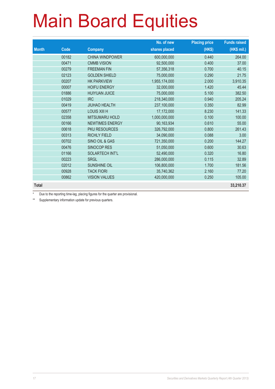|              |       |                        | No. of new    | <b>Placing price</b> | <b>Funds raised</b> |
|--------------|-------|------------------------|---------------|----------------------|---------------------|
| <b>Month</b> | Code  | <b>Company</b>         | shares placed | (HK\$)               | (HK\$ mil.)         |
|              | 00182 | <b>CHINA WINDPOWER</b> | 600,000,000   | 0.440                | 264.00              |
|              | 00471 | <b>CMMB VISION</b>     | 92,500,000    | 0.400                | 37.00               |
|              | 00279 | <b>FREEMAN FIN</b>     | 57,356,318    | 0.700                | 40.15               |
|              | 02123 | <b>GOLDEN SHIELD</b>   | 75,000,000    | 0.290                | 21.75               |
|              | 00207 | <b>HK PARKVIEW</b>     | 1,955,174,000 | 2.000                | 3,910.35            |
|              | 00007 | <b>HOIFU ENERGY</b>    | 32,000,000    | 1.420                | 45.44               |
|              | 01886 | <b>HUIYUAN JUICE</b>   | 75,000,000    | 5.100                | 382.50              |
|              | 01029 | <b>IRC</b>             | 218,340,000   | 0.940                | 205.24              |
|              | 00419 | <b>JIUHAO HEALTH</b>   | 237,100,000   | 0.350                | 82.99               |
|              | 00577 | LOUIS XIII H           | 17,172,000    | 8.230                | 141.33              |
|              | 02358 | <b>MITSUMARU HOLD</b>  | 1,000,000,000 | 0.100                | 100.00              |
|              | 00166 | <b>NEWTIMES ENERGY</b> | 90,163,934    | 0.610                | 55.00               |
|              | 00618 | <b>PKU RESOURCES</b>   | 326,792,000   | 0.800                | 261.43              |
|              | 00313 | <b>RICHLY FIELD</b>    | 34,090,000    | 0.088                | 3.00                |
|              | 00702 | SINO OIL & GAS         | 721,350,000   | 0.200                | 144.27              |
|              | 00476 | <b>SINOCOP RES</b>     | 51,050,000    | 0.600                | 30.63               |
|              | 01166 | <b>SOLARTECH INT'L</b> | 52,490,000    | 0.320                | 16.80               |
|              | 00223 | <b>SRGL</b>            | 286,000,000   | 0.115                | 32.89               |
|              | 02012 | <b>SUNSHINE OIL</b>    | 106,800,000   | 1.700                | 181.56              |
|              | 00928 | <b>TACK FIORI</b>      | 35,740,362    | 2.160                | 77.20               |
|              | 00862 | <b>VISION VALUES</b>   | 420,000,000   | 0.250                | 105.00              |
| <b>Total</b> |       |                        |               |                      | 33,210.37           |

Due to the reporting time-lag, placing figures for the quarter are provisional.

\*\* Supplementary information update for previous quarters.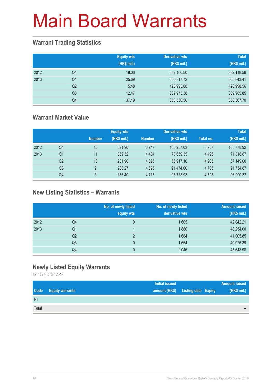### **Warrant Trading Statistics**

|      |                | <b>Equity wts</b><br>(HK\$ mil.) | <b>Derivative wts</b><br>(HK\$ mil.) | <b>Total</b><br>(HK\$ mil.) |
|------|----------------|----------------------------------|--------------------------------------|-----------------------------|
| 2012 | Q4             | 18.06                            | 382,100.50                           | 382,118.56                  |
| 2013 | Q <sub>1</sub> | 25.69                            | 605,817.72                           | 605,843.41                  |
|      | Q <sub>2</sub> | 5.48                             | 428,993.08                           | 428,998.56                  |
|      | Q <sub>3</sub> | 12.47                            | 389,973.38                           | 389,985.85                  |
|      | Q4             | 37.19                            | 358,530.50                           | 358,567.70                  |

### **Warrant Market Value**

|      |                |               | <b>Equity wts</b> |               | <b>Derivative wts</b> |           | <b>Total</b> |
|------|----------------|---------------|-------------------|---------------|-----------------------|-----------|--------------|
|      |                | <b>Number</b> | (HK\$ mil.)       | <b>Number</b> | (HK\$ mil.)           | Total no. | (HK\$ mil.)  |
| 2012 | Q4             | 10            | 521.90            | 3.747         | 105.257.03            | 3,757     | 105,778.92   |
| 2013 | Q1             | 11            | 359.52            | 4.484         | 70.659.35             | 4,495     | 71,018.87    |
|      | Q <sub>2</sub> | 10            | 231.90            | 4.895         | 56,917.10             | 4,905     | 57,149.00    |
|      | Q <sub>3</sub> | 9             | 280.27            | 4.696         | 91,474.60             | 4,705     | 91,754.87    |
|      | Q4             | 8             | 356.40            | 4,715         | 95,733.93             | 4,723     | 96,090.32    |

### **New Listing Statistics – Warrants**

|      |                | No. of newly listed<br>equity wts | No. of newly listed<br>derivative wts | <b>Amount raised</b><br>(HK\$ mil.) |
|------|----------------|-----------------------------------|---------------------------------------|-------------------------------------|
| 2012 | Q4             | 0                                 | 1,605                                 | 42,042.21                           |
| 2013 | Q1             |                                   | 1,880                                 | 48,254.00                           |
|      | Q <sub>2</sub> | っ                                 | 1,684                                 | 41,005.85                           |
|      | Q <sub>3</sub> | 0                                 | 1,654                                 | 40,026.39                           |
|      | Q4             | 0                                 | 2,046                                 | 45,648.98                           |

#### **Newly Listed Equity Warrants**

for 4th quarter 2013

|              |                        | <b>Initial issued</b>             | <b>Amount raised</b> |
|--------------|------------------------|-----------------------------------|----------------------|
| Code         | <b>Equity warrants</b> | amount (HK\$) Listing date Expiry | (HK\$ mil.)          |
| Nil          |                        |                                   |                      |
| <b>Total</b> |                        |                                   | -                    |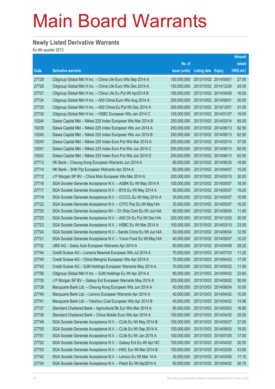### **Newly Listed Derivative Warrants**

for 4th quarter 2013

|       |                                                                |               |                            |            | <b>Amount</b> |
|-------|----------------------------------------------------------------|---------------|----------------------------|------------|---------------|
|       |                                                                | No. of        |                            |            | raised        |
| Code  | <b>Derivative warrants</b>                                     | issue (units) | <b>Listing date Expiry</b> |            | (HK\$ mil.)   |
| 27729 | Citigroup Global Mkt H Inc. - China Life Euro Wts Sep 2014 A   | 150,000,000   | 2013/10/02 2014/09/01      |            | 27.00         |
| 27726 | Citigroup Global Mkt H Inc. - China Life Euro Wts Dec 2014 A   | 150,000,000   | 2013/10/02 2014/12/24      |            | 24.00         |
| 27727 | Citigroup Global Mkt H Inc. - China Life Eu Put Wt Apr2014 B   | 100,000,000   | 2013/10/02 2014/04/08      |            | 16.00         |
| 27734 | Citigroup Global Mkt H Inc. - A50 China Euro Wts Aug 2014 A    | 200,000,000   | 2013/10/02 2014/08/01      |            | 30.00         |
| 27733 | Citigroup Global Mkt H Inc. - A50 China Eu Put Wt Dec 2014 A   | 200,000,000   | 2013/10/02 2014/12/01      |            | 31.00         |
| 27730 | Citigroup Global Mkt H Inc. - HSBC European Wts Jan 2014 C     | 100,000,000   | 2013/10/02 2014/01/27      |            | 19.00         |
| 10244 | Daiwa Capital Mkt – Nikkei 225 Index European Wts Mar 2014 B   | 250,000,000   | 2013/10/02 2014/03/14      |            | 65.00         |
| 10239 | Daiwa Capital Mkt - Nikkei 225 Index European Wts Jun 2014 A   | 250,000,000   | 2013/10/02 2014/06/13      |            | 62.50         |
| 10240 | Daiwa Capital Mkt - Nikkei 225 Index European Wts Jun 2014 B   | 250,000,000   | 2013/10/02 2014/06/13      |            | 62.50         |
| 10243 | Daiwa Capital Mkt - Nikkei 225 Index Euro Put Wts Mar 2014 A   | 250,000,000   | 2013/10/02 2014/03/14      |            | 37.50         |
| 10241 | Daiwa Capital Mkt - Nikkei 225 Index Euro Put Wts Jun 2014 C   | 250,000,000   | 2013/10/02 2014/06/13      |            | 62.50         |
| 10242 | Daiwa Capital Mkt - Nikkei 225 Index Euro Put Wts Jun 2014 D   | 250,000,000   | 2013/10/02 2014/06/13      |            | 62.50         |
| 27713 | HK Bank - Cheung Kong European Warrants Jun 2014 A             | 60,000,000    | 2013/10/02 2014/06/30      |            | 18.60         |
| 27714 | HK Bank - SHK Ppt European Warrants Apr 2014 A                 | 60,000,000    | 2013/10/02 2014/04/07      |            | 15.00         |
| 27712 | J P Morgan SP BV – China Mob European Wts Mar 2014 A           | 200,000,000   | 2013/10/02 2014/03/10      |            | 30.00         |
| 27716 | SGA Societe Generale Acceptance N.V. - AGBK Eu Wt May 2014 A   | 100,000,000   | 2013/10/02 2014/05/07      |            | 18.50         |
| 27717 | SGA Societe Generale Acceptance N.V. - BYD Eu Wt May 2014 A    | 50,000,000    | 2013/10/02 2014/05/07      |            | 19.25         |
| 27719 | SGA Societe Generale Acceptance N.V. - CCCCL Eu Wt May 2014 A  | 30,000,000    | 2013/10/02 2014/05/07      |            | 10.95         |
| 27722 | SGA Societe Generale Acceptance N.V. - CITIC Pac Eu Wt May14A  | 30,000,000    | 2013/10/02 2014/05/07      |            | 10.20         |
| 27720 | SGA Societe Generale Acceptance NV – Ch Ship Cont Eu Wt Jun14A | 60,000,000    | 2013/10/02 2014/06/04      |            | 11.40         |
| 27725 | SGA Societe Generale Acceptance N.V. - A50 Ch Eu Put Wt Dec14A | 200,000,000   | 2013/10/02 2014/12/03      |            | 30.00         |
| 27723 | SGA Societe Generale Acceptance N.V. - HSBC Eu Wt Mar 2014 A   | 100,000,000   | 2013/10/02 2014/03/10      |            | 23.00         |
| 27724 | SGA Societe Generale Acceptance N.V - Sands China Eu Wt Jun14A | 50,000,000    | 2013/10/02 2014/06/04      |            | 12.50         |
| 27721 | SGA Societe Generale Acceptance N.V. - Yurun Food Eu Wt May14A | 40,000,000    | 2013/10/02 2014/05/07      |            | 10.20         |
| 27732 | UBS AG - Geely Auto European Warrants Apr 2014 A               | 60,000,000    | 2013/10/02 2014/04/08      |            | 28.20         |
| 27744 | Credit Suisse AG - Lumena Newmat European Wts Jul 2014 A       | 70,000,000    | 2013/10/03 2014/07/03      |            | 11.20         |
| 27745 | Credit Suisse AG - China Mengniu European Wts Apr 2014 A       | 70,000,000    | 2013/10/03 2014/04/03      |            | 17.50         |
| 27743 | Credit Suisse AG - SJM Holdings European Warrants May 2014 A   | 70,000,000    | 2013/10/03 2014/05/02      |            | 11.90         |
| 27756 | Citigroup Global Mkt H Inc. - SJM Holdings Eu Wt Apr 2014 A    | 80,000,000    | 2013/10/03 2014/04/02      |            | 23.60         |
| 27735 | J P Morgan SP BV - Galaxy Ent European Warrants May 2014 A     | 200,000,000   | 2013/10/03 2014/05/02      |            | 50.00         |
| 27739 | Macquarie Bank Ltd. - Cheung Kong European Wts Jun 2014 A      | 40,000,000    | 2013/10/03 2014/06/04      |            | 10.00         |
| 27740 | Macquarie Bank Ltd. - Lenovo European Warrants Apr 2014 A      | 40,000,000    | 2013/10/03 2014/04/02      |            | 10.00         |
| 27741 | Macquarie Bank Ltd. - Yanzhou Coal European Wts Apr 2014 B     | 40,000,000    | 2013/10/03 2014/04/02      |            | 14.96         |
| 27737 | Standard Chartered Bank - Agricultural Bk Eur Wts Mar 2014 A   | 80,000,000    | 2013/10/03 2014/03/03      |            | 16.80         |
| 27738 | Standard Chartered Bank - China Mobile Euro Wts Apr 2014 A     | 100,000,000   | 2013/10/03                 | 2014/04/30 | 25.00         |
| 27749 | SGA Societe Generale Acceptance N.V. - CLife Eu Wt May 2014 B  | 100,000,000   | 2013/10/03 2014/05/07      |            | 27.00         |
| 27750 | SGA Societe Generale Acceptance N.V. - CLife Eu Wt Sep 2014 A  | 100,000,000   | 2013/10/03 2014/09/03      |            | 19.00         |
| 27751 | SGA Societe Generale Acceptance N.V. - CLife Eu Wt Jan 2015 A  | 100,000,000   | 2013/10/03 2015/01/05      |            | 17.50         |
| 27752 | SGA Societe Generale Acceptance N.V. - Galaxy Ent Eu Wt Apr14C | 100,000,000   | 2013/10/03                 | 2014/04/02 | 20.50         |
| 27753 | SGA Societe Generale Acceptance N.V. - HWL Eur Wt Mar 2014 B   | 100,000,000   | 2013/10/03 2014/03/05      |            | 43.00         |
| 27742 | SGA Societe Generale Acceptance N.V. - Lenovo Eu Wt Mar 14 A   | 30,000,000    | 2013/10/03                 | 2014/03/05 | 17.10         |
| 27754 | SGA Societe Generale Acceptance N.V. - Petch Eu Wt Apr2014 A   | 60,000,000    | 2013/10/03 2014/04/02      |            | 26.70         |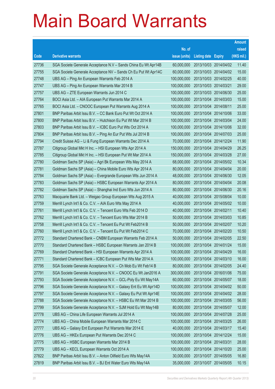|       |                                                                |               |                            | <b>Amount</b> |
|-------|----------------------------------------------------------------|---------------|----------------------------|---------------|
|       |                                                                | No. of        |                            | raised        |
| Code  | <b>Derivative warrants</b>                                     | issue (units) | <b>Listing date Expiry</b> | (HK\$ mil.)   |
| 27736 | SGA Societe Generale Acceptance N.V - Sands China Eu Wt Apr14B | 60,000,000    | 2013/10/03 2014/04/02      | 11.40         |
| 27755 | SGA Societe Generale Acceptance NV - Sands Ch Eu Put Wt Apr14C | 60,000,000    | 2013/10/03 2014/04/02      | 15.00         |
| 27748 | UBS AG – Ping An European Warrants Feb 2014 A                  | 100,000,000   | 2013/10/03 2014/02/25      | 40.00         |
| 27747 | UBS AG - Ping An European Warrants Mar 2014 B                  | 100,000,000   | 2013/10/03 2014/03/21      | 29.00         |
| 27757 | UBS AG - ZTE European Warrants Jun 2014 C                      | 100,000,000   | 2013/10/03 2014/06/30      | 25.00         |
| 27764 | BOCI Asia Ltd. - AIA European Put Warrants Mar 2014 A          | 100,000,000   | 2013/10/04 2014/03/03      | 15.00         |
| 27765 | BOCI Asia Ltd. - CNOOC European Put Warrants Aug 2014 A        | 100,000,000   | 2013/10/04 2014/08/11      | 25.00         |
| 27801 | BNP Paribas Arbit Issu B.V. - CC Bank Euro Put Wt Oct 2014 A   | 100,000,000   | 2013/10/04 2014/10/06      | 33.00         |
| 27800 | BNP Paribas Arbit Issu B.V. - Hutchison Eu Put Wt Mar 2014 B   | 100,000,000   | 2013/10/04 2014/03/04      | 24.00         |
| 27803 | BNP Paribas Arbit Issu B.V. - ICBC Euro Put Wts Oct 2014 A     | 100,000,000   | 2013/10/04 2014/10/06      | 32.00         |
| 27804 | BNP Paribas Arbit Issu B.V. - Ping An Eur Put Wts Jul 2014 B   | 100,000,000   | 2013/10/04 2014/07/03      | 25.00         |
| 27794 | Credit Suisse AG – Li & Fung European Warrants Dec 2014 A      | 70,000,000    | 2013/10/04 2014/12/24      | 11.90         |
| 27787 | Citigroup Global Mkt H Inc. - HSI European Wts Apr 2014 A      | 150,000,000   | 2013/10/04 2014/04/29      | 26.25         |
| 27785 | Citigroup Global Mkt H Inc. - HSI European Put Wt Mar 2014 A   | 150,000,000   | 2013/10/04 2014/03/28      | 27.00         |
| 27780 | Goldman Sachs SP (Asia) - Agri Bk European Wts May 2014 A      | 68,000,000    | 2013/10/04 2014/05/02      | 10.34         |
| 27781 | Goldman Sachs SP (Asia) – China Mobile Euro Wts Apr 2014 A     | 80,000,000    | 2013/10/04 2014/04/04      | 20.00         |
| 27784 | Goldman Sachs SP (Asia) - Evergrande European Wts Jun 2014 A   | 48,000,000    | 2013/10/04 2014/06/30      | 12.05         |
| 27783 | Goldman Sachs SP (Asia) - HSBC European Warrants Apr 2014 A    | 80,000,000    | 2013/10/04 2014/04/04      | 20.08         |
| 27782 | Goldman Sachs SP (Asia) - Shanghai Ind Euro Wts Jun 2014 A     | 80,000,000    | 2013/10/04 2014/06/30      | 20.16         |
| 27763 | Macquarie Bank Ltd. - Weigao Group European Wts Aug 2015 A     | 40,000,000    | 2013/10/04 2015/08/04      | 10.00         |
| 27759 | Merrill Lynch Int'l & Co. C.V. - AIA Euro Wts May 2014 A       | 40,000,000    | 2013/10/04 2014/05/02      | 10.00         |
| 27761 | Merrill Lynch Int'l & Co. C.V. - Tencent Euro Wts Feb 2014 D   | 40,000,000    | 2013/10/04 2014/02/11      | 10.40         |
| 27762 | Merrill Lynch Int'l & Co. C.V. - Tencent Euro Wts Mar 2014 B   | 50,000,000    | 2013/10/04 2014/03/03      | 10.85         |
| 27758 | Merrill Lynch Int'l & Co. C.V. - Tencent Eu Put Wt Feb2014 B   | 50,000,000    | 2013/10/04 2014/02/07      | 10.20         |
| 27760 | Merrill Lynch Int'l & Co. C.V. - Tencent Eu Put Wt Feb2014 C   | 70,000,000    | 2013/10/04 2014/02/20      | 10.50         |
| 27772 | Standard Chartered Bank - CNBM European Warrants Feb 2014 A    | 50,000,000    | 2013/10/04 2014/02/05      | 22.50         |
| 27770 | Standard Chartered Bank - HSBC European Warrants Jan 2014 B    | 100,000,000   | 2013/10/04 2014/01/24      | 15.00         |
| 27769 | Standard Chartered Bank - HSI European Warrants Apr 2014 A     | 100,000,000   | 2013/10/04 2014/04/29      | 16.00         |
| 27771 | Standard Chartered Bank - ICBC European Put Wts Mar 2014 A     | 100,000,000   | 2013/10/04 2014/03/10      | 16.00         |
| 27795 | SGA Societe Generale Acceptance N.V. - Ch Mob Eu Wt Feb14 B    | 80,000,000    | 2013/10/04 2014/02/05      | 24.40         |
| 27791 | SGA Societe Generale Acceptance N.V. - CNOOC Eu Wt Jan2016 A   | 300,000,000   | 2013/10/04 2016/01/06      | 75.00         |
| 27793 | SGA Societe Generale Acceptance N.V. - GCL-Poly Eu Wt May14A   | 60,000,000    | 2013/10/04 2014/05/07      | 18.00         |
| 27796 | SGA Societe Generale Acceptance N.V. - Galaxy Ent Eu Wt Apr14D | 100,000,000   | 2013/10/04 2014/04/02      | 50.00         |
| 27797 | SGA Societe Generale Acceptance N.V. - Galaxy Eu Put Wt Apr14E | 100,000,000   | 2013/10/04 2014/04/02      | 28.00         |
| 27788 | SGA Societe Generale Acceptance N.V. - HSBC Eu Wt Mar 2014 B   | 100,000,000   | 2013/10/04 2014/03/05      | 56.00         |
| 27799 | SGA Societe Generale Acceptance N.V. - SJM Hold Eu Wt May14B   | 80,000,000    | 2013/10/04 2014/05/07      | 12.00         |
| 27778 | UBS AG - China Life European Warrants Jul 2014 A               | 100,000,000   | 2013/10/04 2014/07/28      | 25.00         |
| 27774 | UBS AG - China Mobile European Warrants Mar 2014 C             | 100,000,000   | 2013/10/04 2014/03/25      | 26.00         |
| 27777 | UBS AG - Galaxy Ent European Put Warrants Mar 2014 E           | 40,000,000    | 2013/10/04 2014/03/17      | 15.40         |
| 27776 | UBS AG - HKEx European Put Warrants Dec 2014 C                 | 100,000,000   | 2013/10/04 2014/12/24      | 15.00         |
| 27775 | UBS AG - HSBC European Warrants Mar 2014 B                     | 100,000,000   | 2013/10/04 2014/03/31      | 28.00         |
| 27779 | UBS AG - KECL European Warrants Oct 2014 A                     | 100,000,000   | 2013/10/04 2014/10/20      | 25.00         |
| 27822 | BNP Paribas Arbit Issu B.V. - Anton Oilfield Euro Wts May14A   | 30,000,000    | 2013/10/07 2014/05/05      | 16.80         |
| 27819 | BNP Paribas Arbit Issu B.V. - BJ Ent Water Euro Wts May14A     | 35,000,000    | 2013/10/07 2014/05/05      | 10.15         |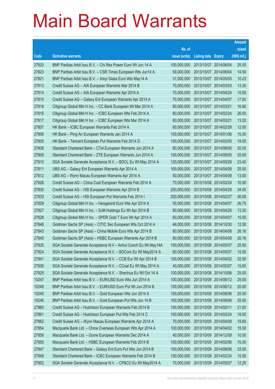|       |                                                                |               |                            | <b>Amount</b> |
|-------|----------------------------------------------------------------|---------------|----------------------------|---------------|
|       |                                                                | No. of        |                            | raised        |
| Code  | <b>Derivative warrants</b>                                     | issue (units) | <b>Listing date Expiry</b> | (HK\$ mil.)   |
| 27820 | BNP Paribas Arbit Issu B.V. - Chi Res Power Euro Wt Jun 14 A   | 100,000,000   | 2013/10/07 2014/06/04      | 25.00         |
| 27823 | BNP Paribas Arbit Issu B.V. - CSR Times European Wts Jun14 A   | 50,000,000    | 2013/10/07 2014/06/04      | 14.50         |
| 27821 | BNP Paribas Arbit Issu B.V. - Xinyi Glass Euro Wts May14 A     | 31,000,000    | 2013/10/07 2014/05/05      | 10.23         |
| 27813 | Credit Suisse AG - AIA European Warrants Mar 2014 B            | 70,000,000    | 2013/10/07 2014/03/03      | 13.30         |
| 27814 | Credit Suisse AG - AIA European Warrants Apr 2014 A            | 70,000,000    | 2013/10/07 2014/04/24      | 10.50         |
| 27815 | Credit Suisse AG - Galaxy Ent European Warrants Apr 2014 A     | 70,000,000    | 2013/10/07 2014/04/07      | 17.50         |
| 27818 | Citigroup Global Mkt H Inc. - CC Bank European Wt Mar 2014 A   | 80,000,000    | 2013/10/07 2014/03/21      | 16.80         |
| 27816 | Citigroup Global Mkt H Inc. - ICBC European Wts Feb 2014 A     | 80,000,000    | 2013/10/07 2014/02/24      | 26.00         |
| 27817 | Citigroup Global Mkt H Inc. - ICBC European Wts Mar 2014 A     | 80,000,000    | 2013/10/07 2014/03/21      | 13.20         |
| 27807 | HK Bank – ICBC European Warrants Feb 2014 A                    | 80,000,000    | 2013/10/07 2014/02/26      | 12.00         |
| 27806 | HK Bank - Ping An European Warrants Jan 2014 A                 | 100,000,000   | 2013/10/07 2014/01/06      | 15.00         |
| 27805 | HK Bank – Tencent European Put Warrants Feb 2014 D             | 100,000,000   | 2013/10/07 2014/02/05      | 19.00         |
| 27808 | Standard Chartered Bank – CTel European Warrants Jun 2014 A    | 80,000,000    | 2013/10/07 2014/06/05      | 20.00         |
| 27809 | Standard Chartered Bank - ZTE European Warrants Jun 2014 A     | 100,000,000   | 2013/10/07 2014/06/05      | 25.00         |
| 27810 | SGA Societe Generale Acceptance N.V. - BOCL Eu Wt May 2014 A   | 120,000,000   | 2013/10/07 2014/05/28      | 23.40         |
| 27811 | UBS AG - Galaxy Ent European Warrants Apr 2014 A               | 100,000,000   | 2013/10/07 2014/04/08      | 25.00         |
| 27812 | UBS AG - Wynn Macau European Warrants Apr 2014 A               | 50,000,000    | 2013/10/07 2014/04/08      | 13.00         |
| 27826 | Credit Suisse AG - China Coal European Warrants Feb 2014 A     | 70,000,000    | 2013/10/08 2014/02/24      | 10.50         |
| 27830 | Credit Suisse AG - HSI European Warrants Apr 2014 B            | 200,000,000   | 2013/10/08 2014/04/29      | 34.00         |
| 27833 | Credit Suisse AG - HSI European Put Warrants Feb 2014 I        | 200,000,000   | 2013/10/08 2014/02/27      | 30.00         |
| 27829 | Citigroup Global Mkt H Inc. - Henganintl Euro Wts Apr 2014 A   | 50,000,000    | 2013/10/08 2014/04/07      | 26.75         |
| 27827 | Citigroup Global Mkt H Inc. - SJM Holdings Eu Wt Apr 2014 B    | 80,000,000    | 2013/10/08 2014/04/25      | 13.20         |
| 27828 | Citigroup Global Mkt H Inc. - SPDR Gold T Euro Wt Apr 2014 A   | 60,000,000    | 2013/10/08 2014/04/07      | 15.00         |
| 27846 | Goldman Sachs SP (Asia) – CITIC Sec European Wts Oct 2014 A    | 48,000,000    | 2013/10/08 2014/10/30      | 12.00         |
| 27843 | Goldman Sachs SP (Asia) - China Mobile Euro Wts Apr 2014 B     | 80,000,000    | 2013/10/08 2014/04/08      | 26.16         |
| 27845 | Goldman Sachs SP (Asia) - HSBC European Warrants Apr 2014 B    | 80,000,000    | 2013/10/08 2014/04/08      | 20.16         |
| 27835 | SGA Societe Generale Acceptance N.V – Anhui Conch Eu Wt May14A | 100,000,000   | 2013/10/08 2014/05/07      | 25.50         |
| 27824 | SGA Societe Generale Acceptance N.V. - BOCom Eu Wt May2014 A   | 60,000,000    | 2013/10/08 2014/05/07      | 15.00         |
| 27841 | SGA Societe Generale Acceptance N.V. - CCB Eur Wt Apr 2014 B   | 100,000,000   | 2013/10/08 2014/04/02      | 32.50         |
| 27836 | SGA Societe Generale Acceptance N.V. - CCoal Eu Wt May 2014 A  | 40,000,000    | 2013/10/08 2014/05/07      | 15.60         |
| 27825 | SGA Societe Generale Acceptance N.V. - Shenhua Eu Wt Oct 14 A  | 100,000,000   | 2013/10/08 2014/10/06      | 25.00         |
| 10247 | BNP Paribas Arbit Issu B.V. - EUR/USD Euro Wts Jun 2014 A      | 100,000,000   | 2013/10/09 2014/06/12      | 25.00         |
| 10248 | BNP Paribas Arbit Issu B.V. - EUR/USD Euro Put Wt Jun 2014 B   | 100,000,000   | 2013/10/09 2014/06/12      | 25.00         |
| 10245 | BNP Paribas Arbit Issu B.V. - Gold European Wts Jun 2014 A     | 100,000,000   | 2013/10/09 2014/06/06      | 25.00         |
| 10246 | BNP Paribas Arbit Issu B.V. - Gold European Put Wts Jun 14 B   | 100,000,000   | 2013/10/09 2014/06/06      | 25.00         |
| 27860 | Credit Suisse AG - Hutchison European Warrants Feb 2014 B      | 100,000,000   | 2013/10/09 2014/02/11      | 21.00         |
| 27861 | Credit Suisse AG - Hutchison European Put Wts Feb 2014 C       | 100,000,000   | 2013/10/09 2014/02/24      | 18.00         |
| 27862 | Credit Suisse AG - Wynn Macau European Warrants Apr 2014 A     | 70,000,000    | 2013/10/09 2014/04/08      | 19.60         |
| 27854 | Macquarie Bank Ltd. - China Overseas European Wts Apr 2014 A   | 100,000,000   | 2013/10/09 2014/04/02      | 15.00         |
| 27856 | Macquarie Bank Ltd. - Gome European Warrants Dec 2014 A        | 40,000,000    | 2013/10/09 2014/12/09      | 10.00         |
| 27855 | Macquarie Bank Ltd. - HSBC European Warrants Feb 2014 B        | 100,000,000   | 2013/10/09 2014/02/06      | 15.00         |
| 27847 | Standard Chartered Bank - Galaxy Ent Euro Put Wts Jun 2014 B   | 100,000,000   | 2013/10/09 2014/06/06      | 33.00         |
| 27849 | Standard Chartered Bank - ICBC European Warrants Feb 2014 B    | 100,000,000   | 2013/10/09 2014/02/24      | 15.00         |
| 27852 | SGA Societe Generale Acceptance N.V. - CP&CC Eu Wt May2014 A   | 70,000,000    | 2013/10/09 2014/05/07      | 12.25         |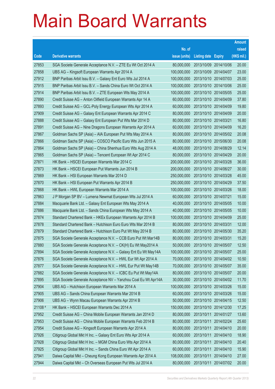|         |                                                                |               |                            |            | <b>Amount</b> |
|---------|----------------------------------------------------------------|---------------|----------------------------|------------|---------------|
|         |                                                                | No. of        |                            |            | raised        |
| Code    | <b>Derivative warrants</b>                                     | issue (units) | <b>Listing date Expiry</b> |            | (HK\$ mil.)   |
| 27853   | SGA Societe Generale Acceptance N.V. - ZTE Eu Wt Oct 2014 A    | 80,000,000    | 2013/10/09 2014/10/06      |            | 20.00         |
| 27858   | UBS AG - Kingsoft European Warrants Apr 2014 A                 | 100,000,000   | 2013/10/09 2014/04/07      |            | 23.00         |
| 27912   | BNP Paribas Arbit Issu B.V. - Galaxy Ent Euro Wts Jul 2014 A   | 100,000,000   | 2013/10/10 2014/07/03      |            | 25.00         |
| 27915   | BNP Paribas Arbit Issu B.V. - Sands China Euro Wt Oct 2014 A   | 100,000,000   | 2013/10/10 2014/10/06      |            | 25.00         |
| 27914   | BNP Paribas Arbit Issu B.V. - ZTE European Wts May 2014 A      | 100,000,000   | 2013/10/10 2014/05/05      |            | 25.00         |
| 27890   | Credit Suisse AG - Anton Oilfield European Warrants Apr 14 A   | 60,000,000    | 2013/10/10 2014/04/09      |            | 37.80         |
| 27893   | Credit Suisse AG - GCL-Poly Energy European Wts Apr 2014 A     | 60,000,000    | 2013/10/10 2014/04/09      |            | 19.80         |
| 27909   | Credit Suisse AG - Galaxy Ent European Warrants Apr 2014 C     | 80,000,000    | 2013/10/10 2014/04/09      |            | 20.00         |
| 27888   | Credit Suisse AG - Galaxy Ent European Put Wts Mar 2014 D      | 80,000,000    | 2013/10/10 2014/03/21      |            | 16.80         |
| 27891   | Credit Suisse AG - Nine Dragons European Warrants Apr 2014 A   | 60,000,000    | 2013/10/10 2014/04/09      |            | 16.20         |
| 27867   | Goldman Sachs SP (Asia) - AIA European Put Wts May 2014 A      | 80,000,000    | 2013/10/10 2014/05/02      |            | 20.08         |
| 27866   | Goldman Sachs SP (Asia) – COSCO Pacific Euro Wts Jun 2015 A    | 80,000,000    | 2013/10/10 2015/06/30      |            | 20.08         |
| 27864   | Goldman Sachs SP (Asia) - China Shenhua Euro Wts Aug 2014 A    | 48,000,000    | 2013/10/10 2014/08/29      |            | 12.14         |
| 27865   | Goldman Sachs SP (Asia) - Tencent European Wt Apr 2014 C       | 80,000,000    | 2013/10/10 2014/04/29      |            | 20.00         |
| 27871   | HK Bank - HSCEI European Warrants Mar 2014 C                   | 200,000,000   | 2013/10/10 2014/03/28      |            | 36.00         |
| 27873   | HK Bank - HSCEI European Put Warrants Jun 2014 B               | 200,000,000   | 2013/10/10 2014/06/27      |            | 30.00         |
| 27869   | HK Bank – HSI European Warrants Mar 2014 D                     | 250,000,000   | 2013/10/10 2014/03/28      |            | 45.00         |
| 27870   | HK Bank - HSI European Put Warrants Apr 2014 B                 | 250,000,000   | 2013/10/10 2014/04/29      |            | 37.50         |
| 27868   | HK Bank - HWL European Warrants Mar 2014 A                     | 100,000,000   | 2013/10/10 2014/03/26      |            | 18.00         |
| 27863   | J P Morgan SP BV - Lumena Newmat European Wts Jul 2014 A       | 60,000,000    | 2013/10/10 2014/07/21      |            | 15.00         |
| 27884   | Macquarie Bank Ltd. - Galaxy Ent European Wts May 2014 A       | 40,000,000    | 2013/10/10 2014/05/05      |            | 10.00         |
| 27886   | Macquarie Bank Ltd. - Sands China European Wts May 2014 A      | 40,000,000    | 2013/10/10 2014/05/05      |            | 10.00         |
| 27874   | Standard Chartered Bank - HKEx European Warrants Apr 2014 B    | 100,000,000   | 2013/10/10 2014/04/09      |            | 25.00         |
| 27878   | Standard Chartered Bank - Hutchison Euro Euro Wts Mar 2014 B   | 80,000,000    | 2013/10/10 2014/03/31      |            | 12.00         |
| 27879   | Standard Chartered Bank - Hutchison Euro Put Wt May 2014 B     | 80,000,000    | 2013/10/10 2014/05/30      |            | 35.20         |
| 27875   | SGA Societe Generale Acceptance N.V. - CCB Euro Put Wt Mar14B  | 80,000,000    | 2013/10/10 2014/03/31      |            | 15.20         |
| 27880   | SGA Societe Generale Acceptance N.V. - CK(H) Eu Wt May2014 A   | 50,000,000    | 2013/10/10 2014/05/07      |            | 12.50         |
| 27894   | SGA Societe Generale Acceptance N.V. - Galaxy Ent Eu Wt May14A | 100,000,000   | 2013/10/10 2014/05/07      |            | 25.00         |
| 27876   | SGA Societe Generale Acceptance N.V. - HWL Eur Wt Apr 2014 A   | 70,000,000    | 2013/10/10 2014/04/02      |            | 10.50         |
| 27877   | SGA Societe Generale Acceptance N.V. - HWL Eur Put Wt May14B   | 70,000,000    | 2013/10/10 2014/05/07      |            | 35.00         |
| 27882   | SGA Societe Generale Acceptance N.V. - ICBC Eu Put Wt May14A   | 80,000,000    | 2013/10/10 2014/05/07      |            | 20.00         |
| 27895   | SGA Societe Generale Acceptance NV - Yanzhou Coal Eu Wt Apr14A | 30,000,000    | 2013/10/10 2014/04/02      |            | 11.70         |
| 27904   | UBS AG - Hutchison European Warrants Mar 2014 A                | 100,000,000   | 2013/10/10 2014/03/26      |            | 15.00         |
| 27905   | UBS AG - Sands China European Warrants Mar 2014 B              | 60,000,000    | 2013/10/10 2014/03/26      |            | 15.00         |
| 27906   | UBS AG - Wynn Macau European Warrants Apr 2014 B               | 50,000,000    | 2013/10/10 2014/04/15      |            | 12.50         |
| 21108 # | HK Bank - HSCEI European Warrants Dec 2014 A                   | 150,000,000   | 2013/10/10 2014/12/30      |            | 17.25         |
| 27952   | Credit Suisse AG - China Mobile European Warrants Jan 2014 D   | 80,000,000    | 2013/10/11                 | 2014/01/27 | 13.60         |
| 27953   | Credit Suisse AG - China Mobile European Warrants Feb 2014 B   | 80,000,000    | 2013/10/11                 | 2014/02/24 | 25.60         |
| 27954   | Credit Suisse AG - Kingsoft European Warrants Apr 2014 A       | 80,000,000    | 2013/10/11                 | 2014/04/10 | 20.00         |
| 27926   | Citigroup Global Mkt H Inc. - Galaxy Ent Euro Wts Apr 2014 A   | 60,000,000    | 2013/10/11                 | 2014/04/10 | 18.90         |
| 27928   | Citigroup Global Mkt H Inc. - MGM China Euro Wts Apr 2014 A    | 80,000,000    | 2013/10/11                 | 2014/04/10 | 20.40         |
| 27925   | Citigroup Global Mkt H Inc. - Sands China Euro Wt Apr 2014 A   | 60,000,000    | 2013/10/11                 | 2014/04/10 | 15.90         |
| 27941   | Daiwa Capital Mkt - Cheung Kong European Warrants Apr 2014 A   | 108,000,000   | 2013/10/11                 | 2014/04/10 | 27.00         |
| 27944   | Daiwa Capital Mkt - Ch Overseas European Put Wts Jul 2014 A    | 80,000,000    | 2013/10/11                 | 2014/07/02 | 20.00         |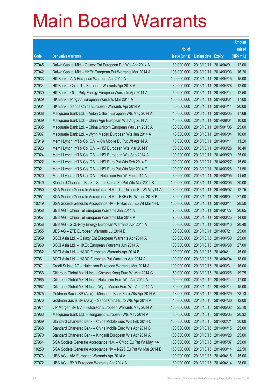|       |                                                                |               |                            |                       | <b>Amount</b> |
|-------|----------------------------------------------------------------|---------------|----------------------------|-----------------------|---------------|
|       |                                                                | No. of        |                            |                       | raised        |
| Code  | <b>Derivative warrants</b>                                     | issue (units) | <b>Listing date Expiry</b> |                       | (HK\$ mil.)   |
| 27945 | Daiwa Capital Mkt - Galaxy Ent European Put Wts Apr 2014 A     | 80,000,000    | 2013/10/11                 | 2014/04/01            | 12.00         |
| 27942 | Daiwa Capital Mkt - HKEx European Put Warrants Mar 2014 A      | 108,000,000   | 2013/10/11                 | 2014/03/03            | 16.20         |
| 27933 | HK Bank - AIA European Warrants Apr 2014 A                     | 100,000,000   | 2013/10/11                 | 2014/04/15            | 15.00         |
| 27934 | HK Bank - China Tel European Warrants Apr 2014 A               | 80,000,000    | 2013/10/11                 | 2014/04/28            | 12.00         |
| 27930 | HK Bank - GCL-Poly Energy European Warrants Apr 2014 A         | 50,000,000    | 2013/10/11                 | 2014/04/14            | 12.50         |
| 27929 | HK Bank - Ping An European Warrants Mar 2014 A                 | 100,000,000   | 2013/10/11                 | 2014/03/31            | 17.00         |
| 27931 | HK Bank - Sands China European Warrants Apr 2014 A             | 80,000,000    | 2013/10/11                 | 2014/04/14            | 20.00         |
| 27938 | Macquarie Bank Ltd. - Anton Oilfield European Wts May 2014 A   | 40,000,000    | 2013/10/11                 | 2014/05/05            | 17.68         |
| 27939 | Macquarie Bank Ltd. - China Agri European Wts Aug 2014 A       | 40,000,000    | 2013/10/11                 | 2014/08/04            | 10.00         |
| 27935 | Macquarie Bank Ltd. - China Unicom European Wts Jan 2015 A     | 100,000,000   | 2013/10/11                 | 2015/01/05            | 25.00         |
| 27937 | Macquarie Bank Ltd. - Wynn Macau European Wts Jun 2014 A       | 40,000,000    | 2013/10/11                 | 2014/06/04            | 10.00         |
| 27919 | Merrill Lynch Int'l & Co. C.V. - Ch Mobile Eu Put Wt Apr 14 A  | 40,000,000    | 2013/10/11                 | 2014/04/11            | 11.20         |
| 27923 | Merrill Lynch Int'l & Co. C.V. - HSI European Wts Mar 2014 F   | 100,000,000   | 2013/10/11                 | 2014/03/28            | 18.40         |
| 27924 | Merrill Lynch Int'l & Co. C.V. - HSI European Wts Sep 2014 A   | 100,000,000   | 2013/10/11                 | 2014/09/29            | 25.00         |
| 27922 | Merrill Lynch Int'l & Co. C.V. - HSI Euro Put Wts Feb 2014 F   | 100,000,000   | 2013/10/11                 | 2014/02/27            | 15.60         |
| 27921 | Merrill Lynch Int'l & Co. C.V. - HSI Euro Put Wts Mar 2014 E   | 100,000,000   | 2013/10/11                 | 2014/03/28            | 21.50         |
| 27920 | Merrill Lynch Int'l & Co. C.V. - Hutchison Eur Wt Feb 2014 A   | 60,000,000    | 2013/10/11                 | 2014/02/05            | 11.58         |
| 27949 | Standard Chartered Bank - Sands China Eu Put Wts Mar 2014 B    | 100,000,000   | 2013/10/11                 | 2014/03/05            | 20.00         |
| 27950 | SGA Societe Generale Acceptance N.V. - ChiUnicom Eu Wt May14 A | 30,000,000    | 2013/10/11                 | 2014/05/07            | 12.75         |
| 27951 | SGA Societe Generale Acceptance N.V. - HKEx Eu Wt Jun 2014 B   | 60,000,000    | 2013/10/11                 | 2014/06/04            | 27.00         |
| 10249 | SGA Societe Generale Acceptance NV - Nikkei 225 Eu Wt Mar 14 D | 150,000,000   | 2013/10/11                 | 2014/03/14            | 28.50         |
| 27958 | UBS AG - China Tel European Warrants Jan 2014 A                | 70,000,000    | 2013/10/11                 | 2014/01/27            | 20.65         |
| 27957 | UBS AG - China Tel European Warrants Mar 2014 A                | 70,000,000    | 2013/10/11                 | 2014/03/25            | 14.00         |
| 27956 | UBS AG - GCL-Poly Energy European Warrants Apr 2014 A          | 60,000,000    | 2013/10/11                 | 2014/04/10            | 20.40         |
| 27955 | UBS AG - ZTE European Warrants Jul 2014 B                      | 100,000,000   | 2013/10/11                 | 2014/07/21            | 25.00         |
| 27959 | BOCI Asia Ltd. - Galaxy Ent European Warrants Apr 2014 A       | 100,000,000   | 2013/10/15 2014/04/30      |                       | 25.00         |
| 27960 | BOCI Asia Ltd. – HKEx European Warrants Jun 2014 A             | 100,000,000   |                            | 2013/10/15 2014/06/30 | 27.00         |
| 27962 | BOCI Asia Ltd. - HSBC European Warrants Apr 2014 B             | 100,000,000   | 2013/10/15 2014/04/11      |                       | 15.00         |
| 27961 | BOCI Asia Ltd. - HSBC European Put Warrants Apr 2014 A         | 100,000,000   | 2013/10/15 2014/04/04      |                       | 18.00         |
| 27971 | Credit Suisse AG - Hutchison European Warrants Mar 2014 A      | 100,000,000   | 2013/10/15 2014/03/31      |                       | 16.00         |
| 27966 | Citigroup Global Mkt H Inc. - Cheung Kong Euro Wt Mar 2014 C   | 50,000,000    | 2013/10/15 2014/03/26      |                       | 19.75         |
| 27965 | Citigroup Global Mkt H Inc. - Hutchison Euro Wts Apr 2014 A    | 50,000,000    | 2013/10/15 2014/04/14      |                       | 17.00         |
| 27967 | Citigroup Global Mkt H Inc. - Wynn Macau Euro Wts Apr 2014 A   | 60,000,000    | 2013/10/15 2014/04/14      |                       | 15.00         |
| 27975 | Goldman Sachs SP (Asia) - Minsheng Bank Euro Wts Apr 2014 A    | 48,000,000    | 2013/10/15 2014/04/29      |                       | 28.13         |
| 27976 | Goldman Sachs SP (Asia) - Sands China Euro Wts Apr 2014 A      | 48,000,000    | 2013/10/15 2014/04/30      |                       | 12.00         |
| 27974 | J P Morgan SP BV - Hutchison European Warrants May 2014 A      | 100,000,000   |                            | 2013/10/15 2014/05/02 | 25.10         |
| 27963 | Macquarie Bank Ltd. - Henganintl European Wts May 2014 A       | 80,000,000    | 2013/10/15 2014/05/05      |                       | 20.32         |
| 27969 | Standard Chartered Bank - China Mobile Euro Wts Feb 2014 C     | 100,000,000   | 2013/10/15 2014/02/21      |                       | 30.00         |
| 27968 | Standard Chartered Bank - China Mobile Euro Wts Apr 2014 B     | 100,000,000   | 2013/10/15 2014/04/15      |                       | 25.00         |
| 27970 | Standard Chartered Bank - Kingsoft European Wts Apr 2014 A     | 100,000,000   | 2013/10/15 2014/04/28      |                       | 25.00         |
| 27964 | SGA Societe Generale Acceptance N.V. - CMob Eu Put Wt May14A   | 100,000,000   | 2013/10/15 2014/05/07      |                       | 25.00         |
| 10250 | SGA Societe Generale Acceptance NV - N225 Eu Put Wt Mar 2014 E | 150,000,000   | 2013/10/15 2014/03/14      |                       | 22.50         |
| 27973 | UBS AG - AIA European Warrants Apr 2014 A                      | 100,000,000   | 2013/10/15 2014/04/15      |                       | 15.00         |
| 27972 | UBS AG - BYD European Warrants Apr 2014 A                      | 80,000,000    | 2013/10/15 2014/04/14      |                       | 28.00         |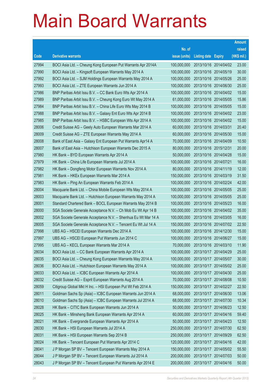|       |                                                               |               |                            |            | <b>Amount</b> |
|-------|---------------------------------------------------------------|---------------|----------------------------|------------|---------------|
|       |                                                               | No. of        |                            |            | raised        |
| Code  | <b>Derivative warrants</b>                                    | issue (units) | <b>Listing date Expiry</b> |            | (HK\$ mil.)   |
| 27994 | BOCI Asia Ltd. - Cheung Kong European Put Warrants Apr 2014A  | 100,000,000   | 2013/10/16 2014/04/02      |            | 23.00         |
| 27990 | BOCI Asia Ltd. - Kingsoft European Warrants May 2014 A        | 100,000,000   | 2013/10/16 2014/05/19      |            | 30.00         |
| 27992 | BOCI Asia Ltd. - SJM Holdings European Warrants May 2014 A    | 100,000,000   | 2013/10/16 2014/05/26      |            | 25.00         |
| 27993 | BOCI Asia Ltd. - ZTE European Warrants Jun 2014 A             | 100,000,000   | 2013/10/16 2014/06/30      |            | 25.00         |
| 27986 | BNP Paribas Arbit Issu B.V. - CC Bank Euro Wts Apr 2014 A     | 100,000,000   | 2013/10/16 2014/04/02      |            | 15.00         |
| 27989 | BNP Paribas Arbit Issu B.V. - Cheung Kong Euro Wt May 2014 A  | 61,000,000    | 2013/10/16 2014/05/05      |            | 15.86         |
| 27984 | BNP Paribas Arbit Issu B.V. - China Life Euro Wts May 2014 B  | 100,000,000   | 2013/10/16 2014/05/05      |            | 15.00         |
| 27988 | BNP Paribas Arbit Issu B.V. - Galaxy Ent Euro Wts Apr 2014 B  | 100,000,000   | 2013/10/16 2014/04/02      |            | 23.00         |
| 27985 | BNP Paribas Arbit Issu B.V. - HSBC European Wts Apr 2014 A    | 100,000,000   | 2013/10/16 2014/04/02      |            | 15.00         |
| 28006 | Credit Suisse AG - Geely Auto European Warrants Mar 2014 A    | 60,000,000    | 2013/10/16 2014/03/31      |            | 20.40         |
| 28009 | Credit Suisse AG - ZTE European Warrants May 2014 A           | 60,000,000    | 2013/10/16 2014/05/30      |            | 15.00         |
| 28008 | Bank of East Asia - Galaxy Ent European Put Warrants Apr14 A  | 70,000,000    | 2013/10/16 2014/04/09      |            | 10.50         |
| 28007 | Bank of East Asia - Hutchison European Warrants Dec 2015 A    | 80,000,000    | 2013/10/16 2015/12/31      |            | 20.00         |
| 27980 | HK Bank - BYD European Warrants Apr 2014 A                    | 50,000,000    | 2013/10/16 2014/04/28      |            | 15.00         |
| 27979 | HK Bank - China Life European Warrants Jul 2014 A             | 100,000,000   | 2013/10/16 2014/07/21      |            | 16.00         |
| 27982 | HK Bank - Dongfeng Motor European Warrants Nov 2014 A         | 80,000,000    | 2013/10/16 2014/11/19      |            | 12.00         |
| 27981 | HK Bank - HKEx European Warrants Mar 2014 A                   | 150,000,000   | 2013/10/16 2014/03/19      |            | 31.50         |
| 27983 | HK Bank - Ping An European Warrants Feb 2014 A                | 100,000,000   | 2013/10/16 2014/02/24      |            | 42.00         |
| 28004 | Macquarie Bank Ltd. - China Mobile European Wts May 2014 A    | 100,000,000   | 2013/10/16 2014/05/05      |            | 25.00         |
| 28003 | Macquarie Bank Ltd. - Hutchison European Warrants May 2014 A  | 100,000,000   | 2013/10/16 2014/05/05      |            | 25.00         |
| 28001 | Standard Chartered Bank - BOCL European Warrants May 2014 B   | 100,000,000   | 2013/10/16 2014/05/23      |            | 16.00         |
| 28000 | SGA Societe Generale Acceptance N.V. - Ch Mob Eu Wt Apr 14 B  | 100,000,000   | 2013/10/16 2014/04/02      |            | 35.00         |
| 28002 | SGA Societe Generale Acceptance N.V. - Shenhua Eu Wt Mar 14 A | 100,000,000   | 2013/10/16 2014/03/05      |            | 16.00         |
| 28005 | SGA Societe Generale Acceptance N.V. - Tencent Eu Wt Jul 14 A | 150,000,000   | 2013/10/16 2014/07/02      |            | 22.50         |
| 27998 | UBS AG - HSCEI European Warrants Dec 2014 A                   | 100,000,000   | 2013/10/16 2014/12/30      |            | 15.00         |
| 27997 | UBS AG - HSCEI European Put Warrants Jun 2014 C               | 100,000,000   | 2013/10/16 2014/06/27      |            | 15.00         |
| 27995 | UBS AG - KECL European Warrants Mar 2014 A                    | 70,000,000    | 2013/10/16 2014/03/10      |            | 11.90         |
| 28034 | BOCI Asia Ltd. - CC Bank European Warrants Apr 2014 A         | 100,000,000   | 2013/10/17 2014/04/29      |            | 25.00         |
| 28035 | BOCI Asia Ltd. - Cheung Kong European Warrants May 2014 A     | 100,000,000   | 2013/10/17 2014/05/07      |            | 30.00         |
| 28036 | BOCI Asia Ltd. - Hutchison European Warrants May 2014 A       | 100,000,000   | 2013/10/17 2014/05/02      |            | 25.00         |
| 28033 | BOCI Asia Ltd. - ICBC European Warrants Apr 2014 A            | 100,000,000   | 2013/10/17 2014/04/30      |            | 25.00         |
| 28032 | Credit Suisse AG - Esprit European Warrants Aug 2014 A        | 70,000,000    | 2013/10/17 2014/08/08      |            | 10.50         |
| 28059 | Citigroup Global Mkt H Inc. - HSI European Put Wt Feb 2014 A  | 150,000,000   | 2013/10/17                 | 2014/02/27 | 22.50         |
| 28011 | Goldman Sachs Sp (Asia) - ICBC European Warrants Jun 2014 A   | 68,000,000    | 2013/10/17 2014/06/30      |            | 13.06         |
| 28010 | Goldman Sachs Sp (Asia) - ICBC European Warrants Jul 2014 A   | 68,000,000    | 2013/10/17 2014/07/30      |            | 10.34         |
| 28028 | HK Bank - CITIC Bank European Warrants Jun 2014 A             | 50,000,000    | 2013/10/17 2014/06/23      |            | 12.50         |
| 28025 | HK Bank - Minsheng Bank European Warrants Apr 2014 A          | 60,000,000    | 2013/10/17                 | 2014/04/16 | 59.40         |
| 28021 | HK Bank - Evergrande European Warrants Apr 2014 A             | 50,000,000    | 2013/10/17 2014/04/23      |            | 12.50         |
| 28030 | HK Bank - HSI European Warrants Jul 2014 A                    | 250,000,000   | 2013/10/17 2014/07/30      |            | 62.50         |
| 28031 | HK Bank - HSI European Warrants Sep 2014 B                    | 250,000,000   | 2013/10/17 2014/09/29      |            | 62.50         |
| 28024 | HK Bank - Tencent European Put Warrants Apr 2014 C            | 120,000,000   | 2013/10/17                 | 2014/04/16 | 42.00         |
| 28041 | J P Morgan SP BV - Tencent European Warrants May 2014 A       | 150,000,000   | 2013/10/17 2014/05/02      |            | 55.50         |
| 28044 | J P Morgan SP BV - Tencent European Warrants Jul 2014 A       | 200,000,000   | 2013/10/17 2014/07/03      |            | 50.00         |
| 28043 | J P Morgan SP BV - Tencent European Put Warrants Apr 2014 E   | 200,000,000   | 2013/10/17 2014/04/16      |            | 50.00         |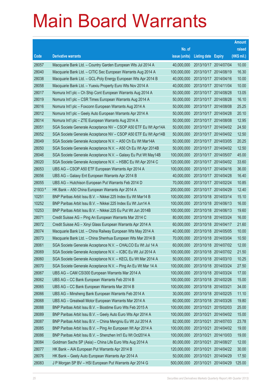|         |                                                                |               |                            |                       | <b>Amount</b> |
|---------|----------------------------------------------------------------|---------------|----------------------------|-----------------------|---------------|
|         |                                                                | No. of        |                            |                       | raised        |
| Code    | <b>Derivative warrants</b>                                     | issue (units) | <b>Listing date Expiry</b> |                       | (HK\$ mil.)   |
| 28057   | Macquarie Bank Ltd. - Country Garden European Wts Jul 2014 A   | 40,000,000    | 2013/10/17 2014/07/04      |                       | 10.00         |
| 28040   | Macquarie Bank Ltd. - CITIC Sec European Warrants Aug 2014 A   | 100,000,000   | 2013/10/17 2014/08/19      |                       | 16.30         |
| 28038   | Macquarie Bank Ltd. - GCL-Poly Energy European Wts Apr 2014 B  | 40,000,000    | 2013/10/17 2014/04/16      |                       | 10.00         |
| 28058   | Macquarie Bank Ltd. - Yuexiu Property Euro Wts Nov 2014 A      | 40,000,000    | 2013/10/17 2014/11/04      |                       | 10.00         |
| 28017   | Nomura Int'l plc - Ch Ship Cont European Warrants Aug 2014 A   | 50,000,000    |                            | 2013/10/17 2014/08/28 | 13.05         |
| 28019   | Nomura Int'l plc - CSR Times European Warrants Aug 2014 A      | 50,000,000    |                            | 2013/10/17 2014/08/28 | 16.10         |
| 28016   | Nomura Int'l plc - Foxconn European Warrants Aug 2014 A        | 50,000,000    | 2013/10/17 2014/08/08      |                       | 25.25         |
| 28012   | Nomura Int'l plc - Geely Auto European Warrants Apr 2014 A     | 50,000,000    |                            | 2013/10/17 2014/04/28 | 20.10         |
| 28014   | Nomura Int'l plc - ZTE European Warrants Aug 2014 A            | 50,000,000    |                            | 2013/10/17 2014/08/08 | 12.95         |
| 28051   | SGA Societe Generale Acceptance NV - CSOP A50 ETF Eu Wt Apr14A | 50,000,000    |                            | 2013/10/17 2014/04/02 | 24.50         |
| 28052   | SGA Societe Generale Acceptance NV - CSOP A50 ETF Eu Wt Apr14B | 50,000,000    |                            | 2013/10/17 2014/04/02 | 12.50         |
| 28049   | SGA Societe Generale Acceptance N.V. - A50 Ch Eu Wt Mar14A     | 50,000,000    |                            | 2013/10/17 2014/03/05 | 20.25         |
| 28050   | SGA Societe Generale Acceptance N.V. - A50 Ch Eu Wt Apr 2014B  | 50,000,000    |                            | 2013/10/17 2014/04/02 | 12.50         |
| 28046   | SGA Societe Generale Acceptance N.V. - Galaxy Eu Put Wt May14B | 100,000,000   |                            | 2013/10/17 2014/05/07 | 45.00         |
| 28020   | SGA Societe Generale Acceptance N.V. - HSBC Eu Wt Apr 2014 C   | 120,000,000   |                            | 2013/10/17 2014/04/02 | 33.60         |
| 28053   | UBS AG - CSOP A50 ETF European Warrants Apr 2014 A             | 100,000,000   |                            | 2013/10/17 2014/04/16 | 36.00         |
| 28056   | UBS AG - Galaxy Ent European Warrants Apr 2014 B               | 40,000,000    |                            | 2013/10/17 2014/04/28 | 16.40         |
| 28055   | UBS AG - Hutchison European Put Warrants Feb 2014 D            | 70,000,000    |                            | 2013/10/17 2014/02/24 | 10.85         |
| 21933 # | HK Bank - A50 China European Warrants Apr 2014 A               | 200,000,000   | 2013/10/17 2014/04/29      |                       | 12.40         |
| 10251   | BNP Paribas Arbit Issu B.V. - Nikkei 225 Index Eu Wt Mar14 B   | 100,000,000   |                            | 2013/10/18 2014/03/14 | 15.10         |
| 10252   | BNP Paribas Arbit Issu B.V. - Nikkei 225 Index Eu Wt Jun14 A   | 100,000,000   |                            | 2013/10/18 2014/06/13 | 16.00         |
| 10253   | BNP Paribas Arbit Issu B.V. - Nikkei 225 Eu Put Wt Jun 2014B   | 100,000,000   |                            | 2013/10/18 2014/06/13 | 19.60         |
| 28071   | Credit Suisse AG - Ping An European Warrants Mar 2014 C        | 80,000,000    | 2013/10/18 2014/03/24      |                       | 16.00         |
| 28072   | Credit Suisse AG - Xinyi Glass European Warrants Apr 2014 A    | 60,000,000    | 2013/10/18 2014/04/17      |                       | 21.60         |
| 28074   | Macquarie Bank Ltd. - China Railway European Wts May 2014 A    | 40,000,000    |                            | 2013/10/18 2014/05/05 | 10.00         |
| 28073   | Macquarie Bank Ltd. - China Shenhua European Wts Mar 2014 B    | 70,000,000    | 2013/10/18 2014/03/04      |                       | 10.50         |
| 28061   | SGA Societe Generale Acceptance N.V. - CHALCO Eu Wt Jul 14 A   | 60,000,000    |                            | 2013/10/18 2014/07/02 | 12.00         |
| 28069   | SGA Societe Generale Acceptance N.V. - ICBC Eu Wt Jul 2014 A   | 100,000,000   | 2013/10/18 2014/07/02      |                       | 21.50         |
| 28060   | SGA Societe Generale Acceptance N.V. - KECL Eu Wt Mar 2014 A   | 50,000,000    | 2013/10/18 2014/03/10      |                       | 10.25         |
| 28070   | SGA Societe Generale Acceptance N.V. - Ping An Eu Wt Mar 14 A  | 100,000,000   | 2013/10/18 2014/03/24      |                       | 27.50         |
| 28067   | UBS AG - CAM CSI300 European Warrants Mar 2014 A               | 100,000,000   | 2013/10/18 2014/03/24      |                       | 17.00         |
| 28062   | UBS AG - CC Bank European Warrants Feb 2014 B                  | 100,000,000   | 2013/10/18 2014/02/26      |                       | 15.00         |
| 28065   | UBS AG - CC Bank European Warrants Mar 2014 B                  | 100,000,000   | 2013/10/18 2014/03/21      |                       | 34.00         |
| 28066   | UBS AG - Minsheng Bank European Warrants Feb 2014 A            | 30,000,000    | 2013/10/18 2014/02/25      |                       | 11.10         |
| 28068   | UBS AG - Greatwall Motor European Warrants Mar 2014 A          | 60,000,000    | 2013/10/18 2014/03/26      |                       | 19.80         |
| 28088   | BNP Paribas Arbit Issu B.V. - Biostime Euro Wts Feb 2015 A     | 100,000,000   | 2013/10/21                 | 2015/02/03            | 25.00         |
| 28089   | BNP Paribas Arbit Issu B.V. - Geely Auto Euro Wts Apr 2014 A   | 100,000,000   | 2013/10/21                 | 2014/04/02            | 15.00         |
| 28087   | BNP Paribas Arbit Issu B.V. - China Mengniu Eu Wt Jul 2014 A   | 82,000,000    | 2013/10/21                 | 2014/07/03            | 23.78         |
| 28085   | BNP Paribas Arbit Issu B.V. - Ping An European Wt Apr 2014 A   | 100,000,000   | 2013/10/21                 | 2014/04/02            | 19.00         |
| 28086   | BNP Paribas Arbit Issu B.V. - Shenzhen Int'l Eu Wt Oct2014 A   | 100,000,000   | 2013/10/21                 | 2014/10/03            | 19.00         |
| 28084   | Goldman Sachs SP (Asia) - China Life Euro Wts Aug 2014 A       | 80,000,000    | 2013/10/21                 | 2014/08/27            | 12.00         |
| 28077   | HK Bank - AIA European Put Warrants Apr 2014 B                 | 120,000,000   | 2013/10/21                 | 2014/04/22            | 30.00         |
| 28076   | HK Bank - Geely Auto European Warrants Apr 2014 A              | 50,000,000    | 2013/10/21                 | 2014/04/29            | 17.50         |
| 28083   | J P Morgan SP BV - HSI European Put Warrants Apr 2014 G        | 500,000,000   | 2013/10/21                 | 2014/04/29            | 125.00        |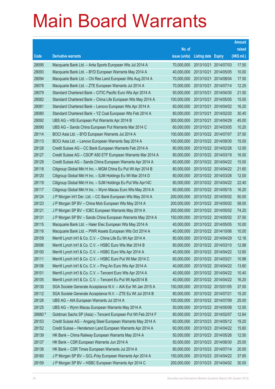|         |                                                              |               |                            |                       | <b>Amount</b> |
|---------|--------------------------------------------------------------|---------------|----------------------------|-----------------------|---------------|
|         |                                                              | No. of        |                            |                       | raised        |
| Code    | <b>Derivative warrants</b>                                   | issue (units) | <b>Listing date Expiry</b> |                       | (HK\$ mil.)   |
| 28095   | Macquarie Bank Ltd. - Anta Sports European Wts Jul 2014 A    | 70,000,000    | 2013/10/21                 | 2014/07/03            | 17.50         |
| 28093   | Macquarie Bank Ltd. - BYD European Warrants May 2014 A       | 40,000,000    | 2013/10/21                 | 2014/05/05            | 10.00         |
| 28094   | Macquarie Bank Ltd. - Chi Res Land European Wts Aug 2014 A   | 70,000,000    | 2013/10/21                 | 2014/08/04            | 17.50         |
| 28078   | Macquarie Bank Ltd. - ZTE European Warrants Jul 2014 A       | 70,000,000    | 2013/10/21                 | 2014/07/14            | 12.25         |
| 28079   | Standard Chartered Bank - CITIC Pacific Euro Wts Apr 2014 A  | 50,000,000    | 2013/10/21                 | 2014/04/30            | 21.50         |
| 28082   | Standard Chartered Bank – China Life European Wts May 2014 A | 100,000,000   | 2013/10/21                 | 2014/05/05            | 15.00         |
| 28081   | Standard Chartered Bank - Lenovo European Wts Apr 2014 A     | 60,000,000    | 2013/10/21                 | 2014/04/02            | 16.20         |
| 28080   | Standard Chartered Bank - YZ Coal European Wts Feb 2014 A    | 80,000,000    |                            | 2013/10/21 2014/02/20 | 30.40         |
| 28092   | UBS AG - HSI European Put Warrants Apr 2014 B                | 300,000,000   | 2013/10/21                 | 2014/04/29            | 45.00         |
| 28090   | UBS AG – Sands China European Put Warrants Mar 2014 C        | 60,000,000    |                            | 2013/10/21 2014/03/05 | 10.20         |
| 28114   | BOCI Asia Ltd. - BYD European Warrants Jul 2014 A            | 100,000,000   |                            | 2013/10/22 2014/07/07 | 37.50         |
| 28113   | BOCI Asia Ltd. - Lenovo European Warrants Sep 2014 A         | 100,000,000   |                            | 2013/10/22 2014/09/30 | 15.00         |
| 28128   | Credit Suisse AG - CC Bank European Warrants Feb 2014 A      | 80,000,000    |                            | 2013/10/22 2014/02/26 | 12.00         |
| 28127   | Credit Suisse AG - CSOP A50 ETF European Warrants Mar 2014 A | 80,000,000    |                            | 2013/10/22 2014/03/19 | 16.00         |
| 28129   | Credit Suisse AG - Sands China European Warrants Apr 2014 A  | 60,000,000    |                            | 2013/10/22 2014/04/22 | 15.00         |
| 28118   | Citigroup Global Mkt H Inc. - MGM China Eu Put Wt Apr 2014 B | 80,000,000    |                            | 2013/10/22 2014/04/22 | 21.60         |
| 28120   | Citigroup Global Mkt H Inc. - SJM Holdings Eu Wt Mar 2014 D  | 80,000,000    |                            | 2013/10/22 2014/03/26 | 12.00         |
| 28119   | Citigroup Global Mkt H Inc. - SJM Holdings Eu Put Wts Apr14C | 80,000,000    |                            | 2013/10/22 2014/04/22 | 22.40         |
| 28117   | Citigroup Global Mkt H Inc. - Wynn Macau Euro Wts May 2014 A | 60,000,000    |                            | 2013/10/22 2014/05/15 | 16.20         |
| 28124   | J P Morgan Int'l Der. Ltd. - CC Bank European Wts May 2014 A | 200,000,000   |                            | 2013/10/22 2014/05/02 | 50.00         |
| 28123   | J P Morgan SP BV - China Mob European Wts May 2014 A         | 200,000,000   |                            | 2013/10/22 2014/05/02 | 58.00         |
| 28121   | J P Morgan SP BV - ICBC European Warrants May 2014 A         | 200,000,000   |                            | 2013/10/22 2014/05/02 | 74.20         |
| 28131   | J P Morgan SP BV - Sands China European Warrants May 2014 A  | 150,000,000   |                            | 2013/10/22 2014/05/02 | 37.50         |
| 28115   | Macquarie Bank Ltd. - Haier Elec European Wts May 2014 A     | 40,000,000    |                            | 2013/10/22 2014/05/05 | 10.00         |
| 28116   | Macquarie Bank Ltd. - PWR Assets European Wts Oct 2014 A     | 40,000,000    |                            | 2013/10/22 2014/10/06 | 10.00         |
| 28109   | Merrill Lynch Int'l & Co. C.V. - China Life Eu Wt Apr 2014 A | 80,000,000    |                            | 2013/10/22 2014/04/29 | 12.16         |
| 28098   | Merrill Lynch Int'l & Co. C.V. - HSBC Euro Wts Mar 2014 B    | 80,000,000    |                            | 2013/10/22 2014/03/10 | 12.88         |
| 28100   | Merrill Lynch Int'l & Co. C.V. - HSBC Euro Wts Apr 2014 A    | 40,000,000    |                            | 2013/10/22 2014/04/22 | 12.60         |
| 28111   | Merrill Lynch Int'l & Co. C.V. - HSBC Euro Put Wt Mar 2014 C | 60,000,000    | 2013/10/22 2014/03/21      |                       | 10.98         |
| 28106   | Merrill Lynch Int'l & Co. C.V. - Ping An Euro Wts Apr 2014 A | 40,000,000    |                            | 2013/10/22 2014/04/22 | 13.60         |
| 28101   | Merrill Lynch Int'l & Co. C.V. - Tencent Euro Wts Apr 2014 A | 40,000,000    |                            | 2013/10/22 2014/04/22 | 10.40         |
| 28105   | Merrill Lynch Int'l & Co. C.V. - Tencent Eu Put Wt Apr2014 B | 40,000,000    |                            | 2013/10/22 2014/04/22 | 16.20         |
| 28130   | SGA Societe Generale Acceptance N.V. - AIA Eur Wt Jan 2015 A | 150,000,000   |                            | 2013/10/22 2015/01/05 | 37.50         |
| 28112   | SGA Societe Generale Acceptance N.V. - ZTE Eu Wt Jul 2014 B  | 80,000,000    | 2013/10/22 2014/07/21      |                       | 15.20         |
| 28126   | UBS AG - AIA European Warrants Jul 2014 A                    | 100,000,000   |                            | 2013/10/22 2014/07/09 | 25.00         |
| 28125   | UBS AG - Wynn Macau European Warrants May 2014 A             | 50,000,000    |                            | 2013/10/22 2014/05/08 | 12.50         |
| 26680 # | Goldman Sachs SP (Asia) - Tencent European Put Wt Feb 2014 F | 80,000,000    |                            | 2013/10/22 2014/02/07 | 12.64         |
| 28153   | Credit Suisse AG - Angang Steel European Warrants May 2014 A | 60,000,000    |                            | 2013/10/23 2014/05/12 | 19.20         |
| 28152   | Credit Suisse - Henderson Land European Warrants Apr 2014 A  | 60,000,000    |                            | 2013/10/23 2014/04/22 | 15.60         |
| 28139   | HK Bank - China Railway European Warrants May 2014 A         | 50,000,000    | 2013/10/23 2014/05/26      |                       | 12.50         |
| 28137   | HK Bank - CSR European Warrants Jun 2014 A                   | 50,000,000    |                            | 2013/10/23 2014/06/30 | 25.00         |
| 28136   | HK Bank - CSR Times European Warrants Jul 2014 A             | 80,000,000    |                            | 2013/10/23 2014/07/14 | 20.00         |
| 28160   | J P Morgan SP BV - GCL-Poly European Warrants Apr 2014 A     | 150,000,000   |                            | 2013/10/23 2014/04/22 | 37.65         |
| 28159   | J P Morgan SP BV - HSBC European Warrants Apr 2014 C         | 200,000,000   |                            | 2013/10/23 2014/04/02 | 30.00         |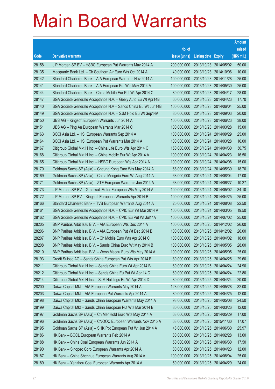|       |                                                                |               |                            |                       | <b>Amount</b> |
|-------|----------------------------------------------------------------|---------------|----------------------------|-----------------------|---------------|
|       |                                                                | No. of        |                            |                       | raised        |
| Code  | <b>Derivative warrants</b>                                     | issue (units) | <b>Listing date Expiry</b> |                       | (HK\$ mil.)   |
| 28158 | J P Morgan SP BV - HSBC European Put Warrants May 2014 A       | 200,000,000   |                            | 2013/10/23 2014/05/02 | 50.00         |
| 28135 | Macquarie Bank Ltd. - Ch Southern Air Euro Wts Oct 2014 A      | 40,000,000    |                            | 2013/10/23 2014/10/06 | 10.00         |
| 28142 | Standard Chartered Bank - AIA European Warrants Nov 2014 A     | 100,000,000   | 2013/10/23 2014/11/28      |                       | 25.00         |
| 28141 | Standard Chartered Bank - AIA European Put Wts May 2014 A      | 100,000,000   |                            | 2013/10/23 2014/05/30 | 25.00         |
| 28144 | Standard Chartered Bank - China Mobile Eur Put Wt Apr 2014 C   | 80,000,000    | 2013/10/23 2014/04/17      |                       | 28.00         |
| 28147 | SGA Societe Generale Acceptance N.V. - Geely Auto Eu Wt Apr14B | 60,000,000    |                            | 2013/10/23 2014/04/23 | 17.70         |
| 28140 | SGA Societe Generale Acceptance N.V - Sands China Eu Wt Jun14B | 100,000,000   | 2013/10/23 2014/06/04      |                       | 25.00         |
| 28149 | SGA Societe Generale Acceptance N.V. - SJM Hold Eu Wt Sep14A   | 80,000,000    |                            | 2013/10/23 2014/09/03 | 20.00         |
| 28150 | UBS AG - Kingsoft European Warrants Jun 2014 A                 | 100,000,000   |                            | 2013/10/23 2014/06/23 | 38.00         |
| 28151 | UBS AG - Ping An European Warrants Mar 2014 C                  | 100,000,000   |                            | 2013/10/23 2014/03/28 | 15.00         |
| 28163 | BOCI Asia Ltd. - HSI European Warrants Sep 2014 A              | 100,000,000   |                            | 2013/10/24 2014/09/29 | 25.00         |
| 28164 | BOCI Asia Ltd. - HSI European Put Warrants Mar 2014 A          | 100,000,000   |                            | 2013/10/24 2014/03/28 | 16.00         |
| 28167 | Citigroup Global Mkt H Inc. - China Life Euro Wts Apr 2014 C   | 150,000,000   |                            | 2013/10/24 2014/04/30 | 30.75         |
| 28168 | Citigroup Global Mkt H Inc. - China Mobile Eur Wt Apr 2014 A   | 100,000,000   |                            | 2013/10/24 2014/04/23 | 16.50         |
| 28165 | Citigroup Global Mkt H Inc. - HSBC European Wts Apr 2014 A     | 100,000,000   | 2013/10/24 2014/04/08      |                       | 15.00         |
| 28170 | Goldman Sachs SP (Asia) - Cheung Kong Euro Wts May 2014 A      | 68,000,000    |                            | 2013/10/24 2014/05/30 | 18.70         |
| 28169 | Goldman Sachs SP (Asia) - China Mengniu Euro Wt Aug 2014 A     | 68,000,000    |                            | 2013/10/24 2014/08/04 | 17.00         |
| 28171 | Goldman Sachs SP (Asia) - ZTE European Warrants Jun 2014 A     | 68,000,000    |                            | 2013/10/24 2014/06/27 | 10.27         |
| 28173 | J P Morgan SP BV - Greatwall Motor European Wts May 2014 A     | 100,000,000   |                            | 2013/10/24 2014/05/02 | 34.10         |
| 28172 | J P Morgan SP BV - Kingsoft European Warrants Apr 2014 B       | 100,000,000   |                            | 2013/10/24 2014/04/25 | 25.00         |
| 28166 | Standard Chartered Bank - TVB European Warrants Aug 2014 A     | 25,000,000    |                            | 2013/10/24 2014/08/08 | 22.50         |
| 28161 | SGA Societe Generale Acceptance N.V. - CPIC Eur Wt Mar 2014 A  | 100,000,000   |                            | 2013/10/24 2014/03/05 | 19.50         |
| 28162 | SGA Societe Generale Acceptance N.V. - CPIC Eu Put Wt Jul14A   | 100,000,000   |                            | 2013/10/24 2014/07/02 | 25.00         |
| 28205 | BNP Paribas Arbit Issu B.V. - AIA European Wts Dec 2014 A      | 100,000,000   |                            | 2013/10/25 2014/12/02 | 26.00         |
| 28206 | BNP Paribas Arbit Issu B.V. - AIA European Put Wt Dec 2014 B   | 100,000,000   |                            | 2013/10/25 2014/12/02 | 26.00         |
| 28207 | BNP Paribas Arbit Issu B.V. - Ch Mobile Euro Wts Apr 2014 C    | 100,000,000   |                            | 2013/10/25 2014/04/02 | 18.00         |
| 28208 | BNP Paribas Arbit Issu B.V. – Sands China Euro Wt May 2014 B   | 100,000,000   |                            | 2013/10/25 2014/05/05 | 28.00         |
| 28210 | BNP Paribas Arbit Issu B.V. - Wynn Macau Euro Wts May 2014 A   | 100,000,000   | 2013/10/25 2014/05/05      |                       | 25.00         |
| 28193 | Credit Suisse AG - Sands China European Put Wts Apr 2014 B     | 80,000,000    | 2013/10/25 2014/04/25      |                       | 29.60         |
| 28211 | Citigroup Global Mkt H Inc. - Sands China Euro Wt Apr 2014 B   | 60,000,000    | 2013/10/25 2014/04/24      |                       | 24.90         |
| 28212 | Citigroup Global Mkt H Inc. - Sands China Eu Put Wt Apr 14 C   | 60,000,000    | 2013/10/25 2014/04/24      |                       | 22.80         |
| 28214 | Citigroup Global Mkt H Inc. - SJM Holdings Eu Wt Apr 2014 D    | 80,000,000    | 2013/10/25 2014/04/24      |                       | 20.00         |
| 28200 | Daiwa Capital Mkt - AIA European Warrants May 2014 A           | 128,000,000   | 2013/10/25 2014/05/28      |                       | 32.00         |
| 28203 | Daiwa Capital Mkt - AIA European Put Warrants Apr 2014 A       | 80,000,000    |                            | 2013/10/25 2014/04/25 | 12.00         |
| 28198 | Daiwa Capital Mkt - Sands China European Warrants May 2014 A   | 98,000,000    | 2013/10/25 2014/05/08      |                       | 24.50         |
| 28199 | Daiwa Capital Mkt - Sands China European Put Wts Mar 2014 B    | 80,000,000    | 2013/10/25 2014/03/26      |                       | 12.00         |
| 28197 | Goldman Sachs SP (Asia) - Ch Mer Hold Euro Wts May 2014 A      | 68,000,000    | 2013/10/25 2014/05/29      |                       | 17.00         |
| 28196 | Goldman Sachs SP (Asia) - CNOOC European Warrants Nov 2015 A   | 68,000,000    |                            | 2013/10/25 2015/11/30 | 17.07         |
| 28195 | Goldman Sachs SP (Asia) - SHK Ppt European Put Wt Jun 2014 A   | 48,000,000    | 2013/10/25 2014/06/30      |                       | 25.97         |
| 28186 | HK Bank - BOCL European Warrants Feb 2014 A                    | 80,000,000    | 2013/10/25 2014/02/28      |                       | 13.60         |
| 28188 | HK Bank - China Coal European Warrants Jun 2014 A              | 50,000,000    | 2013/10/25 2014/06/30      |                       | 17.50         |
| 28190 | HK Bank - Sinopec Corp European Warrants Apr 2014 A            | 80,000,000    | 2013/10/25 2014/04/23      |                       | 12.00         |
| 28187 | HK Bank - China Shenhua European Warrants Aug 2014 A           | 100,000,000   | 2013/10/25 2014/08/04      |                       | 25.00         |
| 28189 | HK Bank - Yanzhou Coal European Warrants Apr 2014 A            | 50,000,000    | 2013/10/25 2014/04/29      |                       | 24.00         |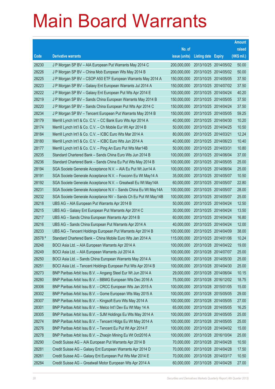|         |                                                                |               |                            |            | <b>Amount</b> |
|---------|----------------------------------------------------------------|---------------|----------------------------|------------|---------------|
|         |                                                                | No. of        |                            |            | raised        |
| Code    | <b>Derivative warrants</b>                                     | issue (units) | <b>Listing date Expiry</b> |            | (HK\$ mil.)   |
| 28230   | J P Morgan SP BV - AIA European Put Warrants May 2014 C        | 200,000,000   | 2013/10/25 2014/05/02      |            | 50.00         |
| 28226   | J P Morgan SP BV - China Mob European Wts May 2014 B           | 200,000,000   | 2013/10/25 2014/05/02      |            | 50.00         |
| 28225   | J P Morgan SP BV - CSOP A50 ETF European Warrants May 2014 A   | 150,000,000   | 2013/10/25 2014/05/05      |            | 37.50         |
| 28223   | J P Morgan SP BV - Galaxy Ent European Warrants Jul 2014 A     | 150,000,000   | 2013/10/25 2014/07/02      |            | 37.50         |
| 28222   | J P Morgan SP BV - Galaxy Ent European Put Wts Apr 2014 E      | 100,000,000   | 2013/10/25 2014/04/24      |            | 40.20         |
| 28219   | J P Morgan SP BV - Sands China European Warrants May 2014 B    | 150,000,000   | 2013/10/25 2014/05/05      |            | 37.50         |
| 28220   | J P Morgan SP BV - Sands China European Put Wts Apr 2014 C     | 150,000,000   | 2013/10/25 2014/04/24      |            | 37.50         |
| 28234   | J P Morgan SP BV - Tencent European Put Warrants May 2014 B    | 150,000,000   | 2013/10/25 2014/05/05      |            | 59.25         |
| 28179   | Merrill Lynch Int'l & Co. C.V. - CC Bank Euro Wts Apr 2014 A   | 40,000,000    | 2013/10/25 2014/04/30      |            | 10.20         |
| 28174   | Merrill Lynch Int'l & Co. C.V. - Ch Mobile Eur Wt Apr 2014 B   | 50,000,000    | 2013/10/25 2014/04/25      |            | 10.50         |
| 28184   | Merrill Lynch Int'l & Co. C.V. - ICBC Euro Wts Mar 2014 A      | 80,000,000    | 2013/10/25 2014/03/21      |            | 12.24         |
| 28180   | Merrill Lynch Int'l & Co. C.V. - ICBC Euro Wts Jun 2014 A      | 40,000,000    | 2013/10/25 2014/06/23      |            | 10.40         |
| 28177   | Merrill Lynch Int'l & Co. C.V. - Ping An Euro Put Wts Mar14B   | 50,000,000    | 2013/10/25 2014/03/31      |            | 10.80         |
| 28235   | Standard Chartered Bank - Sands China Euro Wts Jun 2014 B      | 100,000,000   | 2013/10/25 2014/06/04      |            | 37.00         |
| 28236   | Standard Chartered Bank - Sands China Eu Put Wts May 2014 B    | 100,000,000   | 2013/10/25 2014/05/05      |            | 25.00         |
| 28194   | SGA Societe Generale Acceptance N.V. - AIA Eu Put Wt Jun14 A   | 100,000,000   | 2013/10/25 2014/06/04      |            | 25.00         |
| 28191   | SGA Societe Generale Acceptance N.V. - Foxconn Eu Wt May14 A   | 35,000,000    | 2013/10/25 2014/05/07      |            | 10.50         |
| 28192   | SGA Societe Generale Acceptance N.V. - Greatwall Eu Wt May14A  | 60,000,000    | 2013/10/25 2014/05/07      |            | 22.80         |
| 28231   | SGA Societe Generale Acceptance N.V - Sands China Eu Wt May14A | 100,000,000   | 2013/10/25 2014/05/07      |            | 28.00         |
| 28232   | SGA Societe Generale Acceptance NV - Sands Ch Eu Put Wt May14B | 100,000,000   | 2013/10/25 2014/05/07      |            | 25.00         |
| 28218   | UBS AG - AIA European Put Warrants Apr 2014 B                  | 50,000,000    | 2013/10/25 2014/04/24      |            | 12.50         |
| 28215   | UBS AG - Galaxy Ent European Put Warrants Apr 2014 C           | 30,000,000    | 2013/10/25 2014/04/24      |            | 13.50         |
| 28217   | UBS AG - Sands China European Warrants Apr 2014 B              | 60,000,000    | 2013/10/25 2014/04/24      |            | 16.80         |
| 28216   | UBS AG - Sands China European Put Warrants Apr 2014 A          | 40,000,000    | 2013/10/25 2014/04/24      |            | 12.00         |
| 28233   | UBS AG – Tencent Holdings European Put Warrants Apr 2014 B     | 100,000,000   | 2013/10/25 2014/04/09      |            | 38.00         |
| 26578 # | Standard Chartered Bank – China Mobile Euro Wts Jan 2014 A     | 115,000,000   | 2013/10/25 2014/01/06      |            | 10.24         |
| 28248   | BOCI Asia Ltd. – AIA European Warrants Apr 2014 A              | 100,000,000   | 2013/10/28 2014/04/22      |            | 19.00         |
| 28249   | BOCI Asia Ltd. - AIA European Warrants Jul 2014 A              | 100,000,000   | 2013/10/28 2014/07/07      |            | 25.00         |
| 28250   | BOCI Asia Ltd. - Sands China European Warrants May 2014 A      | 100,000,000   | 2013/10/28 2014/05/30      |            | 25.00         |
| 28251   | BOCI Asia Ltd. - Tencent Holdings European Put Wts Apr 2014 B  | 100,000,000   | 2013/10/28 2014/04/30      |            | 25.00         |
| 28273   | BNP Paribas Arbit Issu B.V. - Angang Steel Eur Wt Jun 2014 A   | 29,000,000    | 2013/10/28 2014/06/04      |            | 10.15         |
| 28280   | BNP Paribas Arbit Issu B.V. - BBMG European Wts Dec 2016 A     | 75,000,000    | 2013/10/28 2016/12/02      |            | 18.75         |
| 28306   | BNP Paribas Arbit Issu B.V. - CRCC European Wts Jan 2015 A     | 100,000,000   | 2013/10/28 2015/01/05      |            | 15.00         |
| 28302   | BNP Paribas Arbit Issu B.V. - Gome European Wts May 2015 A     | 100,000,000   | 2013/10/28 2015/05/05      |            | 29.00         |
| 28307   | BNP Paribas Arbit Issu B.V. - Kingsoft Euro Wts May 2014 A     | 100,000,000   | 2013/10/28 2014/05/05      |            | 27.00         |
| 28301   | BNP Paribas Arbit Issu B.V. - Melco Int'l Dev Eu Wt May 14 A   | 65,000,000    | 2013/10/28 2014/05/05      |            | 16.25         |
| 28305   | BNP Paribas Arbit Issu B.V. - SJM Holdings Eu Wts May 2014 A   | 100,000,000   | 2013/10/28 2014/05/05      |            | 25.00         |
| 28274   | BNP Paribas Arbit Issu B.V. - Tencent HIdgs Eu Wt May 2014 A   | 100,000,000   | 2013/10/28 2014/05/05      |            | 25.00         |
| 28276   | BNP Paribas Arbit Issu B.V. - Tencent Eu Put Wt Apr 2014 F     | 100,000,000   | 2013/10/28 2014/04/02      |            | 15.00         |
| 28278   | BNP Paribas Arbit Issu B.V. - Zhaojin Mining Eu Wt Oct2016 A   | 100,000,000   | 2013/10/28 2016/10/04      |            | 25.00         |
| 28290   | Credit Suisse AG - AIA European Put Warrants Apr 2014 B        | 70,000,000    | 2013/10/28                 | 2014/04/28 | 10.50         |
| 28281   | Credit Suisse AG - Galaxy Ent European Warrants Apr 2014 D     | 70,000,000    | 2013/10/28 2014/04/28      |            | 17.50         |
| 28261   | Credit Suisse AG - Galaxy Ent European Put Wts Mar 2014 E      | 70,000,000    | 2013/10/28                 | 2014/03/17 | 10.50         |
| 28284   | Credit Suisse AG - Greatwall Motor European Wts Apr 2014 A     | 60,000,000    | 2013/10/28 2014/04/28      |            | 27.00         |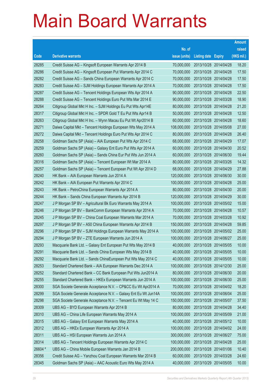|         |                                                                |               |                            | <b>Amount</b> |
|---------|----------------------------------------------------------------|---------------|----------------------------|---------------|
|         |                                                                | No. of        |                            | raised        |
| Code    | <b>Derivative warrants</b>                                     | issue (units) | <b>Listing date Expiry</b> | (HK\$ mil.)   |
| 28285   | Credit Suisse AG - Kingsoft European Warrants Apr 2014 B       | 70,000,000    | 2013/10/28 2014/04/28      | 18.20         |
| 28286   | Credit Suisse AG - Kingsoft European Put Warrants Apr 2014 C   | 70,000,000    | 2013/10/28 2014/04/28      | 17.50         |
| 28282   | Credit Suisse AG - Sands China European Warrants Apr 2014 C    | 70,000,000    | 2013/10/28 2014/04/28      | 17.50         |
| 28283   | Credit Suisse AG - SJM Holdings European Warrants Apr 2014 A   | 70,000,000    | 2013/10/28 2014/04/28      | 17.50         |
| 28287   | Credit Suisse AG - Tencent Holdings European Wts Apr 2014 A    | 90,000,000    | 2013/10/28 2014/04/28      | 22.50         |
| 28288   | Credit Suisse AG - Tencent Holdings Euro Put Wts Mar 2014 E    | 90,000,000    | 2013/10/28 2014/03/28      | 18.90         |
| 28264   | Citigroup Global Mkt H Inc. - SJM Holdings Eu Put Wts Apr14E   | 80,000,000    | 2013/10/28 2014/04/28      | 21.20         |
| 28317   | Citigroup Global Mkt H Inc. - SPDR Gold T Eu Put Wts Apr14 B   | 50,000,000    | 2013/10/28 2014/04/28      | 12.50         |
| 28263   | Citigroup Global Mkt H Inc. - Wynn Macau Eu Put Wt Apr2014 B   | 60,000,000    | 2013/10/28 2014/04/28      | 18.60         |
| 28271   | Daiwa Capital Mkt - Tencent Holdings European Wts May 2014 A   | 108,000,000   | 2013/10/28 2014/05/08      | 27.00         |
| 28272   | Daiwa Capital Mkt - Tencent Holdings Euro Put Wts Apr 2014 C   | 80,000,000    | 2013/10/28 2014/04/28      | 26.40         |
| 28258   | Goldman Sachs SP (Asia) - AIA European Put Wts Apr 2014 C      | 68,000,000    | 2013/10/28 2014/04/29      | 17.07         |
| 28259   | Goldman Sachs SP (Asia) - Galaxy Ent Euro Put Wts Apr 2014 A   | 60,000,000    | 2013/10/28 2014/04/30      | 20.52         |
| 28260   | Goldman Sachs SP (Asia) - Sands China Eur Put Wts Jun 2014 A   | 60,000,000    | 2013/10/28 2014/06/30      | 19.44         |
| 28316   | Goldman Sachs SP (Asia) - Tencent European Wt Mar 2014 A       | 80,000,000    | 2013/10/28 2014/03/26      | 14.32         |
| 28257   | Goldman Sachs SP (Asia) – Tencent European Put Wt Apr 2014 D   | 68,000,000    | 2013/10/28 2014/04/29      | 27.88         |
| 28240   | HK Bank - AIA European Warrants Jun 2014 A                     | 120,000,000   | 2013/10/28 2014/06/30      | 30.00         |
| 28242   | HK Bank - AIA European Put Warrants Apr 2014 C                 | 100,000,000   | 2013/10/28 2014/04/28      | 25.00         |
| 28243   | HK Bank - PetroChina European Warrants Apr 2014 A              | 80,000,000    | 2013/10/28 2014/04/30      | 20.00         |
| 28244   | HK Bank - Sands China European Warrants Apr 2014 B             | 120,000,000   | 2013/10/28 2014/04/29      | 30.00         |
| 28247   | J P Morgan SP BV - Agricultural Bk Euro Warrants May 2014 A    | 100,000,000   | 2013/10/28 2014/05/02      | 15.00         |
| 28246   | J P Morgan SP BV - BankComm European Warrants Apr 2014 A       | 70,000,000    | 2013/10/28 2014/04/28      | 10.57         |
| 28245   | J P Morgan SP BV - China Coal European Warrants Mar 2014 A     | 70,000,000    | 2013/10/28 2014/03/28      | 10.92         |
| 28297   | J P Morgan SP BV - A50 China European Warrants Apr 2014 B      | 150,000,000   | 2013/10/28 2014/04/28      | 59.85         |
| 28296   | J P Morgan SP BV - SJM Holdings European Warrants May 2014 A   | 100,000,000   | 2013/10/28 2014/05/02      | 25.00         |
| 28294   | J P Morgan SP BV - ZTE European Warrants Jun 2014 A            | 100,000,000   | 2013/10/28 2014/06/27      | 25.00         |
| 28293   | Macquarie Bank Ltd. - Galaxy Ent European Put Wts May 2014 B   | 40,000,000    | 2013/10/28 2014/05/05      | 10.00         |
| 28291   | Macquarie Bank Ltd. - Sands China European Wts May 2014 B      | 40,000,000    | 2013/10/28 2014/05/05      | 10.00         |
| 28292   | Macquarie Bank Ltd. - Sands ChinaEuropean Put Wts May 2014 C   | 40,000,000    | 2013/10/28 2014/05/05      | 10.00         |
| 28253   | Standard Chartered Bank - AIA European Warrants Dec 2014 A     | 100,000,000   | 2013/10/28 2014/12/30      | 25.00         |
| 28252   | Standard Chartered Bank - CC Bank European Put Wts Jun2014 A   | 80,000,000    | 2013/10/28 2014/06/30      | 20.00         |
| 28255   | Standard Chartered Bank - HKEx European Warrants Jun 2014 A    | 100,000,000   | 2013/10/28 2014/06/30      | 25.00         |
| 28300   | SGA Societe Generale Acceptance N.V. - CP&CC Eu Wt Apr2014 A   | 70,000,000    | 2013/10/28 2014/04/02      | 18.20         |
| 28299   | SGA Societe Generale Acceptance N.V. - Galaxy Ent Eu Wt Jun14A | 100,000,000   | 2013/10/28 2014/06/04      | 25.00         |
| 28298   | SGA Societe Generale Acceptance N.V. - Tencent Eu Wt May 14 C  | 150,000,000   | 2013/10/28 2014/05/07      | 37.50         |
| 28309   | UBS AG - BYD European Warrants Apr 2014 B                      | 80,000,000    | 2013/10/28 2014/04/28      | 34.40         |
| 28310   | UBS AG - China Life European Warrants May 2014 A               | 100,000,000   | 2013/10/28 2014/05/09      | 21.00         |
| 28315   | UBS AG - Galaxy Ent European Warrants May 2014 A               | 40,000,000    | 2013/10/28 2014/05/12      | 10.00         |
| 28312   | UBS AG - HKEx European Warrants Apr 2014 A                     | 100,000,000   | 2013/10/28 2014/04/02      | 24.00         |
| 28311   | UBS AG - HSI European Warrants Jun 2014 A                      | 300,000,000   | 2013/10/28 2014/06/27      | 75.00         |
| 28314   | UBS AG - Tencent Holdings European Warrants Apr 2014 C         | 100,000,000   | 2013/10/28 2014/04/28      | 25.00         |
| 26604 # | UBS AG - China Mobile European Warrants Jan 2014 B             | 200,000,000   | 2013/10/28 2014/01/06      | 10.40         |
| 28356   | Credit Suisse AG - Yanzhou Coal European Warrants Mar 2014 B   | 60,000,000    | 2013/10/29 2014/03/28      | 24.60         |
| 28345   | Goldman Sachs SP (Asia) - AAC Acoustic Euro Wts May 2014 A     | 40,000,000    | 2013/10/29 2014/05/05      | 10.00         |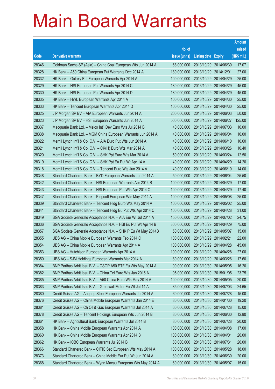|       |                                                               |               |                            |                       | <b>Amount</b> |
|-------|---------------------------------------------------------------|---------------|----------------------------|-----------------------|---------------|
|       |                                                               | No. of        |                            |                       | raised        |
| Code  | <b>Derivative warrants</b>                                    | issue (units) | <b>Listing date Expiry</b> |                       | (HK\$ mil.)   |
| 28346 | Goldman Sachs SP (Asia) – China Coal European Wts Jun 2014 A  | 68,000,000    |                            | 2013/10/29 2014/06/30 | 17.07         |
| 28328 | HK Bank - A50 China European Put Warrants Dec 2014 A          | 180,000,000   | 2013/10/29 2014/12/01      |                       | 27.00         |
| 28332 | HK Bank - Galaxy Ent European Warrants Apr 2014 A             | 100,000,000   | 2013/10/29                 | 2014/04/29            | 25.00         |
| 28329 | HK Bank – HSI European Put Warrants Apr 2014 C                | 180,000,000   | 2013/10/29 2014/04/29      |                       | 45.00         |
| 28330 | HK Bank - HSI European Put Warrants Apr 2014 D                | 180,000,000   |                            | 2013/10/29 2014/04/29 | 45.00         |
| 28335 | HK Bank - HWL European Warrants Apr 2014 A                    | 100,000,000   |                            | 2013/10/29 2014/04/30 | 25.00         |
| 28333 | HK Bank - Tencent European Warrants Apr 2014 D                | 100,000,000   | 2013/10/29                 | 2014/04/30            | 25.00         |
| 28325 | J P Morgan SP BV - AIA European Warrants Jun 2014 A           | 200,000,000   | 2013/10/29 2014/06/03      |                       | 50.00         |
| 28323 | J P Morgan SP BV - HSI European Warrants Jun 2014 A           | 500,000,000   |                            | 2013/10/29 2014/06/27 | 125.00        |
| 28337 | Macquarie Bank Ltd. - Melco Int'l Dev Euro Wts Jul 2014 B     | 40,000,000    | 2013/10/29 2014/07/03      |                       | 10.00         |
| 28338 | Macquarie Bank Ltd. - MGM China European Warrants Jun 2014 A  | 40,000,000    | 2013/10/29                 | 2014/06/04            | 10.00         |
| 28322 | Merrill Lynch Int'l & Co. C.V. - AIA Euro Put Wts Jun 2014 A  | 40,000,000    | 2013/10/29 2014/06/10      |                       | 10.60         |
| 28321 | Merrill Lynch Int'l & Co. C.V. – CK(H) Euro Wts Mar 2014 A    | 40,000,000    |                            | 2013/10/29 2014/03/26 | 10.40         |
| 28320 | Merrill Lynch Int'l & Co. C.V. - SHK Ppt Euro Wts Mar 2014 A  | 50,000,000    | 2013/10/29 2014/03/24      |                       | 12.50         |
| 28319 | Merrill Lynch Int'l & Co. C.V. - SHK Ppt Eu Put Wt Apr 14 A   | 40,000,000    | 2013/10/29                 | 2014/04/29            | 14.20         |
| 28318 | Merrill Lynch Int'l & Co. C.V. - Tencent Euro Wts Jun 2014 A  | 40,000,000    | 2013/10/29 2014/06/10      |                       | 14.00         |
| 28348 | Standard Chartered Bank - BYD European Warrants Jun 2014 A    | 50,000,000    |                            | 2013/10/29 2014/06/04 | 25.50         |
| 28342 | Standard Chartered Bank - HSI European Warrants Apr 2014 B    | 100,000,000   | 2013/10/29 2014/04/29      |                       | 17.00         |
| 28343 | Standard Chartered Bank - HSI European Put Wts Apr 2014 C     | 100,000,000   | 2013/10/29                 | 2014/04/29            | 17.40         |
| 28347 | Standard Chartered Bank – Kingsoft European Wts May 2014 A    | 100,000,000   | 2013/10/29 2014/05/08      |                       | 25.00         |
| 28339 | Standard Chartered Bank – Tencent Hidg Euro Wts May 2014 A    | 100,000,000   |                            | 2013/10/29 2014/05/02 | 25.00         |
| 28341 | Standard Chartered Bank – Tencent Hidg Eu Put Wts Apr 2014 C  | 100,000,000   | 2013/10/29 2014/04/28      |                       | 31.00         |
| 28349 | SGA Societe Generale Acceptance N.V. - AIA Eur Wt Jul 2014 A  | 150,000,000   | 2013/10/29                 | 2014/07/02            | 24.75         |
| 28336 | SGA Societe Generale Acceptance N.V. - HSI Eu Put Wt Apr 14 B | 300,000,000   | 2013/10/29 2014/04/29      |                       | 75.00         |
| 28357 | SGA Societe Generale Acceptance N.V. - SHK P Eu Wt May 2014B  | 50,000,000    |                            | 2013/10/29 2014/05/07 | 15.00         |
| 28355 | UBS AG - China Mobile European Warrants Feb 2014 C            | 100,000,000   | 2013/10/29 2014/02/21      |                       | 22.00         |
| 28354 | UBS AG - China Mobile European Warrants Apr 2014 A            | 100,000,000   | 2013/10/29 2014/04/28      |                       | 45.00         |
| 28353 | UBS AG - Hutchison European Warrants Apr 2014 A               | 100,000,000   | 2013/10/29 2014/04/28      |                       | 27.00         |
| 28350 | UBS AG - SJM Holdings European Warrants Mar 2014 A            | 80,000,000    | 2013/10/29 2014/03/26      |                       | 17.60         |
| 28384 | BNP Paribas Arbit Issu B.V. - CSOP A50 ETF Eu Wts May 2014 A  | 90,000,000    | 2013/10/30 2014/05/05      |                       | 16.20         |
| 28382 | BNP Paribas Arbit Issu B.V. - China Tel Euro Wts Jan 2015 A   | 95,000,000    | 2013/10/30 2015/01/05      |                       | 23.75         |
| 28385 | BNP Paribas Arbit Issu B.V. - A50 China Euro Wts May 2014 A   | 100,000,000   | 2013/10/30 2014/05/05      |                       | 20.00         |
| 28383 | BNP Paribas Arbit Issu B.V. - Greatwall Motor Eu Wt Jul 14 A  | 85,000,000    | 2013/10/30 2014/07/03      |                       | 24.65         |
| 28380 | Credit Suisse AG - Angang Steel European Warrants Jul 2014 A  | 60,000,000    | 2013/10/30 2014/07/28      |                       | 15.00         |
| 28376 | Credit Suisse AG - China Mobile European Warrants Jan 2014 E  | 80,000,000    | 2013/10/30 2014/01/30      |                       | 19.20         |
| 28381 | Credit Suisse AG - Ch Oil & Gas European Warrants Jul 2014 A  | 60,000,000    | 2013/10/30 2014/07/28      |                       | 15.00         |
| 28378 | Credit Suisse AG - Tencent Holdings European Wts Jun 2014 B   | 80,000,000    | 2013/10/30 2014/06/30      |                       | 12.80         |
| 28361 | HK Bank - Agricultural Bank European Warrants Jul 2014 B      | 80,000,000    | 2013/10/30 2014/07/28      |                       | 20.00         |
| 28358 | HK Bank - China Mobile European Warrants Apr 2014 A           | 100,000,000   | 2013/10/30 2014/04/08      |                       | 17.00         |
| 28360 | HK Bank - China Mobile European Warrants Apr 2014 B           | 100,000,000   | 2013/10/30 2014/04/01      |                       | 20.00         |
| 28362 | HK Bank - ICBC European Warrants Jul 2014 B                   | 80,000,000    | 2013/10/30 2014/07/31      |                       | 20.00         |
| 28366 | Standard Chartered Bank - CITIC Sec European Wts May 2014 A   | 100,000,000   | 2013/10/30 2014/05/28      |                       | 18.00         |
| 28373 | Standard Chartered Bank - China Mobile Eur Put Wt Jun 2014 A  | 80,000,000    | 2013/10/30 2014/06/30      |                       | 20.00         |
| 28368 | Standard Chartered Bank - Wynn Macau European Wts May 2014 A  | 60,000,000    | 2013/10/30 2014/05/07      |                       | 15.00         |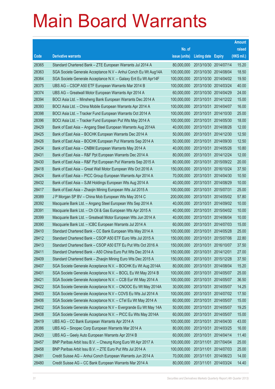|       |                                                                |               |                            |                       | <b>Amount</b> |
|-------|----------------------------------------------------------------|---------------|----------------------------|-----------------------|---------------|
|       |                                                                | No. of        |                            |                       | raised        |
| Code  | <b>Derivative warrants</b>                                     | issue (units) | <b>Listing date Expiry</b> |                       | (HK\$ mil.)   |
| 28365 | Standard Chartered Bank - ZTE European Warrants Jul 2014 A     | 80,000,000    | 2013/10/30 2014/07/14      |                       | 15.20         |
| 28363 | SGA Societe Generale Acceptance N.V - Anhui Conch Eu Wt Aug14A | 100,000,000   |                            | 2013/10/30 2014/08/04 | 18.50         |
| 28364 | SGA Societe Generale Acceptance N.V. - Galaxy Ent Eu Wt Apr14F | 100,000,000   |                            | 2013/10/30 2014/04/02 | 19.50         |
| 28375 | UBS AG - CSOP A50 ETF European Warrants Mar 2014 B             | 100,000,000   |                            | 2013/10/30 2014/03/24 | 40.00         |
| 28374 | UBS AG - Greatwall Motor European Warrants Apr 2014 A          | 60,000,000    |                            | 2013/10/30 2014/04/29 | 24.00         |
| 28394 | BOCI Asia Ltd. - Minsheng Bank European Warrants Dec 2014 A    | 100,000,000   |                            | 2013/10/31 2014/12/22 | 15.00         |
| 28393 | BOCI Asia Ltd. - China Mobile European Warrants Apr 2014 A     | 100,000,000   | 2013/10/31                 | 2014/04/07            | 16.00         |
| 28398 | BOCI Asia Ltd. - Tracker Fund European Warrants Oct 2014 A     | 100,000,000   |                            | 2013/10/31 2014/10/30 | 25.00         |
| 28396 | BOCI Asia Ltd. - Tracker Fund European Put Wts May 2014 A      | 100,000,000   |                            | 2013/10/31 2014/05/30 | 18.00         |
| 28429 | Bank of East Asia - Angang Steel European Warrants Aug 2014A   | 40,000,000    |                            | 2013/10/31 2014/08/26 | 12.00         |
| 28425 | Bank of East Asia - BOCHK European Warrants Dec 2014 A         | 50,000,000    | 2013/10/31                 | 2014/12/30            | 12.50         |
| 28426 | Bank of East Asia - BOCHK European Put Warrants Sep 2014 A     | 50,000,000    |                            | 2013/10/31 2014/09/30 | 12.50         |
| 28434 | Bank of East Asia - CNBM European Warrants May 2014 A          | 40,000,000    |                            | 2013/10/31 2014/05/26 | 10.80         |
| 28431 | Bank of East Asia - R&F Ppt European Warrants Dec 2014 A       | 80,000,000    |                            | 2013/10/31 2014/12/24 | 12.00         |
| 28430 | Bank of East Asia - R&F Ppt European Put Warrants Sep 2015 A   | 80,000,000    | 2013/10/31                 | 2015/09/22            | 20.00         |
| 28418 | Bank of East Asia - Great Wall Motor European Wts Oct 2016 A   | 150,000,000   |                            | 2013/10/31 2016/10/24 | 37.50         |
| 28424 | Bank of East Asia - PICC Group European Warrants Apr 2014 A    | 70,000,000    |                            | 2013/10/31 2014/04/30 | 10.50         |
| 28432 | Bank of East Asia - SJM Holdings European Wts Aug 2014 A       | 40,000,000    |                            | 2013/10/31 2014/08/29 | 10.00         |
| 28417 | Bank of East Asia - Zhaojin Mining European Wts Jul 2015 A     | 100,000,000   | 2013/10/31                 | 2015/07/31            | 25.00         |
| 28389 | J P Morgan SP BV - China Mob European Wts May 2014 C           | 200,000,000   |                            | 2013/10/31 2014/05/02 | 57.80         |
| 28392 | Macquarie Bank Ltd. - Angang Steel European Wts Sep 2014 A     | 40,000,000    |                            | 2013/10/31 2014/09/02 | 10.00         |
| 28391 | Macquarie Bank Ltd. - Ch Oil & Gas European Wts Apr 2015 A     | 40,000,000    |                            | 2013/10/31 2015/04/02 | 10.00         |
| 28399 | Macquarie Bank Ltd. - Greatwall Motor European Wts Jun 2014 A  | 40,000,000    | 2013/10/31                 | 2014/06/04            | 10.00         |
| 28390 | Macquarie Bank Ltd. - ICBC European Warrants Jul 2014 A        | 60,000,000    |                            | 2013/10/31 2014/07/03 | 15.00         |
| 28410 | Standard Chartered Bank - CC Bank European Wts May 2014 A      | 100,000,000   | 2013/10/31                 | 2014/05/28            | 25.00         |
| 28412 | Standard Chartered Bank - CSOP A50 ETF Euro Wts Jul 2015 A     | 150,000,000   | 2013/10/31                 | 2015/07/06            | 22.80         |
| 28413 | Standard Chartered Bank - CSOP A50 ETF Eu Put Wts Oct 2016 A   | 150,000,000   | 2013/10/31                 | 2016/10/07            | 37.50         |
| 28411 | Standard Chartered Bank - A50 China Euro Put Wts Dec 2014 A    | 150,000,000   | 2013/10/31 2014/12/01      |                       | 27.00         |
| 28409 | Standard Chartered Bank - Zhaojin Mining Euro Wts Dec 2015 A   | 150,000,000   | 2013/10/31                 | 2015/12/28            | 37.50         |
| 28407 | SGA Societe Generale Acceptance N.V. - BOCHK Eu Wt Aug 2014A   | 80,000,000    | 2013/10/31                 | 2014/08/04            | 15.20         |
| 28401 | SGA Societe Generale Acceptance N.V. - BOCL Eu Wt May 2014 B   | 100,000,000   | 2013/10/31                 | 2014/05/07            | 25.00         |
| 28421 | SGA Societe Generale Acceptance N.V. - CCB Eur Wt May 2014 A   | 100,000,000   | 2013/10/31                 | 2014/05/07            | 36.50         |
| 28422 | SGA Societe Generale Acceptance N.V. - CNOOC Eu Wt May 2014A   | 30,000,000    | 2013/10/31                 | 2014/05/07            | 14.25         |
| 28403 | SGA Societe Generale Acceptance N.V - COVS Eu Wts Jul 2014 A   | 100,000,000   | 2013/10/31                 | 2014/07/02            | 17.50         |
| 28406 | SGA Societe Generale Acceptance N.V. - CTel Eu Wt May 2014 A   | 60,000,000    | 2013/10/31                 | 2014/05/07            | 15.00         |
| 28402 | SGA Societe Generale Acceptance N.V - Evergrande Eu Wt May 14A | 50,000,000    | 2013/10/31                 | 2014/05/07            | 19.25         |
| 28408 | SGA Societe Generale Acceptance N.V. - PICC Eu Wts May 2014A   | 60,000,000    | 2013/10/31                 | 2014/05/07            | 15.00         |
| 28419 | UBS AG - CC Bank European Warrants Apr 2014 A                  | 100,000,000   | 2013/10/31                 | 2014/04/30            | 43.00         |
| 28386 | UBS AG - Sinopec Corp European Warrants Mar 2014 A             | 80,000,000    | 2013/10/31                 | 2014/03/25            | 16.00         |
| 28420 | UBS AG - Geely Auto European Warrants Apr 2014 B               | 60,000,000    | 2013/10/31                 | 2014/04/14            | 11.40         |
| 28457 | BNP Paribas Arbit Issu B.V. - Cheung Kong Euro Wt Apr 2017 A   | 100,000,000   | 2013/11/01                 | 2017/04/04            | 25.00         |
| 28458 | BNP Paribas Arbit Issu B.V. - ZTE Euro Put Wts Jul 2014 A      | 100,000,000   | 2013/11/01                 | 2014/07/03            | 25.00         |
| 28481 | Credit Suisse AG - Anhui Conch European Warrants Jun 2014 A    | 70,000,000    | 2013/11/01                 | 2014/06/23            | 14.00         |
| 28480 | Credit Suisse AG - CC Bank European Warrants Mar 2014 A        | 80,000,000    | 2013/11/01                 | 2014/03/24            | 14.40         |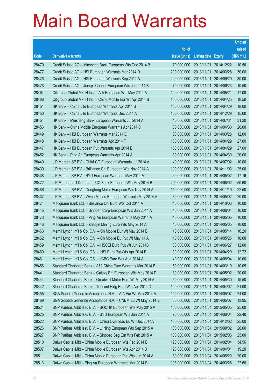|       |                                                               |               |                            |                       | <b>Amount</b> |
|-------|---------------------------------------------------------------|---------------|----------------------------|-----------------------|---------------|
|       |                                                               | No. of        |                            |                       | raised        |
| Code  | <b>Derivative warrants</b>                                    | issue (units) | <b>Listing date Expiry</b> |                       | (HK\$ mil.)   |
| 28479 | Credit Suisse AG - Minsheng Bank European Wts Dec 2014 B      | 70,000,000    | 2013/11/01                 | 2014/12/22            | 10.50         |
| 28477 | Credit Suisse AG - HSI European Warrants Mar 2014 D           | 200,000,000   | 2013/11/01                 | 2014/03/28            | 30.00         |
| 28476 | Credit Suisse AG - HSI European Warrants Sep 2014 A           | 200,000,000   | 2013/11/01                 | 2014/09/29            | 30.00         |
| 28478 | Credit Suisse AG - Jiangxi Copper European Wts Jun 2014 B     | 70,000,000    | 2013/11/01                 | 2014/06/23            | 10.50         |
| 28464 | Citigroup Global Mkt H Inc. - AIA European Wts May 2014 A     | 100,000,000   | 2013/11/01                 | 2014/05/21            | 17.00         |
| 28466 | Citigroup Global Mkt H Inc. - China Mobile Eur Wt Apr 2014 B  | 100,000,000   | 2013/11/01                 | 2014/04/25            | 18.50         |
| 28451 | HK Bank - China Life European Warrants Apr 2014 B             | 100,000,000   | 2013/11/01                 | 2014/04/29            | 18.00         |
| 28450 | HK Bank - China Life European Warrants Dec 2014 A             | 100,000,000   | 2013/11/01                 | 2014/12/29            | 15.00         |
| 28454 | HK Bank - Minsheng Bank European Warrants Jul 2014 A          | 40,000,000    | 2013/11/01                 | 2014/07/31            | 31.20         |
| 28453 | HK Bank - China Mobile European Warrants Apr 2014 C           | 80,000,000    | 2013/11/01                 | 2014/04/30            | 20.00         |
| 28449 | HK Bank - HSI European Warrants Mar 2014 E                    | 80,000,000    | 2013/11/01                 | 2014/03/28            | 12.00         |
| 28448 | HK Bank - HSI European Warrants Apr 2014 F                    | 180,000,000   | 2013/11/01                 | 2014/04/29            | 27.00         |
| 28447 | HK Bank - HSI European Put Warrants Apr 2014 E                | 180,000,000   | 2013/11/01                 | 2014/04/29            | 27.00         |
| 28452 | HK Bank - Ping An European Warrants Apr 2014 A                | 80,000,000    |                            | 2013/11/01 2014/04/30 | 20.00         |
| 28440 | J P Morgan SP BV - CHALCO European Warrants Jul 2014 A        | 40,000,000    | 2013/11/01                 | 2014/07/02            | 10.00         |
| 28439 | J P Morgan SP BV - Brilliance Chi European Wts Nov 2014 A     | 100,000,000   | 2013/11/01                 | 2014/11/03            | 25.00         |
| 28438 | J P Morgan SP BV - BYD European Warrants May 2014 A           | 60,000,000    | 2013/11/01                 | 2014/05/02            | 17.16         |
| 28472 | J P Morgan Int'l Der. Ltd. - CC Bank European Wts May 2014 B  | 200,000,000   | 2013/11/01                 | 2014/05/02            | 50.60         |
| 28486 | J P Morgan SP BV - Dongfeng Motor European Wts Nov 2014 A     | 150,000,000   | 2013/11/01                 | 2014/11/19            | 22.50         |
| 28437 | J P Morgan SP BV - Wynn Macau European Warrants May 2014 A    | 80,000,000    | 2013/11/01                 | 2014/05/02            | 20.00         |
| 28474 | Macquarie Bank Ltd. - Brilliance Chi Euro Wts Oct 2014 A      | 40,000,000    | 2013/11/01                 | 2014/10/06            | 10.00         |
| 28445 | Macquarie Bank Ltd. - Sinopec Corp European Wts Jun 2014 A    | 40,000,000    | 2013/11/01                 | 2014/06/04            | 10.00         |
| 28473 | Macquarie Bank Ltd. - Ping An European Warrants May 2014 A    | 40,000,000    | 2013/11/01                 | 2014/05/05            | 10.00         |
| 28446 | Macquarie Bank Ltd. - Zhaojin Mining Euro Wts May 2014 A      | 40,000,000    | 2013/11/01                 | 2014/05/05            | 10.00         |
| 28463 | Merrill Lynch Int'l & Co. C.V. - Ch Mobile Eur Wt May 2014 B  | 40,000,000    | 2013/11/01                 | 2014/05/14            | 10.20         |
| 28462 | Merrill Lynch Int'l & Co. C.V. - Ch Mobile Eu Put Wt May 14 A | 40,000,000    | 2013/11/01                 | 2014/05/26            | 10.00         |
| 28459 | Merrill Lynch Int'l & Co. C.V. - HSCEI Euro Put Wt Jun 2014B  | 80,000,000    | 2013/11/01 2014/06/27      |                       | 12.00         |
| 28460 | Merrill Lynch Int'l & Co. C.V. - HSI Euro Put Wts Apr 2014 B  | 80,000,000    | 2013/11/01 2014/04/29      |                       | 12.72         |
| 28461 | Merrill Lynch Int'l & Co. C.V. - ICBC Euro Wts Aug 2014 A     | 40,000,000    | 2013/11/01                 | 2014/08/04            | 10.00         |
| 28456 | Standard Chartered Bank - A50 China Euro Warrants Mar 2014 B  | 50,000,000    | 2013/11/01 2014/03/10      |                       | 10.05         |
| 28441 | Standard Chartered Bank - Galaxy Ent European Wts May 2014 D  | 80,000,000    | 2013/11/01                 | 2014/05/02            | 20.00         |
| 28444 | Standard Chartered Bank - Greatwall Motor Euro Wt May 2014 A  | 50,000,000    | 2013/11/01                 | 2014/05/30            | 15.50         |
| 28442 | Standard Chartered Bank - Tencent Hidg Euro Wts Apr 2014 D    | 100,000,000   | 2013/11/01                 | 2014/04/02            | 21.00         |
| 28455 | SGA Societe Generale Acceptance N.V. - AIA Eur Wt May 2014 A  | 100,000,000   | 2013/11/01                 | 2014/05/07            | 24.00         |
| 28469 | SGA Societe Generale Acceptance N.V. - CNBM Eu Wt May 2014 B  | 30,000,000    | 2013/11/01                 | 2014/05/07            | 13.95         |
| 28524 | BNP Paribas Arbit Issu B.V. - BOCHK European Wts May 2015 A   | 100,000,000   | 2013/11/04 2015/05/05      |                       | 25.00         |
| 28525 | BNP Paribas Arbit Issu B.V. - BYD European Wts Jun 2014 A     | 70,000,000    | 2013/11/04                 | 2014/06/04            | 22.40         |
| 28522 | BNP Paribas Arbit Issu B.V. - China Overseas Eu Wt Dec 2014A  | 100,000,000   |                            | 2013/11/04 2014/12/02 | 25.00         |
| 28526 | BNP Paribas Arbit Issu B.V. - Li Ning European Wts Sep 2015 A | 100,000,000   | 2013/11/04                 | 2015/09/02            | 26.00         |
| 28527 | BNP Paribas Arbit Issu B.V. - Sinopec Seg Eur Wts Feb 2015 A  | 100,000,000   | 2013/11/04 2015/02/03      |                       | 25.00         |
| 28510 | Daiwa Capital Mkt - China Mobile European Wts Feb 2014 B      | 128,000,000   | 2013/11/04                 | 2014/02/04            | 34.56         |
| 28507 | Daiwa Capital Mkt - China Mobile European Wts Apr 2014 B      | 128,000,000   | 2013/11/04 2014/04/01      |                       | 19.20         |
| 28511 | Daiwa Capital Mkt - China Mobile European Put Wts Jun 2014 A  | 80,000,000    | 2013/11/04 2014/06/20      |                       | 20.00         |
| 28513 | Daiwa Capital Mkt - Ping An European Warrants Mar 2014 B      | 108,000,000   | 2013/11/04 2014/03/26      |                       | 22.68         |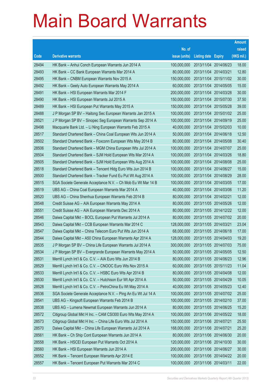|       |                                                               |                                   |                       | <b>Amount</b> |
|-------|---------------------------------------------------------------|-----------------------------------|-----------------------|---------------|
|       |                                                               | No. of                            |                       | raised        |
| Code  | <b>Derivative warrants</b>                                    | issue (units)                     | Listing date Expiry   | (HK\$ mil.)   |
| 28494 | HK Bank - Anhui Conch European Warrants Jun 2014 A            | 100,000,000                       | 2013/11/04 2014/06/23 | 18.00         |
| 28493 | HK Bank – CC Bank European Warrants Mar 2014 A                | 80,000,000                        | 2013/11/04 2014/03/21 | 12.80         |
| 28495 | HK Bank – CNBM European Warrants Nov 2015 A                   | 150,000,000                       | 2013/11/04 2015/11/02 | 30.00         |
| 28492 | HK Bank – Geely Auto European Warrants May 2014 A             | 60,000,000                        | 2013/11/04 2014/05/05 | 15.00         |
| 28491 | HK Bank - HSI European Warrants Mar 2014 F                    | 200,000,000                       | 2013/11/04 2014/03/28 | 30.00         |
| 28490 | HK Bank - HSI European Warrants Jul 2015 A                    | 150,000,000                       | 2013/11/04 2015/07/30 | 37.50         |
| 28489 | HK Bank - HSI European Put Warrants May 2015 A                | 150,000,000                       | 2013/11/04 2015/05/28 | 39.00         |
| 28488 | J P Morgan SP BV - Haitong Sec European Warrants Jan 2015 A   | 100,000,000                       | 2013/11/04 2015/01/02 | 25.00         |
| 28521 | J P Morgan SP BV - Sinopec Seg European Warrants Sep 2014 A   | 100,000,000                       | 2013/11/04 2014/09/19 | 25.00         |
| 28498 | Macquarie Bank Ltd. - Li Ning European Warrants Feb 2015 A    | 40,000,000                        | 2013/11/04 2015/02/03 | 10.00         |
| 28517 | Standard Chartered Bank - China Coal European Wts Jun 2014 A  | 50,000,000                        | 2013/11/04 2014/06/18 | 12.50         |
| 28502 | Standard Chartered Bank - Foxconn European Wts May 2014 B     | 80,000,000                        | 2013/11/04 2014/05/08 | 30.40         |
| 28506 | Standard Chartered Bank - MGM China European Wts Jul 2014 A   | 100,000,000                       | 2013/11/04 2014/07/07 | 25.00         |
| 28504 | Standard Chartered Bank - SJM Hold European Wts Mar 2014 A    | 100,000,000                       | 2013/11/04 2014/03/26 | 18.80         |
| 28505 | Standard Chartered Bank - SJM Hold European Wts Aug 2014 A    | 100,000,000                       | 2013/11/04 2014/08/08 | 25.00         |
| 28518 | Standard Chartered Bank - Tencent Hidg Euro Wts Jun 2014 B    | 100,000,000                       | 2013/11/04 2014/06/27 | 15.00         |
| 28500 | Standard Chartered Bank - Tracker Fund Eu Put Wt Aug 2014 A   | 100,000,000                       | 2013/11/04 2014/08/29 | 28.00         |
| 28515 | SGA Societe Generale Acceptance N.V. - Ch Mob Eu Wt Mar 14 B  | 100,000,000                       | 2013/11/04 2014/03/05 | 17.00         |
| 28519 | UBS AG - China Coal European Warrants Mar 2014 A              | 40,000,000                        | 2013/11/04 2014/03/06 | 11.20         |
| 28520 | UBS AG – China Shenhua European Warrants Feb 2014 B           | 80,000,000                        | 2013/11/04 2014/02/21 | 12.00         |
| 28548 | Credit Suisse AG - AIA European Warrants May 2014 A           | 80,000,000                        | 2013/11/05 2014/05/26 | 12.00         |
| 28551 | Credit Suisse AG - AIA European Warrants Dec 2014 A           | 80,000,000                        | 2013/11/05 2014/12/22 | 12.00         |
| 28546 | Daiwa Capital Mkt - BOCL European Put Warrants Jul 2014 A     | 80,000,000                        | 2013/11/05 2014/07/02 | 20.00         |
| 28543 | Daiwa Capital Mkt - CCB European Warrants Mar 2014 C          | 128,000,000                       | 2013/11/05 2014/03/21 | 23.04         |
| 28547 | Daiwa Capital Mkt - China Telecom Euro Put Wts Jun 2014 A     | 68,000,000                        | 2013/11/05 2014/06/18 | 17.00         |
| 28544 | Daiwa Capital Mkt - A50 China European Warrants Apr 2014 A    | 128,000,000                       | 2013/11/05 2014/04/03 | 19.20         |
| 28535 | J P Morgan SP BV - China Life European Warrants Jul 2014 A    | 300,000,000 2013/11/05 2014/07/03 |                       | 75.00         |
| 28534 | J P Morgan SP BV - Evergrande European Warrants May 2014 A    | 50,000,000                        | 2013/11/05 2014/05/05 | 12.50         |
| 28531 | Merrill Lynch Int'l & Co. C.V. - AIA Euro Wts Jun 2014 B      | 80,000,000                        | 2013/11/05 2014/06/23 | 12.96         |
| 28529 | Merrill Lynch Int'l & Co. C.V. - CNOOC Euro Wts Nov 2015 A    | 60,000,000                        | 2013/11/05 2015/11/23 | 11.04         |
| 28533 | Merrill Lynch Int'l & Co. C.V. - HSBC Euro Wts Apr 2014 B     | 80,000,000                        | 2013/11/05 2014/04/08 | 12.00         |
| 28530 | Merrill Lynch Int'l & Co. C.V. - Hutchison Eur Wt Apr 2014 A  | 50,000,000                        | 2013/11/05 2014/04/29 | 10.05         |
| 28528 | Merrill Lynch Int'l & Co. C.V. - PetroChina Eu Wt May 2014 A  | 40,000,000                        | 2013/11/05 2014/05/23 | 12.40         |
| 28536 | SGA Societe Generale Acceptance N.V. - Ping An Eu Wt Jul 14 A | 100,000,000                       | 2013/11/05 2014/07/02 | 25.00         |
| 28541 | UBS AG - Kingsoft European Warrants Feb 2014 B                | 100,000,000                       | 2013/11/05 2014/02/10 | 37.00         |
| 28538 | UBS AG - Lumena Newmat European Warrants Jun 2014 A           | 80,000,000                        | 2013/11/05 2014/06/25 | 15.20         |
| 28572 | Citigroup Global Mkt H Inc. - CAM CSI300 Euro Wts May 2014 A  | 100,000,000                       | 2013/11/06 2014/05/22 | 18.00         |
| 28573 | Citigroup Global Mkt H Inc. - China Life Euro Wts Jul 2014 A  | 150,000,000                       | 2013/11/06 2014/07/21 | 25.50         |
| 28570 | Daiwa Capital Mkt - China Life European Warrants Jul 2014 A   | 168,000,000                       | 2013/11/06 2014/07/21 | 25.20         |
| 28561 | HK Bank - Ch Ship Cont European Warrants Jun 2014 A           | 80,000,000                        | 2013/11/06 2014/06/30 | 20.00         |
| 28558 | HK Bank - HSCEI European Put Warrants Oct 2014 A              | 120,000,000                       | 2013/11/06 2014/10/30 | 30.00         |
| 28560 | HK Bank - HSI European Warrants Jun 2014 A                    | 200,000,000                       | 2013/11/06 2014/06/27 | 30.00         |
| 28552 | HK Bank - Tencent European Warrants Apr 2014 E                | 100,000,000                       | 2013/11/06 2014/04/22 | 20.00         |
| 28557 | HK Bank - Tencent European Put Warrants Mar 2014 C            | 100,000,000                       | 2013/11/06 2014/03/11 | 22.00         |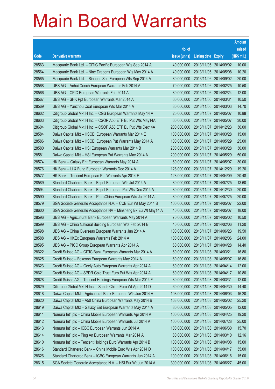|       |                                                                |               |                            | <b>Amount</b> |
|-------|----------------------------------------------------------------|---------------|----------------------------|---------------|
|       |                                                                | No. of        |                            | raised        |
| Code  | <b>Derivative warrants</b>                                     | issue (units) | <b>Listing date Expiry</b> | (HK\$ mil.)   |
| 28563 | Macquarie Bank Ltd. - CITIC Pacific European Wts Sep 2014 A    | 40,000,000    | 2013/11/06 2014/09/02      | 10.00         |
| 28564 | Macquarie Bank Ltd. - Nine Dragons European Wts May 2014 A     | 40,000,000    | 2013/11/06 2014/05/08      | 10.20         |
| 28565 | Macquarie Bank Ltd. - Sinopec Seg European Wts Sep 2014 A      | 80,000,000    | 2013/11/06 2014/09/02      | 20.00         |
| 28568 | UBS AG - Anhui Conch European Warrants Feb 2014 A              | 70,000,000    | 2013/11/06 2014/02/25      | 10.50         |
| 28566 | UBS AG - CPIC European Warrants Feb 2014 A                     | 80,000,000    | 2013/11/06 2014/02/24      | 12.00         |
| 28567 | UBS AG – SHK Ppt European Warrants Mar 2014 A                  | 60,000,000    | 2013/11/06 2014/03/31      | 10.50         |
| 28569 | UBS AG - Yanzhou Coal European Wts Mar 2014 A                  | 30,000,000    | 2013/11/06 2014/03/03      | 14.70         |
| 28602 | Citigroup Global Mkt H Inc. - CGS European Warrants May 14 A   | 25,000,000    | 2013/11/07 2014/05/07      | 10.88         |
| 28603 | Citigroup Global Mkt H Inc. - CSOP A50 ETF Eu Put Wts May14A   | 60,000,000    | 2013/11/07 2014/05/07      | 30.00         |
| 28604 | Citigroup Global Mkt H Inc. - CSOP A50 ETF Eu Put Wts Dec14A   | 200,000,000   | 2013/11/07 2014/12/23      | 30.00         |
| 28584 | Daiwa Capital Mkt - HSCEI European Warrants Mar 2014 E         | 100,000,000   | 2013/11/07 2014/03/28      | 15.00         |
| 28586 | Daiwa Capital Mkt - HSCEI European Put Warrants May 2014 A     | 100,000,000   | 2013/11/07 2014/05/29      | 25.00         |
| 28580 | Daiwa Capital Mkt - HSI European Warrants Mar 2014 B           | 200,000,000   | 2013/11/07 2014/03/28      | 30.00         |
| 28581 | Daiwa Capital Mkt - HSI European Put Warrants May 2014 A       | 200,000,000   | 2013/11/07 2014/05/29      | 50.00         |
| 28574 | HK Bank - Galaxy Ent European Warrants May 2014 A              | 60,000,000    | 2013/11/07 2014/05/07      | 30.00         |
| 28576 | HK Bank – Li & Fung European Warrants Dec 2014 A               | 128,000,000   | 2013/11/07 2014/12/29      | 19.20         |
| 28577 | HK Bank - Tencent European Put Warrants Apr 2014 F             | 128,000,000   | 2013/11/07 2014/04/09      | 20.48         |
| 28589 | Standard Chartered Bank – Esprit European Wts Jul 2014 A       | 80,000,000    | 2013/11/07 2014/07/25      | 13.60         |
| 28594 | Standard Chartered Bank - Esprit European Put Wts Dec 2014 A   | 80,000,000    | 2013/11/07 2014/12/30      | 20.00         |
| 28590 | Standard Chartered Bank - PetroChina European Wts Jul 2014 A   | 80,000,000    | 2013/11/07 2014/07/25      | 20.00         |
| 28579 | SGA Societe Generale Acceptance N.V. - CCB Eur Wt May 2014 B   | 100,000,000   | 2013/11/07 2014/05/07      | 22.00         |
| 28600 | SGA Societe Generale Acceptance NV - Minsheng Bk Eu Wt May14 A | 40,000,000    | 2013/11/07 2014/05/07      | 18.00         |
| 28596 | UBS AG - Agricultural Bank European Warrants May 2014 A        | 70,000,000    | 2013/11/07 2014/05/02      | 10.50         |
| 28599 | UBS AG - China National Building European Wts Feb 2014 B       | 40,000,000    | 2013/11/07 2014/02/06      | 11.20         |
| 28598 | UBS AG - China Overseas European Warrants Jun 2014 A           | 100,000,000   | 2013/11/07 2014/06/23      | 19.50         |
| 28588 | UBS AG - HKEx European Warrants Feb 2014 A                     | 100,000,000   | 2013/11/07 2014/02/06      | 24.00         |
| 28595 | UBS AG - PICC Group European Warrants Apr 2014 A               | 60,000,000    | 2013/11/07 2014/04/28      | 14.40         |
| 28622 | Credit Suisse AG - CITIC Bank European Warrants Mar 2014 A     | 60,000,000    | 2013/11/08 2014/03/21      | 16.80         |
| 28625 | Credit Suisse - Foxconn European Warrants May 2014 A           | 60,000,000    | 2013/11/08 2014/05/07      | 16.80         |
| 28623 | Credit Suisse AG - Geely Auto European Warrants Apr 2014 A     | 60,000,000    | 2013/11/08 2014/04/14      | 12.00         |
| 28621 | Credit Suisse AG - SPDR Gold Trust Euro Put Wts Apr 2014 A     | 60,000,000    | 2013/11/08 2014/04/17      | 10.80         |
| 28628 | Credit Suisse AG - Tencent Holdings European Wts Mar 2014 F    | 80,000,000    | 2013/11/08 2014/03/31      | 12.00         |
| 28629 | Citigroup Global Mkt H Inc. - Sands China Euro Wt Apr 2014 D   | 60,000,000    | 2013/11/08 2014/04/30      | 14.40         |
| 28618 | Daiwa Capital Mkt - Agricultural Bank European Wts Jun 2014 A  | 108,000,000   | 2013/11/08 2014/06/03      | 16.20         |
| 28620 | Daiwa Capital Mkt - A50 China European Warrants May 2014 B     | 168,000,000   | 2013/11/08 2014/05/02      | 25.20         |
| 28619 | Daiwa Capital Mkt - Galaxy Ent European Warrants May 2014 A    | 80,000,000    | 2013/11/08 2014/05/05      | 12.00         |
| 28611 | Nomura Int'l plc - China Mobile European Warrants Apr 2014 A   | 100,000,000   | 2013/11/08 2014/04/25      | 19.20         |
| 28612 | Nomura Int'l plc - China Mobile European Warrants Jul 2014 A   | 100,000,000   | 2013/11/08 2014/07/28      | 25.00         |
| 28613 | Nomura Int'l plc - ICBC European Warrants Jun 2014 A           | 100,000,000   | 2013/11/08 2014/06/30      | 15.70         |
| 28614 | Nomura Int'l plc - Ping An European Warrants Mar 2014 A        | 80,000,000    | 2013/11/08 2014/03/10      | 12.16         |
| 28610 | Nomura Int'l plc - Tencent Holdings Euro Warrants Apr 2014 B   | 100,000,000   | 2013/11/08 2014/04/08      | 15.60         |
| 28616 | Standard Chartered Bank - China Mobile Euro Wts Apr 2014 D     | 100,000,000   | 2013/11/08 2014/04/17      | 35.00         |
| 28626 | Standard Chartered Bank - ICBC European Warrants Jun 2014 A    | 100,000,000   | 2013/11/08 2014/06/16      | 15.00         |
| 28615 | SGA Societe Generale Acceptance N.V. - HSI Eur Wt Jun 2014 A   | 300,000,000   | 2013/11/08 2014/06/27      | 45.00         |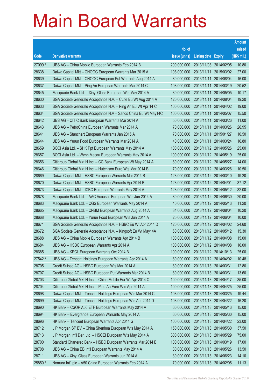|         |                                                                |               |                            |            | <b>Amount</b> |
|---------|----------------------------------------------------------------|---------------|----------------------------|------------|---------------|
|         |                                                                | No. of        |                            |            | raised        |
| Code    | <b>Derivative warrants</b>                                     | issue (units) | <b>Listing date Expiry</b> |            | (HK\$ mil.)   |
| 27099 # | UBS AG - China Mobile European Warrants Feb 2014 B             | 200,000,000   | 2013/11/08 2014/02/05      |            | 10.80         |
| 28638   | Daiwa Capital Mkt - CNOOC European Warrants Mar 2015 A         | 108,000,000   | 2013/11/11                 | 2015/03/02 | 27.00         |
| 28639   | Daiwa Capital Mkt - CNOOC European Put Warrants Aug 2014 A     | 80,000,000    | 2013/11/11                 | 2014/08/04 | 16.00         |
| 28637   | Daiwa Capital Mkt - Ping An European Warrants Mar 2014 C       | 108,000,000   | 2013/11/11                 | 2014/03/19 | 20.52         |
| 28645   | Macquarie Bank Ltd. - Xinyi Glass European Wts May 2014 A      | 30,000,000    | 2013/11/11                 | 2014/05/05 | 10.17         |
| 28630   | SGA Societe Generale Acceptance N.V. - CLife Eu Wt Aug 2014 A  | 120,000,000   | 2013/11/11                 | 2014/08/04 | 19.20         |
| 28633   | SGA Societe Generale Acceptance N.V. - Ping An Eu Wt Apr 14 C  | 100,000,000   | 2013/11/11                 | 2014/04/02 | 19.00         |
| 28634   | SGA Societe Generale Acceptance N.V - Sands China Eu Wt May14C | 100,000,000   | 2013/11/11                 | 2014/05/07 | 15.50         |
| 28642   | UBS AG - CITIC Bank European Warrants Mar 2014 A               | 50,000,000    | 2013/11/11                 | 2014/03/26 | 11.00         |
| 28643   | UBS AG - PetroChina European Warrants Mar 2014 A               | 70,000,000    | 2013/11/11 2014/03/26      |            | 26.95         |
| 28641   | UBS AG - Stanchart European Warrants Jan 2015 A                | 70,000,000    | 2013/11/11                 | 2015/01/27 | 10.50         |
| 28644   | UBS AG - Yurun Food European Warrants Mar 2014 A               | 40,000,000    | 2013/11/11 2014/03/24      |            | 16.80         |
| 28659   | BOCI Asia Ltd. - SHK Ppt European Warrants May 2014 A          | 100,000,000   | 2013/11/12 2014/05/26      |            | 25.00         |
| 28657   | BOCI Asia Ltd. - Wynn Macau European Warrants May 2014 A       | 100,000,000   | 2013/11/12 2014/05/19      |            | 25.00         |
| 28656   | Citigroup Global Mkt H Inc. - CC Bank European Wt May 2014 A   | 80,000,000    | 2013/11/12 2014/05/27      |            | 14.00         |
| 28646   | Citigroup Global Mkt H Inc. - Hutchison Euro Wts Mar 2014 B    | 70,000,000    | 2013/11/12 2014/03/26      |            | 10.50         |
| 28669   | Daiwa Capital Mkt - HSBC European Warrants Mar 2014 B          | 128,000,000   | 2013/11/12 2014/03/10      |            | 19.20         |
| 28670   | Daiwa Capital Mkt - HSBC European Warrants Apr 2014 B          | 128,000,000   | 2013/11/12 2014/04/01      |            | 37.12         |
| 28673   | Daiwa Capital Mkt - ICBC European Warrants May 2014 A          | 128,000,000   | 2013/11/12 2014/05/12      |            | 32.00         |
| 28678   | Macquarie Bank Ltd. - AAC Acoustic European Wts Jun 2014 A     | 80,000,000    | 2013/11/12 2014/06/30      |            | 20.00         |
| 28683   | Macquarie Bank Ltd. - CGS European Warrants May 2014 A         | 40,000,000    | 2013/11/12 2014/05/13      |            | 11.20         |
| 28665   | Macquarie Bank Ltd. - CNBM European Warrants Aug 2014 A        | 34,000,000    | 2013/11/12 2014/08/04      |            | 10.20         |
| 28668   | Macquarie Bank Ltd. - Yurun Food European Wts Jun 2014 A       | 25,000,000    | 2013/11/12 2014/06/04      |            | 10.00         |
| 28671   | SGA Societe Generale Acceptance N.V. - HSBC Eu Wt Apr 2014 D   | 120,000,000   | 2013/11/12 2014/04/02      |            | 24.60         |
| 28672   | SGA Societe Generale Acceptance N.V. - Kingsoft Eu Wt May14A   | 60,000,000    | 2013/11/12 2014/05/12      |            | 15.30         |
| 28688   | UBS AG - China Mobile European Warrants Apr 2014 B             | 100,000,000   | 2013/11/12 2014/04/08      |            | 15.00         |
| 28684   | UBS AG - HSBC European Warrants Apr 2014 A                     | 100,000,000   | 2013/11/12 2014/04/08      |            | 16.00         |
| 28685   | UBS AG - KECL European Warrants Oct 2014 B                     | 100,000,000   | 2013/11/12 2014/10/13      |            | 25.00         |
| 27542 # | UBS AG - Tencent Holdings European Warrants Apr 2014 A         | 80,000,000    | 2013/11/12 2014/04/02      |            | 10.48         |
| 28705   | Credit Suisse AG - HSBC European Wts Mar 2014 A                | 80,000,000    | 2013/11/13 2014/03/31      |            | 12.80         |
| 28707   | Credit Suisse AG - HSBC European Put Warrants Mar 2014 B       | 80,000,000    | 2013/11/13 2014/03/31      |            | 13.60         |
| 28703   | Citigroup Global Mkt H Inc. - China Mobile Eur Wt Apr 2014 C   | 100,000,000   | 2013/11/13 2014/04/17      |            | 35.00         |
| 28704   | Citigroup Global Mkt H Inc. - Ping An Euro Wts Apr 2014 A      | 100,000,000   | 2013/11/13 2014/04/25      |            | 25.00         |
| 28698   | Daiwa Capital Mkt - Tencent Holdings European Wts Mar 2014 C   | 108,000,000   | 2013/11/13 2014/03/25      |            | 19.44         |
| 28699   | Daiwa Capital Mkt - Tencent Holdings European Wts Apr 2014 D   | 108,000,000   | 2013/11/13 2014/04/22      |            | 16.20         |
| 28690   | HK Bank - CSOP A50 ETF European Warrants May 2014 A            | 60,000,000    | 2013/11/13 2014/05/13      |            | 15.00         |
| 28694   | HK Bank - Evergrande European Warrants May 2014 A              | 60,000,000    | 2013/11/13 2014/05/30      |            | 15.00         |
| 28696   | HK Bank - Tencent European Warrants Apr 2014 G                 | 100,000,000   | 2013/11/13 2014/04/22      |            | 23.00         |
| 28712   | J P Morgan SP BV - China Shenhua European Wts May 2014 A       | 150,000,000   | 2013/11/13 2014/05/30      |            | 37.50         |
| 28713   | J P Morgan Int'l Der. Ltd. - HSCEI European Wts May 2014 A     | 300,000,000   | 2013/11/13 2014/05/29      |            | 75.00         |
| 28700   | Standard Chartered Bank - HSBC European Warrants Mar 2014 B    | 100,000,000   | 2013/11/13 2014/03/19      |            | 17.00         |
| 28708   | UBS AG - China EB Int'l European Warrants May 2014 A           | 30,000,000    | 2013/11/13 2014/05/26      |            | 13.50         |
| 28711   | UBS AG - Xinyi Glass European Warrants Jun 2014 A              | 30,000,000    | 2013/11/13 2014/06/23      |            | 14.10         |
| 25850 # | Nomura Int'l plc - A50 China European Warrants Feb 2014 A      | 70,000,000    | 2013/11/13 2014/02/05      |            | 11.13         |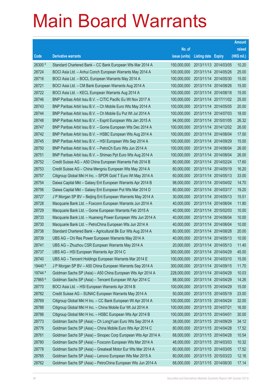|         |                                                                |               |                            |            | <b>Amount</b> |
|---------|----------------------------------------------------------------|---------------|----------------------------|------------|---------------|
|         |                                                                | No. of        |                            |            | raised        |
| Code    | <b>Derivative warrants</b>                                     | issue (units) | <b>Listing date Expiry</b> |            | (HK\$ mil.)   |
| 26300 # | Standard Chartered Bank – CC Bank European Wts Mar 2014 A      | 150,000,000   | 2013/11/13 2014/03/05      |            | 10.20         |
| 28724   | BOCI Asia Ltd. - Anhui Conch European Warrants May 2014 A      | 100,000,000   | 2013/11/14 2014/05/26      |            | 25.00         |
| 28716   | BOCI Asia Ltd. - BOCL European Warrants May 2014 A             | 100,000,000   | 2013/11/14                 | 2014/05/30 | 15.00         |
| 28721   | BOCI Asia Ltd. - CM Bank European Warrants Aug 2014 A          | 100,000,000   | 2013/11/14 2014/08/26      |            | 15.00         |
| 28722   | BOCI Asia Ltd. - KECL European Warrants Aug 2014 A             | 100,000,000   | 2013/11/14 2014/08/18      |            | 15.00         |
| 28746   | BNP Paribas Arbit Issu B.V. - CITIC Pacific Eu Wt Nov 2017 A   | 100,000,000   | 2013/11/14 2017/11/02      |            | 25.00         |
| 28743   | BNP Paribas Arbit Issu B.V. - Ch Mobile Euro Wts May 2014 A    | 100,000,000   | 2013/11/14 2014/05/05      |            | 20.00         |
| 28744   | BNP Paribas Arbit Issu B.V. - Ch Mobile Eu Put Wt Jul 2014 A   | 100,000,000   | 2013/11/14 2014/07/03      |            | 18.00         |
| 28748   | BNP Paribas Arbit Issu B.V. - Esprit European Wts Jan 2015 A   | 94,000,000    | 2013/11/14 2015/01/05      |            | 26.32         |
| 28747   | BNP Paribas Arbit Issu B.V. - Gome European Wts Dec 2014 A     | 100,000,000   | 2013/11/14 2014/12/02      |            | 26.00         |
| 28742   | BNP Paribas Arbit Issu B.V. - HSBC European Wts Aug 2014 A     | 100,000,000   | 2013/11/14 2014/08/04      |            | 17.00         |
| 28745   | BNP Paribas Arbit Issu B.V. - HSI European Wts Sep 2014 A      | 100,000,000   | 2013/11/14 2014/09/29      |            | 15.00         |
| 28750   | BNP Paribas Arbit Issu B.V. - PetroCh Euro Wts Jun 2014 A      | 100,000,000   | 2013/11/14 2014/06/04      |            | 26.00         |
| 28751   | BNP Paribas Arbit Issu B.V. - Shimao Ppt Euro Wts Aug 2014 A   | 100,000,000   | 2013/11/14 2014/08/04      |            | 26.00         |
| 28752   | Credit Suisse AG - A50 China European Warrants Feb 2014 B      | 80,000,000    | 2013/11/14 2014/02/24      |            | 17.60         |
| 28753   | Credit Suisse AG - China Mengniu European Wts May 2014 A       | 60,000,000    | 2013/11/14 2014/05/19      |            | 16.20         |
| 28757   | Citigroup Global Mkt H Inc. - SPDR Gold T Euro Wt May 2014 A   | 60,000,000    | 2013/11/14 2014/05/13      |            | 33.00         |
| 28754   | Daiwa Capital Mkt - Galaxy Ent European Warrants Apr 2014 B    | 98,000,000    | 2013/11/14 2014/04/02      |            | 14.70         |
| 28756   | Daiwa Capital Mkt - Galaxy Ent European Put Wts Mar 2014 D     | 80,000,000    | 2013/11/14 2014/03/17      |            | 19.20         |
| 28727   | J P Morgan SP BV - Beijing Ent European Warrants May 2014 A    | 30,000,000    | 2013/11/14 2014/05/13      |            | 15.51         |
| 28728   | Macquarie Bank Ltd. - Foxconn European Warrants Jun 2014 A     | 40,000,000    | 2013/11/14 2014/06/04      |            | 11.80         |
| 28729   | Macquarie Bank Ltd. - Gome European Warrants Feb 2015 A        | 40,000,000    | 2013/11/14 2015/02/03      |            | 10.00         |
| 28733   | Macquarie Bank Ltd. - Huaneng Power European Wts Jun 2014 A    | 40,000,000    | 2013/11/14 2014/06/04      |            | 10.00         |
| 28730   | Macquarie Bank Ltd. - PetroChina European Wts Jun 2014 A       | 40,000,000    | 2013/11/14 2014/06/04      |            | 10.00         |
| 28738   | Standard Chartered Bank - Agricultural Bk Eur Wts Aug 2014 A   | 80,000,000    | 2013/11/14 2014/08/28      |            | 20.00         |
| 28739   | UBS AG - Chi Res Power European Warrants May 2014 A            | 40,000,000    | 2013/11/14 2014/05/13      |            | 10.00         |
| 28741   | UBS AG - Zhuzhou CSR European Warrants May 2014 A              | 20,000,000    | 2013/11/14 2014/05/13      |            | 11.40         |
| 28737   | UBS AG - HSI European Warrants Apr 2014 C                      | 300,000,000   | 2013/11/14 2014/04/29      |            | 45.00         |
| 28740   | UBS AG - Tencent Holdings European Warrants Mar 2014 E         | 100,000,000   | 2013/11/14 2014/03/10      |            | 15.00         |
| 19440 # | J P Morgan SP BV - A50 China European Warrants Sep 2014 A      | 300,000,000   | 2013/11/14 2014/09/15      |            | 11.70         |
| 19744 # | Goldman Sachs SP (Asia) - A50 China European Wts Apr 2014 A    | 228,000,000   | 2013/11/14 2014/04/29      |            | 10.03         |
| 27865 # | Goldman Sachs SP (Asia) - Tencent European Wt Apr 2014 C       | 88,000,000    | 2013/11/14 2014/04/29      |            | 14.26         |
| 28770   | BOCI Asia Ltd. - HSI European Warrants Apr 2014 B              | 100,000,000   | 2013/11/15 2014/04/29      |            | 15.00         |
| 28782   | Credit Suisse AG - SUNAC European Warrants May 2014 A          | 50,000,000    | 2013/11/15 2014/05/19      |            | 23.00         |
| 28769   | Citigroup Global Mkt H Inc. - CC Bank European Wt Apr 2014 A   | 100,000,000   | 2013/11/15 2014/04/24      |            | 32.00         |
| 28788   | Citigroup Global Mkt H Inc. - China Mobile Eur Wt Jul 2014 A   | 100,000,000   | 2013/11/15 2014/07/21      |            | 16.50         |
| 28786   | Citigroup Global Mkt H Inc. - HSBC European Wts Apr 2014 B     | 100,000,000   | 2013/11/15 2014/04/01      |            | 30.00         |
| 28773   | Goldman Sachs SP (Asia) - Ch LongYuan Euro Wts Sep 2014 A      | 38,000,000    | 2013/11/15 2014/09/29      |            | 34.12         |
| 28776   | Goldman Sachs SP (Asia) - China Mobile Euro Wts Apr 2014 C     | 80,000,000    | 2013/11/15 2014/04/28      |            | 17.52         |
| 28761   | Goldman Sachs SP (Asia) - Sinopec Corp European Wts Apr 2014 A | 68,000,000    | 2013/11/15 2014/04/28      |            | 10.54         |
| 28780   | Goldman Sachs SP (Asia) - Foxconn European Wts Mar 2014 A      | 48,000,000    | 2013/11/15 2014/03/03      |            | 10.32         |
| 28778   | Goldman Sachs SP (Asia) - Greatwall Motor Eur Wts Mar 2014 A   | 60,000,000    | 2013/11/15 2014/03/05      |            | 17.52         |
| 28765   | Goldman Sachs SP (Asia) - Lenovo European Wts Mar 2015 A       | 80,000,000    | 2013/11/15 2015/03/23      |            | 12.16         |
| 28762   | Goldman Sachs SP (Asia) - PetroChina European Wts Jun 2014 A   | 68,000,000    | 2013/11/15 2014/06/30      |            | 17.14         |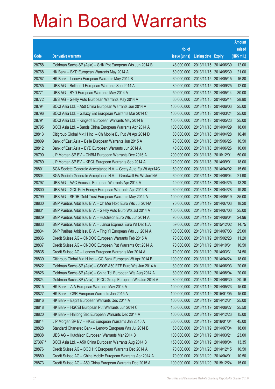|         |                                                                |               |                            |                       | <b>Amount</b> |
|---------|----------------------------------------------------------------|---------------|----------------------------|-----------------------|---------------|
|         |                                                                | No. of        |                            |                       | raised        |
| Code    | <b>Derivative warrants</b>                                     | issue (units) | <b>Listing date Expiry</b> |                       | (HK\$ mil.)   |
| 28758   | Goldman Sachs SP (Asia) – SHK Ppt European Wts Jun 2014 B      | 48,000,000    | 2013/11/15 2014/06/30      |                       | 12.00         |
| 28768   | HK Bank - BYD European Warrants May 2014 A                     | 60,000,000    | 2013/11/15 2014/05/30      |                       | 21.00         |
| 28767   | HK Bank - Lenovo European Warrants May 2014 B                  | 60,000,000    |                            | 2013/11/15 2014/05/15 | 16.80         |
| 28785   | UBS AG - Belle Int'l European Warrants Sep 2014 A              | 80,000,000    | 2013/11/15 2014/09/25      |                       | 12.00         |
| 28771   | UBS AG - BYD European Warrants May 2014 A                      | 50,000,000    |                            | 2013/11/15 2014/05/14 | 30.00         |
| 28772   | UBS AG - Geely Auto European Warrants May 2014 A               | 60,000,000    | 2013/11/15 2014/05/14      |                       | 28.80         |
| 28794   | BOCI Asia Ltd. - A50 China European Warrants Jun 2014 A        | 100,000,000   |                            | 2013/11/18 2014/06/03 | 25.00         |
| 28796   | BOCI Asia Ltd. - Galaxy Ent European Warrants Mar 2014 C       | 100,000,000   | 2013/11/18 2014/03/24      |                       | 25.00         |
| 28791   | BOCI Asia Ltd. - Kingsoft European Warrants May 2014 B         | 100,000,000   |                            | 2013/11/18 2014/05/23 | 25.00         |
| 28795   | BOCI Asia Ltd. - Sands China European Warrants Apr 2014 A      | 100,000,000   | 2013/11/18 2014/04/29      |                       | 18.00         |
| 28813   | Citigroup Global Mkt H Inc. - Ch Mobile Eu Put Wt Apr 2014 D   | 80,000,000    |                            | 2013/11/18 2014/04/28 | 16.40         |
| 28809   | Bank of East Asia - Belle European Warrants Jun 2015 A         | 70,000,000    | 2013/11/18 2015/06/26      |                       | 10.50         |
| 28812   | Bank of East Asia - BYD European Warrants Jun 2014 A           | 40,000,000    |                            | 2013/11/18 2014/06/26 | 10.00         |
| 28790   | J P Morgan SP BV - CNBM European Warrants Dec 2016 A           | 200,000,000   | 2013/11/18 2016/12/01      |                       | 50.00         |
| 28789   | J P Morgan SP BV - KECL European Warrants Sep 2014 A           | 120,000,000   | 2013/11/18 2014/09/01      |                       | 18.00         |
| 28801   | SGA Societe Generale Acceptance N.V. - Geely Auto Eu Wt Apr14C | 60,000,000    | 2013/11/18 2014/04/02      |                       | 15.60         |
| 28804   | SGA Societe Generale Acceptance N.V. - Greatwall Eu Wt Jun14A  | 60,000,000    |                            | 2013/11/18 2014/06/04 | 21.90         |
| 28797   | UBS AG - AAC Acoustic European Warrants Apr 2014 A             | 40,000,000    | 2013/11/18 2014/04/25      |                       | 13.20         |
| 28800   | UBS AG - GCL-Poly Energy European Warrants Apr 2014 B          | 60,000,000    |                            | 2013/11/18 2014/04/28 | 19.80         |
| 28799   | UBS AG - SPDR Gold Trust European Warrants May 2014 A          | 100,000,000   | 2013/11/18 2014/05/19      |                       | 35.00         |
| 28830   | BNP Paribas Arbit Issu B.V. - Ch Mer Hold Euro Wts Jul 2014A   | 70,000,000    |                            | 2013/11/19 2014/07/03 | 18.20         |
| 28831   | BNP Paribas Arbit Issu B.V. - Geely Auto Euro Wts Jul 2014 A   | 100,000,000   | 2013/11/19 2014/07/03      |                       | 25.00         |
| 28829   | BNP Paribas Arbit Issu B.V. - Hutchison Euro Wts Jun 2014 A    | 96,000,000    |                            | 2013/11/19 2014/06/04 | 24.96         |
| 28833   | BNP Paribas Arbit Issu B.V. - Jiansu Express Euro Wt Dec15A    | 59,000,000    | 2013/11/19 2015/12/02      |                       | 14.75         |
| 28834   | BNP Paribas Arbit Issu B.V. - Ting Yi European Wts Jul 2014 A  | 100,000,000   |                            | 2013/11/19 2014/07/03 | 25.00         |
| 28836   | Credit Suisse AG - CNOOC European Warrants Feb 2015 A          | 70,000,000    | 2013/11/19 2015/02/23      |                       | 11.20         |
| 28837   | Credit Suisse AG - CNOOC European Put Warrants Oct 2014 A      | 70,000,000    | 2013/11/19 2014/10/31      |                       | 10.50         |
| 28835   | Credit Suisse AG - Lenovo European Warrants Mar 2014 A         | 70,000,000    | 2013/11/19 2014/03/31      |                       | 24.50         |
| 28839   | Citigroup Global Mkt H Inc. - CC Bank European Wt Apr 2014 B   | 100,000,000   |                            | 2013/11/19 2014/04/24 | 18.00         |
| 28822   | Goldman Sachs SP (Asia) - CSOP A50 ETF Euro Wts Jun 2014 A     | 80,000,000    | 2013/11/19 2014/06/03      |                       | 20.08         |
| 28826   | Goldman Sachs SP (Asia) - China Tel European Wts Aug 2014 A    | 80,000,000    |                            | 2013/11/19 2014/08/04 | 20.00         |
| 28824   | Goldman Sachs SP (Asia) - PICC Group European Wts Jun 2014 A   | 80,000,000    | 2013/11/19 2014/06/30      |                       | 20.16         |
| 28815   | HK Bank - AIA European Warrants May 2014 A                     | 100,000,000   |                            | 2013/11/19 2014/05/23 | 15.00         |
| 28827   | HK Bank - CSR European Warrants Jan 2015 A                     | 100,000,000   | 2013/11/19 2015/01/05      |                       | 15.00         |
| 28816   | HK Bank - Esprit European Warrants Dec 2014 A                  | 100,000,000   | 2013/11/19 2014/12/31      |                       | 25.00         |
| 28818   | HK Bank - HSCEI European Put Warrants Jun 2014 C               | 150,000,000   | 2013/11/19 2014/06/27      |                       | 25.50         |
| 28820   | HK Bank - Haitong Sec European Warrants Dec 2014 A             | 100,000,000   |                            | 2013/11/19 2014/12/23 | 15.00         |
| 28814   | J P Morgan SP BV - HKEx European Warrants Jan 2016 A           | 300,000,000   | 2013/11/19 2016/01/04      |                       | 45.00         |
| 28828   | Standard Chartered Bank - Lenovo European Wts Jul 2014 B       | 60,000,000    |                            | 2013/11/19 2014/07/04 | 18.00         |
| 28838   | UBS AG - Hutchison European Warrants Mar 2014 B                | 100,000,000   | 2013/11/19 2014/03/21      |                       | 23.00         |
| 27307 # | BOCI Asia Ltd. - A50 China European Warrants Aug 2014 B        | 150,000,000   |                            | 2013/11/19 2014/08/04 | 13.35         |
| 28876   | Credit Suisse AG - BOC HK European Warrants Dec 2014 A         | 70,000,000    | 2013/11/20 2014/12/15      |                       | 10.50         |
| 28880   | Credit Suisse AG - China Mobile European Warrants Apr 2014 A   | 70,000,000    | 2013/11/20 2014/04/01      |                       | 10.50         |
| 28873   | Credit Suisse AG - A50 China European Warrants Dec 2015 A      | 100,000,000   | 2013/11/20 2015/12/24      |                       | 15.00         |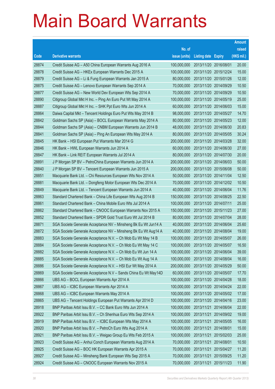|       |                                                                |               |                            |            | <b>Amount</b> |
|-------|----------------------------------------------------------------|---------------|----------------------------|------------|---------------|
|       |                                                                | No. of        |                            |            | raised        |
| Code  | <b>Derivative warrants</b>                                     | issue (units) | <b>Listing date Expiry</b> |            | (HK\$ mil.)   |
| 28874 | Credit Suisse AG - A50 China European Warrants Aug 2016 A      | 100,000,000   | 2013/11/20 2016/08/01      |            | 20.00         |
| 28878 | Credit Suisse AG - HKEx European Warrants Dec 2015 A           | 100,000,000   | 2013/11/20 2015/12/24      |            | 15.00         |
| 28879 | Credit Suisse AG – Li & Fung European Warrants Jan 2015 A      | 80,000,000    | 2013/11/20 2015/01/26      |            | 12.00         |
| 28875 | Credit Suisse AG - Lenovo European Warrants Sep 2014 A         | 70,000,000    | 2013/11/20 2014/09/29      |            | 10.50         |
| 28877 | Credit Suisse AG - New World Dev European Wts Sep 2014 A       | 70,000,000    | 2013/11/20 2014/09/29      |            | 10.50         |
| 28890 | Citigroup Global Mkt H Inc. - Ping An Euro Put Wt May 2014 A   | 100,000,000   | 2013/11/20 2014/05/19      |            | 25.00         |
| 28887 | Citigroup Global Mkt H Inc. - SHK Ppt Euro Wts Jun 2014 A      | 60,000,000    | 2013/11/20 2014/06/03      |            | 15.00         |
| 28864 | Daiwa Capital Mkt - Tencent Holdings Euro Put Wts May 2014 B   | 98,000,000    | 2013/11/20 2014/05/27      |            | 14.70         |
| 28842 | Goldman Sachs SP (Asia) – BOCL European Warrants May 2014 A    | 80,000,000    | 2013/11/20 2014/05/23      |            | 12.00         |
| 28844 | Goldman Sachs SP (Asia) – CNBM European Warrants Jun 2014 B    | 48,000,000    | 2013/11/20 2014/06/30      |            | 20.83         |
| 28841 | Goldman Sachs SP (Asia) - Ping An European Wts May 2014 A      | 80,000,000    | 2013/11/20 2014/05/05      |            | 30.24         |
| 28845 | HK Bank – HSI European Put Warrants Mar 2014 G                 | 200,000,000   | 2013/11/20 2014/03/28      |            | 32.00         |
| 28846 | HK Bank – HWL European Warrants Jun 2014 A                     | 60,000,000    | 2013/11/20 2014/06/30      |            | 27.00         |
| 28847 | HK Bank - Link REIT European Warrants Jul 2014 A               | 80,000,000    | 2013/11/20 2014/07/30      |            | 20.00         |
| 28891 | J P Morgan SP BV - PetroChina European Warrants Jun 2014 A     | 200,000,000   | 2013/11/20 2014/06/03      |            | 50.00         |
| 28840 | J P Morgan SP BV - Tencent European Warrants Jun 2015 A        | 200,000,000   | 2013/11/20 2015/06/08      |            | 50.00         |
| 28851 | Macquarie Bank Ltd. - Chi Resources European Wts Nov 2014 A    | 50,000,000    | 2013/11/20 2014/11/04      |            | 12.50         |
| 28881 | Macquarie Bank Ltd. - Dongfeng Motor European Wts Dec 2014 A   | 70,000,000    | 2013/11/20 2014/12/02      |            | 10.50         |
| 28849 | Macquarie Bank Ltd. - Tencent European Warrants Jun 2014 A     | 40,000,000    | 2013/11/20 2014/06/04      |            | 11.76         |
| 28863 | Standard Chartered Bank – China Life European Wts Aug 2014 B   | 150,000,000   | 2013/11/20 2014/08/25      |            | 22.50         |
| 28861 | Standard Chartered Bank - China Mobile Euro Wts Jul 2014 A     | 100,000,000   | 2013/11/20 2014/07/11      |            | 25.00         |
| 28862 | Standard Chartered Bank – CNOOC European Warrants Nov 2015 A   | 150,000,000   | 2013/11/20 2015/11/23      |            | 27.00         |
| 28852 | Standard Chartered Bank - SPDR Gold Trust Euro Wt Jul 2014 B   | 80,000,000    | 2013/11/20 2014/07/04      |            | 28.00         |
| 28871 | SGA Societe Generale Acceptance NV - Minsheng Bk Eu Wt Jun14 A | 40,000,000    | 2013/11/20 2014/06/04      |            | 25.60         |
| 28872 | SGA Societe Generale Acceptance NV – Minsheng Bk Eu Wt Aug14 A | 40,000,000    | 2013/11/20 2014/08/04      |            | 19.00         |
| 28883 | SGA Societe Generale Acceptance N.V. - Ch Mob Eu Wt May 14 B   | 100.000.000   | 2013/11/20 2014/05/07      |            | 26.00         |
| 28884 | SGA Societe Generale Acceptance N.V. – Ch Mob Eu Wt May 14 C   | 100,000,000   | 2013/11/20 2014/05/07      |            | 16.50         |
| 28882 | SGA Societe Generale Acceptance N.V. - Ch Mob Eu Wt Jun 14 A   | 100,000,000   | 2013/11/20 2014/06/04      |            | 39.00         |
| 28885 | SGA Societe Generale Acceptance N.V. - Ch Mob Eu Wt Aug 14 A   | 100,000,000   | 2013/11/20 2014/08/04      |            | 16.00         |
| 28886 | SGA Societe Generale Acceptance N.V. - HSI Eur Wt May 2014 A   | 200,000,000   | 2013/11/20 2014/05/29      |            | 50.00         |
| 28869 | SGA Societe Generale Acceptance N.V - Sands China Eu Wt May14D | 60,000,000    | 2013/11/20 2014/05/07      |            | 17.70         |
| 28866 | UBS AG - BOCL European Warrants Apr 2014 A                     | 100,000,000   | 2013/11/20 2014/04/28      |            | 18.00         |
| 28867 | UBS AG - ICBC European Warrants Apr 2014 A                     | 100,000,000   | 2013/11/20 2014/04/24      |            | 22.00         |
| 28868 | UBS AG - ICBC European Warrants May 2014 A                     | 100,000,000   | 2013/11/20 2014/05/02      |            | 17.00         |
| 28865 | UBS AG - Tencent Holdings European Put Warrants Apr 2014 D     | 100,000,000   | 2013/11/20 2014/04/16      |            | 23.00         |
| 28918 | BNP Paribas Arbit Issu B.V. - CC Bank Euro Wts Jun 2014 A      | 100,000,000   | 2013/11/21                 | 2014/06/04 | 22.00         |
| 28922 | BNP Paribas Arbit Issu B.V. - Ch Shenhua Euro Wts Sep 2014 A   | 100,000,000   | 2013/11/21                 | 2014/09/02 | 19.00         |
| 28919 | BNP Paribas Arbit Issu B.V. - ICBC European Wts May 2014 A     | 100,000,000   | 2013/11/21 2014/05/05      |            | 16.00         |
| 28920 | BNP Paribas Arbit Issu B.V. - PetroCh Euro Wts Aug 2014 A      | 100,000,000   | 2013/11/21                 | 2014/08/01 | 15.00         |
| 28921 | BNP Paribas Arbit Issu B.V. - Weigao Group Eu Wts Feb 2015 A   | 100,000,000   | 2013/11/21                 | 2015/02/03 | 25.00         |
| 28923 | Credit Suisse AG - Anhui Conch European Warrants Aug 2014 A    | 70,000,000    | 2013/11/21                 | 2014/08/01 | 10.50         |
| 28925 | Credit Suisse AG - BOC HK European Warrants Apr 2015 A         | 70,000,000    | 2013/11/21                 | 2015/04/27 | 11.20         |
| 28927 | Credit Suisse AG - Minsheng Bank European Wts Sep 2015 A       | 70,000,000    | 2013/11/21                 | 2015/09/25 | 11.20         |
| 28924 | Credit Suisse AG - CNOOC European Warrants Nov 2015 A          | 70,000,000    | 2013/11/21                 | 2015/11/23 | 11.90         |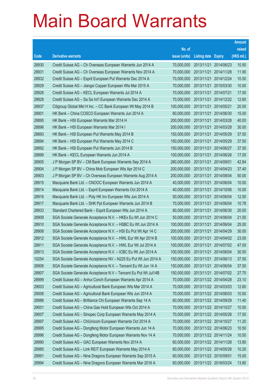|       |                                                                |               |                            |            | <b>Amount</b> |
|-------|----------------------------------------------------------------|---------------|----------------------------|------------|---------------|
|       |                                                                | No. of        |                            |            | raised        |
| Code  | <b>Derivative warrants</b>                                     | issue (units) | <b>Listing date Expiry</b> |            | (HK\$ mil.)   |
| 28930 | Credit Suisse AG - Ch Overseas European Warrants Jun 2014 A    | 70,000,000    | 2013/11/21                 | 2014/06/23 | 10.50         |
| 28931 | Credit Suisse AG – Ch Overseas European Warrants Nov 2014 A    | 70,000,000    | 2013/11/21 2014/11/28      |            | 11.90         |
| 28932 | Credit Suisse AG – Esprit European Put Warrants Dec 2014 A     | 70,000,000    | 2013/11/21                 | 2014/12/24 | 10.50         |
| 28929 | Credit Suisse AG – Jiangxi Copper European Wts Mar 2015 A      | 70,000,000    | 2013/11/21 2015/03/30      |            | 10.50         |
| 28926 | Credit Suisse AG - KECL European Warrants Jul 2014 A           | 70,000,000    | 2013/11/21                 | 2014/07/21 | 17.50         |
| 28928 | Credit Suisse AG - Sa Sa Int'l European Warrants Dec 2014 A    | 70,000,000    | 2013/11/21                 | 2014/12/22 | 12.60         |
| 28937 | Citigroup Global Mkt H Inc. - CC Bank European Wt May 2014 B   | 100,000,000   | 2013/11/21                 | 2014/05/21 | 20.00         |
| 28901 | HK Bank - China COSCO European Warrants Jun 2014 A             | 60,000,000    | 2013/11/21 2014/06/30      |            | 15.00         |
| 28895 | HK Bank - HSI European Warrants Mar 2014 H                     | 200,000,000   | 2013/11/21                 | 2014/03/28 | 40.00         |
| 28896 | HK Bank - HSI European Warrants Mar 2014 I                     | 200,000,000   | 2013/11/21                 | 2014/03/28 | 30.00         |
| 28893 | HK Bank - HSI European Put Warrants May 2014 B                 | 150,000,000   | 2013/11/21                 | 2014/05/29 | 37.50         |
| 28894 | HK Bank - HSI European Put Warrants May 2014 C                 | 150,000,000   | 2013/11/21 2014/05/29      |            | 37.50         |
| 28892 | HK Bank - HSI European Put Warrants Jun 2014 B                 | 150,000,000   | 2013/11/21                 | 2014/06/27 | 37.50         |
| 28899 | HK Bank - KECL European Warrants Jun 2014 A                    | 100,000,000   | 2013/11/21                 | 2014/06/26 | 17.00         |
| 28905 | J P Morgan SP BV - CM Bank European Warrants Sep 2014 A        | 280,000,000   | 2013/11/21                 | 2014/09/01 | 42.84         |
| 28904 | J P Morgan SP BV - China Mob European Wts Apr 2014 C           | 200,000,000   | 2013/11/21 2014/04/23      |            | 37.40         |
| 28903 | J P Morgan SP BV - Ch Overseas European Warrants Aug 2014 A    | 200,000,000   | 2013/11/21                 | 2014/08/04 | 50.00         |
| 28915 | Macquarie Bank Ltd. - CNOOC European Warrants Jun 2014 A       | 40,000,000    | 2013/11/21                 | 2014/06/04 | 10.00         |
| 28914 | Macquarie Bank Ltd. - Esprit European Warrants Oct 2014 A      | 40,000,000    | 2013/11/21                 | 2014/10/06 | 10.00         |
| 28916 | Macquarie Bank Ltd. - Poly HK Inv European Wts Jun 2014 A      | 50,000,000    | 2013/11/21                 | 2014/06/04 | 12.50         |
| 28917 | Macquarie Bank Ltd. - SHK Ppt European Warrants Jun 2014 B     | 70,000,000    | 2013/11/21                 | 2014/06/04 | 10.78         |
| 28933 | Standard Chartered Bank - Esprit European Wts Jun 2014 A       | 80,000,000    | 2013/11/21                 | 2014/06/30 | 20.00         |
| 28909 | SGA Societe Generale Acceptance N.V. - HKEx Eu Wt Jun 2014 C   | 50,000,000    | 2013/11/21                 | 2014/06/04 | 21.00         |
| 28910 | SGA Societe Generale Acceptance N.V. - HSBC Eu Wt Jun 2014 A   | 100,000,000   | 2013/11/21 2014/06/04      |            | 25.00         |
| 28908 | SGA Societe Generale Acceptance N.V. - HSI Eu Put Wt Apr 14 C  | 200,000,000   | 2013/11/21                 | 2014/04/29 | 30.00         |
| 28912 | SGA Societe Generale Acceptance N.V. - HWL Eur Wt Apr 2014 B   | 100,000,000   | 2013/11/21                 | 2014/04/02 | 23.00         |
| 28911 | SGA Societe Generale Acceptance N.V. - HWL Eur Wt Jul 2014 A   | 100,000,000   | 2013/11/21 2014/07/02      |            | 47.00         |
| 28913 | SGA Societe Generale Acceptance N.V. - ICBC Eu Wt Jun 2014 A   | 100,000,000   | 2013/11/21 2014/06/04      |            | 30.50         |
| 10254 | SGA Societe Generale Acceptance NV - N225 Eu Put Wt Jun 2014 A | 150,000,000   | 2013/11/21                 | 2014/06/13 | 37.50         |
| 28906 | SGA Societe Generale Acceptance N.V. - Tencent Eu Wt Jun 14 A  | 150,000,000   | 2013/11/21 2014/06/04      |            | 37.50         |
| 28907 | SGA Societe Generale Acceptance N.V - Tencent Eu Put Wt Jul14B | 150,000,000   | 2013/11/21 2014/07/02      |            | 27.75         |
| 28999 | Credit Suisse AG - Anhui Conch European Warrants Apr 2014 A    | 70,000,000    | 2013/11/22 2014/04/28      |            | 23.10         |
| 29003 | Credit Suisse AG - Agricultural Bank European Wts Mar 2014 A   | 70,000,000    | 2013/11/22 2014/03/03      |            | 12.60         |
| 29006 | Credit Suisse AG - Agricultural Bank European Wts Jun 2014 A   | 70,000,000    | 2013/11/22 2014/06/03      |            | 10.50         |
| 28986 | Credit Suisse AG - Brilliance Chi European Warrants Sep 14 A   | 60,000,000    | 2013/11/22 2014/09/29      |            | 11.40         |
| 29001 | Credit Suisse AG - China Gas Hold European Wts Oct 2014 A      | 70,000,000    | 2013/11/22 2014/10/27      |            | 10.50         |
| 29007 | Credit Suisse AG - Sinopec Corp European Warrants May 2014 A   | 70,000,000    | 2013/11/22 2014/05/26      |            | 17.50         |
| 28997 | Credit Suisse AG - ChiUnicom European Warrants Oct 2014 A      | 70,000,000    | 2013/11/22 2014/10/27      |            | 11.20         |
| 28995 | Credit Suisse AG - Dongfeng Motor European Warrants Jun 14 A   | 70,000,000    | 2013/11/22 2014/06/23      |            | 10.50         |
| 28996 | Credit Suisse AG - Dongfeng Motor European Warrants Nov 14 A   | 70,000,000    | 2013/11/22 2014/11/24      |            | 10.50         |
| 28990 | Credit Suisse AG - GAC European Warrants Nov 2014 A            | 60,000,000    | 2013/11/22 2014/11/28      |            | 13.80         |
| 28985 | Credit Suisse AG - Link REIT European Warrants May 2014 A      | 60,000,000    | 2013/11/22 2014/05/26      |            | 10.20         |
| 28991 | Credit Suisse AG - Nine Dragons European Warrants Sep 2015 A   | 60,000,000    | 2013/11/22 2015/09/01      |            | 15.00         |
| 28994 | Credit Suisse AG - Nine Dragons European Warrants Mar 2016 A   | 60,000,000    | 2013/11/22 2016/03/24      |            | 13.80         |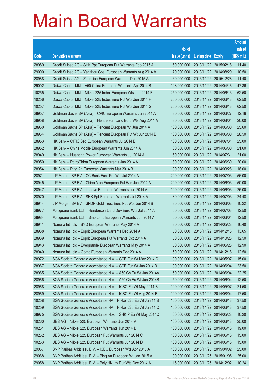|       |                                                                |               |                            |                       | <b>Amount</b> |
|-------|----------------------------------------------------------------|---------------|----------------------------|-----------------------|---------------|
|       |                                                                | No. of        |                            |                       | raised        |
| Code  | <b>Derivative warrants</b>                                     | issue (units) | <b>Listing date Expiry</b> |                       | (HK\$ mil.)   |
| 28989 | Credit Suisse AG - SHK Ppt European Put Warrants Feb 2015 A    | 60,000,000    |                            | 2013/11/22 2015/02/18 | 11.40         |
| 29000 | Credit Suisse AG - Yanzhou Coal European Warrants Aug 2014 A   | 70,000,000    |                            | 2013/11/22 2014/08/29 | 10.50         |
| 28988 | Credit Suisse AG - Zoomlion European Warrants Dec 2015 A       | 60,000,000    | 2013/11/22 2015/12/28      |                       | 11.40         |
| 29002 | Daiwa Capital Mkt - A50 China European Warrants Apr 2014 B     | 128,000,000   | 2013/11/22 2014/04/16      |                       | 47.36         |
| 10255 | Daiwa Capital Mkt - Nikkei 225 Index European Wts Jun 2014 E   | 250,000,000   |                            | 2013/11/22 2014/06/13 | 62.50         |
| 10256 | Daiwa Capital Mkt - Nikkei 225 Index Euro Put Wts Jun 2014 F   | 250,000,000   |                            | 2013/11/22 2014/06/13 | 62.50         |
| 10257 | Daiwa Capital Mkt - Nikkei 225 Index Euro Put Wts Jun 2014 G   | 250,000,000   | 2013/11/22 2014/06/13      |                       | 62.50         |
| 28957 | Goldman Sachs SP (Asia) - CPIC European Warrants Jun 2014 A    | 80,000,000    |                            | 2013/11/22 2014/06/27 | 12.16         |
| 28958 | Goldman Sachs SP (Asia) - Henderson Land Euro Wts Aug 2014 A   | 80,000,000    |                            | 2013/11/22 2014/08/04 | 20.00         |
| 28960 | Goldman Sachs SP (Asia) - Tencent European Wt Jun 2014 A       | 100,000,000   |                            | 2013/11/22 2014/06/30 | 25.60         |
| 28964 | Goldman Sachs SP (Asia) - Tencent European Put Wt Jun 2014 B   | 100,000,000   |                            | 2013/11/22 2014/06/30 | 28.50         |
| 28953 | HK Bank - CITIC Sec European Warrants Jul 2014 B               | 100,000,000   | 2013/11/22 2014/07/31      |                       | 25.00         |
| 28952 | HK Bank - China Mobile European Warrants Jun 2014 A            | 80,000,000    |                            | 2013/11/22 2014/06/30 | 21.60         |
| 28949 | HK Bank - Huaneng Power European Warrants Jul 2014 A           | 60,000,000    | 2013/11/22 2014/07/31      |                       | 21.00         |
| 28950 | HK Bank - PetroChina European Warrants Jun 2014 A              | 80,000,000    |                            | 2013/11/22 2014/06/30 | 20.00         |
| 28954 | HK Bank - Ping An European Warrants Mar 2014 B                 | 100,000,000   | 2013/11/22 2014/03/28      |                       | 18.00         |
| 28971 | J P Morgan SP BV - CC Bank Euro Put Wts Jul 2014 A             | 200,000,000   |                            | 2013/11/22 2014/07/03 | 56.00         |
| 28945 | J P Morgan SP BV - China Mob European Put Wts Jun 2014 A       | 200,000,000   |                            | 2013/11/22 2014/06/03 | 50.00         |
| 28947 | J P Morgan SP BV - Lenovo European Warrants Jun 2014 A         | 100,000,000   | 2013/11/22 2014/06/03      |                       | 25.00         |
| 28970 | J P Morgan SP BV - SHK Ppt European Warrants Jul 2014 A        | 80,000,000    | 2013/11/22 2014/07/03      |                       | 24.48         |
| 28944 | J P Morgan SP BV - SPDR Gold Trust Euro Put Wts Jun 2014 B     | 35,000,000    |                            | 2013/11/22 2014/06/03 | 10.22         |
| 28977 | Macquarie Bank Ltd. - Henderson Land Dev Euro Wts Jul 2014 A   | 50,000,000    | 2013/11/22 2014/07/03      |                       | 12.50         |
| 28984 | Macquarie Bank Ltd. - Sino Land European Warrants Jun 2014 A   | 50,000,000    | 2013/11/22 2014/06/04      |                       | 12.50         |
| 28941 | Nomura Int'l plc - BYD European Warrants May 2014 A            | 80,000,000    | 2013/11/22 2014/05/28      |                       | 16.40         |
| 28938 | Nomura Int'l plc - Esprit European Warrants Dec 2014 A         | 50,000,000    |                            | 2013/11/22 2014/12/18 | 13.65         |
| 28939 | Nomura Int'l plc - Esprit European Put Warrants Oct 2014 A     | 50,000,000    | 2013/11/22 2014/10/28      |                       | 12.50         |
| 28943 | Nomura Int'l plc - Evergrande European Warrants May 2014 A     | 50,000,000    | 2013/11/22 2014/05/28      |                       | 12.90         |
| 28940 | Nomura Int'l plc - Gome European Warrants Dec 2014 A           | 50,000,000    | 2013/11/22 2014/12/18      |                       | 12.50         |
| 28972 | SGA Societe Generale Acceptance N.V. - CCB Eur Wt May 2014 C   | 100,000,000   | 2013/11/22 2014/05/07      |                       | 15.00         |
| 28967 | SGA Societe Generale Acceptance N.V. - CCB Eur Wt Jun 2014 B   | 100,000,000   | 2013/11/22 2014/06/04      |                       | 23.50         |
| 28965 | SGA Societe Generale Acceptance N.V. - A50 Ch Eu Wt Jun 2014A  | 50,000,000    | 2013/11/22 2014/06/04      |                       | 22.25         |
| 28966 | SGA Societe Generale Acceptance N.V. - A50 Ch Eu Wt Jun 2014B  | 50,000,000    | 2013/11/22 2014/06/04      |                       | 12.50         |
| 28968 | SGA Societe Generale Acceptance N.V. - ICBC Eu Wt May 2014 B   | 100,000,000   | 2013/11/22 2014/05/07      |                       | 21.50         |
| 28969 | SGA Societe Generale Acceptance N.V. - ICBC Eu Wt Aug 2014 B   | 100,000,000   | 2013/11/22 2014/08/04      |                       | 17.50         |
| 10258 | SGA Societe Generale Acceptance NV - Nikkei 225 Eu Wt Jun 14 B | 150,000,000   | 2013/11/22 2014/06/13      |                       | 37.50         |
| 10259 | SGA Societe Generale Acceptance NV - Nikkei 225 Eu Wt Jun 14 C | 150,000,000   | 2013/11/22 2014/06/13      |                       | 37.50         |
| 28975 | SGA Societe Generale Acceptance N.V. - SHK P Eu Wt May 2014C   | 60,000,000    | 2013/11/22 2014/05/28      |                       | 10.20         |
| 10260 | UBS AG - Nikkei 225 European Warrants Jun 2014 A               | 100,000,000   | 2013/11/22 2014/06/13      |                       | 25.00         |
| 10261 | UBS AG - Nikkei 225 European Warrants Jun 2014 B               | 100,000,000   | 2013/11/22 2014/06/13      |                       | 19.00         |
| 10262 | UBS AG - Nikkei 225 European Put Warrants Jun 2014 C           | 100,000,000   | 2013/11/22 2014/06/13      |                       | 15.00         |
| 10263 | UBS AG - Nikkei 225 European Put Warrants Jun 2014 D           | 100,000,000   | 2013/11/22 2014/06/13      |                       | 15.00         |
| 29067 | BNP Paribas Arbit Issu B.V. - ICBC European Wts Apr 2015 A     | 100,000,000   |                            | 2013/11/25 2015/04/02 | 25.00         |
| 29068 | BNP Paribas Arbit Issu B.V. - Ping An European Wt Jan 2015 A   | 100,000,000   | 2013/11/25 2015/01/05      |                       | 25.00         |
| 29058 | BNP Paribas Arbit Issu B.V. - Poly HK Inv Eur Wts Dec 2014 A   | 16,000,000    |                            | 2013/11/25 2014/12/02 | 10.24         |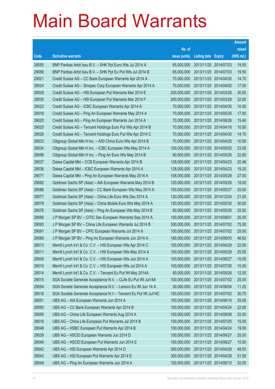|       |                                                                |               |                            |                       | <b>Amount</b> |
|-------|----------------------------------------------------------------|---------------|----------------------------|-----------------------|---------------|
|       |                                                                | No. of        |                            |                       | raised        |
| Code  | <b>Derivative warrants</b>                                     | issue (units) | <b>Listing date Expiry</b> |                       | (HK\$ mil.)   |
| 29055 | BNP Paribas Arbit Issu B.V. - SHK Ppt Euro Wts Jul 2014 A      | 65,000,000    |                            | 2013/11/25 2014/07/03 | 19.50         |
| 29056 | BNP Paribas Arbit Issu B.V. - SHK Ppt Eu Put Wts Jul 2014 B    | 65,000,000    |                            | 2013/11/25 2014/07/03 | 19.50         |
| 29021 | Credit Suisse AG - CC Bank European Warrants Apr 2014 A        | 70,000,000    |                            | 2013/11/25 2014/04/30 | 14.70         |
| 29024 | Credit Suisse AG - Sinopec Corp European Warrants Apr 2014 A   | 70,000,000    |                            | 2013/11/25 2014/04/02 | 17.50         |
| 29029 | Credit Suisse AG - HSI European Put Warrants Mar 2014 E        | 200,000,000   |                            | 2013/11/25 2014/03/28 | 30.00         |
| 29030 | Credit Suisse AG - HSI European Put Warrants Mar 2014 F        | 200,000,000   |                            | 2013/11/25 2014/03/28 | 32.00         |
| 29023 | Credit Suisse AG - ICBC European Warrants Apr 2014 A           | 70,000,000    |                            | 2013/11/25 2014/04/30 | 10.50         |
| 29019 | Credit Suisse AG - Ping An European Warrants May 2014 A        | 70,000,000    |                            | 2013/11/25 2014/05/30 | 17.50         |
| 29020 | Credit Suisse AG - Ping An European Warrants Jun 2014 A        | 70,000,000    |                            | 2013/11/25 2014/06/26 | 15.40         |
| 29025 | Credit Suisse AG - Tencent Holdings Euro Put Wts Apr 2014 B    | 70,000,000    |                            | 2013/11/25 2014/04/16 | 10.50         |
| 29026 | Credit Suisse AG - Tencent Holdings Euro Put Wts Apr 2014 C    | 70,000,000    |                            | 2013/11/25 2014/04/30 | 14.70         |
| 29033 | Citigroup Global Mkt H Inc. - A50 China Euro Wts Apr 2014 B    | 70,000,000    |                            | 2013/11/25 2014/04/25 | 10.50         |
| 29034 | Citigroup Global Mkt H Inc. - ICBC European Wts May 2014 A     | 100,000,000   |                            | 2013/11/25 2014/05/02 | 23.00         |
| 29096 | Citigroup Global Mkt H Inc. - Ping An Euro Wts May 2014 B      | 80,000,000    |                            | 2013/11/25 2014/05/26 | 22.80         |
| 29037 | Daiwa Capital Mkt - CCB European Warrants Apr 2014 B           | 128,000,000   |                            | 2013/11/25 2014/04/23 | 20.48         |
| 29038 | Daiwa Capital Mkt - ICBC European Warrants Apr 2014 A          | 128,000,000   |                            | 2013/11/25 2014/04/23 | 19.20         |
| 29071 | Daiwa Capital Mkt - Ping An European Warrants May 2014 A       | 108,000,000   |                            | 2013/11/25 2014/05/28 | 27.00         |
| 29082 | Goldman Sachs SP (Asia) - AIA European Warrants May 2014 B     | 120,000,000   |                            | 2013/11/25 2014/05/26 | 18.00         |
| 29086 | Goldman Sachs SP (Asia) - CC Bank European Wts May 2014 A      | 100,000,000   |                            | 2013/11/25 2014/05/27 | 25.00         |
| 29077 | Goldman Sachs SP (Asia) - China Life Euro Wts Dec 2014 A       | 120,000,000   |                            | 2013/11/25 2014/12/24 | 21.00         |
| 29079 | Goldman Sachs SP (Asia) - China Mobile Euro Wts May 2014 A     | 120,000,000   |                            | 2013/11/25 2014/05/30 | 30.00         |
| 29076 | Goldman Sachs SP (Asia) - Ping An European Wts May 2014 B      | 80,000,000    |                            | 2013/11/25 2014/05/30 | 25.92         |
| 29090 | J P Morgan SP BV - CITIC Sec European Warrants Sep 2014 A      | 100,000,000   | 2013/11/25 2014/09/01      |                       | 25.00         |
| 29093 | J P Morgan SP BV - China Life European Warrants Jul 2014 B     | 300,000,000   |                            | 2013/11/25 2014/07/02 | 75.00         |
| 29091 | J P Morgan SP BV - CPIC European Warrants Jul 2014 A           | 100,000,000   |                            | 2013/11/25 2014/07/02 | 25.00         |
| 29089 | J P Morgan SP BV - Ping An European Warrants Jun 2014 A        | 180,000,000   | 2013/11/25 2014/06/03      |                       | 46.62         |
| 29013 | Merrill Lynch Int'l & Co. C.V. - HSI European Wts Apr 2014 C   | 100,000,000   | 2013/11/25 2014/04/29      |                       | 22.00         |
| 29011 | Merrill Lynch Int'l & Co. C.V. - HSI European Wts May 2014 A   | 100,000,000   | 2013/11/25 2014/05/29      |                       | 25.00         |
| 29008 | Merrill Lynch Int'l & Co. C.V. - HSI European Wts Jun 2014 A   | 100,000,000   |                            | 2013/11/25 2014/06/27 | 15.00         |
| 29010 | Merrill Lynch Int'l & Co. C.V. - HSI European Wts Jul 2014 A   | 100,000,000   |                            | 2013/11/25 2014/07/30 | 15.00         |
| 29014 | Merrill Lynch Int'l & Co. C.V. - Tencent Eu Put Wt May 2014A   | 80,000,000    |                            | 2013/11/25 2014/05/26 | 12.00         |
| 29015 | SGA Societe Generale Acceptance N.V. - CLife Eu Put Wt Jul14A  | 100,000,000   |                            | 2013/11/25 2014/07/02 | 25.00         |
| 29054 | SGA Societe Generale Acceptance N.V. - Lenovo Eu Wt Jun 14 A   | 30,000,000    |                            | 2013/11/25 2014/06/04 | 11.25         |
| 29018 | SGA Societe Generale Acceptance N.V - Tencent Eu Put Wt Jul14C | 150,000,000   |                            | 2013/11/25 2014/07/02 | 30.75         |
| 29051 | UBS AG - AIA European Warrants Jun 2014 A                      | 100,000,000   |                            | 2013/11/25 2014/06/10 | 25.00         |
| 29050 | UBS AG - CC Bank European Warrants Apr 2014 B                  | 100,000,000   | 2013/11/25 2014/04/24      |                       | 22.00         |
| 29095 | UBS AG - China Life European Warrants Aug 2014 A               | 100,000,000   | 2013/11/25 2014/08/08      |                       | 25.00         |
| 29016 | UBS AG - China Life European Put Warrants Jul 2014 B           | 100,000,000   |                            | 2013/11/25 2014/07/25 | 15.00         |
| 29048 | UBS AG - HSBC European Put Warrants Apr 2014 B                 | 100,000,000   |                            | 2013/11/25 2014/04/24 | 19.00         |
| 29039 | UBS AG - HSCEI European Warrants Jun 2014 D                    | 100,000,000   | 2013/11/25 2014/06/27      |                       | 25.00         |
| 29040 | UBS AG - HSCEI European Put Warrants Jun 2014 E                | 100,000,000   |                            | 2013/11/25 2014/06/27 | 15.00         |
| 29042 | UBS AG - HSI European Warrants Apr 2014 D                      | 300,000,000   | 2013/11/25 2014/04/29      |                       | 48.00         |
| 29043 | UBS AG - HSI European Put Warrants Apr 2014 E                  | 300,000,000   | 2013/11/25 2014/04/29      |                       | 51.00         |
| 29049 | UBS AG - Ping An European Warrants Jun 2014 A                  | 100,000,000   | 2013/11/25 2014/06/10      |                       | 32.00         |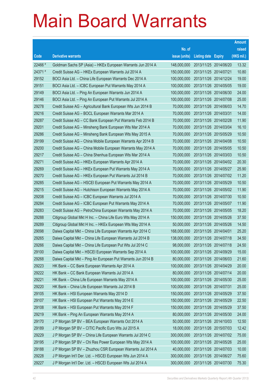|         |                                                              |               |                            | <b>Amount</b> |
|---------|--------------------------------------------------------------|---------------|----------------------------|---------------|
|         |                                                              | No. of        |                            | raised        |
| Code    | <b>Derivative warrants</b>                                   | issue (units) | <b>Listing date Expiry</b> | (HK\$ mil.)   |
| 22466 # | Goldman Sachs SP (Asia) - HKEx European Warrants Jun 2014 A  | 148,000,000   | 2013/11/25 2014/06/20      | 13.32         |
| 24371 # | Credit Suisse AG - HKEx European Warrants Jul 2014 A         | 150,000,000   | 2013/11/25 2014/07/21      | 10.80         |
| 29152   | BOCI Asia Ltd. - China Life European Warrants Dec 2014 A     | 100,000,000   | 2013/11/26 2014/12/24      | 19.00         |
| 29151   | BOCI Asia Ltd. - ICBC European Put Warrants May 2014 A       | 100,000,000   | 2013/11/26 2014/05/05      | 19.00         |
| 29149   | BOCI Asia Ltd. - Ping An European Warrants Jun 2014 A        | 100,000,000   | 2013/11/26 2014/06/30      | 24.00         |
| 29146   | BOCI Asia Ltd. - Ping An European Put Warrants Jul 2014 A    | 100,000,000   | 2013/11/26 2014/07/08      | 25.00         |
| 29278   | Credit Suisse AG - Agricultural Bank European Wts Jun 2014 B | 70,000,000    | 2013/11/26 2014/06/03      | 14.70         |
| 29216   | Credit Suisse AG - BOCL European Warrants Mar 2014 A         | 70,000,000    | 2013/11/26 2014/03/31      | 14.00         |
| 29287   | Credit Suisse AG - CC Bank European Put Warrants Feb 2014 B  | 70,000,000    | 2013/11/26 2014/02/28      | 11.90         |
| 29201   | Credit Suisse AG - Minsheng Bank European Wts Mar 2014 A     | 70,000,000    | 2013/11/26 2014/03/04      | 16.10         |
| 29286   | Credit Suisse AG - Minsheng Bank European Wts May 2015 A     | 70,000,000    | 2013/11/26 2015/05/29      | 10.50         |
| 29199   | Credit Suisse AG - China Mobile European Warrants Apr 2014 B | 70,000,000    | 2013/11/26 2014/04/08      | 10.50         |
| 29200   | Credit Suisse AG - China Mobile European Warrants May 2014 A | 70,000,000    | 2013/11/26 2014/05/05      | 10.50         |
| 29217   | Credit Suisse AG - China Shenhua European Wts Mar 2014 A     | 70,000,000    | 2013/11/26 2014/03/03      | 10.50         |
| 29271   | Credit Suisse AG - HKEx European Warrants Apr 2014 A         | 70,000,000    | 2013/11/26 2014/04/02      | 20.30         |
| 29269   | Credit Suisse AG - HKEx European Put Warrants May 2014 A     | 70,000,000    | 2013/11/26 2014/05/27      | 25.90         |
| 29270   | Credit Suisse AG - HKEx European Put Warrants Jul 2014 B     | 70,000,000    | 2013/11/26 2014/07/02      | 11.20         |
| 29285   | Credit Suisse AG - HSCEI European Put Warrants May 2014 A    | 70,000,000    | 2013/11/26 2014/05/29      | 10.50         |
| 29215   | Credit Suisse AG - Hutchison European Warrants May 2014 A    | 70,000,000    | 2013/11/26 2014/05/02      | 11.90         |
| 29208   | Credit Suisse AG - ICBC European Warrants Jul 2014 A         | 70,000,000    | 2013/11/26 2014/07/30      | 10.50         |
| 29284   | Credit Suisse AG - ICBC European Put Warrants May 2014 A     | 70,000,000    | 2013/11/26 2014/05/07      | 11.90         |
| 29283   | Credit Suisse AG - PetroChina European Warrants May 2014 A   | 70,000,000    | 2013/11/26 2014/05/05      | 18.20         |
| 29288   | Citigroup Global Mkt H Inc. - China Life Euro Wts May 2014 A | 150,000,000   | 2013/11/26 2014/05/26      | 37.50         |
| 29289   | Citigroup Global Mkt H Inc. - HKEx European Wts May 2014 A   | 50,000,000    | 2013/11/26 2014/05/26      | 14.50         |
| 29098   | Daiwa Capital Mkt - China Life European Warrants Apr 2014 C  | 168,000,000   | 2013/11/26 2014/04/01      | 25.20         |
| 29265   | Daiwa Capital Mkt - China Life European Warrants Jul 2014 B  | 138,000,000   | 2013/11/26 2014/07/18      | 34.50         |
| 29266   | Daiwa Capital Mkt - China Life European Put Wts Jul 2014 C   | 98,000,000    | 2013/11/26 2014/07/18      | 24.50         |
| 29100   | Daiwa Capital Mkt - HSCEI European Warrants Sep 2014 A       | 100,000,000   | 2013/11/26 2014/09/29      | 15.00         |
| 29268   | Daiwa Capital Mkt - Ping An European Put Warrants Jun 2014 B | 80,000,000    | 2013/11/26 2014/06/03      | 21.60         |
| 29223   | HK Bank - CC Bank European Warrants Apr 2014 A               | 100,000,000   | 2013/11/26 2014/04/29      | 20.00         |
| 29222   | HK Bank - CC Bank European Warrants Jul 2014 A               | 80,000,000    | 2013/11/26 2014/07/14      | 20.00         |
| 29221   | HK Bank - China Life European Warrants May 2014 A            | 100,000,000   | 2013/11/26 2014/05/30      | 25.00         |
| 29220   | HK Bank - China Life European Warrants Jul 2014 B            | 100,000,000   | 2013/11/26 2014/07/31      | 25.00         |
| 29105   | HK Bank - HSI European Warrants May 2014 D                   | 150,000,000   | 2013/11/26 2014/05/29      | 37.50         |
| 29107   | HK Bank - HSI European Put Warrants May 2014 E               | 150,000,000   | 2013/11/26 2014/05/29      | 22.50         |
| 29108   | HK Bank - HSI European Put Warrants May 2014 F               | 150,000,000   | 2013/11/26 2014/05/29      | 37.50         |
| 29219   | HK Bank - Ping An European Warrants May 2014 A               | 80,000,000    | 2013/11/26 2014/05/30      | 24.00         |
| 29170   | J P Morgan SP BV - BEA European Warrants Oct 2014 A          | 50,000,000    | 2013/11/26 2014/10/03      | 12.50         |
| 29189   | J P Morgan SP BV - CITIC Pacific Euro Wts Jul 2015 A         | 18,000,000    | 2013/11/26 2015/07/03      | 12.42         |
| 29229   | J P Morgan SP BV - China Life European Warrants Jul 2014 C   | 300,000,000   | 2013/11/26 2014/07/02      | 75.00         |
| 29195   | J P Morgan SP BV - Chi Res Power European Wts May 2014 A     | 100,000,000   | 2013/11/26 2014/05/26      | 25.00         |
| 29188   | J P Morgan SP BV - Zhuzhou CSR European Warrants Jul 2014 A  | 40,000,000    | 2013/11/26 2014/07/03      | 10.00         |
| 29228   | J P Morgan Int'l Der. Ltd. - HSCEI European Wts Jun 2014 A   | 300,000,000   | 2013/11/26 2014/06/27      | 75.60         |
| 29227   | J P Morgan Int'l Der. Ltd. - HSCEI European Wts Jul 2014 A   | 300,000,000   | 2013/11/26 2014/07/30      | 75.30         |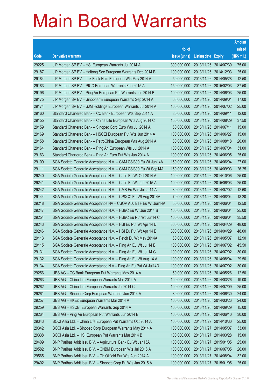|       |                                                                |               |                            | <b>Amount</b> |
|-------|----------------------------------------------------------------|---------------|----------------------------|---------------|
|       |                                                                | No. of        |                            | raised        |
| Code  | <b>Derivative warrants</b>                                     | issue (units) | <b>Listing date Expiry</b> | (HK\$ mil.)   |
| 29225 | J P Morgan SP BV - HSI European Warrants Jul 2014 A            | 300,000,000   | 2013/11/26 2014/07/30      | 75.00         |
| 29187 | J P Morgan SP BV - Haitong Sec European Warrants Dec 2014 B    | 100,000,000   | 2013/11/26 2014/12/03      | 25.00         |
| 29184 | J P Morgan SP BV - Luk Fook Hold European Wts May 2014 A       | 50,000,000    | 2013/11/26 2014/05/28      | 12.50         |
| 29183 | J P Morgan SP BV - PICC European Warrants Feb 2015 A           | 150,000,000   | 2013/11/26 2015/02/03      | 37.50         |
| 29196 | J P Morgan SP BV – Ping An European Put Warrants Jun 2014 B    | 100,000,000   | 2013/11/26 2014/06/03      | 25.00         |
| 29175 | J P Morgan SP BV - Sinopharm European Warrants Sep 2014 A      | 68,000,000    | 2013/11/26 2014/09/01      | 17.00         |
| 29174 | J P Morgan SP BV - SJM Holdings European Warrants Jul 2014 A   | 100,000,000   | 2013/11/26 2014/07/02      | 25.00         |
| 29160 | Standard Chartered Bank – CC Bank European Wts Sep 2014 A      | 80,000,000    | 2013/11/26 2014/09/11      | 12.00         |
| 29155 | Standard Chartered Bank - China Life European Wts Aug 2014 C   | 150,000,000   | 2013/11/26 2014/08/29      | 37.50         |
| 29159 | Standard Chartered Bank - Sinopec Corp Euro Wts Jul 2014 A     | 60,000,000    | 2013/11/26 2014/07/11      | 15.00         |
| 29169 | Standard Chartered Bank - HSCEI European Put Wts Jun 2014 A    | 100,000,000   | 2013/11/26 2014/06/27      | 15.00         |
| 29158 | Standard Chartered Bank - PetroChina European Wts Aug 2014 A   | 80,000,000    | 2013/11/26 2014/08/18      | 20.00         |
| 29164 | Standard Chartered Bank – Ping An European Wts Jul 2014 A      | 100,000,000   | 2013/11/26 2014/07/04      | 31.00         |
| 29163 | Standard Chartered Bank - Ping An Euro Put Wts Jun 2014 A      | 100,000,000   | 2013/11/26 2014/06/05      | 25.00         |
| 29109 | SGA Societe Generale Acceptance N.V. - CAM CSI300 Eu Wt Jun14A | 150,000,000   | 2013/11/26 2014/06/04      | 27.00         |
| 29111 | SGA Societe Generale Acceptance N.V. - CAM CSI300 Eu Wt Sep14A | 150,000,000   | 2013/11/26 2014/09/03      | 26.25         |
| 29240 | SGA Societe Generale Acceptance N.V. - CLife Eu Wt Oct 2014 A  | 100,000,000   | 2013/11/26 2014/10/06      | 25.00         |
| 29241 | SGA Societe Generale Acceptance N.V. - CLife Eu Wt Jun 2015 A  | 100,000,000   | 2013/11/26 2015/06/03      | 25.00         |
| 29242 | SGA Societe Generale Acceptance N.V. - CMB Eu Wts Jul 2014 A   | 30,000,000    | 2013/11/26 2014/07/02      | 12.60         |
| 29144 | SGA Societe Generale Acceptance N.V. - CP&CC Eu Wt Aug 2014A   | 70,000,000    | 2013/11/26 2014/08/04      | 18.20         |
| 29218 | SGA Societe Generale Acceptance NV - CSOP A50 ETF Eu Wt Jun14A | 50,000,000    | 2013/11/26 2014/06/04      | 12.50         |
| 29247 | SGA Societe Generale Acceptance N.V. - HSBC Eu Wt Jun 2014 B   | 100,000,000   | 2013/11/26 2014/06/04      | 25.00         |
| 29254 | SGA Societe Generale Acceptance N.V. - HSBC Eu Put Wt Jun14 C  | 100,000,000   | 2013/11/26 2014/06/04      | 35.50         |
| 29243 | SGA Societe Generale Acceptance N.V. - HSI Eu Put Wt Apr 14 D  | 300,000,000   | 2013/11/26 2014/04/29      | 48.00         |
| 29246 | SGA Societe Generale Acceptance N.V. - HSI Eu Put Wt Apr 14 E  | 300,000,000   | 2013/11/26 2014/04/29      | 48.00         |
| 29113 | SGA Societe Generale Acceptance N.V. - Petch Eu Wt May 2014A   | 60,000,000    | 2013/11/26 2014/05/07      | 12.90         |
| 29115 | SGA Societe Generale Acceptance N.V. - Ping An Eu Wt Jul 14 B  | 100,000,000   | 2013/11/26 2014/07/02      | 45.50         |
| 29131 | SGA Societe Generale Acceptance N.V. - Ping An Eu Wt Jul 14 C  | 100,000,000   | 2013/11/26 2014/07/02      | 30.00         |
| 29132 | SGA Societe Generale Acceptance N.V. - Ping An Eu Wt Aug 14 A  | 100,000,000   | 2013/11/26 2014/08/04      | 29.50         |
| 29134 | SGA Societe Generale Acceptance N.V - Ping An Eu Put Wt Jul14D | 100,000,000   | 2013/11/26 2014/07/02      | 30.00         |
| 29256 | UBS AG - CC Bank European Put Warrants May 2014 A              | 50,000,000    | 2013/11/26 2014/05/26      | 12.50         |
| 29263 | UBS AG - China Life European Warrants Mar 2014 A               | 100,000,000   | 2013/11/26 2014/03/26      | 19.00         |
| 29262 | UBS AG - China Life European Warrants Jul 2014 C               | 100,000,000   | 2013/11/26 2014/07/09      | 25.00         |
| 29261 | UBS AG - Sinopec Corp European Warrants Jun 2014 A             | 80,000,000    | 2013/11/26 2014/06/30      | 24.00         |
| 29257 | UBS AG - HKEx European Warrants Mar 2014 A                     | 100,000,000   | 2013/11/26 2014/03/26      | 24.00         |
| 29259 | UBS AG - HSCEI European Warrants Sep 2014 A                    | 100,000,000   | 2013/11/26 2014/09/29      | 15.00         |
| 29264 | UBS AG - Ping An European Put Warrants Jun 2014 B              | 100,000,000   | 2013/11/26 2014/06/10      | 30.00         |
| 29343 | BOCI Asia Ltd. - China Life European Put Warrants Oct 2014 A   | 100,000,000   | 2013/11/27 2014/10/30      | 25.00         |
| 29342 | BOCI Asia Ltd. - Sinopec Corp European Warrants May 2014 A     | 100,000,000   | 2013/11/27 2014/05/07      | 33.00         |
| 29338 | BOCI Asia Ltd. - HSI European Put Warrants Mar 2014 B          | 100,000,000   | 2013/11/27 2014/03/28      | 15.00         |
| 29409 | BNP Paribas Arbit Issu B.V. - Agricultural Bank Eu Wt Jan15A   | 100,000,000   | 2013/11/27 2015/01/05      | 25.00         |
| 29582 | BNP Paribas Arbit Issu B.V. - CNBM European Wts Jul 2016 A     | 100,000,000   | 2013/11/27 2016/07/05      | 26.00         |
| 29565 | BNP Paribas Arbit Issu B.V. - Ch Oilfield Eur Wts Aug 2014 A   | 100,000,000   | 2013/11/27 2014/08/04      | 32.00         |
| 29402 | BNP Paribas Arbit Issu B.V. - Sinopec Corp Eu Wts Jan 2015 A   | 100,000,000   | 2013/11/27 2015/01/05      | 25.00         |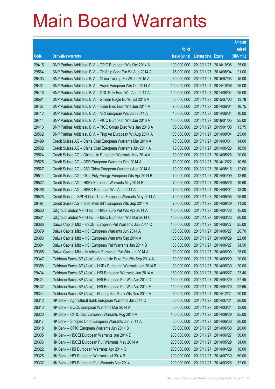|       |                                                              |                                   |                            | <b>Amount</b> |
|-------|--------------------------------------------------------------|-----------------------------------|----------------------------|---------------|
|       |                                                              | No. of                            |                            | raised        |
| Code  | <b>Derivative warrants</b>                                   | issue (units)                     | <b>Listing date Expiry</b> | $(HK$$ mil.)  |
| 29415 | BNP Paribas Arbit Issu B.V. - CPIC European Wts Oct 2014 A   | 100,000,000                       | 2013/11/27 2014/10/06      | 25.00         |
| 29564 | BNP Paribas Arbit Issu B.V. - Ch Ship Cont Eur Wt Aug 2014 A | 75,000,000                        | 2013/11/27 2014/08/04      | 21.00         |
| 29403 | BNP Paribas Arbit Issu B.V. - China Taiping Eu Wt Jul 2015 A | 60,000,000                        | 2013/11/27 2015/07/03      | 15.00         |
| 29401 | BNP Paribas Arbit Issu B.V. - Esprit European Wts Oct 2014 A | 100,000,000                       | 2013/11/27 2014/10/06      | 25.00         |
| 29416 | BNP Paribas Arbit Issu B.V. - GCL-Poly Euro Wts Aug 2014 A   | 100,000,000                       | 2013/11/27 2014/08/04      | 25.00         |
| 29581 | BNP Paribas Arbit Issu B.V. - Golden Eagle Eu Wt Jul 2015 A  | 53,000,000                        | 2013/11/27 2015/07/03      | 13.78         |
| 29407 | BNP Paribas Arbit Issu B.V. - Haier Elec Euro Wts Jun 2014 A | 75,000,000                        | 2013/11/27 2014/06/04      | 18.75         |
| 29412 | BNP Paribas Arbit Issu B.V. - NCI European Wts Jun 2014 A    | 40,000,000                        | 2013/11/27 2014/06/04      | 10.00         |
| 29414 | BNP Paribas Arbit Issu B.V. - PICC European Wts Jan 2016 A   | 100,000,000                       | 2013/11/27 2016/01/05      | 25.00         |
| 29413 | BNP Paribas Arbit Issu B.V. - PICC Group Euro Wts Jan 2015 A | 55,000,000                        | 2013/11/27 2015/01/05      | 13.75         |
| 29562 | BNP Paribas Arbit Issu B.V. - Ping An European Wt Aug 2014 A | 100,000,000                       | 2013/11/27 2014/08/04      | 25.00         |
| 29499 | Credit Suisse AG - China Coal European Warrants Mar 2014 A   | 70,000,000                        | 2013/11/27 2014/03/31      | 14.00         |
| 29502 | Credit Suisse AG - China Coal European Warrants Jun 2014 A   | 70,000,000                        | 2013/11/27 2014/06/23      | 18.90         |
| 29524 | Credit Suisse AG - China Life European Warrants May 2014 A   | 80,000,000                        | 2013/11/27 2014/05/26      | 20.00         |
| 29525 | Credit Suisse AG - CSR European Warrants Dec 2014 A          | 70,000,000                        | 2013/11/27 2014/12/22      | 10.50         |
| 29527 | Credit Suisse AG - A50 China European Warrants Aug 2014 A    | 80,000,000                        | 2013/11/27 2014/08/15      | 12.00         |
| 29514 | Credit Suisse AG – GCL-Poly Energy European Wts Apr 2014 B   | 70,000,000                        | 2013/11/27 2014/04/09      | 12.60         |
| 29522 | Credit Suisse AG - HKEx European Warrants May 2014 B         | 70,000,000                        | 2013/11/27 2014/05/26      | 19.60         |
| 29496 | Credit Suisse AG - HSBC European Wts Aug 2014 A              | 70,000,000                        | 2013/11/27 2014/08/01      | 13.30         |
| 29528 | Credit Suisse – SPDR Gold Trust European Warrants May 2014 A | 70,000,000                        | 2013/11/27 2014/05/05      | 25.90         |
| 29497 | Credit Suisse AG - Shenzhen Int'l European Wts Sep 2014 A    | 70,000,000                        | 2013/11/27 2014/09/29      | 11.20         |
| 29550 | Citigroup Global Mkt H Inc. - HKEx Euro Put Wts Apr 2014 A   | 100,000,000                       | 2013/11/27 2014/04/28      | 15.00         |
| 29531 | Citigroup Global Mkt H Inc. - HSBC European Wts Mar 2014 C   | 100,000,000                       | 2013/11/27 2014/03/26      | 20.00         |
| 29386 | Daiwa Capital Mkt - HSCEI European Put Warrants Jun 2014 C   | 100,000,000                       | 2013/11/27 2014/06/27      | 25.00         |
| 29379 | Daiwa Capital Mkt - HSI European Warrants Jun 2014 A         | 138,000,000                       | 2013/11/27 2014/06/27      | 20.70         |
| 29383 | Daiwa Capital Mkt - HSI European Warrants Sep 2014 A         | 138,000,000                       | 2013/11/27 2014/09/29      | 22.08         |
| 29384 | Daiwa Capital Mkt - HSI European Put Warrants Jun 2014 B     | 138,000,000 2013/11/27 2014/06/27 |                            | 34.50         |
| 29385 | Daiwa Capital Mkt - Hutchison European Put Wts Jun 2014 A    | 80,000,000                        | 2013/11/27 2014/06/03      | 28.00         |
| 29347 | Goldman Sachs SP (Asia) - China Life Euro Put Wts Sep 2014 A | 80,000,000                        | 2013/11/27 2014/09/29      | 20.00         |
| 29358 | Goldman Sachs SP (Asia) - HKEx European Warrants Jun 2014 B  | 80,000,000                        | 2013/11/27 2014/06/30      | 20.00         |
| 29434 | Goldman Sachs SP (Asia) - HSI European Warrants Jun 2014 A   | 150,000,000                       | 2013/11/27 2014/06/27      | 23.40         |
| 29424 | Goldman Sachs SP (Asia) - HSI European Put Wts Apr 2014 D    | 150,000,000                       | 2013/11/27 2014/04/29      | 27.45         |
| 29432 | Goldman Sachs SP (Asia) - HSI European Put Wts Apr 2014 E    | 150,000,000                       | 2013/11/27 2014/04/29      | 22.65         |
| 29344 | Goldman Sachs SP (Asia) - Haitong Sec Euro Wts Dec 2014 A    | 80,000,000                        | 2013/11/27 2014/12/31      | 20.00         |
| 29312 | HK Bank - Agricultural Bank European Warrants Jul 2014 C     | 80,000,000                        | 2013/11/27 2014/07/21      | 20.00         |
| 29313 | HK Bank - BOCL European Warrants Mar 2014 A                  | 80,000,000                        | 2013/11/27 2014/03/24      | 12.00         |
| 29320 | HK Bank - CITIC Sec European Warrants Aug 2014 A             | 100,000,000                       | 2013/11/27 2014/08/29      | 25.00         |
| 29317 | HK Bank - Sinopec Corp European Warrants Jun 2014 A          | 80,000,000                        | 2013/11/27 2014/06/30      | 20.00         |
| 29318 | HK Bank - CPIC European Warrants Jun 2014 B                  | 80,000,000                        | 2013/11/27 2014/06/30      | 20.00         |
| 29335 | HK Bank - HSCEI European Warrants Jun 2014 D                 | 200,000,000                       | 2013/11/27 2014/06/27      | 50.00         |
| 29336 | HK Bank - HSCEI European Put Warrants May 2014 A             | 200,000,000                       | 2013/11/27 2014/05/29      | 34.00         |
| 29322 | HK Bank - HSI European Warrants Apr 2014 G                   | 200,000,000                       | 2013/11/27 2014/04/29      | 36.00         |
| 29325 | HK Bank - HSI European Warrants Jul 2014 B                   | 200,000,000                       | 2013/11/27 2014/07/30      | 50.00         |
| 29332 | HK Bank - HSI European Put Warrants Mar 2014 J               | 200,000,000                       | 2013/11/27 2014/03/28      | 32.00         |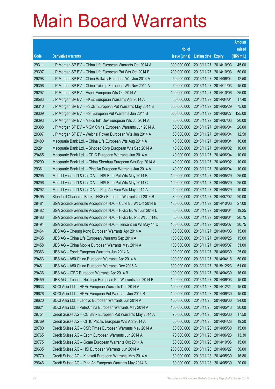|       |                                                               |               |                            |                       | <b>Amount</b> |
|-------|---------------------------------------------------------------|---------------|----------------------------|-----------------------|---------------|
|       |                                                               | No. of        |                            |                       | raised        |
| Code  | <b>Derivative warrants</b>                                    | issue (units) | <b>Listing date Expiry</b> |                       | (HK\$ mil.)   |
| 29311 | J P Morgan SP BV - China Life European Warrants Oct 2014 A    | 300,000,000   |                            | 2013/11/27 2014/10/03 | 45.00         |
| 29397 | J P Morgan SP BV - China Life European Put Wts Oct 2014 B     | 200,000,000   | 2013/11/27 2014/10/03      |                       | 50.00         |
| 29298 | J P Morgan SP BV - China Railway European Wts Jun 2014 A      | 50,000,000    | 2013/11/27 2014/06/04      |                       | 12.50         |
| 29396 | J P Morgan SP BV - China Taiping European Wts Nov 2014 A      | 60,000,000    | 2013/11/27 2014/11/03      |                       | 15.00         |
| 29297 | J P Morgan SP BV - Esprit European Wts Oct 2014 A             | 100,000,000   |                            | 2013/11/27 2014/10/06 | 25.00         |
| 29583 | J P Morgan SP BV - HKEx European Warrants Apr 2014 A          | 50,000,000    | 2013/11/27 2014/04/01      |                       | 17.40         |
| 29310 | J P Morgan SP BV - HSCEI European Put Warrants May 2014 B     | 300,000,000   | 2013/11/27 2014/05/29      |                       | 75.00         |
| 29309 | J P Morgan SP BV - HSI European Put Warrants Jun 2014 B       | 500,000,000   | 2013/11/27 2014/06/27      |                       | 125.00        |
| 29393 | J P Morgan SP BV - Melco Int'l Dev European Wts Jul 2014 A    | 80,000,000    | 2013/11/27 2014/07/03      |                       | 20.00         |
| 29388 | J P Morgan SP BV - MGM China European Warrants Jun 2014 A     | 80,000,000    | 2013/11/27 2014/06/04      |                       | 20.00         |
| 29307 | J P Morgan SP BV - Weichai Power European Wts Jun 2014 A      | 50,000,000    | 2013/11/27 2014/06/04      |                       | 12.50         |
| 29480 | Macquarie Bank Ltd. - China Life European Wts Aug 2014 A      | 40,000,000    | 2013/11/27 2014/08/04      |                       | 10.08         |
| 29291 | Macquarie Bank Ltd. - Sinopec Corp European Wts Sep 2014 A    | 40,000,000    |                            | 2013/11/27 2014/09/02 | 10.00         |
| 29465 | Macquarie Bank Ltd. - CPIC European Warrants Jun 2014 A       | 40,000,000    | 2013/11/27 2014/06/04      |                       | 10.00         |
| 29290 | Macquarie Bank Ltd. - China Shenhua European Wts Sep 2014 A   | 40,000,000    |                            | 2013/11/27 2014/09/02 | 10.00         |
| 29361 | Macquarie Bank Ltd. - Ping An European Warrants Jun 2014 A    | 40,000,000    | 2013/11/27 2014/06/04      |                       | 10.00         |
| 29295 | Merrill Lynch Int'l & Co. C.V. - HSI Euro Put Wts May 2014 B  | 100,000,000   |                            | 2013/11/27 2014/05/29 | 25.00         |
| 29296 | Merrill Lynch Int'l & Co. C.V. - HSI Euro Put Wts May 2014 C  | 100,000,000   | 2013/11/27 2014/05/29      |                       | 25.00         |
| 29292 | Merrill Lynch Int'l & Co. C.V. - Ping An Euro Wts May 2014 A  | 40,000,000    | 2013/11/27 2014/05/29      |                       | 10.00         |
| 29495 | Standard Chartered Bank – HKEx European Warrants Jul 2014 B   | 80,000,000    | 2013/11/27 2014/07/02      |                       | 20.00         |
| 29481 | SGA Societe Generale Acceptance N.V. - CLife Eu Wt Oct 2014 B | 180,000,000   |                            | 2013/11/27 2014/10/06 | 27.00         |
| 29482 | SGA Societe Generale Acceptance N.V. - HKEx Eu Wt Jun 2014 D  | 50,000,000    | 2013/11/27 2014/06/04      |                       | 19.25         |
| 29483 | SGA Societe Generale Acceptance N.V. - HKEx Eu Put Wt Jun14E  | 50,000,000    | 2013/11/27 2014/06/04      |                       | 20.75         |
| 29494 | SGA Societe Generale Acceptance N.V. - Tencent Eu Wt May 14 D | 150,000,000   | 2013/11/27 2014/05/07      |                       | 30.75         |
| 29464 | UBS AG - Cheung Kong European Warrants Apr 2014 A             | 100,000,000   |                            | 2013/11/27 2014/04/03 | 15.00         |
| 29435 | UBS AG – China Life European Warrants Sep 2014 A              | 100,000,000   | 2013/11/27 2014/09/25      |                       | 15.00         |
| 29458 | UBS AG - China Mobile European Warrants May 2014 A            | 100,000,000   | 2013/11/27 2014/05/07      |                       | 31.00         |
| 29363 | UBS AG - Esprit European Warrants Jun 2014 A                  | 100,000,000   | 2013/11/27 2014/06/30      |                       | 25.00         |
| 29463 | UBS AG - A50 China European Warrants Apr 2014 A               | 100,000,000   | 2013/11/27 2014/04/16      |                       | 50.00         |
| 29461 | UBS AG - A50 China European Warrants Dec 2015 A               | 300,000,000   | 2013/11/27 2015/12/23      |                       | 51.00         |
| 29436 | UBS AG - ICBC European Warrants Apr 2014 B                    | 100,000,000   | 2013/11/27 2014/04/30      |                       | 16.00         |
| 29459 | UBS AG - Tencent Holdings European Put Warrants Jun 2014 B    | 100,000,000   | 2013/11/27 2014/06/03      |                       | 15.00         |
| 29633 | BOCI Asia Ltd. - HKEx European Warrants Dec 2014 A            | 100,000,000   | 2013/11/28 2014/12/24      |                       | 15.00         |
| 29626 | BOCI Asia Ltd. - HKEx European Put Warrants Jun 2014 B        | 100,000,000   | 2013/11/28 2014/06/30      |                       | 15.00         |
| 29620 | BOCI Asia Ltd. - Lenovo European Warrants Jun 2014 A          | 100,000,000   |                            | 2013/11/28 2014/06/30 | 34.00         |
| 29621 | BOCI Asia Ltd. - PetroChina European Warrants May 2014 A      | 100,000,000   | 2013/11/28 2014/05/13      |                       | 30.00         |
| 29754 | Credit Suisse AG - CC Bank European Put Warrants May 2014 A   | 70,000,000    | 2013/11/28 2014/05/30      |                       | 17.50         |
| 29769 | Credit Suisse AG - CITIC Pacific European Wts Apr 2014 A      | 60,000,000    | 2013/11/28 2014/04/28      |                       | 19.20         |
| 29780 | Credit Suisse AG - CSR Times European Warrants May 2014 A     | 60,000,000    |                            | 2013/11/28 2014/05/30 | 15.00         |
| 29765 | Credit Suisse AG - Esprit European Warrants Jun 2014 A        | 70,000,000    | 2013/11/28 2014/06/23      |                       | 13.30         |
| 29775 | Credit Suisse AG - Gome European Warrants Oct 2014 A          | 60,000,000    |                            | 2013/11/28 2014/10/06 | 15.00         |
| 29635 | Credit Suisse AG - HSI European Warrants Jun 2014 A           | 200,000,000   | 2013/11/28 2014/06/27      |                       | 30.00         |
| 29770 | Credit Suisse AG - Kingsoft European Warrants May 2014 A      | 80,000,000    |                            | 2013/11/28 2014/05/30 | 16.80         |
| 29646 | Credit Suisse AG - Ping An European Warrants May 2014 B       | 80,000,000    | 2013/11/28 2014/05/30      |                       | 20.00         |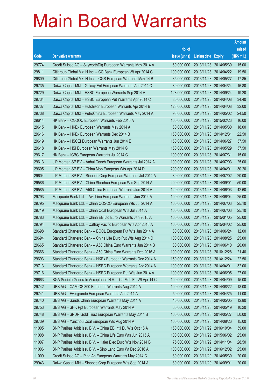|       |                                                              |               |                            |                       | <b>Amount</b> |
|-------|--------------------------------------------------------------|---------------|----------------------------|-----------------------|---------------|
|       |                                                              | No. of        |                            |                       | raised        |
| Code  | <b>Derivative warrants</b>                                   | issue (units) | <b>Listing date Expiry</b> |                       | (HK\$ mil.)   |
| 29774 | Credit Suisse AG - SkyworthDig European Warrants May 2014 A  | 60,000,000    |                            | 2013/11/28 2014/05/30 | 15.00         |
| 29811 | Citigroup Global Mkt H Inc. - CC Bank European Wt Apr 2014 C | 100,000,000   |                            | 2013/11/28 2014/04/22 | 19.50         |
| 29809 | Citigroup Global Mkt H Inc. - CGS European Warrants May 14 B | 35,000,000    | 2013/11/28 2014/05/27      |                       | 17.85         |
| 29735 | Daiwa Capital Mkt - Galaxy Ent European Warrants Apr 2014 C  | 80,000,000    |                            | 2013/11/28 2014/04/24 | 16.80         |
| 29729 | Daiwa Capital Mkt - HSBC European Warrants Sep 2014 A        | 128,000,000   |                            | 2013/11/28 2014/09/24 | 19.20         |
| 29734 | Daiwa Capital Mkt - HSBC European Put Warrants Apr 2014 C    | 80,000,000    |                            | 2013/11/28 2014/04/08 | 34.40         |
| 29737 | Daiwa Capital Mkt - Hutchison European Warrants Apr 2014 B   | 128,000,000   | 2013/11/28 2014/04/08      |                       | 32.00         |
| 29738 | Daiwa Capital Mkt - PetroChina European Warrants May 2014 A  | 98,000,000    |                            | 2013/11/28 2014/05/02 | 24.50         |
| 29614 | HK Bank - CNOOC European Warrants Feb 2015 A                 | 100,000,000   |                            | 2013/11/28 2015/02/23 | 16.00         |
| 29615 | HK Bank - HKEx European Warrants May 2014 A                  | 60,000,000    |                            | 2013/11/28 2014/05/30 | 18.00         |
| 29616 | HK Bank - HKEx European Warrants Dec 2014 B                  | 150,000,000   | 2013/11/28 2014/12/31      |                       | 22.50         |
| 29619 | HK Bank - HSCEI European Warrants Jun 2014 E                 | 150,000,000   | 2013/11/28 2014/06/27      |                       | 37.50         |
| 29618 | HK Bank - HSI European Warrants May 2014 G                   | 150,000,000   |                            | 2013/11/28 2014/05/29 | 37.50         |
| 29617 | HK Bank - ICBC European Warrants Jul 2014 C                  | 100,000,000   | 2013/11/28 2014/07/31      |                       | 15.00         |
| 29613 | J P Morgan SP BV - Anhui Conch European Warrants Jul 2014 A  | 100,000,000   | 2013/11/28 2014/07/03      |                       | 25.00         |
| 29605 | J P Morgan SP BV - China Mob European Wts Apr 2014 D         | 200,000,000   | 2013/11/28 2014/04/01      |                       | 30.20         |
| 29604 | J P Morgan SP BV - Sinopec Corp European Warrants Jul 2014 A | 80,000,000    |                            | 2013/11/28 2014/07/02 | 20.00         |
| 29586 | J P Morgan SP BV - China Shenhua European Wts Sep 2014 A     | 200,000,000   | 2013/11/28 2014/09/01      |                       | 50.00         |
| 29585 | J P Morgan SP BV - A50 China European Warrants Jun 2014 A    | 120,000,000   | 2013/11/28 2014/06/03      |                       | 42.60         |
| 29793 | Macquarie Bank Ltd. - Avichina European Warrants Jun 2014 A  | 100,000,000   |                            | 2013/11/28 2014/06/04 | 25.00         |
| 29795 | Macquarie Bank Ltd. - China COSCO European Wts Jul 2014 A    | 100,000,000   |                            | 2013/11/28 2014/07/03 | 25.10         |
| 29719 | Macquarie Bank Ltd. - China Coal European Wts Jul 2014 A     | 100,000,000   |                            | 2013/11/28 2014/07/03 | 25.10         |
| 29783 | Macquarie Bank Ltd. - China EB Ltd Euro Warrants Jan 2015 A  | 100,000,000   | 2013/11/28 2015/01/05      |                       | 25.00         |
| 29794 | Macquarie Bank Ltd. - Cathay Pacific European Wts Apr 2015 A | 100,000,000   |                            | 2013/11/28 2015/04/02 | 25.00         |
| 29698 | Standard Chartered Bank - BOCL European Put Wts Jun 2014 A   | 80,000,000    |                            | 2013/11/28 2014/06/24 | 12.00         |
| 29694 | Standard Chartered Bank - China Life Euro Put Wts Aug 2014 D | 100,000,000   | 2013/11/28 2014/08/25      |                       | 25.00         |
| 29665 | Standard Chartered Bank - A50 China Euro Warrants Jun 2014 B | 80,000,000    | 2013/11/28 2014/06/10      |                       | 20.00         |
| 29666 | Standard Chartered Bank - A50 China Euro Warrants Dec 2016 A | 100,000,000   | 2013/11/28 2016/12/28      |                       | 21.40         |
| 29693 | Standard Chartered Bank - HKEx European Warrants Dec 2014 A  | 150,000,000   | 2013/11/28 2014/12/24      |                       | 22.50         |
| 29713 | Standard Chartered Bank - HSBC European Warrants Apr 2014 A  | 100,000,000   | 2013/11/28 2014/04/01      |                       | 32.00         |
| 29716 | Standard Chartered Bank - HSBC European Put Wts Jun 2014 A   | 100,000,000   | 2013/11/28 2014/06/05      |                       | 27.00         |
| 29663 | SGA Societe Generale Acceptance N.V. - Ch Mob Eu Wt Apr 14 C | 100,000,000   | 2013/11/28 2014/04/09      |                       | 15.00         |
| 29742 | UBS AG - CAM CSI300 European Warrants Aug 2014 A             | 100,000,000   |                            | 2013/11/28 2014/08/22 | 18.00         |
| 29741 | UBS AG - Evergrande European Warrants Apr 2014 A             | 50,000,000    |                            | 2013/11/28 2014/04/25 | 11.00         |
| 29740 | UBS AG - Sands China European Warrants May 2014 A            | 40,000,000    | 2013/11/28 2014/05/05      |                       | 12.80         |
| 29753 | UBS AG - SHK Ppt European Warrants May 2014 A                | 60,000,000    | 2013/11/28 2014/05/19      |                       | 10.20         |
| 29748 | UBS AG - SPDR Gold Trust European Warrants May 2014 B        | 100,000,000   | 2013/11/28 2014/05/27      |                       | 50.00         |
| 29739 | UBS AG - Yanzhou Coal European Wts Aug 2014 A                | 100,000,000   | 2013/11/28 2014/08/26      |                       | 15.00         |
| 11005 | BNP Paribas Arbit Issu B.V. - China EB Int'l Eu Wts Oct 16 A | 150,000,000   | 2013/11/29 2016/10/04      |                       | 39.00         |
| 11008 | BNP Paribas Arbit Issu B.V. - China Life Euro Wts Jun 2015 A | 100,000,000   |                            | 2013/11/29 2015/06/02 | 25.00         |
| 11007 | BNP Paribas Arbit Issu B.V. - Haier Elec Euro Wts Nov 2014 B | 75,000,000    | 2013/11/29                 | 2014/11/04            | 28.50         |
| 11006 | BNP Paribas Arbit Issu B.V. - Sino Land Euro Wt Dec 2016 A   | 100,000,000   |                            | 2013/11/29 2016/12/02 | 25.00         |
| 11009 | Credit Suisse AG - Ping An European Warrants May 2014 C      | 80,000,000    | 2013/11/29 2014/05/30      |                       | 20.00         |
| 29943 | Daiwa Capital Mkt - Sinopec Corp European Wts Sep 2014 A     | 80,000,000    | 2013/11/29 2014/09/01      |                       | 20.00         |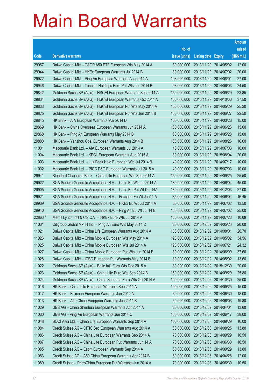|         |                                                               |               |                       |            | <b>Amount</b> |
|---------|---------------------------------------------------------------|---------------|-----------------------|------------|---------------|
|         |                                                               | No. of        |                       |            | raised        |
| Code    | <b>Derivative warrants</b>                                    | issue (units) | Listing date Expiry   |            | (HK\$ mil.)   |
| 29957   | Daiwa Capital Mkt - CSOP A50 ETF European Wts May 2014 A      | 80,000,000    | 2013/11/29 2014/05/02 |            | 12.00         |
| 29944   | Daiwa Capital Mkt - HKEx European Warrants Jul 2014 B         | 80,000,000    | 2013/11/29 2014/07/02 |            | 20.00         |
| 29972   | Daiwa Capital Mkt - Ping An European Warrants Aug 2014 A      | 108,000,000   | 2013/11/29 2014/08/01 |            | 27.00         |
| 29946   | Daiwa Capital Mkt - Tencent Holdings Euro Put Wts Jun 2014 B  | 98,000,000    | 2013/11/29 2014/06/03 |            | 24.50         |
| 29842   | Goldman Sachs SP (Asia) - HSCEI European Warrants Sep 2014 A  | 150,000,000   | 2013/11/29 2014/09/29 |            | 23.85         |
| 29834   | Goldman Sachs SP (Asia) - HSCEI European Warrants Oct 2014 A  | 150,000,000   | 2013/11/29 2014/10/30 |            | 37.50         |
| 29833   | Goldman Sachs SP (Asia) - HSCEI European Put Wts May 2014 A   | 150,000,000   | 2013/11/29            | 2014/05/29 | 25.20         |
| 29825   | Goldman Sachs SP (Asia) – HSCEI European Put Wts Jun 2014 B   | 150,000,000   | 2013/11/29 2014/06/27 |            | 22.50         |
| 29845   | HK Bank - AIA European Warrants Mar 2014 D                    | 100,000,000   | 2013/11/29 2014/03/26 |            | 15.00         |
| 29869   | HK Bank – China Overseas European Warrants Jun 2014 A         | 100,000,000   | 2013/11/29 2014/06/23 |            | 15.00         |
| 29868   | HK Bank - Ping An European Warrants May 2014 B                | 60,000,000    | 2013/11/29 2014/05/28 |            | 15.00         |
| 29880   | HK Bank - Yanzhou Coal European Warrants Aug 2014 B           | 100,000,000   | 2013/11/29 2014/08/26 |            | 16.00         |
| 11001   | Macquarie Bank Ltd. - AIA European Warrants Jul 2014 A        | 40,000,000    | 2013/11/29 2014/07/03 |            | 10.00         |
| 11004   | Macquarie Bank Ltd. - KECL European Warrants Aug 2015 A       | 80,000,000    | 2013/11/29 2015/08/04 |            | 20.08         |
| 11003   | Macquarie Bank Ltd. - Luk Fook Hold European Wts Jul 2014 B   | 40,000,000    | 2013/11/29 2014/07/17 |            | 10.00         |
| 11002   | Macquarie Bank Ltd. - PICC P&C European Warrants Jul 2015 A   | 40,000,000    | 2013/11/29 2015/07/03 |            | 10.00         |
| 29941   | Standard Chartered Bank – China Life European Wts Sep 2014 A  | 150,000,000   | 2013/11/29 2014/09/25 |            | 25.50         |
| 29922   | SGA Societe Generale Acceptance N.V. - CLife Eu Wt Jun 2014 A | 180,000,000   | 2013/11/29 2014/06/04 |            | 45.00         |
| 29905   | SGA Societe Generale Acceptance N.V. - CLife Eu Put Wt Dec14A | 180,000,000   | 2013/11/29 2014/12/03 |            | 27.00         |
| 29921   | SGA Societe Generale Acceptance N.V. - Foxconn Eu Wt Jun14 A  | 35,000,000    | 2013/11/29 2014/06/04 |            | 16.45         |
| 29939   | SGA Societe Generale Acceptance N.V. - HKEx Eu Wt Jul 2014 A  | 50,000,000    | 2013/11/29 2014/07/02 |            | 13.50         |
| 29940   | SGA Societe Generale Acceptance N.V. - Ping An Eu Wt Jul 14 E | 100,000,000   | 2013/11/29 2014/07/02 |            | 25.00         |
| 22863 # | Merrill Lynch Int'l & Co. C.V. - HKEx Euro Wts Jul 2014 A     | 160,000,000   | 2013/11/29 2014/07/23 |            | 10.08         |
| 11031   | Citigroup Global Mkt H Inc. - Ping An Euro Wts May 2014 C     | 80,000,000    | 2013/12/02 2014/05/23 |            | 20.00         |
| 11021   | Daiwa Capital Mkt - China Life European Warrants Aug 2014 A   | 138,000,000   | 2013/12/02 2014/08/01 |            | 20.70         |
| 11026   | Daiwa Capital Mkt - China Mobile European Wts May 2014 A      | 128,000,000   | 2013/12/02 2014/05/02 |            | 34.56         |
| 11025   | Daiwa Capital Mkt - China Mobile European Wts Jul 2014 A      | 128,000,000   | 2013/12/02 2014/07/21 |            | 24.32         |
| 11027   | Daiwa Capital Mkt - China Mobile European Put Wts Jun 2014 B  | 80,000,000    | 2013/12/02 2014/06/09 |            | 37.60         |
| 11028   | Daiwa Capital Mkt - ICBC European Put Warrants May 2014 B     | 80,000,000    | 2013/12/02 2014/05/02 |            | 13.60         |
| 11022   | Goldman Sachs SP (Asia) - Belle Int'l Euro Wts Dec 2015 A     | 80,000,000    | 2013/12/02 2015/12/30 |            | 20.00         |
| 11023   | Goldman Sachs SP (Asia) - China Life Euro Wts Sep 2014 B      | 150,000,000   | 2013/12/02 2014/09/29 |            | 25.80         |
| 11024   | Goldman Sachs SP (Asia) - China Shenhua Euro Wts Oct 2014 A   | 100,000,000   | 2013/12/02 2014/10/30 |            | 25.00         |
| 11016   | HK Bank - China Life European Warrants Sep 2014 A             | 100,000,000   | 2013/12/02 2014/09/25 |            | 15.00         |
| 11017   | HK Bank - Foxconn European Warrants Jun 2014 A                | 60,000,000    | 2013/12/02 2014/06/30 |            | 18.00         |
| 11013   | HK Bank - A50 China European Warrants Jun 2014 B              | 60,000,000    | 2013/12/02 2014/06/03 |            | 19.80         |
| 11029   | UBS AG - China Shenhua European Warrants Apr 2014 A           | 80,000,000    | 2013/12/02 2014/04/01 |            | 13.60         |
| 11030   | UBS AG - Ping An European Warrants Jun 2014 C                 | 100,000,000   | 2013/12/02 2014/06/17 |            | 38.00         |
| 11048   | BOCI Asia Ltd. - China Life European Warrants Sep 2014 A      | 100,000,000   | 2013/12/03 2014/09/29 |            | 16.00         |
| 11084   | Credit Suisse AG - CITIC Sec European Warrants Aug 2014 A     | 60,000,000    | 2013/12/03 2014/08/25 |            | 13.80         |
| 11086   | Credit Suisse AG - China Life European Warrants Sep 2014 A    | 70,000,000    | 2013/12/03 2014/09/29 |            | 10.50         |
| 11087   | Credit Suisse AG - China Life European Put Warrants Jun 14 A  | 70,000,000    | 2013/12/03 2014/06/30 |            | 10.50         |
| 11085   | Credit Suisse AG - Esprit European Warrants Sep 2014 A        | 60,000,000    | 2013/12/03 2014/09/29 |            | 13.80         |
| 11083   | Credit Suisse AG - A50 China European Warrants Apr 2014 B     | 80,000,000    | 2013/12/03 2014/04/28 |            | 12.00         |
| 11089   | Credit Suisse - PetroChina European Put Warrants Jun 2014 A   | 70,000,000    | 2013/12/03 2014/06/30 |            | 10.50         |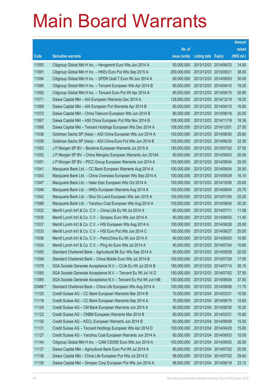|         |                                                                |               |                            | <b>Amount</b> |
|---------|----------------------------------------------------------------|---------------|----------------------------|---------------|
|         |                                                                | No. of        |                            | raised        |
| Code    | <b>Derivative warrants</b>                                     | issue (units) | <b>Listing date Expiry</b> | (HK\$ mil.)   |
| 11093   | Citigroup Global Mkt H Inc. - Henganintl Euro Wts Jun 2014 A   | 50,000,000    | 2013/12/03 2014/06/03      | 14.50         |
| 11091   | Citigroup Global Mkt H Inc. - HKEx Euro Put Wts Sep 2015 A     | 200,000,000   | 2013/12/03 2015/09/21      | 38.00         |
| 11094   | Citigroup Global Mkt H Inc. - SPDR Gold T Euro Wt Jun 2014 A   | 60,000,000    | 2013/12/03 2014/06/03      | 30.00         |
| 11095   | Citigroup Global Mkt H Inc. - Tencent European Wts Apr 2014 B  | 80,000,000    | 2013/12/03 2014/04/15      | 19.20         |
| 11092   | Citigroup Global Mkt H Inc. - Tencent Euro Put Wt Apr 2014 A   | 80,000,000    | 2013/12/03 2014/04/15      | 20.80         |
| 11071   | Daiwa Capital Mkt - AIA European Warrants Dec 2014 A           | 128,000,000   | 2013/12/03 2014/12/19      | 19.20         |
| 11069   | Daiwa Capital Mkt - AIA European Put Warrants Apr 2014 B       | 80,000,000    | 2013/12/03 2014/04/15      | 16.80         |
| 11072   | Daiwa Capital Mkt - China Telecom European Wts Jun 2014 B      | 80,000,000    | 2013/12/03 2014/06/18      | 20.00         |
| 11067   | Daiwa Capital Mkt - A50 China European Put Wts Nov 2014 B      | 108,000,000   | 2013/12/03 2014/11/18      | 18.36         |
| 11068   | Daiwa Capital Mkt - Tencent Holdings European Wts Dec 2014 A   | 108,000,000   | 2013/12/03 2014/12/01      | 27.00         |
| 11038   | Goldman Sachs SP (Asia) – A50 China European Wts Jun 2014 A    | 100,000,000   | 2013/12/03 2014/06/30      | 29.80         |
| 11039   | Goldman Sachs SP (Asia) - A50 China Euro Put Wts Jun 2014 B    | 100,000,000   | 2013/12/03 2014/06/30      | 32.30         |
| 11053   | J P Morgan SP BV - Biostime European Warrants Jul 2015 A       | 150,000,000   | 2013/12/03 2015/07/02      | 37.50         |
| 11052   | J P Morgan SP BV - China Mengniu European Warrants Jun 2014A   | 80,000,000    | 2013/12/03 2014/06/03      | 20.00         |
| 11051   | J P Morgan SP BV - PICC Group European Warrants Jun 2014 A     | 100,000,000   | 2013/12/03 2014/06/04      | 25.00         |
| 11041   | Macquarie Bank Ltd. - CC Bank European Warrants Aug 2014 A     | 100,000,000   | 2013/12/03 2014/08/04      | 25.50         |
| 11043   | Macquarie Bank Ltd. - China Overseas European Wts Sep 2014 A   | 100,000,000   | 2013/12/03 2014/09/29      | 16.10         |
| 11047   | Macquarie Bank Ltd. - Haier Elec European Wts Oct 2014 A       | 100,000,000   | 2013/12/03 2014/10/06      | 25.60         |
| 11046   | Macquarie Bank Ltd. - HKEx European Warrants Aug 2014 A        | 100,000,000   | 2013/12/03 2014/08/04      | 25.70         |
| 11042   | Macquarie Bank Ltd. - Shui On Land European Wts Jan 2015 A     | 100,000,000   | 2013/12/03 2015/01/05      | 25.20         |
| 11066   | Macquarie Bank Ltd. - Yanzhou Coal European Wts Aug 2014 A     | 100,000,000   | 2013/12/03 2014/08/04      | 30.30         |
| 11032   | Merrill Lynch Int'l & Co. C.V. - China Life Eu Wt Jul 2014 A   | 60,000,000    | 2013/12/03 2014/07/11      | 11.58         |
| 11035   | Merrill Lynch Int'l & Co. C.V. - Sinopec Euro Wts Jun 2014 A   | 40,000,000    | 2013/12/03 2014/06/03      | 11.40         |
| 11037   | Merrill Lynch Int'l & Co. C.V. - HSI European Wts Aug 2014 A   | 100,000,000   | 2013/12/03 2014/08/28      | 25.00         |
| 11033   | Merrill Lynch Int'l & Co. C.V. - HSI Euro Put Wts Jun 2014 C   | 100,000,000   | 2013/12/03 2014/06/27      | 25.00         |
| 11036   | Merrill Lynch Int'l & Co. C.V. - PetroChina Eu Wt Jun 2014 A   | 40,000,000    | 2013/12/03 2014/06/03      | 10.80         |
| 11034   | Merrill Lynch Int'l & Co. C.V. - Ping An Euro Wts Jul 2014 A   | 40,000,000    | 2013/12/03 2014/07/04      | 10.60         |
| 11050   | Standard Chartered Bank - Agricultural Bk Eur Wts Sep 2014 A   | 80,000,000    | 2013/12/03 2014/09/29      | 20.00         |
| 11049   | Standard Chartered Bank - China Mobile Euro Wts Jul 2014 B     | 100,000,000   | 2013/12/03 2014/07/28      | 17.00         |
| 11078   | SGA Societe Generale Acceptance N.V. - CLife Eu Wt Jul 2014 B  | 180,000,000   | 2013/12/03 2014/07/14      | 35.10         |
| 11055   | SGA Societe Generale Acceptance N.V. - Tencent Eu Wt Jul 14 D  | 150,000,000   | 2013/12/03 2014/07/02      | 37.50         |
| 11065   | SGA Societe Generale Acceptance N.V - Tencent Eu Put Wt Jun14B | 150,000,000   | 2013/12/03 2014/06/04      | 37.50         |
| 23486 # | Standard Chartered Bank - China Life European Wts Aug 2014 A   | 100,000,000   | 2013/12/03 2014/08/08      | 11.70         |
| 11120   | Credit Suisse AG - CC Bank European Warrants Mar 2014 B        | 70,000,000    | 2013/12/04 2014/03/31      | 10.50         |
| 11118   | Credit Suisse AG - CC Bank European Warrants Sep 2014 A        | 70,000,000    | 2013/12/04 2014/09/15      | 12.60         |
| 11124   | Credit Suisse AG - CM Bank European Warrants Jun 2014 A        | 60,000,000    | 2013/12/04 2014/06/30      | 16.20         |
| 11123   | Credit Suisse AG - CNBM European Warrants Mar 2014 B           | 60,000,000    | 2013/12/04 2014/03/31      | 10.80         |
| 11130   | Credit Suisse AG - KECL European Warrants Jun 2014 B           | 60,000,000    | 2013/12/04 2014/06/09      | 15.00         |
| 11131   | Credit Suisse AG - Tencent Holdings European Wts Apr 2014 D    | 100,000,000   | 2013/12/04 2014/04/28      | 15.00         |
| 11127   | Credit Suisse AG - Yanzhou Coal European Warrants Jun 2014 A   | 60,000,000    | 2013/12/04 2014/06/03      | 15.00         |
| 11144   | Citigroup Global Mkt H Inc. - CAM CSI300 Euro Wts Jun 2014 A   | 100,000,000   | 2013/12/04 2014/06/03      | 26.50         |
| 11137   | Daiwa Capital Mkt - Agricultural Bank Euro Put Wt Jul 2014 A   | 80,000,000    | 2013/12/04 2014/07/02      | 20.00         |
| 11139   | Daiwa Capital Mkt - China Life European Put Wts Jul 2014 D     | 98,000,000    | 2013/12/04 2014/07/02      | 29.40         |
| 11135   | Daiwa Capital Mkt - Sinopec Corp European Put Wts Jun 2014 A   | 68,000,000    | 2013/12/04 2014/06/18      | 23.12         |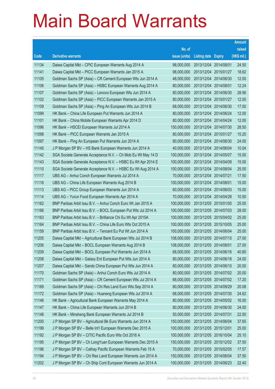|       |                                                                |                                   |                            |            | <b>Amount</b> |
|-------|----------------------------------------------------------------|-----------------------------------|----------------------------|------------|---------------|
|       |                                                                | No. of                            |                            |            | raised        |
| Code  | <b>Derivative warrants</b>                                     | issue (units)                     | <b>Listing date Expiry</b> |            | $(HK$$ mil.)  |
| 11134 | Daiwa Capital Mkt - CPIC European Warrants Aug 2014 A          | 98,000,000                        | 2013/12/04 2014/08/01      |            | 24.50         |
| 11141 | Daiwa Capital Mkt - PICC European Warrants Jan 2015 A          | 98,000,000                        | 2013/12/04 2015/01/27      |            | 18.62         |
| 11105 | Goldman Sachs SP (Asia) – CR Cement European Wts Jun 2014 A    | 48,000,000                        | 2013/12/04                 | 2014/06/30 | 12.00         |
| 11106 | Goldman Sachs SP (Asia) – HSBC European Warrants Aug 2014 A    | 80,000,000                        | 2013/12/04 2014/08/01      |            | 12.24         |
| 11107 | Goldman Sachs SP (Asia) – Lenovo European Wts Jun 2014 A       | 80,000,000                        | 2013/12/04 2014/06/30      |            | 28.56         |
| 11102 | Goldman Sachs SP (Asia) - PICC European Warrants Jan 2015 A    | 80,000,000                        | 2013/12/04 2015/01/27      |            | 12.00         |
| 11109 | Goldman Sachs SP (Asia) - Ping An European Wts Jun 2014 B      | 68,000,000                        | 2013/12/04                 | 2014/06/30 | 17.00         |
| 11099 | HK Bank – China Life European Put Warrants Jun 2014 A          | 80,000,000                        | 2013/12/04 2014/06/24      |            | 12.00         |
| 11101 | HK Bank - China Mobile European Warrants Apr 2014 D            | 80,000,000                        | 2013/12/04 2014/04/24      |            | 12.00         |
| 11096 | HK Bank – HSCEI European Warrants Jul 2014 A                   | 150,000,000                       | 2013/12/04 2014/07/30      |            | 28.50         |
| 11098 | HK Bank – PICC European Warrants Jan 2015 A                    | 80,000,000                        | 2013/12/04 2015/01/27      |            | 15.20         |
| 11097 | HK Bank - Ping An European Put Warrants Jun 2014 A             | 80,000,000                        | 2013/12/04 2014/06/30      |            | 24.00         |
| 11145 | J P Morgan SP BV - HS Bank European Warrants Jun 2014 A        | 40,000,000                        | 2013/12/04 2014/06/04      |            | 10.04         |
| 11142 | SGA Societe Generale Acceptance N.V. - Ch Mob Eu Wt May 14 D   | 100,000,000                       | 2013/12/04 2014/05/07      |            | 15.00         |
| 11143 | SGA Societe Generale Acceptance N.V. - HSBC Eu Wt Apr 2014 E   | 100,000,000                       | 2013/12/04                 | 2014/04/09 | 15.00         |
| 11110 | SGA Societe Generale Acceptance N.V. - HSBC Eu Wt Aug 2014 A   | 100,000,000                       | 2013/12/04 2014/08/04      |            | 25.00         |
| 11117 | UBS AG - Anhui Conch European Warrants Jul 2014 A              | 70,000,000                        | 2013/12/04 2014/07/21      |            | 17.50         |
| 11116 | UBS AG – China Life European Warrants Aug 2014 B               | 100,000,000                       | 2013/12/04 2014/08/01      |            | 15.00         |
| 11113 | UBS AG - PICC Group European Warrants Jun 2014 A               | 60,000,000                        | 2013/12/04                 | 2014/06/03 | 15.00         |
| 11114 | UBS AG - Yurun Food European Warrants Apr 2014 A               | 70,000,000                        | 2013/12/04 2014/04/28      |            | 10.50         |
| 11162 | BNP Paribas Arbit Issu B.V. - Anhui Conch Euro Wt Jan 2015 A   | 100,000,000                       | 2013/12/05 2015/01/05      |            | 25.00         |
| 11166 | BNP Paribas Arbit Issu B.V. - BOCL European Put Wts Jul 2014 A | 100,000,000                       | 2013/12/05 2014/07/03      |            | 28.00         |
| 11163 | BNP Paribas Arbit Issu B.V. - Brilliance Chi Eu Wt Apr 2015A   | 100,000,000                       | 2013/12/05 2015/04/02      |            | 25.00         |
| 11164 | BNP Paribas Arbit Issu B.V. - China Life Euro Wts Oct 2015 A   | 100,000,000                       | 2013/12/05 2015/10/05      |            | 25.00         |
| 11159 | BNP Paribas Arbit Issu B.V. - Tencent Eu Put Wt Jun 2014 A     | 100,000,000                       | 2013/12/05 2014/06/04      |            | 25.00         |
| 11205 | Daiwa Capital Mkt - Agricultural Bank European Wts Jul 2014 B  | 108,000,000                       | 2013/12/05 2014/07/15      |            | 27.00         |
| 11206 | Daiwa Capital Mkt – BOCL European Warrants Aug 2014 B          | 108,000,000 2013/12/05 2014/08/01 |                            |            | 27.00         |
| 11209 | Daiwa Capital Mkt - BOCL European Put Warrants Jun 2014 A      | 68,000,000                        | 2013/12/05 2014/06/16      |            | 40.80         |
| 11208 | Daiwa Capital Mkt - Galaxy Ent European Put Wts Jun 2014 A     | 80,000,000                        | 2013/12/05 2014/06/18      |            | 24.00         |
| 11207 | Daiwa Capital Mkt - Sands China European Put Wts Jun 2014 A    | 80,000,000                        | 2013/12/05 2014/06/10      |            | 20.00         |
| 11170 | Goldman Sachs SP (Asia) - Anhui Conch Euro Wts Jul 2014 A      | 80,000,000                        | 2013/12/05 2014/07/02      |            | 20.00         |
| 11171 | Goldman Sachs SP (Asia) - CR Cement European Wts Jul 2014 A    | 68,000,000                        | 2013/12/05 2014/07/02      |            | 17.20         |
| 11169 | Goldman Sachs SP (Asia) - Chi Res Land Euro Wts Sep 2014 A     | 80,000,000                        | 2013/12/05 2014/09/29      |            | 20.08         |
| 11172 | Goldman Sachs SP (Asia) - Huaneng European Wts Jul 2014 A      | 68,000,000                        | 2013/12/05 2014/07/30      |            | 24.62         |
| 11146 | HK Bank - Agricultural Bank European Warrants May 2014 A       | 80,000,000                        | 2013/12/05 2014/05/02      |            | 16.00         |
| 11147 | HK Bank - China Life European Warrants Jun 2014 B              | 80,000,000                        | 2013/12/05 2014/06/30      |            | 24.00         |
| 11148 | HK Bank - Minsheng Bank European Warrants Jul 2014 B           | 50,000,000                        | 2013/12/05 2014/07/31      |            | 22.50         |
| 11200 | J P Morgan SP BV - Agricultural Bk Euro Warrants Jun 2014 A    | 150,000,000                       | 2013/12/05 2014/06/04      |            | 37.65         |
| 11199 | J P Morgan SP BV - Belle Int'l European Warrants Dec 2015 A    | 100,000,000                       | 2013/12/05 2015/12/01      |            | 25.00         |
| 11192 | J P Morgan SP BV - CITIC Pacific Euro Wts Oct 2016 A           | 100,000,000                       | 2013/12/05 2016/10/04      |            | 25.10         |
| 11195 | J P Morgan SP BV - Ch LongYuan European Warrants Dec 2015 A    | 150,000,000                       | 2013/12/05 2015/12/02      |            | 37.50         |
| 11196 | J P Morgan SP BV - Cathay Pacific European Warrants Feb 15 A   | 70,000,000                        | 2013/12/05 2015/02/05      |            | 17.57         |
| 11194 | J P Morgan SP BV - Chi Res Land European Warrants Jun 2014 A   | 150,000,000                       | 2013/12/05 2014/06/04      |            | 37.50         |
| 11202 | J P Morgan SP BV - Ch Ship Cont European Warrants Jun 2014 A   | 100,000,000                       | 2013/12/05 2014/06/23      |            | 22.40         |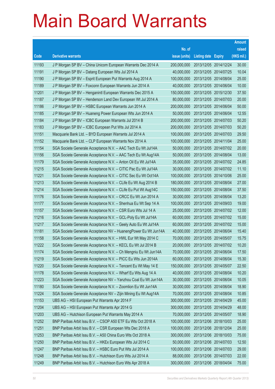|       |                                                                |               |                            | <b>Amount</b> |
|-------|----------------------------------------------------------------|---------------|----------------------------|---------------|
|       |                                                                | No. of        |                            | raised        |
| Code  | <b>Derivative warrants</b>                                     | issue (units) | <b>Listing date Expiry</b> | (HK\$ mil.)   |
| 11193 | J P Morgan SP BV - China Unicom European Warrants Dec 2014 A   | 200,000,000   | 2013/12/05 2014/12/24      | 30.00         |
| 11191 | J P Morgan SP BV - Datang European Wts Jul 2014 A              | 40,000,000    | 2013/12/05 2014/07/25      | 10.04         |
| 11190 | J P Morgan SP BV - Esprit European Put Warrants Aug 2014 A     | 100,000,000   | 2013/12/05 2014/08/04      | 25.00         |
| 11189 | J P Morgan SP BV - Foxconn European Warrants Jun 2014 A        | 40,000,000    | 2013/12/05 2014/06/04      | 10.00         |
| 11201 | J P Morgan SP BV - Henganintl European Warrants Dec 2015 A     | 150,000,000   | 2013/12/05 2015/12/30      | 37.50         |
| 11187 | J P Morgan SP BV - Henderson Land Dev European Wt Jul 2014 A   | 80,000,000    | 2013/12/05 2014/07/03      | 20.00         |
| 11186 | J P Morgan SP BV - HSBC European Warrants Jun 2014 A           | 200,000,000   | 2013/12/05 2014/06/04      | 50.00         |
| 11185 | J P Morgan SP BV - Huaneng Power European Wts Jun 2014 A       | 50,000,000    | 2013/12/05 2014/06/04      | 12.55         |
| 11184 | J P Morgan SP BV - ICBC European Warrants Jul 2014 B           | 200,000,000   | 2013/12/05 2014/07/03      | 50.20         |
| 11183 | J P Morgan SP BV - ICBC European Put Wts Jul 2014 A            | 200,000,000   | 2013/12/05 2014/07/03      | 50.20         |
| 11151 | Macquarie Bank Ltd. - BYD European Warrants Jul 2014 A         | 100,000,000   | 2013/12/05 2014/07/03      | 29.50         |
| 11152 | Macquarie Bank Ltd. - CLP European Warrants Nov 2014 A         | 100,000,000   | 2013/12/05 2014/11/04      | 25.00         |
| 11154 | SGA Societe Generale Acceptance N.V. - AAC Tech Eu Wt Jul14A   | 50,000,000    | 2013/12/05 2014/07/02      | 20.00         |
| 11156 | SGA Societe Generale Acceptance N.V. - AAC Tech Eu Wt Aug14A   | 50,000,000    | 2013/12/05 2014/08/04      | 13.00         |
| 11179 | SGA Societe Generale Acceptance N.V. - Anton Oil Eu Wt Jul14A  | 35,000,000    | 2013/12/05 2014/07/02      | 24.85         |
| 11215 | SGA Societe Generale Acceptance N.V. - CITIC Pac Eu Wt Jul14A  | 30,000,000    | 2013/12/05 2014/07/02      | 11.10         |
| 11221 | SGA Societe Generale Acceptance N.V. - CITIC Sec Eu Wt Oct14A  | 100,000,000   | 2013/12/05 2014/10/06      | 25.00         |
| 11213 | SGA Societe Generale Acceptance N.V. - CLife Eu Wt Aug 2014 B  | 180,000,000   | 2013/12/05 2014/08/04      | 27.00         |
| 11214 | SGA Societe Generale Acceptance N.V. - CLife Eu Put Wt Aug14C  | 150,000,000   | 2013/12/05 2014/08/04      | 37.50         |
| 11176 | SGA Societe Generale Acceptance N.V. - CRCC Eu Wt Jun 2014 A   | 30,000,000    | 2013/12/05 2014/06/04      | 13.20         |
| 11177 | SGA Societe Generale Acceptance N.V. - Shenhua Eu Wt Sep 14 A  | 100,000,000   | 2013/12/05 2014/09/03      | 19.00         |
| 11157 | SGA Societe Generale Acceptance N.V. - CSR Euro Wts Jul 14 A   | 25,000,000    | 2013/12/05 2014/07/02      | 12.00         |
| 11216 | SGA Societe Generale Acceptance N.V. - GCL-Poly Eu Wt Jul14A   | 60,000,000    | 2013/12/05 2014/07/02      | 15.00         |
| 11217 | SGA Societe Generale Acceptance N.V. - Geely Auto Eu Wt Jul14A | 60,000,000    | 2013/12/05 2014/07/02      | 15.00         |
| 11181 | SGA Societe Generale Acceptance NV - HuanengPower Eu Wt Jun14A | 40,000,000    | 2013/12/05 2014/06/04      | 15.40         |
| 11158 | SGA Societe Generale Acceptance N.V. - HWL Eur Wt May 2014 C   | 70,000,000    | 2013/12/05 2014/05/07      | 15.75         |
| 11222 | SGA Societe Generale Acceptance N.V. - KECL Eu Wt Jul 2014 B   | 20,000,000    | 2013/12/05 2014/07/02      | 10.20         |
| 11174 | SGA Societe Generale Acceptance N.V. - Ch Mengniu Eu Wt Jun14A | 70,000,000    | 2013/12/05 2014/06/04      | 17.50         |
| 11219 | SGA Societe Generale Acceptance N.V. - PICC Eu Wts Jun 2014A   | 60,000,000    | 2013/12/05 2014/06/04      | 15.30         |
| 11220 | SGA Societe Generale Acceptance N.V. - Tencent Eu Wt May 14 E  | 150,000,000   | 2013/12/05 2014/05/07      | 22.50         |
| 11178 | SGA Societe Generale Acceptance N.V. - Wharf Eu Wts Aug 14 A   | 40,000,000    | 2013/12/05 2014/08/04      | 10.20         |
| 11223 | SGA Societe Generale Acceptance NV - Yanzhou Coal Eu Wt Jun14A | 30,000,000    | 2013/12/05 2014/06/04      | 10.05         |
| 11180 | SGA Societe Generale Acceptance N.V. - Zoomlion Eu Wt Jun14A   | 30,000,000    | 2013/12/05 2014/06/04      | 18.90         |
| 11224 | SGA Societe Generale Acceptance NV – Zijin Mining Eu Wt Aug14A | 70,000,000    | 2013/12/05 2014/08/04      | 10.85         |
| 11153 | UBS AG - HSI European Put Warrants Apr 2014 F                  | 300,000,000   | 2013/12/05 2014/04/29      | 45.00         |
| 11204 | UBS AG - HSI European Put Warrants Apr 2014 G                  | 300,000,000   | 2013/12/05 2014/04/29      | 48.00         |
| 11203 | UBS AG - Hutchison European Put Warrants May 2014 A            | 70,000,000    | 2013/12/05 2014/05/07      | 18.90         |
| 11252 | BNP Paribas Arbit Issu B.V. - CSOP A50 ETF Eu Wts Oct 2018 A   | 100,000,000   | 2013/12/06 2018/10/03      | 25.00         |
| 11251 | BNP Paribas Arbit Issu B.V. - CSR European Wts Dec 2018 A      | 100,000,000   | 2013/12/06 2018/12/04      | 25.00         |
| 11253 | BNP Paribas Arbit Issu B.V. - A50 China Euro Wts Oct 2018 A    | 300,000,000   | 2013/12/06 2018/10/03      | 75.00         |
| 11250 | BNP Paribas Arbit Issu B.V. - HKEx European Wts Jul 2014 C     | 50,000,000    | 2013/12/06 2014/07/03      | 12.50         |
| 11247 | BNP Paribas Arbit Issu B.V. - HSBC Euro Put Wts Jul 2014 A     | 100,000,000   | 2013/12/06 2014/07/03      | 29.00         |
| 11248 | BNP Paribas Arbit Issu B.V. - Hutchison Euro Wts Jul 2014 A    | 88,000,000    | 2013/12/06 2014/07/03      | 22.00         |
| 11249 | BNP Paribas Arbit Issu B.V. - Hutchison Euro Wts Apr 2018 A    | 300,000,000   | 2013/12/06 2018/04/04      | 75.00         |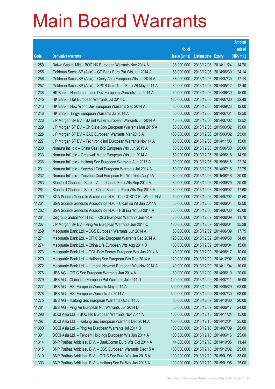|       |                                                                |               |                            | <b>Amount</b> |
|-------|----------------------------------------------------------------|---------------|----------------------------|---------------|
|       |                                                                | No. of        |                            | raised        |
| Code  | <b>Derivative warrants</b>                                     | issue (units) | <b>Listing date Expiry</b> | (HK\$ mil.)   |
| 11259 | Daiwa Capital Mkt - BOC HK European Warrants Nov 2014 A        | 98,000,000    | 2013/12/06 2014/11/24      | 14.70         |
| 11255 | Goldman Sachs SP (Asia) – CC Bank Euro Put Wts Jun 2014 A      | 68,000,000    | 2013/12/06 2014/06/30      | 24.14         |
| 11256 | Goldman Sachs SP (Asia) - Geely Auto European Wts Jul 2014 A   | 68,000,000    | 2013/12/06 2014/07/30      | 17.14         |
| 11257 | Goldman Sachs SP (Asia) – SPDR Gold Trust Euro Wt May 2014 A   | 80,000,000    | 2013/12/06 2014/05/12      | 12.40         |
| 11238 | HK Bank – Henderson Land Dev European Warrants Jun 2014 A      | 60,000,000    | 2013/12/06 2014/06/30      | 15.00         |
| 11245 | HK Bank - HSI European Warrants Jul 2014 C                     | 180,000,000   | 2013/12/06 2014/07/30      | 32.40         |
| 11243 | HK Bank - New World Dev European Warrants Sep 2014 A           | 80,000,000    | 2013/12/06 2014/09/23      | 12.00         |
| 11246 | HK Bank – Tingyi European Warrants Jul 2014 A                  | 50,000,000    | 2013/12/06 2014/07/31      | 12.50         |
| 11226 | J P Morgan SP BV - BJ Ent Water European Warrants Jul 2014 A   | 40,000,000    | 2013/12/06 2014/07/02      | 12.52         |
| 11229 | J P Morgan SP BV - Ch State Con European Warrants Mar 2015 A   | 60,000,000    | 2013/12/06 2015/03/02      | 15.00         |
| 11228 | J P Morgan SP BV - GAC European Warrants Mar 2015 A            | 100,000,000   | 2013/12/06 2015/03/02      | 25.00         |
| 11227 | J P Morgan SP BV - Techtronic Ind European Warrants Nov 14 A   | 60,000,000    | 2013/12/06 2014/11/03      | 15.00         |
| 11230 | Nomura Int'l plc - China Gas Hold European Wts Jun 2015 A      | 80,000,000    | 2013/12/06 2015/06/30      | 20.00         |
| 11233 | Nomura Int'l plc - Greatwall Motor European Wts Jun 2014 A     | 50,000,000    | 2013/12/06 2014/06/18      | 14.90         |
| 11236 | Nomura Int'l plc - Haitong Sec European Warrants Aug 2015 A    | 80,000,000    | 2013/12/06 2015/08/18      | 22.24         |
| 11231 | Nomura Int'l plc - Yanzhou Coal European Warrants Jul 2014 A   | 50,000,000    | 2013/12/06 2014/07/18      | 22.75         |
| 11232 | Nomura Int'l plc - Yanzhou Coal European Put Warrants Aug15A   | 80,000,000    | 2013/12/06 2015/08/18      | 20.00         |
| 11263 | Standard Chartered Bank - Anhui Conch Euro Wts Sep 2014 A      | 80,000,000    | 2013/12/06 2014/09/29      | 20.00         |
| 11264 | Standard Chartered Bank - China Shenhua Euro Wts Sep 2014 A    | 80,000,000    | 2013/12/06 2014/09/02      | 17.60         |
| 11260 | SGA Societe Generale Acceptance N.V - Chi COSCO Eu Wt Jul 14 A | 50,000,000    | 2013/12/06 2014/07/02      | 12.50         |
| 11261 | SGA Societe Generale Acceptance N.V. - CRail Eu Wt Jun 2014A   | 50,000,000    | 2013/12/06 2014/06/04      | 12.50         |
| 11262 | SGA Societe Generale Acceptance N.V. - HSI Eur Wt Jul 2014 A   | 300,000,000   | 2013/12/06 2014/07/30      | 45.00         |
| 11284 | Citigroup Global Mkt H Inc. - CGS European Warrants Jun 14 A   | 30,000,000    | 2013/12/09 2014/06/09      | 11.70         |
| 11267 | J P Morgan SP BV – Ping An European Warrants Jun 2014 C        | 180,000,000   | 2013/12/09 2014/06/04      | 35.28         |
| 11269 | Macquarie Bank Ltd. - CGS European Warrants Jun 2014 A         | 50,000,000    | 2013/12/09 2014/06/09      | 17.75         |
| 11271 | Macquarie Bank Ltd. - CITIC Sec European Warrants Sep 2014 A   | 120,000,000   | 2013/12/09 2014/09/30      | 34.80         |
| 11274 | Macquarie Bank Ltd. - China Life European Wts Aug 2014 B       | 100,000,000   | 2013/12/09 2014/08/04      | 15.00         |
| 11273 | Macquarie Bank Ltd. - GCL-Poly Energy European Wts Jun 2014 A  | 40,000,000    | 2013/12/09 2014/06/17      | 10.00         |
| 11270 | Macquarie Bank Ltd. - Haitong Sec European Wts Dec 2014 A      | 120,000,000   | 2013/12/09 2014/12/02      | 30.00         |
| 11272 | Macquarie Bank Ltd. - Lumena Newmat European Wts Nov 2014 A    | 40,000,000    | 2013/12/09 2014/11/04      | 10.00         |
| 11276 | UBS AG - CITIC Sec European Warrants Jun 2014 A                | 80,000,000    | 2013/12/09 2014/06/10      | 20.00         |
| 11279 | UBS AG - China Life European Put Warrants Jul 2014 D           | 100,000,000   | 2013/12/09 2014/07/11      | 16.00         |
| 11277 | UBS AG - HSI European Warrants May 2014 A                      | 300,000,000   | 2013/12/09 2014/05/29      | 63.00         |
| 11278 | UBS AG - HSI European Warrants Jul 2014 A                      | 300,000,000   | 2013/12/09 2014/07/30      | 63.00         |
| 11275 | UBS AG - Haitong Sec European Warrants Oct 2014 A              | 80,000,000    | 2013/12/09 2014/10/30      | 20.00         |
| 11281 | UBS AG - Ping An European Put Warrants Jun 2014 D              | 50,000,000    | 2013/12/09 2014/06/17      | 24.00         |
| 11298 | BOCI Asia Ltd. - BOC HK European Warrants Nov 2014 A           | 100,000,000   | 2013/12/10 2014/11/24      | 15.00         |
| 11297 | BOCI Asia Ltd. - Haitong Sec European Warrants Dec 2014 A      | 100,000,000   | 2013/12/10 2014/12/01      | 25.00         |
| 11300 | BOCI Asia Ltd. - Ping An European Warrants Jul 2014 B          | 100,000,000   | 2013/12/10 2014/07/09      | 28.00         |
| 11301 | BOCI Asia Ltd. - Tencent Holdings European Wts Jun 2014 A      | 100,000,000   | 2013/12/10 2014/06/16      | 25.00         |
| 11314 | BNP Paribas Arbit Issu B.V. - BankComm Euro Wts Oct 2014 A     | 44,000,000    | 2013/12/10 2014/10/06      | 11.44         |
| 11315 | BNP Paribas Arbit Issu B.V. - CGS European Warrants Dec 15 A   | 100,000,000   | 2013/12/10 2015/12/02      | 25.00         |
| 11310 | BNP Paribas Arbit Issu B.V. - CITIC Sec Euro Wts Jan 2015 A    | 100,000,000   | 2013/12/10 2015/01/05      | 33.00         |
| 11303 | BNP Paribas Arbit Issu B.V. - Haitong Sec Eu Wts Jan 2015 A    | 100,000,000   | 2013/12/10 2015/01/05      | 25.00         |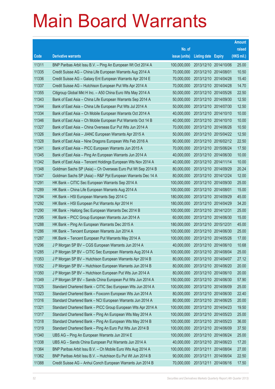|       |                                                              |               |                                  |            | <b>Amount</b> |
|-------|--------------------------------------------------------------|---------------|----------------------------------|------------|---------------|
|       |                                                              | No. of        |                                  |            | raised        |
| Code  | <b>Derivative warrants</b>                                   | issue (units) | Listing date Expiry              |            | $(HK$$ mil.)  |
| 11311 | BNP Paribas Arbit Issu B.V. - Ping An European Wt Oct 2014 A | 100,000,000   | 2013/12/10 2014/10/06            |            | 25.00         |
| 11335 | Credit Suisse AG - China Life European Warrants Aug 2014 A   | 70,000,000    | 2013/12/10 2014/08/01            |            | 10.50         |
| 11336 | Credit Suisse AG - Galaxy Ent European Warrants Apr 2014 E   | 70,000,000    | 2013/12/10 2014/04/28            |            | 15.40         |
| 11337 | Credit Suisse AG - Hutchison European Put Wts Apr 2014 A     | 70,000,000    | 2013/12/10 2014/04/28            |            | 14.70         |
| 11355 | Citigroup Global Mkt H Inc. - A50 China Euro Wts May 2014 A  | 50,000,000    | 2013/12/10 2014/05/26            |            | 22.50         |
| 11343 | Bank of East Asia - China Life European Warrants Sep 2014 A  | 50,000,000    | 2013/12/10 2014/09/30            |            | 12.50         |
| 11344 | Bank of East Asia - China Life European Put Wts Jul 2014 A   | 50,000,000    | 2013/12/10 2014/07/30            |            | 12.50         |
| 11334 | Bank of East Asia – Ch Mobile European Warrants Oct 2014 A   | 40,000,000    | 2013/12/10 2014/10/10            |            | 10.00         |
| 11346 | Bank of East Asia - Ch Mobile European Put Warrants Oct 14 B | 40,000,000    | 2013/12/10 2014/10/10            |            | 10.00         |
| 11327 | Bank of East Asia – China Overseas Eur Put Wts Jun 2014 A    | 70,000,000    | 2013/12/10 2014/06/26            |            | 10.50         |
| 11326 | Bank of East Asia - JIANC European Warrants Apr 2015 A       | 50,000,000    | 2013/12/10 2015/04/22            |            | 12.50         |
| 11328 | Bank of East Asia - Nine Dragons European Wts Feb 2016 A     | 90,000,000    | 2013/12/10 2016/02/12            |            | 22.50         |
| 11341 | Bank of East Asia – PICC European Warrants Jun 2015 A        | 70,000,000    | 2013/12/10 2015/06/24            |            | 17.50         |
| 11345 | Bank of East Asia - Ping An European Warrants Jun 2014 A     | 40,000,000    | 2013/12/10 2014/06/30            |            | 10.00         |
| 11342 | Bank of East Asia - Tencent Holdings European Wts Nov 2014 A | 40,000,000    | 2013/12/10 2014/11/14            |            | 10.00         |
| 11348 | Goldman Sachs SP (Asia) - Ch Overseas Euro Put Wt Sep 2014 B | 80,000,000    | 2013/12/10 2014/09/29            |            | 20.24         |
| 11347 | Goldman Sachs SP (Asia) – R&F Ppt European Warrants Dec 14 A | 80,000,000    | 2013/12/10 2014/12/24            |            | 12.00         |
| 11291 | HK Bank – CITIC Sec European Warrants Sep 2014 A             | 100,000,000   | 2013/12/10 2014/09/30            |            | 25.00         |
| 11289 | HK Bank - China Life European Warrants Aug 2014 A            | 100,000,000   | 2013/12/10 2014/08/01            |            | 15.00         |
| 11294 | HK Bank – HSI European Warrants Sep 2014 C                   | 180,000,000   | 2013/12/10 2014/09/29            |            | 45.00         |
| 11292 | HK Bank - HSI European Put Warrants Apr 2014 H               | 180,000,000   | 2013/12/10 2014/04/29            |            | 34.20         |
| 11290 | HK Bank - Haitong Sec European Warrants Dec 2014 B           | 100,000,000   | 2013/12/10 2014/12/31            |            | 25.00         |
| 11295 | HK Bank - PICC Group European Warrants Jun 2014 A            | 60,000,000    | 2013/12/10 2014/06/30            |            | 15.00         |
| 11288 | HK Bank - Ping An European Warrants Dec 2015 A               | 180,000,000   | 2013/12/10 2015/12/31            |            | 45.00         |
| 11286 | HK Bank – Tencent European Warrants Jun 2014 A               | 100,000,000   | 2013/12/10 2014/06/30            |            | 25.00         |
| 11287 | HK Bank - Tencent European Put Warrants May 2014 A           | 100,000,000   | 2013/12/10 2014/05/26            |            | 17.00         |
| 11296 | J P Morgan SP BV - CGS European Warrants Jun 2014 A          |               | 40,000,000 2013/12/10 2014/06/10 |            | 10.68         |
| 11285 | J P Morgan SP BV - CITIC Sec European Warrants Aug 2014 A    | 100,000,000   | 2013/12/10 2014/08/04            |            | 25.00         |
| 11353 | J P Morgan SP BV - Hutchison European Warrants Apr 2014 B    | 80,000,000    | 2013/12/10 2014/04/07            |            | 27.12         |
| 11352 | J P Morgan SP BV - Hutchison European Warrants Jun 2014 B    | 80,000,000    | 2013/12/10 2014/06/20            |            | 20.00         |
| 11350 | J P Morgan SP BV - Hutchison European Put Wts Jun 2014 A     | 80,000,000    | 2013/12/10 2014/06/10            |            | 20.00         |
| 11349 | J P Morgan SP BV - Sands China European Put Wts Jun 2014 A   | 150,000,000   | 2013/12/10 2014/06/30            |            | 57.90         |
| 11325 | Standard Chartered Bank - CITIC Sec European Wts Jun 2014 A  | 100,000,000   | 2013/12/10 2014/06/09            |            | 25.00         |
| 11323 | Standard Chartered Bank - Foxconn European Wts Jun 2014 A    | 80,000,000    | 2013/12/10 2014/06/30            |            | 22.40         |
| 11316 | Standard Chartered Bank - NCI European Warrants Jun 2014 A   | 80,000,000    | 2013/12/10 2014/06/25            |            | 20.00         |
| 11321 | Standard Chartered Bank - PICC Group European Wts Apr 2014 A | 100,000,000   | 2013/12/10 2014/04/23            |            | 19.50         |
| 11317 | Standard Chartered Bank - Ping An European Wts May 2014 A    | 100,000,000   | 2013/12/10 2014/05/23            |            | 25.00         |
| 11318 | Standard Chartered Bank - Ping An European Wts May 2014 B    | 100,000,000   | 2013/12/10 2014/05/23            |            | 36.00         |
| 11319 | Standard Chartered Bank - Ping An Euro Put Wts Jun 2014 B    | 100,000,000   | 2013/12/10 2014/06/09            |            | 37.50         |
| 11340 | UBS AG - Ping An European Warrants Jun 2014 E                | 100,000,000   | 2013/12/10 2014/06/24            |            | 25.00         |
| 11338 | UBS AG - Sands China European Put Warrants Jun 2014 A        | 40,000,000    | 2013/12/10 2014/06/23            |            | 17.20         |
| 11364 | BNP Paribas Arbit Issu B.V. - Ch Mobile Euro Wts Aug 2014 A  | 100,000,000   | 2013/12/11                       | 2014/08/04 | 27.00         |
| 11362 | BNP Paribas Arbit Issu B.V. - Hutchison Eu Put Wt Jun 2014 B | 90,000,000    | 2013/12/11                       | 2014/06/04 | 22.50         |
| 11388 | Credit Suisse AG - Anhui Conch European Warrants Jun 2014 B  | 70,000,000    | 2013/12/11                       | 2014/06/16 | 17.50         |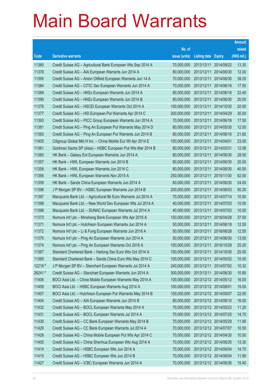|         |                                                                |               |                            |            | <b>Amount</b> |
|---------|----------------------------------------------------------------|---------------|----------------------------|------------|---------------|
|         |                                                                | No. of        |                            |            | raised        |
| Code    | <b>Derivative warrants</b>                                     | issue (units) | <b>Listing date Expiry</b> |            | $(HK$$ mil.)  |
| 11380   | Credit Suisse AG - Agricultural Bank European Wts Sep 2014 A   | 70,000,000    | 2013/12/11                 | 2014/09/22 | 13.30         |
| 11378   | Credit Suisse AG - AIA European Warrants Jun 2014 A            | 80,000,000    | 2013/12/11                 | 2014/06/30 | 12.00         |
| 11395   | Credit Suisse AG - Anton Oilfield European Warrants Jun 14 A   | 70,000,000    | 2013/12/11                 | 2014/06/30 | 39.20         |
| 11384   | Credit Suisse AG - CITIC Sec European Warrants Jun 2014 A      | 70,000,000    | 2013/12/11                 | 2014/06/16 | 17.50         |
| 11389   | Credit Suisse AG - HKEx European Warrants Jun 2014 A           | 80,000,000    | 2013/12/11                 | 2014/06/16 | 22.40         |
| 11390   | Credit Suisse AG - HKEx European Warrants Jun 2014 B           | 80,000,000    | 2013/12/11                 | 2014/06/30 | 20.00         |
| 11376   | Credit Suisse AG - HSCEI European Warrants Oct 2014 A          | 100,000,000   | 2013/12/11                 | 2014/10/30 | 20.00         |
| 11377   | Credit Suisse AG - HSI European Put Warrants Apr 2014 C        | 200,000,000   | 2013/12/11                 | 2014/04/29 | 30.00         |
| 11393   | Credit Suisse AG - PICC Group European Warrants Jun 2014 A     | 70,000,000    | 2013/12/11                 | 2014/06/16 | 17.50         |
| 11381   | Credit Suisse AG - Ping An European Put Warrants May 2014 D    | 80,000,000    | 2013/12/11                 | 2014/05/30 | 12.00         |
| 11383   | Credit Suisse AG - Ping An European Put Warrants Jun 2014 B    | 80,000,000    | 2013/12/11                 | 2014/06/16 | 21.60         |
| 11400   | Citigroup Global Mkt H Inc. - China Mobile Eur Wt Apr 2014 E   | 100,000,000   | 2013/12/11                 | 2014/04/01 | 23.00         |
| 11361   | Goldman Sachs SP (Asia) - HSBC European Put Wts Mar 2014 B     | 80,000,000    | 2013/12/11                 | 2014/03/31 | 12.08         |
| 11360   | HK Bank - Galaxy Ent European Warrants Jun 2014 A              | 80,000,000    | 2013/12/11                 | 2014/06/30 | 28.00         |
| 11357   | HK Bank - HWL European Warrants Jun 2014 B                     | 80,000,000    | 2013/12/11                 | 2014/06/30 | 20.00         |
| 11358   | HK Bank – HWL European Warrants Jun 2014 C                     | 80,000,000    | 2013/12/11                 | 2014/06/30 | 40.00         |
| 11356   | HK Bank - HWL European Warrants Nov 2015 A                     | 250,000,000   | 2013/12/11                 | 2015/11/30 | 62.50         |
| 11359   | HK Bank - Sands China European Warrants Jun 2014 A             | 80,000,000    | 2013/12/11                 | 2014/06/30 | 24.00         |
| 11396   | J P Morgan SP BV - HSBC European Warrants Jun 2014 B           | 200,000,000   | 2013/12/11                 | 2014/06/03 | 50.20         |
| 11397   | Macquarie Bank Ltd. - Agricultural Bk Euro Warrants Jul 2014 A | 70,000,000    | 2013/12/11                 | 2014/07/14 | 10.50         |
| 11399   | Macquarie Bank Ltd. - New World Dev European Wts Jul 2014 A    | 40,000,000    | 2013/12/11                 | 2014/07/03 | 10.00         |
| 11398   | Macquarie Bank Ltd. - SUNAC European Warrants Jul 2014 A       | 40,000,000    | 2013/12/11                 | 2014/07/03 | 10.00         |
| 11373   | Nomura Int'l plc - Minsheng Bank European Wts Apr 2016 A       | 150,000,000   | 2013/12/11                 | 2016/04/28 | 37.50         |
| 11371   | Nomura Int'l plc - Hutchison European Warrants Jun 2014 A      | 50,000,000    | 2013/12/11                 | 2014/06/18 | 12.55         |
| 11372   | Nomura Int'l plc - Li & Fung European Warrants Jun 2016 A      | 50,000,000    | 2013/12/11                 | 2016/06/28 | 12.55         |
| 11375   | Nomura Int'l plc - Ping An European Warrants Jun 2014 A        | 50,000,000    | 2013/12/11                 | 2014/06/30 | 13.00         |
| 11374   | Nomura Int'l plc – Ping An European Warrants Oct 2016 A        | 100,000,000   | 2013/12/11 2016/10/28      |            | 25.20         |
| 11367   | Standard Chartered Bank - Haitong Sec Euro Wts Oct 2014 A      | 100,000,000   | 2013/12/11 2014/10/30      |            | 25.00         |
| 11369   | Standard Chartered Bank - Sands China Euro Wts May 2014 C      | 100,000,000   | 2013/12/11                 | 2014/05/02 | 15.00         |
| 12218 # | J P Morgan SP BV - Stanchart European Warrants Jul 2014 A      | 240,000,000   | 2013/12/11 2014/07/02      |            | 10.32         |
| 26241 # | Credit Suisse AG - Stanchart European Warrants Jun 2014 A      | 300,000,000   | 2013/12/11                 | 2014/06/30 | 10.80         |
| 11406   | BOCI Asia Ltd. - China Mobile European Warrants May 2014 A     | 100,000,000   | 2013/12/12 2014/05/12      |            | 16.00         |
| 11409   | BOCI Asia Ltd. - HSBC European Warrants Aug 2014 A             | 100,000,000   | 2013/12/12 2014/08/01      |            | 15.00         |
| 11407   | BOCI Asia Ltd. - Hutchison European Put Warrants May 2014 B    | 100,000,000   | 2013/12/12 2014/05/07      |            | 22.00         |
| 11404   | Credit Suisse AG - AIA European Warrants Jun 2014 B            | 80,000,000    | 2013/12/12 2014/06/10      |            | 16.00         |
| 11432   | Credit Suisse AG - BOCL European Warrants May 2014 A           | 70,000,000    | 2013/12/12 2014/05/23      |            | 11.20         |
| 11431   | Credit Suisse AG - BOCL European Warrants Jul 2014 A           | 70,000,000    | 2013/12/12 2014/07/25      |            | 14.70         |
| 11430   | Credit Suisse AG - CC Bank European Warrants May 2014 B        | 70,000,000    | 2013/12/12 2014/05/28      |            | 11.90         |
| 11429   | Credit Suisse AG - CC Bank European Warrants Jul 2014 A        | 70,000,000    | 2013/12/12 2014/07/07      |            | 10.50         |
| 11426   | Credit Suisse AG - China Mobile European Put Wts Apr 2014 C    | 70,000,000    | 2013/12/12 2014/04/30      |            | 10.50         |
| 11405   | Credit Suisse AG - China Shenhua European Wts Aug 2014 A       | 70,000,000    | 2013/12/12 2014/08/25      |            | 13.30         |
| 11414   | Credit Suisse AG - HSBC European Wts Jun 2014 A                | 70,000,000    | 2013/12/12 2014/06/04      |            | 14.70         |
| 11415   | Credit Suisse AG - HSBC European Wts Jun 2014 B                | 70,000,000    | 2013/12/12 2014/06/04      |            | 11.90         |
| 11427   | Credit Suisse AG - ICBC European Warrants Jun 2014 A           | 70,000,000    | 2013/12/12 2014/06/26      |            | 15.40         |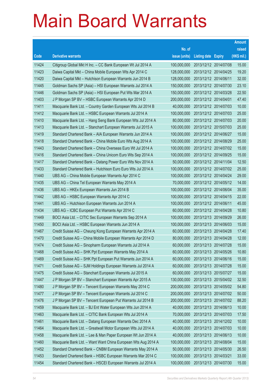|       |                                                               |               |                            | <b>Amount</b> |
|-------|---------------------------------------------------------------|---------------|----------------------------|---------------|
|       |                                                               | No. of        |                            | raised        |
| Code  | <b>Derivative warrants</b>                                    | issue (units) | <b>Listing date Expiry</b> | (HK\$ mil.)   |
| 11424 | Citigroup Global Mkt H Inc. - CC Bank European Wt Jul 2014 A  | 100,000,000   | 2013/12/12 2014/07/08      | 15.00         |
| 11423 | Daiwa Capital Mkt - China Mobile European Wts Apr 2014 C      | 128,000,000   | 2013/12/12 2014/04/25      | 19.20         |
| 11420 | Daiwa Capital Mkt - Hutchison European Warrants Jun 2014 B    | 128,000,000   | 2013/12/12 2014/06/11      | 32.00         |
| 11445 | Goldman Sachs SP (Asia) – HSI European Warrants Jul 2014 A    | 150,000,000   | 2013/12/12 2014/07/30      | 23.10         |
| 11446 | Goldman Sachs SP (Asia) - HSI European Put Wts Mar 2014 A     | 150,000,000   | 2013/12/12 2014/03/28      | 22.50         |
| 11403 | J P Morgan SP BV - HSBC European Warrants Apr 2014 D          | 200,000,000   | 2013/12/12 2014/04/01      | 47.40         |
| 11411 | Macquarie Bank Ltd. - Country Garden European Wts Jul 2014 B  | 40,000,000    | 2013/12/12 2014/07/03      | 10.00         |
| 11412 | Macquarie Bank Ltd. - HSBC European Warrants Jul 2014 A       | 100,000,000   | 2013/12/12 2014/07/03      | 25.00         |
| 11410 | Macquarie Bank Ltd. - Hang Seng Bank European Wts Jul 2014 A  | 80,000,000    | 2013/12/12 2014/07/03      | 20.00         |
| 11413 | Macquarie Bank Ltd. - Stanchart European Warrants Jul 2015 A  | 100,000,000   | 2013/12/12 2015/07/03      | 25.00         |
| 11419 | Standard Chartered Bank - AIA European Warrants Jun 2014 A    | 100,000,000   | 2013/12/12 2014/06/27      | 15.00         |
| 11418 | Standard Chartered Bank - China Mobile Euro Wts Aug 2014 A    | 100,000,000   | 2013/12/12 2014/08/29      | 25.00         |
| 11443 | Standard Chartered Bank - China Overseas Euro Wt Jul 2014 A   | 100,000,000   | 2013/12/12 2014/07/02      | 15.00         |
| 11416 | Standard Chartered Bank - China Unicom Euro Wts Sep 2014 A    | 100,000,000   | 2013/12/12 2014/09/25      | 15.00         |
| 11417 | Standard Chartered Bank - Datang Power Euro Wts Nov 2014 A    | 50,000,000    | 2013/12/12 2014/11/04      | 12.50         |
| 11433 | Standard Chartered Bank - Hutchison Euro Euro Wts Jul 2014 A  | 100,000,000   | 2013/12/12 2014/07/02      | 25.00         |
| 11440 | UBS AG - China Mobile European Warrants Apr 2014 C            | 100,000,000   | 2013/12/12 2014/04/24      | 29.00         |
| 11435 | UBS AG - China Tel European Warrants May 2014 A               | 70,000,000    | 2013/12/12 2014/05/12      | 14.00         |
| 11436 | UBS AG - HKEx European Warrants Jun 2014 B                    | 100,000,000   | 2013/12/12 2014/06/04      | 35.00         |
| 11442 | UBS AG - HSBC European Warrants Apr 2014 C                    | 100,000,000   | 2013/12/12 2014/04/15      | 22.00         |
| 11441 | UBS AG - Hutchison European Warrants Jun 2014 A               | 100,000,000   | 2013/12/12 2014/06/11      | 45.00         |
| 11434 | UBS AG – ICBC European Put Warrants Apr 2014 C                | 60,000,000    | 2013/12/12 2014/04/28      | 10.80         |
| 11449 | BOCI Asia Ltd. - CITIC Sec European Warrants Sep 2014 A       | 100,000,000   | 2013/12/13 2014/09/29      | 26.00         |
| 11450 | BOCI Asia Ltd. - HSBC European Warrants Jun 2014 A            | 100,000,000   | 2013/12/13 2014/06/03      | 15.00         |
| 11467 | Credit Suisse AG - Cheung Kong European Warrants Apr 2014 A   | 60,000,000    | 2013/12/13 2014/04/28      | 17.40         |
| 11470 | Credit Suisse AG - China Mobile European Warrants Apr 2014 D  | 80.000.000    | 2013/12/13 2014/04/28      | 12.00         |
| 11474 | Credit Suisse AG - Sinopharm European Warrants Jul 2014 A     | 60,000,000    | 2013/12/13 2014/07/28      | 15.00         |
| 11468 | Credit Suisse AG – SHK Ppt European Warrants May 2014 A       | 60,000,000    | 2013/12/13 2014/05/26      | 10.80         |
| 11469 | Credit Suisse AG - SHK Ppt European Put Warrants Jun 2014 A   | 60,000,000    | 2013/12/13 2014/06/16      | 15.00         |
| 11471 | Credit Suisse AG - SJM Holdings European Warrants Jul 2014 A  | 60,000,000    | 2013/12/13 2014/07/28      | 15.00         |
| 11475 | Credit Suisse AG - Stanchart European Warrants Jul 2015 A     | 60,000,000    | 2013/12/13 2015/07/27      | 15.00         |
| 11447 | J P Morgan SP BV - Stanchart European Warrants Apr 2015 A     | 130,000,000   | 2013/12/13 2015/04/02      | 32.50         |
| 11480 | J P Morgan SP BV - Tencent European Warrants May 2014 C       | 200,000,000   | 2013/12/13 2014/05/02      | 54.80         |
| 11477 | J P Morgan SP BV - Tencent European Warrants Jul 2014 C       | 200,000,000   | 2013/12/13 2014/07/02      | 50.00         |
| 11476 | J P Morgan SP BV - Tencent European Put Warrants Jul 2014 B   | 200,000,000   | 2013/12/13 2014/07/02      | 88.20         |
| 11459 | Macquarie Bank Ltd. - BJ Ent Water European Wts Jun 2014 A    | 40,000,000    | 2013/12/13 2014/06/13      | 10.00         |
| 11463 | Macquarie Bank Ltd. - CITIC Bank European Wts Jul 2014 A      | 70,000,000    | 2013/12/13 2014/07/03      | 17.50         |
| 11461 | Macquarie Bank Ltd. - Datang European Warrants Dec 2014 A     | 40,000,000    | 2013/12/13 2014/12/02      | 10.00         |
| 11464 | Macquarie Bank Ltd. - Greatwall Motor European Wts Jul 2014 A | 40,000,000    | 2013/12/13 2014/07/03      | 10.00         |
| 11458 | Macquarie Bank Ltd. - Lee & Man Paper European Wt Jun 2014 A  | 40,000,000    | 2013/12/13 2014/06/13      | 10.00         |
| 11460 | Macquarie Bank Ltd. - Want Want China European Wts Aug 2014 A | 100,000,000   | 2013/12/13 2014/08/04      | 15.00         |
| 11452 | Standard Chartered Bank - CNBM European Warrants May 2014 A   | 50,000,000    | 2013/12/13 2014/05/30      | 26.50         |
| 11453 | Standard Chartered Bank - HSBC European Warrants Mar 2014 C   | 100,000,000   | 2013/12/13 2014/03/21      | 33.00         |
| 11454 | Standard Chartered Bank - HSCEI European Warrants Jul 2014 A  | 100,000,000   | 2013/12/13 2014/07/30      | 15.00         |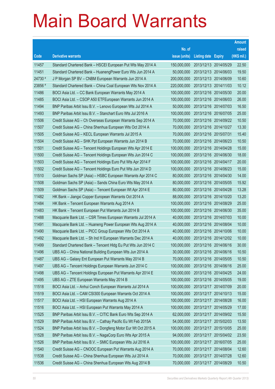|         |                                                                |               |                            |            | <b>Amount</b> |
|---------|----------------------------------------------------------------|---------------|----------------------------|------------|---------------|
|         |                                                                | No. of        |                            |            | raised        |
| Code    | <b>Derivative warrants</b>                                     | issue (units) | <b>Listing date Expiry</b> |            | (HK\$ mil.)   |
| 11457   | Standard Chartered Bank - HSCEI European Put Wts May 2014 A    | 150,000,000   | 2013/12/13 2014/05/29      |            | 22.50         |
| 11451   | Standard Chartered Bank - HuanengPower Euro Wts Jun 2014 A     | 50,000,000    | 2013/12/13 2014/06/03      |            | 19.50         |
| 24730 # | J P Morgan SP BV - CNBM European Warrants Jun 2014 A           | 200,000,000   | 2013/12/13 2014/06/09      |            | 10.60         |
| 23856 # | Standard Chartered Bank – China Coal European Wts Nov 2014 A   | 220,000,000   | 2013/12/13 2014/11/03      |            | 10.12         |
| 11486   | BOCI Asia Ltd. - CC Bank European Warrants May 2014 A          | 100,000,000   | 2013/12/16 2014/05/30      |            | 20.00         |
| 11485   | BOCI Asia Ltd. - CSOP A50 ETFEuropean Warrants Jun 2014 A      | 100,000,000   | 2013/12/16 2014/06/03      |            | 26.00         |
| 11494   | BNP Paribas Arbit Issu B.V. - Lenovo European Wts Jul 2014 A   | 50,000,000    | 2013/12/16 2014/07/03      |            | 16.50         |
| 11493   | BNP Paribas Arbit Issu B.V. - Stanchart Euro Wts Jul 2016 A    | 100,000,000   | 2013/12/16 2016/07/05      |            | 25.00         |
| 11506   | Credit Suisse AG – Ch Overseas European Warrants Sep 2014 A    | 70,000,000    | 2013/12/16 2014/09/22      |            | 10.50         |
| 11507   | Credit Suisse AG - China Shenhua European Wts Oct 2014 A       | 70,000,000    | 2013/12/16 2014/10/27      |            | 13.30         |
| 11505   | Credit Suisse AG - KECL European Warrants Jul 2015 A           | 70,000,000    | 2013/12/16 2015/07/31      |            | 15.40         |
| 11504   | Credit Suisse AG - SHK Ppt European Warrants Jun 2014 B        | 70,000,000    | 2013/12/16 2014/06/23      |            | 10.50         |
| 11501   | Credit Suisse AG – Tencent Holdings European Wts Apr 2014 E    | 100,000,000   | 2013/12/16 2014/04/28      |            | 15.00         |
| 11500   | Credit Suisse AG - Tencent Holdings European Wts Jun 2014 C    | 100,000,000   | 2013/12/16 2014/06/30      |            | 18.00         |
| 11503   | Credit Suisse AG - Tencent Holdings Euro Put Wts Apr 2014 F    | 100,000,000   | 2013/12/16 2014/04/17      |            | 20.00         |
| 11502   | Credit Suisse AG - Tencent Holdings Euro Put Wts Jun 2014 D    | 100,000,000   | 2013/12/16 2014/06/23      |            | 15.00         |
| 11510   | Goldman Sachs SP (Asia) - HSBC European Warrants Apr 2014 C    | 80,000,000    | 2013/12/16 2014/04/30      |            | 14.00         |
| 11508   | Goldman Sachs SP (Asia) - Sands China Euro Wts May 2014 A      | 80,000,000    | 2013/12/16 2014/05/05      |            | 15.92         |
| 11509   | Goldman Sachs SP (Asia) - Tencent European Wt Apr 2014 E       | 80,000,000    | 2013/12/16 2014/04/28      |            | 13.28         |
| 11482   | HK Bank - Jiangxi Copper European Warrants Oct 2014 A          | 88,000,000    | 2013/12/16 2014/10/20      |            | 13.20         |
| 11484   | HK Bank - Tencent European Warrants Aug 2014 A                 | 100,000,000   | 2013/12/16 2014/08/29      |            | 25.00         |
| 11483   | HK Bank - Tencent European Put Warrants Jun 2014 B             | 100,000,000   | 2013/12/16 2014/06/30      |            | 35.00         |
| 11488   | Macquarie Bank Ltd. - CSR Times European Warrants Jul 2014 A   | 40,000,000    | 2013/12/16 2014/07/03      |            | 10.00         |
| 11491   | Macquarie Bank Ltd. - Huaneng Power European Wts Aug 2014 A    | 40,000,000    | 2013/12/16 2014/08/04      |            | 10.00         |
| 11490   | Macquarie Bank Ltd. - PICC Group European Wts Oct 2014 A       | 40,000,000    | 2013/12/16 2014/10/06      |            | 10.00         |
| 11492   | Macquarie Bank Ltd. - Sh Ind H European Warrants Dec 2014 A    | 40,000,000    | 2013/12/16 2014/12/02      |            | 10.00         |
| 11499   | Standard Chartered Bank - Tencent Hidg Eu Put Wts Jun 2014 C   | 100,000,000   | 2013/12/16 2014/06/16      |            | 30.00         |
| 11496   | UBS AG - China National Building European Wts Jun 2014 A       | 30,000,000    | 2013/12/16 2014/06/16      |            | 10.50         |
| 11487   | UBS AG - Galaxy Ent European Put Warrants May 2014 B           | 70,000,000    | 2013/12/16 2014/05/05      |            | 10.50         |
| 11497   | UBS AG - Tencent Holdings European Warrants Jun 2014 C         | 100,000,000   | 2013/12/16 2014/06/16      |            | 25.00         |
| 11498   | UBS AG - Tencent Holdings European Put Warrants Apr 2014 E     | 100,000,000   | 2013/12/16 2014/04/25      |            | 24.00         |
| 11495   | UBS AG - ZTE European Warrants May 2014 B                      | 100,000,000   | 2013/12/16 2014/05/05      |            | 19.00         |
| 11518   | BOCI Asia Ltd. - Anhui Conch European Warrants Jul 2014 A      | 100,000,000   | 2013/12/17 2014/07/09      |            | 20.00         |
| 11519   | BOCI Asia Ltd. - CAM CSI300 European Warrants Oct 2014 A       | 100,000,000   | 2013/12/17 2014/10/13      |            | 15.00         |
| 11517   | BOCI Asia Ltd. - HSI European Warrants Aug 2014 A              | 100,000,000   | 2013/12/17 2014/08/28      |            | 16.00         |
| 11516   | BOCI Asia Ltd. - HSI European Put Warrants May 2014 A          | 100,000,000   | 2013/12/17 2014/05/29      |            | 17.00         |
| 11525   | BNP Paribas Arbit Issu B.V. - CITIC Bank Euro Wts Sep 2014 A   | 62,000,000    | 2013/12/17                 | 2014/09/02 | 15.50         |
| 11529   | BNP Paribas Arbit Issu B.V. - Cathay Pacific Eu Wt Feb 2015A   | 54,000,000    | 2013/12/17 2015/02/03      |            | 13.50         |
| 11524   | BNP Paribas Arbit Issu B.V. - Dongfeng Motor Eur Wt Oct 2015 A | 100,000,000   | 2013/12/17                 | 2015/10/05 | 25.00         |
| 11528   | BNP Paribas Arbit Issu B.V. - NagaCorp Euro Wts Apr 2015 A     | 94,000,000    | 2013/12/17 2015/04/02      |            | 23.50         |
| 11526   | BNP Paribas Arbit Issu B.V. - SMIC European Wts Jul 2016 A     | 100,000,000   | 2013/12/17                 | 2016/07/05 | 25.00         |
| 11540   | Credit Suisse AG - CNOOC European Put Warrants Aug 2014 A      | 70,000,000    | 2013/12/17 2014/08/04      |            | 12.60         |
| 11538   | Credit Suisse AG - China Shenhua European Wts Jul 2014 A       | 70,000,000    | 2013/12/17 2014/07/28      |            | 12.60         |
| 11536   | Credit Suisse AG - China Shenhua European Wts Aug 2014 B       | 70,000,000    | 2013/12/17 2014/08/29      |            | 10.50         |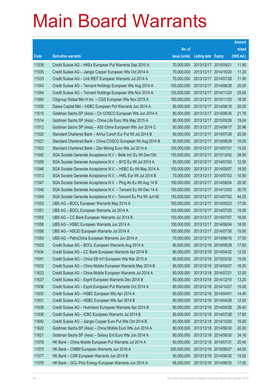|       |                                                                |               |                            |            | <b>Amount</b> |
|-------|----------------------------------------------------------------|---------------|----------------------------|------------|---------------|
|       |                                                                | No. of        |                            |            | raised        |
| Code  | <b>Derivative warrants</b>                                     | issue (units) | <b>Listing date Expiry</b> |            | $(HK$$ mil.)  |
| 11539 | Credit Suisse AG - HKEx European Put Warrants Sep 2015 A       | 70,000,000    | 2013/12/17 2015/09/21      |            | 11.90         |
| 11535 | Credit Suisse AG - Jiangxi Copper European Wts Oct 2014 A      | 70,000,000    | 2013/12/17 2014/10/20      |            | 11.20         |
| 11533 | Credit Suisse AG - Link REIT European Warrants Jul 2014 A      | 70,000,000    | 2013/12/17                 | 2014/07/28 | 11.90         |
| 11543 | Credit Suisse AG - Tencent Holdings European Wts Aug 2014 A    | 100,000,000   | 2013/12/17 2014/08/28      |            | 25.00         |
| 11544 | Credit Suisse AG - Tencent Holdings European Wts Nov 2014 A    | 100,000,000   | 2013/12/17 2014/11/24      |            | 25.00         |
| 11560 | Citigroup Global Mkt H Inc. - CGS European Wts Nov 2015 A      | 100,000,000   | 2013/12/17 2015/11/25      |            | 18.50         |
| 11530 | Daiwa Capital Mkt - HSBC European Put Warrants Jun 2014 A      | 80,000,000    | 2013/12/17                 | 2014/06/16 | 20.00         |
| 11515 | Goldman Sachs SP (Asia) – Ch COSCO European Wts Jun 2014 A     | 80,000,000    | 2013/12/17 2014/06/30      |            | 21.76         |
| 11514 | Goldman Sachs SP (Asia) – China Life Euro Wts May 2015 A       | 80,000,000    | 2013/12/17 2015/05/26      |            | 19.04         |
| 11512 | Goldman Sachs SP (Asia) - A50 China European Wts Jun 2014 C    | 80,000,000    | 2013/12/17 2014/06/17      |            | 20.96         |
| 11520 | Standard Chartered Bank - Anhui Conch Eur Put Wt Jul 2014 B    | 80,000,000    | 2013/12/17                 | 2014/07/28 | 20.00         |
| 11521 | Standard Chartered Bank – China COSCO European Wt Aug 2014 B   | 50,000,000    | 2013/12/17 2014/08/29      |            | 15.00         |
| 11523 | Standard Chartered Bank - Zijin Mining Euro Wts Jul 2014 A     | 100,000,000   | 2013/12/17 2014/07/31      |            | 15.00         |
| 11545 | SGA Societe Generale Acceptance N.V - Belle Int'l Eu Wt Dec15A | 150,000,000   | 2013/12/17 2015/12/02      |            | 28.50         |
| 11559 | SGA Societe Generale Acceptance N.V. - BYD Eu Wt Jul 2014 A    | 50,000,000    | 2013/12/17 2014/07/02      |            | 12.50         |
| 11546 | SGA Societe Generale Acceptance N.V. - HSBC Eu Wt May 2014 A   | 100,000,000   | 2013/12/17 2014/05/07      |            | 18.50         |
| 11513 | SGA Societe Generale Acceptance N.V. - HWL Eur Wt Jul 2014 B   | 70,000,000    | 2013/12/17 2014/07/02      |            | 10.50         |
| 11547 | SGA Societe Generale Acceptance N.V. - Ping An Eu Wt Aug 14 B  | 100,000,000   | 2013/12/17 2014/08/04      |            | 20.50         |
| 11548 | SGA Societe Generale Acceptance N.V. - Tencent Eu Wt Dec 14 A  | 150,000,000   | 2013/12/17                 | 2014/12/03 | 30.75         |
| 11549 | SGA Societe Generale Acceptance N.V - Tencent Eu Put Wt Jul14E | 150,000,000   | 2013/12/17 2014/07/02      |            | 44.25         |
| 11553 | UBS AG - BOCL European Warrants May 2014 A                     | 100,000,000   | 2013/12/17 2014/05/23      |            | 17.00         |
| 11551 | UBS AG - BOCL European Warrants Jul 2014 A                     | 100,000,000   | 2013/12/17 2014/07/25      |            | 15.00         |
| 11555 | UBS AG – CC Bank European Warrants Jul 2014 B                  | 100,000,000   | 2013/12/17 2014/07/07      |            | 16.00         |
| 11558 | UBS AG - HSBC European Warrants Jun 2014 A                     | 100,000,000   | 2013/12/17 2014/06/04      |            | 18.00         |
| 11556 | UBS AG - HSCEI European Warrants Jul 2014 A                    | 100,000,000   | 2013/12/17 2014/07/30      |            | 15.00         |
| 11550 | UBS AG - PetroChina European Warrants Jun 2014 A               | 70,000,000    | 2013/12/17 2014/06/16      |            | 17.50         |
| 11629 | Credit Suisse AG - BOCL European Warrants Aug 2014 A           | 80,000,000    | 2013/12/18 2014/08/29      |            | 17.60         |
| 11634 | Credit Suisse AG - CC Bank European Warrants Apr 2014 B        | 80,000,000    | 2013/12/18 2014/04/22      |            | 12.00         |
| 11641 | Credit Suisse AG - China EB Int'l European Wts Mar 2015 A      | 60,000,000    | 2013/12/18 2015/03/30      |            | 15.00         |
| 11632 | Credit Suisse AG - China Mobile European Warrants May 2014 B   | 80,000,000    | 2013/12/18 2014/05/07      |            | 16.00         |
| 11633 | Credit Suisse AG - China Mobile European Warrants Jul 2014 A   | 80,000,000    | 2013/12/18 2014/07/21      |            | 12.00         |
| 11637 | Credit Suisse AG - Esprit European Warrants Dec 2014 B         | 60,000,000    | 2013/12/18 2014/12/15      |            | 13.20         |
| 11638 | Credit Suisse AG - Esprit European Put Warrants Oct 2014 A     | 60,000,000    | 2013/12/18 2014/10/27      |            | 15.00         |
| 11630 | Credit Suisse AG - HSBC European Wts Apr 2014 A                | 80,000,000    | 2013/12/18 2014/04/01      |            | 14.40         |
| 11631 | Credit Suisse AG - HSBC European Wts Apr 2014 B                | 80,000,000    | 2013/12/18 2014/04/28      |            | 12.00         |
| 11639 | Credit Suisse AG - Hutchison European Warrants Apr 2014 B      | 80,000,000    | 2013/12/18 2014/04/28      |            | 26.40         |
| 11636 | Credit Suisse AG - ICBC European Warrants Jul 2014 B           | 80,000,000    | 2013/12/18 2014/07/28      |            | 17.60         |
| 11640 | Credit Suisse AG - Jiangxi Copper Euro Put Wts Oct 2014 B      | 60,000,000    | 2013/12/18 2014/10/20      |            | 15.00         |
| 11622 | Goldman Sachs SP (Asia) - China Mobile Euro Wts Jun 2014 A     | 80,000,000    | 2013/12/18 2014/06/30      |            | 20.00         |
| 11621 | Goldman Sachs SP (Asia) - Galaxy Ent Euro Wts Jun 2014 A       | 80,000,000    | 2013/12/18 2014/06/30      |            | 34.16         |
| 11578 | HK Bank - China Mobile European Put Warrants Jul 2014 A        | 60,000,000    | 2013/12/18 2014/07/31      |            | 20.40         |
| 11573 | HK Bank - CNBM European Warrants Jun 2016 A                    | 200,000,000   | 2013/12/18 2016/06/27      |            | 44.00         |
| 11577 | HK Bank - CSR European Warrants Jun 2014 B                     | 50,000,000    | 2013/12/18 2014/06/30      |            | 15.00         |
| 11576 | HK Bank - GCL-Poly Energy European Warrants Jun 2014 A         | 68,000,000    | 2013/12/18 2014/06/30      |            | 17.00         |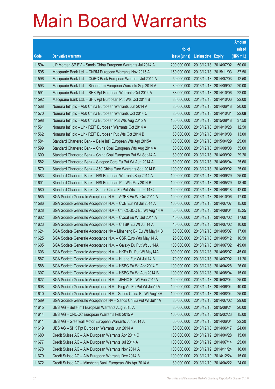|       |                                                                |               |                            | <b>Amount</b> |
|-------|----------------------------------------------------------------|---------------|----------------------------|---------------|
|       |                                                                | No. of        |                            | raised        |
| Code  | <b>Derivative warrants</b>                                     | issue (units) | <b>Listing date Expiry</b> | (HK\$ mil.)   |
| 11594 | J P Morgan SP BV - Sands China European Warrants Jul 2014 A    | 200,000,000   | 2013/12/18 2014/07/02      | 50.00         |
| 11595 | Macquarie Bank Ltd. - CNBM European Warrants Nov 2015 A        | 150,000,000   | 2013/12/18 2015/11/03      | 37.50         |
| 11596 | Macquarie Bank Ltd. - CQRC Bank European Warrants Jul 2014 A   | 50,000,000    | 2013/12/18 2014/07/03      | 12.50         |
| 11593 | Macquarie Bank Ltd. - Sinopharm European Warrants Sep 2014 A   | 80,000,000    | 2013/12/18 2014/09/02      | 20.00         |
| 11591 | Macquarie Bank Ltd. - SHK Ppt European Warrants Oct 2014 A     | 88,000,000    | 2013/12/18 2014/10/06      | 22.00         |
| 11592 | Macquarie Bank Ltd. - SHK Ppt European Put Wts Oct 2014 B      | 88,000,000    | 2013/12/18 2014/10/06      | 22.00         |
| 11568 | Nomura Int'l plc - A50 China European Warrants Jun 2014 A      | 80,000,000    | 2013/12/18 2014/06/18      | 20.00         |
| 11570 | Nomura Int'l plc - A50 China European Warrants Oct 2014 C      | 80,000,000    | 2013/12/18 2014/10/31      | 22.08         |
| 11598 | Nomura Int'l plc - A50 China European Put Wts Aug 2015 A       | 150,000,000   | 2013/12/18 2015/08/18      | 37.50         |
| 11561 | Nomura Int'l plc - Link REIT European Warrants Oct 2014 A      | 50,000,000    | 2013/12/18 2014/10/28      | 12.50         |
| 11562 | Nomura Int'l plc - Link REIT European Put Wts Oct 2014 B       | 50,000,000    | 2013/12/18 2014/10/08      | 13.00         |
| 11584 | Standard Chartered Bank - Belle Int'l European Wts Apr 2015A   | 100,000,000   | 2013/12/18 2015/04/29      | 25.00         |
| 11599 | Standard Chartered Bank - China Coal European Wts Aug 2014 A   | 80,000,000    | 2013/12/18 2014/08/08      | 35.60         |
| 11600 | Standard Chartered Bank - China Coal European Put Wt Sep14 A   | 80,000,000    | 2013/12/18 2014/09/02      | 29.20         |
| 11582 | Standard Chartered Bank - Sinopec Corp Eu Put Wt Aug 2014 A    | 80,000,000    | 2013/12/18 2014/08/04      | 25.60         |
| 11579 | Standard Chartered Bank - A50 China Euro Warrants Sep 2014 B   | 100,000,000   | 2013/12/18 2014/09/02      | 25.00         |
| 11583 | Standard Chartered Bank – HSI European Warrants Sep 2014 A     | 100,000,000   | 2013/12/18 2014/09/29      | 25.00         |
| 11601 | Standard Chartered Bank - HSI European Put Wts May 2014 B      | 100,000,000   | 2013/12/18 2014/05/29      | 18.40         |
| 11580 | Standard Chartered Bank - Sands China Eu Put Wts Jun 2014 C    | 100,000,000   | 2013/12/18 2014/06/18      | 42.00         |
| 11585 | SGA Societe Generale Acceptance N.V. - AGBK Eu Wt Oct 2014 A   | 100,000,000   | 2013/12/18 2014/10/06      | 17.00         |
| 11586 | SGA Societe Generale Acceptance N.V. - CCB Eur Wt Jul 2014 A   | 100,000,000   | 2013/12/18 2014/07/07      | 15.00         |
| 11628 | SGA Societe Generale Acceptance N.V – Chi COSCO Eu Wt Aug 14 A | 50,000,000    | 2013/12/18 2014/08/04      | 15.25         |
| 11602 | SGA Societe Generale Acceptance N.V. - CCoal Eu Wt Jul 2014 A  | 40,000,000    | 2013/12/18 2014/07/02      | 17.60         |
| 11623 | SGA Societe Generale Acceptance N.V. - CITBK Eu Wt Jul 14 A    | 40,000,000    | 2013/12/18 2014/07/02      | 10.00         |
| 11624 | SGA Societe Generale Acceptance NV – Minsheng Bk Eu Wt May14 B | 50,000,000    | 2013/12/18 2014/05/07      | 17.00         |
| 11625 | SGA Societe Generale Acceptance N.V. - CSR Euro Wts May 14 A   | 25,000,000    | 2013/12/18 2014/05/12      | 10.50         |
| 11605 | SGA Societe Generale Acceptance N.V. - Galaxy Eu Put Wt Jul14A | 100,000,000   | 2013/12/18 2014/07/02      | 49.00         |
| 11606 | SGA Societe Generale Acceptance N.V. - HKEx Eu Put Wt May14A   | 300,000,000   | 2013/12/18 2014/05/07      | 45.00         |
| 11587 | SGA Societe Generale Acceptance N.V. - HLand Eur Wt Jul 14 B   | 70,000,000    | 2013/12/18 2014/07/02      | 11.20         |
| 11588 | SGA Societe Generale Acceptance N.V. - HSBC Eu Wt Apr 2014 F   | 100,000,000   | 2013/12/18 2014/04/28      | 26.00         |
| 11607 | SGA Societe Generale Acceptance N.V. - HSBC Eu Wt Aug 2014 B   | 100,000,000   | 2013/12/18 2014/08/04      | 15.00         |
| 11627 | SGA Societe Generale Acceptance N.V. - JIANC Eu Wt Feb 2015A   | 100,000,000   | 2013/12/18 2015/02/04      | 25.00         |
| 11608 | SGA Societe Generale Acceptance N.V - Ping An Eu Put Wt Jun14A | 100,000,000   | 2013/12/18 2014/06/04      | 40.00         |
| 11610 | SGA Societe Generale Acceptance N.V - Sands China Eu Wt Aug14A | 100,000,000   | 2013/12/18 2014/08/04      | 25.00         |
| 11589 | SGA Societe Generale Acceptance NV - Sands Ch Eu Put Wt Jul14A | 80,000,000    | 2013/12/18 2014/07/02      | 29.60         |
| 11615 | UBS AG - Belle Int'l European Warrants Aug 2015 A              | 80,000,000    | 2013/12/18 2015/08/24      | 20.00         |
| 11614 | UBS AG - CNOOC European Warrants Feb 2015 A                    | 100,000,000   | 2013/12/18 2015/02/23      | 15.00         |
| 11611 | UBS AG - Greatwall Motor European Warrants Jun 2014 A          | 60,000,000    | 2013/12/18 2014/06/04      | 22.20         |
| 11619 | UBS AG - SHK Ppt European Warrants Jun 2014 A                  | 60,000,000    | 2013/12/18 2014/06/17      | 24.00         |
| 11680 | Credit Suisse AG - AIA European Warrants Apr 2014 C            | 100,000,000   | 2013/12/19 2014/04/28      | 15.00         |
| 11677 | Credit Suisse AG - AIA European Warrants Jul 2014 A            | 100,000,000   | 2013/12/19 2014/07/14      | 25.00         |
| 11678 | Credit Suisse AG - AIA European Warrants Nov 2014 A            | 100,000,000   | 2013/12/19 2014/11/24      | 16.00         |
| 11679 | Credit Suisse AG - AIA European Warrants Dec 2014 B            | 100,000,000   | 2013/12/19 2014/12/24      | 15.00         |
| 11672 | Credit Suisse AG - Minsheng Bank European Wts Apr 2014 A       | 80,000,000    | 2013/12/19 2014/04/22      | 24.00         |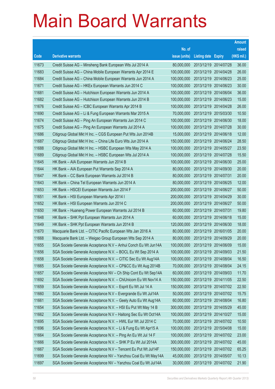|       |                                                                |               |                            |            | <b>Amount</b> |
|-------|----------------------------------------------------------------|---------------|----------------------------|------------|---------------|
|       |                                                                | No. of        |                            |            | raised        |
| Code  | <b>Derivative warrants</b>                                     | issue (units) | <b>Listing date Expiry</b> |            | (HK\$ mil.)   |
| 11673 | Credit Suisse AG – Minsheng Bank European Wts Jul 2014 A       | 80,000,000    | 2013/12/19 2014/07/28      |            | 36.00         |
| 11683 | Credit Suisse AG - China Mobile European Warrants Apr 2014 E   | 100,000,000   | 2013/12/19 2014/04/28      |            | 26.00         |
| 11684 | Credit Suisse AG - China Mobile European Warrants Jun 2014 A   | 100,000,000   | 2013/12/19                 | 2014/06/23 | 25.00         |
| 11671 | Credit Suisse AG - HKEx European Warrants Jun 2014 C           | 100,000,000   | 2013/12/19 2014/06/23      |            | 30.00         |
| 11681 | Credit Suisse AG - Hutchison European Warrants Jun 2014 A      | 100,000,000   | 2013/12/19 2014/06/04      |            | 36.00         |
| 11682 | Credit Suisse AG - Hutchison European Warrants Jun 2014 B      | 100,000,000   | 2013/12/19 2014/06/23      |            | 15.00         |
| 11676 | Credit Suisse AG - ICBC European Warrants Apr 2014 B           | 100,000,000   | 2013/12/19                 | 2014/04/28 | 26.00         |
| 11690 | Credit Suisse AG - Li & Fung European Warrants Mar 2015 A      | 70,000,000    | 2013/12/19 2015/03/30      |            | 10.50         |
| 11674 | Credit Suisse AG - Ping An European Warrants Jun 2014 C        | 100,000,000   | 2013/12/19 2014/06/30      |            | 18.00         |
| 11675 | Credit Suisse AG - Ping An European Warrants Jul 2014 A        | 100,000,000   | 2013/12/19 2014/07/28      |            | 30.00         |
| 11686 | Citigroup Global Mkt H Inc. - CGS European Put Wts Jun 2014B   | 15,000,000    | 2013/12/19 2014/06/18      |            | 12.00         |
| 11687 | Citigroup Global Mkt H Inc. - China Life Euro Wts Jun 2014 A   | 150,000,000   | 2013/12/19 2014/06/24      |            | 28.50         |
| 11688 | Citigroup Global Mkt H Inc. - HSBC European Wts May 2014 A     | 100,000,000   | 2013/12/19 2014/05/27      |            | 23.50         |
| 11689 | Citigroup Global Mkt H Inc. - HSBC European Wts Jul 2014 A     | 100,000,000   | 2013/12/19 2014/07/28      |            | 15.50         |
| 11645 | HK Bank - AIA European Warrants Jun 2014 B                     | 100,000,000   | 2013/12/19                 | 2014/06/30 | 25.00         |
| 11644 | HK Bank – AIA European Put Warrants Sep 2014 A                 | 80,000,000    | 2013/12/19 2014/09/30      |            | 20.00         |
| 11647 | HK Bank - CC Bank European Warrants Jul 2014 B                 | 80,000,000    | 2013/12/19 2014/07/31      |            | 20.00         |
| 11643 | HK Bank - China Tel European Warrants Jun 2014 A               | 80,000,000    | 2013/12/19 2014/06/25      |            | 12.00         |
| 11653 | HK Bank - HSCEI European Warrants Jun 2014 F                   | 200,000,000   | 2013/12/19                 | 2014/06/27 | 50.00         |
| 11651 | HK Bank - HSI European Warrants Apr 2014 I                     | 200,000,000   | 2013/12/19 2014/04/29      |            | 30.00         |
| 11652 | HK Bank - HSI European Warrants Jun 2014 C                     | 200,000,000   | 2013/12/19 2014/06/27      |            | 50.00         |
| 11650 | HK Bank – Huaneng Power European Warrants Jul 2014 B           | 60,000,000    | 2013/12/19 2014/07/31      |            | 19.80         |
| 11648 | HK Bank - SHK Ppt European Warrants Jun 2014 A                 | 60,000,000    | 2013/12/19                 | 2014/06/18 | 15.00         |
| 11649 | HK Bank - SHK Ppt European Warrants Jun 2014 B                 | 120,000,000   | 2013/12/19 2014/06/30      |            | 18.00         |
| 11670 | Macquarie Bank Ltd. - CITIC Pacific European Wts Jan 2016 A    | 80,000,000    | 2013/12/19 2016/01/05      |            | 20.00         |
| 11668 | Macquarie Bank Ltd. - Weigao Group European Wts Sep 2014 A     | 80,000,000    | 2013/12/19 2014/09/29      |            | 20.00         |
| 11655 | SGA Societe Generale Acceptance N.V - Anhui Conch Eu Wt Jun14A | 100,000,000   | 2013/12/19 2014/06/09      |            | 15.00         |
| 11656 | SGA Societe Generale Acceptance N.V. - BOCL Eu Wt Sep 2014 A   | 100,000,000   | 2013/12/19 2014/09/03      |            | 21.50         |
| 11658 | SGA Societe Generale Acceptance N.V. - CITIC Sec Eu Wt Aug14A  | 100,000,000   | 2013/12/19 2014/08/04      |            | 16.50         |
| 11665 | SGA Societe Generale Acceptance N.V. - CP&CC Eu Wt Aug 2014B   | 70,000,000    | 2013/12/19 2014/08/04      |            | 24.15         |
| 11657 | SGA Societe Generale Acceptance NV - Ch Ship Cont Eu Wt Sep14A | 60,000,000    | 2013/12/19 2014/09/03      |            | 11.70         |
| 11692 | SGA Societe Generale Acceptance N.V. - ChiUnicom Eu Wt Nov14 A | 150,000,000   | 2013/12/19 2014/11/05      |            | 22.50         |
| 11659 | SGA Societe Generale Acceptance N.V. - Esprit Eu Wt Jul 14 A   | 150,000,000   | 2013/12/19                 | 2014/07/02 | 22.50         |
| 11660 | SGA Societe Generale Acceptance N.V - Evergrande Eu Wt Jul14A  | 50,000,000    | 2013/12/19 2014/07/02      |            | 15.75         |
| 11661 | SGA Societe Generale Acceptance N.V. - Geely Auto Eu Wt Aug14A | 60,000,000    | 2013/12/19 2014/08/04      |            | 16.80         |
| 11654 | SGA Societe Generale Acceptance N.V. - HSI Eu Put Wt May 14 B  | 300,000,000   | 2013/12/19 2014/05/29      |            | 45.00         |
| 11662 | SGA Societe Generale Acceptance N.V - Haitong Sec Eu Wt Oct14A | 100,000,000   | 2013/12/19                 | 2014/10/27 | 15.00         |
| 11695 | SGA Societe Generale Acceptance N.V. - HWL Eur Wt Jul 2014 C   | 70,000,000    | 2013/12/19 2014/07/02      |            | 10.50         |
| 11696 | SGA Societe Generale Acceptance N.V. - Li & Fung Eu Wt Apr15 A | 100,000,000   | 2013/12/19                 | 2015/04/08 | 15.00         |
| 11664 | SGA Societe Generale Acceptance N.V. - Ping An Eu Wt Jul 14 F  | 100,000,000   | 2013/12/19 2014/07/02      |            | 23.00         |
| 11666 | SGA Societe Generale Acceptance N.V. - SHK P Eu Wt Jul 2014A   | 300,000,000   | 2013/12/19                 | 2014/07/02 | 45.00         |
| 11667 | SGA Societe Generale Acceptance N.V - Tencent Eu Put Wt Jul14F | 150,000,000   | 2013/12/19 2014/07/02      |            | 65.25         |
| 11699 | SGA Societe Generale Acceptance NV - Yanzhou Coal Eu Wt May14A | 45,000,000    | 2013/12/19                 | 2014/05/07 | 10.13         |
| 11697 | SGA Societe Generale Acceptance NV - Yanzhou Coal Eu Wt Jul14A | 30,000,000    | 2013/12/19 2014/07/02      |            | 21.90         |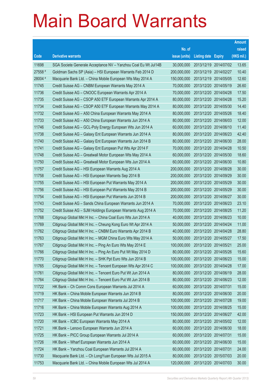|         |                                                                |               |                            | <b>Amount</b> |
|---------|----------------------------------------------------------------|---------------|----------------------------|---------------|
|         |                                                                | No. of        |                            | raised        |
| Code    | <b>Derivative warrants</b>                                     | issue (units) | <b>Listing date Expiry</b> | (HK\$ mil.)   |
| 11698   | SGA Societe Generale Acceptance NV - Yanzhou Coal Eu Wt Jul14B | 30,000,000    | 2013/12/19 2014/07/02      | 13.65         |
| 27558 # | Goldman Sachs SP (Asia) - HSI European Warrants Feb 2014 D     | 200,000,000   | 2013/12/19 2014/02/27      | 10.40         |
| 28004 # | Macquarie Bank Ltd. - China Mobile European Wts May 2014 A     | 150,000,000   | 2013/12/19 2014/05/05      | 12.60         |
| 11745   | Credit Suisse AG - CNBM European Warrants May 2014 A           | 70,000,000    | 2013/12/20 2014/05/19      | 26.60         |
| 11736   | Credit Suisse AG - CNOOC European Warrants Apr 2014 A          | 70,000,000    | 2013/12/20 2014/04/28      | 17.50         |
| 11735   | Credit Suisse AG - CSOP A50 ETF European Warrants Apr 2014 A   | 80,000,000    | 2013/12/20 2014/04/28      | 15.20         |
| 11734   | Credit Suisse AG - CSOP A50 ETF European Warrants May 2014 A   | 80,000,000    | 2013/12/20 2014/05/30      | 14.40         |
| 11732   | Credit Suisse AG - A50 China European Warrants May 2014 A      | 80,000,000    | 2013/12/20 2014/05/26      | 18.40         |
| 11733   | Credit Suisse AG - A50 China European Warrants Jun 2014 A      | 80,000,000    | 2013/12/20 2014/06/03      | 12.00         |
| 11746   | Credit Suisse AG - GCL-Poly Energy European Wts Jun 2014 A     | 60,000,000    | 2013/12/20 2014/06/10      | 11.40         |
| 11738   | Credit Suisse AG - Galaxy Ent European Warrants Jun 2014 A     | 80,000,000    | 2013/12/20 2014/06/23      | 42.40         |
| 11740   | Credit Suisse AG - Galaxy Ent European Warrants Jun 2014 B     | 80,000,000    | 2013/12/20 2014/06/30      | 28.00         |
| 11741   | Credit Suisse AG - Galaxy Ent European Put Wts Apr 2014 F      | 70,000,000    | 2013/12/20 2014/04/28      | 10.50         |
| 11748   | Credit Suisse AG - Greatwall Motor European Wts May 2014 A     | 60,000,000    | 2013/12/20 2014/05/30      | 18.60         |
| 11750   | Credit Suisse AG - Greatwall Motor European Wts Jun 2014 A     | 60,000,000    | 2013/12/20 2014/06/30      | 10.80         |
| 11757   | Credit Suisse AG - HSI European Warrants Aug 2014 A            | 200,000,000   | 2013/12/20 2014/08/28      | 30.00         |
| 11758   | Credit Suisse AG - HSI European Warrants Sep 2014 B            | 200,000,000   | 2013/12/20 2014/09/29      | 30.00         |
| 11755   | Credit Suisse AG - HSI European Put Warrants May 2014 A        | 200,000,000   | 2013/12/20 2014/05/29      | 30.00         |
| 11756   | Credit Suisse AG - HSI European Put Warrants May 2014 B        | 200,000,000   | 2013/12/20 2014/05/29      | 30.00         |
| 11754   | Credit Suisse AG - HSI European Put Warrants Jun 2014 B        | 200,000,000   | 2013/12/20 2014/06/27      | 30.00         |
| 11743   | Credit Suisse AG - Sands China European Warrants Jun 2014 A    | 70,000,000    | 2013/12/20 2014/06/23      | 23.10         |
| 11752   | Credit Suisse AG - SJM Holdings European Warrants Aug 2014 A   | 70,000,000    | 2013/12/20 2014/08/25      | 11.20         |
| 11768   | Citigroup Global Mkt H Inc. - China Coal Euro Wts Jun 2014 A   | 40,000,000    | 2013/12/20 2014/06/23      | 10.00         |
| 11769   | Citigroup Global Mkt H Inc. - Cheung Kong Euro Wt Apr 2014 A   | 50,000,000    | 2013/12/20 2014/04/24      | 11.00         |
| 11762   | Citigroup Global Mkt H Inc. - CNBM Euro Warrants Apr 2014 B    | 40,000,000    | 2013/12/20 2014/04/28      | 28.80         |
| 11763   | Citigroup Global Mkt H Inc. - MGM China Euro Wts May 2014 A    | 50,000,000    | 2013/12/20 2014/05/27      | 17.50         |
| 11767   | Citigroup Global Mkt H Inc. - Ping An Euro Wts May 2014 E      | 100,000,000   | 2013/12/20 2014/05/21      | 25.00         |
| 11766   | Citigroup Global Mkt H Inc. - Ping An Euro Put Wt May 2014 D   | 80,000,000    | 2013/12/20 2014/05/26      | 15.60         |
| 11770   | Citigroup Global Mkt H Inc. - SHK Ppt Euro Wts Jun 2014 B      | 100,000,000   | 2013/12/20 2014/06/23      | 15.00         |
| 11765   | Citigroup Global Mkt H Inc. - Tencent European Wts Apr 2014 C  | 100,000,000   | 2013/12/20 2014/04/28      | 17.00         |
| 11761   | Citigroup Global Mkt H Inc. - Tencent Euro Put Wt Jun 2014 A   | 80,000,000    | 2013/12/20 2014/06/19      | 28.00         |
| 11764   | Citigroup Global Mkt H Inc. - Tencent Euro Put Wt Jun 2014 B   | 80,000,000    | 2013/12/20 2014/06/23      | 12.00         |
| 11722   | HK Bank - Ch Comm Cons European Warrants Jul 2014 A            | 60,000,000    | 2013/12/20 2014/07/31      | 15.00         |
| 11719   | HK Bank - China Mobile European Warrants Jun 2014 B            | 80,000,000    | 2013/12/20 2014/06/30      | 20.00         |
| 11717   | HK Bank - China Mobile European Warrants Jul 2014 B            | 100,000,000   | 2013/12/20 2014/07/28      | 19.00         |
| 11716   | HK Bank - China Mobile European Warrants Aug 2014 A            | 100,000,000   | 2013/12/20 2014/08/25      | 15.00         |
| 11723   | HK Bank - HSI European Put Warrants Jun 2014 D                 | 150,000,000   | 2013/12/20 2014/06/27      | 42.00         |
| 11720   | HK Bank - ICBC European Warrants May 2014 A                    | 80,000,000    | 2013/12/20 2014/05/02      | 12.00         |
| 11721   | HK Bank - Lenovo European Warrants Jun 2014 A                  | 60,000,000    | 2013/12/20 2014/06/30      | 18.00         |
| 11725   | HK Bank - PICC Group European Warrants Jul 2014 A              | 60,000,000    | 2013/12/20 2014/07/31      | 15.00         |
| 11726   | HK Bank - Wharf European Warrants Jun 2014 A                   | 60,000,000    | 2013/12/20 2014/06/30      | 15.00         |
| 11724   | HK Bank - Yanzhou Coal European Warrants Jul 2014 A            | 60,000,000    | 2013/12/20 2014/07/31      | 24.00         |
| 11730   | Macquarie Bank Ltd. - Ch LongYuan European Wts Jul 2015 A      | 80,000,000    | 2013/12/20 2015/07/03      | 20.00         |
| 11753   | Macquarie Bank Ltd. - China Mobile European Wts Jul 2014 A     | 120,000,000   | 2013/12/20 2014/07/03      | 30.00         |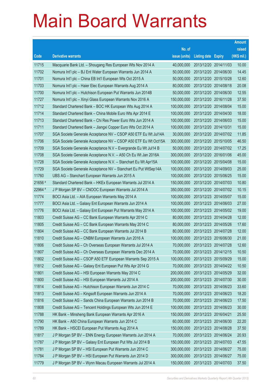|         |                                                                |               |                            | <b>Amount</b> |
|---------|----------------------------------------------------------------|---------------|----------------------------|---------------|
|         |                                                                | No. of        |                            | raised        |
| Code    | <b>Derivative warrants</b>                                     | issue (units) | <b>Listing date Expiry</b> | (HK\$ mil.)   |
| 11715   | Macquarie Bank Ltd. - Shougang Res European Wts Nov 2014 A     | 40,000,000    | 2013/12/20 2014/11/03      | 10.00         |
| 11702   | Nomura Int'l plc - BJ Ent Water European Warrants Jun 2014 A   | 50,000,000    | 2013/12/20 2014/06/30      | 14.45         |
| 11701   | Nomura Int'l plc - China EB Int'l European Wts Oct 2015 A      | 50,000,000    | 2013/12/20 2015/10/28      | 12.60         |
| 11703   | Nomura Int'l plc - Haier Elec European Warrants Aug 2014 A     | 80,000,000    | 2013/12/20 2014/08/18      | 20.08         |
| 11700   | Nomura Int'l plc - Hutchison European Put Warrants Jun 2014B   | 50,000,000    | 2013/12/20 2014/06/30      | 12.55         |
| 11727   | Nomura Int'l plc - Xinyi Glass European Warrants Nov 2016 A    | 150,000,000   | 2013/12/20 2016/11/28      | 37.50         |
| 11712   | Standard Chartered Bank - BOC HK European Wts Aug 2014 A       | 100,000,000   | 2013/12/20 2014/08/04      | 15.00         |
| 11714   | Standard Chartered Bank – China Mobile Euro Wts Apr 2014 E     | 100,000,000   | 2013/12/20 2014/04/30      | 18.00         |
| 11713   | Standard Chartered Bank - Chi Res Power Euro Wts Jun 2014 A    | 100,000,000   | 2013/12/20 2014/06/03      | 15.00         |
| 11711   | Standard Chartered Bank - Jiangxi Copper Euro Wts Oct 2014 A   | 100,000,000   | 2013/12/20 2014/10/31      | 15.00         |
| 11707   | SGA Societe Generale Acceptance NV - CSOP A50 ETF Eu Wt Jul14A | 30,000,000    | 2013/12/20 2014/07/02      | 11.85         |
| 11706   | SGA Societe Generale Acceptance NV – CSOP A50 ETF Eu Wt Oct15A | 300,000,000   | 2013/12/20 2015/10/05      | 46.50         |
| 11709   | SGA Societe Generale Acceptance N.V - Evergrande Eu Wt Jul14 B | 50,000,000    | 2013/12/20 2014/07/02      | 17.25         |
| 11708   | SGA Societe Generale Acceptance N.V. - A50 Ch Eu Wt Jan 2016A  | 300,000,000   | 2013/12/20 2016/01/06      | 45.00         |
| 11728   | SGA Societe Generale Acceptance N.V. - Stanchart Eu Wt Apr15A  | 100,000,000   | 2013/12/20 2015/04/08      | 15.00         |
| 11729   | SGA Societe Generale Acceptance NV - Stanchart Eu Put WtSep14A | 100,000,000   | 2013/12/20 2014/09/03      | 25.00         |
| 11760   | UBS AG - Stanchart European Warrants Jun 2015 A                | 100,000,000   | 2013/12/20 2015/06/25      | 15.00         |
| 21656 # | Standard Chartered Bank - HKEx European Warrants Jul 2014 A    | 150,000,000   | 2013/12/20 2014/07/03      | 10.80         |
| 22964 # | J P Morgan SP BV - CNOOC European Warrants Jul 2014 A          | 350,000,000   | 2013/12/20 2014/07/02      | 10.15         |
| 11774   | BOCI Asia Ltd. - AIA European Warrants May 2014 A              | 100,000,000   | 2013/12/23 2014/05/07      | 15.00         |
| 11777   | BOCI Asia Ltd. - Galaxy Ent European Warrants Jun 2014 A       | 100,000,000   | 2013/12/23 2014/06/03      | 27.00         |
| 11776   | BOCI Asia Ltd. - Galaxy Ent European Put Warrants May 2014 A   | 100,000,000   | 2013/12/23 2014/05/02      | 19.00         |
| 11803   | Credit Suisse AG - CC Bank European Warrants Apr 2014 C        | 80,000,000    | 2013/12/23 2014/04/28      | 12.00         |
| 11805   | Credit Suisse AG - CC Bank European Warrants May 2014 C        | 80,000,000    | 2013/12/23 2014/05/26      | 17.60         |
| 11804   | Credit Suisse AG - CC Bank European Warrants Jul 2014 B        | 80,000,000    | 2013/12/23 2014/07/28      | 12.00         |
| 11810   | Credit Suisse AG - CNBM European Warrants Jun 2016 A           | 100,000,000   | 2013/12/23 2016/06/30      | 21.00         |
| 11806   | Credit Suisse AG – Ch Overseas European Warrants Jul 2014 A    | 70,000,000    | 2013/12/23 2014/07/28      | 12.60         |
| 11807   | Credit Suisse AG - Ch Overseas European Warrants Dec 2014 A    | 70,000,000    | 2013/12/23 2014/12/15      | 10.50         |
| 11802   | Credit Suisse AG - CSOP A50 ETF European Warrants Sep 2015 A   | 100,000,000   | 2013/12/23 2015/09/29      | 15.00         |
| 11812   | Credit Suisse AG - Galaxy Ent European Put Wts Apr 2014 G      | 70,000,000    | 2013/12/23 2014/04/22      | 10.50         |
| 11801   | Credit Suisse AG - HSI European Warrants May 2014 C            | 200,000,000   | 2013/12/23 2014/05/29      | 32.00         |
| 11800   | Credit Suisse AG - HSI European Warrants Jul 2014 A            | 200,000,000   | 2013/12/23 2014/07/30      | 30.00         |
| 11814   | Credit Suisse AG - Hutchison European Warrants Jun 2014 C      | 70,000,000    | 2013/12/23 2014/06/23      | 33.60         |
| 11813   | Credit Suisse AG - Kingsoft European Warrants Jun 2014 A       | 70,000,000    | 2013/12/23 2014/06/23      | 18.20         |
| 11816   | Credit Suisse AG - Sands China European Warrants Jun 2014 B    | 70,000,000    | 2013/12/23 2014/06/23      | 17.50         |
| 11808   | Credit Suisse AG - Tencent Holdings European Wts Jun 2014 E    | 100,000,000   | 2013/12/23 2014/06/23      | 30.00         |
| 11788   | HK Bank - Minsheng Bank European Warrants Apr 2016 A           | 150,000,000   | 2013/12/23 2016/04/21      | 25.50         |
| 11790   | HK Bank - A50 China European Warrants Jun 2014 C               | 60,000,000    | 2013/12/23 2014/06/30      | 22.20         |
| 11789   | HK Bank - HSCEI European Put Warrants Aug 2014 A               | 150,000,000   | 2013/12/23 2014/08/28      | 37.50         |
| 11817   | J P Morgan SP BV - ENN Energy European Warrants Jun 2014 A     | 70,000,000    | 2013/12/23 2014/06/24      | 20.93         |
| 11787   | J P Morgan SP BV - Galaxy Ent European Put Wts Jul 2014 B      | 150,000,000   | 2013/12/23 2014/07/03      | 47.55         |
| 11781   | J P Morgan SP BV - HSI European Put Warrants Jun 2014 C        | 300,000,000   | 2013/12/23 2014/06/27      | 75.00         |
| 11784   | J P Morgan SP BV - HSI European Put Warrants Jun 2014 D        | 300,000,000   | 2013/12/23 2014/06/27      | 75.00         |
| 11779   | J P Morgan SP BV - Wynn Macau European Warrants Jul 2014 A     | 150,000,000   | 2013/12/23 2014/07/03      | 37.50         |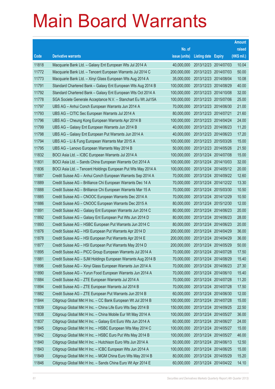|       |                                                               |               |                            | <b>Amount</b> |
|-------|---------------------------------------------------------------|---------------|----------------------------|---------------|
|       |                                                               | No. of        |                            | raised        |
| Code  | <b>Derivative warrants</b>                                    | issue (units) | <b>Listing date Expiry</b> | (HK\$ mil.)   |
| 11818 | Macquarie Bank Ltd. - Galaxy Ent European Wts Jul 2014 A      | 40,000,000    | 2013/12/23 2014/07/03      | 10.04         |
| 11772 | Macquarie Bank Ltd. - Tencent European Warrants Jul 2014 C    | 200,000,000   | 2013/12/23 2014/07/03      | 50.00         |
| 11773 | Macquarie Bank Ltd. - Xinyi Glass European Wts Aug 2014 A     | 35,000,000    | 2013/12/23 2014/08/04      | 10.08         |
| 11791 | Standard Chartered Bank - Galaxy Ent European Wts Aug 2014 B  | 100,000,000   | 2013/12/23 2014/08/29      | 40.00         |
| 11792 | Standard Chartered Bank – Galaxy Ent European Wts Oct 2014 A  | 100,000,000   | 2013/12/23 2014/10/08      | 32.00         |
| 11778 | SGA Societe Generale Acceptance N.V. - Stanchart Eu Wt Jul15A | 100,000,000   | 2013/12/23 2015/07/06      | 25.00         |
| 11797 | UBS AG - Anhui Conch European Warrants Jun 2014 A             | 70,000,000    | 2013/12/23 2014/06/30      | 21.00         |
| 11793 | UBS AG - CITIC Sec European Warrants Jul 2014 A               | 80,000,000    | 2013/12/23 2014/07/21      | 21.60         |
| 11796 | UBS AG - Cheung Kong European Warrants Apr 2014 B             | 100,000,000   | 2013/12/23 2014/04/24      | 24.00         |
| 11799 | UBS AG - Galaxy Ent European Warrants Jun 2014 B              | 40,000,000    | 2013/12/23 2014/06/23      | 11.20         |
| 11798 | UBS AG - Galaxy Ent European Put Warrants Jun 2014 A          | 40,000,000    | 2013/12/23 2014/06/23      | 17.20         |
| 11794 | UBS AG - Li & Fung European Warrants Mar 2015 A               | 100,000,000   | 2013/12/23 2015/03/26      | 15.00         |
| 11795 | UBS AG - Lenovo European Warrants May 2014 B                  | 50,000,000    | 2013/12/23 2014/05/26      | 21.50         |
| 11832 | BOCI Asia Ltd. - ICBC European Warrants Jul 2014 A            | 100,000,000   | 2013/12/24 2014/07/08      | 15.00         |
| 11831 | BOCI Asia Ltd. - Sands China European Warrants Oct 2014 A     | 100,000,000   | 2013/12/24 2014/10/03      | 32.00         |
| 11836 | BOCI Asia Ltd. - Tencent Holdings European Put Wts May 2014 A | 100,000,000   | 2013/12/24 2014/05/12      | 20.00         |
| 11887 | Credit Suisse AG - Anhui Conch European Warrants Sep 2014 A   | 70,000,000    | 2013/12/24 2014/09/22      | 12.60         |
| 11889 | Credit Suisse AG - Brilliance Chi European Warrants Dec 14 A  | 70,000,000    | 2013/12/24 2014/12/22      | 13.30         |
| 11888 | Credit Suisse AG - Brilliance Chi European Warrants Mar 15 A  | 70,000,000    | 2013/12/24 2015/03/30      | 10.50         |
| 11885 | Credit Suisse AG - CNOOC European Warrants Dec 2014 A         | 70,000,000    | 2013/12/24 2014/12/29      | 10.50         |
| 11886 | Credit Suisse AG - CNOOC European Warrants Dec 2015 A         | 80,000,000    | 2013/12/24 2015/12/30      | 12.00         |
| 11891 | Credit Suisse AG - Galaxy Ent European Warrants Jun 2014 C    | 80,000,000    | 2013/12/24 2014/06/23      | 20.00         |
| 11892 | Credit Suisse AG - Galaxy Ent European Put Wts Jun 2014 D     | 80,000,000    | 2013/12/24 2014/06/23      | 28.00         |
| 11893 | Credit Suisse AG - HSBC European Put Warrants Jun 2014 C      | 80,000,000    | 2013/12/24 2014/06/23      | 20.00         |
| 11876 | Credit Suisse AG - HSI European Put Warrants Apr 2014 D       | 200,000,000   | 2013/12/24 2014/04/29      | 36.00         |
| 11878 | Credit Suisse AG - HSI European Put Warrants Apr 2014 E       | 200,000,000   | 2013/12/24 2014/04/29      | 36.00         |
| 11877 | Credit Suisse AG - HSI European Put Warrants May 2014 D       | 200,000,000   | 2013/12/24 2014/05/29      | 50.00         |
| 11895 | Credit Suisse AG - PICC Group European Warrants Jul 2014 A    | 70,000,000    | 2013/12/24 2014/07/28      | 17.50         |
| 11881 | Credit Suisse AG - SJM Holdings European Warrants Aug 2014 B  | 70,000,000    | 2013/12/24 2014/08/29      | 15.40         |
| 11896 | Credit Suisse AG - Xinyi Glass European Warrants Jun 2014 A   | 70,000,000    | 2013/12/24 2014/06/23      | 27.30         |
| 11890 | Credit Suisse AG - Yurun Food European Warrants Jun 2014 A    | 70,000,000    | 2013/12/24 2014/06/10      | 15.40         |
| 11884 | Credit Suisse AG - ZTE European Warrants Jul 2014 A           | 70,000,000    | 2013/12/24 2014/07/28      | 11.20         |
| 11894 | Credit Suisse AG - ZTE European Warrants Jul 2014 B           | 70,000,000    | 2013/12/24 2014/07/28      | 17.50         |
| 11882 | Credit Suisse AG - ZTE European Put Warrants Jun 2014 B       | 60,000,000    | 2013/12/24 2014/06/30      | 12.00         |
| 11844 | Citigroup Global Mkt H Inc. - CC Bank European Wt Jul 2014 B  | 100,000,000   | 2013/12/24 2014/07/28      | 15.00         |
| 11839 | Citigroup Global Mkt H Inc. - China Life Euro Wts Sep 2014 B  | 150,000,000   | 2013/12/24 2014/09/25      | 22.50         |
| 11838 | Citigroup Global Mkt H Inc. - China Mobile Eur Wt May 2014 A  | 100,000,000   | 2013/12/24 2014/05/27      | 36.00         |
| 11837 | Citigroup Global Mkt H Inc. - Galaxy Ent Euro Wts Jun 2014 A  | 60,000,000    | 2013/12/24 2014/06/27      | 24.00         |
| 11845 | Citigroup Global Mkt H Inc. - HSBC European Wts May 2014 C    | 100,000,000   | 2013/12/24 2014/05/27      | 15.00         |
| 11842 | Citigroup Global Mkt H Inc. - HSBC Euro Put Wts May 2014 B    | 100,000,000   | 2013/12/24 2014/05/27      | 46.00         |
| 11840 | Citigroup Global Mkt H Inc. - Hutchison Euro Wts Jun 2014 A   | 50,000,000    | 2013/12/24 2014/06/13      | 12.50         |
| 11843 | Citigroup Global Mkt H Inc. - ICBC European Wts Jun 2014 A    | 100,000,000   | 2013/12/24 2014/06/25      | 15.00         |
| 11849 | Citigroup Global Mkt H Inc. - MGM China Euro Wts May 2014 B   | 80,000,000    | 2013/12/24 2014/05/29      | 15.20         |
| 11846 | Citigroup Global Mkt H Inc. - Sands China Euro Wt Apr 2014 E  | 60,000,000    | 2013/12/24 2014/04/22      | 14.10         |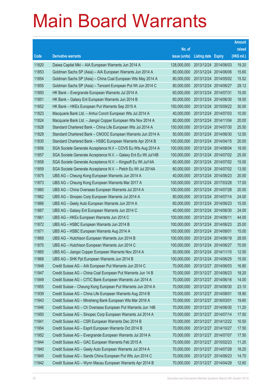|       |                                                                |               |                            |            | <b>Amount</b> |
|-------|----------------------------------------------------------------|---------------|----------------------------|------------|---------------|
|       |                                                                | No. of        |                            |            | raised        |
| Code  | <b>Derivative warrants</b>                                     | issue (units) | <b>Listing date Expiry</b> |            | (HK\$ mil.)   |
| 11820 | Daiwa Capital Mkt - AIA European Warrants Jun 2014 A           | 128,000,000   | 2013/12/24 2014/06/03      |            | 19.20         |
| 11853 | Goldman Sachs SP (Asia) - AIA European Warrants Jun 2014 A     | 80,000,000    | 2013/12/24 2014/06/06      |            | 15.60         |
| 11854 | Goldman Sachs SP (Asia) - China Coal European Wts May 2014 A   | 80,000,000    | 2013/12/24 2014/05/02      |            | 15.52         |
| 11855 | Goldman Sachs SP (Asia) - Tencent European Put Wt Jun 2014 C   | 80,000,000    | 2013/12/24 2014/06/27      |            | 29.12         |
| 11850 | HK Bank - Evergrande European Warrants Jul 2014 A              | 60,000,000    | 2013/12/24 2014/07/31      |            | 15.00         |
| 11851 | HK Bank - Galaxy Ent European Warrants Jun 2014 B              | 60,000,000    | 2013/12/24 2014/06/30      |            | 18.00         |
| 11852 | HK Bank - HKEx European Put Warrants Sep 2015 A                | 150,000,000   | 2013/12/24 2015/09/22      |            | 30.00         |
| 11823 | Macquarie Bank Ltd. - Anhui Conch European Wts Jul 2014 A      | 40,000,000    | 2013/12/24 2014/07/03      |            | 10.00         |
| 11824 | Macquarie Bank Ltd. - Jiangxi Copper European Wts Nov 2014 A   | 80,000,000    | 2013/12/24 2014/11/04      |            | 20.00         |
| 11828 | Standard Chartered Bank - China Life European Wts Jul 2014 A   | 150,000,000   | 2013/12/24 2014/07/30      |            | 25.50         |
| 11829 | Standard Chartered Bank - CNOOC European Warrants Jun 2014 A   | 50,000,000    | 2013/12/24 2014/06/30      |            | 12.50         |
| 11830 | Standard Chartered Bank - HSBC European Warrants Apr 2014 B    | 100,000,000   | 2013/12/24 2014/04/15      |            | 20.00         |
| 11856 | SGA Societe Generale Acceptance N.V - COVS Eu Wts Aug 2014 A   | 100,000,000   | 2013/12/24 2014/08/04      |            | 18.00         |
| 11857 | SGA Societe Generale Acceptance N.V. - Galaxy Ent Eu Wt Jul14B | 100,000,000   | 2013/12/24 2014/07/02      |            | 25.00         |
| 11858 | SGA Societe Generale Acceptance N.V. - Kingsoft Eu Wt Jul14A   | 60,000,000    | 2013/12/24 2014/07/02      |            | 15.00         |
| 11859 | SGA Societe Generale Acceptance N.V. - Petch Eu Wt Jul 2014A   | 60,000,000    | 2013/12/24 2014/07/02      |            | 13.50         |
| 11875 | UBS AG - Cheung Kong European Warrants Jun 2014 A              | 40,000,000    | 2013/12/24 2014/06/23      |            | 20.00         |
| 11873 | UBS AG - Cheung Kong European Warrants Mar 2017 A              | 100,000,000   | 2013/12/24 2017/03/28      |            | 17.00         |
| 11860 | UBS AG - China Overseas European Warrants Jul 2014 A           | 100,000,000   | 2013/12/24 2014/07/28      |            | 20.00         |
| 11862 | UBS AG - Sinopec Corp European Warrants Jul 2014 A             | 80,000,000    | 2013/12/24 2014/07/14      |            | 24.00         |
| 11866 | UBS AG - Geely Auto European Warrants Jun 2014 A               | 60,000,000    | 2013/12/24 2014/06/23      |            | 15.00         |
| 11867 | UBS AG - Galaxy Ent European Warrants Jun 2014 C               | 40,000,000    | 2013/12/24 2014/06/30      |            | 24.00         |
| 11861 | UBS AG - HKEx European Warrants Jun 2014 C                     | 100,000,000   | 2013/12/24 2014/06/11      |            | 44.00         |
| 11872 | UBS AG - HSBC European Warrants Jun 2014 B                     | 100,000,000   | 2013/12/24 2014/06/23      |            | 25.00         |
| 11871 | UBS AG - HSBC European Warrants Aug 2014 A                     | 100,000,000   | 2013/12/24 2014/08/01      |            | 15.00         |
| 11869 | UBS AG - Hutchison European Warrants Jun 2014 B                | 100,000,000   | 2013/12/24 2014/06/19      |            | 28.00         |
| 11870 | UBS AG - Hutchison European Warrants Jun 2014 C                | 100,000,000   | 2013/12/24 2014/06/27      |            | 70.00         |
| 11865 | UBS AG - Jiangxi Copper European Warrants Nov 2014 A           | 50,000,000    | 2013/12/24 2014/11/10      |            | 12.50         |
| 11868 | UBS AG - SHK Ppt European Warrants Jun 2014 B                  | 100,000,000   | 2013/12/24 2014/06/25      |            | 15.00         |
| 11948 | Credit Suisse AG - AIA European Put Warrants Jun 2014 C        | 70,000,000    | 2013/12/27 2014/06/03      |            | 16.80         |
| 11947 | Credit Suisse AG - China Coal European Put Warrants Jun 14 B   | 70,000,000    | 2013/12/27 2014/06/23      |            | 18.20         |
| 11949 | Credit Suisse AG - CITIC Bank European Warrants Jun 2014 A     | 70,000,000    | 2013/12/27 2014/06/16      |            | 14.00         |
| 11955 | Credit Suisse - Cheung Kong European Put Warrants Jun 2014 A   | 70,000,000    | 2013/12/27                 | 2014/06/30 | 23.10         |
| 11939 | Credit Suisse AG - China Life European Warrants Aug 2014 B     | 70,000,000    | 2013/12/27 2014/08/01      |            | 18.90         |
| 11943 | Credit Suisse AG - Minsheng Bank European Wts Mar 2016 A       | 70,000,000    | 2013/12/27 2016/03/01      |            | 19.60         |
| 11946 | Credit Suisse AG - Ch Overseas European Put Warrants Jun 14B   | 70,000,000    | 2013/12/27 2014/06/30      |            | 11.20         |
| 11950 | Credit Suisse AG - Sinopec Corp European Warrants Jul 2014 A   | 70,000,000    | 2013/12/27 2014/07/14      |            | 17.50         |
| 11941 | Credit Suisse AG - CSR European Warrants Dec 2014 B            | 70,000,000    | 2013/12/27 2014/12/22      |            | 10.50         |
| 11954 | Credit Suisse AG - Esprit European Warrants Oct 2014 B         | 70,000,000    | 2013/12/27 2014/10/27      |            | 17.50         |
| 11952 | Credit Suisse AG - Evergrande European Warrants Jul 2014 A     | 70,000,000    | 2013/12/27 2014/07/07      |            | 17.50         |
| 11944 | Credit Suisse AG - GAC European Warrants Feb 2015 A            | 70,000,000    | 2013/12/27 2015/02/23      |            | 11.20         |
| 11940 | Credit Suisse AG - Geely Auto European Warrants Jul 2014 A     | 70,000,000    | 2013/12/27 2014/07/28      |            | 18.20         |
| 11945 | Credit Suisse AG - Sands China European Put Wts Jun 2014 C     | 70,000,000    | 2013/12/27 2014/06/23      |            | 14.70         |
| 11942 | Credit Suisse AG - Wynn Macau European Warrants Apr 2014 B     | 70,000,000    | 2013/12/27 2014/04/28      |            | 12.60         |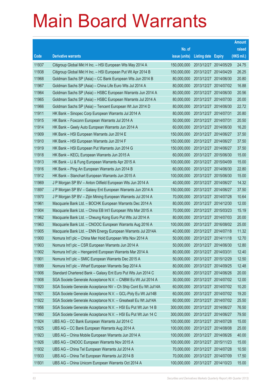|       |                                                                |               |                            | <b>Amount</b> |
|-------|----------------------------------------------------------------|---------------|----------------------------|---------------|
|       |                                                                | No. of        |                            | raised        |
| Code  | <b>Derivative warrants</b>                                     | issue (units) | <b>Listing date Expiry</b> | (HK\$ mil.)   |
| 11937 | Citigroup Global Mkt H Inc. - HSI European Wts May 2014 A      | 150,000,000   | 2013/12/27 2014/05/29      | 24.75         |
| 11938 | Citigroup Global Mkt H Inc. - HSI European Put Wt Apr 2014 B   | 150,000,000   | 2013/12/27 2014/04/29      | 26.25         |
| 11968 | Goldman Sachs SP (Asia) - CC Bank European Wts Jun 2014 B      | 80,000,000    | 2013/12/27 2014/06/30      | 20.80         |
| 11967 | Goldman Sachs SP (Asia) – China Life Euro Wts Jul 2014 A       | 80,000,000    | 2013/12/27 2014/07/02      | 16.88         |
| 11964 | Goldman Sachs SP (Asia) - HSBC European Warrants Jun 2014 A    | 80,000,000    | 2013/12/27 2014/06/30      | 20.56         |
| 11965 | Goldman Sachs SP (Asia) - HSBC European Warrants Jul 2014 A    | 80,000,000    | 2013/12/27 2014/07/30      | 20.00         |
| 11966 | Goldman Sachs SP (Asia) – Tencent European Wt Jun 2014 D       | 80,000,000    | 2013/12/27 2014/06/30      | 22.72         |
| 11911 | HK Bank – Sinopec Corp European Warrants Jul 2014 A            | 80,000,000    | 2013/12/27 2014/07/31      | 20.80         |
| 11915 | HK Bank - Foxconn European Warrants Jul 2014 A                 | 50,000,000    | 2013/12/27 2014/07/31      | 20.50         |
| 11914 | HK Bank – Geely Auto European Warrants Jun 2014 A              | 60,000,000    | 2013/12/27 2014/06/30      | 16.20         |
| 11909 | HK Bank - HSI European Warrants Jun 2014 E                     | 150,000,000   | 2013/12/27 2014/06/27      | 37.50         |
| 11910 | HK Bank - HSI European Warrants Jun 2014 F                     | 150,000,000   | 2013/12/27 2014/06/27      | 37.50         |
| 11919 | HK Bank - HSI European Put Warrants Jun 2014 G                 | 150,000,000   | 2013/12/27 2014/06/27      | 37.50         |
| 11918 | HK Bank – KECL European Warrants Jun 2015 A                    | 60,000,000    | 2013/12/27 2015/06/30      | 15.00         |
| 11913 | HK Bank - Li & Fung European Warrants Apr 2015 A               | 100,000,000   | 2013/12/27 2015/04/09      | 15.00         |
| 11916 | HK Bank - Ping An European Warrants Jun 2014 B                 | 60,000,000    | 2013/12/27 2014/06/30      | 22.80         |
| 11912 | HK Bank – Stanchart European Warrants Jun 2015 A               | 100,000,000   | 2013/12/27 2015/06/30      | 15.00         |
| 11969 | J P Morgan SP BV - Anton Oilfield European Wts Jun 2014 A      | 40,000,000    | 2013/12/27 2014/06/27      | 14.32         |
| 11897 | J P Morgan SP BV - Galaxy Ent European Warrants Jun 2014 A     | 150,000,000   | 2013/12/27 2014/06/27      | 37.50         |
| 11970 | J P Morgan SP BV - Zijin Mining European Warrants Jul 2014 A   | 70,000,000    | 2013/12/27 2014/07/28      | 10.64         |
| 11961 | Macquarie Bank Ltd. - BOCHK European Warrants Dec 2014 A       | 80,000,000    | 2013/12/27 2014/12/30      | 12.00         |
| 11904 | Macquarie Bank Ltd. - China EB Int'l European Wts Mar 2015 A   | 70,000,000    | 2013/12/27 2015/03/23      | 15.19         |
| 11962 | Macquarie Bank Ltd. - Cheung Kong Euro Put Wts Jul 2014 A      | 80,000,000    | 2013/12/27 2014/07/03      | 20.00         |
| 11963 | Macquarie Bank Ltd. - CNOOC European Warrants Aug 2016 A       | 100,000,000   | 2013/12/27 2016/08/02      | 25.00         |
| 11905 | Macquarie Bank Ltd. - ENN Energy European Warrants Jul 2014A   | 40,000,000    | 2013/12/27 2014/07/18      | 11.32         |
| 11900 | Nomura Int'l plc - China Mer Hold European Wts Nov 2014 A      | 50.000.000    | 2013/12/27 2014/11/18      | 12.70         |
| 11903 | Nomura Int'l plc - CSR European Warrants Jun 2014 A            | 50,000,000    | 2013/12/27 2014/06/30      | 12.80         |
| 11902 | Nomura Int'l plc - Henganintl European Warrants Mar 2014 A     | 80,000,000    | 2013/12/27 2014/03/31      | 12.40         |
| 11901 | Nomura Int'l plc - SMIC European Warrants Dec 2015 A           | 50,000,000    | 2013/12/27 2015/12/29      | 12.50         |
| 11899 | Nomura Int'l plc - Wharf European Warrants Sep 2014 A          | 80,000,000    | 2013/12/27 2014/09/25      | 12.48         |
| 11906 | Standard Chartered Bank - Galaxy Ent Euro Put Wts Jun 2014 C   | 80,000,000    | 2013/12/27 2014/06/26      | 20.00         |
| 11908 | SGA Societe Generale Acceptance N.V. - CNBM Eu Wt Jul 2014 A   | 30,000,000    | 2013/12/27 2014/07/02      | 12.00         |
| 11920 | SGA Societe Generale Acceptance NV - Ch Ship Cont Eu Wt Jul14A | 60,000,000    | 2013/12/27 2014/07/02      | 10.20         |
| 11921 | SGA Societe Generale Acceptance N.V. - GCL-Poly Eu Wt Jul14B   | 60,000,000    | 2013/12/27 2014/07/02      | 19.20         |
| 11922 | SGA Societe Generale Acceptance N.V. - Greatwall Eu Wt Jul14A  | 60,000,000    | 2013/12/27 2014/07/02      | 25.50         |
| 11956 | SGA Societe Generale Acceptance N.V. - HSI Eu Put Wt Jun 14 B  | 300,000,000   | 2013/12/27 2014/06/27      | 76.50         |
| 11960 | SGA Societe Generale Acceptance N.V. - HSI Eu Put Wt Jun 14 C  | 300,000,000   | 2013/12/27 2014/06/27      | 79.50         |
| 11924 | UBS AG - CC Bank European Warrants Jul 2014 C                  | 100,000,000   | 2013/12/27 2014/07/28      | 15.00         |
| 11925 | UBS AG - CC Bank European Warrants Aug 2014 A                  | 100,000,000   | 2013/12/27 2014/08/08      | 25.00         |
| 11923 | UBS AG - China Mobile European Warrants Jun 2014 A             | 100,000,000   | 2013/12/27 2014/06/26      | 40.00         |
| 11926 | UBS AG - CNOOC European Warrants Nov 2015 A                    | 100,000,000   | 2013/12/27 2015/11/23      | 15.00         |
| 11932 | UBS AG - China Tel European Warrants Jul 2014 A                | 70,000,000    | 2013/12/27 2014/07/28      | 10.50         |
| 11933 | UBS AG - China Tel European Warrants Jul 2014 B                | 70,000,000    | 2013/12/27 2014/07/09      | 17.50         |
| 11931 | UBS AG - China Unicom European Warrants Oct 2014 A             | 100,000,000   | 2013/12/27 2014/10/23      | 15.00         |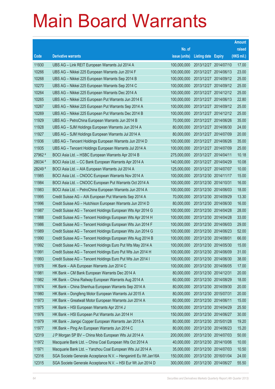|         |                                                                |               |                            | <b>Amount</b> |
|---------|----------------------------------------------------------------|---------------|----------------------------|---------------|
|         |                                                                | No. of        |                            | raised        |
| Code    | <b>Derivative warrants</b>                                     | issue (units) | <b>Listing date Expiry</b> | (HK\$ mil.)   |
| 11930   | UBS AG - Link REIT European Warrants Jul 2014 A                | 100,000,000   | 2013/12/27 2014/07/10      | 17.00         |
| 10266   | UBS AG - Nikkei 225 European Warrants Jun 2014 F               | 100,000,000   | 2013/12/27 2014/06/13      | 23.00         |
| 10268   | UBS AG - Nikkei 225 European Warrants Sep 2014 B               | 100,000,000   | 2013/12/27 2014/09/12      | 25.00         |
| 10270   | UBS AG - Nikkei 225 European Warrants Sep 2014 C               | 100,000,000   | 2013/12/27 2014/09/12      | 25.00         |
| 10264   | UBS AG - Nikkei 225 European Warrants Dec 2014 A               | 100,000,000   | 2013/12/27 2014/12/12      | 25.00         |
| 10265   | UBS AG - Nikkei 225 European Put Warrants Jun 2014 E           | 100,000,000   | 2013/12/27 2014/06/13      | 22.80         |
| 10267   | UBS AG - Nikkei 225 European Put Warrants Sep 2014 A           | 100,000,000   | 2013/12/27 2014/09/12      | 25.00         |
| 10269   | UBS AG - Nikkei 225 European Put Warrants Dec 2014 B           | 100,000,000   | 2013/12/27 2014/12/12      | 25.00         |
| 11929   | UBS AG - PetroChina European Warrants Jun 2014 B               | 70,000,000    | 2013/12/27 2014/06/26      | 35.00         |
| 11928   | UBS AG - SJM Holdings European Warrants Jun 2014 A             | 80,000,000    | 2013/12/27 2014/06/30      | 24.00         |
| 11927   | UBS AG - SJM Holdings European Warrants Jul 2014 A             | 80,000,000    | 2013/12/27 2014/07/09      | 20.00         |
| 11936   | UBS AG - Tencent Holdings European Warrants Jun 2014 D         | 100,000,000   | 2013/12/27 2014/06/26      | 35.00         |
| 11935   | UBS AG - Tencent Holdings European Warrants Jul 2014 A         | 100,000,000   | 2013/12/27 2014/07/09      | 25.00         |
| 27962 # | BOCI Asia Ltd. - HSBC European Warrants Apr 2014 B             | 275,000,000   | 2013/12/27 2014/04/11      | 10.18         |
| 28034 # | BOCI Asia Ltd. - CC Bank European Warrants Apr 2014 A          | 140,000,000   | 2013/12/27 2014/04/29      | 10.08         |
| 28249 # | BOCI Asia Ltd. - AIA European Warrants Jul 2014 A              | 125,000,000   | 2013/12/27 2014/07/07      | 10.00         |
| 11985   | BOCI Asia Ltd. - CNOOC European Warrants Nov 2014 A            | 100,000,000   | 2013/12/30 2014/11/17      | 15.00         |
| 11984   | BOCI Asia Ltd. - CNOOC European Put Warrants Oct 2014 A        | 100,000,000   | 2013/12/30 2014/10/31      | 16.00         |
| 11983   | BOCI Asia Ltd. - PetroChina European Warrants Jun 2014 A       | 100,000,000   | 2013/12/30 2014/06/03      | 18.00         |
| 11995   | Credit Suisse AG - AIA European Put Warrants Sep 2014 A        | 70,000,000    | 2013/12/30 2014/09/29      | 13.30         |
| 11996   | Credit Suisse AG - Hutchison European Warrants Jun 2014 D      | 80,000,000    | 2013/12/30 2014/06/30      | 16.00         |
| 11987   | Credit Suisse AG - Tencent Holdings European Wts Apr 2014 G    | 100,000,000   | 2013/12/30 2014/04/28      | 28.00         |
| 11988   | Credit Suisse AG - Tencent Holdings European Wts Apr 2014 H    | 100,000,000   | 2013/12/30 2014/04/28      | 33.00         |
| 11986   | Credit Suisse AG - Tencent Holdings European Wts Jun 2014 F    | 100,000,000   | 2013/12/30 2014/06/03      | 29.00         |
| 11989   | Credit Suisse AG - Tencent Holdings European Wts Jun 2014 G    | 100,000,000   | 2013/12/30 2014/06/23      | 52.00         |
| 11990   | Credit Suisse AG - Tencent Holdings European Wts Aug 2014 B    | 100,000,000   | 2013/12/30 2014/08/01      | 66.00         |
| 11992   | Credit Suisse AG - Tencent Holdings Euro Put Wts May 2014 A    | 100,000,000   | 2013/12/30 2014/05/30      | 15.00         |
| 11991   | Credit Suisse AG - Tencent Holdings Euro Put Wts Jun 2014 H    | 100,000,000   | 2013/12/30 2014/06/09      | 31.00         |
| 11993   | Credit Suisse AG - Tencent Holdings Euro Put Wts Jun 2014 I    | 100,000,000   | 2013/12/30 2014/06/30      | 38.00         |
| 11978   | HK Bank - AIA European Warrants Jun 2014 C                     | 100,000,000   | 2013/12/30 2014/06/05      | 17.00         |
| 11981   | HK Bank - CM Bank European Warrants Dec 2014 A                 | 80,000,000    | 2013/12/30 2014/12/31      | 20.00         |
| 11982   | HK Bank - China Railway European Warrants Aug 2014 A           | 60,000,000    | 2013/12/30 2014/08/29      | 18.00         |
| 11974   | HK Bank - China Shenhua European Warrants Sep 2014 A           | 80,000,000    | 2013/12/30 2014/09/30      | 20.00         |
| 11980   | HK Bank - Dongfeng Motor European Warrants Jul 2015 A          | 80,000,000    | 2013/12/30 2015/07/31      | 20.00         |
| 11973   | HK Bank - Greatwall Motor European Warrants Jun 2014 A         | 60,000,000    | 2013/12/30 2014/06/11      | 15.00         |
| 11975   | HK Bank - HSI European Warrants Apr 2014 J                     | 150,000,000   | 2013/12/30 2014/04/29      | 25.50         |
| 11976   | HK Bank - HSI European Put Warrants Jun 2014 H                 | 150,000,000   | 2013/12/30 2014/06/27      | 30.00         |
| 11979   | HK Bank - Jiangxi Copper European Warrants Jan 2015 A          | 80,000,000    | 2013/12/30 2015/01/28      | 19.20         |
| 11977   | HK Bank - Ping An European Warrants Jun 2014 C                 | 80,000,000    | 2013/12/30 2014/06/23      | 15.20         |
| 12319   | J P Morgan SP BV - China Mob European Wts Jul 2014 A           | 200,000,000   | 2013/12/30 2014/07/03      | 50.00         |
| 11972   | Macquarie Bank Ltd. - China Coal European Wts Oct 2014 A       | 40,000,000    | 2013/12/30 2014/10/06      | 10.00         |
| 11971   | Macquarie Bank Ltd. - Yanzhou Coal European Wts Jul 2014 A     | 35,000,000    | 2013/12/30 2014/07/03      | 10.50         |
| 12316   | SGA Societe Generale Acceptance N.V. - Henganintl Eu Wt Jan16A | 150,000,000   | 2013/12/30 2016/01/04      | 24.00         |
| 12315   | SGA Societe Generale Acceptance N.V. - HSI Eur Wt Jun 2014 D   | 300,000,000   | 2013/12/30 2014/06/27      | 55.50         |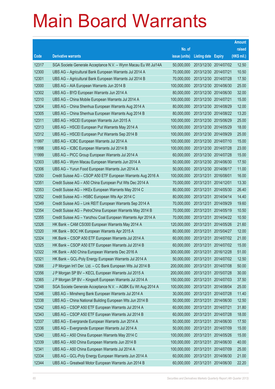|       |                                                                |               |                            |            | <b>Amount</b> |
|-------|----------------------------------------------------------------|---------------|----------------------------|------------|---------------|
|       |                                                                | No. of        |                            |            | raised        |
| Code  | <b>Derivative warrants</b>                                     | issue (units) | <b>Listing date Expiry</b> |            | (HK\$ mil.)   |
| 12317 | SGA Societe Generale Acceptance N.V. - Wynn Macau Eu Wt Jul14A | 50,000,000    | 2013/12/30 2014/07/02      |            | 12.50         |
| 12300 | UBS AG - Agricultural Bank European Warrants Jul 2014 A        | 70,000,000    | 2013/12/30 2014/07/21      |            | 10.50         |
| 12301 | UBS AG - Agricultural Bank European Warrants Jul 2014 B        | 70,000,000    | 2013/12/30 2014/07/28      |            | 17.50         |
| 12000 | UBS AG - AIA European Warrants Jun 2014 B                      | 100,000,000   | 2013/12/30 2014/06/30      |            | 25.00         |
| 12302 | UBS AG - BYD European Warrants Jun 2014 A                      | 80,000,000    | 2013/12/30 2014/06/30      |            | 32.00         |
| 12310 | UBS AG - China Mobile European Warrants Jul 2014 A             | 100,000,000   | 2013/12/30 2014/07/21      |            | 15.00         |
| 12304 | UBS AG - China Shenhua European Warrants Aug 2014 A            | 80,000,000    | 2013/12/30 2014/08/29      |            | 12.00         |
| 12305 | UBS AG – China Shenhua European Warrants Aug 2014 B            | 80,000,000    | 2013/12/30 2014/08/22      |            | 13.20         |
| 12311 | UBS AG - HSCEI European Warrants Jun 2015 A                    | 100,000,000   | 2013/12/30 2015/06/29      |            | 25.00         |
| 12313 | UBS AG - HSCEI European Put Warrants May 2014 A                | 100,000,000   | 2013/12/30 2014/05/29      |            | 18.00         |
| 12312 | UBS AG - HSCEI European Put Warrants Sep 2014 B                | 100,000,000   | 2013/12/30 2014/09/29      |            | 25.00         |
| 11997 | UBS AG - ICBC European Warrants Jul 2014 A                     | 100,000,000   | 2013/12/30 2014/07/10      |            | 15.00         |
| 11998 | UBS AG - ICBC European Warrants Jul 2014 B                     | 100,000,000   | 2013/12/30 2014/07/28      |            | 23.00         |
| 11999 | UBS AG - PICC Group European Warrants Jul 2014 A               | 60,000,000    | 2013/12/30 2014/07/28      |            | 15.00         |
| 12303 | UBS AG - Wynn Macau European Warrants Jun 2014 A               | 50,000,000    | 2013/12/30 2014/06/30      |            | 17.50         |
| 12306 | UBS AG - Yurun Food European Warrants Jun 2014 A               | 50,000,000    | 2013/12/30 2014/06/17      |            | 11.00         |
| 12350 | Credit Suisse AG - CSOP A50 ETF European Warrants Aug 2016 A   | 100,000,000   | 2013/12/31                 | 2016/08/01 | 16.00         |
| 12351 | Credit Suisse AG - A50 China European Put Wts Dec 2014 A       | 70,000,000    | 2013/12/31 2014/12/01      |            | 13.30         |
| 12353 | Credit Suisse AG - HKEx European Warrants May 2014 C           | 80,000,000    | 2013/12/31                 | 2014/05/30 | 26.40         |
| 12352 | Credit Suisse AG - HSBC European Wts Apr 2014 C                | 80,000,000    | 2013/12/31 2014/04/14      |            | 14.40         |
| 12349 | Credit Suisse AG - Link REIT European Warrants Sep 2014 A      | 70,000,000    | 2013/12/31                 | 2014/09/29 | 19.60         |
| 12354 | Credit Suisse AG - PetroChina European Warrants May 2014 B     | 70,000,000    | 2013/12/31                 | 2014/05/19 | 10.50         |
| 12355 | Credit Suisse AG - Yanzhou Coal European Warrants Apr 2014 A   | 70,000,000    | 2013/12/31                 | 2014/04/22 | 10.50         |
| 12326 | HK Bank - CAM CSI300 European Warrants May 2014 A              | 120,000,000   | 2013/12/31 2014/05/26      |            | 21.60         |
| 12320 | HK Bank - BOC HK European Warrants Apr 2015 A                  | 80,000,000    | 2013/12/31                 | 2015/04/27 | 12.00         |
| 12324 | HK Bank - CSOP A50 ETF European Warrants Jul 2014 A            | 60,000,000    | 2013/12/31 2014/07/02      |            | 21.00         |
| 12325 | HK Bank - CSOP A50 ETF European Warrants Jul 2014 B            | 60,000,000    | 2013/12/31 2014/07/02      |            | 15.00         |
| 12322 | HK Bank - A50 China European Warrants Dec 2016 A               | 300,000,000   | 2013/12/31 2016/12/28      |            | 51.00         |
| 12321 | HK Bank - GCL-Poly Energy European Warrants Jul 2014 A         | 50,000,000    | 2013/12/31                 | 2014/07/02 | 12.50         |
| 12366 | J P Morgan Int'l Der. Ltd. - CC Bank European Wts Jul 2014 B   | 200,000,000   | 2013/12/31 2014/07/08      |            | 50.00         |
| 12356 | J P Morgan SP BV - KECL European Warrants Jul 2015 A           | 200,000,000   | 2013/12/31                 | 2015/07/28 | 30.00         |
| 12365 | J P Morgan SP BV - Kingsoft European Warrants Jul 2014 A       | 150,000,000   | 2013/12/31                 | 2014/07/03 | 37.50         |
| 12348 | SGA Societe Generale Acceptance N.V. - AGBK Eu Wt Aug 2014 A   | 100,000,000   | 2013/12/31                 | 2014/08/04 | 25.00         |
| 12346 | UBS AG - Minsheng Bank European Warrants Jul 2014 A            | 30,000,000    | 2013/12/31 2014/07/28      |            | 11.40         |
| 12338 | UBS AG - China National Building European Wts Jun 2014 B       | 50,000,000    | 2013/12/31                 | 2014/06/30 | 12.50         |
| 12342 | UBS AG - CSOP A50 ETF European Warrants Jul 2014 A             | 60,000,000    | 2013/12/31                 | 2014/07/21 | 31.80         |
| 12343 | UBS AG - CSOP A50 ETF European Warrants Jul 2014 B             | 60,000,000    | 2013/12/31                 | 2014/07/28 | 18.00         |
| 12337 | UBS AG - Evergrande European Warrants Jun 2014 A               | 50,000,000    | 2013/12/31 2014/06/30      |            | 17.50         |
| 12336 | UBS AG - Evergrande European Warrants Jul 2014 A               | 50,000,000    | 2013/12/31                 | 2014/07/09 | 15.00         |
| 12340 | UBS AG - A50 China European Warrants May 2014 C                | 100,000,000   | 2013/12/31                 | 2014/05/26 | 15.00         |
| 12339 | UBS AG - A50 China European Warrants Jun 2014 B                | 100,000,000   | 2013/12/31                 | 2014/06/30 | 40.00         |
| 12341 | UBS AG - A50 China European Warrants Jul 2014 A                | 100,000,000   | 2013/12/31 2014/07/09      |            | 25.00         |
| 12334 | UBS AG - GCL-Poly Energy European Warrants Jun 2014 A          | 60,000,000    | 2013/12/31                 | 2014/06/30 | 21.00         |
| 12344 | UBS AG - Greatwall Motor European Warrants Jun 2014 B          | 60,000,000    | 2013/12/31                 | 2014/06/30 | 22.20         |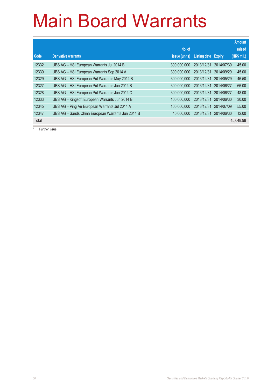|       |                                                   |                      |              |               | <b>Amount</b> |
|-------|---------------------------------------------------|----------------------|--------------|---------------|---------------|
|       |                                                   | No. of               |              |               | raised        |
| Code  | <b>Derivative warrants</b>                        | <i>issue (units)</i> | Listing date | <b>Expiry</b> | (HK\$ mil.)   |
| 12332 | UBS AG - HSI European Warrants Jul 2014 B         | 300,000,000          | 2013/12/31   | 2014/07/30    | 45.00         |
| 12330 | UBS AG - HSI European Warrants Sep 2014 A         | 300.000.000          | 2013/12/31   | 2014/09/29    | 45.00         |
| 12329 | UBS AG - HSI European Put Warrants May 2014 B     | 300.000.000          | 2013/12/31   | 2014/05/29    | 46.50         |
| 12327 | UBS AG - HSI European Put Warrants Jun 2014 B     | 300,000,000          | 2013/12/31   | 2014/06/27    | 66.00         |
| 12328 | UBS AG - HSI European Put Warrants Jun 2014 C     | 300,000,000          | 2013/12/31   | 2014/06/27    | 48.00         |
| 12333 | UBS AG - Kingsoft European Warrants Jun 2014 B    | 100.000.000          | 2013/12/31   | 2014/06/30    | 30.00         |
| 12345 | UBS AG - Ping An European Warrants Jul 2014 A     | 100.000.000          | 2013/12/31   | 2014/07/09    | 55.00         |
| 12347 | UBS AG - Sands China European Warrants Jun 2014 B | 40,000,000           | 2013/12/31   | 2014/06/30    | 12.00         |
| Total |                                                   |                      |              |               | 45.648.98     |

# Further issue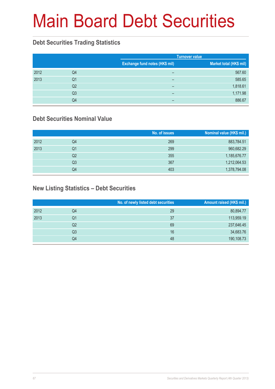# Main Board Debt Securities

#### **Debt Securities Trading Statistics**

|      |                | <b>Turnover value</b>          |                         |
|------|----------------|--------------------------------|-------------------------|
|      |                | Exchange fund notes (HK\$ mil) | Market total (HK\$ mil) |
| 2012 | Q4             | -                              | 567.60                  |
| 2013 | Q1             | -                              | 585.65                  |
|      | Q <sub>2</sub> | -                              | 1,818.61                |
|      | Q <sub>3</sub> | -                              | 1,171.98                |
|      | Q4             | -                              | 886.67                  |

#### **Debt Securities Nominal Value**

|      |                | No. of issues | Nominal value (HK\$ mil.) |
|------|----------------|---------------|---------------------------|
| 2012 | Q <sub>4</sub> | 269           | 883,784.51                |
| 2013 | Q1             | 299           | 960,682.29                |
|      | Q2             | 355           | 1,185,676.77              |
|      | Q3             | 367           | 1,212,064.53              |
|      | Q4             | 403           | 1,378,794.08              |

#### **New Listing Statistics – Debt Securities**

|      |    | No. of newly listed debt securities | Amount raised (HK\$ mil.) |
|------|----|-------------------------------------|---------------------------|
| 2012 | Q4 | 29                                  | 80,894.77                 |
| 2013 | Q1 | 37                                  | 113,959.19                |
|      | Q2 | 69                                  | 237,646.45                |
|      | Q3 | 16                                  | 34,683.76                 |
|      | Q4 | 48                                  | 190,108.73                |
|      |    |                                     |                           |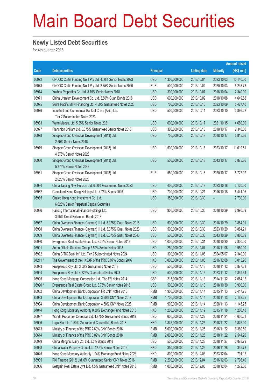## Main Board Debt Securities

#### **Newly Listed Debt Securities**

for 4th quarter 2013

|                 |                                                                                                                       |                          |                              |                          |                          | <b>Amount raised</b> |
|-----------------|-----------------------------------------------------------------------------------------------------------------------|--------------------------|------------------------------|--------------------------|--------------------------|----------------------|
| Code            | <b>Debt securities</b>                                                                                                | <b>Principal</b>         |                              | <b>Listing date</b>      | <b>Maturity</b>          | (HK\$ mil.)          |
| 05972           | CNOOC Curtis Funding No.1 Pty Ltd. 4.50% Senior Notes 2023                                                            | <b>USD</b>               | 1,300,000,000                | 2013/10/04               | 2023/10/03               | 10,140.00            |
| 05973           | CNOOC Curtis Funding No.1 Pty Ltd. 2.75% Senior Notes 2020                                                            | <b>EUR</b>               | 500,000,000                  | 2013/10/04               | 2020/10/03               | 5,243.73             |
| 05974           | Yuzhou Properties Co. Ltd. 8.75% Senior Notes 2018                                                                    | <b>USD</b>               | 300,000,000                  | 2013/10/07               | 2018/10/04               | 2,340.00             |
| 05971           | China Uranium Development Co. Ltd. 3.50% Guar. Bonds 2018                                                             | <b>USD</b>               | 600,000,000                  | 2013/10/09               | 2018/10/08               | 4,649.68             |
| 05975           | Swire Pacific MTN Financing Ltd. 4.50% Guaranteed Notes 2023                                                          | <b>USD</b>               | 700,000,000                  | 2013/10/10               | 2023/10/09               | 5,427.40             |
| 05976           | Industrial and Commercial Bank of China (Asia) Ltd.                                                                   | <b>USD</b>               | 500,000,000                  | 2013/10/11               | 2023/10/10               | 3,896.22             |
|                 | Tier 2 Subordinated Notes 2023                                                                                        |                          |                              |                          |                          |                      |
| 05983           | Wynn Macau, Ltd. 5.25% Senior Notes 2021                                                                              | <b>USD</b>               | 600,000,000                  | 2013/10/17               | 2021/10/15               | 4,680.00             |
| 05977           | Franshion Brilliant Ltd. 5.375% Guaranteed Senior Notes 2018                                                          | <b>USD</b>               | 300,000,000                  | 2013/10/18               | 2018/10/17               | 2,340.00             |
| 05978           | Sinopec Group Overseas Development (2013) Ltd.                                                                        | <b>USD</b>               | 750,000,000                  | 2013/10/18               | 2018/10/17               | 5,815.66             |
|                 | 2.50% Senior Notes 2018                                                                                               |                          |                              |                          |                          |                      |
| 05979           | Sinopec Group Overseas Development (2013) Ltd.                                                                        | <b>USD</b>               | 1,500,000,000                | 2013/10/18               | 2023/10/17               | 11,619.51            |
|                 | 4.375% Senior Notes 2023                                                                                              |                          |                              |                          |                          |                      |
| 05980           | Sinopec Group Overseas Development (2013) Ltd.                                                                        | <b>USD</b>               | 500,000,000                  | 2013/10/18               | 2043/10/17               | 3,875.86             |
|                 | 5.375% Senior Notes 2043                                                                                              |                          |                              |                          |                          |                      |
| 05981           | Sinopec Group Overseas Development (2013) Ltd.                                                                        | <b>EUR</b>               | 550,000,000                  | 2013/10/18               | 2020/10/17               | 5,727.07             |
|                 | 2.625% Senior Notes 2020                                                                                              |                          |                              |                          |                          |                      |
| 05984           | China Taiping New Horizon Ltd. 6.00% Guaranteed Notes 2023                                                            | <b>USD</b>               | 400,000,000                  | 2013/10/18               | 2023/10/18               | 3,120.00             |
| 05982           | Greenland Hong Kong Holdings Ltd. 4.75% Bonds 2016                                                                    | <b>USD</b>               | 700,000,000                  | 2013/10/21               | 2016/10/18               | 5,441.16             |
| 05985           | Chalco Hong Kong Investment Co. Ltd.                                                                                  | <b>USD</b>               | 350,000,000                  | 2013/10/30               |                          | 2,730.00             |
|                 | 6.625% Senior Perpetual Captial Securities                                                                            |                          |                              |                          |                          |                      |
| 05986           | Haitong International Finance Holdings Ltd.                                                                           | <b>USD</b>               | 900,000,000                  | 2013/10/30               | 2018/10/29               | 6,990.09             |
|                 | 3.95% Credit Enhanced Bonds 2018                                                                                      |                          |                              |                          |                          |                      |
| 05987           | China Overseas Finance (Cayman) III Ltd. 3.375% Guar. Notes 2018                                                      | <b>USD</b>               | 500,000,000                  | 2013/10/30               | 2018/10/29               | 3,884.91             |
| 05988           | China Overseas Finance (Cayman) III Ltd. 5.375% Guar. Notes 2023                                                      | <b>USD</b>               | 500,000,000                  | 2013/10/30               | 2023/10/29               | 3,884.21             |
| 05989           | China Overseas Finance (Cayman) III Ltd. 6.375% Guar. Notes 2043                                                      | <b>USD</b>               | 500,000,000                  | 2013/10/30               | 2043/10/29               | 3,880.89             |
| 05990           | Evergrande Real Estate Group Ltd. 8.75% Senior Notes 2018                                                             | <b>USD</b>               | 1,000,000,000                | 2013/10/31               | 2018/10/30               | 7,800.00             |
| 05991           | Anton Oilfield Services Group 7.50% Senior Notes 2018                                                                 | <b>USD</b>               | 250,000,000                  | 2013/11/07               | 2018/11/06               | 1,950.00             |
| 05992<br>04211# | China CITIC Bank Int'l Ltd. Tier 2 Subordinated Notes 2024<br>The Government of the HKSAR of the PRC 0.97% Bonds 2016 | <b>USD</b><br><b>HKD</b> | 300,000,000<br>3,000,000,000 | 2013/11/08<br>2013/11/08 | 2024/05/07<br>2016/12/08 | 2,340.00<br>3,015.90 |
| 05993           | Prosperous Ray Ltd. 3.00% Guaranteed Notes 2018                                                                       | <b>USD</b>               | 500,000,000                  | 2013/11/13               | 2018/11/12               | 3,877.23             |
| 05994           | Prosperous Ray Ltd. 4.625% Guaranteed Notes 2023                                                                      | <b>USD</b>               | 500,000,000                  | 2013/11/13               | 2023/11/12               | 3,849.34             |
| 05995           | Hong Kong Mortgage Corporation Ltd., The FR Notes 2014                                                                | GBP                      | 215,000,000                  | 2013/11/13               | 2014/11/12               | 2,664.12             |
| 05990 #         | Evergrande Real Estate Group Ltd. 8.75% Senior Notes 2018                                                             | <b>USD</b>               | 500,000,000                  | 2013/11/13               | 2018/10/30               | 3,900.00             |
| 85932           | China Development Bank Corporation FR CNY Notes 2015                                                                  | <b>RMB</b>               | 1,900,000,000                | 2013/11/14               | 2015/11/13               | 2,417.75             |
| 85933           | China Development Bank Corporation 3.60% CNY Notes 2018                                                               | <b>RMB</b>               | 1,700,000,000                | 2013/11/14               | 2018/11/13               | 2,163.25             |
| 85934           | China Development Bank Corporation 4.50% CNY Notes 2028                                                               | <b>RMB</b>               | 900,000,000                  | 2013/11/14               | 2028/11/13               | 1,145.25             |
| 04044           | Hong Kong Monetary Authority 0.30% Exchange Fund Notes 2015                                                           | <b>HKD</b>               | 1,200,000,000                | 2013/11/19               | 2015/11/18               | 1,200.48             |
| 05997           | Wanda Properties Overseas Ltd. 4.875% Guaranteed Bonds 2018                                                           | <b>USD</b>               | 600,000,000                  | 2013/11/22               | 2018/11/21               | 4,630.21             |
| 05996           | Logo Star Ltd. 1.50% Guaranteed Convertible Bonds 2018                                                                | <b>HKD</b>               | 3,875,000,000                | 2013/11/25               | 2018/11/22               | 3,875.00             |
| 86613           | Ministry of Finance of the PRC 2.60% CNY Bonds 2016                                                                   | <b>RMB</b>               | 5,000,000,000                | 2013/11/25               | 2016/11/22               | 6,360.50             |
| 86614           | Ministry of Finance of the PRC 3.09% CNY Bonds 2018                                                                   | <b>RMB</b>               | 2,000,000,000                | 2013/11/25               | 2018/11/22               | 2,544.20             |
| 05999           | China Mengniu Dairy Co. Ltd. 3.5% Bonds 2018                                                                          | <b>USD</b>               | 500,000,000                  | 2013/11/28               | 2018/11/27               | 3,878.79             |
| 05998           | China Water Property Group Ltd. 12.5% Senior Notes 2016                                                               | <b>HKD</b>               | 350,000,000                  | 2013/11/29               | 2016/11/28               | 345.73               |
| 04045           | Hong Kong Monetary Authority 1.94% Exchange Fund Notes 2023                                                           | <b>HKD</b>               | 800,000,000                  | 2013/12/03               | 2023/12/04               | 791.12               |
| 85935           | RKI Finance (2013) Ltd. 6% Guaranteed Senior CNY Notes 2016                                                           | <b>RMB</b>               | 2,200,000,000                | 2013/12/04               | 2016/12/03               | 2,798.40             |
| 85936           | Bestgain Real Estate Lyra Ltd. 4.5% Guaranteed CNY Notes 2018                                                         | <b>RMB</b>               | 1,000,000,000                | 2013/12/05               | 2018/12/04               | 1,272.30             |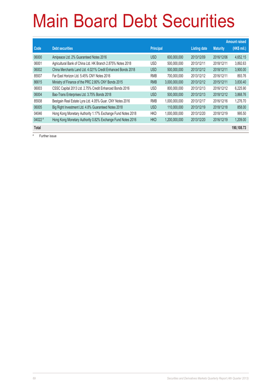# Main Board Debt Securities

|           |                                                             |                  |               |                     |                 | <b>Amount raised</b> |
|-----------|-------------------------------------------------------------|------------------|---------------|---------------------|-----------------|----------------------|
| Code      | <b>Debt securities</b>                                      | <b>Principal</b> |               | <b>Listing date</b> | <b>Maturity</b> | (HK\$ mil.)          |
| 06000     | Amipeace Ltd. 2% Guaranteed Notes 2016                      | <b>USD</b>       | 600,000,000   | 2013/12/09          | 2016/12/06      | 4,652.15             |
| 06001     | Agricultural Bank of China Ltd. HK Branch 2.875% Notes 2018 | <b>USD</b>       | 500,000,000   | 2013/12/11          | 2018/12/11      | 3,892.63             |
| 06002     | China Merchants Land Ltd. 4.021% Credit Enhanced Bonds 2018 | <b>USD</b>       | 500,000,000   | 2013/12/12          | 2018/12/11      | 3,900.00             |
| 85937     | Far East Horizon Ltd. 5.45% CNY Notes 2016                  | <b>RMB</b>       | 700.000.000   | 2013/12/12          | 2016/12/11      | 893.76               |
| 86615     | Ministry of Finance of the PRC 2.80% CNY Bonds 2015         | <b>RMB</b>       | 3,000,000,000 | 2013/12/12          | 2015/12/11      | 3,830.40             |
| 06003     | CSSC Capital 2013 Ltd. 2.75% Credit Enhanced Bonds 2016     | <b>USD</b>       | 800,000,000   | 2013/12/13          | 2016/12/12      | 6,225.90             |
| 06004     | Bao-Trans Enterprises Ltd. 3.75% Bonds 2018                 | <b>USD</b>       | 500,000,000   | 2013/12/13          | 2018/12/12      | 3,868.76             |
| 85938     | Bestgain Real Estate Lyra Ltd. 4.05% Guar. CNY Notes 2016   | <b>RMB</b>       | 1,000,000,000 | 2013/12/17          | 2016/12/16      | 1.276.70             |
| 06005     | Big Right Investment Ltd. 4.8% Guaranteed Notes 2018        | <b>USD</b>       | 110,000,000   | 2013/12/19          | 2018/12/18      | 858.00               |
| 04046     | Hong Kong Monetary Authority 1.17% Exchange Fund Notes 2018 | <b>HKD</b>       | 1,000,000,000 | 2013/12/20          | 2018/12/19      | 995.50               |
| $04022$ # | Hong Kong Monetary Authority 0.82% Exchange Fund Notes 2016 | <b>HKD</b>       | 1,200,000,000 | 2013/12/20          | 2016/12/19      | 1.209.00             |
| Total     |                                                             |                  |               |                     |                 | 190,108.73           |

# Further issue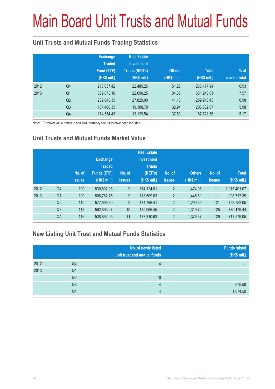# Main Board Unit Trusts and Mutual Funds

#### **Unit Trusts and Mutual Funds Trading Statistics**

|      |                | <b>Exchange</b><br><b>Traded</b><br>Fund (ETF)<br>(HK\$ mil.) | <b>Real Estate</b><br><b>Investment</b><br><b>Trusts (REITs)</b><br>(HK\$ mil.) | <b>Others</b><br>(HK\$ mil.) | <b>Total</b><br>(HK\$ mil.) | $%$ of<br>market total |
|------|----------------|---------------------------------------------------------------|---------------------------------------------------------------------------------|------------------------------|-----------------------------|------------------------|
| 2012 | Q4             | 213,637.42                                                    | 22,489.26                                                                       | 51.26                        | 236.177.94                  | 6.93                   |
| 2013 | Q <sub>1</sub> | 309,073.10                                                    | 22,090.25                                                                       | 84.66                        | 331,248.01                  | 7.57                   |
|      | Q <sub>2</sub> | 232,045.35                                                    | 27,829.00                                                                       | 41.10                        | 259,915.45                  | 6.98                   |
|      | Q <sub>3</sub> | 187,460.35                                                    | 19,308.78                                                                       | 32.94                        | 206,802.07                  | 5.98                   |
|      | Q4             | 174,554.43                                                    | 13,129.54                                                                       | 37.59                        | 187,721.56                  | 5.17                   |

Note: Turnover value traded in non-HKD currency securities have been included.

#### **Unit Trusts and Mutual Funds Market Value**

|      |                | No. of<br><b>issues</b> | <b>Exchange</b><br><b>Traded</b><br><b>Funds (ETF)</b><br>(HK\$ mil.) | No. of<br><b>issues</b> | <b>Real Estate</b><br><b>Investment</b><br><b>Trusts</b><br>(REITs)<br>(HK\$ mil.) | No. of<br><b>issues</b> | <b>Others</b><br>(HK\$ mil.) | No. of<br><b>issues</b> | <b>Total</b><br>(HK\$ mil.) |
|------|----------------|-------------------------|-----------------------------------------------------------------------|-------------------------|------------------------------------------------------------------------------------|-------------------------|------------------------------|-------------------------|-----------------------------|
| 2012 | Q <sub>4</sub> | 100                     | 839,802.08                                                            | 9                       | 174,124.01                                                                         | $\overline{2}$          | 1,474.98                     | 111                     | 1,015,401.07                |
| 2013 | Q <sub>1</sub> | 100                     | 808,762.75                                                            | 9                       | 188,509.03                                                                         | $\overline{2}$          | 1,445.61                     | 111                     | 998,717.39                  |
|      | Q <sub>2</sub> | 110                     | 577,695.30                                                            | 9                       | 174,766.41                                                                         | $\overline{2}$          | 1,290.35                     | 121                     | 753,752.05                  |
|      | Q <sub>3</sub> | 113                     | 592,893.27                                                            | 10                      | 175,966.45                                                                         | $\overline{2}$          | 1,319.72                     | 125                     | 770,179.44                  |
|      | Q4             | 116                     | 538,892.05                                                            | 11                      | 177,310.63                                                                         | $\overline{2}$          | 1,376.37                     | 129                     | 717,579.05                  |

#### **New Listing Unit Trust and Mutual Funds Statistics**

|      |                | No. of newly listed<br>unit trust and mutual funds | <b>Funds raised</b><br>(HK\$ mil.) |
|------|----------------|----------------------------------------------------|------------------------------------|
| 2012 | Q4             |                                                    |                                    |
| 2013 | Q1             | -                                                  |                                    |
|      | Q2             | 10                                                 |                                    |
|      | Q <sub>3</sub> | 4                                                  | 675.50                             |
|      | Q4             | Δ                                                  | 1,674.50                           |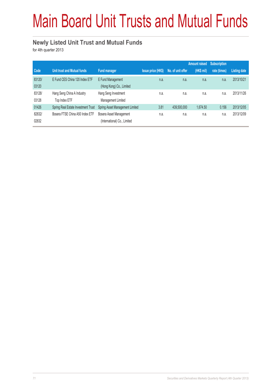# Main Board Unit Trusts and Mutual Funds

#### **Newly Listed Unit Trust and Mutual Funds**

for 4th quarter 2013

|                 |                                             |                                                         |                           |                   | <b>Amount raised</b> | <b>Subscription</b> |                     |
|-----------------|---------------------------------------------|---------------------------------------------------------|---------------------------|-------------------|----------------------|---------------------|---------------------|
| Code            | <b>Unit trust and Mutual funds</b>          | <b>Fund manager</b>                                     | <b>Issue price (HK\$)</b> | No. of unit offer | (HK\$ mil)           | rate (times)        | <b>Listing date</b> |
| 83120/<br>03120 | E Fund CES China 120 Index ETF              | E Fund Management<br>(Hong Kong) Co., Limited           | n.a.                      | n.a.              | n.a.                 | n.a.                | 2013/10/21          |
| 83128/<br>03128 | Hang Seng China A Industry<br>Top Index ETF | Hang Seng Investment<br>Management Limited              | n.a.                      | n.a.              | n.a.                 | n.a.                | 2013/11/26          |
| 01426           | Spring Real Estate Investment Trust         | Spring Asset Management Limited                         | 3.81                      | 439,500,000       | 1,674.50             | 0.156               | 2013/12/05          |
| 82832/<br>02832 | Bosera FTSE China A50 Index ETF             | Bosera Asset Management<br>(International) Co., Limited | n.a.                      | n.a.              | n.a.                 | n.a.                | 2013/12/09          |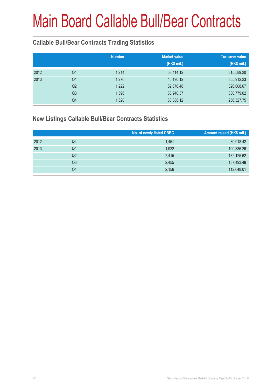#### **Callable Bull/Bear Contracts Trading Statistics**

|      |                | <b>Number</b> | <b>Market value</b><br>(HK\$ mil.) | <b>Turnover value</b><br>(HK\$ mil.) |
|------|----------------|---------------|------------------------------------|--------------------------------------|
| 2012 | Q4             | 1,214         | 53,414.12                          | 315,589.20                           |
| 2013 | Q <sub>1</sub> | 1,276         | 45,190.12                          | 355,912.23                           |
|      | Q <sub>2</sub> | 1,222         | 52,676.48                          | 326,008.67                           |
|      | Q <sub>3</sub> | 1,596         | 68,940.37                          | 330,779.62                           |
|      | Q4             | 1,620         | 68,388.12                          | 256,527.75                           |

#### **New Listings Callable Bull/Bear Contracts Statistics**

|      |    | No. of newly listed CBBC | Amount raised (HK\$ mil.) |
|------|----|--------------------------|---------------------------|
| 2012 | Q4 | 1,451                    | 80,018.42                 |
| 2013 | Q1 | 1,922                    | 100,336.26                |
|      | Q2 | 2,415                    | 132,125.62                |
|      | Q3 | 2,455                    | 137,493.48                |
|      | Q4 | 2,156                    | 112,648.01                |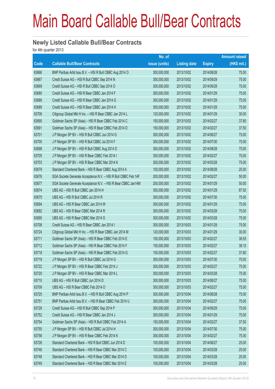#### **Newly Listed Callable Bull/Bear Contracts**

for 4th quarter 2013

|       |                                                                | No. of        |                     |               | <b>Amount raised</b> |
|-------|----------------------------------------------------------------|---------------|---------------------|---------------|----------------------|
| Code  | <b>Callable Bull/Bear Contracts</b>                            | issue (units) | <b>Listing date</b> | <b>Expiry</b> | (HK\$ mil.)          |
| 63666 | BNP Paribas Arbit Issu B.V. - HSI R Bull CBBC Aug 2014 O       | 300,000,000   | 2013/10/02          | 2014/08/28    | 75.00                |
| 63667 | Credit Suisse AG - HSI R Bull CBBC Sep 2014 N                  | 300,000,000   | 2013/10/02          | 2014/09/29    | 75.00                |
| 63669 | Credit Suisse AG - HSI R Bull CBBC Sep 2014 O                  | 300,000,000   | 2013/10/02          | 2014/09/29    | 75.00                |
| 63680 | Credit Suisse AG - HSI R Bear CBBC Jan 2014 F                  | 300,000,000   | 2013/10/02          | 2014/01/29    | 75.00                |
| 63686 | Credit Suisse AG - HSI R Bear CBBC Jan 2014 G                  | 300,000,000   | 2013/10/02          | 2014/01/29    | 75.00                |
| 63689 | Credit Suisse AG - HSI R Bear CBBC Jan 2014 H                  | 300,000,000   | 2013/10/02          | 2014/01/29    | 75.00                |
| 63706 | Citigroup Global Mkt H Inc. - HSI R Bear CBBC Jan 2014 L       | 120,000,000   | 2013/10/02          | 2014/01/29    | 30.00                |
| 63690 | Goldman Sachs SP (Asia) - HSI R Bear CBBC Feb 2014 C           | 150,000,000   | 2013/10/02          | 2014/02/27    | 37.80                |
| 63691 | Goldman Sachs SP (Asia) – HSI R Bear CBBC Feb 2014 D           | 150,000,000   | 2013/10/02          | 2014/02/27    | 37.50                |
| 63701 | J P Morgan SP BV - HSI R Bull CBBC Jun 2014 G                  | 300,000,000   | 2013/10/02          | 2014/06/27    | 75.00                |
| 63700 | J P Morgan SP BV - HSI R Bull CBBC Jul 2014 F                  | 300,000,000   | 2013/10/02          | 2014/07/30    | 75.00                |
| 63698 | J P Morgan SP BV - HSI R Bull CBBC Aug 2014 D                  | 300,000,000   | 2013/10/02          | 2014/08/28    | 75.00                |
| 63705 | J P Morgan SP BV - HSI R Bear CBBC Feb 2014 I                  | 300,000,000   | 2013/10/02          | 2014/02/27    | 75.00                |
| 63703 | J P Morgan SP BV - HSI R Bear CBBC Mar 2014 K                  | 300,000,000   | 2013/10/02          | 2014/03/28    | 75.00                |
| 63679 | Standard Chartered Bank - HSI R Bear CBBC Aug 2014 A           | 100,000,000   | 2013/10/02          | 2014/08/28    | 25.00                |
| 63676 | SGA Societe Generale Acceptance N.V. - HSI R Bull CBBC Feb 14F | 200,000,000   | 2013/10/02          | 2014/02/27    | 50.00                |
| 63677 | SGA Societe Generale Acceptance N.V. - HSI R Bear CBBC Jan14M  | 200,000,000   | 2013/10/02          | 2014/01/29    | 50.00                |
| 63674 | UBS AG - HSI R Bull CBBC Jan 2014 H                            | 350,000,000   | 2013/10/02          | 2014/01/29    | 87.50                |
| 63675 | UBS AG - HSI R Bull CBBC Jul 2014 R                            | 300,000,000   | 2013/10/02          | 2014/07/30    | 75.00                |
| 63694 | UBS AG - HSI R Bear CBBC Jan 2014 W                            | 300,000,000   | 2013/10/02          | 2014/01/29    | 75.00                |
| 63692 | UBS AG - HSI R Bear CBBC Mar 2014 R                            | 300,000,000   | 2013/10/02          | 2014/03/28    | 75.00                |
| 63695 | UBS AG - HSI R Bear CBBC Mar 2014 S                            | 300,000,000   | 2013/10/02          | 2014/03/28    | 75.00                |
| 63708 | Credit Suisse AG - HSI R Bear CBBC Jan 2014 I                  | 300,000,000   | 2013/10/03          | 2014/01/29    | 75.00                |
| 63724 | Citigroup Global Mkt H Inc. - HSI R Bear CBBC Jan 2014 M       | 120,000,000   | 2013/10/03          | 2014/01/29    | 30.00                |
| 63711 | Goldman Sachs SP (Asia) - HSI R Bear CBBC Feb 2014 E           | 150,000,000   | 2013/10/03          | 2014/02/27    | 38.55                |
| 63712 | Goldman Sachs SP (Asia) - HSI R Bear CBBC Feb 2014 F           | 150,000,000   | 2013/10/03          | 2014/02/27    | 38.10                |
| 63718 | Goldman Sachs SP (Asia) - HSI R Bear CBBC Feb 2014 G           | 150,000,000   | 2013/10/03          | 2014/02/27    | 37.80                |
| 63719 | J P Morgan SP BV - HSI R Bull CBBC Jul 2014 G                  | 300,000,000   | 2013/10/03          | 2014/07/30    | 75.00                |
| 63722 | J P Morgan SP BV - HSI R Bear CBBC Feb 2014 J                  | 300,000,000   | 2013/10/03          | 2014/02/27    | 75.00                |
| 63720 | J P Morgan SP BV - HSI R Bear CBBC Mar 2014 L                  | 300,000,000   | 2013/10/03          | 2014/03/28    | 75.00                |
| 63710 | UBS AG - HSI R Bull CBBC Jun 2014 D                            | 300,000,000   | 2013/10/03          | 2014/06/27    | 75.00                |
| 63709 | UBS AG - HSI R Bear CBBC Feb 2014 O                            | 300,000,000   | 2013/10/03          | 2014/02/27    | 75.00                |
| 63725 | BNP Paribas Arbit Issu B.V. - HSI R Bull CBBC Aug 2014 P       | 300,000,000   | 2013/10/04          | 2014/08/28    | 75.00                |
| 63751 | BNP Paribas Arbit Issu B.V. - HSI R Bear CBBC Feb 2014 U       | 300,000,000   | 2013/10/04          | 2014/02/27    | 75.00                |
| 63729 | Credit Suisse AG - HSI R Bull CBBC Sep 2014 P                  | 300,000,000   | 2013/10/04          | 2014/09/29    | 75.00                |
| 63752 | Credit Suisse AG - HSI R Bear CBBC Jan 2014 J                  | 300,000,000   | 2013/10/04          | 2014/01/29    | 75.00                |
| 63754 | Goldman Sachs SP (Asia) - HSI R Bull CBBC Feb 2014 A           | 150,000,000   | 2013/10/04          | 2014/02/27    | 37.50                |
| 63755 | J P Morgan SP BV - HSI R Bull CBBC Jul 2014 H                  | 300,000,000   | 2013/10/04          | 2014/07/30    | 75.00                |
| 63756 | J P Morgan SP BV - HSI R Bear CBBC Feb 2014 K                  | 300,000,000   | 2013/10/04          | 2014/02/27    | 75.00                |
| 63726 | Standard Chartered Bank - HSI R Bull CBBC Jun 2014 D           | 100,000,000   | 2013/10/04          | 2014/06/27    | 25.00                |
| 63746 | Standard Chartered Bank - HSI R Bear CBBC Mar 2014 C           | 100,000,000   | 2013/10/04          | 2014/03/28    | 25.00                |
| 63748 | Standard Chartered Bank - HSI R Bear CBBC Mar 2014 D           | 100,000,000   | 2013/10/04          | 2014/03/28    | 25.00                |
| 63749 | Standard Chartered Bank - HSI R Bear CBBC Mar 2014 E           | 100,000,000   | 2013/10/04          | 2014/03/28    | 25.00                |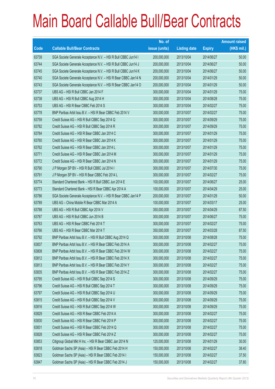|       |                                                                | No. of        |                     |               | <b>Amount raised</b> |
|-------|----------------------------------------------------------------|---------------|---------------------|---------------|----------------------|
| Code  | <b>Callable Bull/Bear Contracts</b>                            | issue (units) | <b>Listing date</b> | <b>Expiry</b> | $(HK$$ mil.)         |
| 63739 | SGA Societe Generale Acceptance N.V. - HSI R Bull CBBC Jun14 I | 200,000,000   | 2013/10/04          | 2014/06/27    | 50.00                |
| 63744 | SGA Societe Generale Acceptance N.V. - HSI R Bull CBBC Jun14 J | 200,000,000   | 2013/10/04          | 2014/06/27    | 50.00                |
| 63745 | SGA Societe Generale Acceptance N.V. - HSI R Bull CBBC Jun14 K | 200,000,000   | 2013/10/04          | 2014/06/27    | 50.00                |
| 63740 | SGA Societe Generale Acceptance N.V. - HSI R Bear CBBC Jan14 N | 200,000,000   | 2013/10/04          | 2014/01/29    | 50.00                |
| 63743 | SGA Societe Generale Acceptance N.V. - HSI R Bear CBBC Jan14 O | 200,000,000   | 2013/10/04          | 2014/01/29    | 50.00                |
| 63737 | UBS AG - HSI R Bull CBBC Jan 2014 F                            | 300,000,000   | 2013/10/04          | 2014/01/29    | 75.00                |
| 63738 | UBS AG - HSI R Bull CBBC Aug 2014 H                            | 300,000,000   | 2013/10/04          | 2014/08/28    | 75.00                |
| 63753 | UBS AG - HSI R Bear CBBC Feb 2014 S                            | 300,000,000   | 2013/10/04          | 2014/02/27    | 75.00                |
| 63778 | BNP Paribas Arbit Issu B.V. - HSI R Bear CBBC Feb 2014 V       | 300,000,000   | 2013/10/07          | 2014/02/27    | 75.00                |
| 63759 | Credit Suisse AG - HSI R Bull CBBC Sep 2014 Q                  | 300,000,000   | 2013/10/07          | 2014/09/29    | 75.00                |
| 63782 | Credit Suisse AG - HSI R Bull CBBC Sep 2014 R                  | 300,000,000   | 2013/10/07          | 2014/09/29    | 75.00                |
| 63784 | Credit Suisse AG - HSI R Bear CBBC Jan 2014 C                  | 300,000,000   | 2013/10/07          | 2014/01/29    | 75.00                |
| 63760 | Credit Suisse AG - HSI R Bear CBBC Jan 2014 K                  | 300,000,000   | 2013/10/07          | 2014/01/29    | 75.00                |
| 63762 | Credit Suisse AG - HSI R Bear CBBC Jan 2014 L                  | 300,000,000   | 2013/10/07          | 2014/01/29    | 75.00                |
| 63771 | Credit Suisse AG - HSI R Bear CBBC Jan 2014 M                  | 300,000,000   | 2013/10/07          | 2014/01/29    | 75.00                |
| 63772 | Credit Suisse AG - HSI R Bear CBBC Jan 2014 N                  | 300,000,000   | 2013/10/07          | 2014/01/29    | 75.00                |
| 63790 | J P Morgan SP BV - HSI R Bull CBBC Jul 2014 I                  | 300,000,000   | 2013/10/07          | 2014/07/30    | 75.00                |
| 63791 | J P Morgan SP BV - HSI R Bear CBBC Feb 2014 L                  | 300,000,000   | 2013/10/07          | 2014/02/27    | 75.00                |
| 63774 | Standard Chartered Bank - HSI R Bull CBBC Jun 2014 E           | 100,000,000   | 2013/10/07          | 2014/06/27    | 25.00                |
| 63773 | Standard Chartered Bank - HSI R Bear CBBC Apr 2014 A           | 100,000,000   | 2013/10/07          | 2014/04/29    | 25.00                |
| 63786 | SGA Societe Generale Acceptance N.V. - HSI R Bear CBBC Jan14 P | 200,000,000   | 2013/10/07          | 2014/01/29    | 50.00                |
| 63789 | UBS AG - China Mobile R Bear CBBC Mar 2014 A                   | 100,000,000   | 2013/10/07          | 2014/03/17    | 25.00                |
| 63788 | UBS AG - HSI R Bull CBBC Apr 2014 V                            | 350,000,000   | 2013/10/07          | 2014/04/29    | 87.50                |
| 63787 | UBS AG - HSI R Bull CBBC Jun 2014 B                            | 300,000,000   | 2013/10/07          | 2014/06/27    | 75.00                |
| 63763 | UBS AG - HSI R Bear CBBC Feb 2014 T                            | 300,000,000   | 2013/10/07          | 2014/02/27    | 75.00                |
| 63766 | UBS AG - HSI R Bear CBBC Mar 2014 T                            | 350,000,000   | 2013/10/07          | 2014/03/28    | 87.50                |
| 63792 | BNP Paribas Arbit Issu B.V. - HSI R Bull CBBC Aug 2014 Q       | 300,000,000   | 2013/10/08          | 2014/08/28    | 75.00                |
| 63837 | BNP Paribas Arbit Issu B.V. - HSI R Bear CBBC Feb 2014 A       | 300,000,000   | 2013/10/08          | 2014/02/27    | 75.00                |
| 63808 | BNP Paribas Arbit Issu B.V. - HSI R Bear CBBC Feb 2014 W       | 300,000,000   | 2013/10/08          | 2014/02/27    | 75.00                |
| 63812 | BNP Paribas Arbit Issu B.V. - HSI R Bear CBBC Feb 2014 X       | 300,000,000   | 2013/10/08          | 2014/02/27    | 75.00                |
| 63813 | BNP Paribas Arbit Issu B.V. - HSI R Bear CBBC Feb 2014 Y       | 300,000,000   | 2013/10/08          | 2014/02/27    | 75.00                |
| 63835 | BNP Paribas Arbit Issu B.V. - HSI R Bear CBBC Feb 2014 Z       | 300,000,000   | 2013/10/08          | 2014/02/27    | 75.00                |
| 63795 | Credit Suisse AG - HSI R Bull CBBC Sep 2014 S                  | 300,000,000   | 2013/10/08          | 2014/09/29    | 75.00                |
| 63796 | Credit Suisse AG - HSI R Bull CBBC Sep 2014 T                  | 300,000,000   | 2013/10/08          | 2014/09/29    | 75.00                |
| 63797 | Credit Suisse AG - HSI R Bull CBBC Sep 2014 U                  | 300,000,000   | 2013/10/08          | 2014/09/29    | 75.00                |
| 63815 | Credit Suisse AG - HSI R Bull CBBC Sep 2014 V                  | 300,000,000   | 2013/10/08          | 2014/09/29    | 75.00                |
| 63816 | Credit Suisse AG - HSI R Bull CBBC Sep 2014 W                  | 300,000,000   | 2013/10/08          | 2014/09/29    | 75.00                |
| 63829 | Credit Suisse AG - HSI R Bear CBBC Feb 2014 A                  | 300,000,000   | 2013/10/08          | 2014/02/27    | 75.00                |
| 63830 | Credit Suisse AG - HSI R Bear CBBC Feb 2014 P                  | 300,000,000   | 2013/10/08          | 2014/02/27    | 75.00                |
| 63831 | Credit Suisse AG - HSI R Bear CBBC Feb 2014 Q                  | 300,000,000   | 2013/10/08          | 2014/02/27    | 75.00                |
| 63828 | Credit Suisse AG - HSI R Bear CBBC Feb 2014 Z                  | 300,000,000   | 2013/10/08          | 2014/02/27    | 75.00                |
| 63853 | Citigroup Global Mkt H Inc. - HSI R Bear CBBC Jan 2014 N       | 120,000,000   | 2013/10/08          | 2014/01/29    | 30.00                |
| 63818 | Goldman Sachs SP (Asia) - HSI R Bear CBBC Feb 2014 H           | 150,000,000   | 2013/10/08          | 2014/02/27    | 38.40                |
| 63823 | Goldman Sachs SP (Asia) - HSI R Bear CBBC Feb 2014 I           | 150,000,000   | 2013/10/08          | 2014/02/27    | 37.50                |
| 63847 | Goldman Sachs SP (Asia) - HSI R Bear CBBC Feb 2014 J           | 150,000,000   | 2013/10/08          | 2014/02/27    | 37.80                |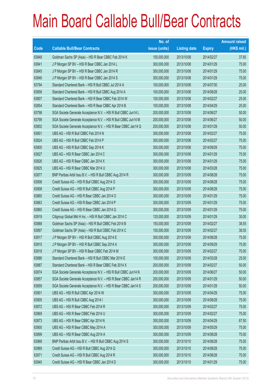|       |                                                                | No. of        |                     |               | <b>Amount raised</b> |
|-------|----------------------------------------------------------------|---------------|---------------------|---------------|----------------------|
| Code  | <b>Callable Bull/Bear Contracts</b>                            | issue (units) | <b>Listing date</b> | <b>Expiry</b> | $(HK$$ mil.)         |
| 63848 | Goldman Sachs SP (Asia) - HSI R Bear CBBC Feb 2014 K           | 150,000,000   | 2013/10/08          | 2014/02/27    | 37.65                |
| 63841 | J P Morgan SP BV - HSI R Bear CBBC Jan 2014 L                  | 300,000,000   | 2013/10/08          | 2014/01/29    | 75.00                |
| 63845 | J P Morgan SP BV - HSI R Bear CBBC Jan 2014 R                  | 300,000,000   | 2013/10/08          | 2014/01/29    | 75.00                |
| 63846 | J P Morgan SP BV - HSI R Bear CBBC Jan 2014 S                  | 300,000,000   | 2013/10/08          | 2014/01/29    | 75.00                |
| 63794 | Standard Chartered Bank - HSI R Bull CBBC Jul 2014 A           | 100,000,000   | 2013/10/08          | 2014/07/30    | 25.00                |
| 63856 | Standard Chartered Bank - HSI R Bull CBBC Aug 2014 A           | 100,000,000   | 2013/10/08          | 2014/08/28    | 25.00                |
| 63807 | Standard Chartered Bank - HSI R Bear CBBC Feb 2014 W           | 100,000,000   | 2013/10/08          | 2014/02/27    | 25.00                |
| 63854 | Standard Chartered Bank - HSI R Bear CBBC Apr 2014 B           | 100,000,000   | 2013/10/08          | 2014/04/29    | 25.00                |
| 63798 | SGA Societe Generale Acceptance N.V. - HSI R Bull CBBC Jun14 L | 200,000,000   | 2013/10/08          | 2014/06/27    | 50.00                |
| 63799 | SGA Societe Generale Acceptance N.V. - HSI R Bull CBBC Jun14 M | 200,000,000   | 2013/10/08          | 2014/06/27    | 50.00                |
| 63802 | SGA Societe Generale Acceptance N.V. - HSI R Bear CBBC Jan14 Q | 200,000,000   | 2013/10/08          | 2014/01/29    | 50.00                |
| 63801 | UBS AG - HSI R Bull CBBC Feb 2014 N                            | 300,000,000   | 2013/10/08          | 2014/02/27    | 75.00                |
| 63824 | UBS AG - HSI R Bull CBBC Feb 2014 P                            | 300,000,000   | 2013/10/08          | 2014/02/27    | 75.00                |
| 63800 | UBS AG - HSI R Bull CBBC Sep 2014 K                            | 300,000,000   | 2013/10/08          | 2014/09/29    | 75.00                |
| 63827 | UBS AG - HSI R Bear CBBC Jan 2014 C                            | 300,000,000   | 2013/10/08          | 2014/01/29    | 75.00                |
| 63826 | UBS AG - HSI R Bear CBBC Jan 2014 X                            | 300,000,000   | 2013/10/08          | 2014/01/29    | 75.00                |
| 63825 | UBS AG - HSI R Bear CBBC Mar 2014 U                            | 300,000,000   | 2013/10/08          | 2014/03/28    | 75.00                |
| 63877 | BNP Paribas Arbit Issu B.V. - HSI R Bull CBBC Aug 2014 R       | 300,000,000   | 2013/10/09          | 2014/08/28    | 75.00                |
| 63906 | Credit Suisse AG - HSI R Bull CBBC Aug 2014 O                  | 300,000,000   | 2013/10/09          | 2014/08/28    | 75.00                |
| 63908 | Credit Suisse AG - HSI R Bull CBBC Aug 2014 P                  | 300,000,000   | 2013/10/09          | 2014/08/28    | 75.00                |
| 63860 | Credit Suisse AG - HSI R Bear CBBC Jan 2014 O                  | 300,000,000   | 2013/10/09          | 2014/01/29    | 75.00                |
| 63863 | Credit Suisse AG - HSI R Bear CBBC Jan 2014 P                  | 300,000,000   | 2013/10/09          | 2014/01/29    | 75.00                |
| 63865 | Credit Suisse AG - HSI R Bear CBBC Jan 2014 Q                  | 300,000,000   | 2013/10/09          | 2014/01/29    | 75.00                |
| 63919 | Citigroup Global Mkt H Inc. - HSI R Bull CBBC Jan 2014 C       | 120,000,000   | 2013/10/09          | 2014/01/29    | 30.00                |
| 63888 | Goldman Sachs SP (Asia) - HSI R Bull CBBC Feb 2014 B           | 150,000,000   | 2013/10/09          | 2014/02/27    | 38.55                |
| 63897 | Goldman Sachs SP (Asia) - HSI R Bull CBBC Feb 2014 C           | 150,000,000   | 2013/10/09          | 2014/02/27    | 38.55                |
| 63917 | J P Morgan SP BV - HSI R Bull CBBC Aug 2014 E                  | 300,000,000   | 2013/10/09          | 2014/08/28    | 75.00                |
| 63915 | J P Morgan SP BV - HSI R Bull CBBC Sep 2014 A                  | 300,000,000   | 2013/10/09          | 2014/09/29    | 75.00                |
| 63918 | J P Morgan SP BV - HSI R Bear CBBC Feb 2014 M                  | 300,000,000   | 2013/10/09          | 2014/02/27    | 75.00                |
| 63886 | Standard Chartered Bank - HSI R Bull CBBC Mar 2014 E           | 100,000,000   | 2013/10/09          | 2014/03/28    | 25.00                |
| 63887 | Standard Chartered Bank - HSI R Bear CBBC Feb 2014 X           | 200,000,000   | 2013/10/09          | 2014/02/27    | 50.00                |
| 63874 | SGA Societe Generale Acceptance N.V. - HSI R Bull CBBC Jun14 N | 200,000,000   | 2013/10/09          | 2014/06/27    | 50.00                |
| 63857 | SGA Societe Generale Acceptance N.V. - HSI R Bear CBBC Jan14 R | 200,000,000   | 2013/10/09          | 2014/01/29    | 50.00                |
| 63859 | SGA Societe Generale Acceptance N.V. - HSI R Bear CBBC Jan14 S | 200,000,000   | 2013/10/09          | 2014/01/29    | 50.00                |
| 63901 | UBS AG - HSI R Bull CBBC Apr 2014 W                            | 300,000,000   | 2013/10/09          | 2014/04/29    | 75.00                |
| 63905 | UBS AG - HSI R Bull CBBC Aug 2014 I                            | 300,000,000   | 2013/10/09          | 2014/08/28    | 75.00                |
| 63872 | UBS AG - HSI R Bear CBBC Feb 2014 R                            | 300,000,000   | 2013/10/09          | 2014/02/27    | 75.00                |
| 63869 | UBS AG - HSI R Bear CBBC Feb 2014 U                            | 300,000,000   | 2013/10/09          | 2014/02/27    | 75.00                |
| 63873 | UBS AG - HSI R Bear CBBC Apr 2014 N                            | 350,000,000   | 2013/10/09          | 2014/04/29    | 87.50                |
| 63900 | UBS AG - HSI R Bear CBBC May 2014 A                            | 300,000,000   | 2013/10/09          | 2014/05/29    | 75.00                |
| 63899 | UBS AG - HSI R Bear CBBC Aug 2014 A                            | 300,000,000   | 2013/10/09          | 2014/08/28    | 75.00                |
| 63968 | BNP Paribas Arbit Issu B.V. - HSI R Bull CBBC Aug 2014 S       | 300,000,000   | 2013/10/10          | 2014/08/28    | 75.00                |
| 63969 | Credit Suisse AG - HSI R Bull CBBC Aug 2014 Q                  | 300,000,000   | 2013/10/10          | 2014/08/28    | 75.00                |
| 63971 | Credit Suisse AG - HSI R Bull CBBC Aug 2014 R                  | 300,000,000   | 2013/10/10          | 2014/08/28    | 75.00                |
| 63940 | Credit Suisse AG - HSI R Bear CBBC Jan 2014 D                  | 300,000,000   | 2013/10/10          | 2014/01/29    | 75.00                |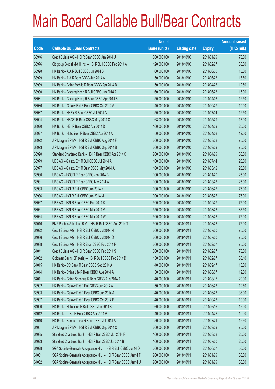|       |                                                                | No. of        |                     |               | <b>Amount raised</b> |
|-------|----------------------------------------------------------------|---------------|---------------------|---------------|----------------------|
| Code  | <b>Callable Bull/Bear Contracts</b>                            | issue (units) | <b>Listing date</b> | <b>Expiry</b> | (HK\$ mil.)          |
| 63946 | Credit Suisse AG - HSI R Bear CBBC Jan 2014 U                  | 300,000,000   | 2013/10/10          | 2014/01/29    | 75.00                |
| 63976 | Citigroup Global Mkt H Inc. - HSI R Bull CBBC Feb 2014 A       | 120,000,000   | 2013/10/10          | 2014/02/27    | 30.00                |
| 63928 | HK Bank - AIA R Bull CBBC Jun 2014 B                           | 60,000,000    | 2013/10/10          | 2014/06/30    | 15.00                |
| 63929 | HK Bank - AIA R Bear CBBC Jun 2014 A                           | 50,000,000    | 2013/10/10          | 2014/06/23    | 16.50                |
| 63939 | HK Bank - China Mobile R Bear CBBC Apr 2014 B                  | 50,000,000    | 2013/10/10          | 2014/04/28    | 12.50                |
| 63930 | HK Bank - Cheung Kong R Bull CBBC Jun 2014 A                   | 60,000,000    | 2013/10/10          | 2014/06/23    | 15.00                |
| 63931 | HK Bank - Cheung Kong R Bear CBBC Apr 2014 B                   | 50,000,000    | 2013/10/10          | 2014/04/08    | 12.50                |
| 63936 | HK Bank - Galaxy Ent R Bear CBBC Oct 2014 A                    | 40,000,000    | 2013/10/10          | 2014/10/27    | 10.00                |
| 63937 | HK Bank - HKEx R Bear CBBC Jul 2014 A                          | 50,000,000    | 2013/10/10          | 2014/07/04    | 12.50                |
| 63924 | HK Bank - HSCEI R Bear CBBC May 2014 C                         | 68,000,000    | 2013/10/10          | 2014/05/29    | 17.00                |
| 63920 | HK Bank - HSI R Bear CBBC Apr 2014 D                           | 100,000,000   | 2013/10/10          | 2014/04/29    | 25.00                |
| 63927 | HK Bank - Hutchison R Bear CBBC Apr 2014 A                     | 50,000,000    | 2013/10/10          | 2014/04/08    | 12.50                |
| 63972 | J P Morgan SP BV - HSI R Bull CBBC Aug 2014 F                  | 300,000,000   | 2013/10/10          | 2014/08/28    | 75.00                |
| 63973 | J P Morgan SP BV - HSI R Bull CBBC Sep 2014 B                  | 300,000,000   | 2013/10/10          | 2014/09/29    | 75.00                |
| 63990 | Standard Chartered Bank - HSI R Bear CBBC Apr 2014 C           | 200,000,000   | 2013/10/10          | 2014/04/29    | 50.00                |
| 63979 | UBS AG - Galaxy Ent R Bull CBBC Jul 2014 A                     | 100,000,000   | 2013/10/10          | 2014/07/14    | 25.00                |
| 63977 | UBS AG - Galaxy Ent R Bear CBBC May 2014 A                     | 100,000,000   | 2013/10/10          | 2014/05/12    | 25.00                |
| 63980 | UBS AG - HSCEI R Bear CBBC Jan 2014 B                          | 100,000,000   | 2013/10/10          | 2014/01/29    | 25.00                |
| 63981 | UBS AG - HSCEI R Bear CBBC Mar 2014 A                          | 100,000,000   | 2013/10/10          | 2014/03/28    | 25.00                |
| 63983 | UBS AG - HSI R Bull CBBC Jun 2014 K                            | 300,000,000   | 2013/10/10          | 2014/06/27    | 75.00                |
| 63986 | UBS AG - HSI R Bull CBBC Jun 2014 M                            | 300,000,000   | 2013/10/10          | 2014/06/27    | 75.00                |
| 63967 | UBS AG - HSI R Bear CBBC Feb 2014 K                            | 300,000,000   | 2013/10/10          | 2014/02/27    | 75.00                |
| 63961 | UBS AG - HSI R Bear CBBC Mar 2014 V                            | 350,000,000   | 2013/10/10          | 2014/03/28    | 87.50                |
| 63964 | UBS AG - HSI R Bear CBBC Mar 2014 W                            | 300,000,000   | 2013/10/10          | 2014/03/28    | 75.00                |
| 64016 | BNP Paribas Arbit Issu B.V. - HSI R Bull CBBC Aug 2014 T       | 300,000,000   | 2013/10/11          | 2014/08/28    | 75.00                |
| 64022 | Credit Suisse AG - HSI R Bull CBBC Jul 2014 N                  | 300,000,000   | 2013/10/11          | 2014/07/30    | 75.00                |
| 64036 | Credit Suisse AG - HSI R Bull CBBC Jul 2014 O                  | 300,000,000   | 2013/10/11          | 2014/07/30    | 75.00                |
| 64038 | Credit Suisse AG - HSI R Bear CBBC Feb 2014 R                  | 300,000,000   | 2013/10/11          | 2014/02/27    | 75.00                |
| 64041 | Credit Suisse AG - HSI R Bear CBBC Feb 2014 S                  | 300,000,000   | 2013/10/11          | 2014/02/27    | 75.00                |
| 64052 | Goldman Sachs SP (Asia) - HSI R Bull CBBC Feb 2014 D           | 150,000,000   | 2013/10/11          | 2014/02/27    | 38.10                |
| 64015 | HK Bank - CC Bank R Bear CBBC Sep 2014 A                       | 40,000,000    | 2013/10/11          | 2014/09/17    | 10.00                |
| 64014 | HK Bank - China Life R Bear CBBC Aug 2014 A                    | 50,000,000    | 2013/10/11          | 2014/08/07    | 12.50                |
| 64011 | HK Bank - China Shenhua R Bear CBBC Aug 2014 A                 | 40,000,000    | 2013/10/11          | 2014/08/15    | 20.00                |
| 63992 | HK Bank - Galaxy Ent R Bull CBBC Jun 2014 A                    | 50,000,000    | 2013/10/11          | 2014/06/23    | 12.50                |
| 63993 | HK Bank - Galaxy Ent R Bear CBBC Jun 2014 A                    | 40,000,000    | 2013/10/11          | 2014/06/23    | 36.00                |
| 63997 | HK Bank - Galaxy Ent R Bear CBBC Oct 2014 B                    | 40,000,000    | 2013/10/11          | 2014/10/28    | 10.00                |
| 64006 | HK Bank - Hutchison R Bull CBBC Jun 2014 B                     | 60,000,000    | 2013/10/11          | 2014/06/16    | 15.00                |
| 64012 | HK Bank - ICBC R Bear CBBC Apr 2014 A                          | 40,000,000    | 2013/10/11          | 2014/04/28    | 10.00                |
| 64010 | HK Bank - Sands China R Bear CBBC Jul 2014 A                   | 50,000,000    | 2013/10/11          | 2014/07/21    | 12.50                |
| 64051 | J P Morgan SP BV - HSI R Bull CBBC Sep 2014 C                  | 300,000,000   | 2013/10/11          | 2014/09/29    | 75.00                |
| 64035 | Standard Chartered Bank - HSI R Bull CBBC Mar 2014 F           | 100,000,000   | 2013/10/11          | 2014/03/28    | 25.00                |
| 64023 | Standard Chartered Bank - HSI R Bull CBBC Jul 2014 B           | 100,000,000   | 2013/10/11          | 2014/07/30    | 25.00                |
| 64028 | SGA Societe Generale Acceptance N.V. - HSI R Bull CBBC Jun14 O | 200,000,000   | 2013/10/11          | 2014/06/27    | 50.00                |
| 64031 | SGA Societe Generale Acceptance N.V. - HSI R Bear CBBC Jan14 T | 200,000,000   | 2013/10/11          | 2014/01/29    | 50.00                |
| 64032 | SGA Societe Generale Acceptance N.V. - HSI R Bear CBBC Jan14 U | 200,000,000   | 2013/10/11          | 2014/01/29    | 50.00                |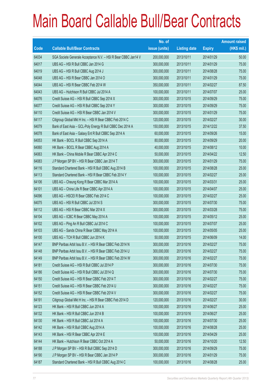|       |                                                                | No. of        |                     |               | <b>Amount raised</b> |
|-------|----------------------------------------------------------------|---------------|---------------------|---------------|----------------------|
| Code  | <b>Callable Bull/Bear Contracts</b>                            | issue (units) | <b>Listing date</b> | <b>Expiry</b> | $(HK$$ mil.)         |
| 64034 | SGA Societe Generale Acceptance N.V. - HSI R Bear CBBC Jan14 V | 200,000,000   | 2013/10/11          | 2014/01/29    | 50.00                |
| 64017 | UBS AG - HSI R Bull CBBC Jan 2014 G                            | 300,000,000   | 2013/10/11          | 2014/01/29    | 75.00                |
| 64019 | UBS AG - HSI R Bull CBBC Aug 2014 J                            | 300,000,000   | 2013/10/11          | 2014/08/28    | 75.00                |
| 64048 | UBS AG - HSI R Bear CBBC Jan 2014 O                            | 300,000,000   | 2013/10/11          | 2014/01/29    | 75.00                |
| 64044 | UBS AG - HSI R Bear CBBC Feb 2014 W                            | 350,000,000   | 2013/10/11          | 2014/02/27    | 87.50                |
| 64043 | UBS AG - Hutchison R Bull CBBC Jul 2014 A                      | 100,000,000   | 2013/10/11          | 2014/07/07    | 25.00                |
| 64076 | Credit Suisse AG - HSI R Bull CBBC Sep 2014 X                  | 300,000,000   | 2013/10/15          | 2014/09/29    | 75.00                |
| 64077 | Credit Suisse AG - HSI R Bull CBBC Sep 2014 Y                  | 300,000,000   | 2013/10/15          | 2014/09/29    | 75.00                |
| 64110 | Credit Suisse AG - HSI R Bear CBBC Jan 2014 V                  | 300,000,000   | 2013/10/15          | 2014/01/29    | 75.00                |
| 64117 | Citigroup Global Mkt H Inc. - HSI R Bear CBBC Feb 2014 C       | 120,000,000   | 2013/10/15          | 2014/02/27    | 30.00                |
| 64079 | Bank of East Asia - GCL-Poly Energy R Bull CBBC Dec 2014 A     | 150,000,000   | 2013/10/15          | 2014/12/22    | 37.50                |
| 64078 | Bank of East Asia - Galaxy Ent R Bull CBBC Sep 2014 A          | 60,000,000    | 2013/10/15          | 2014/09/26    | 15.00                |
| 64053 | HK Bank - BOCL R Bull CBBC Sep 2014 A                          | 80,000,000    | 2013/10/15          | 2014/09/29    | 20.00                |
| 64060 | HK Bank - BOCL R Bear CBBC Aug 2014 A                          | 40,000,000    | 2013/10/15          | 2014/08/12    | 10.00                |
| 64063 | HK Bank - China Mobile R Bear CBBC Apr 2014 C                  | 50,000,000    | 2013/10/15          | 2014/04/22    | 12.50                |
| 64083 | J P Morgan SP BV - HSI R Bear CBBC Jan 2014 T                  | 300,000,000   | 2013/10/15          | 2014/01/29    | 75.00                |
| 64116 | Standard Chartered Bank - HSI R Bull CBBC Aug 2014 B           | 100,000,000   | 2013/10/15          | 2014/08/28    | 25.00                |
| 64113 | Standard Chartered Bank - HSI R Bear CBBC Feb 2014 Y           | 100,000,000   | 2013/10/15          | 2014/02/27    | 25.00                |
| 64106 | UBS AG - Cheung Kong R Bear CBBC Mar 2014 A                    | 100,000,000   | 2013/10/15          | 2014/03/31    | 25.00                |
| 64101 | UBS AG - China Life R Bear CBBC Apr 2014 A                     | 100,000,000   | 2013/10/15          | 2014/04/07    | 25.00                |
| 64096 | UBS AG - HSCEI R Bear CBBC Feb 2014 C                          | 100,000,000   | 2013/10/15          | 2014/02/27    | 25.00                |
| 64075 | UBS AG - HSI R Bull CBBC Jul 2014 S                            | 300,000,000   | 2013/10/15          | 2014/07/30    | 75.00                |
| 64112 | UBS AG - HSI R Bear CBBC Mar 2014 X                            | 300,000,000   | 2013/10/15          | 2014/03/28    | 75.00                |
| 64104 | UBS AG - ICBC R Bear CBBC May 2014 A                           | 100,000,000   | 2013/10/15          | 2014/05/12    | 25.00                |
| 64102 | UBS AG - Ping An R Bull CBBC Jul 2014 C                        | 100,000,000   | 2013/10/15          | 2014/07/07    | 25.00                |
| 64103 | UBS AG - Sands China R Bear CBBC May 2014 A                    | 100,000,000   | 2013/10/15          | 2014/05/05    | 25.00                |
| 64100 | UBS AG - TCH R Bull CBBC Jun 2014 K                            | 50,000,000    | 2013/10/15          | 2014/06/09    | 14.00                |
| 64147 | BNP Paribas Arbit Issu B.V. - HSI R Bear CBBC Feb 2014 N       | 300,000,000   | 2013/10/16          | 2014/02/27    | 75.00                |
| 64148 | BNP Paribas Arbit Issu B.V. - HSI R Bear CBBC Feb 2014 U       | 300,000,000   | 2013/10/16          | 2014/02/27    | 75.00                |
| 64149 | BNP Paribas Arbit Issu B.V. - HSI R Bear CBBC Feb 2014 W       | 300,000,000   | 2013/10/16          | 2014/02/27    | 75.00                |
| 64181 | Credit Suisse AG - HSI R Bull CBBC Jul 2014 P                  | 300,000,000   | 2013/10/16          | 2014/07/30    | 75.00                |
| 64186 | Credit Suisse AG - HSI R Bull CBBC Jul 2014 Q                  | 300,000,000   | 2013/10/16          | 2014/07/30    | 75.00                |
| 64150 | Credit Suisse AG - HSI R Bear CBBC Feb 2014 T                  | 300,000,000   | 2013/10/16          | 2014/02/27    | 75.00                |
| 64151 | Credit Suisse AG - HSI R Bear CBBC Feb 2014 U                  | 300,000,000   | 2013/10/16          | 2014/02/27    | 75.00                |
| 64152 | Credit Suisse AG - HSI R Bear CBBC Feb 2014 V                  | 300,000,000   | 2013/10/16          | 2014/02/27    | 75.00                |
| 64191 | Citigroup Global Mkt H Inc. - HSI R Bear CBBC Feb 2014 D       | 120,000,000   | 2013/10/16          | 2014/02/27    | 30.00                |
| 64123 | HK Bank - HSI R Bull CBBC Jun 2014 A                           | 100,000,000   | 2013/10/16          | 2014/06/27    | 25.00                |
| 64132 | HK Bank - HSI R Bull CBBC Jun 2014 B                           | 100,000,000   | 2013/10/16          | 2014/06/27    | 25.00                |
| 64130 | HK Bank - HSI R Bull CBBC Jul 2014 A                           | 100,000,000   | 2013/10/16          | 2014/07/30    | 25.00                |
| 64142 | HK Bank - HSI R Bull CBBC Aug 2014 A                           | 100,000,000   | 2013/10/16          | 2014/08/28    | 25.00                |
| 64143 | HK Bank - HSI R Bear CBBC Apr 2014 E                           | 100,000,000   | 2013/10/16          | 2014/04/29    | 25.00                |
| 64144 | HK Bank - Hutchison R Bear CBBC Oct 2014 A                     | 50,000,000    | 2013/10/16          | 2014/10/20    | 12.50                |
| 64188 | J P Morgan SP BV - HSI R Bull CBBC Sep 2014 D                  | 300,000,000   | 2013/10/16          | 2014/09/29    | 75.00                |
| 64190 | J P Morgan SP BV - HSI R Bear CBBC Jan 2014 P                  | 300,000,000   | 2013/10/16          | 2014/01/29    | 75.00                |
| 64187 | Standard Chartered Bank - HSI R Bull CBBC Aug 2014 C           | 100,000,000   | 2013/10/16          | 2014/08/28    | 25.00                |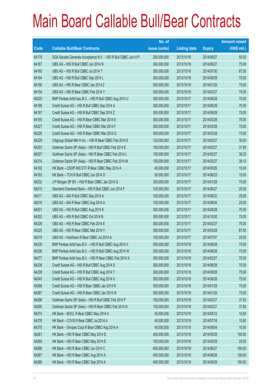|       |                                                                | No. of        |                     |               | <b>Amount raised</b> |
|-------|----------------------------------------------------------------|---------------|---------------------|---------------|----------------------|
| Code  | <b>Callable Bull/Bear Contracts</b>                            | issue (units) | <b>Listing date</b> | <b>Expiry</b> | $(HK$$ mil.)         |
| 64179 | SGA Societe Generale Acceptance N.V. - HSI R Bull CBBC Jun14 P | 200,000,000   | 2013/10/16          | 2014/06/27    | 50.00                |
| 64167 | UBS AG - HSI R Bull CBBC Jun 2014 N                            | 300,000,000   | 2013/10/16          | 2014/06/27    | 75.00                |
| 64180 | UBS AG - HSI R Bull CBBC Jul 2014 T                            | 350,000,000   | 2013/10/16          | 2014/07/30    | 87.50                |
| 64164 | UBS AG - HSI R Bull CBBC Sep 2014 L                            | 300,000,000   | 2013/10/16          | 2014/09/29    | 75.00                |
| 64156 | UBS AG - HSI R Bear CBBC Jan 2014 Z                            | 300,000,000   | 2013/10/16          | 2014/01/29    | 75.00                |
| 64154 | UBS AG - HSI R Bear CBBC Feb 2014 Y                            | 300,000,000   | 2013/10/16          | 2014/02/27    | 75.00                |
| 64220 | BNP Paribas Arbit Issu B.V. - HSI R Bull CBBC Aug 2014 U       | 300,000,000   | 2013/10/17          | 2014/08/28    | 75.00                |
| 64198 | Credit Suisse AG - HSI R Bull CBBC Sep 2014 A                  | 300,000,000   | 2013/10/17          | 2014/09/29    | 75.00                |
| 64197 | Credit Suisse AG - HSI R Bull CBBC Sep 2014 Z                  | 300,000,000   | 2013/10/17          | 2014/09/29    | 75.00                |
| 64195 | Credit Suisse AG - HSI R Bear CBBC Mar 2014 E                  | 300,000,000   | 2013/10/17          | 2014/03/28    | 75.00                |
| 64227 | Credit Suisse AG - HSI R Bear CBBC Mar 2014 F                  | 300,000,000   | 2013/10/17          | 2014/03/28    | 75.00                |
| 64228 | Credit Suisse AG - HSI R Bear CBBC Mar 2014 G                  | 300,000,000   | 2013/10/17          | 2014/03/28    | 75.00                |
| 64229 | Citigroup Global Mkt H Inc. - HSI R Bear CBBC Feb 2014 E       | 120,000,000   | 2013/10/17          | 2014/02/27    | 30.00                |
| 64203 | Goldman Sachs SP (Asia) - HSI R Bull CBBC Feb 2014 E           | 150,000,000   | 2013/10/17          | 2014/02/27    | 37.95                |
| 64207 | Goldman Sachs SP (Asia) - HSI R Bear CBBC Feb 2014 L           | 150,000,000   | 2013/10/17          | 2014/02/27    | 38.25                |
| 64214 | Goldman Sachs SP (Asia) - HSI R Bear CBBC Feb 2014 M           | 150,000,000   | 2013/10/17          | 2014/02/27    | 38.10                |
| 64192 | HK Bank - CSOP A50 ETF R Bear CBBC May 2014 A                  | 40,000,000    | 2013/10/17          | 2014/05/26    | 10.00                |
| 64193 | HK Bank - TCH R Bull CBBC Jun 2014 D                           | 50,000,000    | 2013/10/17          | 2014/06/23    | 15.00                |
| 64232 | J P Morgan SP BV - HSI R Bear CBBC Jan 2014 Q                  | 300,000,000   | 2013/10/17          | 2014/01/29    | 75.00                |
| 64215 | Standard Chartered Bank - HSI R Bull CBBC Jun 2014 F           | 100,000,000   | 2013/10/17          | 2014/06/27    | 25.00                |
| 64217 | UBS AG - AIA R Bull CBBC Sep 2014 A                            | 100,000,000   | 2013/10/17          | 2014/09/22    | 25.00                |
| 64216 | UBS AG - AIA R Bear CBBC Aug 2014 A                            | 100,000,000   | 2013/10/17          | 2014/08/04    | 25.00                |
| 64201 | UBS AG - HSI R Bull CBBC Aug 2014 K                            | 300,000,000   | 2013/10/17          | 2014/08/28    | 75.00                |
| 64202 | UBS AG - HSI R Bull CBBC Oct 2014 B                            | 300,000,000   | 2013/10/17          | 2014/10/30    | 75.00                |
| 64226 | UBS AG - HSI R Bear CBBC Feb 2014 E                            | 300,000,000   | 2013/10/17          | 2014/02/27    | 75.00                |
| 64225 | UBS AG - HSI R Bear CBBC Mar 2014 Y                            | 350,000,000   | 2013/10/17          | 2014/03/28    | 87.50                |
| 64219 | UBS AG - Hutchison R Bear CBBC Jul 2014 A                      | 100,000,000   | 2013/10/17          | 2014/07/07    | 25.00                |
| 64235 | BNP Paribas Arbit Issu B.V. - HSI R Bull CBBC Aug 2014 V       | 300,000,000   | 2013/10/18          | 2014/08/28    | 75.00                |
| 64236 | BNP Paribas Arbit Issu B.V. - HSI R Bull CBBC Aug 2014 W       | 300,000,000   | 2013/10/18          | 2014/08/28    | 75.00                |
| 64277 | BNP Paribas Arbit Issu B.V. - HSI R Bear CBBC Feb 2014 X       | 300,000,000   | 2013/10/18          | 2014/02/27    | 75.00                |
| 64238 | Credit Suisse AG - HSI R Bull CBBC Aug 2014 S                  | 300,000,000   | 2013/10/18          | 2014/08/28    | 75.00                |
| 64239 | Credit Suisse AG - HSI R Bull CBBC Aug 2014 T                  | 300,000,000   | 2013/10/18          | 2014/08/28    | 75.00                |
| 64240 | Credit Suisse AG - HSI R Bull CBBC Aug 2014 U                  | 300,000,000   | 2013/10/18          | 2014/08/28    | 75.00                |
| 64288 | Credit Suisse AG - HSI R Bear CBBC Jan 2014 R                  | 300,000,000   | 2013/10/18          | 2014/01/29    | 75.00                |
| 64287 | Credit Suisse AG - HSI R Bear CBBC Jan 2014 W                  | 300,000,000   | 2013/10/18          | 2014/01/29    | 75.00                |
| 64298 | Goldman Sachs SP (Asia) - HSI R Bull CBBC Feb 2014 F           | 150,000,000   | 2013/10/18          | 2014/02/27    | 37.50                |
| 64290 | Goldman Sachs SP (Asia) - HSI R Bear CBBC Feb 2014 N           | 150,000,000   | 2013/10/18          | 2014/02/27    | 37.80                |
| 64274 | HK Bank - BOCL R Bear CBBC May 2014 A                          | 40,000,000    | 2013/10/18          | 2014/05/12    | 10.00                |
| 64276 | HK Bank - COVS R Bear CBBC Jul 2014 A                          | 40,000,000    | 2013/10/18          | 2014/07/18    | 10.80                |
| 64270 | HK Bank - Sinopec Corp R Bear CBBC Aug 2014 A                  | 40,000,000    | 2013/10/18          | 2014/08/04    | 10.00                |
| 64261 | HK Bank - HSI R Bear CBBC May 2014 D                           | 400,000,000   | 2013/10/18          | 2014/05/29    | 100.00               |
| 64269 | HK Bank - HSI R Bear CBBC May 2014 E                           | 100,000,000   | 2013/10/18          | 2014/05/29    | 25.00                |
| 64266 | HK Bank - HSI R Bear CBBC Jun 2014 C                           | 400,000,000   | 2013/10/18          | 2014/06/27    | 100.00               |
| 64267 | HK Bank - HSI R Bear CBBC Aug 2014 A                           | 400,000,000   | 2013/10/18          | 2014/08/28    | 100.00               |
| 64268 | HK Bank - HSI R Bear CBBC Sep 2014 A                           | 400,000,000   | 2013/10/18          | 2014/09/29    | 100.00               |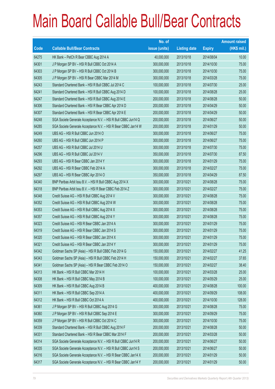|       |                                                                | No. of        |                     |               | <b>Amount raised</b> |
|-------|----------------------------------------------------------------|---------------|---------------------|---------------|----------------------|
| Code  | <b>Callable Bull/Bear Contracts</b>                            | issue (units) | <b>Listing date</b> | <b>Expiry</b> | (HK\$ mil.)          |
| 64275 | HK Bank - PetCh R Bear CBBC Aug 2014 A                         | 40,000,000    | 2013/10/18          | 2014/08/04    | 10.00                |
| 64301 | J P Morgan SP BV - HSI R Bull CBBC Oct 2014 A                  | 300,000,000   | 2013/10/18          | 2014/10/30    | 75.00                |
| 64303 | J P Morgan SP BV - HSI R Bull CBBC Oct 2014 B                  | 300,000,000   | 2013/10/18          | 2014/10/30    | 75.00                |
| 64305 | J P Morgan SP BV - HSI R Bear CBBC Mar 2014 M                  | 300,000,000   | 2013/10/18          | 2014/03/28    | 75.00                |
| 64243 | Standard Chartered Bank - HSI R Bull CBBC Jul 2014 C           | 100,000,000   | 2013/10/18          | 2014/07/30    | 25.00                |
| 64241 | Standard Chartered Bank - HSI R Bull CBBC Aug 2014 D           | 100,000,000   | 2013/10/18          | 2014/08/28    | 25.00                |
| 64247 | Standard Chartered Bank - HSI R Bull CBBC Aug 2014 E           | 200,000,000   | 2013/10/18          | 2014/08/28    | 50.00                |
| 64306 | Standard Chartered Bank - HSI R Bear CBBC Apr 2014 D           | 200,000,000   | 2013/10/18          | 2014/04/29    | 50.00                |
| 64307 | Standard Chartered Bank - HSI R Bear CBBC Apr 2014 E           | 200,000,000   | 2013/10/18          | 2014/04/29    | 50.00                |
| 64248 | SGA Societe Generale Acceptance N.V. - HSI R Bull CBBC Jun14 Q | 200,000,000   | 2013/10/18          | 2014/06/27    | 50.00                |
| 64285 | SGA Societe Generale Acceptance N.V. - HSI R Bear CBBC Jan14 W | 200,000,000   | 2013/10/18          | 2014/01/29    | 50.00                |
| 64249 | UBS AG - HSI R Bull CBBC Jun 2014 O                            | 300,000,000   | 2013/10/18          | 2014/06/27    | 75.00                |
| 64260 | UBS AG - HSI R Bull CBBC Jun 2014 P                            | 300,000,000   | 2013/10/18          | 2014/06/27    | 75.00                |
| 64257 | UBS AG - HSI R Bull CBBC Jul 2014 U                            | 300,000,000   | 2013/10/18          | 2014/07/30    | 75.00                |
| 64296 | UBS AG - HSI R Bull CBBC Jul 2014 V                            | 350,000,000   | 2013/10/18          | 2014/07/30    | 87.50                |
| 64293 | UBS AG - HSI R Bear CBBC Jan 2014 Y                            | 300,000,000   | 2013/10/18          | 2014/01/29    | 75.00                |
| 64292 | UBS AG - HSI R Bear CBBC Feb 2014 A                            | 300,000,000   | 2013/10/18          | 2014/02/27    | 75.00                |
| 64297 | UBS AG - HSI R Bear CBBC Apr 2014 O                            | 350,000,000   | 2013/10/18          | 2014/04/29    | 87.50                |
| 64340 | BNP Paribas Arbit Issu B.V. - HSI R Bull CBBC Aug 2014 X       | 300,000,000   | 2013/10/21          | 2014/08/28    | 75.00                |
| 64318 | BNP Paribas Arbit Issu B.V. - HSI R Bear CBBC Feb 2014 Z       | 300,000,000   | 2013/10/21          | 2014/02/27    | 75.00                |
| 64348 | Credit Suisse AG - HSI R Bull CBBC Aug 2014 V                  | 300,000,000   | 2013/10/21          | 2014/08/28    | 75.00                |
| 64352 | Credit Suisse AG - HSI R Bull CBBC Aug 2014 W                  | 300,000,000   | 2013/10/21          | 2014/08/28    | 75.00                |
| 64353 | Credit Suisse AG - HSI R Bull CBBC Aug 2014 X                  | 300,000,000   | 2013/10/21          | 2014/08/28    | 75.00                |
| 64357 | Credit Suisse AG - HSI R Bull CBBC Aug 2014 Y                  | 300,000,000   | 2013/10/21          | 2014/08/28    | 75.00                |
| 64323 | Credit Suisse AG - HSI R Bear CBBC Jan 2014 A                  | 300,000,000   | 2013/10/21          | 2014/01/29    | 75.00                |
| 64319 | Credit Suisse AG - HSI R Bear CBBC Jan 2014 S                  | 300,000,000   | 2013/10/21          | 2014/01/29    | 75.00                |
| 64320 | Credit Suisse AG - HSI R Bear CBBC Jan 2014 X                  | 300,000,000   | 2013/10/21          | 2014/01/29    | 75.00                |
| 64321 | Credit Suisse AG - HSI R Bear CBBC Jan 2014 Y                  | 300,000,000   | 2013/10/21          | 2014/01/29    | 75.00                |
| 64342 | Goldman Sachs SP (Asia) - HSI R Bull CBBC Feb 2014 G           | 150,000,000   | 2013/10/21          | 2014/02/27    | 41.25                |
| 64343 | Goldman Sachs SP (Asia) - HSI R Bull CBBC Feb 2014 H           | 150,000,000   | 2013/10/21          | 2014/02/27    | 37.65                |
| 64341 | Goldman Sachs SP (Asia) - HSI R Bear CBBC Feb 2014 O           | 150,000,000   | 2013/10/21          | 2014/02/27    | 38.40                |
| 64313 | HK Bank - HSI R Bull CBBC Mar 2014 H                           | 100,000,000   | 2013/10/21          | 2014/03/28    | 25.00                |
| 64308 | HK Bank - HSI R Bull CBBC May 2014 B                           | 100,000,000   | 2013/10/21          | 2014/05/29    | 25.00                |
| 64309 | HK Bank - HSI R Bull CBBC Aug 2014 B                           | 400,000,000   | 2013/10/21          | 2014/08/28    | 100.00               |
| 64311 | HK Bank - HSI R Bull CBBC Sep 2014 A                           | 400,000,000   | 2013/10/21          | 2014/09/29    | 108.00               |
| 64312 | HK Bank - HSI R Bull CBBC Oct 2014 A                           | 400,000,000   | 2013/10/21          | 2014/10/30    | 128.00               |
| 64361 | J P Morgan SP BV - HSI R Bull CBBC Aug 2014 G                  | 300,000,000   | 2013/10/21          | 2014/08/28    | 75.00                |
| 64360 | J P Morgan SP BV - HSI R Bull CBBC Sep 2014 E                  | 300,000,000   | 2013/10/21          | 2014/09/29    | 75.00                |
| 64359 | J P Morgan SP BV - HSI R Bull CBBC Oct 2014 C                  | 300,000,000   | 2013/10/21          | 2014/10/30    | 75.00                |
| 64339 | Standard Chartered Bank - HSI R Bull CBBC Aug 2014 F           | 200,000,000   | 2013/10/21          | 2014/08/28    | 50.00                |
| 64331 | Standard Chartered Bank - HSI R Bear CBBC Mar 2014 F           | 200,000,000   | 2013/10/21          | 2014/03/28    | 50.00                |
| 64314 | SGA Societe Generale Acceptance N.V. - HSI R Bull CBBC Jun14 R | 200,000,000   | 2013/10/21          | 2014/06/27    | 50.00                |
| 64335 | SGA Societe Generale Acceptance N.V. - HSI R Bull CBBC Jun14 S | 200,000,000   | 2013/10/21          | 2014/06/27    | 50.00                |
| 64316 | SGA Societe Generale Acceptance N.V. - HSI R Bear CBBC Jan14 X | 200,000,000   | 2013/10/21          | 2014/01/29    | 50.00                |
| 64317 | SGA Societe Generale Acceptance N.V. - HSI R Bear CBBC Jan14 Y | 200,000,000   | 2013/10/21          | 2014/01/29    | 50.00                |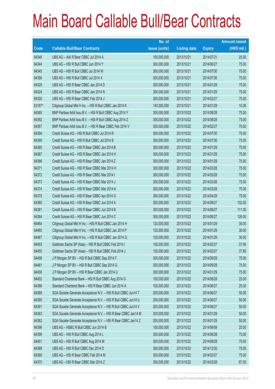|        |                                                                | No. of        |                     |               | <b>Amount raised</b> |
|--------|----------------------------------------------------------------|---------------|---------------------|---------------|----------------------|
| Code   | <b>Callable Bull/Bear Contracts</b>                            | issue (units) | <b>Listing date</b> | <b>Expiry</b> | (HK\$ mil.)          |
| 64346  | UBS AG - AIA R Bear CBBC Jul 2014 A                            | 100,000,000   | 2013/10/21          | 2014/07/21    | 25.00                |
| 64344  | UBS AG - HSI R Bull CBBC Jun 2014 Y                            | 300,000,000   | 2013/10/21          | 2014/06/27    | 75.00                |
| 64345  | UBS AG - HSI R Bull CBBC Jul 2014 W                            | 300,000,000   | 2013/10/21          | 2014/07/30    | 75.00                |
| 64356  | UBS AG - HSI R Bull CBBC Jul 2014 X                            | 300,000,000   | 2013/10/21          | 2014/07/30    | 75.00                |
| 64329  | UBS AG - HSI R Bear CBBC Jan 2014 D                            | 300,000,000   | 2013/10/21          | 2014/01/29    | 75.00                |
| 64324  | UBS AG - HSI R Bear CBBC Jan 2014 N                            | 300,000,000   | 2013/10/21          | 2014/01/29    | 75.00                |
| 64330  | UBS AG - HSI R Bear CBBC Feb 2014 J                            | 300,000,000   | 2013/10/21          | 2014/02/27    | 75.00                |
| 63187# | Citigroup Global Mkt H Inc. - HSI R Bull CBBC Jan 2014 K       | 140,000,000   | 2013/10/21          | 2014/01/29    | 10.08                |
| 64365  | BNP Paribas Arbit Issu B.V. - HSI R Bull CBBC Aug 2014 Y       | 300,000,000   | 2013/10/22          | 2014/08/28    | 75.00                |
| 64392  | BNP Paribas Arbit Issu B.V. - HSI R Bull CBBC Aug 2014 Z       | 300,000,000   | 2013/10/22          | 2014/08/28    | 75.00                |
| 64367  | BNP Paribas Arbit Issu B.V. - HSI R Bear CBBC Feb 2014 V       | 300,000,000   | 2013/10/22          | 2014/02/27    | 75.00                |
| 64394  | Credit Suisse AG - HSI R Bull CBBC Jul 2014 R                  | 300,000,000   | 2013/10/22          | 2014/07/30    | 75.00                |
| 64395  | Credit Suisse AG - HSI R Bull CBBC Jul 2014 S                  | 300,000,000   | 2013/10/22          | 2014/07/30    | 75.00                |
| 64385  | Credit Suisse AG - HSI R Bear CBBC Jan 2014 B                  | 300,000,000   | 2013/10/22          | 2014/01/29    | 75.00                |
| 64387  | Credit Suisse AG - HSI R Bear CBBC Jan 2014 H                  | 300,000,000   | 2013/10/22          | 2014/01/29    | 75.00                |
| 64386  | Credit Suisse AG - HSI R Bear CBBC Jan 2014 Z                  | 300,000,000   | 2013/10/22          | 2014/01/29    | 75.00                |
| 64371  | Credit Suisse AG - HSI R Bear CBBC Mar 2014 H                  | 300,000,000   | 2013/10/22          | 2014/03/28    | 75.00                |
| 64372  | Credit Suisse AG - HSI R Bear CBBC Mar 2014 I                  | 300,000,000   | 2013/10/22          | 2014/03/28    | 75.00                |
| 64373  | Credit Suisse AG - HSI R Bear CBBC Mar 2014 J                  | 300,000,000   | 2013/10/22          | 2014/03/28    | 75.00                |
| 64374  | Credit Suisse AG - HSI R Bear CBBC Mar 2014 K                  | 300,000,000   | 2013/10/22          | 2014/03/28    | 75.00                |
| 64375  | Credit Suisse AG - HSI R Bear CBBC Apr 2014 G                  | 300,000,000   | 2013/10/22          | 2014/04/29    | 75.00                |
| 64380  | Credit Suisse AG - HSI R Bear CBBC Jun 2014 A                  | 300,000,000   | 2013/10/22          | 2014/06/27    | 102.00               |
| 64381  | Credit Suisse AG - HSI R Bear CBBC Jun 2014 B                  | 300,000,000   | 2013/10/22          | 2014/06/27    | 111.00               |
| 64384  | Credit Suisse AG - HSI R Bear CBBC Jun 2014 C                  | 300,000,000   | 2013/10/22          | 2014/06/27    | 126.00               |
| 64464  | Citigroup Global Mkt H Inc. - HSI R Bull CBBC Jan 2014 H       | 120,000,000   | 2013/10/22          | 2014/01/29    | 30.00                |
| 64465  | Citigroup Global Mkt H Inc. - HSI R Bull CBBC Jan 2014 P       | 120,000,000   | 2013/10/22          | 2014/01/29    | 30.00                |
| 64467  | Citigroup Global Mkt H Inc. - HSI R Bull CBBC Jan 2014 Q       | 120,000,000   | 2013/10/22          | 2014/01/29    | 30.00                |
| 64453  | Goldman Sachs SP (Asia) - HSI R Bull CBBC Feb 2014 I           | 150,000,000   | 2013/10/22          | 2014/02/27    | 37.95                |
| 64455  | Goldman Sachs SP (Asia) - HSI R Bull CBBC Feb 2014 J           | 150,000,000   | 2013/10/22          | 2014/02/27    | 37.80                |
| 64458  | J P Morgan SP BV - HSI R Bull CBBC Sep 2014 F                  | 300,000,000   | 2013/10/22          | 2014/09/29    | 75.00                |
| 64461  | J P Morgan SP BV - HSI R Bull CBBC Sep 2014 G                  | 300,000,000   | 2013/10/22          | 2014/09/29    | 75.00                |
| 64456  | J P Morgan SP BV - HSI R Bear CBBC Jan 2014 U                  | 300,000,000   | 2013/10/22          | 2014/01/29    | 75.00                |
| 64452  | Standard Chartered Bank - HSI R Bull CBBC Aug 2014 G           | 100,000,000   | 2013/10/22          | 2014/08/28    | 25.00                |
| 64388  | Standard Chartered Bank - HSI R Bear CBBC Jun 2014 A           | 100,000,000   | 2013/10/22          | 2014/06/27    | 25.00                |
| 64389  | SGA Societe Generale Acceptance N.V. - HSI R Bull CBBC Jun14 T | 200,000,000   | 2013/10/22          | 2014/06/27    | 50.00                |
| 64390  | SGA Societe Generale Acceptance N.V. - HSI R Bull CBBC Jun14 U | 200,000,000   | 2013/10/22          | 2014/06/27    | 50.00                |
| 64391  | SGA Societe Generale Acceptance N.V. - HSI R Bull CBBC Jun14 V | 200,000,000   | 2013/10/22          | 2014/06/27    | 50.00                |
| 64363  | SGA Societe Generale Acceptance N.V. - HSI R Bear CBBC Jan14 M | 200,000,000   | 2013/10/22          | 2014/01/29    | 50.00                |
| 64362  | SGA Societe Generale Acceptance N.V. - HSI R Bear CBBC Jan14 Z | 200,000,000   | 2013/10/22          | 2014/01/29    | 50.00                |
| 64396  | UBS AG - HSBC R Bull CBBC Jun 2014 B                           | 100,000,000   | 2013/10/22          | 2014/06/09    | 25.00                |
| 64399  | UBS AG - HSI R Bull CBBC Aug 2014 L                            | 300,000,000   | 2013/10/22          | 2014/08/28    | 75.00                |
| 64451  | UBS AG - HSI R Bull CBBC Aug 2014 M                            | 300,000,000   | 2013/10/22          | 2014/08/28    | 75.00                |
| 64398  | UBS AG - HSI R Bull CBBC Dec 2014 D                            | 300,000,000   | 2013/10/22          | 2014/12/30    | 75.00                |
| 64369  | UBS AG - HSI R Bear CBBC Feb 2014 M                            | 300,000,000   | 2013/10/22          | 2014/02/27    | 75.00                |
| 64370  | UBS AG - HSI R Bear CBBC Mar 2014 Z                            | 350,000,000   | 2013/10/22          | 2014/03/28    | 87.50                |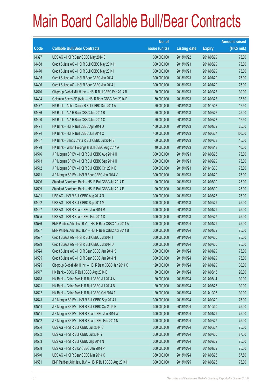|       |                                                          | No. of        |                     |               | <b>Amount raised</b> |
|-------|----------------------------------------------------------|---------------|---------------------|---------------|----------------------|
| Code  | <b>Callable Bull/Bear Contracts</b>                      | issue (units) | <b>Listing date</b> | <b>Expiry</b> | $(HK$$ mil.)         |
| 64397 | UBS AG - HSI R Bear CBBC May 2014 B                      | 300,000,000   | 2013/10/22          | 2014/05/29    | 75.00                |
| 64468 | Credit Suisse AG - HSI R Bull CBBC May 2014 H            | 300,000,000   | 2013/10/23          | 2014/05/29    | 75.00                |
| 64470 | Credit Suisse AG - HSI R Bull CBBC May 2014 I            | 300,000,000   | 2013/10/23          | 2014/05/29    | 75.00                |
| 64495 | Credit Suisse AG - HSI R Bear CBBC Jan 2014 I            | 300,000,000   | 2013/10/23          | 2014/01/29    | 75.00                |
| 64496 | Credit Suisse AG - HSI R Bear CBBC Jan 2014 J            | 300,000,000   | 2013/10/23          | 2014/01/29    | 75.00                |
| 64510 | Citigroup Global Mkt H Inc. - HSI R Bull CBBC Feb 2014 B | 120,000,000   | 2013/10/23          | 2014/02/27    | 30.00                |
| 64494 | Goldman Sachs SP (Asia) - HSI R Bear CBBC Feb 2014 P     | 150,000,000   | 2013/10/23          | 2014/02/27    | 37.80                |
| 64477 | HK Bank - Anhui Conch R Bull CBBC Dec 2014 A             | 50,000,000    | 2013/10/23          | 2014/12/08    | 12.50                |
| 64486 | HK Bank - AIA R Bear CBBC Jun 2014 B                     | 50,000,000    | 2013/10/23          | 2014/06/26    | 25.00                |
| 64490 | HK Bank - AIA R Bear CBBC Jun 2014 C                     | 50,000,000    | 2013/10/23          | 2014/06/23    | 12.50                |
| 64471 | HK Bank - HSI R Bull CBBC Apr 2014 D                     | 100,000,000   | 2013/10/23          | 2014/04/29    | 25.00                |
| 64474 | HK Bank - HSI R Bull CBBC Jun 2014 C                     | 400,000,000   | 2013/10/23          | 2014/06/27    | 100.00               |
| 64487 | HK Bank - Sands China R Bull CBBC Jul 2014 B             | 60,000,000    | 2013/10/23          | 2014/07/28    | 15.00                |
| 64478 | HK Bank - Wharf Holdings R Bull CBBC Aug 2014 A          | 40,000,000    | 2013/10/23          | 2014/08/18    | 10.00                |
| 64516 | J P Morgan SP BV - HSI R Bull CBBC Aug 2014 H            | 300,000,000   | 2013/10/23          | 2014/08/28    | 75.00                |
| 64513 | J P Morgan SP BV - HSI R Bull CBBC Sep 2014 H            | 300,000,000   | 2013/10/23          | 2014/09/29    | 75.00                |
| 64512 | J P Morgan SP BV - HSI R Bull CBBC Oct 2014 D            | 300,000,000   | 2013/10/23          | 2014/10/30    | 75.00                |
| 64511 | J P Morgan SP BV - HSI R Bear CBBC Jan 2014 V            | 300,000,000   | 2013/10/23          | 2014/01/29    | 75.00                |
| 64506 | Standard Chartered Bank - HSI R Bull CBBC Jul 2014 D     | 100,000,000   | 2013/10/23          | 2014/07/30    | 25.00                |
| 64509 | Standard Chartered Bank - HSI R Bull CBBC Jul 2014 E     | 100,000,000   | 2013/10/23          | 2014/07/30    | 25.00                |
| 64491 | UBS AG - HSI R Bull CBBC Aug 2014 N                      | 300,000,000   | 2013/10/23          | 2014/08/28    | 75.00                |
| 64492 | UBS AG - HSI R Bull CBBC Sep 2014 M                      | 300,000,000   | 2013/10/23          | 2014/09/29    | 75.00                |
| 64497 | UBS AG - HSI R Bear CBBC Jan 2014 M                      | 300,000,000   | 2013/10/23          | 2014/01/29    | 75.00                |
| 64505 | UBS AG - HSI R Bear CBBC Feb 2014 D                      | 300,000,000   | 2013/10/23          | 2014/02/27    | 75.00                |
| 64536 | BNP Paribas Arbit Issu B.V. - HSI R Bear CBBC Apr 2014 A | 300,000,000   | 2013/10/24          | 2014/04/29    | 75.00                |
| 64537 | BNP Paribas Arbit Issu B.V. - HSI R Bear CBBC Apr 2014 B | 300,000,000   | 2013/10/24          | 2014/04/29    | 75.00                |
| 64527 | Credit Suisse AG - HSI R Bull CBBC Jul 2014 T            | 300,000,000   | 2013/10/24          | 2014/07/30    | 75.00                |
| 64529 | Credit Suisse AG - HSI R Bull CBBC Jul 2014 U            | 300,000,000   | 2013/10/24          | 2014/07/30    | 75.00                |
| 64524 | Credit Suisse AG - HSI R Bear CBBC Jan 2014 K            | 300,000,000   | 2013/10/24          | 2014/01/29    | 75.00                |
| 64535 | Credit Suisse AG - HSI R Bear CBBC Jan 2014 N            | 300,000,000   | 2013/10/24          | 2014/01/29    | 75.00                |
| 64525 | Citigroup Global Mkt H Inc. - HSI R Bear CBBC Jan 2014 O | 120,000,000   | 2013/10/24          | 2014/01/29    | 30.00                |
| 64517 | HK Bank - BOCL R Bull CBBC Aug 2014 B                    | 80,000,000    | 2013/10/24          | 2014/08/18    | 20.00                |
| 64518 | HK Bank - China Mobile R Bull CBBC Jul 2014 A            | 120,000,000   | 2013/10/24          | 2014/07/14    | 30.00                |
| 64521 | HK Bank - China Mobile R Bull CBBC Jul 2014 B            | 120,000,000   | 2013/10/24          | 2014/07/28    | 30.00                |
| 64522 | HK Bank - China Mobile R Bull CBBC Oct 2014 A            | 120,000,000   | 2013/10/24          | 2014/10/06    | 30.00                |
| 64543 | J P Morgan SP BV - HSI R Bull CBBC Sep 2014 I            | 300,000,000   | 2013/10/24          | 2014/09/29    | 75.00                |
| 64544 | J P Morgan SP BV - HSI R Bull CBBC Oct 2014 E            | 300,000,000   | 2013/10/24          | 2014/10/30    | 75.00                |
| 64541 | J P Morgan SP BV - HSI R Bear CBBC Jan 2014 W            | 300,000,000   | 2013/10/24          | 2014/01/29    | 75.00                |
| 64542 | J P Morgan SP BV - HSI R Bear CBBC Feb 2014 N            | 300,000,000   | 2013/10/24          | 2014/02/27    | 75.00                |
| 64534 | UBS AG - HSI R Bull CBBC Jun 2014 C                      | 300,000,000   | 2013/10/24          | 2014/06/27    | 75.00                |
| 64532 | UBS AG - HSI R Bull CBBC Jul 2014 Y                      | 350,000,000   | 2013/10/24          | 2014/07/30    | 87.50                |
| 64533 | UBS AG - HSI R Bull CBBC Sep 2014 N                      | 300,000,000   | 2013/10/24          | 2014/09/29    | 75.00                |
| 64538 | UBS AG - HSI R Bear CBBC Jan 2014 P                      | 300,000,000   | 2013/10/24          | 2014/01/29    | 75.00                |
| 64540 | UBS AG - HSI R Bear CBBC Mar 2014 C                      | 350,000,000   | 2013/10/24          | 2014/03/28    | 87.50                |
| 64561 | BNP Paribas Arbit Issu B.V. - HSI R Bull CBBC Aug 2014 H | 300,000,000   | 2013/10/25          | 2014/08/28    | 75.00                |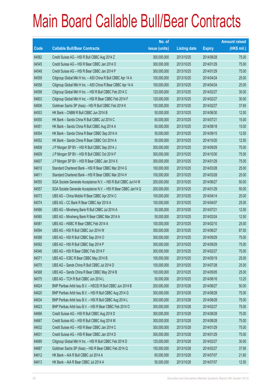|             |                                                                | No. of        |                     |               | <b>Amount raised</b> |
|-------------|----------------------------------------------------------------|---------------|---------------------|---------------|----------------------|
| <b>Code</b> | <b>Callable Bull/Bear Contracts</b>                            | issue (units) | <b>Listing date</b> | <b>Expiry</b> | $(HK$$ mil.)         |
| 64582       | Credit Suisse AG - HSI R Bull CBBC Aug 2014 Z                  | 300,000,000   | 2013/10/25          | 2014/08/28    | 75.00                |
| 64545       | Credit Suisse AG - HSI R Bear CBBC Jan 2014 O                  | 300,000,000   | 2013/10/25          | 2014/01/29    | 75.00                |
| 64548       | Credit Suisse AG - HSI R Bear CBBC Jan 2014 P                  | 300,000,000   | 2013/10/25          | 2014/01/29    | 75.00                |
| 64559       | Citigroup Global Mkt H Inc. - A50 China R Bull CBBC Apr 14 A   | 100,000,000   | 2013/10/25          | 2014/04/24    | 25.00                |
| 64558       | Citigroup Global Mkt H Inc. - A50 China R Bear CBBC Apr 14 A   | 100,000,000   | 2013/10/25          | 2014/04/24    | 25.00                |
| 64598       | Citigroup Global Mkt H Inc. - HSI R Bull CBBC Feb 2014 C       | 120,000,000   | 2013/10/25          | 2014/02/27    | 30.00                |
| 64603       | Citigroup Global Mkt H Inc. - HSI R Bear CBBC Feb 2014 F       | 120,000,000   | 2013/10/25          | 2014/02/27    | 30.00                |
| 64606       | Goldman Sachs SP (Asia) - HSI R Bull CBBC Feb 2014 K           | 150,000,000   | 2013/10/25          | 2014/02/27    | 37.65                |
| 64553       | HK Bank - CNBM R Bull CBBC Jun 2014 B                          | 50,000,000    | 2013/10/25          | 2014/06/30    | 12.50                |
| 64550       | HK Bank - Sands China R Bull CBBC Jul 2014 C                   | 60,000,000    | 2013/10/25          | 2014/07/21    | 15.00                |
| 64551       | HK Bank - Sands China R Bull CBBC Aug 2014 A                   | 60,000,000    | 2013/10/25          | 2014/08/18    | 15.00                |
| 64554       | HK Bank - Sands China R Bear CBBC Sep 2014 A                   | 50,000,000    | 2013/10/25          | 2014/09/15    | 12.50                |
| 64552       | HK Bank - Sands China R Bear CBBC Oct 2014 A                   | 50,000,000    | 2013/10/25          | 2014/10/20    | 12.50                |
| 64608       | J P Morgan SP BV - HSI R Bull CBBC Sep 2014 J                  | 300,000,000   | 2013/10/25          | 2014/09/29    | 75.00                |
| 64609       | J P Morgan SP BV - HSI R Bull CBBC Oct 2014 F                  | 300,000,000   | 2013/10/25          | 2014/10/30    | 75.00                |
| 64607       | J P Morgan SP BV - HSI R Bear CBBC Jan 2014 X                  | 300,000,000   | 2013/10/25          | 2014/01/29    | 75.00                |
| 64610       | Standard Chartered Bank - HSI R Bear CBBC Mar 2014 G           | 100,000,000   | 2013/10/25          | 2014/03/28    | 25.00                |
| 64611       | Standard Chartered Bank - HSI R Bear CBBC Mar 2014 H           | 100,000,000   | 2013/10/25          | 2014/03/28    | 25.00                |
| 64555       | SGA Societe Generale Acceptance N.V. - HSI R Bull CBBC Jun14 W | 200,000,000   | 2013/10/25          | 2014/06/27    | 50.00                |
| 64557       | SGA Societe Generale Acceptance N.V. - HSI R Bear CBBC Jan14 Q | 200,000,000   | 2013/10/25          | 2014/01/29    | 50.00                |
| 64573       | UBS AG - China Mobile R Bear CBBC Apr 2014 C                   | 100,000,000   | 2013/10/25          | 2014/04/14    | 25.00                |
| 64574       | UBS AG - CC Bank R Bear CBBC Apr 2014 A                        | 100,000,000   | 2013/10/25          | 2014/04/07    | 25.00                |
| 64566       | UBS AG - Minsheng Bank R Bull CBBC Jul 2014 A                  | 50,000,000    | 2013/10/25          | 2014/07/21    | 12.50                |
| 64565       | UBS AG - Minsheng Bank R Bear CBBC Mar 2014 A                  | 50,000,000    | 2013/10/25          | 2014/03/24    | 12.50                |
| 64581       | UBS AG - HSBC R Bear CBBC Feb 2014 A                           | 100,000,000   | 2013/10/25          | 2014/02/10    | 25.00                |
| 64594       | UBS AG - HSI R Bull CBBC Jun 2014 W                            | 350,000,000   | 2013/10/25          | 2014/06/27    | 87.50                |
| 64588       | UBS AG - HSI R Bull CBBC Sep 2014 O                            | 300,000,000   | 2013/10/25          | 2014/09/29    | 75.00                |
| 64592       | UBS AG - HSI R Bull CBBC Sep 2014 P                            | 300,000,000   | 2013/10/25          | 2014/09/29    | 75.00                |
| 64546       | UBS AG - HSI R Bear CBBC Feb 2014 F                            | 300,000,000   | 2013/10/25          | 2014/02/27    | 75.00                |
| 64571       | UBS AG - ICBC R Bear CBBC May 2014 B                           | 100,000,000   | 2013/10/25          | 2014/05/19    | 25.00                |
| 64570       | UBS AG - Sands China R Bull CBBC Jul 2014 D                    | 100,000,000   | 2013/10/25          | 2014/07/28    | 25.00                |
| 64568       | UBS AG - Sands China R Bear CBBC May 2014 B                    | 100,000,000   | 2013/10/25          | 2014/05/05    | 25.00                |
| 64575       | UBS AG - TCH R Bull CBBC Jun 2014 L                            | 50,000,000    | 2013/10/25          | 2014/06/16    | 13.25                |
| 64624       | BNP Paribas Arbit Issu B.V. - HSCEI R Bull CBBC Jun 2014 B     | 200,000,000   | 2013/10/28          | 2014/06/27    | 50.00                |
| 64620       | BNP Paribas Arbit Issu B.V. - HSI R Bull CBBC Aug 2014 G       | 300,000,000   | 2013/10/28          | 2014/08/28    | 75.00                |
| 64634       | BNP Paribas Arbit Issu B.V. - HSI R Bull CBBC Aug 2014 L       | 300,000,000   | 2013/10/28          | 2014/08/28    | 75.00                |
| 64623       | BNP Paribas Arbit Issu B.V. - HSI R Bear CBBC Feb 2014 O       | 300,000,000   | 2013/10/28          | 2014/02/27    | 75.00                |
| 64666       | Credit Suisse AG - HSI R Bull CBBC Aug 2014 D                  | 300,000,000   | 2013/10/28          | 2014/08/28    | 75.00                |
| 64667       | Credit Suisse AG - HSI R Bull CBBC Aug 2014 M                  | 300,000,000   | 2013/10/28          | 2014/08/28    | 75.00                |
| 64632       | Credit Suisse AG - HSI R Bear CBBC Jan 2014 C                  | 300,000,000   | 2013/10/28          | 2014/01/29    | 75.00                |
| 64631       | Credit Suisse AG - HSI R Bear CBBC Jan 2014 D                  | 300,000,000   | 2013/10/28          | 2014/01/29    | 75.00                |
| 64689       | Citigroup Global Mkt H Inc. - HSI R Bull CBBC Feb 2014 D       | 120,000,000   | 2013/10/28          | 2014/02/27    | 30.00                |
| 64687       | Goldman Sachs SP (Asia) - HSI R Bear CBBC Feb 2014 Q           | 150,000,000   | 2013/10/28          | 2014/02/27    | 37.95                |
| 64612       | HK Bank - AIA R Bull CBBC Jul 2014 A                           | 60,000,000    | 2013/10/28          | 2014/07/07    | 21.60                |
| 64613       | HK Bank - AIA R Bear CBBC Jul 2014 A                           | 50,000,000    | 2013/10/28          | 2014/07/07    | 12.50                |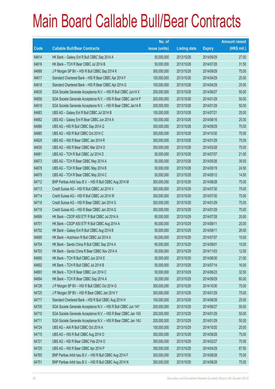|       |                                                                | No. of        |                     |               | <b>Amount raised</b> |
|-------|----------------------------------------------------------------|---------------|---------------------|---------------|----------------------|
| Code  | <b>Callable Bull/Bear Contracts</b>                            | issue (units) | <b>Listing date</b> | <b>Expiry</b> | $(HK$$ mil.)         |
| 64614 | HK Bank - Galaxy Ent R Bull CBBC Sep 2014 A                    | 50,000,000    | 2013/10/28          | 2014/09/29    | 27.00                |
| 64616 | HK Bank - TCH R Bear CBBC Jul 2014 B                           | 50,000,000    | 2013/10/28          | 2014/07/28    | 31.50                |
| 64688 | J P Morgan SP BV - HSI R Bull CBBC Sep 2014 K                  | 300,000,000   | 2013/10/28          | 2014/09/29    | 75.00                |
| 64617 | Standard Chartered Bank - HSI R Bear CBBC Apr 2014 F           | 100,000,000   | 2013/10/28          | 2014/04/29    | 25.00                |
| 64618 | Standard Chartered Bank - HSI R Bear CBBC Apr 2014 G           | 100,000,000   | 2013/10/28          | 2014/04/29    | 25.00                |
| 64635 | SGA Societe Generale Acceptance N.V. - HSI R Bull CBBC Jun14 X | 200,000,000   | 2013/10/28          | 2014/06/27    | 50.00                |
| 64658 | SGA Societe Generale Acceptance N.V. - HSI R Bear CBBC Jan14 P | 200,000,000   | 2013/10/28          | 2014/01/29    | 50.00                |
| 64619 | SGA Societe Generale Acceptance N.V. - HSI R Bear CBBC Jan14 R | 200,000,000   | 2013/10/28          | 2014/01/29    | 50.00                |
| 64683 | UBS AG - Galaxy Ent R Bull CBBC Jul 2014 B                     | 100,000,000   | 2013/10/28          | 2014/07/21    | 25.00                |
| 64682 | UBS AG - Galaxy Ent R Bear CBBC Jun 2014 A                     | 100,000,000   | 2013/10/28          | 2014/06/16    | 25.00                |
| 64686 | UBS AG - HSI R Bull CBBC Sep 2014 Q                            | 300,000,000   | 2013/10/28          | 2014/09/29    | 75.00                |
| 64685 | UBS AG - HSI R Bull CBBC Oct 2014 C                            | 300,000,000   | 2013/10/28          | 2014/10/30    | 75.00                |
| 64629 | UBS AG - HSI R Bear CBBC Jan 2014 R                            | 300,000,000   | 2013/10/28          | 2014/01/29    | 75.00                |
| 64630 | UBS AG - HSI R Bear CBBC Mar 2014 D                            | 300,000,000   | 2013/10/28          | 2014/03/28    | 75.00                |
| 64681 | UBS AG - TCH R Bull CBBC Jul 2014 D                            | 50,000,000    | 2013/10/28          | 2014/07/07    | 21.00                |
| 64673 | UBS AG - TCH R Bear CBBC May 2014 A                            | 50,000,000    | 2013/10/28          | 2014/05/26    | 39.50                |
| 64678 | UBS AG - TCH R Bear CBBC May 2014 B                            | 50,000,000    | 2013/10/28          | 2014/05/19    | 24.50                |
| 64679 | UBS AG - TCH R Bear CBBC May 2014 C                            | 50,000,000    | 2013/10/28          | 2014/05/12    | 14.50                |
| 64712 | BNP Paribas Arbit Issu B.V. - HSI R Bull CBBC Aug 2014 M       | 300,000,000   | 2013/10/29          | 2014/08/28    | 75.00                |
| 64713 | Credit Suisse AG - HSI R Bull CBBC Jul 2014 V                  | 300,000,000   | 2013/10/29          | 2014/07/30    | 75.00                |
| 64714 | Credit Suisse AG - HSI R Bull CBBC Jul 2014 W                  | 300,000,000   | 2013/10/29          | 2014/07/30    | 75.00                |
| 64718 | Credit Suisse AG - HSI R Bear CBBC Jan 2014 G                  | 300,000,000   | 2013/10/29          | 2014/01/29    | 75.00                |
| 64719 | Credit Suisse AG - HSI R Bear CBBC Jan 2014 Q                  | 300,000,000   | 2013/10/29          | 2014/01/29    | 75.00                |
| 64699 | HK Bank - CSOP A50 ETF R Bull CBBC Jul 2014 A                  | 80,000,000    | 2013/10/29          | 2014/07/28    | 20.00                |
| 64701 | HK Bank - CSOP A50 ETF R Bull CBBC Aug 2014 A                  | 80,000,000    | 2013/10/29          | 2014/08/11    | 20.00                |
| 64702 | HK Bank - Galaxy Ent R Bull CBBC Aug 2014 B                    | 50,000,000    | 2013/10/29          | 2014/08/11    | 26.00                |
| 64695 | HK Bank - Hutchison R Bull CBBC Jul 2014 A                     | 60,000,000    | 2013/10/29          | 2014/07/07    | 15.00                |
| 64704 | HK Bank - Sands China R Bull CBBC Sep 2014 A                   | 60,000,000    | 2013/10/29          | 2014/09/01    | 15.00                |
| 64703 | HK Bank - Sands China R Bear CBBC Nov 2014 A                   | 50,000,000    | 2013/10/29          | 2014/11/03    | 12.50                |
| 64690 | HK Bank - TCH R Bull CBBC Jun 2014 E                           | 50,000,000    | 2013/10/29          | 2014/06/30    | 21.00                |
| 64692 | HK Bank - TCH R Bull CBBC Jul 2014 B                           | 50,000,000    | 2013/10/29          | 2014/07/14    | 16.00                |
| 64693 | HK Bank - TCH R Bear CBBC Jun 2014 C                           | 50,000,000    | 2013/10/29          | 2014/06/23    | 32.50                |
| 64694 | HK Bank - TCH R Bear CBBC Sep 2014 A                           | 50,000,000    | 2013/10/29          | 2014/09/29    | 60.00                |
| 64726 | J P Morgan SP BV - HSI R Bull CBBC Oct 2014 G                  | 300,000,000   | 2013/10/29          | 2014/10/30    | 75.00                |
| 64725 | J P Morgan SP BV - HSI R Bear CBBC Jan 2014 Y                  | 300,000,000   | 2013/10/29          | 2014/01/29    | 75.00                |
| 64717 | Standard Chartered Bank - HSI R Bull CBBC Aug 2014 H           | 100,000,000   | 2013/10/29          | 2014/08/28    | 25.00                |
| 64705 | SGA Societe Generale Acceptance N.V. - HSI R Bull CBBC Jun 14Y | 200,000,000   | 2013/10/29          | 2014/06/27    | 50.00                |
| 64710 | SGA Societe Generale Acceptance N.V. - HSI R Bear CBBC Jan 14S | 200,000,000   | 2013/10/29          | 2014/01/29    | 50.00                |
| 64711 | SGA Societe Generale Acceptance N.V. - HSI R Bear CBBC Jan 14U | 200,000,000   | 2013/10/29          | 2014/01/29    | 50.00                |
| 64724 | UBS AG - AIA R Bull CBBC Oct 2014 A                            | 100,000,000   | 2013/10/29          | 2014/10/20    | 25.00                |
| 64715 | UBS AG - HSI R Bull CBBC Aug 2014 O                            | 300,000,000   | 2013/10/29          | 2014/08/28    | 75.00                |
| 64721 | UBS AG - HSI R Bear CBBC Feb 2014 O                            | 300,000,000   | 2013/10/29          | 2014/02/27    | 75.00                |
| 64720 | UBS AG - HSI R Bear CBBC Apr 2014 P                            | 350,000,000   | 2013/10/29          | 2014/04/29    | 87.50                |
| 64765 | BNP Paribas Arbit Issu B.V. - HSI R Bull CBBC Aug 2014 F       | 300,000,000   | 2013/10/30          | 2014/08/28    | 75.00                |
| 64751 | BNP Paribas Arbit Issu B.V. - HSI R Bull CBBC Aug 2014 N       | 300,000,000   | 2013/10/30          | 2014/08/28    | 75.00                |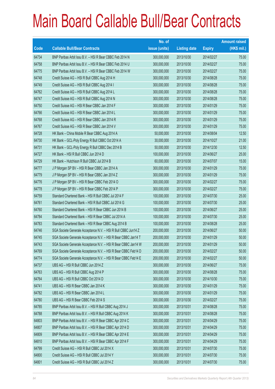|       |                                                                | No. of        |                     |               | <b>Amount raised</b> |
|-------|----------------------------------------------------------------|---------------|---------------------|---------------|----------------------|
| Code  | <b>Callable Bull/Bear Contracts</b>                            | issue (units) | <b>Listing date</b> | <b>Expiry</b> | $(HK$$ mil.)         |
| 64734 | BNP Paribas Arbit Issu B.V. - HSI R Bear CBBC Feb 2014 N       | 300,000,000   | 2013/10/30          | 2014/02/27    | 75.00                |
| 64758 | BNP Paribas Arbit Issu B.V. - HSI R Bear CBBC Feb 2014 U       | 300,000,000   | 2013/10/30          | 2014/02/27    | 75.00                |
| 64775 | BNP Paribas Arbit Issu B.V. - HSI R Bear CBBC Feb 2014 W       | 300,000,000   | 2013/10/30          | 2014/02/27    | 75.00                |
| 64748 | Credit Suisse AG - HSI R Bull CBBC Aug 2014 H                  | 300,000,000   | 2013/10/30          | 2014/08/28    | 75.00                |
| 64749 | Credit Suisse AG - HSI R Bull CBBC Aug 2014 I                  | 300,000,000   | 2013/10/30          | 2014/08/28    | 75.00                |
| 64762 | Credit Suisse AG - HSI R Bull CBBC Aug 2014 L                  | 300,000,000   | 2013/10/30          | 2014/08/28    | 75.00                |
| 64747 | Credit Suisse AG - HSI R Bull CBBC Aug 2014 N                  | 300,000,000   | 2013/10/30          | 2014/08/28    | 75.00                |
| 64750 | Credit Suisse AG - HSI R Bear CBBC Jan 2014 F                  | 300,000,000   | 2013/10/30          | 2014/01/29    | 75.00                |
| 64766 | Credit Suisse AG - HSI R Bear CBBC Jan 2014 L                  | 300,000,000   | 2013/10/30          | 2014/01/29    | 75.00                |
| 64768 | Credit Suisse AG - HSI R Bear CBBC Jan 2014 R                  | 300,000,000   | 2013/10/30          | 2014/01/29    | 75.00                |
| 64767 | Credit Suisse AG - HSI R Bear CBBC Jan 2014 V                  | 300,000,000   | 2013/10/30          | 2014/01/29    | 75.00                |
| 64728 | HK Bank - China Mobile R Bear CBBC Aug 2014 A                  | 50,000,000    | 2013/10/30          | 2014/08/04    | 12.50                |
| 64730 | HK Bank - GCL-Poly Energy R Bull CBBC Oct 2014 A               | 30,000,000    | 2013/10/30          | 2014/10/27    | 21.00                |
| 64731 | HK Bank - GCL-Poly Energy R Bull CBBC Dec 2014 B               | 50,000,000    | 2013/10/30          | 2014/12/30    | 12.50                |
| 64727 | HK Bank - HSI R Bull CBBC Jun 2014 D                           | 100,000,000   | 2013/10/30          | 2014/06/27    | 25.00                |
| 64729 | HK Bank - Hutchison R Bull CBBC Jul 2014 B                     | 60,000,000    | 2013/10/30          | 2014/07/07    | 15.00                |
| 64777 | J P Morgan SP BV - HSI R Bear CBBC Jan 2014 A                  | 300,000,000   | 2013/10/30          | 2014/01/29    | 75.00                |
| 64779 | J P Morgan SP BV - HSI R Bear CBBC Jan 2014 Z                  | 300,000,000   | 2013/10/30          | 2014/01/29    | 75.00                |
| 64776 | J P Morgan SP BV - HSI R Bear CBBC Feb 2014 O                  | 300,000,000   | 2013/10/30          | 2014/02/27    | 75.00                |
| 64778 | J P Morgan SP BV - HSI R Bear CBBC Feb 2014 P                  | 300,000,000   | 2013/10/30          | 2014/02/27    | 75.00                |
| 64759 | Standard Chartered Bank - HSI R Bull CBBC Jul 2014 F           | 100,000,000   | 2013/10/30          | 2014/07/30    | 25.00                |
| 64761 | Standard Chartered Bank - HSI R Bull CBBC Jul 2014 G           | 100,000,000   | 2013/10/30          | 2014/07/30    | 25.00                |
| 64760 | Standard Chartered Bank - HSI R Bear CBBC Jun 2014 B           | 100,000,000   | 2013/10/30          | 2014/06/27    | 25.00                |
| 64784 | Standard Chartered Bank - HSI R Bear CBBC Jul 2014 A           | 100,000,000   | 2013/10/30          | 2014/07/30    | 25.00                |
| 64783 | Standard Chartered Bank - HSI R Bear CBBC Aug 2014 B           | 100,000,000   | 2013/10/30          | 2014/08/28    | 25.00                |
| 64746 | SGA Societe Generale Acceptance N.V. - HSI R Bull CBBC Jun14 Z | 200,000,000   | 2013/10/30          | 2014/06/27    | 50.00                |
| 64745 | SGA Societe Generale Acceptance N.V. - HSI R Bear CBBC Jan14 T | 200,000,000   | 2013/10/30          | 2014/01/29    | 50.00                |
| 64743 | SGA Societe Generale Acceptance N.V. - HSI R Bear CBBC Jan14 W | 200,000,000   | 2013/10/30          | 2014/01/29    | 50.00                |
| 64769 | SGA Societe Generale Acceptance N.V. - HSI R Bear CBBC Feb14 D | 200,000,000   | 2013/10/30          | 2014/02/27    | 50.00                |
| 64774 | SGA Societe Generale Acceptance N.V. - HSI R Bear CBBC Feb14 E | 200,000,000   | 2013/10/30          | 2014/02/27    | 50.00                |
| 64737 | UBS AG - HSI R Bull CBBC Jun 2014 Z                            | 300,000,000   | 2013/10/30          | 2014/06/27    | 75.00                |
| 64763 | UBS AG - HSI R Bull CBBC Aug 2014 P                            | 300,000,000   | 2013/10/30          | 2014/08/28    | 75.00                |
| 64764 | UBS AG - HSI R Bull CBBC Oct 2014 D                            | 300,000,000   | 2013/10/30          | 2014/10/30    | 75.00                |
| 64741 | UBS AG - HSI R Bear CBBC Jan 2014 K                            | 300,000,000   | 2013/10/30          | 2014/01/29    | 75.00                |
| 64782 | UBS AG - HSI R Bear CBBC Jan 2014 L                            | 300,000,000   | 2013/10/30          | 2014/01/29    | 75.00                |
| 64780 | UBS AG - HSI R Bear CBBC Feb 2014 S                            | 300,000,000   | 2013/10/30          | 2014/02/27    | 75.00                |
| 64785 | BNP Paribas Arbit Issu B.V. - HSI R Bull CBBC Aug 2014 J       | 300,000,000   | 2013/10/31          | 2014/08/28    | 75.00                |
| 64788 | BNP Paribas Arbit Issu B.V. - HSI R Bull CBBC Aug 2014 K       | 300,000,000   | 2013/10/31          | 2014/08/28    | 75.00                |
| 64803 | BNP Paribas Arbit Issu B.V. - HSI R Bear CBBC Apr 2014 C       | 300,000,000   | 2013/10/31          | 2014/04/29    | 75.00                |
| 64807 | BNP Paribas Arbit Issu B.V. - HSI R Bear CBBC Apr 2014 D       | 300,000,000   | 2013/10/31          | 2014/04/29    | 75.00                |
| 64809 | BNP Paribas Arbit Issu B.V. - HSI R Bear CBBC Apr 2014 E       | 300,000,000   | 2013/10/31          | 2014/04/29    | 75.00                |
| 64810 | BNP Paribas Arbit Issu B.V. - HSI R Bear CBBC Apr 2014 F       | 300,000,000   | 2013/10/31          | 2014/04/29    | 75.00                |
| 64799 | Credit Suisse AG - HSI R Bull CBBC Jul 2014 X                  | 300,000,000   | 2013/10/31          | 2014/07/30    | 75.00                |
| 64800 | Credit Suisse AG - HSI R Bull CBBC Jul 2014 Y                  | 300,000,000   | 2013/10/31          | 2014/07/30    | 75.00                |
| 64801 | Credit Suisse AG - HSI R Bull CBBC Jul 2014 Z                  | 300,000,000   | 2013/10/31          | 2014/07/30    | 75.00                |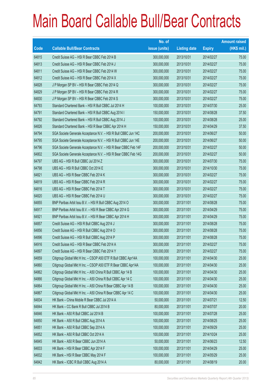|       |                                                                | No. of        |                     |               | <b>Amount raised</b> |
|-------|----------------------------------------------------------------|---------------|---------------------|---------------|----------------------|
| Code  | <b>Callable Bull/Bear Contracts</b>                            | issue (units) | <b>Listing date</b> | <b>Expiry</b> | (HK\$ mil.)          |
| 64815 | Credit Suisse AG - HSI R Bear CBBC Feb 2014 B                  | 300,000,000   | 2013/10/31          | 2014/02/27    | 75.00                |
| 64813 | Credit Suisse AG - HSI R Bear CBBC Feb 2014 J                  | 300,000,000   | 2013/10/31          | 2014/02/27    | 75.00                |
| 64811 | Credit Suisse AG - HSI R Bear CBBC Feb 2014 W                  | 300,000,000   | 2013/10/31          | 2014/02/27    | 75.00                |
| 64812 | Credit Suisse AG - HSI R Bear CBBC Feb 2014 X                  | 300,000,000   | 2013/10/31          | 2014/02/27    | 75.00                |
| 64828 | J P Morgan SP BV - HSI R Bear CBBC Feb 2014 Q                  | 300,000,000   | 2013/10/31          | 2014/02/27    | 75.00                |
| 64829 | J P Morgan SP BV - HSI R Bear CBBC Feb 2014 R                  | 300,000,000   | 2013/10/31          | 2014/02/27    | 75.00                |
| 64830 | J P Morgan SP BV - HSI R Bear CBBC Feb 2014 S                  | 300,000,000   | 2013/10/31          | 2014/02/27    | 75.00                |
| 64793 | Standard Chartered Bank - HSI R Bull CBBC Jul 2014 H           | 100,000,000   | 2013/10/31          | 2014/07/30    | 25.00                |
| 64791 | Standard Chartered Bank - HSI R Bull CBBC Aug 2014 I           | 150,000,000   | 2013/10/31          | 2014/08/28    | 37.50                |
| 64792 | Standard Chartered Bank - HSI R Bull CBBC Aug 2014 J           | 100,000,000   | 2013/10/31          | 2014/08/28    | 25.00                |
| 64826 | Standard Chartered Bank - HSI R Bear CBBC Apr 2014 H           | 150,000,000   | 2013/10/31          | 2014/04/29    | 37.50                |
| 64794 | SGA Societe Generale Acceptance N.V. - HSI R Bull CBBC Jun 14C | 200,000,000   | 2013/10/31          | 2014/06/27    | 50.00                |
| 64795 | SGA Societe Generale Acceptance N.V. - HSI R Bull CBBC Jun 14E | 200,000,000   | 2013/10/31          | 2014/06/27    | 50.00                |
| 64796 | SGA Societe Generale Acceptance N.V. - HSI R Bear CBBC Feb 14F | 200,000,000   | 2013/10/31          | 2014/02/27    | 50.00                |
| 64802 | SGA Societe Generale Acceptance N.V. - HSI R Bear CBBC Feb 14G | 200,000,000   | 2013/10/31          | 2014/02/27    | 50.00                |
| 64797 | UBS AG - HSI R Bull CBBC Jul 2014 Z                            | 300,000,000   | 2013/10/31          | 2014/07/30    | 75.00                |
| 64798 | UBS AG - HSI R Bull CBBC Oct 2014 E                            | 300,000,000   | 2013/10/31          | 2014/10/30    | 75.00                |
| 64821 | UBS AG - HSI R Bear CBBC Feb 2014 K                            | 300,000,000   | 2013/10/31          | 2014/02/27    | 75.00                |
| 64819 | UBS AG - HSI R Bear CBBC Feb 2014 R                            | 300,000,000   | 2013/10/31          | 2014/02/27    | 75.00                |
| 64816 | UBS AG - HSI R Bear CBBC Feb 2014 T                            | 300,000,000   | 2013/10/31          | 2014/02/27    | 75.00                |
| 64820 | UBS AG - HSI R Bear CBBC Feb 2014 U                            | 300,000,000   | 2013/10/31          | 2014/02/27    | 75.00                |
| 64855 | BNP Paribas Arbit Issu B.V. - HSI R Bull CBBC Aug 2014 O       | 300,000,000   | 2013/11/01          | 2014/08/28    | 75.00                |
| 64917 | BNP Paribas Arbit Issu B.V. - HSI R Bear CBBC Apr 2014 G       | 300,000,000   | 2013/11/01          | 2014/04/29    | 75.00                |
| 64921 | BNP Paribas Arbit Issu B.V. - HSI R Bear CBBC Apr 2014 H       | 300,000,000   | 2013/11/01          | 2014/04/29    | 75.00                |
| 64857 | Credit Suisse AG - HSI R Bull CBBC Aug 2014 J                  | 300,000,000   | 2013/11/01          | 2014/08/28    | 75.00                |
| 64856 | Credit Suisse AG - HSI R Bull CBBC Aug 2014 O                  | 300,000,000   | 2013/11/01          | 2014/08/28    | 75.00                |
| 64896 | Credit Suisse AG - HSI R Bull CBBC Aug 2014 P                  | 300,000,000   | 2013/11/01          | 2014/08/28    | 75.00                |
| 64916 | Credit Suisse AG - HSI R Bear CBBC Feb 2014 A                  | 300,000,000   | 2013/11/01          | 2014/02/27    | 75.00                |
| 64897 | Credit Suisse AG - HSI R Bear CBBC Feb 2014 Y                  | 300,000,000   | 2013/11/01          | 2014/02/27    | 75.00                |
| 64859 | Citigroup Global Mkt H Inc. - CSOP A50 ETF R Bull CBBC Apr14A  | 100,000,000   | 2013/11/01          | 2014/04/30    | 25.00                |
| 64860 | Citigroup Global Mkt H Inc. - CSOP A50 ETF R Bear CBBC Apr14A  | 100,000,000   | 2013/11/01          | 2014/04/30    | 25.00                |
| 64862 | Citigroup Global Mkt H Inc. - A50 China R Bull CBBC Apr 14 B   | 100,000,000   | 2013/11/01          | 2014/04/30    | 25.00                |
| 64866 | Citigroup Global Mkt H Inc. - A50 China R Bull CBBC Apr 14 C   | 100,000,000   | 2013/11/01          | 2014/04/30    | 25.00                |
| 64864 | Citigroup Global Mkt H Inc. - A50 China R Bear CBBC Apr 14 B   | 100,000,000   | 2013/11/01          | 2014/04/30    | 25.00                |
| 64867 | Citigroup Global Mkt H Inc. - A50 China R Bear CBBC Apr 14 C   | 100,000,000   | 2013/11/01          | 2014/04/30    | 25.00                |
| 64834 | HK Bank - China Mobile R Bear CBBC Jul 2014 A                  | 50,000,000    | 2013/11/01          | 2014/07/21    | 12.50                |
| 64844 | HK Bank - CC Bank R Bull CBBC Jul 2014 B                       | 80,000,000    | 2013/11/01          | 2014/07/07    | 20.00                |
| 64846 | HK Bank - A50 R Bull CBBC Jul 2014 B                           | 100,000,000   | 2013/11/01          | 2014/07/28    | 25.00                |
| 64850 | HK Bank - A50 R Bull CBBC Aug 2014 A                           | 100,000,000   | 2013/11/01          | 2014/08/25    | 25.00                |
| 64851 | HK Bank - A50 R Bull CBBC Sep 2014 A                           | 100,000,000   | 2013/11/01          | 2014/09/29    | 25.00                |
| 64852 | HK Bank - A50 R Bull CBBC Oct 2014 A                           | 100,000,000   | 2013/11/01          | 2014/10/24    | 25.00                |
| 64845 | HK Bank - A50 R Bear CBBC Jun 2014 A                           | 50,000,000    | 2013/11/01          | 2014/06/23    | 12.50                |
| 64833 | HK Bank - HSI R Bear CBBC Apr 2014 F                           | 100,000,000   | 2013/11/01          | 2014/04/29    | 25.00                |
| 64832 | HK Bank - HSI R Bear CBBC May 2014 F                           | 100,000,000   | 2013/11/01          | 2014/05/29    | 25.00                |
| 64842 | HK Bank - ICBC R Bull CBBC Aug 2014 A                          | 80,000,000    | 2013/11/01          | 2014/08/19    | 20.00                |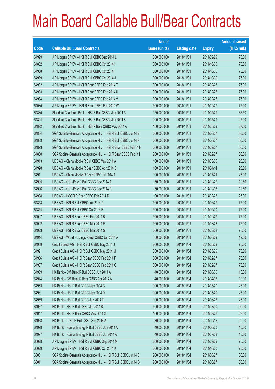|       |                                                                | No. of        |                     |               | <b>Amount raised</b> |
|-------|----------------------------------------------------------------|---------------|---------------------|---------------|----------------------|
| Code  | <b>Callable Bull/Bear Contracts</b>                            | issue (units) | <b>Listing date</b> | <b>Expiry</b> | $(HK$$ mil.)         |
| 64929 | J P Morgan SP BV - HSI R Bull CBBC Sep 2014 L                  | 300,000,000   | 2013/11/01          | 2014/09/29    | 75.00                |
| 64882 | J P Morgan SP BV - HSI R Bull CBBC Oct 2014 H                  | 300,000,000   | 2013/11/01          | 2014/10/30    | 75.00                |
| 64938 | J P Morgan SP BV - HSI R Bull CBBC Oct 2014 I                  | 300,000,000   | 2013/11/01          | 2014/10/30    | 75.00                |
| 64939 | J P Morgan SP BV - HSI R Bull CBBC Oct 2014 J                  | 300,000,000   | 2013/11/01          | 2014/10/30    | 75.00                |
| 64932 | J P Morgan SP BV - HSI R Bear CBBC Feb 2014 T                  | 300,000,000   | 2013/11/01          | 2014/02/27    | 75.00                |
| 64933 | J P Morgan SP BV - HSI R Bear CBBC Feb 2014 U                  | 300,000,000   | 2013/11/01          | 2014/02/27    | 75.00                |
| 64934 | J P Morgan SP BV - HSI R Bear CBBC Feb 2014 V                  | 300,000,000   | 2013/11/01          | 2014/02/27    | 75.00                |
| 64935 | J P Morgan SP BV - HSI R Bear CBBC Feb 2014 W                  | 300,000,000   | 2013/11/01          | 2014/02/27    | 75.00                |
| 64885 | Standard Chartered Bank - HSI R Bull CBBC May 2014 A           | 150,000,000   | 2013/11/01          | 2014/05/29    | 37.50                |
| 64894 | Standard Chartered Bank - HSI R Bull CBBC May 2014 B           | 100,000,000   | 2013/11/01          | 2014/05/29    | 25.00                |
| 64892 | Standard Chartered Bank - HSI R Bear CBBC May 2014 A           | 150,000,000   | 2013/11/01          | 2014/05/29    | 37.50                |
| 64884 | SGA Societe Generale Acceptance N.V. - HSI R Bull CBBC Jun14 B | 200,000,000   | 2013/11/01          | 2014/06/27    | 50.00                |
| 64883 | SGA Societe Generale Acceptance N.V. - HSI R Bull CBBC Jun14 F | 200,000,000   | 2013/11/01          | 2014/06/27    | 50.00                |
| 64873 | SGA Societe Generale Acceptance N.V. - HSI R Bear CBBC Feb14 H | 200,000,000   | 2013/11/01          | 2014/02/27    | 50.00                |
| 64880 | SGA Societe Generale Acceptance N.V. - HSI R Bear CBBC Feb14 I | 200,000,000   | 2013/11/01          | 2014/02/27    | 50.00                |
| 64913 | UBS AG - China Mobile R Bull CBBC May 2014 A                   | 100,000,000   | 2013/11/01          | 2014/05/05    | 25.00                |
| 64928 | UBS AG - China Mobile R Bear CBBC Apr 2014 D                   | 100,000,000   | 2013/11/01          | 2014/04/14    | 25.00                |
| 64911 | UBS AG - China Mobile R Bear CBBC Jul 2014 A                   | 100,000,000   | 2013/11/01          | 2014/07/21    | 25.00                |
| 64905 | UBS AG - GCL-Poly R Bull CBBC Dec 2014 A                       | 50,000,000    | 2013/11/01          | 2014/12/22    | 12.50                |
| 64906 | UBS AG - GCL-Poly R Bull CBBC Dec 2014 B                       | 50,000,000    | 2013/11/01          | 2014/12/08    | 12.50                |
| 64908 | UBS AG - HSCEI R Bear CBBC Feb 2014 D                          | 100,000,000   | 2013/11/01          | 2014/02/27    | 25.00                |
| 64853 | UBS AG - HSI R Bull CBBC Jun 2014 D                            | 300,000,000   | 2013/11/01          | 2014/06/27    | 75.00                |
| 64854 | UBS AG - HSI R Bull CBBC Oct 2014 F                            | 300,000,000   | 2013/11/01          | 2014/10/30    | 75.00                |
| 64927 | UBS AG - HSI R Bear CBBC Feb 2014 B                            | 300,000,000   | 2013/11/01          | 2014/02/27    | 75.00                |
| 64922 | UBS AG - HSI R Bear CBBC Mar 2014 E                            | 300,000,000   | 2013/11/01          | 2014/03/28    | 75.00                |
| 64923 | UBS AG - HSI R Bear CBBC Mar 2014 G                            | 300,000,000   | 2013/11/01          | 2014/03/28    | 75.00                |
| 64914 | UBS AG - Wharf Holdings R Bull CBBC Jun 2014 A                 | 50,000,000    | 2013/11/01          | 2014/06/09    | 12.50                |
| 64989 | Credit Suisse AG - HSI R Bull CBBC May 2014 J                  | 300,000,000   | 2013/11/04          | 2014/05/29    | 75.00                |
| 64991 | Credit Suisse AG - HSI R Bull CBBC May 2014 M                  | 300,000,000   | 2013/11/04          | 2014/05/29    | 75.00                |
| 64986 | Credit Suisse AG - HSI R Bear CBBC Feb 2014 P                  | 300,000,000   | 2013/11/04          | 2014/02/27    | 75.00                |
| 64987 | Credit Suisse AG - HSI R Bear CBBC Feb 2014 Q                  | 300,000,000   | 2013/11/04          | 2014/02/27    | 75.00                |
| 64969 | HK Bank - CM Bank R Bull CBBC Jun 2014 A                       | 40,000,000    | 2013/11/04          | 2014/06/30    | 10.00                |
| 64974 | HK Bank - CM Bank R Bear CBBC Apr 2014 A                       | 40,000,000    | 2013/11/04          | 2014/04/07    | 10.00                |
| 64953 | HK Bank - HSI R Bull CBBC May 2014 C                           | 100,000,000   | 2013/11/04          | 2014/05/29    | 25.00                |
| 64961 | HK Bank - HSI R Bull CBBC May 2014 D                           | 100,000,000   | 2013/11/04          | 2014/05/29    | 25.00                |
| 64959 | HK Bank - HSI R Bull CBBC Jun 2014 E                           | 100,000,000   | 2013/11/04          | 2014/06/27    | 25.00                |
| 64967 | HK Bank - HSI R Bull CBBC Jul 2014 B                           | 400,000,000   | 2013/11/04          | 2014/07/30    | 100.00               |
| 64947 | HK Bank - HSI R Bear CBBC May 2014 G                           | 100,000,000   | 2013/11/04          | 2014/05/29    | 25.00                |
| 64968 | HK Bank - ICBC R Bull CBBC Sep 2014 A                          | 80,000,000    | 2013/11/04          | 2014/09/15    | 20.00                |
| 64978 | HK Bank - Kunlun Energy R Bull CBBC Jun 2014 A                 | 40,000,000    | 2013/11/04          | 2014/06/30    | 10.00                |
| 64977 | HK Bank - Kunlun Energy R Bull CBBC Jul 2014 A                 | 40,000,000    | 2013/11/04          | 2014/07/28    | 10.00                |
| 65028 | J P Morgan SP BV - HSI R Bull CBBC Sep 2014 M                  | 300,000,000   | 2013/11/04          | 2014/09/29    | 75.00                |
| 65029 | J P Morgan SP BV - HSI R Bull CBBC Oct 2014 K                  | 300,000,000   | 2013/11/04          | 2014/10/30    | 75.00                |
| 65001 | SGA Societe Generale Acceptance N.V. - HSI R Bull CBBC Jun14 D | 200,000,000   | 2013/11/04          | 2014/06/27    | 50.00                |
| 65011 | SGA Societe Generale Acceptance N.V. - HSI R Bull CBBC Jun14 G | 200,000,000   | 2013/11/04          | 2014/06/27    | 50.00                |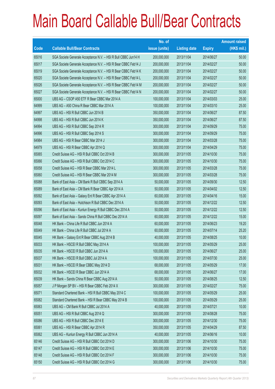|       |                                                                | No. of        |                     |               | <b>Amount raised</b> |
|-------|----------------------------------------------------------------|---------------|---------------------|---------------|----------------------|
| Code  | <b>Callable Bull/Bear Contracts</b>                            | issue (units) | <b>Listing date</b> | <b>Expiry</b> | $(HK$$ mil.)         |
| 65016 | SGA Societe Generale Acceptance N.V. - HSI R Bull CBBC Jun14 H | 200,000,000   | 2013/11/04          | 2014/06/27    | 50.00                |
| 65017 | SGA Societe Generale Acceptance N.V. - HSI R Bear CBBC Feb14 J | 200,000,000   | 2013/11/04          | 2014/02/27    | 50.00                |
| 65019 | SGA Societe Generale Acceptance N.V. - HSI R Bear CBBC Feb14 K | 200,000,000   | 2013/11/04          | 2014/02/27    | 50.00                |
| 65020 | SGA Societe Generale Acceptance N.V. - HSI R Bear CBBC Feb14 L | 200,000,000   | 2013/11/04          | 2014/02/27    | 50.00                |
| 65026 | SGA Societe Generale Acceptance N.V. - HSI R Bear CBBC Feb14 M | 200,000,000   | 2013/11/04          | 2014/02/27    | 50.00                |
| 65027 | SGA Societe Generale Acceptance N.V. - HSI R Bear CBBC Feb14 N | 200,000,000   | 2013/11/04          | 2014/02/27    | 50.00                |
| 65000 | UBS AG - CSOP A50 ETF R Bear CBBC Mar 2014 A                   | 100,000,000   | 2013/11/04          | 2014/03/03    | 25.00                |
| 64999 | UBS AG - A50 China R Bear CBBC Mar 2014 A                      | 100,000,000   | 2013/11/04          | 2014/03/10    | 25.00                |
| 64997 | UBS AG - HSI R Bull CBBC Jun 2014 B                            | 350,000,000   | 2013/11/04          | 2014/06/27    | 87.50                |
| 64998 | UBS AG - HSI R Bull CBBC Jun 2014 K                            | 350,000,000   | 2013/11/04          | 2014/06/27    | 87.50                |
| 64994 | UBS AG - HSI R Bull CBBC Sep 2014 R                            | 300,000,000   | 2013/11/04          | 2014/09/29    | 75.00                |
| 64996 | UBS AG - HSI R Bull CBBC Sep 2014 S                            | 300,000,000   | 2013/11/04          | 2014/09/29    | 75.00                |
| 64984 | UBS AG - HSI R Bear CBBC Mar 2014 J                            | 300,000,000   | 2013/11/04          | 2014/03/28    | 75.00                |
| 64979 | UBS AG - HSI R Bear CBBC Apr 2014 Q                            | 300,000,000   | 2013/11/04          | 2014/04/29    | 75.00                |
| 65065 | Credit Suisse AG - HSI R Bull CBBC Oct 2014 B                  | 300,000,000   | 2013/11/05          | 2014/10/30    | 75.00                |
| 65066 | Credit Suisse AG - HSI R Bull CBBC Oct 2014 C                  | 300,000,000   | 2013/11/05          | 2014/10/30    | 75.00                |
| 65058 | Credit Suisse AG - HSI R Bear CBBC Mar 2014 L                  | 300,000,000   | 2013/11/05          | 2014/03/28    | 75.00                |
| 65060 | Credit Suisse AG - HSI R Bear CBBC Mar 2014 M                  | 300,000,000   | 2013/11/05          | 2014/03/28    | 75.00                |
| 65088 | Bank of East Asia - CM Bank R Bull CBBC Sep 2014 A             | 50,000,000    | 2013/11/05          | 2014/09/30    | 12.50                |
| 65089 | Bank of East Asia - CM Bank R Bear CBBC Apr 2014 A             | 50,000,000    | 2013/11/05          | 2014/04/02    | 12.50                |
| 65092 | Bank of East Asia - Galaxy Ent R Bear CBBC Apr 2014 A          | 60,000,000    | 2013/11/05          | 2014/04/16    | 15.00                |
| 65093 | Bank of East Asia - Hutchison R Bull CBBC Dec 2014 A           | 50,000,000    | 2013/11/05          | 2014/12/22    | 12.50                |
| 65096 | Bank of East Asia - Kunlun Energy R Bull CBBC Dec 2014 A       | 50,000,000    | 2013/11/05          | 2014/12/22    | 12.50                |
| 65097 | Bank of East Asia - Sands China R Bull CBBC Dec 2014 A         | 60,000,000    | 2013/11/05          | 2014/12/22    | 15.00                |
| 65048 | HK Bank - China Life R Bull CBBC Jun 2014 A                    | 60,000,000    | 2013/11/05          | 2014/06/23    | 19.20                |
| 65049 | HK Bank - China Life R Bull CBBC Jul 2014 A                    | 60,000,000    | 2013/11/05          | 2014/07/14    | 25.20                |
| 65045 | HK Bank - Galaxy Ent R Bear CBBC Aug 2014 B                    | 40,000,000    | 2013/11/05          | 2014/08/25    | 10.00                |
| 65033 | HK Bank - HSCEI R Bull CBBC May 2014 A                         | 100,000,000   | 2013/11/05          | 2014/05/29    | 25.00                |
| 65035 | HK Bank - HSCEI R Bull CBBC Jun 2014 A                         | 100,000,000   | 2013/11/05          | 2014/06/27    | 25.00                |
| 65037 | HK Bank - HSCEI R Bull CBBC Jul 2014 A                         | 100,000,000   | 2013/11/05          | 2014/07/30    | 25.00                |
| 65031 | HK Bank - HSCEI R Bear CBBC May 2014 D                         | 68,000,000    | 2013/11/05          | 2014/05/29    | 17.00                |
| 65032 | HK Bank - HSCEI R Bear CBBC Jun 2014 A                         | 68,000,000    | 2013/11/05          | 2014/06/27    | 17.00                |
| 65039 | HK Bank - Sands China R Bear CBBC Aug 2014 A                   | 50,000,000    | 2013/11/05          | 2014/08/25    | 12.50                |
| 65057 | J P Morgan SP BV - HSI R Bear CBBC Feb 2014 X                  | 300,000,000   | 2013/11/05          | 2014/02/27    | 75.00                |
| 65071 | Standard Chartered Bank - HSI R Bull CBBC May 2014 C           | 100,000,000   | 2013/11/05          | 2014/05/29    | 25.00                |
| 65082 | Standard Chartered Bank - HSI R Bear CBBC May 2014 B           | 100,000,000   | 2013/11/05          | 2014/05/29    | 25.00                |
| 65063 | UBS AG - CM Bank R Bull CBBC Jul 2014 A                        | 40,000,000    | 2013/11/05          | 2014/07/21    | 10.00                |
| 65051 | UBS AG - HSI R Bull CBBC Aug 2014 Q                            | 300,000,000   | 2013/11/05          | 2014/08/28    | 75.00                |
| 65086 | UBS AG - HSI R Bull CBBC Dec 2014 E                            | 300,000,000   | 2013/11/05          | 2014/12/30    | 75.00                |
| 65061 | UBS AG - HSI R Bear CBBC Apr 2014 R                            | 350,000,000   | 2013/11/05          | 2014/04/29    | 87.50                |
| 65062 | UBS AG - Kunlun Energy R Bull CBBC Jun 2014 A                  | 40,000,000    | 2013/11/05          | 2014/06/16    | 10.00                |
| 65146 | Credit Suisse AG - HSI R Bull CBBC Oct 2014 D                  | 300,000,000   | 2013/11/06          | 2014/10/30    | 75.00                |
| 65147 | Credit Suisse AG - HSI R Bull CBBC Oct 2014 E                  | 300,000,000   | 2013/11/06          | 2014/10/30    | 75.00                |
| 65148 | Credit Suisse AG - HSI R Bull CBBC Oct 2014 F                  | 300,000,000   | 2013/11/06          | 2014/10/30    | 75.00                |
| 65150 | Credit Suisse AG - HSI R Bull CBBC Oct 2014 G                  | 300,000,000   | 2013/11/06          | 2014/10/30    | 75.00                |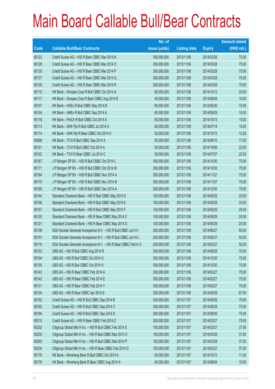|       |                                                                | No. of        |                     |               | <b>Amount raised</b> |
|-------|----------------------------------------------------------------|---------------|---------------------|---------------|----------------------|
| Code  | <b>Callable Bull/Bear Contracts</b>                            | issue (units) | <b>Listing date</b> | <b>Expiry</b> | $(HK$$ mil.)         |
| 65123 | Credit Suisse AG - HSI R Bear CBBC Mar 2014 N                  | 300,000,000   | 2013/11/06          | 2014/03/28    | 75.00                |
| 65128 | Credit Suisse AG - HSI R Bear CBBC Mar 2014 O                  | 300,000,000   | 2013/11/06          | 2014/03/28    | 75.00                |
| 65135 | Credit Suisse AG - HSI R Bear CBBC Mar 2014 P                  | 300,000,000   | 2013/11/06          | 2014/03/28    | 75.00                |
| 65137 | Credit Suisse AG - HSI R Bear CBBC Mar 2014 Q                  | 300,000,000   | 2013/11/06          | 2014/03/28    | 75.00                |
| 65139 | Credit Suisse AG - HSI R Bear CBBC Mar 2014 R                  | 300,000,000   | 2013/11/06          | 2014/03/28    | 75.00                |
| 65115 | HK Bank - Sinopec Corp R Bull CBBC Oct 2014 A                  | 80,000,000    | 2013/11/06          | 2014/10/13    | 20.00                |
| 65117 | HK Bank - Sinopec Corp R Bear CBBC Aug 2014 B                  | 40,000,000    | 2013/11/06          | 2014/08/04    | 10.00                |
| 65107 | HK Bank - HKEx R Bull CBBC May 2014 B                          | 60,000,000    | 2013/11/06          | 2014/05/26    | 15.00                |
| 65104 | HK Bank - HKEx R Bull CBBC Sep 2014 A                          | 60,000,000    | 2013/11/06          | 2014/09/29    | 15.00                |
| 65118 | HK Bank - PetCh R Bull CBBC Oct 2014 A                         | 60,000,000    | 2013/11/06          | 2014/10/13    | 15.00                |
| 65113 | HK Bank - SHK Ppt R Bull CBBC Jul 2014 A                       | 60,000,000    | 2013/11/06          | 2014/07/14    | 15.00                |
| 65114 | HK Bank - SHK Ppt R Bear CBBC Oct 2014 A                       | 50,000,000    | 2013/11/06          | 2014/10/13    | 12.50                |
| 65098 | HK Bank - TCH R Bull CBBC Sep 2014 A                           | 50,000,000    | 2013/11/06          | 2014/09/15    | 17.50                |
| 65101 | HK Bank - TCH R Bull CBBC Oct 2014 A                           | 50,000,000    | 2013/11/06          | 2014/10/06    | 22.50                |
| 65102 | HK Bank - TCH R Bear CBBC Jul 2014 C                           | 50,000,000    | 2013/11/06          | 2014/07/07    | 22.50                |
| 65167 | J P Morgan SP BV - HSI R Bull CBBC Oct 2014 L                  | 300,000,000   | 2013/11/06          | 2014/10/30    | 75.00                |
| 65171 | J P Morgan SP BV - HSI R Bull CBBC Oct 2014 M                  | 300,000,000   | 2013/11/06          | 2014/10/30    | 75.00                |
| 65164 | J P Morgan SP BV - HSI R Bull CBBC Nov 2014 A                  | 300,000,000   | 2013/11/06          | 2014/11/27    | 75.00                |
| 65170 | J P Morgan SP BV - HSI R Bull CBBC Nov 2014 B                  | 300,000,000   | 2013/11/06          | 2014/11/27    | 75.00                |
| 65169 | J P Morgan SP BV - HSI R Bull CBBC Dec 2014 A                  | 300,000,000   | 2013/11/06          | 2014/12/30    | 75.00                |
| 65144 | Standard Chartered Bank - HSI R Bull CBBC May 2014 D           | 100,000,000   | 2013/11/06          | 2014/05/29    | 25.00                |
| 65156 | Standard Chartered Bank - HSI R Bull CBBC May 2014 E           | 100,000,000   | 2013/11/06          | 2014/05/29    | 25.00                |
| 65157 | Standard Chartered Bank - HSI R Bull CBBC May 2014 F           | 100,000,000   | 2013/11/06          | 2014/05/29    | 25.00                |
| 65120 | Standard Chartered Bank - HSI R Bear CBBC May 2014 C           | 100,000,000   | 2013/11/06          | 2014/05/29    | 25.00                |
| 65121 | Standard Chartered Bank - HSI R Bear CBBC May 2014 D           | 100,000,000   | 2013/11/06          | 2014/05/29    | 25.00                |
| 65138 | SGA Societe Generale Acceptance N.V. - HSI R Bull CBBC Jun14 I | 200,000,000   | 2013/11/06          | 2014/06/27    | 50.00                |
| 65151 | SGA Societe Generale Acceptance N.V. - HSI R Bull CBBC Jun14 L | 200,000,000   | 2013/11/06          | 2014/06/27    | 50.00                |
| 65119 | SGA Societe Generale Acceptance N.V. - HSI R Bear CBBC Feb14 O | 200,000,000   | 2013/11/06          | 2014/02/27    | 50.00                |
| 65153 | UBS AG - HSI R Bull CBBC Aug 2014 R                            | 300,000,000   | 2013/11/06          | 2014/08/28    | 75.00                |
| 65154 | UBS AG - HSI R Bull CBBC Oct 2014 G                            | 300,000,000   | 2013/11/06          | 2014/10/30    | 75.00                |
| 65155 | UBS AG - HSI R Bull CBBC Oct 2014 H                            | 300,000,000   | 2013/11/06          | 2014/10/30    | 75.00                |
| 65143 | UBS AG - HSI R Bear CBBC Feb 2014 A                            | 300,000,000   | 2013/11/06          | 2014/02/27    | 75.00                |
| 65142 | UBS AG - HSI R Bear CBBC Feb 2014 E                            | 300,000,000   | 2013/11/06          | 2014/02/27    | 75.00                |
| 65131 | UBS AG - HSI R Bear CBBC Feb 2014 Y                            | 300,000,000   | 2013/11/06          | 2014/02/27    | 75.00                |
| 65134 | UBS AG - HSI R Bear CBBC Apr 2014 S                            | 350,000,000   | 2013/11/06          | 2014/04/29    | 87.50                |
| 65192 | Credit Suisse AG - HSI R Bull CBBC Sep 2014 B                  | 300,000,000   | 2013/11/07          | 2014/09/29    | 75.00                |
| 65193 | Credit Suisse AG - HSI R Bull CBBC Sep 2014 C                  | 300,000,000   | 2013/11/07          | 2014/09/29    | 75.00                |
| 65194 | Credit Suisse AG - HSI R Bull CBBC Sep 2014 D                  | 300,000,000   | 2013/11/07          | 2014/09/29    | 75.00                |
| 65215 | Credit Suisse AG - HSI R Bear CBBC Feb 2014 Z                  | 300,000,000   | 2013/11/07          | 2014/02/27    | 75.00                |
| 65232 | Citigroup Global Mkt H Inc. - HSI R Bull CBBC Feb 2014 E       | 150,000,000   | 2013/11/07          | 2014/02/27    | 37.50                |
| 65235 | Citigroup Global Mkt H Inc. - HSI R Bull CBBC Mar 2014 O       | 150,000,000   | 2013/11/07          | 2014/03/28    | 37.50                |
| 65245 | Citigroup Global Mkt H Inc. - HSI R Bull CBBC Mar 2014 P       | 150,000,000   | 2013/11/07          | 2014/03/28    | 37.50                |
| 65234 | Citigroup Global Mkt H Inc. - HSI R Bear CBBC Feb 2014 G       | 150,000,000   | 2013/11/07          | 2014/02/27    | 37.50                |
| 65178 | HK Bank - Minsheng Bank R Bull CBBC Oct 2014 A                 | 40,000,000    | 2013/11/07          | 2014/10/13    | 11.20                |
| 65179 | HK Bank - Minsheng Bank R Bear CBBC Aug 2014 A                 | 40,000,000    | 2013/11/07          | 2014/08/04    | 10.00                |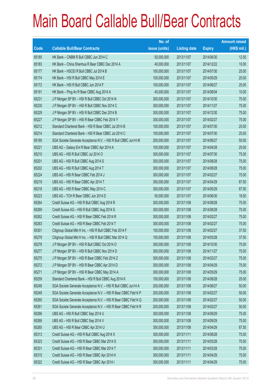|       |                                                                | No. of        |                     |               | <b>Amount raised</b> |
|-------|----------------------------------------------------------------|---------------|---------------------|---------------|----------------------|
| Code  | <b>Callable Bull/Bear Contracts</b>                            | issue (units) | <b>Listing date</b> | <b>Expiry</b> | $(HK$$ mil.)         |
| 65185 | HK Bank - CNBM R Bull CBBC Jun 2014 C                          | 50,000,000    | 2013/11/07          | 2014/06/30    | 12.50                |
| 65183 | HK Bank - China Shenhua R Bear CBBC Dec 2014 A                 | 40,000,000    | 2013/11/07          | 2014/12/22    | 10.00                |
| 65177 | HK Bank - HSCEI R Bull CBBC Jul 2014 B                         | 100,000,000   | 2013/11/07          | 2014/07/30    | 25.00                |
| 65174 | HK Bank - HSI R Bull CBBC May 2014 E                           | 100,000,000   | 2013/11/07          | 2014/05/29    | 25.00                |
| 65172 | HK Bank - HSI R Bull CBBC Jun 2014 F                           | 100,000,000   | 2013/11/07          | 2014/06/27    | 25.00                |
| 65191 | HK Bank - Ping An R Bear CBBC Aug 2014 A                       | 40,000,000    | 2013/11/07          | 2014/08/04    | 10.00                |
| 65231 | J P Morgan SP BV - HSI R Bull CBBC Oct 2014 N                  | 300,000,000   | 2013/11/07          | 2014/10/30    | 75.00                |
| 65230 | J P Morgan SP BV - HSI R Bull CBBC Nov 2014 C                  | 300,000,000   | 2013/11/07          | 2014/11/27    | 75.00                |
| 65229 | J P Morgan SP BV - HSI R Bull CBBC Dec 2014 B                  | 300,000,000   | 2013/11/07          | 2014/12/30    | 75.00                |
| 65227 | J P Morgan SP BV - HSI R Bear CBBC Feb 2014 Y                  | 300,000,000   | 2013/11/07          | 2014/02/27    | 75.00                |
| 65212 | Standard Chartered Bank - HSI R Bear CBBC Jul 2014 B           | 100,000,000   | 2013/11/07          | 2014/07/30    | 25.00                |
| 65214 | Standard Chartered Bank - HSI R Bear CBBC Jul 2014 C           | 100,000,000   | 2013/11/07          | 2014/07/30    | 25.00                |
| 65195 | SGA Societe Generale Acceptance N.V. - HSI R Bull CBBC Jun14 M | 200,000,000   | 2013/11/07          | 2014/06/27    | 50.00                |
| 65221 | UBS AG - Galaxy Ent R Bear CBBC Apr 2014 A                     | 100,000,000   | 2013/11/07          | 2014/04/28    | 25.00                |
| 65210 | UBS AG - HSI R Bull CBBC Jul 2014 O                            | 300,000,000   | 2013/11/07          | 2014/07/30    | 75.00                |
| 65201 | UBS AG - HSI R Bull CBBC Aug 2014 S                            | 300,000,000   | 2013/11/07          | 2014/08/28    | 75.00                |
| 65202 | UBS AG - HSI R Bull CBBC Aug 2014 T                            | 300,000,000   | 2013/11/07          | 2014/08/28    | 75.00                |
| 65224 | UBS AG - HSI R Bear CBBC Feb 2014 J                            | 300,000,000   | 2013/11/07          | 2014/02/27    | 75.00                |
| 65219 | UBS AG - HSI R Bear CBBC Apr 2014 T                            | 350,000,000   | 2013/11/07          | 2014/04/29    | 87.50                |
| 65218 | UBS AG - HSI R Bear CBBC May 2014 C                            | 350,000,000   | 2013/11/07          | 2014/05/29    | 87.50                |
| 65223 | UBS AG - TCH R Bear CBBC Jun 2014 D                            | 50,000,000    | 2013/11/07          | 2014/06/30    | 18.50                |
| 65264 | Credit Suisse AG - HSI R Bull CBBC Aug 2014 R                  | 300,000,000   | 2013/11/08          | 2014/08/28    | 75.00                |
| 65269 | Credit Suisse AG - HSI R Bull CBBC Aug 2014 S                  | 300,000,000   | 2013/11/08          | 2014/08/28    | 75.00                |
| 65262 | Credit Suisse AG - HSI R Bear CBBC Feb 2014 R                  | 300,000,000   | 2013/11/08          | 2014/02/27    | 75.00                |
| 65263 | Credit Suisse AG - HSI R Bear CBBC Feb 2014 T                  | 300,000,000   | 2013/11/08          | 2014/02/27    | 75.00                |
| 65301 | Citigroup Global Mkt H Inc. - HSI R Bull CBBC Feb 2014 F       | 150,000,000   | 2013/11/08          | 2014/02/27    | 37.50                |
| 65279 | Citigroup Global Mkt H Inc. - HSI R Bull CBBC Mar 2014 Q       | 150,000,000   | 2013/11/08          | 2014/03/28    | 37.50                |
| 65278 | J P Morgan SP BV - HSI R Bull CBBC Oct 2014 O                  | 300,000,000   | 2013/11/08          | 2014/10/30    | 75.00                |
| 65277 | J P Morgan SP BV - HSI R Bull CBBC Nov 2014 D                  | 300,000,000   | 2013/11/08          | 2014/11/27    | 75.00                |
| 65275 | J P Morgan SP BV - HSI R Bear CBBC Feb 2014 Z                  | 300,000,000   | 2013/11/08          | 2014/02/27    | 75.00                |
| 65272 | J P Morgan SP BV - HSI R Bear CBBC Apr 2014 D                  | 300,000,000   | 2013/11/08          | 2014/04/29    | 75.00                |
| 65271 | J P Morgan SP BV - HSI R Bear CBBC May 2014 A                  | 300,000,000   | 2013/11/08          | 2014/05/29    | 75.00                |
| 65259 | Standard Chartered Bank - HSI R Bull CBBC Aug 2014 K           | 100,000,000   | 2013/11/08          | 2014/08/28    | 25.00                |
| 65248 | SGA Societe Generale Acceptance N.V. - HSI R Bull CBBC Jun14 A | 200,000,000   | 2013/11/08          | 2014/06/27    | 50.00                |
| 65249 | SGA Societe Generale Acceptance N.V. - HSI R Bear CBBC Feb14 P | 200,000,000   | 2013/11/08          | 2014/02/27    | 50.00                |
| 65260 | SGA Societe Generale Acceptance N.V. - HSI R Bear CBBC Feb14 Q | 200,000,000   | 2013/11/08          | 2014/02/27    | 50.00                |
| 65261 | SGA Societe Generale Acceptance N.V. - HSI R Bear CBBC Feb14 R | 200,000,000   | 2013/11/08          | 2014/02/27    | 50.00                |
| 65266 | UBS AG - HSI R Bull CBBC Sep 2014 U                            | 300,000,000   | 2013/11/08          | 2014/09/29    | 75.00                |
| 65268 | UBS AG - HSI R Bull CBBC Sep 2014 V                            | 300,000,000   | 2013/11/08          | 2014/09/29    | 75.00                |
| 65265 | UBS AG - HSI R Bear CBBC Apr 2014 U                            | 350,000,000   | 2013/11/08          | 2014/04/29    | 87.50                |
| 65313 | Credit Suisse AG - HSI R Bull CBBC Aug 2014 X                  | 300,000,000   | 2013/11/11          | 2014/08/28    | 75.00                |
| 65323 | Credit Suisse AG - HSI R Bear CBBC Mar 2014 S                  | 300,000,000   | 2013/11/11          | 2014/03/28    | 75.00                |
| 65331 | Credit Suisse AG - HSI R Bear CBBC Mar 2014 T                  | 300,000,000   | 2013/11/11          | 2014/03/28    | 75.00                |
| 65315 | Credit Suisse AG - HSI R Bear CBBC Apr 2014 H                  | 300,000,000   | 2013/11/11          | 2014/04/29    | 75.00                |
| 65322 | Credit Suisse AG - HSI R Bear CBBC Apr 2014 I                  | 300,000,000   | 2013/11/11          | 2014/04/29    | 75.00                |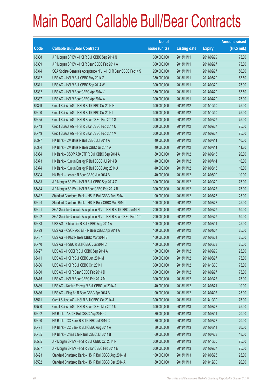|       |                                                                | No. of        |                     |               | <b>Amount raised</b> |
|-------|----------------------------------------------------------------|---------------|---------------------|---------------|----------------------|
| Code  | <b>Callable Bull/Bear Contracts</b>                            | issue (units) | <b>Listing date</b> | <b>Expiry</b> | (HK\$ mil.)          |
| 65338 | J P Morgan SP BV - HSI R Bull CBBC Sep 2014 N                  | 300,000,000   | 2013/11/11          | 2014/09/29    | 75.00                |
| 65339 | J P Morgan SP BV - HSI R Bear CBBC Feb 2014 A                  | 300,000,000   | 2013/11/11          | 2014/02/27    | 75.00                |
| 65314 | SGA Societe Generale Acceptance N.V. - HSI R Bear CBBC Feb14 S | 200,000,000   | 2013/11/11          | 2014/02/27    | 50.00                |
| 65312 | UBS AG - HSI R Bull CBBC May 2014 Z                            | 350,000,000   | 2013/11/11          | 2014/05/29    | 87.50                |
| 65311 | UBS AG - HSI R Bull CBBC Sep 2014 W                            | 300,000,000   | 2013/11/11          | 2014/09/29    | 75.00                |
| 65332 | UBS AG - HSI R Bear CBBC Apr 2014 V                            | 350,000,000   | 2013/11/11          | 2014/04/29    | 87.50                |
| 65337 | UBS AG - HSI R Bear CBBC Apr 2014 W                            | 300,000,000   | 2013/11/11          | 2014/04/29    | 75.00                |
| 65399 | Credit Suisse AG - HSI R Bull CBBC Oct 2014 H                  | 300,000,000   | 2013/11/12          | 2014/10/30    | 75.00                |
| 65400 | Credit Suisse AG - HSI R Bull CBBC Oct 2014 I                  | 300,000,000   | 2013/11/12          | 2014/10/30    | 75.00                |
| 65465 | Credit Suisse AG - HSI R Bear CBBC Feb 2014 S                  | 300,000,000   | 2013/11/12          | 2014/02/27    | 75.00                |
| 65443 | Credit Suisse AG - HSI R Bear CBBC Feb 2014 U                  | 300,000,000   | 2013/11/12          | 2014/02/27    | 75.00                |
| 65449 | Credit Suisse AG - HSI R Bear CBBC Feb 2014 V                  | 300,000,000   | 2013/11/12          | 2014/02/27    | 75.00                |
| 65377 | HK Bank - CM Bank R Bull CBBC Jul 2014 A                       | 40,000,000    | 2013/11/12          | 2014/07/14    | 10.00                |
| 65384 | HK Bank - CM Bank R Bear CBBC Jul 2014 A                       | 40,000,000    | 2013/11/12          | 2014/07/14    | 11.20                |
| 65364 | HK Bank - CSOP A50 ETF R Bull CBBC Sep 2014 A                  | 80,000,000    | 2013/11/12          | 2014/09/15    | 20.00                |
| 65373 | HK Bank - Kunlun Energy R Bull CBBC Jul 2014 B                 | 40,000,000    | 2013/11/12          | 2014/07/14    | 10.00                |
| 65374 | HK Bank - Kunlun Energy R Bull CBBC Aug 2014 A                 | 40,000,000    | 2013/11/12          | 2014/08/18    | 10.00                |
| 65394 | HK Bank - Lenovo R Bear CBBC Jun 2014 B                        | 40,000,000    | 2013/11/12          | 2014/06/09    | 10.00                |
| 65483 | J P Morgan SP BV - HSI R Bull CBBC Sep 2014 O                  | 300,000,000   | 2013/11/12          | 2014/09/29    | 75.00                |
| 65484 | J P Morgan SP BV - HSI R Bear CBBC Feb 2014 B                  | 300,000,000   | 2013/11/12          | 2014/02/27    | 75.00                |
| 65412 | Standard Chartered Bank - HSI R Bull CBBC Aug 2014 L           | 100,000,000   | 2013/11/12          | 2014/08/28    | 25.00                |
| 65424 | Standard Chartered Bank - HSI R Bear CBBC Mar 2014 I           | 100,000,000   | 2013/11/12          | 2014/03/28    | 25.00                |
| 65421 | SGA Societe Generale Acceptance N.V. - HSI R Bull CBBC Jun14 N | 200,000,000   | 2013/11/12          | 2014/06/27    | 50.00                |
| 65422 | SGA Societe Generale Acceptance N.V. - HSI R Bear CBBC Feb14 T | 200,000,000   | 2013/11/12          | 2014/02/27    | 50.00                |
| 65433 | UBS AG - China Life R Bull CBBC Aug 2014 A                     | 100,000,000   | 2013/11/12          | 2014/08/11    | 25.00                |
| 65429 | UBS AG - CSOP A50 ETF R Bear CBBC Apr 2014 A                   | 100,000,000   | 2013/11/12          | 2014/04/07    | 25.00                |
| 65437 | UBS AG - HKEx R Bear CBBC Mar 2014 B                           | 100,000,000   | 2013/11/12          | 2014/03/31    | 25.00                |
| 65440 | UBS AG - HSBC R Bull CBBC Jun 2014 C                           | 100,000,000   | 2013/11/12          | 2014/06/23    | 25.00                |
| 65427 | UBS AG - HSCEI R Bull CBBC Sep 2014 A                          | 100,000,000   | 2013/11/12          | 2014/09/29    | 25.00                |
| 65411 | UBS AG - HSI R Bull CBBC Jun 2014 M                            | 300,000,000   | 2013/11/12          | 2014/06/27    | 75.00                |
| 65406 | UBS AG - HSI R Bull CBBC Oct 2014 I                            | 300,000,000   | 2013/11/12          | 2014/10/30    | 75.00                |
| 65480 | UBS AG - HSI R Bear CBBC Feb 2014 D                            | 300,000,000   | 2013/11/12          | 2014/02/27    | 75.00                |
| 65475 | UBS AG - HSI R Bear CBBC Feb 2014 M                            | 300,000,000   | 2013/11/12          | 2014/02/27    | 75.00                |
| 65439 | UBS AG - Kunlun Energy R Bull CBBC Jul 2014 A                  | 40,000,000    | 2013/11/12          | 2014/07/21    | 10.00                |
| 65436 | UBS AG - Ping An R Bear CBBC Apr 2014 B                        | 100,000,000   | 2013/11/12          | 2014/04/07    | 25.00                |
| 65511 | Credit Suisse AG - HSI R Bull CBBC Oct 2014 J                  | 300,000,000   | 2013/11/13          | 2014/10/30    | 75.00                |
| 65500 | Credit Suisse AG - HSI R Bear CBBC Mar 2014 U                  | 300,000,000   | 2013/11/13          | 2014/03/28    | 75.00                |
| 65492 | HK Bank - ABC R Bull CBBC Aug 2014 C                           | 80,000,000    | 2013/11/13          | 2014/08/11    | 20.00                |
| 65490 | HK Bank - CC Bank R Bull CBBC Jul 2014 C                       | 80,000,000    | 2013/11/13          | 2014/07/28    | 20.00                |
| 65491 | HK Bank - CC Bank R Bull CBBC Aug 2014 A                       | 80,000,000    | 2013/11/13          | 2014/08/11    | 20.00                |
| 65485 | HK Bank - China Life R Bull CBBC Jul 2014 B                    | 60,000,000    | 2013/11/13          | 2014/07/28    | 18.00                |
| 65535 | J P Morgan SP BV - HSI R Bull CBBC Oct 2014 P                  | 300,000,000   | 2013/11/13          | 2014/10/30    | 75.00                |
| 65537 | J P Morgan SP BV - HSI R Bear CBBC Feb 2014 E                  | 300,000,000   | 2013/11/13          | 2014/02/27    | 75.00                |
| 65493 | Standard Chartered Bank - HSI R Bull CBBC Aug 2014 M           | 100,000,000   | 2013/11/13          | 2014/08/28    | 25.00                |
| 65532 | Standard Chartered Bank - HSI R Bull CBBC Dec 2014 A           | 80,000,000    | 2013/11/13          | 2014/12/30    | 20.00                |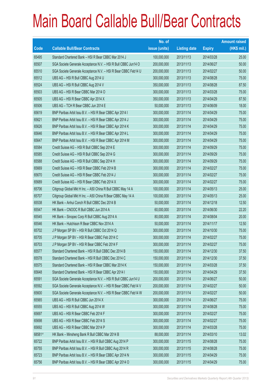|        |                                                                | No. of        |                     |               | <b>Amount raised</b> |
|--------|----------------------------------------------------------------|---------------|---------------------|---------------|----------------------|
| Code   | <b>Callable Bull/Bear Contracts</b>                            | issue (units) | <b>Listing date</b> | <b>Expiry</b> | $(HK$$ mil.)         |
| 65495  | Standard Chartered Bank - HSI R Bear CBBC Mar 2014 J           | 100,000,000   | 2013/11/13          | 2014/03/28    | 25.00                |
| 65507  | SGA Societe Generale Acceptance N.V. - HSI R Bull CBBC Jun14 O | 200,000,000   | 2013/11/13          | 2014/06/27    | 50.00                |
| 65510  | SGA Societe Generale Acceptance N.V. - HSI R Bear CBBC Feb14 U | 200,000,000   | 2013/11/13          | 2014/02/27    | 50.00                |
| 65512  | UBS AG - HSI R Bull CBBC Aug 2014 U                            | 300,000,000   | 2013/11/13          | 2014/08/28    | 75.00                |
| 65524  | UBS AG - HSI R Bull CBBC Aug 2014 V                            | 350,000,000   | 2013/11/13          | 2014/08/28    | 87.50                |
| 65503  | UBS AG - HSI R Bear CBBC Mar 2014 O                            | 300,000,000   | 2013/11/13          | 2014/03/28    | 75.00                |
| 65505  | UBS AG - HSI R Bear CBBC Apr 2014 X                            | 350,000,000   | 2013/11/13          | 2014/04/29    | 87.50                |
| 65506  | UBS AG - TCH R Bear CBBC Jun 2014 E                            | 50,000,000    | 2013/11/13          | 2014/06/09    | 18.00                |
| 65619  | BNP Paribas Arbit Issu B.V. - HSI R Bear CBBC Apr 2014 I       | 300,000,000   | 2013/11/14          | 2014/04/29    | 75.00                |
| 65621  | BNP Paribas Arbit Issu B.V. - HSI R Bear CBBC Apr 2014 J       | 300,000,000   | 2013/11/14          | 2014/04/29    | 75.00                |
| 65626  | BNP Paribas Arbit Issu B.V. - HSI R Bear CBBC Apr 2014 K       | 300,000,000   | 2013/11/14          | 2014/04/29    | 75.00                |
| 65646  | BNP Paribas Arbit Issu B.V. - HSI R Bear CBBC Apr 2014 L       | 300,000,000   | 2013/11/14          | 2014/04/29    | 75.00                |
| 65647  | BNP Paribas Arbit Issu B.V. - HSI R Bear CBBC Apr 2014 M       | 300,000,000   | 2013/11/14          | 2014/04/29    | 75.00                |
| 65584  | Credit Suisse AG - HSI R Bull CBBC Sep 2014 E                  | 300,000,000   | 2013/11/14          | 2014/09/29    | 75.00                |
| 65585  | Credit Suisse AG - HSI R Bull CBBC Sep 2014 G                  | 300,000,000   | 2013/11/14          | 2014/09/29    | 75.00                |
| 65588  | Credit Suisse AG - HSI R Bull CBBC Sep 2014 H                  | 300,000,000   | 2013/11/14          | 2014/09/29    | 75.00                |
| 65669  | Credit Suisse AG - HSI R Bear CBBC Feb 2014 B                  | 300,000,000   | 2013/11/14          | 2014/02/27    | 75.00                |
| 65670  | Credit Suisse AG - HSI R Bear CBBC Feb 2014 J                  | 300,000,000   | 2013/11/14          | 2014/02/27    | 75.00                |
| 65689  | Credit Suisse AG - HSI R Bear CBBC Feb 2014 X                  | 300,000,000   | 2013/11/14          | 2014/02/27    | 75.00                |
| 65706  | Citigroup Global Mkt H Inc. - A50 China R Bull CBBC May 14 A   | 100,000,000   | 2013/11/14          | 2014/05/13    | 25.00                |
| 65707  | Citigroup Global Mkt H Inc. - A50 China R Bear CBBC May 14 A   | 100,000,000   | 2013/11/14          | 2014/05/13    | 25.00                |
| 65538  | HK Bank - Anhui Conch R Bull CBBC Dec 2014 B                   | 50,000,000    | 2013/11/14          | 2014/12/18    | 12.50                |
| 65547  | HK Bank - CNOOC R Bull CBBC Jun 2014 A                         | 60,000,000    | 2013/11/14          | 2014/06/30    | 22.20                |
| 65545  | HK Bank - Sinopec Corp R Bull CBBC Aug 2014 A                  | 80,000,000    | 2013/11/14          | 2014/08/04    | 20.00                |
| 65546  | HK Bank - Hutchison R Bear CBBC Nov 2014 A                     | 50,000,000    | 2013/11/14          | 2014/11/17    | 12.50                |
| 65702  | J P Morgan SP BV - HSI R Bull CBBC Oct 2014 Q                  | 300,000,000   | 2013/11/14          | 2014/10/30    | 75.00                |
| 65705  | J P Morgan SP BV - HSI R Bear CBBC Feb 2014 C                  | 300,000,000   | 2013/11/14          | 2014/02/27    | 75.00                |
| 65703  | J P Morgan SP BV - HSI R Bear CBBC Feb 2014 F                  | 300,000,000   | 2013/11/14          | 2014/02/27    | 75.00                |
| 65577  | Standard Chartered Bank - HSI R Bull CBBC Dec 2014 B           | 150,000,000   | 2013/11/14          | 2014/12/30    | 37.50                |
| 65578  | Standard Chartered Bank - HSI R Bull CBBC Dec 2014 C           | 150,000,000   | 2013/11/14          | 2014/12/30    | 37.50                |
| 65575  | Standard Chartered Bank - HSI R Bear CBBC Mar 2014 K           | 150,000,000   | 2013/11/14          | 2014/03/28    | 37.50                |
| 65648  | Standard Chartered Bank - HSI R Bear CBBC Apr 2014 I           | 150,000,000   | 2013/11/14          | 2014/04/29    | 37.50                |
| 65591  | SGA Societe Generale Acceptance N.V. - HSI R Bull CBBC Jun14 U | 200,000,000   | 2013/11/14          | 2014/06/27    | 50.00                |
| 65592  | SGA Societe Generale Acceptance N.V. - HSI R Bear CBBC Feb14 V | 200,000,000   | 2013/11/14          | 2014/02/27    | 50.00                |
| 65600  | SGA Societe Generale Acceptance N.V. - HSI R Bear CBBC Feb14 W | 200,000,000   | 2013/11/14          | 2014/02/27    | 50.00                |
| 65565  | UBS AG - HSI R Bull CBBC Jun 2014 X                            | 300,000,000   | 2013/11/14          | 2014/06/27    | 75.00                |
| 65555  | UBS AG - HSI R Bull CBBC Aug 2014 W                            | 300,000,000   | 2013/11/14          | 2014/08/28    | 75.00                |
| 65697  | UBS AG - HSI R Bear CBBC Feb 2014 F                            | 300,000,000   | 2013/11/14          | 2014/02/27    | 75.00                |
| 65698  | UBS AG - HSI R Bear CBBC Feb 2014 S                            | 300,000,000   | 2013/11/14          | 2014/02/27    | 75.00                |
| 65692  | UBS AG - HSI R Bear CBBC Mar 2014 P                            | 300,000,000   | 2013/11/14          | 2014/03/28    | 75.00                |
| 68581# | HK Bank - Minsheng Bank R Bull CBBC Mar 2014 B                 | 88,000,000    | 2013/11/14          | 2014/03/10    | 13.02                |
| 65722  | BNP Paribas Arbit Issu B.V. - HSI R Bull CBBC Aug 2014 P       | 300,000,000   | 2013/11/15          | 2014/08/28    | 75.00                |
| 65755  | BNP Paribas Arbit Issu B.V. - HSI R Bull CBBC Aug 2014 R       | 300,000,000   | 2013/11/15          | 2014/08/28    | 75.00                |
| 65723  | BNP Paribas Arbit Issu B.V. - HSI R Bear CBBC Apr 2014 N       | 300,000,000   | 2013/11/15          | 2014/04/29    | 75.00                |
| 65756  | BNP Paribas Arbit Issu B.V. - HSI R Bear CBBC Apr 2014 O       | 300,000,000   | 2013/11/15          | 2014/04/29    | 75.00                |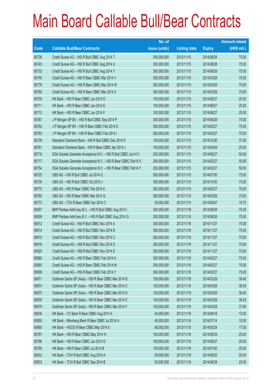|       |                                                                | No. of        |                     |               | <b>Amount raised</b> |
|-------|----------------------------------------------------------------|---------------|---------------------|---------------|----------------------|
| Code  | <b>Callable Bull/Bear Contracts</b>                            | issue (units) | <b>Listing date</b> | <b>Expiry</b> | $(HK$$ mil.)         |
| 65738 | Credit Suisse AG - HSI R Bull CBBC Aug 2014 T                  | 300,000,000   | 2013/11/15          | 2014/08/28    | 75.00                |
| 65743 | Credit Suisse AG - HSI R Bull CBBC Aug 2014 U                  | 300,000,000   | 2013/11/15          | 2014/08/28    | 75.00                |
| 65732 | Credit Suisse AG - HSI R Bull CBBC Aug 2014 Y                  | 300,000,000   | 2013/11/15          | 2014/08/28    | 75.00                |
| 65745 | Credit Suisse AG - HSI R Bear CBBC Mar 2014 V                  | 300,000,000   | 2013/11/15          | 2014/03/28    | 75.00                |
| 65778 | Credit Suisse AG - HSI R Bear CBBC Mar 2014 W                  | 300,000,000   | 2013/11/15          | 2014/03/28    | 75.00                |
| 65780 | Credit Suisse AG - HSI R Bear CBBC Mar 2014 X                  | 300,000,000   | 2013/11/15          | 2014/03/28    | 75.00                |
| 65709 | HK Bank - HSI R Bear CBBC Jun 2014 D                           | 100,000,000   | 2013/11/15          | 2014/06/27    | 25.00                |
| 65711 | HK Bank - HSI R Bear CBBC Jun 2014 E                           | 100,000,000   | 2013/11/15          | 2014/06/27    | 25.00                |
| 65712 | HK Bank - HSI R Bear CBBC Jun 2014 F                           | 100,000,000   | 2013/11/15          | 2014/06/27    | 25.00                |
| 65787 | J P Morgan SP BV - HSI R Bull CBBC Sep 2014 P                  | 300,000,000   | 2013/11/15          | 2014/09/29    | 75.00                |
| 65792 | J P Morgan SP BV - HSI R Bear CBBC Feb 2014 D                  | 300,000,000   | 2013/11/15          | 2014/02/27    | 75.00                |
| 65793 | J P Morgan SP BV - HSI R Bear CBBC Feb 2014 I                  | 300,000,000   | 2013/11/15          | 2014/02/27    | 75.00                |
| 65739 | Standard Chartered Bank - HSI R Bull CBBC Dec 2014 D           | 150,000,000   | 2013/11/15          | 2014/12/30    | 37.50                |
| 65761 | Standard Chartered Bank - HSI R Bear CBBC Apr 2014 J           | 100,000,000   | 2013/11/15          | 2014/04/29    | 25.00                |
| 65716 | SGA Societe Generale Acceptance N.V. - HSI R Bull CBBC Jun14 V | 200,000,000   | 2013/11/15          | 2014/06/27    | 50.00                |
| 65717 | SGA Societe Generale Acceptance N.V. - HSI R Bear CBBC Feb14 X | 200,000,000   | 2013/11/15          | 2014/02/27    | 50.00                |
| 65754 | SGA Societe Generale Acceptance N.V. - HSI R Bear CBBC Feb14 Y | 200,000,000   | 2013/11/15          | 2014/02/27    | 50.00                |
| 65725 | UBS AG - HSI R Bull CBBC Jul 2014 Q                            | 300,000,000   | 2013/11/15          | 2014/07/30    | 75.00                |
| 65730 | UBS AG - HSI R Bull CBBC Oct 2014 J                            | 300,000,000   | 2013/11/15          | 2014/10/30    | 75.00                |
| 65770 | UBS AG - HSI R Bear CBBC Feb 2014 K                            | 300,000,000   | 2013/11/15          | 2014/02/27    | 75.00                |
| 65765 | UBS AG - HSI R Bear CBBC Mar 2014 Q                            | 300,000,000   | 2013/11/15          | 2014/03/28    | 75.00                |
| 65773 | UBS AG - TCH R Bear CBBC Apr 2014 C                            | 50,000,000    | 2013/11/15          | 2014/04/07    | 19.75                |
| 65937 | BNP Paribas Arbit Issu B.V. - HSI R Bull CBBC Aug 2014 I       | 300,000,000   | 2013/11/18          | 2014/08/28    | 75.00                |
| 65939 | BNP Paribas Arbit Issu B.V. - HSI R Bull CBBC Aug 2014 Q       | 300,000,000   | 2013/11/18          | 2014/08/28    | 75.00                |
| 65912 | Credit Suisse AG - HSI R Bull CBBC Nov 2014 A                  | 300,000,000   | 2013/11/18          | 2014/11/27    | 75.00                |
| 65914 | Credit Suisse AG - HSI R Bull CBBC Nov 2014 B                  | 300,000,000   | 2013/11/18          | 2014/11/27    | 75.00                |
| 65915 | Credit Suisse AG - HSI R Bull CBBC Nov 2014 C                  | 300,000,000   | 2013/11/18          | 2014/11/27    | 75.00                |
| 65916 | Credit Suisse AG - HSI R Bull CBBC Nov 2014 D                  | 300,000,000   | 2013/11/18          | 2014/11/27    | 75.00                |
| 65920 | Credit Suisse AG - HSI R Bull CBBC Nov 2014 E                  | 300,000,000   | 2013/11/18          | 2014/11/27    | 75.00                |
| 65880 | Credit Suisse AG - HSI R Bear CBBC Feb 2014 A                  | 300,000,000   | 2013/11/18          | 2014/02/27    | 75.00                |
| 65885 | Credit Suisse AG - HSI R Bear CBBC Feb 2014 W                  | 300,000,000   | 2013/11/18          | 2014/02/27    | 75.00                |
| 65908 | Credit Suisse AG - HSI R Bear CBBC Feb 2014 Y                  | 300,000,000   | 2013/11/18          | 2014/02/27    | 75.00                |
| 65871 | Goldman Sachs SP (Asia) - HSI R Bear CBBC Mar 2014 B           | 150,000,000   | 2013/11/18          | 2014/03/28    | 38.40                |
| 65874 | Goldman Sachs SP (Asia) - HSI R Bear CBBC Mar 2014 C           | 150,000,000   | 2013/11/18          | 2014/03/28    | 38.55                |
| 65875 | Goldman Sachs SP (Asia) - HSI R Bear CBBC Mar 2014 D           | 150,000,000   | 2013/11/18          | 2014/03/28    | 38.40                |
| 65876 | Goldman Sachs SP (Asia) - HSI R Bear CBBC Mar 2014 E           | 150,000,000   | 2013/11/18          | 2014/03/28    | 38.25                |
| 65879 | Goldman Sachs SP (Asia) - HSI R Bear CBBC Mar 2014 F           | 150,000,000   | 2013/11/18          | 2014/03/28    | 37.80                |
| 65836 | HK Bank - CC Bank R Bear CBBC Aug 2014 A                       | 40,000,000    | 2013/11/18          | 2014/08/18    | 10.00                |
| 65855 | HK Bank - Minsheng Bank R Bear CBBC Jul 2014 A                 | 40,000,000    | 2013/11/18          | 2014/07/14    | 10.00                |
| 65865 | HK Bank - HSCEI R Bear CBBC May 2014 E                         | 68,000,000    | 2013/11/18          | 2014/05/29    | 17.00                |
| 65797 | HK Bank - HSI R Bear CBBC May 2014 H                           | 100,000,000   | 2013/11/18          | 2014/05/29    | 25.00                |
| 65796 | HK Bank - HSI R Bear CBBC Jun 2014 G                           | 100,000,000   | 2013/11/18          | 2014/06/27    | 25.00                |
| 65795 | HK Bank - HSI R Bear CBBC Jul 2014 B                           | 100,000,000   | 2013/11/18          | 2014/07/30    | 25.00                |
| 65832 | HK Bank - TCH R Bull CBBC Aug 2014 A                           | 50,000,000    | 2013/11/18          | 2014/08/25    | 20.00                |
| 65833 | HK Bank - TCH R Bull CBBC Sep 2014 B                           | 50,000,000    | 2013/11/18          | 2014/09/29    | 25.00                |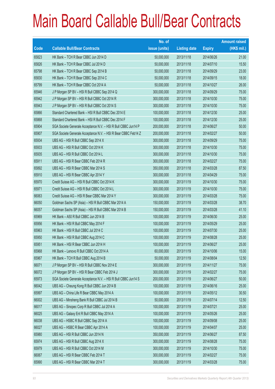|       |                                                                | No. of        |                     |               | <b>Amount raised</b> |
|-------|----------------------------------------------------------------|---------------|---------------------|---------------|----------------------|
| Code  | <b>Callable Bull/Bear Contracts</b>                            | issue (units) | <b>Listing date</b> | <b>Expiry</b> | $(HK$$ mil.)         |
| 65823 | HK Bank - TCH R Bear CBBC Jun 2014 D                           | 50,000,000    | 2013/11/18          | 2014/06/26    | 21.00                |
| 65826 | HK Bank - TCH R Bear CBBC Jul 2014 D                           | 50,000,000    | 2013/11/18          | 2014/07/10    | 15.50                |
| 65798 | HK Bank - TCH R Bear CBBC Sep 2014 B                           | 50,000,000    | 2013/11/18          | 2014/09/29    | 23.00                |
| 65830 | HK Bank - TCH R Bear CBBC Sep 2014 C                           | 50,000,000    | 2013/11/18          | 2014/09/15    | 18.00                |
| 65799 | HK Bank - TCH R Bear CBBC Oct 2014 A                           | 50,000,000    | 2013/11/18          | 2014/10/27    | 26.00                |
| 65946 | J P Morgan SP BV - HSI R Bull CBBC Sep 2014 Q                  | 300,000,000   | 2013/11/18          | 2014/09/29    | 75.00                |
| 65942 | J P Morgan SP BV - HSI R Bull CBBC Oct 2014 R                  | 300,000,000   | 2013/11/18          | 2014/10/30    | 75.00                |
| 65943 | J P Morgan SP BV - HSI R Bull CBBC Oct 2014 S                  | 300,000,000   | 2013/11/18          | 2014/10/30    | 75.00                |
| 65866 | Standard Chartered Bank - HSI R Bull CBBC Dec 2014 E           | 100,000,000   | 2013/11/18          | 2014/12/30    | 25.00                |
| 65868 | Standard Chartered Bank - HSI R Bull CBBC Dec 2014 F           | 100,000,000   | 2013/11/18          | 2014/12/30    | 25.00                |
| 65904 | SGA Societe Generale Acceptance N.V. - HSI R Bull CBBC Jun14 P | 200,000,000   | 2013/11/18          | 2014/06/27    | 50.00                |
| 65907 | SGA Societe Generale Acceptance N.V. - HSI R Bear CBBC Feb14 Z | 200,000,000   | 2013/11/18          | 2014/02/27    | 50.00                |
| 65934 | UBS AG - HSI R Bull CBBC Sep 2014 X                            | 300,000,000   | 2013/11/18          | 2014/09/29    | 75.00                |
| 65933 | UBS AG - HSI R Bull CBBC Oct 2014 K                            | 300,000,000   | 2013/11/18          | 2014/10/30    | 75.00                |
| 65935 | UBS AG - HSI R Bull CBBC Oct 2014 L                            | 300,000,000   | 2013/11/18          | 2014/10/30    | 75.00                |
| 65911 | UBS AG - HSI R Bear CBBC Feb 2014 R                            | 300,000,000   | 2013/11/18          | 2014/02/27    | 75.00                |
| 65892 | UBS AG - HSI R Bear CBBC Mar 2014 S                            | 350,000,000   | 2013/11/18          | 2014/03/28    | 87.50                |
| 65910 | UBS AG - HSI R Bear CBBC Apr 2014 Y                            | 300,000,000   | 2013/11/18          | 2014/04/29    | 75.00                |
| 65970 | Credit Suisse AG - HSI R Bull CBBC Oct 2014 K                  | 300,000,000   | 2013/11/19          | 2014/10/30    | 75.00                |
| 65971 | Credit Suisse AG - HSI R Bull CBBC Oct 2014 L                  | 300,000,000   | 2013/11/19          | 2014/10/30    | 75.00                |
| 66063 | Credit Suisse AG - HSI R Bear CBBC Mar 2014 Y                  | 300,000,000   | 2013/11/19          | 2014/03/28    | 75.00                |
| 66050 | Goldman Sachs SP (Asia) - HSI R Bull CBBC Mar 2014 A           | 150,000,000   | 2013/11/19          | 2014/03/28    | 38.70                |
| 66057 | Goldman Sachs SP (Asia) - HSI R Bull CBBC Mar 2014 B           | 150,000,000   | 2013/11/19          | 2014/03/28    | 41.10                |
| 65969 | HK Bank - A50 R Bull CBBC Jun 2014 B                           | 100,000,000   | 2013/11/19          | 2014/06/30    | 25.00                |
| 65956 | HK Bank - HSI R Bull CBBC May 2014 F                           | 100,000,000   | 2013/11/19          | 2014/05/29    | 25.00                |
| 65963 | HK Bank - HSI R Bull CBBC Jul 2014 C                           | 100,000,000   | 2013/11/19          | 2014/07/30    | 25.00                |
| 65950 | HK Bank - HSI R Bull CBBC Aug 2014 C                           | 100,000,000   | 2013/11/19          | 2014/08/28    | 25.00                |
| 65951 | HK Bank - HSI R Bear CBBC Jun 2014 H                           | 100,000,000   | 2013/11/19          | 2014/06/27    | 25.00                |
| 65968 | HK Bank - Lenovo R Bull CBBC Oct 2014 A                        | 60,000,000    | 2013/11/19          | 2014/10/06    | 15.00                |
| 65967 | HK Bank - TCH R Bull CBBC Aug 2014 B                           | 50,000,000    | 2013/11/19          | 2014/08/04    | 12.50                |
| 66071 | J P Morgan SP BV - HSI R Bull CBBC Nov 2014 E                  | 300,000,000   | 2013/11/19          | 2014/11/27    | 75.00                |
| 66072 | J P Morgan SP BV - HSI R Bear CBBC Feb 2014 J                  | 300,000,000   | 2013/11/19          | 2014/02/27    | 75.00                |
| 65973 | SGA Societe Generale Acceptance N.V. - HSI R Bull CBBC Jun14 S | 200,000,000   | 2013/11/19          | 2014/06/27    | 50.00                |
| 66042 | UBS AG - Cheung Kong R Bull CBBC Jun 2014 B                    | 100,000,000   | 2013/11/19          | 2014/06/16    | 25.00                |
| 65997 | UBS AG - China Life R Bear CBBC May 2014 A                     | 100,000,000   | 2013/11/19          | 2014/05/12    | 30.50                |
| 66002 | UBS AG - Minsheng Bank R Bull CBBC Jul 2014 B                  | 50,000,000    | 2013/11/19          | 2014/07/14    | 12.50                |
| 66017 | UBS AG - Sinopec Corp R Bull CBBC Jul 2014 A                   | 100,000,000   | 2013/11/19          | 2014/07/21    | 25.00                |
| 66025 | UBS AG - Galaxy Ent R Bull CBBC May 2014 A                     | 100,000,000   | 2013/11/19          | 2014/05/26    | 25.00                |
| 66038 | UBS AG - HSBC R Bull CBBC Sep 2014 A                           | 100,000,000   | 2013/11/19          | 2014/09/08    | 25.00                |
| 66027 | UBS AG - HSBC R Bear CBBC Apr 2014 A                           | 100,000,000   | 2013/11/19          | 2014/04/07    | 25.00                |
| 65980 | UBS AG - HSI R Bull CBBC Jun 2014 N                            | 350,000,000   | 2013/11/19          | 2014/06/27    | 87.50                |
| 65974 | UBS AG - HSI R Bull CBBC Aug 2014 X                            | 300,000,000   | 2013/11/19          | 2014/08/28    | 75.00                |
| 65979 | UBS AG - HSI R Bull CBBC Oct 2014 M                            | 300,000,000   | 2013/11/19          | 2014/10/30    | 75.00                |
| 66067 | UBS AG - HSI R Bear CBBC Feb 2014 T                            | 300,000,000   | 2013/11/19          | 2014/02/27    | 75.00                |
| 65990 | UBS AG - HSI R Bear CBBC Mar 2014 T                            | 300,000,000   | 2013/11/19          | 2014/03/28    | 75.00                |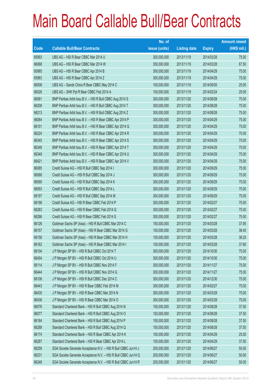|       |                                                                | No. of        |                     |               | <b>Amount raised</b> |
|-------|----------------------------------------------------------------|---------------|---------------------|---------------|----------------------|
| Code  | <b>Callable Bull/Bear Contracts</b>                            | issue (units) | <b>Listing date</b> | <b>Expiry</b> | $(HK$$ mil.)         |
| 65993 | UBS AG - HSI R Bear CBBC Mar 2014 U                            | 300,000,000   | 2013/11/19          | 2014/03/28    | 75.00                |
| 66068 | UBS AG - HSI R Bear CBBC Mar 2014 W                            | 350,000,000   | 2013/11/19          | 2014/03/28    | 87.50                |
| 65985 | UBS AG - HSI R Bear CBBC Apr 2014 B                            | 300,000,000   | 2013/11/19          | 2014/04/29    | 75.00                |
| 65983 | UBS AG - HSI R Bear CBBC Apr 2014 Z                            | 300,000,000   | 2013/11/19          | 2014/04/29    | 75.00                |
| 66006 | UBS AG - Sands China R Bear CBBC May 2014 C                    | 100,000,000   | 2013/11/19          | 2014/05/05    | 25.00                |
| 66026 | UBS AG - SHK Ppt R Bear CBBC Feb 2014 A                        | 100,000,000   | 2013/11/19          | 2014/02/24    | 25.00                |
| 66081 | BNP Paribas Arbit Issu B.V. - HSI R Bull CBBC Aug 2014 S       | 300,000,000   | 2013/11/20          | 2014/08/28    | 75.00                |
| 66208 | BNP Paribas Arbit Issu B.V. - HSI R Bull CBBC Aug 2014 T       | 300,000,000   | 2013/11/20          | 2014/08/28    | 75.00                |
| 66213 | BNP Paribas Arbit Issu B.V. - HSI R Bull CBBC Aug 2014 Z       | 300,000,000   | 2013/11/20          | 2014/08/28    | 75.00                |
| 66084 | BNP Paribas Arbit Issu B.V. - HSI R Bear CBBC Apr 2014 P       | 300,000,000   | 2013/11/20          | 2014/04/29    | 75.00                |
| 66101 | BNP Paribas Arbit Issu B.V. - HSI R Bear CBBC Apr 2014 Q       | 300,000,000   | 2013/11/20          | 2014/04/29    | 75.00                |
| 66224 | BNP Paribas Arbit Issu B.V. - HSI R Bear CBBC Apr 2014 R       | 300,000,000   | 2013/11/20          | 2014/04/29    | 75.00                |
| 66345 | BNP Paribas Arbit Issu B.V. - HSI R Bear CBBC Apr 2014 S       | 300,000,000   | 2013/11/20          | 2014/04/29    | 75.00                |
| 66348 | BNP Paribas Arbit Issu B.V. - HSI R Bear CBBC Apr 2014 T       | 300,000,000   | 2013/11/20          | 2014/04/29    | 75.00                |
| 66349 | BNP Paribas Arbit Issu B.V. - HSI R Bear CBBC Apr 2014 U       | 300,000,000   | 2013/11/20          | 2014/04/29    | 75.00                |
| 66421 | BNP Paribas Arbit Issu B.V. - HSI R Bear CBBC Apr 2014 V       | 300,000,000   | 2013/11/20          | 2014/04/29    | 75.00                |
| 66085 | Credit Suisse AG - HSI R Bull CBBC Sep 2014 I                  | 300,000,000   | 2013/11/20          | 2014/09/29    | 75.00                |
| 66088 | Credit Suisse AG - HSI R Bull CBBC Sep 2014 J                  | 300,000,000   | 2013/11/20          | 2014/09/29    | 75.00                |
| 66090 | Credit Suisse AG - HSI R Bull CBBC Sep 2014 K                  | 300,000,000   | 2013/11/20          | 2014/09/29    | 75.00                |
| 66093 | Credit Suisse AG - HSI R Bull CBBC Sep 2014 L                  | 300,000,000   | 2013/11/20          | 2014/09/29    | 75.00                |
| 66197 | Credit Suisse AG - HSI R Bull CBBC Sep 2014 M                  | 300,000,000   | 2013/11/20          | 2014/09/29    | 75.00                |
| 66198 | Credit Suisse AG - HSI R Bear CBBC Feb 2014 P                  | 300,000,000   | 2013/11/20          | 2014/02/27    | 75.00                |
| 66283 | Credit Suisse AG - HSI R Bear CBBC Feb 2014 Q                  | 300,000,000   | 2013/11/20          | 2014/02/27    | 75.00                |
| 66286 | Credit Suisse AG - HSI R Bear CBBC Feb 2014 S                  | 300,000,000   | 2013/11/20          | 2014/02/27    | 75.00                |
| 66126 | Goldman Sachs SP (Asia) - HSI R Bull CBBC Mar 2014 C           | 150,000,000   | 2013/11/20          | 2014/03/28    | 37.95                |
| 66157 | Goldman Sachs SP (Asia) - HSI R Bear CBBC Mar 2014 G           | 150,000,000   | 2013/11/20          | 2014/03/28    | 38.40                |
| 66158 | Goldman Sachs SP (Asia) - HSI R Bear CBBC Mar 2014 H           | 150,000,000   | 2013/11/20          | 2014/03/28    | 38.25                |
| 66162 | Goldman Sachs SP (Asia) - HSI R Bear CBBC Mar 2014 I           | 150,000,000   | 2013/11/20          | 2014/03/28    | 37.80                |
| 66104 | J P Morgan SP BV - HSI R Bull CBBC Oct 2014 T                  | 300,000,000   | 2013/11/20          | 2014/10/30    | 75.00                |
| 66454 | J P Morgan SP BV - HSI R Bull CBBC Oct 2014 U                  | 300,000,000   | 2013/11/20          | 2014/10/30    | 75.00                |
| 66114 | J P Morgan SP BV - HSI R Bull CBBC Nov 2014 F                  | 300,000,000   | 2013/11/20          | 2014/11/27    | 75.00                |
| 66444 | J P Morgan SP BV - HSI R Bull CBBC Nov 2014 G                  | 300,000,000   | 2013/11/20          | 2014/11/27    | 75.00                |
| 66106 | J P Morgan SP BV - HSI R Bull CBBC Dec 2014 C                  | 300,000,000   | 2013/11/20          | 2014/12/30    | 75.00                |
| 66443 | J P Morgan SP BV - HSI R Bear CBBC Feb 2014 M                  | 300,000,000   | 2013/11/20          | 2014/02/27    | 75.00                |
| 66435 | J P Morgan SP BV - HSI R Bear CBBC Mar 2014 N                  | 300,000,000   | 2013/11/20          | 2014/03/28    | 75.00                |
| 66436 | J P Morgan SP BV - HSI R Bear CBBC Mar 2014 O                  | 300,000,000   | 2013/11/20          | 2014/03/28    | 75.00                |
| 66076 | Standard Chartered Bank - HSI R Bull CBBC Aug 2014 N           | 150,000,000   | 2013/11/20          | 2014/08/28    | 37.50                |
| 66077 | Standard Chartered Bank - HSI R Bull CBBC Aug 2014 O           | 150,000,000   | 2013/11/20          | 2014/08/28    | 37.50                |
| 66184 | Standard Chartered Bank - HSI R Bull CBBC Aug 2014 P           | 150,000,000   | 2013/11/20          | 2014/08/28    | 37.50                |
| 66288 | Standard Chartered Bank - HSI R Bull CBBC Aug 2014 Q           | 150,000,000   | 2013/11/20          | 2014/08/28    | 37.50                |
| 66174 | Standard Chartered Bank - HSI R Bear CBBC Apr 2014 K           | 100,000,000   | 2013/11/20          | 2014/04/29    | 25.00                |
| 66287 | Standard Chartered Bank - HSI R Bear CBBC Apr 2014 L           | 150,000,000   | 2013/11/20          | 2014/04/29    | 37.50                |
| 66259 | SGA Societe Generale Acceptance N.V. - HSI R Bull CBBC Jun14 J | 200,000,000   | 2013/11/20          | 2014/06/27    | 50.00                |
| 66231 | SGA Societe Generale Acceptance N.V. - HSI R Bull CBBC Jun14 Q | 200,000,000   | 2013/11/20          | 2014/06/27    | 50.00                |
| 66248 | SGA Societe Generale Acceptance N.V. - HSI R Bull CBBC Jun14 R | 200,000,000   | 2013/11/20          | 2014/06/27    | 50.00                |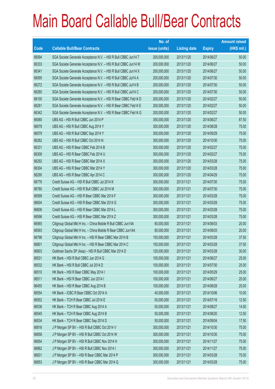|       |                                                                | No. of        |                     |               | <b>Amount raised</b> |
|-------|----------------------------------------------------------------|---------------|---------------------|---------------|----------------------|
| Code  | <b>Callable Bull/Bear Contracts</b>                            | issue (units) | <b>Listing date</b> | <b>Expiry</b> | $(HK$$ mil.)         |
| 66094 | SGA Societe Generale Acceptance N.V. - HSI R Bull CBBC Jun14 T | 200,000,000   | 2013/11/20          | 2014/06/27    | 50.00                |
| 66333 | SGA Societe Generale Acceptance N.V. - HSI R Bull CBBC Jun14 W | 200,000,000   | 2013/11/20          | 2014/06/27    | 50.00                |
| 66341 | SGA Societe Generale Acceptance N.V. - HSI R Bull CBBC Jun14 X | 200,000,000   | 2013/11/20          | 2014/06/27    | 50.00                |
| 66095 | SGA Societe Generale Acceptance N.V. - HSI R Bull CBBC Jul14 A | 200,000,000   | 2013/11/20          | 2014/07/30    | 50.00                |
| 66272 | SGA Societe Generale Acceptance N.V. - HSI R Bull CBBC Jul14 B | 200,000,000   | 2013/11/20          | 2014/07/30    | 50.00                |
| 66280 | SGA Societe Generale Acceptance N.V. - HSI R Bull CBBC Jul14 C | 200,000,000   | 2013/11/20          | 2014/07/30    | 50.00                |
| 66100 | SGA Societe Generale Acceptance N.V. - HSI R Bear CBBC Feb14 D | 200,000,000   | 2013/11/20          | 2014/02/27    | 50.00                |
| 66281 | SGA Societe Generale Acceptance N.V. - HSI R Bear CBBC Feb14 E | 200,000,000   | 2013/11/20          | 2014/02/27    | 50.00                |
| 66342 | SGA Societe Generale Acceptance N.V. - HSI R Bear CBBC Feb14 G | 200,000,000   | 2013/11/20          | 2014/02/27    | 50.00                |
| 66080 | UBS AG - HSI R Bull CBBC Jun 2014 P                            | 350,000,000   | 2013/11/20          | 2014/06/27    | 87.50                |
| 66078 | UBS AG - HSI R Bull CBBC Aug 2014 Y                            | 300,000,000   | 2013/11/20          | 2014/08/28    | 75.00                |
| 66079 | UBS AG - HSI R Bull CBBC Sep 2014 Y                            | 300,000,000   | 2013/11/20          | 2014/09/29    | 75.00                |
| 66282 | UBS AG - HSI R Bull CBBC Oct 2014 N                            | 300,000,000   | 2013/11/20          | 2014/10/30    | 75.00                |
| 66331 | UBS AG - HSI R Bear CBBC Feb 2014 B                            | 300,000,000   | 2013/11/20          | 2014/02/27    | 75.00                |
| 66308 | UBS AG - HSI R Bear CBBC Feb 2014 U                            | 300,000,000   | 2013/11/20          | 2014/02/27    | 75.00                |
| 66292 | UBS AG - HSI R Bear CBBC Mar 2014 X                            | 300,000,000   | 2013/11/20          | 2014/03/28    | 75.00                |
| 66304 | UBS AG - HSI R Bear CBBC Mar 2014 Y                            | 300,000,000   | 2013/11/20          | 2014/03/28    | 75.00                |
| 66290 | UBS AG - HSI R Bear CBBC Apr 2014 C                            | 300,000,000   | 2013/11/20          | 2014/04/29    | 75.00                |
| 66776 | Credit Suisse AG - HSI R Bull CBBC Jul 2014 K                  | 300,000,000   | 2013/11/21          | 2014/07/30    | 75.00                |
| 66780 | Credit Suisse AG - HSI R Bull CBBC Jul 2014 M                  | 300,000,000   | 2013/11/21          | 2014/07/30    | 75.00                |
| 66599 | Credit Suisse AG - HSI R Bear CBBC Mar 2014 F                  | 300,000,000   | 2013/11/21          | 2014/03/28    | 75.00                |
| 66604 | Credit Suisse AG - HSI R Bear CBBC Mar 2014 G                  | 300,000,000   | 2013/11/21          | 2014/03/28    | 75.00                |
| 66606 | Credit Suisse AG - HSI R Bear CBBC Mar 2014 L                  | 300,000,000   | 2013/11/21          | 2014/03/28    | 75.00                |
| 66596 | Credit Suisse AG - HSI R Bear CBBC Mar 2014 Z                  | 300,000,000   | 2013/11/21          | 2014/03/28    | 75.00                |
| 66565 | Citigroup Global Mkt H Inc. - China Mobile R Bull CBBC Jun14A  | 80,000,000    | 2013/11/21          | 2014/06/03    | 20.00                |
| 66593 | Citigroup Global Mkt H Inc. - China Mobile R Bear CBBC Jun14A  | 80,000,000    | 2013/11/21          | 2014/06/03    | 20.00                |
| 66796 | Citigroup Global Mkt H Inc. - HSI R Bear CBBC Mar 2014 B       | 150,000,000   | 2013/11/21          | 2014/03/28    | 37.50                |
| 66801 | Citigroup Global Mkt H Inc. - HSI R Bear CBBC Mar 2014 C       | 150,000,000   | 2013/11/21          | 2014/03/28    | 37.50                |
| 66803 | Goldman Sachs SP (Asia) - HSI R Bull CBBC Mar 2014 D           | 120,000,000   | 2013/11/21          | 2014/03/28    | 30.00                |
| 66531 | HK Bank - HSI R Bull CBBC Jun 2014 G                           | 100,000,000   | 2013/11/21          | 2014/06/27    | 25.00                |
| 66532 | HK Bank - HSI R Bull CBBC Jul 2014 D                           | 100,000,000   | 2013/11/21          | 2014/07/30    | 25.00                |
| 66510 | HK Bank - HSI R Bear CBBC May 2014 I                           | 100,000,000   | 2013/11/21          | 2014/05/29    | 25.00                |
| 66511 | HK Bank - HSI R Bear CBBC Jun 2014 I                           | 100,000,000   | 2013/11/21          | 2014/06/27    | 25.00                |
| 66455 | HK Bank - HSI R Bear CBBC Aug 2014 B                           | 100,000,000   | 2013/11/21          | 2014/08/28    | 25.00                |
| 66554 | HK Bank - ICBC R Bear CBBC Oct 2014 A                          | 40,000,000    | 2013/11/21          | 2014/10/06    | 10.00                |
| 66552 | HK Bank - TCH R Bear CBBC Jul 2014 E                           | 50,000,000    | 2013/11/21          | 2014/07/16    | 12.50                |
| 66536 | HK Bank - TCH R Bear CBBC Aug 2014 A                           | 50,000,000    | 2013/11/21          | 2014/08/27    | 14.50                |
| 66545 | HK Bank - TCH R Bear CBBC Aug 2014 B                           | 50,000,000    | 2013/11/21          | 2014/08/20    | 12.50                |
| 66534 | HK Bank - TCH R Bear CBBC Sep 2014 D                           | 50,000,000    | 2013/11/21          | 2014/09/04    | 17.50                |
| 66816 | J P Morgan SP BV - HSI R Bull CBBC Oct 2014 V                  | 300,000,000   | 2013/11/21          | 2014/10/30    | 75.00                |
| 66858 | J P Morgan SP BV - HSI R Bull CBBC Oct 2014 W                  | 300,000,000   | 2013/11/21          | 2014/10/30    | 75.00                |
| 66854 | J P Morgan SP BV - HSI R Bull CBBC Nov 2014 H                  | 300,000,000   | 2013/11/21          | 2014/11/27    | 75.00                |
| 66862 | J P Morgan SP BV - HSI R Bull CBBC Nov 2014 I                  | 300,000,000   | 2013/11/21          | 2014/11/27    | 75.00                |
| 66831 | J P Morgan SP BV - HSI R Bear CBBC Mar 2014 P                  | 300,000,000   | 2013/11/21          | 2014/03/28    | 75.00                |
| 66853 | J P Morgan SP BV - HSI R Bear CBBC Mar 2014 Q                  | 300,000,000   | 2013/11/21          | 2014/03/28    | 75.00                |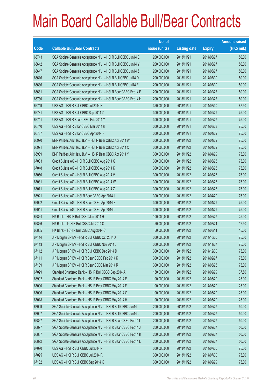|       |                                                                | No. of        |                     |               | <b>Amount raised</b> |
|-------|----------------------------------------------------------------|---------------|---------------------|---------------|----------------------|
| Code  | <b>Callable Bull/Bear Contracts</b>                            | issue (units) | <b>Listing date</b> | <b>Expiry</b> | $(HK$$ mil.)         |
| 66743 | SGA Societe Generale Acceptance N.V. - HSI R Bull CBBC Jun14 E | 200,000,000   | 2013/11/21          | 2014/06/27    | 50.00                |
| 66642 | SGA Societe Generale Acceptance N.V. - HSI R Bull CBBC Jun14 Y | 200,000,000   | 2013/11/21          | 2014/06/27    | 50.00                |
| 66647 | SGA Societe Generale Acceptance N.V. - HSI R Bull CBBC Jun14 Z | 200,000,000   | 2013/11/21          | 2014/06/27    | 50.00                |
| 66616 | SGA Societe Generale Acceptance N.V. - HSI R Bull CBBC Jul14 D | 200,000,000   | 2013/11/21          | 2014/07/30    | 50.00                |
| 66636 | SGA Societe Generale Acceptance N.V. - HSI R Bull CBBC Jul14 E | 200,000,000   | 2013/11/21          | 2014/07/30    | 50.00                |
| 66681 | SGA Societe Generale Acceptance N.V. - HSI R Bear CBBC Feb14 F | 200,000,000   | 2013/11/21          | 2014/02/27    | 50.00                |
| 66730 | SGA Societe Generale Acceptance N.V. - HSI R Bear CBBC Feb14 H | 200,000,000   | 2013/11/21          | 2014/02/27    | 50.00                |
| 66749 | UBS AG - HSI R Bull CBBC Jul 2014 N                            | 350,000,000   | 2013/11/21          | 2014/07/30    | 87.50                |
| 66781 | UBS AG - HSI R Bull CBBC Sep 2014 Z                            | 300,000,000   | 2013/11/21          | 2014/09/29    | 75.00                |
| 66741 | UBS AG - HSI R Bear CBBC Feb 2014 Y                            | 300,000,000   | 2013/11/21          | 2014/02/27    | 75.00                |
| 66740 | UBS AG - HSI R Bear CBBC Mar 2014 R                            | 300,000,000   | 2013/11/21          | 2014/03/28    | 75.00                |
| 66737 | UBS AG - HSI R Bear CBBC Apr 2014 F                            | 300,000,000   | 2013/11/21          | 2014/04/29    | 75.00                |
| 66970 | BNP Paribas Arbit Issu B.V. - HSI R Bear CBBC Apr 2014 W       | 300,000,000   | 2013/11/22          | 2014/04/29    | 75.00                |
| 66971 | BNP Paribas Arbit Issu B.V. - HSI R Bear CBBC Apr 2014 X       | 300,000,000   | 2013/11/22          | 2014/04/29    | 75.00                |
| 66989 | BNP Paribas Arbit Issu B.V. - HSI R Bear CBBC Apr 2014 Y       | 300,000,000   | 2013/11/22          | 2014/04/29    | 75.00                |
| 67033 | Credit Suisse AG - HSI R Bull CBBC Aug 2014 G                  | 300,000,000   | 2013/11/22          | 2014/08/28    | 75.00                |
| 67048 | Credit Suisse AG - HSI R Bull CBBC Aug 2014 K                  | 300,000,000   | 2013/11/22          | 2014/08/28    | 75.00                |
| 67050 | Credit Suisse AG - HSI R Bull CBBC Aug 2014 V                  | 300,000,000   | 2013/11/22          | 2014/08/28    | 75.00                |
| 67031 | Credit Suisse AG - HSI R Bull CBBC Aug 2014 W                  | 300,000,000   | 2013/11/22          | 2014/08/28    | 75.00                |
| 67071 | Credit Suisse AG - HSI R Bull CBBC Aug 2014 Z                  | 300,000,000   | 2013/11/22          | 2014/08/28    | 75.00                |
| 66921 | Credit Suisse AG - HSI R Bear CBBC Apr 2014 J                  | 300,000,000   | 2013/11/22          | 2014/04/29    | 75.00                |
| 66922 | Credit Suisse AG - HSI R Bear CBBC Apr 2014 K                  | 300,000,000   | 2013/11/22          | 2014/04/29    | 75.00                |
| 66941 | Credit Suisse AG - HSI R Bear CBBC Apr 2014 L                  | 300,000,000   | 2013/11/22          | 2014/04/29    | 75.00                |
| 66864 | HK Bank - HSI R Bull CBBC Jun 2014 H                           | 100,000,000   | 2013/11/22          | 2014/06/27    | 25.00                |
| 66866 | HK Bank - TCH R Bull CBBC Jul 2014 C                           | 50,000,000    | 2013/11/22          | 2014/07/24    | 12.50                |
| 66865 | HK Bank - TCH R Bull CBBC Aug 2014 C                           | 50,000,000    | 2013/11/22          | 2014/08/14    | 15.00                |
| 67114 | J P Morgan SP BV - HSI R Bull CBBC Oct 2014 X                  | 300,000,000   | 2013/11/22          | 2014/10/30    | 75.00                |
| 67113 | J P Morgan SP BV - HSI R Bull CBBC Nov 2014 J                  | 300,000,000   | 2013/11/22          | 2014/11/27    | 75.00                |
| 67112 | J P Morgan SP BV - HSI R Bull CBBC Dec 2014 D                  | 300,000,000   | 2013/11/22          | 2014/12/30    | 75.00                |
| 67111 | J P Morgan SP BV - HSI R Bear CBBC Feb 2014 K                  | 300,000,000   | 2013/11/22          | 2014/02/27    | 75.00                |
| 67109 | J P Morgan SP BV - HSI R Bear CBBC Mar 2014 R                  | 300,000,000   | 2013/11/22          | 2014/03/28    | 75.00                |
| 67029 | Standard Chartered Bank - HSI R Bull CBBC Sep 2014 A           | 150,000,000   | 2013/11/22          | 2014/09/29    | 37.50                |
| 66992 | Standard Chartered Bank - HSI R Bear CBBC May 2014 E           | 100,000,000   | 2013/11/22          | 2014/05/29    | 25.00                |
| 67000 | Standard Chartered Bank - HSI R Bear CBBC May 2014 F           | 100,000,000   | 2013/11/22          | 2014/05/29    | 25.00                |
| 67006 | Standard Chartered Bank - HSI R Bear CBBC May 2014 G           | 100,000,000   | 2013/11/22          | 2014/05/29    | 25.00                |
| 67018 | Standard Chartered Bank - HSI R Bear CBBC May 2014 H           | 100,000,000   | 2013/11/22          | 2014/05/29    | 25.00                |
| 67009 | SGA Societe Generale Acceptance N.V. - HSI R Bull CBBC Jun14 I | 200,000,000   | 2013/11/22          | 2014/06/27    | 50.00                |
| 67007 | SGA Societe Generale Acceptance N.V. - HSI R Bull CBBC Jun14 L | 200,000,000   | 2013/11/22          | 2014/06/27    | 50.00                |
| 66867 | SGA Societe Generale Acceptance N.V. - HSI R Bear CBBC Feb14 I | 200,000,000   | 2013/11/22          | 2014/02/27    | 50.00                |
| 66877 | SGA Societe Generale Acceptance N.V. - HSI R Bear CBBC Feb14 J | 200,000,000   | 2013/11/22          | 2014/02/27    | 50.00                |
| 66887 | SGA Societe Generale Acceptance N.V. - HSI R Bear CBBC Feb14 K | 200,000,000   | 2013/11/22          | 2014/02/27    | 50.00                |
| 66892 | SGA Societe Generale Acceptance N.V. - HSI R Bear CBBC Feb14 L | 200,000,000   | 2013/11/22          | 2014/02/27    | 50.00                |
| 67090 | UBS AG - HSI R Bull CBBC Jul 2014 P                            | 300,000,000   | 2013/11/22          | 2014/07/30    | 75.00                |
| 67095 | UBS AG - HSI R Bull CBBC Jul 2014 R                            | 300,000,000   | 2013/11/22          | 2014/07/30    | 75.00                |
| 67102 | UBS AG - HSI R Bull CBBC Sep 2014 K                            | 300,000,000   | 2013/11/22          | 2014/09/29    | 75.00                |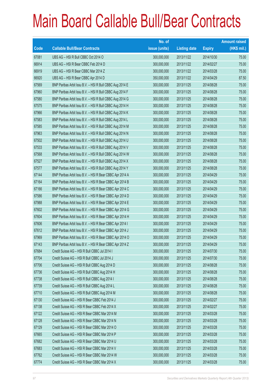|       |                                                          | No. of        |                     |               | <b>Amount raised</b> |
|-------|----------------------------------------------------------|---------------|---------------------|---------------|----------------------|
| Code  | <b>Callable Bull/Bear Contracts</b>                      | issue (units) | <b>Listing date</b> | <b>Expiry</b> | $(HK$$ mil.)         |
| 67081 | UBS AG - HSI R Bull CBBC Oct 2014 O                      | 300,000,000   | 2013/11/22          | 2014/10/30    | 75.00                |
| 66914 | UBS AG - HSI R Bear CBBC Feb 2014 D                      | 300,000,000   | 2013/11/22          | 2014/02/27    | 75.00                |
| 66919 | UBS AG - HSI R Bear CBBC Mar 2014 Z                      | 300,000,000   | 2013/11/22          | 2014/03/28    | 75.00                |
| 66920 | UBS AG - HSI R Bear CBBC Apr 2014 D                      | 350,000,000   | 2013/11/22          | 2014/04/29    | 87.50                |
| 67569 | BNP Paribas Arbit Issu B.V. - HSI R Bull CBBC Aug 2014 E | 300,000,000   | 2013/11/25          | 2014/08/28    | 75.00                |
| 67960 | BNP Paribas Arbit Issu B.V. - HSI R Bull CBBC Aug 2014 F | 300,000,000   | 2013/11/25          | 2014/08/28    | 75.00                |
| 67580 | BNP Paribas Arbit Issu B.V. - HSI R Bull CBBC Aug 2014 G | 300,000,000   | 2013/11/25          | 2014/08/28    | 75.00                |
| 67575 | BNP Paribas Arbit Issu B.V. - HSI R Bull CBBC Aug 2014 H | 300,000,000   | 2013/11/25          | 2014/08/28    | 75.00                |
| 67966 | BNP Paribas Arbit Issu B.V. - HSI R Bull CBBC Aug 2014 K | 300,000,000   | 2013/11/25          | 2014/08/28    | 75.00                |
| 67583 | BNP Paribas Arbit Issu B.V. - HSI R Bull CBBC Aug 2014 L | 300,000,000   | 2013/11/25          | 2014/08/28    | 75.00                |
| 67585 | BNP Paribas Arbit Issu B.V. - HSI R Bull CBBC Aug 2014 M | 300,000,000   | 2013/11/25          | 2014/08/28    | 75.00                |
| 67963 | BNP Paribas Arbit Issu B.V. - HSI R Bull CBBC Aug 2014 N | 300,000,000   | 2013/11/25          | 2014/08/28    | 75.00                |
| 67502 | BNP Paribas Arbit Issu B.V. - HSI R Bull CBBC Aug 2014 U | 300,000,000   | 2013/11/25          | 2014/08/28    | 75.00                |
| 67533 | BNP Paribas Arbit Issu B.V. - HSI R Bull CBBC Aug 2014 V | 300,000,000   | 2013/11/25          | 2014/08/28    | 75.00                |
| 67568 | BNP Paribas Arbit Issu B.V. - HSI R Bull CBBC Aug 2014 W | 300,000,000   | 2013/11/25          | 2014/08/28    | 75.00                |
| 67527 | BNP Paribas Arbit Issu B.V. - HSI R Bull CBBC Aug 2014 X | 300,000,000   | 2013/11/25          | 2014/08/28    | 75.00                |
| 67577 | BNP Paribas Arbit Issu B.V. - HSI R Bull CBBC Aug 2014 Y | 300,000,000   | 2013/11/25          | 2014/08/28    | 75.00                |
| 67144 | BNP Paribas Arbit Issu B.V. - HSI R Bear CBBC Apr 2014 A | 300,000,000   | 2013/11/25          | 2014/04/29    | 75.00                |
| 67164 | BNP Paribas Arbit Issu B.V. - HSI R Bear CBBC Apr 2014 B | 300,000,000   | 2013/11/25          | 2014/04/29    | 75.00                |
| 67166 | BNP Paribas Arbit Issu B.V. - HSI R Bear CBBC Apr 2014 C | 300,000,000   | 2013/11/25          | 2014/04/29    | 75.00                |
| 67586 | BNP Paribas Arbit Issu B.V. - HSI R Bear CBBC Apr 2014 D | 300,000,000   | 2013/11/25          | 2014/04/29    | 75.00                |
| 67988 | BNP Paribas Arbit Issu B.V. - HSI R Bear CBBC Apr 2014 E | 300,000,000   | 2013/11/25          | 2014/04/29    | 75.00                |
| 67602 | BNP Paribas Arbit Issu B.V. - HSI R Bear CBBC Apr 2014 G | 300,000,000   | 2013/11/25          | 2014/04/29    | 75.00                |
| 67604 | BNP Paribas Arbit Issu B.V. - HSI R Bear CBBC Apr 2014 H | 300,000,000   | 2013/11/25          | 2014/04/29    | 75.00                |
| 67606 | BNP Paribas Arbit Issu B.V. - HSI R Bear CBBC Apr 2014 I | 300,000,000   | 2013/11/25          | 2014/04/29    | 75.00                |
| 67612 | BNP Paribas Arbit Issu B.V. - HSI R Bear CBBC Apr 2014 J | 300,000,000   | 2013/11/25          | 2014/04/29    | 75.00                |
| 67969 | BNP Paribas Arbit Issu B.V. - HSI R Bear CBBC Apr 2014 O | 300,000,000   | 2013/11/25          | 2014/04/29    | 75.00                |
| 67143 | BNP Paribas Arbit Issu B.V. - HSI R Bear CBBC Apr 2014 Z | 300,000,000   | 2013/11/25          | 2014/04/29    | 75.00                |
| 67684 | Credit Suisse AG - HSI R Bull CBBC Jul 2014 I            | 300,000,000   | 2013/11/25          | 2014/07/30    | 75.00                |
| 67704 | Credit Suisse AG - HSI R Bull CBBC Jul 2014 J            | 300,000,000   | 2013/11/25          | 2014/07/30    | 75.00                |
| 67706 | Credit Suisse AG - HSI R Bull CBBC Aug 2014 D            | 300,000,000   | 2013/11/25          | 2014/08/28    | 75.00                |
| 67736 | Credit Suisse AG - HSI R Bull CBBC Aug 2014 H            | 300,000,000   | 2013/11/25          | 2014/08/28    | 75.00                |
| 67738 | Credit Suisse AG - HSI R Bull CBBC Aug 2014 I            | 300,000,000   | 2013/11/25          | 2014/08/28    | 75.00                |
| 67739 | Credit Suisse AG - HSI R Bull CBBC Aug 2014 L            | 300,000,000   | 2013/11/25          | 2014/08/28    | 75.00                |
| 67710 | Credit Suisse AG - HSI R Bull CBBC Aug 2014 M            | 300,000,000   | 2013/11/25          | 2014/08/28    | 75.00                |
| 67130 | Credit Suisse AG - HSI R Bear CBBC Feb 2014 J            | 300,000,000   | 2013/11/25          | 2014/02/27    | 75.00                |
| 67138 | Credit Suisse AG - HSI R Bear CBBC Feb 2014 X            | 300,000,000   | 2013/11/25          | 2014/02/27    | 75.00                |
| 67122 | Credit Suisse AG - HSI R Bear CBBC Mar 2014 M            | 300,000,000   | 2013/11/25          | 2014/03/28    | 75.00                |
| 67128 | Credit Suisse AG - HSI R Bear CBBC Mar 2014 N            | 300,000,000   | 2013/11/25          | 2014/03/28    | 75.00                |
| 67129 | Credit Suisse AG - HSI R Bear CBBC Mar 2014 O            | 300,000,000   | 2013/11/25          | 2014/03/28    | 75.00                |
| 67665 | Credit Suisse AG - HSI R Bear CBBC Mar 2014 P            | 300,000,000   | 2013/11/25          | 2014/03/28    | 75.00                |
| 67682 | Credit Suisse AG - HSI R Bear CBBC Mar 2014 U            | 300,000,000   | 2013/11/25          | 2014/03/28    | 75.00                |
| 67683 | Credit Suisse AG - HSI R Bear CBBC Mar 2014 V            | 300,000,000   | 2013/11/25          | 2014/03/28    | 75.00                |
| 67762 | Credit Suisse AG - HSI R Bear CBBC Mar 2014 W            | 300,000,000   | 2013/11/25          | 2014/03/28    | 75.00                |
| 67774 | Credit Suisse AG - HSI R Bear CBBC Mar 2014 X            | 300,000,000   | 2013/11/25          | 2014/03/28    | 75.00                |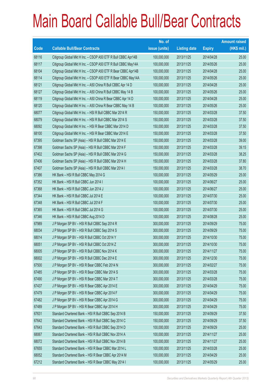|       |                                                               | No. of        |                     |               | <b>Amount raised</b> |
|-------|---------------------------------------------------------------|---------------|---------------------|---------------|----------------------|
| Code  | <b>Callable Bull/Bear Contracts</b>                           | issue (units) | <b>Listing date</b> | <b>Expiry</b> | $(HK$$ mil.)         |
| 68116 | Citigroup Global Mkt H Inc. - CSOP A50 ETF R Bull CBBC Apr14B | 100,000,000   | 2013/11/25          | 2014/04/28    | 25.00                |
| 68117 | Citigroup Global Mkt H Inc. - CSOP A50 ETF R Bull CBBC May14A | 100,000,000   | 2013/11/25          | 2014/05/26    | 25.00                |
| 68104 | Citigroup Global Mkt H Inc. - CSOP A50 ETF R Bear CBBC Apr14B | 100,000,000   | 2013/11/25          | 2014/04/28    | 25.00                |
| 68114 | Citigroup Global Mkt H Inc. - CSOP A50 ETF R Bear CBBC May14A | 100,000,000   | 2013/11/25          | 2014/05/26    | 25.00                |
| 68121 | Citigroup Global Mkt H Inc. - A50 China R Bull CBBC Apr 14 D  | 100,000,000   | 2013/11/25          | 2014/04/28    | 25.00                |
| 68127 | Citigroup Global Mkt H Inc. - A50 China R Bull CBBC May 14 B  | 100,000,000   | 2013/11/25          | 2014/05/26    | 25.00                |
| 68119 | Citigroup Global Mkt H Inc. - A50 China R Bear CBBC Apr 14 D  | 100,000,000   | 2013/11/25          | 2014/04/28    | 25.00                |
| 68120 | Citigroup Global Mkt H Inc. - A50 China R Bear CBBC May 14 B  | 100,000,000   | 2013/11/25          | 2014/05/26    | 25.00                |
| 68077 | Citigroup Global Mkt H Inc. - HSI R Bull CBBC Mar 2014 R      | 150,000,000   | 2013/11/25          | 2014/03/28    | 37.50                |
| 68079 | Citigroup Global Mkt H Inc. - HSI R Bull CBBC Mar 2014 S      | 150,000,000   | 2013/11/25          | 2014/03/28    | 37.50                |
| 68092 | Citigroup Global Mkt H Inc. - HSI R Bear CBBC Mar 2014 D      | 150,000,000   | 2013/11/25          | 2014/03/28    | 37.50                |
| 68100 | Citigroup Global Mkt H Inc. - HSI R Bear CBBC Mar 2014 E      | 150,000,000   | 2013/11/25          | 2014/03/28    | 37.50                |
| 67395 | Goldman Sachs SP (Asia) - HSI R Bull CBBC Mar 2014 E          | 150,000,000   | 2013/11/25          | 2014/03/28    | 39.00                |
| 67398 | Goldman Sachs SP (Asia) - HSI R Bull CBBC Mar 2014 F          | 150,000,000   | 2013/11/25          | 2014/03/28    | 39.15                |
| 67402 | Goldman Sachs SP (Asia) - HSI R Bull CBBC Mar 2014 G          | 150,000,000   | 2013/11/25          | 2014/03/28    | 38.25                |
| 67406 | Goldman Sachs SP (Asia) - HSI R Bull CBBC Mar 2014 H          | 150,000,000   | 2013/11/25          | 2014/03/28    | 37.80                |
| 67407 | Goldman Sachs SP (Asia) - HSI R Bull CBBC Mar 2014 I          | 150,000,000   | 2013/11/25          | 2014/03/28    | 38.70                |
| 67386 | HK Bank - HSI R Bull CBBC May 2014 G                          | 100,000,000   | 2013/11/25          | 2014/05/29    | 25.00                |
| 67352 | HK Bank - HSI R Bull CBBC Jun 2014 I                          | 100,000,000   | 2013/11/25          | 2014/06/27    | 25.00                |
| 67368 | HK Bank - HSI R Bull CBBC Jun 2014 J                          | 100,000,000   | 2013/11/25          | 2014/06/27    | 25.00                |
| 67344 | HK Bank - HSI R Bull CBBC Jul 2014 E                          | 100,000,000   | 2013/11/25          | 2014/07/30    | 25.00                |
| 67348 | HK Bank - HSI R Bull CBBC Jul 2014 F                          | 100,000,000   | 2013/11/25          | 2014/07/30    | 25.00                |
| 67365 | HK Bank - HSI R Bull CBBC Jul 2014 G                          | 100,000,000   | 2013/11/25          | 2014/07/30    | 25.00                |
| 67346 | HK Bank - HSI R Bull CBBC Aug 2014 D                          | 100,000,000   | 2013/11/25          | 2014/08/28    | 25.00                |
| 67989 | J P Morgan SP BV - HSI R Bull CBBC Sep 2014 R                 | 300,000,000   | 2013/11/25          | 2014/09/29    | 75.00                |
| 68034 | J P Morgan SP BV - HSI R Bull CBBC Sep 2014 S                 | 300,000,000   | 2013/11/25          | 2014/09/29    | 75.00                |
| 68014 | J P Morgan SP BV - HSI R Bull CBBC Oct 2014 Y                 | 300,000,000   | 2013/11/25          | 2014/10/30    | 75.00                |
| 68051 | J P Morgan SP BV - HSI R Bull CBBC Oct 2014 Z                 | 300,000,000   | 2013/11/25          | 2014/10/30    | 75.00                |
| 68005 | J P Morgan SP BV - HSI R Bull CBBC Nov 2014 K                 | 300,000,000   | 2013/11/25          | 2014/11/27    | 75.00                |
| 68002 | J P Morgan SP BV - HSI R Bull CBBC Dec 2014 E                 | 300,000,000   | 2013/11/25          | 2014/12/30    | 75.00                |
| 67500 | J P Morgan SP BV - HSI R Bear CBBC Feb 2014 N                 | 300,000,000   | 2013/11/25          | 2014/02/27    | 75.00                |
| 67485 | J P Morgan SP BV - HSI R Bear CBBC Mar 2014 S                 | 300,000,000   | 2013/11/25          | 2014/03/28    | 75.00                |
| 67490 | J P Morgan SP BV - HSI R Bear CBBC Mar 2014 T                 | 300,000,000   | 2013/11/25          | 2014/03/28    | 75.00                |
| 67437 | J P Morgan SP BV - HSI R Bear CBBC Apr 2014 E                 | 300,000,000   | 2013/11/25          | 2014/04/29    | 75.00                |
| 67479 | J P Morgan SP BV - HSI R Bear CBBC Apr 2014 F                 | 300,000,000   | 2013/11/25          | 2014/04/29    | 75.00                |
| 67482 | J P Morgan SP BV - HSI R Bear CBBC Apr 2014 G                 | 300,000,000   | 2013/11/25          | 2014/04/29    | 75.00                |
| 67489 | J P Morgan SP BV - HSI R Bear CBBC Apr 2014 H                 | 300,000,000   | 2013/11/25          | 2014/04/29    | 75.00                |
| 67631 | Standard Chartered Bank - HSI R Bull CBBC Sep 2014 B          | 150,000,000   | 2013/11/25          | 2014/09/29    | 37.50                |
| 67642 | Standard Chartered Bank - HSI R Bull CBBC Sep 2014 C          | 150,000,000   | 2013/11/25          | 2014/09/29    | 37.50                |
| 67643 | Standard Chartered Bank - HSI R Bull CBBC Sep 2014 D          | 100,000,000   | 2013/11/25          | 2014/09/29    | 25.00                |
| 68067 | Standard Chartered Bank - HSI R Bull CBBC Nov 2014 A          | 100,000,000   | 2013/11/25          | 2014/11/27    | 25.00                |
| 68072 | Standard Chartered Bank - HSI R Bull CBBC Nov 2014 B          | 100,000,000   | 2013/11/25          | 2014/11/27    | 25.00                |
| 67655 | Standard Chartered Bank - HSI R Bear CBBC Mar 2014 L          | 100,000,000   | 2013/11/25          | 2014/03/28    | 25.00                |
| 68052 | Standard Chartered Bank - HSI R Bear CBBC Apr 2014 M          | 100,000,000   | 2013/11/25          | 2014/04/29    | 25.00                |
| 67212 | Standard Chartered Bank - HSI R Bear CBBC May 2014 I          | 100,000,000   | 2013/11/25          | 2014/05/29    | 25.00                |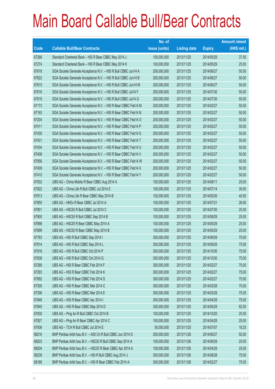|       |                                                                | No. of        |                     |               | <b>Amount raised</b> |
|-------|----------------------------------------------------------------|---------------|---------------------|---------------|----------------------|
| Code  | <b>Callable Bull/Bear Contracts</b>                            | issue (units) | <b>Listing date</b> | <b>Expiry</b> | $(HK$$ mil.)         |
| 67266 | Standard Chartered Bank - HSI R Bear CBBC May 2014 J           | 150,000,000   | 2013/11/25          | 2014/05/29    | 37.50                |
| 67274 | Standard Chartered Bank - HSI R Bear CBBC May 2014 K           | 100,000,000   | 2013/11/25          | 2014/05/29    | 25.00                |
| 67618 | SGA Societe Generale Acceptance N.V. - HSI R Bull CBBC Jun14 A | 200,000,000   | 2013/11/25          | 2014/06/27    | 50.00                |
| 67622 | SGA Societe Generale Acceptance N.V. - HSI R Bull CBBC Jun14 B | 200,000,000   | 2013/11/25          | 2014/06/27    | 50.00                |
| 67615 | SGA Societe Generale Acceptance N.V. - HSI R Bull CBBC Jun14 M | 200,000,000   | 2013/11/25          | 2014/06/27    | 50.00                |
| 67616 | SGA Societe Generale Acceptance N.V. - HSI R Bull CBBC Jul14 F | 200,000,000   | 2013/11/25          | 2014/07/30    | 50.00                |
| 67619 | SGA Societe Generale Acceptance N.V. - HSI R Bull CBBC Jul14 G | 200,000,000   | 2013/11/25          | 2014/07/30    | 50.00                |
| 67173 | SGA Societe Generale Acceptance N.V. - HSI R Bear CBBC Feb14 M | 200,000,000   | 2013/11/25          | 2014/02/27    | 50.00                |
| 67193 | SGA Societe Generale Acceptance N.V. - HSI R Bear CBBC Feb14 N | 200,000,000   | 2013/11/25          | 2014/02/27    | 50.00                |
| 67204 | SGA Societe Generale Acceptance N.V. - HSI R Bear CBBC Feb14 O | 200,000,000   | 2013/11/25          | 2014/02/27    | 50.00                |
| 67411 | SGA Societe Generale Acceptance N.V. - HSI R Bear CBBC Feb14 P | 200,000,000   | 2013/11/25          | 2014/02/27    | 50.00                |
| 67430 | SGA Societe Generale Acceptance N.V. - HSI R Bear CBBC Feb14 S | 200,000,000   | 2013/11/25          | 2014/02/27    | 50.00                |
| 67431 | SGA Societe Generale Acceptance N.V. - HSI R Bear CBBC Feb14 T | 200,000,000   | 2013/11/25          | 2014/02/27    | 50.00                |
| 67434 | SGA Societe Generale Acceptance N.V. - HSI R Bear CBBC Feb14 U | 200,000,000   | 2013/11/25          | 2014/02/27    | 50.00                |
| 67408 | SGA Societe Generale Acceptance N.V. - HSI R Bear CBBC Feb14 V | 200,000,000   | 2013/11/25          | 2014/02/27    | 50.00                |
| 67956 | SGA Societe Generale Acceptance N.V. - HSI R Bear CBBC Feb14 W | 200,000,000   | 2013/11/25          | 2014/02/27    | 50.00                |
| 67409 | SGA Societe Generale Acceptance N.V. - HSI R Bear CBBC Feb14 X | 200,000,000   | 2013/11/25          | 2014/02/27    | 50.00                |
| 67410 | SGA Societe Generale Acceptance N.V. - HSI R Bear CBBC Feb14 Y | 200,000,000   | 2013/11/25          | 2014/02/27    | 50.00                |
| 67932 | UBS AG - China Mobile R Bear CBBC Aug 2014 A                   | 100,000,000   | 2013/11/25          | 2014/08/11    | 25.00                |
| 67922 | UBS AG - China Life R Bull CBBC Jul 2014 E                     | 100,000,000   | 2013/11/25          | 2014/07/14    | 30.00                |
| 67913 | UBS AG - China Life R Bear CBBC May 2014 B                     | 100,000,000   | 2013/11/25          | 2014/05/26    | 40.50                |
| 67955 | UBS AG - HKEx R Bear CBBC Jul 2014 A                           | 100,000,000   | 2013/11/25          | 2014/07/21    | 26.00                |
| 67901 | UBS AG - HSCEI R Bull CBBC Jul 2014 C                          | 100,000,000   | 2013/11/25          | 2014/07/30    | 25.00                |
| 67900 | UBS AG - HSCEI R Bull CBBC Sep 2014 B                          | 100,000,000   | 2013/11/25          | 2014/09/29    | 25.00                |
| 67898 | UBS AG - HSCEI R Bear CBBC May 2014 A                          | 100,000,000   | 2013/11/25          | 2014/05/29    | 25.50                |
| 67899 | UBS AG - HSCEI R Bear CBBC May 2014 B                          | 100,000,000   | 2013/11/25          | 2014/05/29    | 25.00                |
| 67783 | UBS AG - HSI R Bull CBBC Sep 2014 I                            | 300,000,000   | 2013/11/25          | 2014/09/29    | 75.00                |
| 67814 | UBS AG - HSI R Bull CBBC Sep 2014 L                            | 300,000,000   | 2013/11/25          | 2014/09/29    | 75.00                |
| 67818 | UBS AG - HSI R Bull CBBC Oct 2014 P                            | 300,000,000   | 2013/11/25          | 2014/10/30    | 75.00                |
| 67838 | UBS AG - HSI R Bull CBBC Oct 2014 Q                            | 300,000,000   | 2013/11/25          | 2014/10/30    | 75.00                |
| 67289 | UBS AG - HSI R Bear CBBC Feb 2014 F                            | 300,000,000   | 2013/11/25          | 2014/02/27    | 75.00                |
| 67293 | UBS AG - HSI R Bear CBBC Feb 2014 K                            | 300,000,000   | 2013/11/25          | 2014/02/27    | 75.00                |
| 67892 | UBS AG - HSI R Bear CBBC Feb 2014 S                            | 300,000,000   | 2013/11/25          | 2014/02/27    | 75.00                |
| 67300 | UBS AG - HSI R Bear CBBC Mar 2014 C                            | 300,000,000   | 2013/11/25          | 2014/03/28    | 75.00                |
| 67306 | UBS AG - HSI R Bear CBBC Mar 2014 E                            | 300,000,000   | 2013/11/25          | 2014/03/28    | 75.00                |
| 67848 | UBS AG - HSI R Bear CBBC Apr 2014 I                            | 300,000,000   | 2013/11/25          | 2014/04/29    | 75.00                |
| 67845 | UBS AG - HSI R Bear CBBC May 2014 D                            | 300,000,000   | 2013/11/25          | 2014/05/29    | 82.50                |
| 67930 | UBS AG - Ping An R Bull CBBC Oct 2014 B                        | 100,000,000   | 2013/11/25          | 2014/10/20    | 25.00                |
| 67927 | UBS AG - Ping An R Bear CBBC Apr 2014 C                        | 100,000,000   | 2013/11/25          | 2014/04/28    | 25.00                |
| 67936 | UBS AG - TCH R Bull CBBC Jul 2014 E                            | 50,000,000    | 2013/11/25          | 2014/07/07    | 18.25                |
| 68216 | BNP Paribas Arbit Issu B.V. - A50 Ch R Bull CBBC Jun 2014 D    | 200,000,000   | 2013/11/26          | 2014/06/27    | 50.00                |
| 68203 | BNP Paribas Arbit Issu B.V. - HSCEI R Bull CBBC Sep 2014 A     | 100,000,000   | 2013/11/26          | 2014/09/29    | 25.00                |
| 68204 | BNP Paribas Arbit Issu B.V. - HSCEI R Bear CBBC Apr 2014 A     | 100,000,000   | 2013/11/26          | 2014/04/29    | 25.00                |
| 68239 | BNP Paribas Arbit Issu B.V. - HSI R Bull CBBC Aug 2014 J       | 300,000,000   | 2013/11/26          | 2014/08/28    | 75.00                |
| 68188 | BNP Paribas Arbit Issu B.V. - HSI R Bear CBBC Feb 2014 A       | 300,000,000   | 2013/11/26          | 2014/02/27    | 75.00                |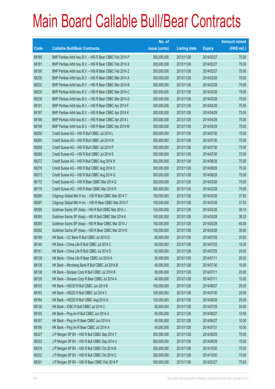|       |                                                          | No. of        |                     |               | <b>Amount raised</b> |
|-------|----------------------------------------------------------|---------------|---------------------|---------------|----------------------|
| Code  | <b>Callable Bull/Bear Contracts</b>                      | issue (units) | <b>Listing date</b> | <b>Expiry</b> | (HK\$ mil.)          |
| 68189 | BNP Paribas Arbit Issu B.V. - HSI R Bear CBBC Feb 2014 P | 300,000,000   | 2013/11/26          | 2014/02/27    | 75.00                |
| 68181 | BNP Paribas Arbit Issu B.V. - HSI R Bear CBBC Feb 2014 X | 300,000,000   | 2013/11/26          | 2014/02/27    | 75.00                |
| 68190 | BNP Paribas Arbit Issu B.V. - HSI R Bear CBBC Feb 2014 Z | 300,000,000   | 2013/11/26          | 2014/02/27    | 75.00                |
| 68230 | BNP Paribas Arbit Issu B.V. - HSI R Bear CBBC Mar 2014 A | 300,000,000   | 2013/11/26          | 2014/03/28    | 75.00                |
| 68232 | BNP Paribas Arbit Issu B.V. - HSI R Bear CBBC Mar 2014 B | 300,000,000   | 2013/11/26          | 2014/03/28    | 75.00                |
| 68235 | BNP Paribas Arbit Issu B.V. - HSI R Bear CBBC Mar 2014 C | 300,000,000   | 2013/11/26          | 2014/03/28    | 75.00                |
| 68238 | BNP Paribas Arbit Issu B.V. - HSI R Bear CBBC Mar 2014 D | 300,000,000   | 2013/11/26          | 2014/03/28    | 75.00                |
| 68191 | BNP Paribas Arbit Issu B.V. - HSI R Bear CBBC Apr 2014 F | 300,000,000   | 2013/11/26          | 2014/04/29    | 75.00                |
| 68197 | BNP Paribas Arbit Issu B.V. - HSI R Bear CBBC Apr 2014 K | 300,000,000   | 2013/11/26          | 2014/04/29    | 75.00                |
| 68198 | BNP Paribas Arbit Issu B.V. - HSI R Bear CBBC Apr 2014 L | 300,000,000   | 2013/11/26          | 2014/04/29    | 75.00                |
| 68199 | BNP Paribas Arbit Issu B.V. - HSI R Bear CBBC Apr 2014 M | 300,000,000   | 2013/11/26          | 2014/04/29    | 75.00                |
| 68250 | Credit Suisse AG - HSI R Bull CBBC Jul 2014 L            | 300,000,000   | 2013/11/26          | 2014/07/30    | 75.00                |
| 68265 | Credit Suisse AG - HSI R Bull CBBC Jul 2014 N            | 300,000,000   | 2013/11/26          | 2014/07/30    | 75.00                |
| 68268 | Credit Suisse AG - HSI R Bull CBBC Jul 2014 P            | 300,000,000   | 2013/11/26          | 2014/07/30    | 75.00                |
| 68269 | Credit Suisse AG - HSI R Bull CBBC Jul 2014 S            | 300,000,000   | 2013/11/26          | 2014/07/30    | 75.00                |
| 68272 | Credit Suisse AG - HSI R Bull CBBC Aug 2014 N            | 300,000,000   | 2013/11/26          | 2014/08/28    | 75.00                |
| 68276 | Credit Suisse AG - HSI R Bull CBBC Aug 2014 O            | 300,000,000   | 2013/11/26          | 2014/08/28    | 75.00                |
| 68273 | Credit Suisse AG - HSI R Bull CBBC Aug 2014 Q            | 300,000,000   | 2013/11/26          | 2014/08/28    | 75.00                |
| 68172 | Credit Suisse AG - HSI R Bear CBBC Mar 2014 Q            | 300,000,000   | 2013/11/26          | 2014/03/28    | 75.00                |
| 68179 | Credit Suisse AG - HSI R Bear CBBC Mar 2014 R            | 300,000,000   | 2013/11/26          | 2014/03/28    | 75.00                |
| 68295 | Citigroup Global Mkt H Inc. - HSI R Bull CBBC Mar 2014 T | 150,000,000   | 2013/11/26          | 2014/03/28    | 37.50                |
| 68297 | Citigroup Global Mkt H Inc. - HSI R Bear CBBC Mar 2014 F | 150,000,000   | 2013/11/26          | 2014/03/28    | 37.50                |
| 68289 | Goldman Sachs SP (Asia) - HSI R Bull CBBC Mar 2014 J     | 150,000,000   | 2013/11/26          | 2014/03/28    | 38.10                |
| 68293 | Goldman Sachs SP (Asia) - HSI R Bull CBBC Mar 2014 K     | 150,000,000   | 2013/11/26          | 2014/03/28    | 38.25                |
| 68290 | Goldman Sachs SP (Asia) - HSI R Bear CBBC Mar 2014 J     | 150,000,000   | 2013/11/26          | 2014/03/28    | 40.05                |
| 68292 | Goldman Sachs SP (Asia) - HSI R Bear CBBC Mar 2014 K     | 150,000,000   | 2013/11/26          | 2014/03/28    | 39.90                |
| 68169 | HK Bank - CC Bank R Bull CBBC Jul 2014 D                 | 80,000,000    | 2013/11/26          | 2014/07/25    | 20.00                |
| 68140 | HK Bank - China Life R Bull CBBC Jul 2014 C              | 60,000,000    | 2013/11/26          | 2014/07/25    | 15.00                |
| 68151 | HK Bank - China Life R Bull CBBC Jul 2014 D              | 60,000,000    | 2013/11/26          | 2014/07/25    | 24.00                |
| 68139 | HK Bank - China Life R Bear CBBC Jul 2014 A              | 50,000,000    | 2013/11/26          | 2014/07/11    | 25.00                |
| 68136 | HK Bank - Minsheng Bank R Bull CBBC Jul 2014 B           | 40,000,000    | 2013/11/26          | 2014/07/30    | 10.00                |
| 68138 | HK Bank - Sinopec Corp R Bull CBBC Jul 2014 B            | 80,000,000    | 2013/11/26          | 2014/07/11    | 20.00                |
| 68129 | HK Bank - Sinopec Corp R Bear CBBC Jul 2014 A            | 40,000,000    | 2013/11/26          | 2014/07/11    | 10.00                |
| 68155 | HK Bank - HSCEI R Bull CBBC Jun 2014 B                   | 100,000,000   | 2013/11/26          | 2014/06/27    | 25.00                |
| 68163 | HK Bank - HSCEI R Bull CBBC Jul 2014 C                   | 100,000,000   | 2013/11/26          | 2014/07/30    | 25.00                |
| 68164 | HK Bank - HSCEI R Bull CBBC Aug 2014 A                   | 100,000,000   | 2013/11/26          | 2014/08/28    | 25.00                |
| 68130 | HK Bank - ICBC R Bull CBBC Jul 2014 C                    | 80,000,000    | 2013/11/26          | 2014/07/25    | 20.00                |
| 68165 | HK Bank - Ping An R Bull CBBC Jun 2014 A                 | 60,000,000    | 2013/11/26          | 2014/06/27    | 15.00                |
| 68167 | HK Bank - Ping An R Bear CBBC Jun 2014 A                 | 40,000,000    | 2013/11/26          | 2014/06/27    | 10.00                |
| 68166 | HK Bank - Ping An R Bear CBBC Jul 2014 A                 | 40,000,000    | 2013/11/26          | 2014/07/31    | 10.00                |
| 68327 | J P Morgan SP BV - HSI R Bull CBBC Sep 2014 T            | 300,000,000   | 2013/11/26          | 2014/09/29    | 75.00                |
| 68333 | J P Morgan SP BV - HSI R Bull CBBC Sep 2014 U            | 300,000,000   | 2013/11/26          | 2014/09/29    | 75.00                |
| 68319 | J P Morgan SP BV - HSI R Bull CBBC Oct 2014 B            | 300,000,000   | 2013/11/26          | 2014/10/30    | 75.00                |
| 68332 | J P Morgan SP BV - HSI R Bull CBBC Oct 2014 C            | 300,000,000   | 2013/11/26          | 2014/10/30    | 75.00                |
| 68301 | J P Morgan SP BV - HSI R Bear CBBC Feb 2014 P            | 300,000,000   | 2013/11/26          | 2014/02/27    | 75.00                |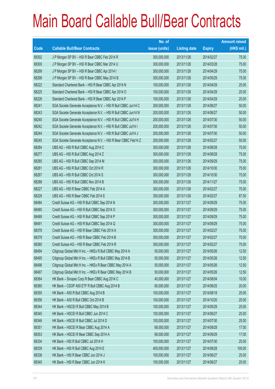|       |                                                                | No. of        |                     |               | <b>Amount raised</b> |
|-------|----------------------------------------------------------------|---------------|---------------------|---------------|----------------------|
| Code  | <b>Callable Bull/Bear Contracts</b>                            | issue (units) | <b>Listing date</b> | <b>Expiry</b> | $(HK$$ mil.)         |
| 68302 | J P Morgan SP BV - HSI R Bear CBBC Feb 2014 R                  | 300,000,000   | 2013/11/26          | 2014/02/27    | 75.00                |
| 68300 | J P Morgan SP BV - HSI R Bear CBBC Mar 2014 U                  | 300,000,000   | 2013/11/26          | 2014/03/28    | 75.00                |
| 68299 | J P Morgan SP BV - HSI R Bear CBBC Apr 2014 I                  | 300,000,000   | 2013/11/26          | 2014/04/29    | 75.00                |
| 68298 | J P Morgan SP BV - HSI R Bear CBBC May 2014 B                  | 300,000,000   | 2013/11/26          | 2014/05/29    | 75.00                |
| 68222 | Standard Chartered Bank - HSI R Bear CBBC Apr 2014 N           | 100,000,000   | 2013/11/26          | 2014/04/29    | 25.00                |
| 68225 | Standard Chartered Bank - HSI R Bear CBBC Apr 2014 O           | 100,000,000   | 2013/11/26          | 2014/04/29    | 25.00                |
| 68226 | Standard Chartered Bank - HSI R Bear CBBC Apr 2014 P           | 100,000,000   | 2013/11/26          | 2014/04/29    | 25.00                |
| 68241 | SGA Societe Generale Acceptance N.V. - HSI R Bull CBBC Jun14 C | 200,000,000   | 2013/11/26          | 2014/06/27    | 50.00                |
| 68243 | SGA Societe Generale Acceptance N.V. - HSI R Bull CBBC Jun14 N | 200,000,000   | 2013/11/26          | 2014/06/27    | 50.00                |
| 68240 | SGA Societe Generale Acceptance N.V. - HSI R Bull CBBC Jul14 H | 200,000,000   | 2013/11/26          | 2014/07/30    | 50.00                |
| 68242 | SGA Societe Generale Acceptance N.V. - HSI R Bull CBBC Jul14 I | 200,000,000   | 2013/11/26          | 2014/07/30    | 50.00                |
| 68244 | SGA Societe Generale Acceptance N.V. - HSI R Bull CBBC Jul14 J | 200,000,000   | 2013/11/26          | 2014/07/30    | 50.00                |
| 68245 | SGA Societe Generale Acceptance N.V. - HSI R Bear CBBC Feb14 Z | 200,000,000   | 2013/11/26          | 2014/02/27    | 50.00                |
| 68284 | UBS AG - HSI R Bull CBBC Aug 2014 C                            | 300,000,000   | 2013/11/26          | 2014/08/28    | 75.00                |
| 68277 | UBS AG - HSI R Bull CBBC Aug 2014 Z                            | 300,000,000   | 2013/11/26          | 2014/08/28    | 75.00                |
| 68285 | UBS AG - HSI R Bull CBBC Sep 2014 M                            | 300,000,000   | 2013/11/26          | 2014/09/29    | 75.00                |
| 68281 | UBS AG - HSI R Bull CBBC Oct 2014 R                            | 300,000,000   | 2013/11/26          | 2014/10/30    | 75.00                |
| 68287 | UBS AG - HSI R Bull CBBC Oct 2014 S                            | 300,000,000   | 2013/11/26          | 2014/10/30    | 75.00                |
| 68288 | UBS AG - HSI R Bull CBBC Nov 2014 B                            | 300,000,000   | 2013/11/26          | 2014/11/27    | 75.00                |
| 68227 | UBS AG - HSI R Bear CBBC Feb 2014 A                            | 300,000,000   | 2013/11/26          | 2014/02/27    | 75.00                |
| 68229 | UBS AG - HSI R Bear CBBC Feb 2014 E                            | 350,000,000   | 2013/11/26          | 2014/02/27    | 87.50                |
| 68484 | Credit Suisse AG - HSI R Bull CBBC Sep 2014 N                  | 300,000,000   | 2013/11/27          | 2014/09/29    | 75.00                |
| 68485 | Credit Suisse AG - HSI R Bull CBBC Sep 2014 O                  | 300,000,000   | 2013/11/27          | 2014/09/29    | 75.00                |
| 68489 | Credit Suisse AG - HSI R Bull CBBC Sep 2014 P                  | 300,000,000   | 2013/11/27          | 2014/09/29    | 75.00                |
| 68491 | Credit Suisse AG - HSI R Bull CBBC Sep 2014 Q                  | 300,000,000   | 2013/11/27          | 2014/09/29    | 75.00                |
| 68378 | Credit Suisse AG - HSI R Bear CBBC Feb 2014 A                  | 300,000,000   | 2013/11/27          | 2014/02/27    | 75.00                |
| 68379 | Credit Suisse AG - HSI R Bear CBBC Feb 2014 B                  | 300,000,000   | 2013/11/27          | 2014/02/27    | 75.00                |
| 68380 | Credit Suisse AG - HSI R Bear CBBC Feb 2014 R                  | 300,000,000   | 2013/11/27          | 2014/02/27    | 75.00                |
| 68494 | Citigroup Global Mkt H Inc. - HKEx R Bull CBBC May 2014 A      | 50,000,000    | 2013/11/27          | 2014/05/26    | 12.50                |
| 68495 | Citigroup Global Mkt H Inc. - HKEx R Bull CBBC May 2014 B      | 50,000,000    | 2013/11/27          | 2014/05/26    | 12.50                |
| 68496 | Citigroup Global Mkt H Inc. - HKEx R Bear CBBC May 2014 A      | 50,000,000    | 2013/11/27          | 2014/05/26    | 12.50                |
| 68497 | Citigroup Global Mkt H Inc. - HKEx R Bear CBBC May 2014 B      | 50,000,000    | 2013/11/27          | 2014/05/26    | 12.50                |
| 68364 | HK Bank - Sinopec Corp R Bear CBBC Aug 2014 C                  | 40,000,000    | 2013/11/27          | 2014/08/04    | 10.00                |
| 68360 | HK Bank - CSOP A50 ETF R Bull CBBC Aug 2014 B                  | 80,000,000    | 2013/11/27          | 2014/08/25    | 20.00                |
| 68355 | HK Bank - A50 R Bull CBBC Aug 2014 B                           | 100,000,000   | 2013/11/27          | 2014/08/18    | 25.00                |
| 68356 | HK Bank - A50 R Bull CBBC Oct 2014 B                           | 100,000,000   | 2013/11/27          | 2014/10/20    | 25.00                |
| 68344 | HK Bank - HSCEI R Bull CBBC May 2014 B                         | 100,000,000   | 2013/11/27          | 2014/05/29    | 25.00                |
| 68345 | HK Bank - HSCEI R Bull CBBC Jun 2014 C                         | 100,000,000   | 2013/11/27          | 2014/06/27    | 25.00                |
| 68346 | HK Bank - HSCEI R Bull CBBC Jul 2014 D                         | 100,000,000   | 2013/11/27          | 2014/07/30    | 25.00                |
| 68351 | HK Bank - HSCEI R Bear CBBC Aug 2014 A                         | 68,000,000    | 2013/11/27          | 2014/08/28    | 17.00                |
| 68353 | HK Bank - HSCEI R Bear CBBC Sep 2014 A                         | 68,000,000    | 2013/11/27          | 2014/09/29    | 17.00                |
| 68334 | HK Bank - HSI R Bull CBBC Jul 2014 H                           | 100,000,000   | 2013/11/27          | 2014/07/30    | 25.00                |
| 68339 | HK Bank - HSI R Bull CBBC Aug 2014 E                           | 400,000,000   | 2013/11/27          | 2014/08/28    | 100.00               |
| 68338 | HK Bank - HSI R Bear CBBC Jun 2014 J                           | 100,000,000   | 2013/11/27          | 2014/06/27    | 25.00                |
| 68340 | HK Bank - HSI R Bear CBBC Jun 2014 K                           | 100,000,000   | 2013/11/27          | 2014/06/27    | 25.00                |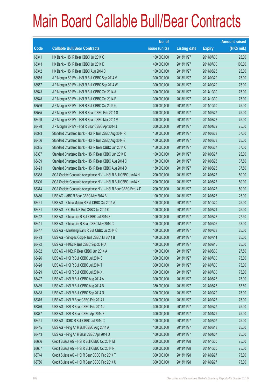|       |                                                                | No. of        |                     |               | <b>Amount raised</b> |
|-------|----------------------------------------------------------------|---------------|---------------------|---------------|----------------------|
| Code  | <b>Callable Bull/Bear Contracts</b>                            | issue (units) | <b>Listing date</b> | <b>Expiry</b> | $(HK$$ mil.)         |
| 68341 | HK Bank - HSI R Bear CBBC Jul 2014 C                           | 100,000,000   | 2013/11/27          | 2014/07/30    | 25.00                |
| 68343 | HK Bank - HSI R Bear CBBC Jul 2014 D                           | 400,000,000   | 2013/11/27          | 2014/07/30    | 100.00               |
| 68342 | HK Bank - HSI R Bear CBBC Aug 2014 C                           | 100,000,000   | 2013/11/27          | 2014/08/28    | 25.00                |
| 68555 | J P Morgan SP BV - HSI R Bull CBBC Sep 2014 V                  | 300,000,000   | 2013/11/27          | 2014/09/29    | 75.00                |
| 68557 | J P Morgan SP BV - HSI R Bull CBBC Sep 2014 W                  | 300,000,000   | 2013/11/27          | 2014/09/29    | 75.00                |
| 68543 | J P Morgan SP BV - HSI R Bull CBBC Oct 2014 A                  | 300,000,000   | 2013/11/27          | 2014/10/30    | 75.00                |
| 68548 | J P Morgan SP BV - HSI R Bull CBBC Oct 2014 F                  | 300,000,000   | 2013/11/27          | 2014/10/30    | 75.00                |
| 68556 | J P Morgan SP BV - HSI R Bull CBBC Oct 2014 G                  | 300,000,000   | 2013/11/27          | 2014/10/30    | 75.00                |
| 68535 | J P Morgan SP BV - HSI R Bear CBBC Feb 2014 S                  | 300,000,000   | 2013/11/27          | 2014/02/27    | 75.00                |
| 68499 | J P Morgan SP BV - HSI R Bear CBBC Mar 2014 V                  | 300,000,000   | 2013/11/27          | 2014/03/28    | 75.00                |
| 68498 | J P Morgan SP BV - HSI R Bear CBBC Apr 2014 J                  | 300,000,000   | 2013/11/27          | 2014/04/29    | 75.00                |
| 68393 | Standard Chartered Bank - HSI R Bull CBBC Aug 2014 R           | 150,000,000   | 2013/11/27          | 2014/08/28    | 37.50                |
| 68406 | Standard Chartered Bank - HSI R Bull CBBC Aug 2014 S           | 100,000,000   | 2013/11/27          | 2014/08/28    | 25.00                |
| 68385 | Standard Chartered Bank - HSI R Bear CBBC Jun 2014 C           | 150,000,000   | 2013/11/27          | 2014/06/27    | 37.50                |
| 68387 | Standard Chartered Bank - HSI R Bear CBBC Jun 2014 D           | 100,000,000   | 2013/11/27          | 2014/06/27    | 25.00                |
| 68409 | Standard Chartered Bank - HSI R Bear CBBC Aug 2014 C           | 150,000,000   | 2013/11/27          | 2014/08/28    | 37.50                |
| 68423 | Standard Chartered Bank - HSI R Bear CBBC Aug 2014 D           | 150,000,000   | 2013/11/27          | 2014/08/28    | 37.50                |
| 68388 | SGA Societe Generale Acceptance N.V. - HSI R Bull CBBC Jun14 H | 200,000,000   | 2013/11/27          | 2014/06/27    | 50.00                |
| 68390 | SGA Societe Generale Acceptance N.V. - HSI R Bull CBBC Jun14 K | 200,000,000   | 2013/11/27          | 2014/06/27    | 50.00                |
| 68374 | SGA Societe Generale Acceptance N.V. - HSI R Bear CBBC Feb14 D | 200,000,000   | 2013/11/27          | 2014/02/27    | 50.00                |
| 68460 | UBS AG - ABC R Bear CBBC May 2014 B                            | 100,000,000   | 2013/11/27          | 2014/05/26    | 25.00                |
| 68461 | UBS AG - China Mobile R Bull CBBC Oct 2014 A                   | 100,000,000   | 2013/11/27          | 2014/10/20    | 25.00                |
| 68481 | UBS AG - CC Bank R Bull CBBC Jul 2014 C                        | 100,000,000   | 2013/11/27          | 2014/07/21    | 25.00                |
| 68442 | UBS AG - China Life R Bull CBBC Jul 2014 F                     | 100,000,000   | 2013/11/27          | 2014/07/28    | 27.50                |
| 68441 | UBS AG - China Life R Bear CBBC May 2014 C                     | 100,000,000   | 2013/11/27          | 2014/05/05    | 43.00                |
| 68447 | UBS AG - Minsheng Bank R Bull CBBC Jul 2014 C                  | 100,000,000   | 2013/11/27          | 2014/07/28    | 25.00                |
| 68493 | UBS AG - Sinopec Corp R Bull CBBC Jul 2014 B                   | 100,000,000   | 2013/11/27          | 2014/07/14    | 25.00                |
| 68492 | UBS AG - HKEx R Bull CBBC Sep 2014 A                           | 100,000,000   | 2013/11/27          | 2014/09/15    | 25.00                |
| 68482 | UBS AG - HKEx R Bear CBBC Jun 2014 A                           | 100,000,000   | 2013/11/27          | 2014/06/30    | 27.50                |
| 68426 | UBS AG - HSI R Bull CBBC Jul 2014 S                            | 300,000,000   | 2013/11/27          | 2014/07/30    | 75.00                |
| 68428 | UBS AG - HSI R Bull CBBC Jul 2014 T                            | 300,000,000   | 2013/11/27          | 2014/07/30    | 75.00                |
| 68429 | UBS AG - HSI R Bull CBBC Jul 2014 X                            | 300,000,000   | 2013/11/27          | 2014/07/30    | 75.00                |
| 68427 | UBS AG - HSI R Bull CBBC Aug 2014 A                            | 300,000,000   | 2013/11/27          | 2014/08/28    | 75.00                |
| 68439 | UBS AG - HSI R Bull CBBC Aug 2014 B                            | 350,000,000   | 2013/11/27          | 2014/08/28    | 87.50                |
| 68438 | UBS AG - HSI R Bull CBBC Sep 2014 N                            | 300,000,000   | 2013/11/27          | 2014/09/29    | 75.00                |
| 68375 | UBS AG - HSI R Bear CBBC Feb 2014 I                            | 300,000,000   | 2013/11/27          | 2014/02/27    | 75.00                |
| 68376 | UBS AG - HSI R Bear CBBC Feb 2014 J                            | 300,000,000   | 2013/11/27          | 2014/02/27    | 75.00                |
| 68377 | UBS AG - HSI R Bear CBBC Apr 2014 E                            | 300,000,000   | 2013/11/27          | 2014/04/29    | 75.00                |
| 68451 | UBS AG - ICBC R Bull CBBC Jul 2014 C                           | 100,000,000   | 2013/11/27          | 2014/07/07    | 25.00                |
| 68445 | UBS AG - Ping An R Bull CBBC Aug 2014 A                        | 100,000,000   | 2013/11/27          | 2014/08/18    | 25.00                |
| 68443 | UBS AG - Ping An R Bear CBBC Apr 2014 D                        | 100,000,000   | 2013/11/27          | 2014/04/07    | 25.00                |
| 68606 | Credit Suisse AG - HSI R Bull CBBC Oct 2014 M                  | 300,000,000   | 2013/11/28          | 2014/10/30    | 75.00                |
| 68607 | Credit Suisse AG - HSI R Bull CBBC Oct 2014 N                  | 300,000,000   | 2013/11/28          | 2014/10/30    | 75.00                |
| 68744 | Credit Suisse AG - HSI R Bear CBBC Feb 2014 T                  | 300,000,000   | 2013/11/28          | 2014/02/27    | 75.00                |
| 68756 | Credit Suisse AG - HSI R Bear CBBC Feb 2014 U                  | 300,000,000   | 2013/11/28          | 2014/02/27    | 75.00                |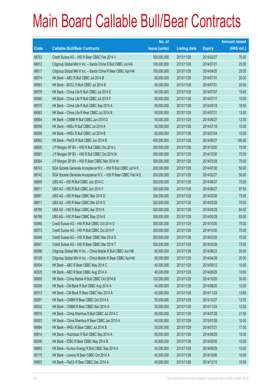|       |                                                                | No. of        |                     |               | <b>Amount raised</b> |
|-------|----------------------------------------------------------------|---------------|---------------------|---------------|----------------------|
| Code  | <b>Callable Bull/Bear Contracts</b>                            | issue (units) | <b>Listing date</b> | <b>Expiry</b> | (HK\$ mil.)          |
| 68763 | Credit Suisse AG - HSI R Bear CBBC Feb 2014 V                  | 300,000,000   | 2013/11/28          | 2014/02/27    | 75.00                |
| 68612 | Citigroup Global Mkt H Inc. - Sands China R Bull CBBC Jul14A   | 100,000,000   | 2013/11/28          | 2014/07/21    | 25.00                |
| 68617 | Citigroup Global Mkt H Inc. - Sands China R Bear CBBC Apr14A   | 100,000,000   | 2013/11/28          | 2014/04/25    | 25.00                |
| 68574 | HK Bank - ABC R Bull CBBC Jul 2014 B                           | 80,000,000    | 2013/11/28          | 2014/07/31    | 20.00                |
| 68563 | HK Bank - BOCL R Bull CBBC Jul 2014 B                          | 80,000,000    | 2013/11/28          | 2014/07/31    | 20.00                |
| 68576 | HK Bank - China Life R Bull CBBC Jul 2014 E                    | 60,000,000    | 2013/11/28          | 2014/07/07    | 15.60                |
| 68580 | HK Bank - China Life R Bull CBBC Jul 2014 F                    | 60,000,000    | 2013/11/28          | 2014/07/17    | 15.00                |
| 68575 | HK Bank - China Life R Bull CBBC Sep 2014 A                    | 60,000,000    | 2013/11/28          | 2014/09/18    | 18.60                |
| 68583 | HK Bank - China Life R Bear CBBC Jul 2014 B                    | 50,000,000    | 2013/11/28          | 2014/07/21    | 13.50                |
| 68564 | HK Bank - CNBM R Bull CBBC Jun 2014 D                          | 50,000,000    | 2013/11/28          | 2014/06/27    | 12.50                |
| 68558 | HK Bank - HKEx R Bull CBBC Jul 2014 A                          | 60,000,000    | 2013/11/28          | 2014/07/18    | 15.00                |
| 68559 | HK Bank - HKEx R Bull CBBC Jul 2014 B                          | 60,000,000    | 2013/11/28          | 2014/07/04    | 15.00                |
| 68562 | HK Bank - PetCh R Bull CBBC Jun 2014 B                         | 400,000,000   | 2013/11/28          | 2014/06/27    | 100.00               |
| 68605 | J P Morgan SP BV - HSI R Bull CBBC Oct 2014 L                  | 300,000,000   | 2013/11/28          | 2014/10/30    | 75.00                |
| 68587 | J P Morgan SP BV - HSI R Bull CBBC Oct 2014 M                  | 300,000,000   | 2013/11/28          | 2014/10/30    | 75.00                |
| 68584 | J P Morgan SP BV - HSI R Bear CBBC Mar 2014 W                  | 300,000,000   | 2013/11/28          | 2014/03/28    | 75.00                |
| 68743 | SGA Societe Generale Acceptance N.V. - HSI R Bull CBBC Jul14 K | 200,000,000   | 2013/11/28          | 2014/07/30    | 50.00                |
| 68742 | SGA Societe Generale Acceptance N.V. - HSI R Bear CBBC Feb14 E | 200,000,000   | 2013/11/28          | 2014/02/27    | 50.00                |
| 68609 | UBS AG - HSI R Bull CBBC Jun 2014 C                            | 300,000,000   | 2013/11/28          | 2014/06/27    | 75.00                |
| 68611 | UBS AG - HSI R Bull CBBC Jun 2014 Y                            | 350,000,000   | 2013/11/28          | 2014/06/27    | 87.50                |
| 68867 | UBS AG - HSI R Bear CBBC Mar 2014 D                            | 300,000,000   | 2013/11/28          | 2014/03/28    | 75.00                |
| 68811 | UBS AG - HSI R Bear CBBC Mar 2014 G                            | 300,000,000   | 2013/11/28          | 2014/03/28    | 75.00                |
| 68788 | UBS AG - HSI R Bear CBBC Apr 2014 K                            | 300,000,000   | 2013/11/28          | 2014/04/29    | 84.00                |
| 68786 | UBS AG - HSI R Bear CBBC May 2014 E                            | 300,000,000   | 2013/11/28          | 2014/05/29    | 93.00                |
| 60068 | Credit Suisse AG - HSI R Bull CBBC Oct 2014 O                  | 300,000,000   | 2013/11/29          | 2014/10/30    | 75.00                |
| 60073 | Credit Suisse AG - HSI R Bull CBBC Oct 2014 P                  | 300,000,000   | 2013/11/29          | 2014/10/30    | 75.00                |
| 60046 | Credit Suisse AG - HSI R Bear CBBC Mar 2014 S                  | 300,000,000   | 2013/11/29          | 2014/03/28    | 75.00                |
| 60047 | Credit Suisse AG - HSI R Bear CBBC Mar 2014 T                  | 300,000,000   | 2013/11/29          | 2014/03/28    | 75.00                |
| 60096 | Citigroup Global Mkt H Inc. - China Mobile R Bull CBBC Jun14B  | 80,000,000    | 2013/11/29          | 2014/06/23    | 20.00                |
| 60105 | Citigroup Global Mkt H Inc. - China Mobile R Bear CBBC Apr14A  | 80,000,000    | 2013/11/29          | 2014/04/28    | 20.00                |
| 60004 | HK Bank - ABC R Bear CBBC May 2014 C                           | 40,000,000    | 2013/11/29          | 2014/05/12    | 10.00                |
| 60005 | HK Bank - ABC R Bear CBBC Aug 2014 A                           | 40,000,000    | 2013/11/29          | 2014/08/25    | 10.00                |
| 69905 | HK Bank - China Mobile R Bull CBBC Oct 2014 B                  | 120,000,000   | 2013/11/29          | 2014/10/20    | 30.00                |
| 60009 | HK Bank - CM Bank R Bull CBBC Aug 2014 A                       | 40,000,000    | 2013/11/29          | 2014/08/25    | 10.00                |
| 60013 | HK Bank - CM Bank R Bear CBBC Nov 2014 A                       | 40,000,000    | 2013/11/29          | 2014/11/24    | 13.60                |
| 69291 | HK Bank - CNBM R Bear CBBC Oct 2014 A                          | 50,000,000    | 2013/11/29          | 2014/10/27    | 12.50                |
| 69532 | HK Bank - CNBM R Bear CBBC Nov 2014 A                          | 50,000,000    | 2013/11/29          | 2014/11/24    | 12.50                |
| 69916 | HK Bank - China Shenhua R Bull CBBC Jul 2014 C                 | 60,000,000    | 2013/11/29          | 2014/07/28    | 21.00                |
| 60003 | HK Bank - China Shenhua R Bear CBBC Jan 2015 A                 | 40,000,000    | 2013/11/29          | 2015/01/26    | 10.00                |
| 69884 | HK Bank - HKEx R Bear CBBC Jul 2014 B                          | 50,000,000    | 2013/11/29          | 2014/07/21    | 17.50                |
| 69614 | HK Bank - Hutchison R Bull CBBC Sep 2014 A                     | 60,000,000    | 2013/11/29          | 2014/09/29    | 15.00                |
| 60006 | HK Bank - ICBC R Bear CBBC May 2014 B                          | 40,000,000    | 2013/11/29          | 2014/05/05    | 10.00                |
| 69883 | HK Bank - Kunlun Energy R Bull CBBC Sep 2014 A                 | 40,000,000    | 2013/11/29          | 2014/09/29    | 10.00                |
| 69175 | HK Bank - Lenovo R Bear CBBC Oct 2014 A                        | 40,000,000    | 2013/11/29          | 2014/10/06    | 10.00                |
| 69903 | HK Bank - PetCh R Bear CBBC Dec 2014 A                         | 40,000,000    | 2013/11/29          | 2014/12/15    | 10.00                |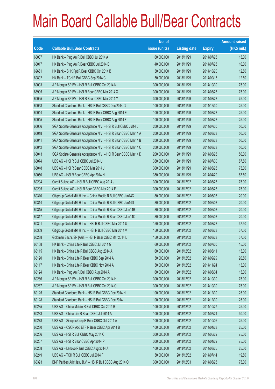|       |                                                                | No. of        |                     |               | <b>Amount raised</b> |
|-------|----------------------------------------------------------------|---------------|---------------------|---------------|----------------------|
| Code  | <b>Callable Bull/Bear Contracts</b>                            | issue (units) | <b>Listing date</b> | <b>Expiry</b> | (HK\$ mil.)          |
| 60007 | HK Bank - Ping An R Bull CBBC Jul 2014 A                       | 60,000,000    | 2013/11/29          | 2014/07/28    | 15.00                |
| 60017 | HK Bank - Ping An R Bear CBBC Jul 2014 B                       | 40,000,000    | 2013/11/29          | 2014/07/28    | 10.00                |
| 69661 | HK Bank - SHK Ppt R Bear CBBC Oct 2014 B                       | 50,000,000    | 2013/11/29          | 2014/10/20    | 12.50                |
| 69892 | HK Bank - TCH R Bull CBBC Sep 2014 C                           | 50,000,000    | 2013/11/29          | 2014/09/15    | 12.50                |
| 60093 | J P Morgan SP BV - HSI R Bull CBBC Oct 2014 N                  | 300,000,000   | 2013/11/29          | 2014/10/30    | 75.00                |
| 68905 | J P Morgan SP BV - HSI R Bear CBBC Mar 2014 X                  | 300,000,000   | 2013/11/29          | 2014/03/28    | 75.00                |
| 60095 | J P Morgan SP BV - HSI R Bear CBBC Mar 2014 Y                  | 300,000,000   | 2013/11/29          | 2014/03/28    | 75.00                |
| 60058 | Standard Chartered Bank - HSI R Bull CBBC Dec 2014 G           | 100,000,000   | 2013/11/29          | 2014/12/30    | 25.00                |
| 60044 | Standard Chartered Bank - HSI R Bear CBBC Aug 2014 E           | 100,000,000   | 2013/11/29          | 2014/08/28    | 25.00                |
| 60045 | Standard Chartered Bank - HSI R Bear CBBC Aug 2014 F           | 100,000,000   | 2013/11/29          | 2014/08/28    | 25.00                |
| 60056 | SGA Societe Generale Acceptance N.V. - HSI R Bull CBBC Jul14 L | 200,000,000   | 2013/11/29          | 2014/07/30    | 50.00                |
| 60018 | SGA Societe Generale Acceptance N.V. - HSI R Bear CBBC Mar14 A | 200,000,000   | 2013/11/29          | 2014/03/28    | 50.00                |
| 60041 | SGA Societe Generale Acceptance N.V. - HSI R Bear CBBC Mar14 B | 200,000,000   | 2013/11/29          | 2014/03/28    | 50.00                |
| 60042 | SGA Societe Generale Acceptance N.V. - HSI R Bear CBBC Mar14 C | 200,000,000   | 2013/11/29          | 2014/03/28    | 50.00                |
| 60043 | SGA Societe Generale Acceptance N.V. - HSI R Bear CBBC Mar14 D | 200,000,000   | 2013/11/29          | 2014/03/28    | 50.00                |
| 60074 | UBS AG - HSI R Bull CBBC Jul 2014 U                            | 350,000,000   | 2013/11/29          | 2014/07/30    | 87.50                |
| 60048 | UBS AG - HSI R Bear CBBC Mar 2014 J                            | 300,000,000   | 2013/11/29          | 2014/03/28    | 75.00                |
| 60050 | UBS AG - HSI R Bear CBBC Apr 2014 N                            | 350,000,000   | 2013/11/29          | 2014/04/29    | 87.50                |
| 60204 | Credit Suisse AG - HSI R Bull CBBC Aug 2014 J                  | 300,000,000   | 2013/12/02          | 2014/08/28    | 75.00                |
| 60205 | Credit Suisse AG - HSI R Bear CBBC Mar 2014 F                  | 300,000,000   | 2013/12/02          | 2014/03/28    | 75.00                |
| 60310 | Citigroup Global Mkt H Inc. - China Mobile R Bull CBBC Jun14C  | 80,000,000    | 2013/12/02          | 2014/06/03    | 20.00                |
| 60314 | Citigroup Global Mkt H Inc. - China Mobile R Bull CBBC Jun14D  | 80,000,000    | 2013/12/02          | 2014/06/03    | 20.00                |
| 60315 | Citigroup Global Mkt H Inc. - China Mobile R Bear CBBC Jun14B  | 80,000,000    | 2013/12/02          | 2014/06/03    | 20.00                |
| 60317 | Citigroup Global Mkt H Inc. - China Mobile R Bear CBBC Jun14C  | 80,000,000    | 2013/12/02          | 2014/06/03    | 20.00                |
| 60301 | Citigroup Global Mkt H Inc. - HSI R Bull CBBC Mar 2014 U       | 150,000,000   | 2013/12/02          | 2014/03/28    | 37.50                |
| 60309 | Citigroup Global Mkt H Inc. - HSI R Bull CBBC Mar 2014 V       | 150,000,000   | 2013/12/02          | 2014/03/28    | 37.50                |
| 60288 | Goldman Sachs SP (Asia) - HSI R Bear CBBC Mar 2014 L           | 150,000,000   | 2013/12/02          | 2014/03/28    | 37.50                |
| 60108 | HK Bank - China Life R Bull CBBC Jul 2014 G                    | 60,000,000    | 2013/12/02          | 2014/07/30    | 15.00                |
| 60115 | HK Bank - China Life R Bull CBBC Aug 2014 A                    | 60,000,000    | 2013/12/02          | 2014/08/11    | 15.00                |
| 60120 | HK Bank - China Life R Bear CBBC Sep 2014 A                    | 50,000,000    | 2013/12/02          | 2014/09/29    | 20.50                |
| 60117 | HK Bank - China Life R Bear CBBC Nov 2014 A                    | 50,000,000    | 2013/12/02          | 2014/11/24    | 13.00                |
| 60124 | HK Bank - Ping An R Bull CBBC Aug 2014 A                       | 60,000,000    | 2013/12/02          | 2014/08/04    | 15.00                |
| 60286 | J P Morgan SP BV - HSI R Bull CBBC Oct 2014 H                  | 300,000,000   | 2013/12/02          | 2014/10/30    | 75.00                |
| 60287 | J P Morgan SP BV - HSI R Bull CBBC Oct 2014 O                  | 300,000,000   | 2013/12/02          | 2014/10/30    | 75.00                |
| 60125 | Standard Chartered Bank - HSI R Bull CBBC Dec 2014 H           | 100,000,000   | 2013/12/02          | 2014/12/30    | 25.00                |
| 60128 | Standard Chartered Bank - HSI R Bull CBBC Dec 2014 I           | 100,000,000   | 2013/12/02          | 2014/12/30    | 25.00                |
| 60285 | UBS AG - China Mobile R Bull CBBC Oct 2014 B                   | 100,000,000   | 2013/12/02          | 2014/10/27    | 25.00                |
| 60283 | UBS AG - China Life R Bear CBBC Jul 2014 A                     | 100,000,000   | 2013/12/02          | 2014/07/21    | 30.00                |
| 60278 | UBS AG - Sinopec Corp R Bear CBBC Oct 2014 A                   | 100,000,000   | 2013/12/02          | 2014/10/06    | 25.00                |
| 60280 | UBS AG - CSOP A50 ETF R Bear CBBC Apr 2014 B                   | 100,000,000   | 2013/12/02          | 2014/04/28    | 25.00                |
| 60206 | UBS AG - HSI R Bull CBBC May 2014 C                            | 300,000,000   | 2013/12/02          | 2014/05/29    | 75.00                |
| 60207 | UBS AG - HSI R Bear CBBC Apr 2014 P                            | 300,000,000   | 2013/12/02          | 2014/04/29    | 75.00                |
| 60208 | UBS AG - Lenovo R Bull CBBC Aug 2014 A                         | 100,000,000   | 2013/12/02          | 2014/08/25    | 25.00                |
| 60249 | UBS AG - TCH R Bull CBBC Jul 2014 F                            | 50,000,000    | 2013/12/02          | 2014/07/14    | 19.50                |
| 60393 | BNP Paribas Arbit Issu B.V. - HSI R Bull CBBC Aug 2014 O       | 300,000,000   | 2013/12/03          | 2014/08/28    | 75.00                |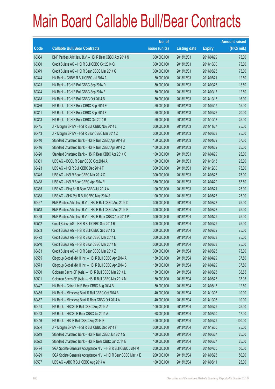|       |                                                                | No. of        |                     |               | <b>Amount raised</b> |
|-------|----------------------------------------------------------------|---------------|---------------------|---------------|----------------------|
| Code  | <b>Callable Bull/Bear Contracts</b>                            | issue (units) | <b>Listing date</b> | <b>Expiry</b> | (HK\$ mil.)          |
| 60364 | BNP Paribas Arbit Issu B.V. - HSI R Bear CBBC Apr 2014 N       | 300,000,000   | 2013/12/03          | 2014/04/29    | 75.00                |
| 60380 | Credit Suisse AG - HSI R Bull CBBC Oct 2014 Q                  | 300,000,000   | 2013/12/03          | 2014/10/30    | 75.00                |
| 60379 | Credit Suisse AG - HSI R Bear CBBC Mar 2014 G                  | 300,000,000   | 2013/12/03          | 2014/03/28    | 75.00                |
| 60344 | HK Bank - CNBM R Bull CBBC Jul 2014 A                          | 50,000,000    | 2013/12/03          | 2014/07/21    | 12.50                |
| 60323 | HK Bank - TCH R Bull CBBC Sep 2014 D                           | 50,000,000    | 2013/12/03          | 2014/09/26    | 13.50                |
| 60324 | HK Bank - TCH R Bull CBBC Sep 2014 E                           | 50,000,000    | 2013/12/03          | 2014/09/17    | 12.50                |
| 60318 | HK Bank - TCH R Bull CBBC Oct 2014 B                           | 50,000,000    | 2013/12/03          | 2014/10/13    | 16.00                |
| 60336 | HK Bank - TCH R Bear CBBC Sep 2014 E                           | 50,000,000    | 2013/12/03          | 2014/09/17    | 15.00                |
| 60341 | HK Bank - TCH R Bear CBBC Sep 2014 F                           | 50,000,000    | 2013/12/03          | 2014/09/26    | 20.00                |
| 60343 | HK Bank - TCH R Bear CBBC Oct 2014 B                           | 50,000,000    | 2013/12/03          | 2014/10/13    | 25.00                |
| 60445 | J P Morgan SP BV - HSI R Bull CBBC Nov 2014 L                  | 300,000,000   | 2013/12/03          | 2014/11/27    | 75.00                |
| 60443 | J P Morgan SP BV - HSI R Bear CBBC Mar 2014 Z                  | 300,000,000   | 2013/12/03          | 2014/03/28    | 75.00                |
| 60410 | Standard Chartered Bank - HSI R Bull CBBC Apr 2014 B           | 150,000,000   | 2013/12/03          | 2014/04/29    | 37.50                |
| 60416 | Standard Chartered Bank - HSI R Bull CBBC Apr 2014 C           | 100,000,000   | 2013/12/03          | 2014/04/29    | 25.00                |
| 60420 | Standard Chartered Bank - HSI R Bear CBBC Apr 2014 Q           | 100,000,000   | 2013/12/03          | 2014/04/29    | 25.00                |
| 60381 | UBS AG - BOCL R Bear CBBC Oct 2014 A                           | 100,000,000   | 2013/12/03          | 2014/10/13    | 25.00                |
| 60423 | UBS AG - HSI R Bull CBBC Dec 2014 F                            | 300,000,000   | 2013/12/03          | 2014/12/30    | 75.00                |
| 60345 | UBS AG - HSI R Bear CBBC Mar 2014 Q                            | 300,000,000   | 2013/12/03          | 2014/03/28    | 75.00                |
| 60438 | UBS AG - HSI R Bear CBBC Apr 2014 R                            | 350,000,000   | 2013/12/03          | 2014/04/29    | 87.50                |
| 60385 | UBS AG - Ping An R Bear CBBC Jul 2014 A                        | 100,000,000   | 2013/12/03          | 2014/07/21    | 25.00                |
| 60388 | UBS AG - SHK Ppt R Bull CBBC May 2014 A                        | 100,000,000   | 2013/12/03          | 2014/05/26    | 25.00                |
| 60467 | BNP Paribas Arbit Issu B.V. - HSI R Bull CBBC Aug 2014 D       | 300,000,000   | 2013/12/04          | 2014/08/28    | 75.00                |
| 60518 | BNP Paribas Arbit Issu B.V. - HSI R Bull CBBC Aug 2014 P       | 300,000,000   | 2013/12/04          | 2014/08/28    | 75.00                |
| 60469 | BNP Paribas Arbit Issu B.V. - HSI R Bear CBBC Apr 2014 P       | 300,000,000   | 2013/12/04          | 2014/04/29    | 75.00                |
| 60542 | Credit Suisse AG - HSI R Bull CBBC Sep 2014 R                  | 300,000,000   | 2013/12/04          | 2014/09/29    | 75.00                |
| 60553 | Credit Suisse AG - HSI R Bull CBBC Sep 2014 S                  | 300,000,000   | 2013/12/04          | 2014/09/29    | 75.00                |
| 60472 | Credit Suisse AG - HSI R Bear CBBC Mar 2014 L                  | 300,000,000   | 2013/12/04          | 2014/03/28    | 75.00                |
| 60540 | Credit Suisse AG - HSI R Bear CBBC Mar 2014 M                  | 300,000,000   | 2013/12/04          | 2014/03/28    | 75.00                |
| 60483 | Credit Suisse AG - HSI R Bear CBBC Mar 2014 Z                  | 300,000,000   | 2013/12/04          | 2014/03/28    | 75.00                |
| 60555 | Citigroup Global Mkt H Inc. - HSI R Bull CBBC Apr 2014 A       | 150,000,000   | 2013/12/04          | 2014/04/29    | 37.50                |
| 60573 | Citigroup Global Mkt H Inc. - HSI R Bull CBBC Apr 2014 B       | 150,000,000   | 2013/12/04          | 2014/04/29    | 37.50                |
| 60500 | Goldman Sachs SP (Asia) - HSI R Bull CBBC Mar 2014 L           | 150,000,000   | 2013/12/04          | 2014/03/28    | 38.55                |
| 60501 | Goldman Sachs SP (Asia) - HSI R Bull CBBC Mar 2014 M           | 150,000,000   | 2013/12/04          | 2014/03/28    | 37.95                |
| 60447 | HK Bank - China Life R Bear CBBC Aug 2014 B                    | 50,000,000    | 2013/12/04          | 2014/08/18    | 12.50                |
| 60455 | HK Bank - Minsheng Bank R Bull CBBC Oct 2014 B                 | 40,000,000    | 2013/12/04          | 2014/10/06    | 10.00                |
| 60457 | HK Bank - Minsheng Bank R Bear CBBC Oct 2014 A                 | 40,000,000    | 2013/12/04          | 2014/10/06    | 10.00                |
| 60454 | HK Bank - HSCEI R Bull CBBC Sep 2014 A                         | 100,000,000   | 2013/12/04          | 2014/09/29    | 25.00                |
| 60453 | HK Bank - HSCEI R Bear CBBC Jul 2014 A                         | 68,000,000    | 2013/12/04          | 2014/07/30    | 17.00                |
| 60446 | HK Bank - HSI R Bull CBBC Sep 2014 B                           | 400,000,000   | 2013/12/04          | 2014/09/29    | 100.00               |
| 60554 | J P Morgan SP BV - HSI R Bull CBBC Dec 2014 F                  | 300,000,000   | 2013/12/04          | 2014/12/30    | 75.00                |
| 60519 | Standard Chartered Bank - HSI R Bull CBBC Jun 2014 G           | 100,000,000   | 2013/12/04          | 2014/06/27    | 25.00                |
| 60522 | Standard Chartered Bank - HSI R Bear CBBC Jun 2014 E           | 100,000,000   | 2013/12/04          | 2014/06/27    | 25.00                |
| 60494 | SGA Societe Generale Acceptance N.V. - HSI R Bull CBBC Jul14 M | 200,000,000   | 2013/12/04          | 2014/07/30    | 50.00                |
| 60499 | SGA Societe Generale Acceptance N.V. - HSI R Bear CBBC Mar14 E | 200,000,000   | 2013/12/04          | 2014/03/28    | 50.00                |
| 60507 | UBS AG - ABC R Bull CBBC Aug 2014 A                            | 100,000,000   | 2013/12/04          | 2014/08/11    | 25.00                |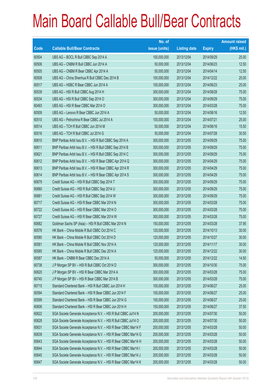|       |                                                                | No. of        |                     |               | <b>Amount raised</b> |
|-------|----------------------------------------------------------------|---------------|---------------------|---------------|----------------------|
| Code  | <b>Callable Bull/Bear Contracts</b>                            | issue (units) | <b>Listing date</b> | <b>Expiry</b> | (HK\$ mil.)          |
| 60504 | UBS AG - BOCL R Bull CBBC Sep 2014 A                           | 100,000,000   | 2013/12/04          | 2014/09/29    | 25.00                |
| 60506 | UBS AG - CNBM R Bull CBBC Jun 2014 A                           | 50,000,000    | 2013/12/04          | 2014/06/23    | 12.50                |
| 60505 | UBS AG - CNBM R Bear CBBC Apr 2014 A                           | 50,000,000    | 2013/12/04          | 2014/04/14    | 12.50                |
| 60508 | UBS AG - China Shenhua R Bull CBBC Dec 2014 B                  | 100,000,000   | 2013/12/04          | 2014/12/22    | 25.00                |
| 60517 | UBS AG - HSBC R Bear CBBC Jun 2014 A                           | 100,000,000   | 2013/12/04          | 2014/06/23    | 25.00                |
| 60539 | UBS AG - HSI R Bull CBBC Aug 2014 H                            | 300,000,000   | 2013/12/04          | 2014/08/28    | 75.00                |
| 60534 | UBS AG - HSI R Bull CBBC Sep 2014 O                            | 300,000,000   | 2013/12/04          | 2014/09/29    | 75.00                |
| 60493 | UBS AG - HSI R Bear CBBC Mar 2014 O                            | 300,000,000   | 2013/12/04          | 2014/03/28    | 75.00                |
| 60509 | UBS AG - Lenovo R Bear CBBC Jun 2014 A                         | 50,000,000    | 2013/12/04          | 2014/06/16    | 12.50                |
| 60510 | UBS AG - Petrochina R Bear CBBC Jul 2014 A                     | 100,000,000   | 2013/12/04          | 2014/07/21    | 25.00                |
| 60514 | UBS AG - TCH R Bull CBBC Jun 2014 M                            | 50,000,000    | 2013/12/04          | 2014/06/16    | 15.50                |
| 60516 | UBS AG - TCH R Bull CBBC Jul 2014 G                            | 50,000,000    | 2013/12/04          | 2014/07/28    | 30.50                |
| 60610 | BNP Paribas Arbit Issu B.V. - HSI R Bull CBBC Sep 2014 A       | 300,000,000   | 2013/12/05          | 2014/09/29    | 75.00                |
| 60611 | BNP Paribas Arbit Issu B.V. - HSI R Bull CBBC Sep 2014 B       | 300,000,000   | 2013/12/05          | 2014/09/29    | 75.00                |
| 60621 | BNP Paribas Arbit Issu B.V. - HSI R Bull CBBC Sep 2014 C       | 300,000,000   | 2013/12/05          | 2014/09/29    | 75.00                |
| 60612 | BNP Paribas Arbit Issu B.V. - HSI R Bear CBBC Apr 2014 Q       | 300,000,000   | 2013/12/05          | 2014/04/29    | 75.00                |
| 60613 | BNP Paribas Arbit Issu B.V. - HSI R Bear CBBC Apr 2014 R       | 300,000,000   | 2013/12/05          | 2014/04/29    | 75.00                |
| 60614 | BNP Paribas Arbit Issu B.V. - HSI R Bear CBBC Apr 2014 S       | 300,000,000   | 2013/12/05          | 2014/04/29    | 75.00                |
| 60679 | Credit Suisse AG - HSI R Bull CBBC Sep 2014 T                  | 300,000,000   | 2013/12/05          | 2014/09/29    | 75.00                |
| 60680 | Credit Suisse AG - HSI R Bull CBBC Sep 2014 U                  | 300,000,000   | 2013/12/05          | 2014/09/29    | 75.00                |
| 60681 | Credit Suisse AG - HSI R Bull CBBC Sep 2014 W                  | 300,000,000   | 2013/12/05          | 2014/09/29    | 75.00                |
| 60717 | Credit Suisse AG - HSI R Bear CBBC Mar 2014 N                  | 300,000,000   | 2013/12/05          | 2014/03/28    | 75.00                |
| 60722 | Credit Suisse AG - HSI R Bear CBBC Mar 2014 O                  | 300,000,000   | 2013/12/05          | 2014/03/28    | 75.00                |
| 60727 | Credit Suisse AG - HSI R Bear CBBC Mar 2014 W                  | 300,000,000   | 2013/12/05          | 2014/03/28    | 75.00                |
| 60682 | Goldman Sachs SP (Asia) - HSI R Bull CBBC Mar 2014 N           | 150,000,000   | 2013/12/05          | 2014/03/28    | 37.95                |
| 60576 | HK Bank - China Mobile R Bull CBBC Oct 2014 C                  | 120,000,000   | 2013/12/05          | 2014/10/13    | 30.00                |
| 60580 | HK Bank - China Mobile R Bull CBBC Oct 2014 D                  | 120,000,000   | 2013/12/05          | 2014/10/27    | 30.00                |
| 60581 | HK Bank - China Mobile R Bull CBBC Nov 2014 A                  | 120,000,000   | 2013/12/05          | 2014/11/17    | 30.00                |
| 60585 | HK Bank - China Mobile R Bull CBBC Dec 2014 A                  | 120,000,000   | 2013/12/05          | 2014/12/22    | 30.00                |
| 60587 | HK Bank - CNBM R Bear CBBC Dec 2014 A                          | 50,000,000    | 2013/12/05          | 2014/12/22    | 14.50                |
| 60738 | J P Morgan SP BV - HSI R Bull CBBC Oct 2014 D                  | 300,000,000   | 2013/12/05          | 2014/10/30    | 75.00                |
| 60620 | J P Morgan SP BV - HSI R Bear CBBC Mar 2014 A                  | 300,000,000   | 2013/12/05          | 2014/03/28    | 75.00                |
| 60740 | J P Morgan SP BV - HSI R Bear CBBC Mar 2014 B                  | 300,000,000   | 2013/12/05          | 2014/03/28    | 75.00                |
| 60715 | Standard Chartered Bank - HSI R Bull CBBC Jun 2014 H           | 100,000,000   | 2013/12/05          | 2014/06/27    | 25.00                |
| 60594 | Standard Chartered Bank - HSI R Bear CBBC Jun 2014 F           | 100,000,000   | 2013/12/05          | 2014/06/27    | 25.00                |
| 60599 | Standard Chartered Bank - HSI R Bear CBBC Jun 2014 G           | 100,000,000   | 2013/12/05          | 2014/06/27    | 25.00                |
| 60606 | Standard Chartered Bank - HSI R Bear CBBC Jun 2014 H           | 150,000,000   | 2013/12/05          | 2014/06/27    | 37.50                |
| 60622 | SGA Societe Generale Acceptance N.V. - HSI R Bull CBBC Jul14 N | 200,000,000   | 2013/12/05          | 2014/07/30    | 50.00                |
| 60628 | SGA Societe Generale Acceptance N.V. - HSI R Bull CBBC Jul14 O | 200,000,000   | 2013/12/05          | 2014/07/30    | 50.00                |
| 60631 | SGA Societe Generale Acceptance N.V. - HSI R Bear CBBC Mar14 F | 200,000,000   | 2013/12/05          | 2014/03/28    | 50.00                |
| 60639 | SGA Societe Generale Acceptance N.V. - HSI R Bear CBBC Mar14 G | 200,000,000   | 2013/12/05          | 2014/03/28    | 50.00                |
| 60643 | SGA Societe Generale Acceptance N.V. - HSI R Bear CBBC Mar14 H | 200,000,000   | 2013/12/05          | 2014/03/28    | 50.00                |
| 60644 | SGA Societe Generale Acceptance N.V. - HSI R Bear CBBC Mar14 I | 200,000,000   | 2013/12/05          | 2014/03/28    | 50.00                |
| 60645 | SGA Societe Generale Acceptance N.V. - HSI R Bear CBBC Mar14 J | 200,000,000   | 2013/12/05          | 2014/03/28    | 50.00                |
| 60647 | SGA Societe Generale Acceptance N.V. - HSI R Bear CBBC Mar14 K | 200,000,000   | 2013/12/05          | 2014/03/28    | 50.00                |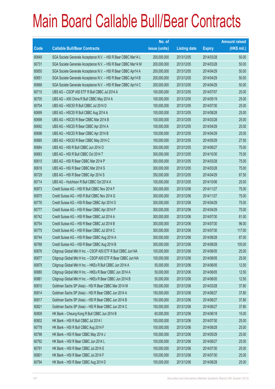| No. of                                                                                               |               | <b>Amount raised</b> |
|------------------------------------------------------------------------------------------------------|---------------|----------------------|
| issue (units)<br>Code<br><b>Callable Bull/Bear Contracts</b><br><b>Listing date</b>                  | <b>Expiry</b> | $(HK$$ mil.)         |
| 60649<br>SGA Societe Generale Acceptance N.V. - HSI R Bear CBBC Mar14 L<br>200,000,000<br>2013/12/05 | 2014/03/28    | 50.00                |
| 60731<br>SGA Societe Generale Acceptance N.V. - HSI R Bear CBBC Mar14 M<br>200,000,000<br>2013/12/05 | 2014/03/28    | 50.00                |
| 60650<br>SGA Societe Generale Acceptance N.V. - HSI R Bear CBBC Apr14 A<br>200,000,000<br>2013/12/05 | 2014/04/29    | 50.00                |
| 60651<br>SGA Societe Generale Acceptance N.V. - HSI R Bear CBBC Apr14 B<br>200,000,000<br>2013/12/05 | 2014/04/29    | 50.00                |
| 60668<br>SGA Societe Generale Acceptance N.V. - HSI R Bear CBBC Apr14 C<br>200,000,000<br>2013/12/05 | 2014/04/29    | 50.00                |
| 60710<br>UBS AG - CSOP A50 ETF R Bull CBBC Jul 2014 A<br>100,000,000<br>2013/12/05                   | 2014/07/07    | 25.00                |
| 60705<br>UBS AG - A50 China R Bull CBBC May 2014 A<br>100,000,000<br>2013/12/05                      | 2014/05/19    | 25.00                |
| 60704<br>UBS AG - HSCEI R Bull CBBC Jul 2014 D<br>100,000,000<br>2013/12/05                          | 2014/07/30    | 25.00                |
| 60699<br>UBS AG - HSCEI R Bull CBBC Aug 2014 A<br>100,000,000<br>2013/12/05                          | 2014/08/28    | 25.00                |
| 60698<br>UBS AG - HSCEI R Bear CBBC Mar 2014 B<br>100,000,000<br>2013/12/05                          | 2014/03/28    | 25.00                |
| 60692<br>UBS AG - HSCEI R Bear CBBC Apr 2014 A<br>100,000,000<br>2013/12/05                          | 2014/04/29    | 25.00                |
| 60696<br>UBS AG - HSCEIR Bear CBBC Apr 2014 B<br>100,000,000<br>2013/12/05                           | 2014/04/29    | 25.00                |
| UBS AG - HSCEI R Bear CBBC May 2014 C<br>60685<br>100,000,000<br>2013/12/05                          | 2014/05/29    | 27.50                |
| 60684<br>UBS AG - HSI R Bull CBBC Jun 2014 O<br>300,000,000<br>2013/12/05                            | 2014/06/27    | 75.00                |
| 60683<br>UBS AG - HSI R Bull CBBC Oct 2014 T<br>300,000,000<br>2013/12/05                            | 2014/10/30    | 75.00                |
| 60615<br>UBS AG - HSI R Bear CBBC Mar 2014 P<br>300,000,000<br>2013/12/05                            | 2014/03/28    | 75.00                |
| 60616<br>UBS AG - HSI R Bear CBBC Mar 2014 S<br>300,000,000<br>2013/12/05                            | 2014/03/28    | 75.00                |
| 60729<br>UBS AG - HSI R Bear CBBC Apr 2014 S<br>350,000,000<br>2013/12/05                            | 2014/04/29    | 87.50                |
| 60714<br>UBS AG - Hutchison R Bull CBBC Oct 2014 A<br>100,000,000<br>2013/12/05                      | 2014/10/06    | 25.00                |
| 60873<br>Credit Suisse AG - HSI R Bull CBBC Nov 2014 F<br>300,000,000<br>2013/12/06                  | 2014/11/27    | 75.00                |
| 60875<br>Credit Suisse AG - HSI R Bull CBBC Nov 2014 G<br>300,000,000<br>2013/12/06                  | 2014/11/27    | 75.00                |
| 60776<br>Credit Suisse AG - HSI R Bear CBBC Apr 2014 O<br>300,000,000<br>2013/12/06                  | 2014/04/29    | 75.00                |
| 60777<br>Credit Suisse AG - HSI R Bear CBBC Apr 2014 P<br>300,000,000<br>2013/12/06                  | 2014/04/29    | 75.00                |
| 60742<br>Credit Suisse AG - HSI R Bear CBBC Jul 2014 A<br>300,000,000<br>2013/12/06                  | 2014/07/30    | 81.00                |
| 60754<br>Credit Suisse AG - HSI R Bear CBBC Jul 2014 B<br>300,000,000<br>2013/12/06                  | 2014/07/30    | 96.00                |
| 60775<br>Credit Suisse AG - HSI R Bear CBBC Jul 2014 C<br>300,000,000<br>2013/12/06                  | 2014/07/30    | 117.00               |
| 60744<br>Credit Suisse AG - HSI R Bear CBBC Aug 2014 A<br>300,000,000<br>2013/12/06                  | 2014/08/28    | 87.00                |
| 60768<br>300,000,000<br>2013/12/06<br>Credit Suisse AG - HSI R Bear CBBC Aug 2014 B                  | 2014/08/28    | 105.00               |
| Citigroup Global Mkt H Inc. - CSOP A50 ETF R Bull CBBC Jun14A<br>60876<br>100,000,000<br>2013/12/06  | 2014/06/05    | 25.00                |
| 60877<br>Citigroup Global Mkt H Inc. - CSOP A50 ETF R Bear CBBC Jun14A<br>100,000,000<br>2013/12/06  | 2014/06/05    | 25.00                |
| 60879<br>Citigroup Global Mkt H Inc. - HKEx R Bull CBBC Jun 2014 A<br>50,000,000<br>2013/12/06       | 2014/06/05    | 12.50                |
| 60880<br>Citigroup Global Mkt H Inc. - HKEx R Bear CBBC Jun 2014 A<br>50,000,000<br>2013/12/06       | 2014/06/05    | 12.50                |
| 60881<br>Citigroup Global Mkt H Inc. - HKEx R Bear CBBC Jun 2014 B<br>50,000,000<br>2013/12/06       | 2014/06/05    | 12.50                |
| 60810<br>Goldman Sachs SP (Asia) - HSI R Bear CBBC Mar 2014 M<br>150,000,000<br>2013/12/06           | 2014/03/28    | 37.80                |
| 60814<br>Goldman Sachs SP (Asia) - HSI R Bear CBBC Jun 2014 A<br>2013/12/06<br>150,000,000           | 2014/06/27    | 37.80                |
| 60817<br>Goldman Sachs SP (Asia) - HSI R Bear CBBC Jun 2014 B<br>150,000,000<br>2013/12/06           | 2014/06/27    | 37.80                |
| 60821<br>Goldman Sachs SP (Asia) - HSI R Bear CBBC Jun 2014 C<br>2013/12/06<br>150,000,000           | 2014/06/27    | 37.80                |
| 60809<br>HK Bank - Cheung Kong R Bull CBBC Jun 2014 B<br>60,000,000<br>2013/12/06                    | 2014/06/18    | 15.00                |
| 60802<br>HK Bank - HSI R Bull CBBC Jul 2014 I<br>100,000,000<br>2013/12/06                           | 2014/07/30    | 25.00                |
| 60778<br>HK Bank - HSI R Bull CBBC Aug 2014 F<br>100,000,000<br>2013/12/06                           | 2014/08/28    | 25.00                |
| 60798<br>HK Bank - HSI R Bear CBBC May 2014 J<br>100,000,000<br>2013/12/06                           | 2014/05/29    | 25.00                |
| 60792<br>HK Bank - HSI R Bear CBBC Jun 2014 L<br>100,000,000<br>2013/12/06                           | 2014/06/27    | 25.00                |
| 60791<br>HK Bank - HSI R Bear CBBC Jul 2014 E<br>100,000,000<br>2013/12/06                           | 2014/07/30    | 25.00                |
| 60801<br>HK Bank - HSI R Bear CBBC Jul 2014 F<br>100,000,000<br>2013/12/06                           | 2014/07/30    | 25.00                |
| 60794<br>HK Bank - HSI R Bear CBBC Aug 2014 D<br>100,000,000<br>2013/12/06                           | 2014/08/28    | 25.00                |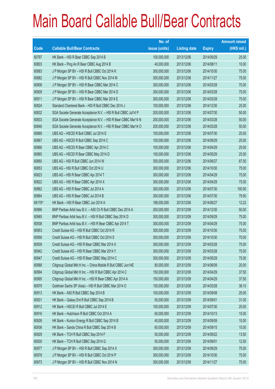|        |                                                                | No. of        |                     |               | <b>Amount raised</b> |
|--------|----------------------------------------------------------------|---------------|---------------------|---------------|----------------------|
| Code   | <b>Callable Bull/Bear Contracts</b>                            | issue (units) | <b>Listing date</b> | <b>Expiry</b> | $(HK$$ mil.)         |
| 60797  | HK Bank - HSI R Bear CBBC Sep 2014 B                           | 100,000,000   | 2013/12/06          | 2014/09/29    | 25.00                |
| 60803  | HK Bank - Ping An R Bear CBBC Aug 2014 B                       | 40,000,000    | 2013/12/06          | 2014/08/11    | 10.00                |
| 60883  | J P Morgan SP BV - HSI R Bull CBBC Oct 2014 K                  | 300,000,000   | 2013/12/06          | 2014/10/30    | 75.00                |
| 60882  | J P Morgan SP BV - HSI R Bull CBBC Nov 2014 M                  | 300,000,000   | 2013/12/06          | 2014/11/27    | 75.00                |
| 60906  | J P Morgan SP BV - HSI R Bear CBBC Mar 2014 C                  | 300,000,000   | 2013/12/06          | 2014/03/28    | 75.00                |
| 60909  | J P Morgan SP BV - HSI R Bear CBBC Mar 2014 D                  | 300,000,000   | 2013/12/06          | 2014/03/28    | 75.00                |
| 60911  | J P Morgan SP BV - HSI R Bear CBBC Mar 2014 E                  | 300,000,000   | 2013/12/06          | 2014/03/28    | 75.00                |
| 60824  | Standard Chartered Bank - HSI R Bull CBBC Dec 2014 J           | 100,000,000   | 2013/12/06          | 2014/12/30    | 25.00                |
| 60832  | SGA Societe Generale Acceptance N.V. - HSI R Bull CBBC Jul14 P | 200,000,000   | 2013/12/06          | 2014/07/30    | 50.00                |
| 60833  | SGA Societe Generale Acceptance N.V. - HSI R Bear CBBC Mar14 N | 200,000,000   | 2013/12/06          | 2014/03/28    | 50.00                |
| 60846  | SGA Societe Generale Acceptance N.V. - HSI R Bear CBBC Mar14 O | 200,000,000   | 2013/12/06          | 2014/03/28    | 50.00                |
| 60869  | UBS AG - HSCEI R Bull CBBC Jul 2014 E                          | 100,000,000   | 2013/12/06          | 2014/07/30    | 25.00                |
| 60867  | UBS AG - HSCEI R Bull CBBC Sep 2014 C                          | 100,000,000   | 2013/12/06          | 2014/09/29    | 25.00                |
| 60866  | UBS AG - HSCEIR Bear CBBC Apr 2014 C                           | 100,000,000   | 2013/12/06          | 2014/04/29    | 25.00                |
| 60865  | UBS AG - HSCEI R Bear CBBC May 2014 D                          | 100,000,000   | 2013/12/06          | 2014/05/29    | 25.00                |
| 60860  | UBS AG - HSI R Bull CBBC Jun 2014 W                            | 350,000,000   | 2013/12/06          | 2014/06/27    | 87.50                |
| 60853  | UBS AG - HSI R Bull CBBC Oct 2014 U                            | 300,000,000   | 2013/12/06          | 2014/10/30    | 75.00                |
| 60823  | UBS AG - HSI R Bear CBBC Apr 2014 T                            | 300,000,000   | 2013/12/06          | 2014/04/29    | 75.00                |
| 60822  | UBS AG - HSI R Bear CBBC Apr 2014 X                            | 300,000,000   | 2013/12/06          | 2014/04/29    | 75.00                |
| 60862  | UBS AG - HSI R Bear CBBC Jul 2014 A                            | 300,000,000   | 2013/12/06          | 2014/07/30    | 100.50               |
| 60864  | UBS AG - HSI R Bear CBBC Jul 2014 B                            | 300,000,000   | 2013/12/06          | 2014/07/30    | 79.50                |
| 69178# | HK Bank - HSI R Bear CBBC Jun 2014 A                           | 188,000,000   | 2013/12/06          | 2014/06/27    | 12.22                |
| 60966  | BNP Paribas Arbit Issu B.V. - A50 Ch R Bull CBBC Dec 2014 A    | 200,000,000   | 2013/12/09          | 2014/12/30    | 50.00                |
| 60965  | BNP Paribas Arbit Issu B.V. - HSI R Bull CBBC Sep 2014 D       | 300,000,000   | 2013/12/09          | 2014/09/29    | 75.00                |
| 60938  | BNP Paribas Arbit Issu B.V. - HSI R Bear CBBC Apr 2014 T       | 300,000,000   | 2013/12/09          | 2014/04/29    | 75.00                |
| 60953  | Credit Suisse AG - HSI R Bull CBBC Oct 2014 R                  | 300,000,000   | 2013/12/09          | 2014/10/30    | 75.00                |
| 60958  | Credit Suisse AG - HSI R Bull CBBC Oct 2014 S                  | 300,000,000   | 2013/12/09          | 2014/10/30    | 75.00                |
| 60939  | Credit Suisse AG - HSI R Bear CBBC Mar 2014 X                  | 300,000,000   | 2013/12/09          | 2014/03/28    | 75.00                |
| 60942  | Credit Suisse AG - HSI R Bear CBBC Mar 2014 Y                  | 300,000,000   | 2013/12/09          | 2014/03/28    | 75.00                |
| 60947  | Credit Suisse AG - HSI R Bear CBBC May 2014 C                  | 300,000,000   | 2013/12/09          | 2014/05/29    | 75.00                |
| 60988  | Citigroup Global Mkt H Inc. - China Mobile R Bull CBBC Jun14E  | 80,000,000    | 2013/12/09          | 2014/06/09    | 20.00                |
| 60994  | Citigroup Global Mkt H Inc. - HSI R Bull CBBC Apr 2014 C       | 150,000,000   | 2013/12/09          | 2014/04/29    | 37.50                |
| 60995  | Citigroup Global Mkt H Inc. - HSI R Bear CBBC Apr 2014 A       | 150,000,000   | 2013/12/09          | 2014/04/29    | 37.50                |
| 60979  | Goldman Sachs SP (Asia) - HSI R Bull CBBC Mar 2014 O           | 150,000,000   | 2013/12/09          | 2014/03/28    | 38.10                |
| 60913  | HK Bank - A50 R Bull CBBC Sep 2014 B                           | 100,000,000   | 2013/12/09          | 2014/09/08    | 25.00                |
| 60931  | HK Bank - Galaxy Ent R Bull CBBC Sep 2014 B                    | 50,000,000    | 2013/12/09          | 2014/09/01    | 31.00                |
| 60912  | HK Bank - HSCEI R Bull CBBC Jul 2014 E                         | 100,000,000   | 2013/12/09          | 2014/07/30    | 25.00                |
| 60916  | HK Bank - Hutchison R Bull CBBC Oct 2014 A                     | 60,000,000    | 2013/12/09          | 2014/10/13    | 15.00                |
| 60926  | HK Bank - Kunlun Energy R Bull CBBC Sep 2014 B                 | 40,000,000    | 2013/12/09          | 2014/09/08    | 10.00                |
| 60936  | HK Bank - Sands China R Bull CBBC Sep 2014 B                   | 60,000,000    | 2013/12/09          | 2014/09/15    | 15.00                |
| 60929  | HK Bank - TCH R Bull CBBC Sep 2014 F                           | 50,000,000    | 2013/12/09          | 2014/09/22    | 13.50                |
| 60930  | HK Bank - TCH R Bull CBBC Sep 2014 G                           | 50,000,000    | 2013/12/09          | 2014/09/01    | 12.50                |
| 60977  | J P Morgan SP BV - HSI R Bull CBBC Sep 2014 X                  | 300,000,000   | 2013/12/09          | 2014/09/29    | 75.00                |
| 60978  | J P Morgan SP BV - HSI R Bull CBBC Oct 2014 P                  | 300,000,000   | 2013/12/09          | 2014/10/30    | 75.00                |
| 60973  | J P Morgan SP BV - HSI R Bull CBBC Nov 2014 N                  | 300,000,000   | 2013/12/09          | 2014/11/27    | 75.00                |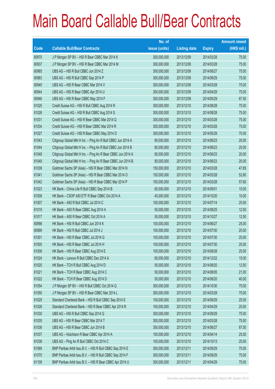|       |                                                              | No. of        |                     |               | <b>Amount raised</b> |
|-------|--------------------------------------------------------------|---------------|---------------------|---------------|----------------------|
| Code  | <b>Callable Bull/Bear Contracts</b>                          | issue (units) | <b>Listing date</b> | <b>Expiry</b> | $(HK$$ mil.)         |
| 60970 | J P Morgan SP BV - HSI R Bear CBBC Mar 2014 K                | 300,000,000   | 2013/12/09          | 2014/03/28    | 75.00                |
| 60937 | J P Morgan SP BV - HSI R Bear CBBC Mar 2014 M                | 300,000,000   | 2013/12/09          | 2014/03/28    | 75.00                |
| 60985 | UBS AG - HSI R Bull CBBC Jun 2014 Z                          | 300,000,000   | 2013/12/09          | 2014/06/27    | 75.00                |
| 60983 | UBS AG - HSI R Bull CBBC Sep 2014 P                          | 300,000,000   | 2013/12/09          | 2014/09/29    | 75.00                |
| 60945 | UBS AG - HSI R Bear CBBC Mar 2014 V                          | 300,000,000   | 2013/12/09          | 2014/03/28    | 75.00                |
| 60944 | UBS AG - HSI R Bear CBBC Apr 2014 U                          | 300,000,000   | 2013/12/09          | 2014/04/29    | 75.00                |
| 60946 | UBS AG - HSI R Bear CBBC May 2014 F                          | 350,000,000   | 2013/12/09          | 2014/05/29    | 87.50                |
| 61025 | Credit Suisse AG - HSI R Bull CBBC Aug 2014 R                | 300,000,000   | 2013/12/10          | 2014/08/28    | 75.00                |
| 61026 | Credit Suisse AG - HSI R Bull CBBC Aug 2014 S                | 300,000,000   | 2013/12/10          | 2014/08/28    | 75.00                |
| 61031 | Credit Suisse AG - HSI R Bear CBBC Mar 2014 Q                | 300,000,000   | 2013/12/10          | 2014/03/28    | 75.00                |
| 61034 | Credit Suisse AG - HSI R Bear CBBC Mar 2014 R                | 300,000,000   | 2013/12/10          | 2014/03/28    | 75.00                |
| 61027 | Credit Suisse AG - HSI R Bear CBBC May 2014 D                | 300,000,000   | 2013/12/10          | 2014/05/29    | 75.00                |
| 61043 | Citigroup Global Mkt H Inc. - Ping An R Bull CBBC Jun 2014 A | 80,000,000    | 2013/12/10          | 2014/06/23    | 20.00                |
| 61044 | Citigroup Global Mkt H Inc. - Ping An R Bull CBBC Jun 2014 B | 80,000,000    | 2013/12/10          | 2014/06/23    | 20.00                |
| 61048 | Citigroup Global Mkt H Inc. - Ping An R Bear CBBC Jun 2014 A | 80,000,000    | 2013/12/10          | 2014/06/23    | 20.00                |
| 61049 | Citigroup Global Mkt H Inc. - Ping An R Bear CBBC Jun 2014 B | 80,000,000    | 2013/12/10          | 2014/06/23    | 20.00                |
| 61039 | Goldman Sachs SP (Asia) - HSI R Bear CBBC Mar 2014 N         | 150,000,000   | 2013/12/10          | 2014/03/28    | 47.85                |
| 61041 | Goldman Sachs SP (Asia) - HSI R Bear CBBC Mar 2014 O         | 150,000,000   | 2013/12/10          | 2014/03/28    | 52.80                |
| 61042 | Goldman Sachs SP (Asia) - HSI R Bear CBBC Mar 2014 P         | 150,000,000   | 2013/12/10          | 2014/03/28    | 57.60                |
| 61023 | HK Bank - China Life R Bull CBBC Sep 2014 B                  | 60,000,000    | 2013/12/10          | 2014/09/01    | 15.00                |
| 61008 | HK Bank - CSOP A50 ETF R Bear CBBC Oct 2014 A                | 40,000,000    | 2013/12/10          | 2014/10/20    | 10.00                |
| 61007 | HK Bank - A50 R Bull CBBC Jul 2014 C                         | 100,000,000   | 2013/12/10          | 2014/07/14    | 25.00                |
| 61019 | HK Bank - A50 R Bear CBBC Aug 2014 A                         | 50,000,000    | 2013/12/10          | 2014/08/25    | 12.50                |
| 61017 | HK Bank - A50 R Bear CBBC Oct 2014 A                         | 50,000,000    | 2013/12/10          | 2014/10/27    | 12.50                |
| 60998 | HK Bank - HSI R Bull CBBC Jun 2014 K                         | 100,000,000   | 2013/12/10          | 2014/06/27    | 25.00                |
| 60999 | HK Bank - HSI R Bull CBBC Jul 2014 J                         | 100,000,000   | 2013/12/10          | 2014/07/30    | 25.00                |
| 61001 | HK Bank - HSI R Bear CBBC Jul 2014 G                         | 100,000,000   | 2013/12/10          | 2014/07/30    | 25.00                |
| 61005 | HK Bank - HSI R Bear CBBC Jul 2014 H                         | 100,000,000   | 2013/12/10          | 2014/07/30    | 25.00                |
| 61006 | HK Bank - HSI R Bear CBBC Aug 2014 E                         | 100,000,000   | 2013/12/10          | 2014/08/28    | 25.00                |
| 61024 | HK Bank - Lenovo R Bull CBBC Dec 2014 A                      | 60,000,000    | 2013/12/10          | 2014/12/22    | 15.00                |
| 61020 | HK Bank - TCH R Bull CBBC Aug 2014 D                         | 50,000,000    | 2013/12/10          | 2014/08/20    | 12.50                |
| 61021 | HK Bank - TCH R Bear CBBC Aug 2014 C                         | 50,000,000    | 2013/12/10          | 2014/08/05    | 21.00                |
| 61022 | HK Bank - TCH R Bear CBBC Aug 2014 D                         | 50,000,000    | 2013/12/10          | 2014/08/20    | 40.00                |
| 61054 | J P Morgan SP BV - HSI R Bull CBBC Oct 2014 Q                | 300,000,000   | 2013/12/10          | 2014/10/30    | 75.00                |
| 61050 | J P Morgan SP BV - HSI R Bear CBBC Mar 2014 L                | 300,000,000   | 2013/12/10          | 2014/03/28    | 75.00                |
| 61029 | Standard Chartered Bank - HSI R Bull CBBC Sep 2014 E         | 100,000,000   | 2013/12/10          | 2014/09/29    | 25.00                |
| 61028 | Standard Chartered Bank - HSI R Bear CBBC Apr 2014 R         | 100,000,000   | 2013/12/10          | 2014/04/29    | 25.00                |
| 61030 | UBS AG - HSI R Bull CBBC Sep 2014 Q                          | 300,000,000   | 2013/12/10          | 2014/09/29    | 75.00                |
| 61035 | UBS AG - HSI R Bear CBBC Mar 2014 T                          | 300,000,000   | 2013/12/10          | 2014/03/28    | 75.00                |
| 61036 | UBS AG - HSI R Bear CBBC Jun 2014 B                          | 350,000,000   | 2013/12/10          | 2014/06/27    | 87.50                |
| 61037 | UBS AG - Hutchison R Bear CBBC Apr 2014 A                    | 100,000,000   | 2013/12/10          | 2014/04/14    | 25.00                |
| 61038 | UBS AG - Ping An R Bull CBBC Oct 2014 C                      | 100,000,000   | 2013/12/10          | 2014/10/13    | 25.00                |
| 61069 | BNP Paribas Arbit Issu B.V. - HSI R Bull CBBC Sep 2014 E     | 300,000,000   | 2013/12/11          | 2014/09/29    | 75.00                |
| 61070 | BNP Paribas Arbit Issu B.V. - HSI R Bull CBBC Sep 2014 F     | 300,000,000   | 2013/12/11          | 2014/09/29    | 75.00                |
| 61109 | BNP Paribas Arbit Issu B.V. - HSI R Bear CBBC Apr 2014 U     | 300,000,000   | 2013/12/11          | 2014/04/29    | 75.00                |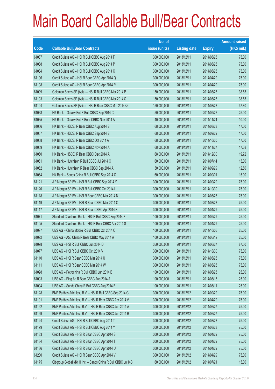|       |                                                              | No. of        |                     |               | <b>Amount raised</b> |
|-------|--------------------------------------------------------------|---------------|---------------------|---------------|----------------------|
| Code  | <b>Callable Bull/Bear Contracts</b>                          | issue (units) | <b>Listing date</b> | <b>Expiry</b> | (HK\$ mil.)          |
| 61087 | Credit Suisse AG - HSI R Bull CBBC Aug 2014 F                | 300,000,000   | 2013/12/11          | 2014/08/28    | 75.00                |
| 61088 | Credit Suisse AG - HSI R Bull CBBC Aug 2014 P                | 300,000,000   | 2013/12/11          | 2014/08/28    | 75.00                |
| 61084 | Credit Suisse AG - HSI R Bull CBBC Aug 2014 X                | 300,000,000   | 2013/12/11          | 2014/08/28    | 75.00                |
| 61106 | Credit Suisse AG - HSI R Bear CBBC Apr 2014 Q                | 300,000,000   | 2013/12/11          | 2014/04/29    | 75.00                |
| 61108 | Credit Suisse AG - HSI R Bear CBBC Apr 2014 R                | 300,000,000   | 2013/12/11          | 2014/04/29    | 75.00                |
| 61099 | Goldman Sachs SP (Asia) - HSI R Bull CBBC Mar 2014 P         | 150,000,000   | 2013/12/11          | 2014/03/28    | 38.55                |
| 61103 | Goldman Sachs SP (Asia) - HSI R Bull CBBC Mar 2014 Q         | 150,000,000   | 2013/12/11          | 2014/03/28    | 38.55                |
| 61104 | Goldman Sachs SP (Asia) - HSI R Bear CBBC Mar 2014 Q         | 150,000,000   | 2013/12/11          | 2014/03/28    | 37.80                |
| 61068 | HK Bank - Galaxy Ent R Bull CBBC Sep 2014 C                  | 50,000,000    | 2013/12/11          | 2014/09/22    | 25.00                |
| 61065 | HK Bank - Galaxy Ent R Bear CBBC Nov 2014 A                  | 40,000,000    | 2013/12/11          | 2014/11/24    | 10.00                |
| 61056 | HK Bank - HSCEI R Bear CBBC Aug 2014 B                       | 68,000,000    | 2013/12/11          | 2014/08/28    | 17.00                |
| 61057 | HK Bank - HSCEI R Bear CBBC Sep 2014 B                       | 68,000,000    | 2013/12/11          | 2014/09/29    | 17.00                |
| 61058 | HK Bank - HSCEI R Bear CBBC Oct 2014 A                       | 68,000,000    | 2013/12/11          | 2014/10/30    | 17.00                |
| 61059 | HK Bank - HSCEI R Bear CBBC Nov 2014 A                       | 68,000,000    | 2013/12/11          | 2014/11/27    | 17.68                |
| 61060 | HK Bank - HSCEI R Bear CBBC Dec 2014 A                       | 68,000,000    | 2013/12/11          | 2014/12/30    | 19.72                |
| 61061 | HK Bank - Hutchison R Bull CBBC Jul 2014 C                   | 60,000,000    | 2013/12/11          | 2014/07/14    | 15.00                |
| 61062 | HK Bank - Hutchison R Bear CBBC Sep 2014 A                   | 50,000,000    | 2013/12/11          | 2014/09/29    | 12.50                |
| 61064 | HK Bank - Sands China R Bull CBBC Sep 2014 C                 | 60,000,000    | 2013/12/11          | 2014/09/01    | 15.00                |
| 61121 | J P Morgan SP BV - HSI R Bull CBBC Sep 2014 Y                | 300,000,000   | 2013/12/11          | 2014/09/29    | 75.00                |
| 61120 | J P Morgan SP BV - HSI R Bull CBBC Oct 2014 L                | 300,000,000   | 2013/12/11          | 2014/10/30    | 75.00                |
| 61118 | J P Morgan SP BV - HSI R Bear CBBC Mar 2014 N                | 300,000,000   | 2013/12/11          | 2014/03/28    | 75.00                |
| 61119 | J P Morgan SP BV - HSI R Bear CBBC Mar 2014 O                | 300,000,000   | 2013/12/11          | 2014/03/28    | 75.00                |
| 61117 | J P Morgan SP BV - HSI R Bear CBBC Apr 2014 K                | 300,000,000   | 2013/12/11          | 2014/04/29    | 75.00                |
| 61071 | Standard Chartered Bank - HSI R Bull CBBC Sep 2014 F         | 100,000,000   | 2013/12/11          | 2014/09/29    | 25.00                |
| 61105 | Standard Chartered Bank - HSI R Bear CBBC Apr 2014 S         | 100,000,000   | 2013/12/11          | 2014/04/29    | 25.00                |
| 61097 | UBS AG - China Mobile R Bull CBBC Oct 2014 C                 | 100,000,000   | 2013/12/11          | 2014/10/06    | 25.00                |
| 61092 | UBS AG - A50 China R Bear CBBC May 2014 A                    | 100,000,000   | 2013/12/11          | 2014/05/12    | 25.00                |
| 61078 | UBS AG - HSI R Bull CBBC Jun 2014 D                          | 350,000,000   | 2013/12/11          | 2014/06/27    | 87.50                |
| 61077 | UBS AG - HSI R Bull CBBC Oct 2014 V                          | 300,000,000   | 2013/12/11          | 2014/10/30    | 75.00                |
| 61110 | UBS AG - HSI R Bear CBBC Mar 2014 U                          | 300,000,000   | 2013/12/11          | 2014/03/28    | 75.00                |
| 61111 | UBS AG - HSI R Bear CBBC Mar 2014 W                          | 300,000,000   | 2013/12/11          | 2014/03/28    | 75.00                |
| 61098 | UBS AG - Petrochina R Bull CBBC Jun 2014 B                   | 100,000,000   | 2013/12/11          | 2014/06/23    | 25.00                |
| 61093 | UBS AG - Ping An R Bear CBBC Aug 2014 A                      | 100,000,000   | 2013/12/11          | 2014/08/18    | 25.00                |
| 61094 | UBS AG - Sands China R Bull CBBC Aug 2014 B                  | 100,000,000   | 2013/12/11          | 2014/08/11    | 25.00                |
| 61128 | BNP Paribas Arbit Issu B.V. - HSI R Bull CBBC Sep 2014 G     | 300,000,000   | 2013/12/12          | 2014/09/29    | 75.00                |
| 61191 | BNP Paribas Arbit Issu B.V. - HSI R Bear CBBC Apr 2014 V     | 300,000,000   | 2013/12/12          | 2014/04/29    | 75.00                |
| 61192 | BNP Paribas Arbit Issu B.V. - HSI R Bear CBBC Jun 2014 A     | 300,000,000   | 2013/12/12          | 2014/06/27    | 75.00                |
| 61199 | BNP Paribas Arbit Issu B.V. - HSI R Bear CBBC Jun 2014 B     | 300,000,000   | 2013/12/12          | 2014/06/27    | 75.00                |
| 61124 | Credit Suisse AG - HSI R Bull CBBC Aug 2014 T                | 300,000,000   | 2013/12/12          | 2014/08/28    | 75.00                |
| 61179 | Credit Suisse AG - HSI R Bull CBBC Aug 2014 Y                | 300,000,000   | 2013/12/12          | 2014/08/28    | 75.00                |
| 61183 | Credit Suisse AG - HSI R Bear CBBC Apr 2014 S                | 300,000,000   | 2013/12/12          | 2014/04/29    | 75.00                |
| 61184 | Credit Suisse AG - HSI R Bear CBBC Apr 2014 T                | 300,000,000   | 2013/12/12          | 2014/04/29    | 75.00                |
| 61186 | Credit Suisse AG - HSI R Bear CBBC Apr 2014 U                | 300,000,000   | 2013/12/12          | 2014/04/29    | 75.00                |
| 61200 | Credit Suisse AG - HSI R Bear CBBC Apr 2014 V                | 300,000,000   | 2013/12/12          | 2014/04/29    | 75.00                |
| 61175 | Citigroup Global Mkt H Inc. - Sands China R Bull CBBC Jul14B | 60,000,000    | 2013/12/12          | 2014/07/21    | 15.00                |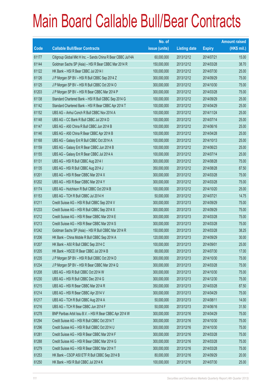|       |                                                              | No. of        |                     |               | <b>Amount raised</b> |
|-------|--------------------------------------------------------------|---------------|---------------------|---------------|----------------------|
| Code  | <b>Callable Bull/Bear Contracts</b>                          | issue (units) | <b>Listing date</b> | <b>Expiry</b> | (HK\$ mil.)          |
| 61177 | Citigroup Global Mkt H Inc. - Sands China R Bear CBBC Jul14A | 60,000,000    | 2013/12/12          | 2014/07/21    | 15.00                |
| 61144 | Goldman Sachs SP (Asia) - HSI R Bear CBBC Mar 2014 R         | 150,000,000   | 2013/12/12          | 2014/03/28    | 38.70                |
| 61122 | HK Bank - HSI R Bear CBBC Jul 2014 I                         | 100,000,000   | 2013/12/12          | 2014/07/30    | 25.00                |
| 61126 | J P Morgan SP BV - HSI R Bull CBBC Sep 2014 Z                | 300,000,000   | 2013/12/12          | 2014/09/29    | 75.00                |
| 61125 | J P Morgan SP BV - HSI R Bull CBBC Oct 2014 O                | 300,000,000   | 2013/12/12          | 2014/10/30    | 75.00                |
| 61203 | J P Morgan SP BV - HSI R Bear CBBC Mar 2014 P                | 300,000,000   | 2013/12/12          | 2014/03/28    | 75.00                |
| 61138 | Standard Chartered Bank - HSI R Bull CBBC Sep 2014 G         | 100,000,000   | 2013/12/12          | 2014/09/29    | 25.00                |
| 61142 | Standard Chartered Bank - HSI R Bear CBBC Apr 2014 T         | 100,000,000   | 2013/12/12          | 2014/04/29    | 25.00                |
| 61152 | UBS AG - Anhui Conch R Bull CBBC Nov 2014 A                  | 100,000,000   | 2013/12/12          | 2014/11/24    | 25.00                |
| 61148 | UBS AG - CC Bank R Bull CBBC Jul 2014 D                      | 100,000,000   | 2013/12/12          | 2014/07/14    | 25.00                |
| 61147 | UBS AG - A50 China R Bull CBBC Jun 2014 B                    | 100,000,000   | 2013/12/12          | 2014/06/16    | 25.00                |
| 61146 | UBS AG - A50 China R Bear CBBC Apr 2014 B                    | 100,000,000   | 2013/12/12          | 2014/04/28    | 25.00                |
| 61168 | UBS AG - Galaxy Ent R Bull CBBC Oct 2014 A                   | 100,000,000   | 2013/12/12          | 2014/10/13    | 25.00                |
| 61159 | UBS AG - Galaxy Ent R Bear CBBC Jun 2014 B                   | 100,000,000   | 2013/12/12          | 2014/06/23    | 25.00                |
| 61155 | UBS AG - Galaxy Ent R Bear CBBC Jul 2014 A                   | 100,000,000   | 2013/12/12          | 2014/07/14    | 25.00                |
| 61131 | UBS AG - HSI R Bull CBBC Aug 2014 I                          | 300,000,000   | 2013/12/12          | 2014/08/28    | 75.00                |
| 61135 | UBS AG - HSI R Bull CBBC Aug 2014 J                          | 350,000,000   | 2013/12/12          | 2014/08/28    | 87.50                |
| 61201 | UBS AG - HSI R Bear CBBC Mar 2014 X                          | 300,000,000   | 2013/12/12          | 2014/03/28    | 75.00                |
| 61202 | UBS AG - HSI R Bear CBBC Mar 2014 Y                          | 300,000,000   | 2013/12/12          | 2014/03/28    | 75.00                |
| 61174 | UBS AG - Hutchison R Bull CBBC Oct 2014 B                    | 100,000,000   | 2013/12/12          | 2014/10/20    | 25.00                |
| 61153 | UBS AG - TCH R Bull CBBC Jul 2014 H                          | 50,000,000    | 2013/12/12          | 2014/07/21    | 14.75                |
| 61211 | Credit Suisse AG - HSI R Bull CBBC Sep 2014 V                | 300,000,000   | 2013/12/13          | 2014/09/29    | 75.00                |
| 61233 | Credit Suisse AG - HSI R Bull CBBC Sep 2014 X                | 300,000,000   | 2013/12/13          | 2014/09/29    | 75.00                |
| 61212 | Credit Suisse AG - HSI R Bear CBBC Mar 2014 E                | 300,000,000   | 2013/12/13          | 2014/03/28    | 75.00                |
| 61213 | Credit Suisse AG - HSI R Bear CBBC Mar 2014 S                | 300,000,000   | 2013/12/13          | 2014/03/28    | 75.00                |
| 61242 | Goldman Sachs SP (Asia) - HSI R Bull CBBC Mar 2014 R         | 150,000,000   | 2013/12/13          | 2014/03/28    | 38.25                |
| 61206 | HK Bank - China Mobile R Bull CBBC Sep 2014 A                | 120,000,000   | 2013/12/13          | 2014/09/29    | 30.00                |
| 61207 | HK Bank - A50 R Bull CBBC Sep 2014 C                         | 100,000,000   | 2013/12/13          | 2014/09/01    | 25.00                |
| 61205 | HK Bank - HSCEI R Bear CBBC Jul 2014 B                       | 68,000,000    | 2013/12/13          | 2014/07/30    | 17.00                |
| 61235 | J P Morgan SP BV - HSI R Bull CBBC Oct 2014 D                | 300,000,000   | 2013/12/13          | 2014/10/30    | 75.00                |
| 61234 | J P Morgan SP BV - HSI R Bear CBBC Mar 2014 Q                | 300,000,000   | 2013/12/13          | 2014/03/28    | 75.00                |
| 61208 | UBS AG - HSI R Bull CBBC Oct 2014 W                          | 300,000,000   | 2013/12/13          | 2014/10/30    | 75.00                |
| 61230 | UBS AG - HSI R Bull CBBC Dec 2014 G                          | 300,000,000   | 2013/12/13          | 2014/12/30    | 75.00                |
| 61215 | UBS AG - HSI R Bear CBBC Mar 2014 R                          | 350,000,000   | 2013/12/13          | 2014/03/28    | 87.50                |
| 61214 | UBS AG - HSI R Bear CBBC Apr 2014 V                          | 300,000,000   | 2013/12/13          | 2014/04/29    | 75.00                |
| 61217 | UBS AG - TCH R Bull CBBC Aug 2014 A                          | 50,000,000    | 2013/12/13          | 2014/08/11    | 14.00                |
| 61216 | UBS AG - TCH R Bear CBBC Jun 2014 F                          | 50,000,000    | 2013/12/13          | 2014/06/16    | 31.50                |
| 61278 | BNP Paribas Arbit Issu B.V. - HSI R Bear CBBC Apr 2014 W     | 300,000,000   | 2013/12/16          | 2014/04/29    | 75.00                |
| 61294 | Credit Suisse AG - HSI R Bull CBBC Oct 2014 T                | 300,000,000   | 2013/12/16          | 2014/10/30    | 75.00                |
| 61296 | Credit Suisse AG - HSI R Bull CBBC Oct 2014 U                | 300,000,000   | 2013/12/16          | 2014/10/30    | 75.00                |
| 61281 | Credit Suisse AG - HSI R Bear CBBC Mar 2014 F                | 300,000,000   | 2013/12/16          | 2014/03/28    | 75.00                |
| 61288 | Credit Suisse AG - HSI R Bear CBBC Mar 2014 G                | 300,000,000   | 2013/12/16          | 2014/03/28    | 75.00                |
| 61279 | Credit Suisse AG - HSI R Bear CBBC Mar 2014 T                | 300,000,000   | 2013/12/16          | 2014/03/28    | 75.00                |
| 61253 | HK Bank - CSOP A50 ETF R Bull CBBC Sep 2014 B                | 80,000,000    | 2013/12/16          | 2014/09/29    | 20.00                |
| 61250 | HK Bank - HSI R Bull CBBC Jul 2014 K                         | 100,000,000   | 2013/12/16          | 2014/07/30    | 25.00                |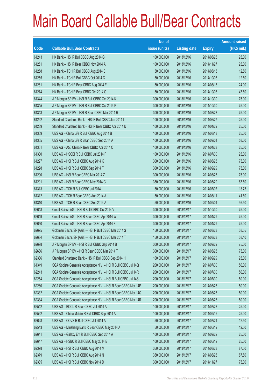|       |                                                                | No. of        |                     |               | <b>Amount raised</b> |
|-------|----------------------------------------------------------------|---------------|---------------------|---------------|----------------------|
| Code  | <b>Callable Bull/Bear Contracts</b>                            | issue (units) | <b>Listing date</b> | <b>Expiry</b> | $(HK$$ mil.)         |
| 61243 | HK Bank - HSI R Bull CBBC Aug 2014 G                           | 100,000,000   | 2013/12/16          | 2014/08/28    | 25.00                |
| 61251 | HK Bank - HSI R Bear CBBC Nov 2014 A                           | 100,000,000   | 2013/12/16          | 2014/11/27    | 25.00                |
| 61258 | HK Bank - TCH R Bull CBBC Aug 2014 E                           | 50,000,000    | 2013/12/16          | 2014/08/18    | 12.50                |
| 61255 | HK Bank - TCH R Bull CBBC Oct 2014 C                           | 50,000,000    | 2013/12/16          | 2014/10/08    | 12.50                |
| 61261 | HK Bank - TCH R Bear CBBC Aug 2014 E                           | 50,000,000    | 2013/12/16          | 2014/08/18    | 24.00                |
| 61274 | HK Bank - TCH R Bear CBBC Oct 2014 C                           | 50,000,000    | 2013/12/16          | 2014/10/08    | 47.50                |
| 61344 | J P Morgan SP BV - HSI R Bull CBBC Oct 2014 K                  | 300,000,000   | 2013/12/16          | 2014/10/30    | 75.00                |
| 61345 | J P Morgan SP BV - HSI R Bull CBBC Oct 2014 P                  | 300,000,000   | 2013/12/16          | 2014/10/30    | 75.00                |
| 61343 | J P Morgan SP BV - HSI R Bear CBBC Mar 2014 R                  | 300,000,000   | 2013/12/16          | 2014/03/28    | 75.00                |
| 61292 | Standard Chartered Bank - HSI R Bull CBBC Jun 2014 I           | 100,000,000   | 2013/12/16          | 2014/06/27    | 25.00                |
| 61289 | Standard Chartered Bank - HSI R Bear CBBC Apr 2014 U           | 100,000,000   | 2013/12/16          | 2014/04/29    | 25.00                |
| 61309 | UBS AG - China Life R Bull CBBC Aug 2014 B                     | 100,000,000   | 2013/12/16          | 2014/08/18    | 25.00                |
| 61305 | UBS AG - China Life R Bear CBBC Sep 2014 A                     | 100,000,000   | 2013/12/16          | 2014/09/01    | 53.00                |
| 61301 | UBS AG - A50 China R Bear CBBC Apr 2014 C                      | 100,000,000   | 2013/12/16          | 2014/04/28    | 25.00                |
| 61300 | UBS AG - HSCEI R Bull CBBC Jul 2014 F                          | 100,000,000   | 2013/12/16          | 2014/07/30    | 25.00                |
| 61297 | UBS AG - HSI R Bull CBBC Aug 2014 K                            | 300,000,000   | 2013/12/16          | 2014/08/28    | 75.00                |
| 61298 | UBS AG - HSI R Bull CBBC Sep 2014 T                            | 300,000,000   | 2013/12/16          | 2014/09/29    | 75.00                |
| 61290 | UBS AG - HSI R Bear CBBC Mar 2014 Z                            | 300,000,000   | 2013/12/16          | 2014/03/28    | 75.00                |
| 61291 | UBS AG - HSI R Bear CBBC May 2014 G                            | 350,000,000   | 2013/12/16          | 2014/05/29    | 87.50                |
| 61313 | UBS AG - TCH R Bull CBBC Jul 2014 I                            | 50,000,000    | 2013/12/16          | 2014/07/07    | 13.75                |
| 61312 | UBS AG - TCH R Bear CBBC Aug 2014 A                            | 50,000,000    | 2013/12/16          | 2014/08/11    | 41.50                |
| 61310 | UBS AG - TCH R Bear CBBC Sep 2014 A                            | 50,000,000    | 2013/12/16          | 2014/09/01    | 46.50                |
| 62648 | Credit Suisse AG - HSI R Bull CBBC Oct 2014 V                  | 300,000,000   | 2013/12/17          | 2014/10/30    | 75.00                |
| 62649 | Credit Suisse AG - HSI R Bear CBBC Apr 2014 W                  | 300,000,000   | 2013/12/17          | 2014/04/29    | 75.00                |
| 62650 | Credit Suisse AG - HSI R Bear CBBC Apr 2014 X                  | 300,000,000   | 2013/12/17          | 2014/04/29    | 75.00                |
| 62675 | Goldman Sachs SP (Asia) - HSI R Bull CBBC Mar 2014 S           | 150,000,000   | 2013/12/17          | 2014/03/28    | 38.55                |
| 62684 | Goldman Sachs SP (Asia) - HSI R Bull CBBC Mar 2014 T           | 150,000,000   | 2013/12/17          | 2014/03/28    | 38.10                |
| 62698 | J P Morgan SP BV - HSI R Bull CBBC Sep 2014 B                  | 300,000,000   | 2013/12/17          | 2014/09/29    | 75.00                |
| 62686 | J P Morgan SP BV - HSI R Bear CBBC Mar 2014 T                  | 300,000,000   | 2013/12/17          | 2014/03/28    | 75.00                |
| 62336 | Standard Chartered Bank - HSI R Bull CBBC Sep 2014 H           | 100,000,000   | 2013/12/17          | 2014/09/29    | 25.00                |
| 61349 | SGA Societe Generale Acceptance N.V. - HSI R Bull CBBC Jul 14Q | 200,000,000   | 2013/12/17          | 2014/07/30    | 50.00                |
| 62243 | SGA Societe Generale Acceptance N.V. - HSI R Bull CBBC Jul 14R | 200,000,000   | 2013/12/17          | 2014/07/30    | 50.00                |
| 62254 | SGA Societe Generale Acceptance N.V. - HSI R Bull CBBC Jul 14S | 200,000,000   | 2013/12/17          | 2014/07/30    | 50.00                |
| 62260 | SGA Societe Generale Acceptance N.V. - HSI R Bear CBBC Mar 14P | 200,000,000   | 2013/12/17          | 2014/03/28    | 50.00                |
| 62332 | SGA Societe Generale Acceptance N.V. - HSI R Bear CBBC Mar 14Q | 200,000,000   | 2013/12/17          | 2014/03/28    | 50.00                |
| 62334 | SGA Societe Generale Acceptance N.V. - HSI R Bear CBBC Mar 14R | 200,000,000   | 2013/12/17          | 2014/03/28    | 50.00                |
| 62542 | UBS AG - BOCL R Bear CBBC Jul 2014 A                           | 100,000,000   | 2013/12/17          | 2014/07/28    | 25.00                |
| 62592 | UBS AG - China Mobile R Bull CBBC Sep 2014 A                   | 100,000,000   | 2013/12/17          | 2014/09/15    | 25.00                |
| 62628 | UBS AG - COVS R Bull CBBC Jul 2014 A                           | 50,000,000    | 2013/12/17          | 2014/07/21    | 12.50                |
| 62543 | UBS AG - Minsheng Bank R Bear CBBC May 2014 A                  | 50,000,000    | 2013/12/17          | 2014/05/19    | 12.50                |
| 62641 | UBS AG - Galaxy Ent R Bull CBBC Sep 2014 A                     | 100,000,000   | 2013/12/17          | 2014/09/22    | 25.00                |
| 62647 | UBS AG - HSBC R Bull CBBC May 2014 B                           | 100,000,000   | 2013/12/17          | 2014/05/12    | 25.00                |
| 62378 | UBS AG - HSI R Bull CBBC Aug 2014 M                            | 350,000,000   | 2013/12/17          | 2014/08/28    | 87.50                |
| 62379 | UBS AG - HSI R Bull CBBC Aug 2014 N                            | 350,000,000   | 2013/12/17          | 2014/08/28    | 87.50                |
| 62335 | UBS AG - HSI R Bull CBBC Nov 2014 D                            | 300,000,000   | 2013/12/17          | 2014/11/27    | 75.00                |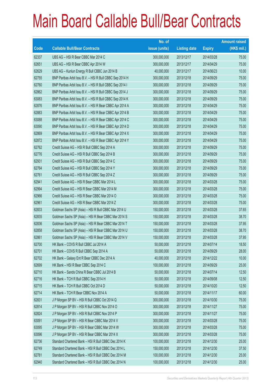|       |                                                          | No. of        |                     |               | <b>Amount raised</b> |
|-------|----------------------------------------------------------|---------------|---------------------|---------------|----------------------|
| Code  | <b>Callable Bull/Bear Contracts</b>                      | issue (units) | <b>Listing date</b> | <b>Expiry</b> | $(HK$$ mil.)         |
| 62337 | UBS AG - HSI R Bear CBBC Mar 2014 C                      | 300,000,000   | 2013/12/17          | 2014/03/28    | 75.00                |
| 62651 | UBS AG - HSI R Bear CBBC Apr 2014 W                      | 300,000,000   | 2013/12/17          | 2014/04/29    | 75.00                |
| 62629 | UBS AG - Kunlun Energy R Bull CBBC Jun 2014 B            | 40,000,000    | 2013/12/17          | 2014/06/23    | 10.00                |
| 62755 | BNP Paribas Arbit Issu B.V. - HSI R Bull CBBC Sep 2014 H | 300,000,000   | 2013/12/18          | 2014/09/29    | 75.00                |
| 62760 | BNP Paribas Arbit Issu B.V. - HSI R Bull CBBC Sep 2014 I | 300,000,000   | 2013/12/18          | 2014/09/29    | 75.00                |
| 62862 | BNP Paribas Arbit Issu B.V. - HSI R Bull CBBC Sep 2014 J | 300,000,000   | 2013/12/18          | 2014/09/29    | 75.00                |
| 63083 | BNP Paribas Arbit Issu B.V. - HSI R Bull CBBC Sep 2014 K | 300,000,000   | 2013/12/18          | 2014/09/29    | 75.00                |
| 62876 | BNP Paribas Arbit Issu B.V. - HSI R Bear CBBC Apr 2014 A | 300,000,000   | 2013/12/18          | 2014/04/29    | 75.00                |
| 62883 | BNP Paribas Arbit Issu B.V. - HSI R Bear CBBC Apr 2014 B | 300,000,000   | 2013/12/18          | 2014/04/29    | 75.00                |
| 63088 | BNP Paribas Arbit Issu B.V. - HSI R Bear CBBC Apr 2014 C | 300,000,000   | 2013/12/18          | 2014/04/29    | 75.00                |
| 63090 | BNP Paribas Arbit Issu B.V. - HSI R Bear CBBC Apr 2014 D | 300,000,000   | 2013/12/18          | 2014/04/29    | 75.00                |
| 62869 | BNP Paribas Arbit Issu B.V. - HSI R Bear CBBC Apr 2014 X | 300,000,000   | 2013/12/18          | 2014/04/29    | 75.00                |
| 62872 | BNP Paribas Arbit Issu B.V. - HSI R Bear CBBC Apr 2014 Y | 300,000,000   | 2013/12/18          | 2014/04/29    | 75.00                |
| 62762 | Credit Suisse AG - HSI R Bull CBBC Sep 2014 A            | 300,000,000   | 2013/12/18          | 2014/09/29    | 75.00                |
| 62776 | Credit Suisse AG - HSI R Bull CBBC Sep 2014 B            | 300,000,000   | 2013/12/18          | 2014/09/29    | 75.00                |
| 62931 | Credit Suisse AG - HSI R Bull CBBC Sep 2014 C            | 300,000,000   | 2013/12/18          | 2014/09/29    | 75.00                |
| 62764 | Credit Suisse AG - HSI R Bull CBBC Sep 2014 Y            | 300,000,000   | 2013/12/18          | 2014/09/29    | 75.00                |
| 62761 | Credit Suisse AG - HSI R Bull CBBC Sep 2014 Z            | 300,000,000   | 2013/12/18          | 2014/09/29    | 75.00                |
| 62941 | Credit Suisse AG - HSI R Bear CBBC Mar 2014 L            | 300,000,000   | 2013/12/18          | 2014/03/28    | 75.00                |
| 62994 | Credit Suisse AG - HSI R Bear CBBC Mar 2014 M            | 300,000,000   | 2013/12/18          | 2014/03/28    | 75.00                |
| 62966 | Credit Suisse AG - HSI R Bear CBBC Mar 2014 O            | 300,000,000   | 2013/12/18          | 2014/03/28    | 75.00                |
| 62961 | Credit Suisse AG - HSI R Bear CBBC Mar 2014 Z            | 300,000,000   | 2013/12/18          | 2014/03/28    | 75.00                |
| 62833 | Goldman Sachs SP (Asia) - HSI R Bull CBBC Mar 2014 U     | 150,000,000   | 2013/12/18          | 2014/03/28    | 37.65                |
| 62835 | Goldman Sachs SP (Asia) - HSI R Bear CBBC Mar 2014 S     | 150,000,000   | 2013/12/18          | 2014/03/28    | 38.70                |
| 62836 | Goldman Sachs SP (Asia) - HSI R Bear CBBC Mar 2014 T     | 150,000,000   | 2013/12/18          | 2014/03/28    | 37.95                |
| 62858 | Goldman Sachs SP (Asia) - HSI R Bear CBBC Mar 2014 U     | 150,000,000   | 2013/12/18          | 2014/03/28    | 38.70                |
| 62861 | Goldman Sachs SP (Asia) - HSI R Bear CBBC Mar 2014 V     | 150,000,000   | 2013/12/18          | 2014/03/28    | 37.95                |
| 62700 | HK Bank - COVS R Bull CBBC Jul 2014 A                    | 50,000,000    | 2013/12/18          | 2014/07/14    | 18.50                |
| 62701 | HK Bank - COVS R Bull CBBC Sep 2014 A                    | 50,000,000    | 2013/12/18          | 2014/09/29    | 28.00                |
| 62702 | HK Bank - Galaxy Ent R Bear CBBC Dec 2014 A              | 40,000,000    | 2013/12/18          | 2014/12/22    | 10.00                |
| 62699 | HK Bank - HSI R Bear CBBC Sep 2014 C                     | 100,000,000   | 2013/12/18          | 2014/09/29    | 25.00                |
| 62710 | HK Bank - Sands China R Bear CBBC Jul 2014 B             | 50,000,000    | 2013/12/18          | 2014/07/14    | 12.50                |
| 62716 | HK Bank - TCH R Bull CBBC Sep 2014 H                     | 50,000,000    | 2013/12/18          | 2014/09/08    | 12.50                |
| 62715 | HK Bank - TCH R Bull CBBC Oct 2014 D                     | 50,000,000    | 2013/12/18          | 2014/10/20    | 12.50                |
| 62714 | HK Bank - TCH R Bear CBBC Nov 2014 A                     | 50,000,000    | 2013/12/18          | 2014/11/17    | 60.00                |
| 62831 | J P Morgan SP BV - HSI R Bull CBBC Oct 2014 Q            | 300,000,000   | 2013/12/18          | 2014/10/30    | 75.00                |
| 62814 | J P Morgan SP BV - HSI R Bull CBBC Nov 2014 O            | 300,000,000   | 2013/12/18          | 2014/11/27    | 75.00                |
| 62824 | J P Morgan SP BV - HSI R Bull CBBC Nov 2014 P            | 300,000,000   | 2013/12/18          | 2014/11/27    | 75.00                |
| 63091 | J P Morgan SP BV - HSI R Bear CBBC Mar 2014 V            | 300,000,000   | 2013/12/18          | 2014/03/28    | 75.00                |
| 63095 | J P Morgan SP BV - HSI R Bear CBBC Mar 2014 W            | 300,000,000   | 2013/12/18          | 2014/03/28    | 75.00                |
| 63096 | J P Morgan SP BV - HSI R Bear CBBC Mar 2014 X            | 300,000,000   | 2013/12/18          | 2014/03/28    | 75.00                |
| 62736 | Standard Chartered Bank - HSI R Bull CBBC Dec 2014 K     | 100,000,000   | 2013/12/18          | 2014/12/30    | 25.00                |
| 62749 | Standard Chartered Bank - HSI R Bull CBBC Dec 2014 L     | 150,000,000   | 2013/12/18          | 2014/12/30    | 37.50                |
| 62781 | Standard Chartered Bank - HSI R Bull CBBC Dec 2014 M     | 100,000,000   | 2013/12/18          | 2014/12/30    | 25.00                |
| 62940 | Standard Chartered Bank - HSI R Bull CBBC Dec 2014 N     | 100,000,000   | 2013/12/18          | 2014/12/30    | 25.00                |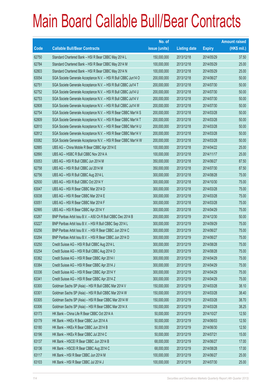|       |                                                                | No. of        |                     |               | <b>Amount raised</b> |
|-------|----------------------------------------------------------------|---------------|---------------------|---------------|----------------------|
| Code  | <b>Callable Bull/Bear Contracts</b>                            | issue (units) | <b>Listing date</b> | <b>Expiry</b> | $(HK$$ mil.)         |
| 62750 | Standard Chartered Bank - HSI R Bear CBBC May 2014 L           | 150,000,000   | 2013/12/18          | 2014/05/29    | 37.50                |
| 62784 | Standard Chartered Bank - HSI R Bear CBBC May 2014 M           | 100,000,000   | 2013/12/18          | 2014/05/29    | 25.00                |
| 62803 | Standard Chartered Bank - HSI R Bear CBBC May 2014 N           | 100,000,000   | 2013/12/18          | 2014/05/29    | 25.00                |
| 63054 | SGA Societe Generale Acceptance N.V. - HSI R Bull CBBC Jun14 O | 200,000,000   | 2013/12/18          | 2014/06/27    | 50.00                |
| 62751 | SGA Societe Generale Acceptance N.V. - HSI R Bull CBBC Jul14 T | 200,000,000   | 2013/12/18          | 2014/07/30    | 50.00                |
| 62752 | SGA Societe Generale Acceptance N.V. - HSI R Bull CBBC Jul14 U | 200,000,000   | 2013/12/18          | 2014/07/30    | 50.00                |
| 62753 | SGA Societe Generale Acceptance N.V. - HSI R Bull CBBC Jul14 V | 200,000,000   | 2013/12/18          | 2014/07/30    | 50.00                |
| 62808 | SGA Societe Generale Acceptance N.V. - HSI R Bull CBBC Jul14 W | 200,000,000   | 2013/12/18          | 2014/07/30    | 50.00                |
| 62754 | SGA Societe Generale Acceptance N.V. - HSI R Bear CBBC Mar14 S | 200,000,000   | 2013/12/18          | 2014/03/28    | 50.00                |
| 62809 | SGA Societe Generale Acceptance N.V. - HSI R Bear CBBC Mar14 T | 200,000,000   | 2013/12/18          | 2014/03/28    | 50.00                |
| 62810 | SGA Societe Generale Acceptance N.V. - HSI R Bear CBBC Mar14 U | 200,000,000   | 2013/12/18          | 2014/03/28    | 50.00                |
| 62812 | SGA Societe Generale Acceptance N.V. - HSI R Bear CBBC Mar14 V | 200,000,000   | 2013/12/18          | 2014/03/28    | 50.00                |
| 63082 | SGA Societe Generale Acceptance N.V. - HSI R Bear CBBC Mar14 W | 200,000,000   | 2013/12/18          | 2014/03/28    | 50.00                |
| 62885 | UBS AG - China Mobile R Bear CBBC Apr 2014 E                   | 100,000,000   | 2013/12/18          | 2014/04/22    | 25.00                |
| 62890 | UBS AG - HSBC R Bull CBBC Nov 2014 A                           | 100,000,000   | 2013/12/18          | 2014/11/17    | 25.00                |
| 63053 | UBS AG - HSI R Bull CBBC Jun 2014 M                            | 350,000,000   | 2013/12/18          | 2014/06/27    | 87.50                |
| 62758 | UBS AG - HSI R Bull CBBC Jul 2014 M                            | 350,000,000   | 2013/12/18          | 2014/07/30    | 87.50                |
| 62756 | UBS AG - HSI R Bull CBBC Aug 2014 L                            | 300,000,000   | 2013/12/18          | 2014/08/28    | 75.00                |
| 62930 | UBS AG - HSI R Bull CBBC Oct 2014 Y                            | 300,000,000   | 2013/12/18          | 2014/10/30    | 75.00                |
| 63047 | UBS AG - HSI R Bear CBBC Mar 2014 D                            | 300,000,000   | 2013/12/18          | 2014/03/28    | 75.00                |
| 63038 | UBS AG - HSI R Bear CBBC Mar 2014 E                            | 300,000,000   | 2013/12/18          | 2014/03/28    | 75.00                |
| 63051 | UBS AG - HSI R Bear CBBC Mar 2014 F                            | 300,000,000   | 2013/12/18          | 2014/03/28    | 75.00                |
| 62995 | UBS AG - HSI R Bear CBBC Apr 2014 Y                            | 300,000,000   | 2013/12/18          | 2014/04/29    | 75.00                |
| 63267 | BNP Paribas Arbit Issu B.V. - A50 Ch R Bull CBBC Dec 2014 B    | 200,000,000   | 2013/12/19          | 2014/12/30    | 50.00                |
| 63227 | BNP Paribas Arbit Issu B.V. - HSI R Bull CBBC Sep 2014 L       | 300,000,000   | 2013/12/19          | 2014/09/29    | 75.00                |
| 63256 | BNP Paribas Arbit Issu B.V. - HSI R Bear CBBC Jun 2014 C       | 300,000,000   | 2013/12/19          | 2014/06/27    | 75.00                |
| 63264 | BNP Paribas Arbit Issu B.V. - HSI R Bear CBBC Jun 2014 D       | 300,000,000   | 2013/12/19          | 2014/06/27    | 75.00                |
| 63250 | Credit Suisse AG - HSI R Bull CBBC Aug 2014 L                  | 300,000,000   | 2013/12/19          | 2014/08/28    | 75.00                |
| 63254 | Credit Suisse AG - HSI R Bull CBBC Aug 2014 O                  | 300,000,000   | 2013/12/19          | 2014/08/28    | 75.00                |
| 63362 | Credit Suisse AG - HSI R Bear CBBC Apr 2014 I                  | 300,000,000   | 2013/12/19          | 2014/04/29    | 75.00                |
| 63384 | Credit Suisse AG - HSI R Bear CBBC Apr 2014 J                  | 300,000,000   | 2013/12/19          | 2014/04/29    | 75.00                |
| 63336 | Credit Suisse AG - HSI R Bear CBBC Apr 2014 Y                  | 300,000,000   | 2013/12/19          | 2014/04/29    | 75.00                |
| 63341 | Credit Suisse AG - HSI R Bear CBBC Apr 2014 Z                  | 300,000,000   | 2013/12/19          | 2014/04/29    | 75.00                |
| 63300 | Goldman Sachs SP (Asia) - HSI R Bull CBBC Mar 2014 V           | 150,000,000   | 2013/12/19          | 2014/03/28    | 38.10                |
| 63301 | Goldman Sachs SP (Asia) - HSI R Bull CBBC Mar 2014 W           | 150,000,000   | 2013/12/19          | 2014/03/28    | 38.40                |
| 63305 | Goldman Sachs SP (Asia) - HSI R Bear CBBC Mar 2014 W           | 150,000,000   | 2013/12/19          | 2014/03/28    | 38.70                |
| 63306 | Goldman Sachs SP (Asia) - HSI R Bear CBBC Mar 2014 X           | 150,000,000   | 2013/12/19          | 2014/03/28    | 38.25                |
| 63173 | HK Bank - China Life R Bear CBBC Oct 2014 A                    | 50,000,000    | 2013/12/19          | 2014/10/27    | 12.50                |
| 63179 | HK Bank - HKEx R Bear CBBC Jun 2014 A                          | 50,000,000    | 2013/12/19          | 2014/06/03    | 12.50                |
| 63180 | HK Bank - HKEx R Bear CBBC Jun 2014 B                          | 50,000,000    | 2013/12/19          | 2014/06/30    | 12.50                |
| 63196 | HK Bank - HKEx R Bear CBBC Jul 2014 C                          | 50,000,000    | 2013/12/19          | 2014/07/21    | 15.00                |
| 63137 | HK Bank - HSCEI R Bear CBBC Jun 2014 B                         | 68,000,000    | 2013/12/19          | 2014/06/27    | 17.00                |
| 63136 | HK Bank - HSCEI R Bear CBBC Aug 2014 C                         | 68,000,000    | 2013/12/19          | 2014/08/28    | 17.00                |
| 63117 | HK Bank - HSI R Bear CBBC Jun 2014 M                           | 100,000,000   | 2013/12/19          | 2014/06/27    | 25.00                |
| 63103 | HK Bank - HSI R Bear CBBC Jul 2014 J                           | 100,000,000   | 2013/12/19          | 2014/07/30    | 25.00                |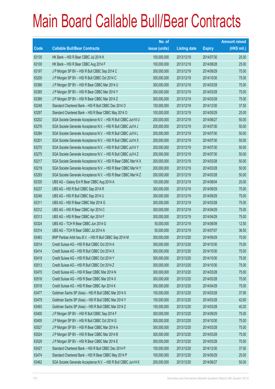|       |                                                                | No. of        |                     |               | <b>Amount raised</b> |
|-------|----------------------------------------------------------------|---------------|---------------------|---------------|----------------------|
| Code  | <b>Callable Bull/Bear Contracts</b>                            | issue (units) | <b>Listing date</b> | <b>Expiry</b> | $(HK$$ mil.)         |
| 63135 | HK Bank - HSI R Bear CBBC Jul 2014 K                           | 100,000,000   | 2013/12/19          | 2014/07/30    | 25.00                |
| 63100 | HK Bank - HSI R Bear CBBC Aug 2014 F                           | 100,000,000   | 2013/12/19          | 2014/08/28    | 25.00                |
| 63197 | J P Morgan SP BV - HSI R Bull CBBC Sep 2014 C                  | 300,000,000   | 2013/12/19          | 2014/09/29    | 75.00                |
| 63200 | J P Morgan SP BV - HSI R Bull CBBC Oct 2014 C                  | 300,000,000   | 2013/12/19          | 2014/10/30    | 75.00                |
| 63386 | J P Morgan SP BV - HSI R Bear CBBC Mar 2014 U                  | 300,000,000   | 2013/12/19          | 2014/03/28    | 75.00                |
| 63385 | J P Morgan SP BV - HSI R Bear CBBC Mar 2014 Y                  | 300,000,000   | 2013/12/19          | 2014/03/28    | 75.00                |
| 63389 | J P Morgan SP BV - HSI R Bear CBBC Mar 2014 Z                  | 300,000,000   | 2013/12/19          | 2014/03/28    | 75.00                |
| 63248 | Standard Chartered Bank - HSI R Bull CBBC Dec 2014 O           | 150,000,000   | 2013/12/19          | 2014/12/30    | 37.50                |
| 63297 | Standard Chartered Bank - HSI R Bear CBBC May 2014 O           | 100,000,000   | 2013/12/19          | 2014/05/29    | 25.00                |
| 63202 | SGA Societe Generale Acceptance N.V. - HSI R Bull CBBC Jun14 U | 200,000,000   | 2013/12/19          | 2014/06/27    | 50.00                |
| 63276 | SGA Societe Generale Acceptance N.V. - HSI R Bull CBBC Jul14 J | 200,000,000   | 2013/12/19          | 2014/07/30    | 50.00                |
| 63284 | SGA Societe Generale Acceptance N.V. - HSI R Bull CBBC Jul14 L | 200,000,000   | 2013/12/19          | 2014/07/30    | 50.00                |
| 63201 | SGA Societe Generale Acceptance N.V. - HSI R Bull CBBC Jul14 X | 200,000,000   | 2013/12/19          | 2014/07/30    | 50.00                |
| 63270 | SGA Societe Generale Acceptance N.V. - HSI R Bull CBBC Jul14 Y | 200,000,000   | 2013/12/19          | 2014/07/30    | 50.00                |
| 63275 | SGA Societe Generale Acceptance N.V. - HSI R Bull CBBC Jul14 Z | 200,000,000   | 2013/12/19          | 2014/07/30    | 50.00                |
| 63217 | SGA Societe Generale Acceptance N.V. - HSI R Bear CBBC Mar14 X | 200,000,000   | 2013/12/19          | 2014/03/28    | 50.00                |
| 63219 | SGA Societe Generale Acceptance N.V. - HSI R Bear CBBC Mar14 Y | 200,000,000   | 2013/12/19          | 2014/03/28    | 50.00                |
| 63293 | SGA Societe Generale Acceptance N.V. - HSI R Bear CBBC Mar14 Z | 200,000,000   | 2013/12/19          | 2014/03/28    | 50.00                |
| 63335 | UBS AG - Galaxy Ent R Bear CBBC Aug 2014 A                     | 100,000,000   | 2013/12/19          | 2014/08/04    | 25.00                |
| 63237 | UBS AG - HSI R Bull CBBC Sep 2014 R                            | 300,000,000   | 2013/12/19          | 2014/09/29    | 75.00                |
| 63246 | UBS AG - HSI R Bull CBBC Sep 2014 U                            | 300,000,000   | 2013/12/19          | 2014/09/29    | 75.00                |
| 63311 | UBS AG - HSI R Bear CBBC Mar 2014 G                            | 300,000,000   | 2013/12/19          | 2014/03/28    | 75.00                |
| 63312 | UBS AG - HSI R Bear CBBC Apr 2014 C                            | 300,000,000   | 2013/12/19          | 2014/04/29    | 75.00                |
| 63313 | UBS AG - HSI R Bear CBBC Apr 2014 F                            | 300,000,000   | 2013/12/19          | 2014/04/29    | 75.00                |
| 63324 | UBS AG - TCH R Bear CBBC Jun 2014 G                            | 50,000,000    | 2013/12/19          | 2014/06/09    | 12.50                |
| 63314 | UBS AG - TCH R Bear CBBC Jul 2014 A                            | 50,000,000    | 2013/12/19          | 2014/07/07    | 36.50                |
| 63463 | BNP Paribas Arbit Issu B.V. - HSI R Bull CBBC Sep 2014 M       | 300,000,000   | 2013/12/20          | 2014/09/29    | 75.00                |
| 63514 | Credit Suisse AG - HSI R Bull CBBC Oct 2014 A                  | 300,000,000   | 2013/12/20          | 2014/10/30    | 75.00                |
| 63414 | Credit Suisse AG - HSI R Bull CBBC Oct 2014 X                  | 300,000,000   | 2013/12/20          | 2014/10/30    | 75.00                |
| 63419 | Credit Suisse AG - HSI R Bull CBBC Oct 2014 Y                  | 300,000,000   | 2013/12/20          | 2014/10/30    | 75.00                |
| 63513 | Credit Suisse AG - HSI R Bull CBBC Oct 2014 Z                  | 300,000,000   | 2013/12/20          | 2014/10/30    | 75.00                |
| 63470 | Credit Suisse AG - HSI R Bear CBBC Mar 2014 N                  | 300,000,000   | 2013/12/20          | 2014/03/28    | 75.00                |
| 63516 | Credit Suisse AG - HSI R Bear CBBC Mar 2014 X                  | 300,000,000   | 2013/12/20          | 2014/03/28    | 75.00                |
| 63518 | Credit Suisse AG - HSI R Bear CBBC Apr 2014 K                  | 300,000,000   | 2013/12/20          | 2014/04/29    | 75.00                |
| 63477 | Goldman Sachs SP (Asia) - HSI R Bull CBBC Mar 2014 X           | 150,000,000   | 2013/12/20          | 2014/03/28    | 37.95                |
| 63479 | Goldman Sachs SP (Asia) - HSI R Bull CBBC Mar 2014 Y           | 150,000,000   | 2013/12/20          | 2014/03/28    | 42.60                |
| 63493 | Goldman Sachs SP (Asia) - HSI R Bull CBBC Mar 2014 Z           | 150,000,000   | 2013/12/20          | 2014/03/28    | 40.20                |
| 63400 | J P Morgan SP BV - HSI R Bull CBBC Sep 2014 F                  | 300,000,000   | 2013/12/20          | 2014/09/29    | 75.00                |
| 63405 | J P Morgan SP BV - HSI R Bull CBBC Oct 2014 G                  | 300,000,000   | 2013/12/20          | 2014/10/30    | 75.00                |
| 63527 | J P Morgan SP BV - HSI R Bear CBBC Mar 2014 A                  | 300,000,000   | 2013/12/20          | 2014/03/28    | 75.00                |
| 63524 | J P Morgan SP BV - HSI R Bear CBBC Mar 2014 B                  | 300,000,000   | 2013/12/20          | 2014/03/28    | 75.00                |
| 63529 | J P Morgan SP BV - HSI R Bear CBBC Mar 2014 E                  | 300,000,000   | 2013/12/20          | 2014/03/28    | 75.00                |
| 63427 | Standard Chartered Bank - HSI R Bull CBBC Dec 2014 P           | 150,000,000   | 2013/12/20          | 2014/12/30    | 37.50                |
| 63474 | Standard Chartered Bank - HSI R Bear CBBC May 2014 P           | 100,000,000   | 2013/12/20          | 2014/05/29    | 25.00                |
| 63462 | SGA Societe Generale Acceptance N.V. - HSI R Bull CBBC Jun14 K | 200,000,000   | 2013/12/20          | 2014/06/27    | 50.00                |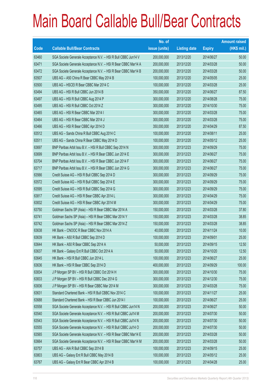|       |                                                                | No. of        |                     |               | <b>Amount raised</b> |
|-------|----------------------------------------------------------------|---------------|---------------------|---------------|----------------------|
| Code  | <b>Callable Bull/Bear Contracts</b>                            | issue (units) | <b>Listing date</b> | <b>Expiry</b> | $(HK$$ mil.)         |
| 63460 | SGA Societe Generale Acceptance N.V. - HSI R Bull CBBC Jun14 V | 200,000,000   | 2013/12/20          | 2014/06/27    | 50.00                |
| 63471 | SGA Societe Generale Acceptance N.V. - HSI R Bear CBBC Mar14 A | 200,000,000   | 2013/12/20          | 2014/03/28    | 50.00                |
| 63472 | SGA Societe Generale Acceptance N.V. - HSI R Bear CBBC Mar14 B | 200,000,000   | 2013/12/20          | 2014/03/28    | 50.00                |
| 63507 | UBS AG - A50 China R Bear CBBC May 2014 B                      | 100,000,000   | 2013/12/20          | 2014/05/05    | 25.00                |
| 63500 | UBS AG - HSCEI R Bear CBBC Mar 2014 C                          | 100,000,000   | 2013/12/20          | 2014/03/28    | 25.00                |
| 63494 | UBS AG - HSI R Bull CBBC Jun 2014 B                            | 350,000,000   | 2013/12/20          | 2014/06/27    | 87.50                |
| 63497 | UBS AG - HSI R Bull CBBC Aug 2014 P                            | 300,000,000   | 2013/12/20          | 2014/08/28    | 75.00                |
| 63495 | UBS AG - HSI R Bull CBBC Oct 2014 Z                            | 300,000,000   | 2013/12/20          | 2014/10/30    | 75.00                |
| 63465 | UBS AG - HSI R Bear CBBC Mar 2014 I                            | 300,000,000   | 2013/12/20          | 2014/03/28    | 75.00                |
| 63464 | UBS AG - HSI R Bear CBBC Mar 2014 J                            | 300,000,000   | 2013/12/20          | 2014/03/28    | 75.00                |
| 63466 | UBS AG - HSI R Bear CBBC Apr 2014 D                            | 350,000,000   | 2013/12/20          | 2014/04/29    | 87.50                |
| 63512 | UBS AG - Sands China R Bull CBBC Aug 2014 C                    | 100,000,000   | 2013/12/20          | 2014/08/11    | 25.00                |
| 63511 | UBS AG - Sands China R Bear CBBC May 2014 D                    | 100,000,000   | 2013/12/20          | 2014/05/12    | 25.00                |
| 63697 | BNP Paribas Arbit Issu B.V. - HSI R Bull CBBC Sep 2014 N       | 300,000,000   | 2013/12/23          | 2014/09/29    | 75.00                |
| 63699 | BNP Paribas Arbit Issu B.V. - HSI R Bear CBBC Jun 2014 E       | 300,000,000   | 2013/12/23          | 2014/06/27    | 75.00                |
| 63704 | BNP Paribas Arbit Issu B.V. - HSI R Bear CBBC Jun 2014 F       | 300,000,000   | 2013/12/23          | 2014/06/27    | 75.00                |
| 63717 | BNP Paribas Arbit Issu B.V. - HSI R Bear CBBC Jun 2014 G       | 300,000,000   | 2013/12/23          | 2014/06/27    | 75.00                |
| 63566 | Credit Suisse AG - HSI R Bull CBBC Sep 2014 D                  | 300,000,000   | 2013/12/23          | 2014/09/29    | 75.00                |
| 63572 | Credit Suisse AG - HSI R Bull CBBC Sep 2014 E                  | 300,000,000   | 2013/12/23          | 2014/09/29    | 75.00                |
| 63595 | Credit Suisse AG - HSI R Bull CBBC Sep 2014 G                  | 300,000,000   | 2013/12/23          | 2014/09/29    | 75.00                |
| 63817 | Credit Suisse AG - HSI R Bear CBBC Apr 2014 L                  | 300,000,000   | 2013/12/23          | 2014/04/29    | 75.00                |
| 63832 | Credit Suisse AG - HSI R Bear CBBC Apr 2014 M                  | 300,000,000   | 2013/12/23          | 2014/04/29    | 75.00                |
| 63750 | Goldman Sachs SP (Asia) - HSI R Bear CBBC Mar 2014 A           | 150,000,000   | 2013/12/23          | 2014/03/28    | 37.80                |
| 63741 | Goldman Sachs SP (Asia) - HSI R Bear CBBC Mar 2014 Y           | 150,000,000   | 2013/12/23          | 2014/03/28    | 38.85                |
| 63742 | Goldman Sachs SP (Asia) - HSI R Bear CBBC Mar 2014 Z           | 150,000,000   | 2013/12/23          | 2014/03/28    | 38.85                |
| 63638 | HK Bank - CNOOC R Bear CBBC Nov 2014 A                         | 40,000,000    | 2013/12/23          | 2014/11/24    | 10.00                |
| 63639 | HK Bank - A50 R Bull CBBC Sep 2014 D                           | 100,000,000   | 2013/12/23          | 2014/09/01    | 25.00                |
| 63644 | HK Bank - A50 R Bear CBBC Sep 2014 A                           | 50,000,000    | 2013/12/23          | 2014/09/15    | 12.50                |
| 63637 | HK Bank - Galaxy Ent R Bull CBBC Oct 2014 A                    | 50,000,000    | 2013/12/23          | 2014/10/20    | 12.50                |
| 63645 | HK Bank - HSI R Bull CBBC Jun 2014 L                           | 100,000,000   | 2013/12/23          | 2014/06/27    | 25.00                |
| 63636 | HK Bank - HSI R Bear CBBC Sep 2014 D                           | 400,000,000   | 2013/12/23          | 2014/09/29    | 100.00               |
| 63834 | J P Morgan SP BV - HSI R Bull CBBC Oct 2014 H                  | 300,000,000   | 2013/12/23          | 2014/10/30    | 75.00                |
| 63833 | J P Morgan SP BV - HSI R Bull CBBC Dec 2014 G                  | 300,000,000   | 2013/12/23          | 2014/12/30    | 75.00                |
| 63836 | J P Morgan SP BV - HSI R Bear CBBC Mar 2014 M                  | 300,000,000   | 2013/12/23          | 2014/03/28    | 75.00                |
| 63631 | Standard Chartered Bank - HSI R Bull CBBC Nov 2014 C           | 100,000,000   | 2013/12/23          | 2014/11/27    | 25.00                |
| 63688 | Standard Chartered Bank - HSI R Bear CBBC Jun 2014 I           | 100,000,000   | 2013/12/23          | 2014/06/27    | 25.00                |
| 63558 | SGA Societe Generale Acceptance N.V. - HSI R Bull CBBC Jun14 N | 200,000,000   | 2013/12/23          | 2014/06/27    | 50.00                |
| 63540 | SGA Societe Generale Acceptance N.V. - HSI R Bull CBBC Jul14 M | 200,000,000   | 2013/12/23          | 2014/07/30    | 50.00                |
| 63543 | SGA Societe Generale Acceptance N.V. - HSI R Bull CBBC Jul14 N | 200,000,000   | 2013/12/23          | 2014/07/30    | 50.00                |
| 63555 | SGA Societe Generale Acceptance N.V. - HSI R Bull CBBC Jul14 O | 200,000,000   | 2013/12/23          | 2014/07/30    | 50.00                |
| 63565 | SGA Societe Generale Acceptance N.V. - HSI R Bear CBBC Mar14 E | 200,000,000   | 2013/12/23          | 2014/03/28    | 50.00                |
| 63664 | SGA Societe Generale Acceptance N.V. - HSI R Bear CBBC Mar14 M | 200,000,000   | 2013/12/23          | 2014/03/28    | 50.00                |
| 63757 | UBS AG - AIA R Bull CBBC Sep 2014 B                            | 100,000,000   | 2013/12/23          | 2014/09/15    | 25.00                |
| 63803 | UBS AG - Galaxy Ent R Bull CBBC May 2014 B                     | 100,000,000   | 2013/12/23          | 2014/05/12    | 25.00                |
| 63767 | UBS AG - Galaxy Ent R Bear CBBC Apr 2014 B                     | 100,000,000   | 2013/12/23          | 2014/04/28    | 25.00                |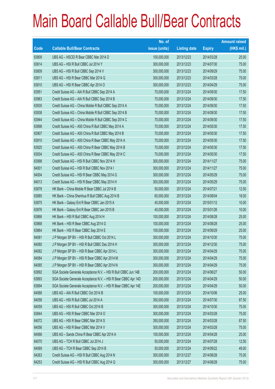|       |                                                                | No. of        |                     |               | <b>Amount raised</b> |
|-------|----------------------------------------------------------------|---------------|---------------------|---------------|----------------------|
| Code  | <b>Callable Bull/Bear Contracts</b>                            | issue (units) | <b>Listing date</b> | <b>Expiry</b> | $(HK$$ mil.)         |
| 63809 | UBS AG - HSCEI R Bear CBBC Mar 2014 D                          | 100,000,000   | 2013/12/23          | 2014/03/28    | 25.00                |
| 63614 | UBS AG - HSI R Bull CBBC Jul 2014 Y                            | 300,000,000   | 2013/12/23          | 2014/07/30    | 75.00                |
| 63609 | UBS AG - HSI R Bull CBBC Sep 2014 V                            | 300,000,000   | 2013/12/23          | 2014/09/29    | 75.00                |
| 63811 | UBS AG - HSI R Bear CBBC Mar 2014 Q                            | 300,000,000   | 2013/12/23          | 2014/03/28    | 75.00                |
| 63810 | UBS AG - HSI R Bear CBBC Apr 2014 O                            | 300,000,000   | 2013/12/23          | 2014/04/29    | 75.00                |
| 63951 | Credit Suisse AG - AIA R Bull CBBC Sep 2014 A                  | 70,000,000    | 2013/12/24          | 2014/09/30    | 17.50                |
| 63963 | Credit Suisse AG - AIA R Bull CBBC Sep 2014 B                  | 70,000,000    | 2013/12/24          | 2014/09/30    | 17.50                |
| 63935 | Credit Suisse AG - China Mobile R Bull CBBC Sep 2014 A         | 70,000,000    | 2013/12/24          | 2014/09/30    | 17.50                |
| 63938 | Credit Suisse AG - China Mobile R Bull CBBC Sep 2014 B         | 70,000,000    | 2013/12/24          | 2014/09/30    | 17.50                |
| 63944 | Credit Suisse AG - China Mobile R Bull CBBC Sep 2014 C         | 70,000,000    | 2013/12/24          | 2014/09/30    | 17.50                |
| 63898 | Credit Suisse AG - A50 China R Bull CBBC May 2014 A            | 70,000,000    | 2013/12/24          | 2014/05/30    | 17.50                |
| 63907 | Credit Suisse AG - A50 China R Bull CBBC May 2014 B            | 70,000,000    | 2013/12/24          | 2014/05/30    | 17.50                |
| 63910 | Credit Suisse AG - A50 China R Bear CBBC May 2014 A            | 70,000,000    | 2013/12/24          | 2014/05/30    | 17.50                |
| 63925 | Credit Suisse AG - A50 China R Bear CBBC May 2014 B            | 70,000,000    | 2013/12/24          | 2014/05/30    | 17.50                |
| 63934 | Credit Suisse AG - A50 China R Bear CBBC May 2014 C            | 70,000,000    | 2013/12/24          | 2014/05/30    | 17.50                |
| 63998 | Credit Suisse AG - HSI R Bull CBBC Nov 2014 H                  | 300,000,000   | 2013/12/24          | 2014/11/27    | 75.00                |
| 64001 | Credit Suisse AG - HSI R Bull CBBC Nov 2014 I                  | 300,000,000   | 2013/12/24          | 2014/11/27    | 75.00                |
| 64004 | Credit Suisse AG - HSI R Bear CBBC May 2014 G                  | 300,000,000   | 2013/12/24          | 2014/05/29    | 75.00                |
| 64013 | Credit Suisse AG - HSI R Bear CBBC May 2014 H                  | 300,000,000   | 2013/12/24          | 2014/05/29    | 75.00                |
| 63878 | HK Bank - China Mobile R Bear CBBC Jul 2014 B                  | 50,000,000    | 2013/12/24          | 2014/07/21    | 12.50                |
| 63885 | HK Bank - China Shenhua R Bull CBBC Aug 2014 B                 | 60,000,000    | 2013/12/24          | 2014/08/04    | 18.00                |
| 63875 | HK Bank - Galaxy Ent R Bear CBBC Jan 2015 A                    | 40,000,000    | 2013/12/24          | 2015/01/12    | 10.00                |
| 63876 | HK Bank - Galaxy Ent R Bear CBBC Jan 2015 B                    | 40,000,000    | 2013/12/24          | 2015/01/26    | 10.00                |
| 63866 | HK Bank - HSI R Bull CBBC Aug 2014 H                           | 100,000,000   | 2013/12/24          | 2014/08/28    | 25.00                |
| 63868 | HK Bank - HSI R Bear CBBC Aug 2014 G                           | 100,000,000   | 2013/12/24          | 2014/08/28    | 25.00                |
| 63864 | HK Bank - HSI R Bear CBBC Sep 2014 E                           | 100,000,000   | 2013/12/24          | 2014/09/29    | 25.00                |
| 64081 | J P Morgan SP BV - HSI R Bull CBBC Oct 2014 L                  | 300,000,000   | 2013/12/24          | 2014/10/30    | 75.00                |
| 64080 | JP Morgan SP BV - HSI R Bull CBBC Dec 2014 H                   | 300,000,000   | 2013/12/24          | 2014/12/30    | 75.00                |
| 64082 | J P Morgan SP BV - HSI R Bear CBBC Apr 2014 L                  | 300,000,000   | 2013/12/24          | 2014/04/29    | 75.00                |
| 64084 | J P Morgan SP BV - HSI R Bear CBBC Apr 2014 M                  | 300,000,000   | 2013/12/24          | 2014/04/29    | 75.00                |
| 64085 | J P Morgan SP BV - HSI R Bear CBBC Apr 2014 N                  | 300,000,000   | 2013/12/24          | 2014/04/29    | 75.00                |
| 63892 | SGA Societe Generale Acceptance N.V. - HSI R Bull CBBC Jun 14B | 200,000,000   | 2013/12/24          | 2014/06/27    | 50.00                |
| 63893 | SGA Societe Generale Acceptance N.V. - HSI R Bear CBBC Apr 14D | 200,000,000   | 2013/12/24          | 2014/04/29    | 50.00                |
| 63894 | SGA Societe Generale Acceptance N.V. - HSI R Bear CBBC Apr 14E | 200,000,000   | 2013/12/24          | 2014/04/29    | 50.00                |
| 64068 | UBS AG - AIA R Bull CBBC Oct 2014 B                            | 100,000,000   | 2013/12/24          | 2014/10/06    | 25.00                |
| 64058 | UBS AG - HSI R Bull CBBC Jul 2014 A                            | 350,000,000   | 2013/12/24          | 2014/07/30    | 87.50                |
| 64059 | UBS AG - HSI R Bull CBBC Oct 2014 B                            | 300,000,000   | 2013/12/24          | 2014/10/30    | 75.00                |
| 63844 | UBS AG - HSI R Bear CBBC Mar 2014 O                            | 300,000,000   | 2013/12/24          | 2014/03/28    | 75.00                |
| 64072 | UBS AG - HSI R Bear CBBC Mar 2014 S                            | 350,000,000   | 2013/12/24          | 2014/03/28    | 87.50                |
| 64056 | UBS AG - HSI R Bear CBBC Mar 2014 V                            | 300,000,000   | 2013/12/24          | 2014/03/28    | 75.00                |
| 64066 | UBS AG - Sands China R Bear CBBC Apr 2014 A                    | 100,000,000   | 2013/12/24          | 2014/04/28    | 25.00                |
| 64070 | UBS AG - TCH R Bull CBBC Jul 2014 J                            | 50,000,000    | 2013/12/24          | 2014/07/28    | 12.50                |
| 64069 | UBS AG - TCH R Bear CBBC Sep 2014 B                            | 50,000,000    | 2013/12/24          | 2014/09/22    | 49.00                |
| 64263 | Credit Suisse AG - HSI R Bull CBBC Aug 2014 N                  | 300,000,000   | 2013/12/27          | 2014/08/28    | 75.00                |
| 64253 | Credit Suisse AG - HSI R Bull CBBC Aug 2014 Q                  | 300,000,000   | 2013/12/27          | 2014/08/28    | 75.00                |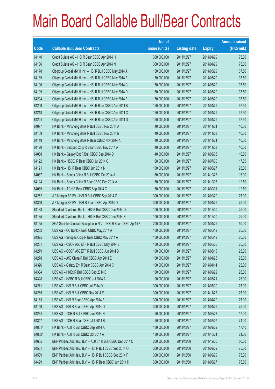|        |                                                                | No. of        |                     |               | <b>Amount raised</b> |
|--------|----------------------------------------------------------------|---------------|---------------------|---------------|----------------------|
| Code   | <b>Callable Bull/Bear Contracts</b>                            | issue (units) | <b>Listing date</b> | <b>Expiry</b> | (HK\$ mil.)          |
| 64140  | Credit Suisse AG - HSI R Bear CBBC Apr 2014 H                  | 300,000,000   | 2013/12/27          | 2014/04/29    | 75.00                |
| 64136  | Credit Suisse AG - HSI R Bear CBBC Apr 2014 N                  | 300,000,000   | 2013/12/27          | 2014/04/29    | 75.00                |
| 64178  | Citigroup Global Mkt H Inc. - HSI R Bull CBBC May 2014 A       | 150,000,000   | 2013/12/27          | 2014/05/29    | 37.50                |
| 64189  | Citigroup Global Mkt H Inc. - HSI R Bull CBBC May 2014 B       | 150,000,000   | 2013/12/27          | 2014/05/29    | 37.50                |
| 64196  | Citigroup Global Mkt H Inc. - HSI R Bull CBBC May 2014 C       | 150,000,000   | 2013/12/27          | 2014/05/29    | 37.50                |
| 64199  | Citigroup Global Mkt H Inc. - HSI R Bull CBBC May 2014 D       | 150,000,000   | 2013/12/27          | 2014/05/29    | 37.50                |
| 64204  | Citigroup Global Mkt H Inc. - HSI R Bull CBBC May 2014 E       | 150,000,000   | 2013/12/27          | 2014/05/29    | 37.50                |
| 64209  | Citigroup Global Mkt H Inc. - HSI R Bear CBBC Apr 2014 B       | 150,000,000   | 2013/12/27          | 2014/04/29    | 37.50                |
| 64218  | Citigroup Global Mkt H Inc. - HSI R Bear CBBC Apr 2014 C       | 150,000,000   | 2013/12/27          | 2014/04/29    | 37.50                |
| 64224  | Citigroup Global Mkt H Inc. - HSI R Bear CBBC Apr 2014 D       | 150,000,000   | 2013/12/27          | 2014/04/29    | 37.50                |
| 64097  | HK Bank - Minsheng Bank R Bull CBBC Nov 2014 A                 | 40,000,000    | 2013/12/27          | 2014/11/24    | 10.00                |
| 64109  | HK Bank - Minsheng Bank R Bull CBBC Nov 2014 B                 | 40,000,000    | 2013/12/27          | 2014/11/03    | 10.00                |
| 64119  | HK Bank - Minsheng Bank R Bear CBBC Nov 2014 A                 | 40,000,000    | 2013/12/27          | 2014/11/24    | 10.00                |
| 64120  | HK Bank - Sinopec Corp R Bear CBBC Nov 2014 A                  | 40,000,000    | 2013/12/27          | 2014/11/03    | 10.00                |
| 64088  | HK Bank - Galaxy Ent R Bull CBBC Sep 2014 D                    | 40,000,000    | 2013/12/27          | 2014/09/08    | 10.00                |
| 64122  | HK Bank - HSCEI R Bear CBBC Jul 2014 C                         | 68,000,000    | 2013/12/27          | 2014/07/30    | 17.00                |
| 64121  | HK Bank - HSI R Bear CBBC Jun 2014 N                           | 100,000,000   | 2013/12/27          | 2014/06/27    | 25.00                |
| 64087  | HK Bank - Sands China R Bull CBBC Oct 2014 A                   | 60,000,000    | 2013/12/27          | 2014/10/27    | 15.00                |
| 64124  | HK Bank - Sands China R Bear CBBC Dec 2014 A                   | 50,000,000    | 2013/12/27          | 2014/12/08    | 12.50                |
| 64089  | HK Bank - TCH R Bear CBBC Sep 2014 G                           | 50,000,000    | 2013/12/27          | 2014/09/01    | 12.50                |
| 64252  | J P Morgan SP BV - HSI R Bull CBBC Sep 2014 G                  | 300,000,000   | 2013/12/27          | 2014/09/29    | 75.00                |
| 64349  | J P Morgan SP BV - HSI R Bear CBBC Apr 2014 O                  | 300,000,000   | 2013/12/27          | 2014/04/29    | 75.00                |
| 64133  | Standard Chartered Bank - HSI R Bull CBBC Dec 2014 Q           | 100,000,000   | 2013/12/27          | 2014/12/30    | 25.00                |
| 64135  | Standard Chartered Bank - HSI R Bull CBBC Dec 2014 R           | 100,000,000   | 2013/12/27          | 2014/12/30    | 25.00                |
| 64155  | SGA Societe Generale Acceptance N.V. - HSI R Bear CBBC Apr14 F | 200,000,000   | 2013/12/27          | 2014/04/29    | 50.00                |
| 64282  | UBS AG - CC Bank R Bear CBBC May 2014 A                        | 100,000,000   | 2013/12/27          | 2014/05/12    | 25.00                |
| 64325  | UBS AG - Sinopec Corp R Bear CBBC May 2014 A                   | 100,000,000   | 2013/12/27          | 2014/05/12    | 25.00                |
| 64281  | UBS AG - CSOP A50 ETF R Bull CBBC May 2014 B                   | 100,000,000   | 2013/12/27          | 2014/05/26    | 25.00                |
| 64279  | UBS AG - CSOP A50 ETF R Bull CBBC Jun 2014 B                   | 100,000,000   | 2013/12/27          | 2014/06/16    | 25.00                |
| 64278  | UBS AG - A50 China R Bull CBBC Apr 2014 E                      | 100,000,000   | 2013/12/27          | 2014/04/28    | 25.00                |
| 64326  | UBS AG - Galaxy Ent R Bear CBBC Apr 2014 C                     | 100,000,000   | 2013/12/27          | 2014/04/14    | 25.00                |
| 64304  | UBS AG - HKEx R Bull CBBC Sep 2014 B                           | 100,000,000   | 2013/12/27          | 2014/09/22    | 25.00                |
| 64328  | UBS AG - HSBC R Bull CBBC Jul 2014 A                           | 100,000,000   | 2013/12/27          | 2014/07/21    | 25.00                |
| 64271  | UBS AG - HSI R Bull CBBC Jul 2014 O                            | 300,000,000   | 2013/12/27          | 2014/07/30    | 75.00                |
| 64265  | UBS AG - HSI R Bull CBBC Nov 2014 E                            | 300,000,000   | 2013/12/27          | 2014/11/27    | 75.00                |
| 64163  | UBS AG - HSI R Bear CBBC Apr 2014 E                            | 300,000,000   | 2013/12/27          | 2014/04/29    | 75.00                |
| 64159  | UBS AG - HSI R Bear CBBC Apr 2014 Q                            | 300,000,000   | 2013/12/27          | 2014/04/29    | 75.00                |
| 64284  | UBS AG - TCH R Bull CBBC Jun 2014 N                            | 50,000,000    | 2013/12/27          | 2014/06/23    | 17.00                |
| 64347  | UBS AG - TCH R Bear CBBC Jul 2014 B                            | 50,000,000    | 2013/12/27          | 2014/07/07    | 74.00                |
| 64851# | HK Bank - A50 R Bull CBBC Sep 2014 A                           | 180,000,000   | 2013/12/27          | 2014/09/29    | 17.10                |
| 64852# | HK Bank - A50 R Bull CBBC Oct 2014 A                           | 180,000,000   | 2013/12/27          | 2014/10/24    | 21.06                |
| 64665  | BNP Paribas Arbit Issu B.V. - A50 Ch R Bull CBBC Dec 2014 C    | 200,000,000   | 2013/12/30          | 2014/12/30    | 50.00                |
| 64531  | BNP Paribas Arbit Issu B.V. - HSI R Bull CBBC Sep 2014 O       | 300,000,000   | 2013/12/30          | 2014/09/29    | 75.00                |
| 64539  | BNP Paribas Arbit Issu B.V. - HSI R Bull CBBC Sep 2014 P       | 300,000,000   | 2013/12/30          | 2014/09/29    | 75.00                |
| 64499  | BNP Paribas Arbit Issu B.V. - HSI R Bear CBBC Jun 2014 H       | 300,000,000   | 2013/12/30          | 2014/06/27    | 75.00                |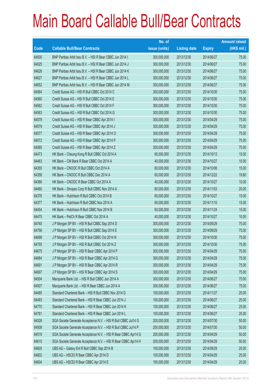|       |                                                                | No. of        |                     |               | <b>Amount raised</b> |
|-------|----------------------------------------------------------------|---------------|---------------------|---------------|----------------------|
| Code  | <b>Callable Bull/Bear Contracts</b>                            | issue (units) | <b>Listing date</b> | <b>Expiry</b> | (HK\$ mil.)          |
| 64500 | BNP Paribas Arbit Issu B.V. - HSI R Bear CBBC Jun 2014 I       | 300,000,000   | 2013/12/30          | 2014/06/27    | 75.00                |
| 64625 | BNP Paribas Arbit Issu B.V. - HSI R Bear CBBC Jun 2014 J       | 300,000,000   | 2013/12/30          | 2014/06/27    | 75.00                |
| 64626 | BNP Paribas Arbit Issu B.V. - HSI R Bear CBBC Jun 2014 K       | 300,000,000   | 2013/12/30          | 2014/06/27    | 75.00                |
| 64627 | BNP Paribas Arbit Issu B.V. - HSI R Bear CBBC Jun 2014 L       | 300,000,000   | 2013/12/30          | 2014/06/27    | 75.00                |
| 64652 | BNP Paribas Arbit Issu B.V. - HSI R Bear CBBC Jun 2014 M       | 300,000,000   | 2013/12/30          | 2014/06/27    | 75.00                |
| 64564 | Credit Suisse AG - HSI R Bull CBBC Oct 2014 C                  | 300,000,000   | 2013/12/30          | 2014/10/30    | 75.00                |
| 64560 | Credit Suisse AG - HSI R Bull CBBC Oct 2014 E                  | 300,000,000   | 2013/12/30          | 2014/10/30    | 75.00                |
| 64562 | Credit Suisse AG - HSI R Bull CBBC Oct 2014 F                  | 300,000,000   | 2013/12/30          | 2014/10/30    | 75.00                |
| 64563 | Credit Suisse AG - HSI R Bull CBBC Oct 2014 G                  | 300,000,000   | 2013/12/30          | 2014/10/30    | 75.00                |
| 64578 | Credit Suisse AG - HSI R Bear CBBC Apr 2014 I                  | 300,000,000   | 2013/12/30          | 2014/04/29    | 75.00                |
| 64579 | Credit Suisse AG - HSI R Bear CBBC Apr 2014 J                  | 300,000,000   | 2013/12/30          | 2014/04/29    | 75.00                |
| 64577 | Credit Suisse AG - HSI R Bear CBBC Apr 2014 O                  | 300,000,000   | 2013/12/30          | 2014/04/29    | 75.00                |
| 64572 | Credit Suisse AG - HSI R Bear CBBC Apr 2014 P                  | 300,000,000   | 2013/12/30          | 2014/04/29    | 75.00                |
| 64585 | Credit Suisse AG - HSI R Bear CBBC Apr 2014 Z                  | 300,000,000   | 2013/12/30          | 2014/04/29    | 75.00                |
| 64473 | HK Bank - Cheung Kong R Bull CBBC Oct 2014 A                   | 60,000,000    | 2013/12/30          | 2014/10/13    | 15.00                |
| 64463 | HK Bank - CM Bank R Bear CBBC Oct 2014 A                       | 40,000,000    | 2013/12/30          | 2014/10/27    | 10.00                |
| 64355 | HK Bank - CNOOC R Bull CBBC Oct 2014 A                         | 60,000,000    | 2013/12/30          | 2014/10/06    | 15.00                |
| 64358 | HK Bank - CNOOC R Bull CBBC Dec 2014 A                         | 60,000,000    | 2013/12/30          | 2014/12/22    | 19.80                |
| 64366 | HK Bank - CNOOC R Bear CBBC Oct 2014 A                         | 40,000,000    | 2013/12/30          | 2014/10/27    | 10.00                |
| 64460 | HK Bank - Sinopec Corp R Bull CBBC Nov 2014 A                  | 80,000,000    | 2013/12/30          | 2014/11/03    | 20.00                |
| 64376 | HK Bank - Hutchison R Bull CBBC Oct 2014 B                     | 60,000,000    | 2013/12/30          | 2014/10/27    | 15.00                |
| 64377 | HK Bank - Hutchison R Bull CBBC Nov 2014 A                     | 60,000,000    | 2013/12/30          | 2014/11/10    | 15.00                |
| 64454 | HK Bank - Hutchison R Bull CBBC Nov 2014 B                     | 60,000,000    | 2013/12/30          | 2014/11/24    | 15.00                |
| 64475 | HK Bank - PetCh R Bear CBBC Oct 2014 A                         | 40,000,000    | 2013/12/30          | 2014/10/27    | 10.00                |
| 64740 | J P Morgan SP BV - HSI R Bull CBBC Sep 2014 D                  | 300,000,000   | 2013/12/30          | 2014/09/29    | 75.00                |
| 64756 | J P Morgan SP BV - HSI R Bull CBBC Sep 2014 E                  | 300,000,000   | 2013/12/30          | 2014/09/29    | 75.00                |
| 64698 | J P Morgan SP BV - HSI R Bull CBBC Oct 2014 N                  | 300,000,000   | 2013/12/30          | 2014/10/30    | 75.00                |
| 64755 | J P Morgan SP BV - HSI R Bull CBBC Oct 2014 Z                  | 300,000,000   | 2013/12/30          | 2014/10/30    | 75.00                |
| 64675 | J P Morgan SP BV - HSI R Bear CBBC Apr 2014 P                  | 300,000,000   | 2013/12/30          | 2014/04/29    | 75.00                |
| 64684 | J P Morgan SP BV - HSI R Bear CBBC Apr 2014 Q                  | 300,000,000   | 2013/12/30          | 2014/04/29    | 75.00                |
| 64691 | J P Morgan SP BV - HSI R Bear CBBC Apr 2014 R                  | 300,000,000   | 2013/12/30          | 2014/04/29    | 75.00                |
| 64697 | JP Morgan SP BV - HSI R Bear CBBC Apr 2014 S                   | 300,000,000   | 2013/12/30          | 2014/04/29    | 75.00                |
| 64504 | Macquarie Bank Ltd. - HSI R Bull CBBC Jun 2014 A               | 300,000,000   | 2013/12/30          | 2014/06/27    | 75.00                |
| 64507 | Macquarie Bank Ltd. - HSI R Bear CBBC Jun 2014 A               | 300,000,000   | 2013/12/30          | 2014/06/27    | 75.00                |
| 64485 | Standard Chartered Bank - HSI R Bull CBBC Nov 2014 D           | 100,000,000   | 2013/12/30          | 2014/11/27    | 25.00                |
| 64493 | Standard Chartered Bank - HSI R Bear CBBC Jun 2014 J           | 100,000,000   | 2013/12/30          | 2014/06/27    | 25.00                |
| 64770 | Standard Chartered Bank - HSI R Bear CBBC Jun 2014 K           | 100,000,000   | 2013/12/30          | 2014/06/27    | 25.00                |
| 64781 | Standard Chartered Bank - HSI R Bear CBBC Jun 2014 L           | 100,000,000   | 2013/12/30          | 2014/06/27    | 25.00                |
| 64526 | SGA Societe Generale Acceptance N.V. - HSI R Bull CBBC Jul14 G | 200,000,000   | 2013/12/30          | 2014/07/30    | 50.00                |
| 64508 | SGA Societe Generale Acceptance N.V. - HSI R Bull CBBC Jul14 P | 200,000,000   | 2013/12/30          | 2014/07/30    | 50.00                |
| 64519 | SGA Societe Generale Acceptance N.V. - HSI R Bear CBBC Apr14 G | 200,000,000   | 2013/12/30          | 2014/04/29    | 50.00                |
| 64615 | SGA Societe Generale Acceptance N.V. - HSI R Bear CBBC Apr14 H | 200,000,000   | 2013/12/30          | 2014/04/29    | 50.00                |
| 64605 | UBS AG - Galaxy Ent R Bull CBBC Sep 2014 B                     | 100,000,000   | 2013/12/30          | 2014/09/29    | 25.00                |
| 64602 | UBS AG - HSCEI R Bear CBBC Apr 2014 D                          | 100,000,000   | 2013/12/30          | 2014/04/29    | 25.00                |
| 64604 | UBS AG - HSCEI R Bear CBBC Apr 2014 E                          | 100,000,000   | 2013/12/30          | 2014/04/29    | 25.00                |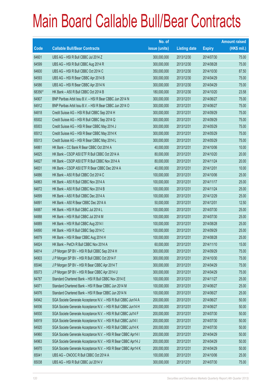|        |                                                                | No. of        |                     |               | <b>Amount raised</b> |
|--------|----------------------------------------------------------------|---------------|---------------------|---------------|----------------------|
| Code   | <b>Callable Bull/Bear Contracts</b>                            | issue (units) | <b>Listing date</b> | <b>Expiry</b> | (HK\$ mil.)          |
| 64601  | UBS AG - HSI R Bull CBBC Jul 2014 Z                            | 300,000,000   | 2013/12/30          | 2014/07/30    | 75.00                |
| 64599  | UBS AG - HSI R Bull CBBC Aug 2014 R                            | 300,000,000   | 2013/12/30          | 2014/08/28    | 75.00                |
| 64600  | UBS AG - HSI R Bull CBBC Oct 2014 C                            | 350,000,000   | 2013/12/30          | 2014/10/30    | 87.50                |
| 64593  | UBS AG - HSI R Bear CBBC Apr 2014 B                            | 300,000,000   | 2013/12/30          | 2014/04/29    | 75.00                |
| 64586  | UBS AG - HSI R Bear CBBC Apr 2014 N                            | 300,000,000   | 2013/12/30          | 2014/04/29    | 75.00                |
| 68356# | HK Bank - A50 R Bull CBBC Oct 2014 B                           | 180,000,000   | 2013/12/30          | 2014/10/20    | 23.58                |
| 64907  | BNP Paribas Arbit Issu B.V. - HSI R Bear CBBC Jun 2014 N       | 300,000,000   | 2013/12/31          | 2014/06/27    | 75.00                |
| 64912  | BNP Paribas Arbit Issu B.V. - HSI R Bear CBBC Jun 2014 O       | 300,000,000   | 2013/12/31          | 2014/06/27    | 75.00                |
| 64818  | Credit Suisse AG - HSI R Bull CBBC Sep 2014 H                  | 300,000,000   | 2013/12/31          | 2014/09/29    | 75.00                |
| 65002  | Credit Suisse AG - HSI R Bull CBBC Sep 2014 Q                  | 300,000,000   | 2013/12/31          | 2014/09/29    | 75.00                |
| 65003  | Credit Suisse AG - HSI R Bear CBBC May 2014 J                  | 300,000,000   | 2013/12/31          | 2014/05/29    | 75.00                |
| 65012  | Credit Suisse AG - HSI R Bear CBBC May 2014 K                  | 300,000,000   | 2013/12/31          | 2014/05/29    | 75.00                |
| 65013  | Credit Suisse AG - HSI R Bear CBBC May 2014 L                  | 300,000,000   | 2013/12/31          | 2014/05/29    | 75.00                |
| 64861  | HK Bank - CC Bank R Bear CBBC Oct 2014 A                       | 40,000,000    | 2013/12/31          | 2014/10/06    | 10.00                |
| 64825  | HK Bank - CSOP A50 ETF R Bull CBBC Oct 2014 A                  | 80,000,000    | 2013/12/31          | 2014/10/20    | 20.00                |
| 64827  | HK Bank - CSOP A50 ETF R Bull CBBC Nov 2014 A                  | 80,000,000    | 2013/12/31          | 2014/11/24    | 20.00                |
| 64831  | HK Bank - CSOP A50 ETF R Bear CBBC Dec 2014 A                  | 40,000,000    | 2013/12/31          | 2014/12/01    | 10.00                |
| 64886  | HK Bank - A50 R Bull CBBC Oct 2014 C                           | 100,000,000   | 2013/12/31          | 2014/10/06    | 25.00                |
| 64863  | HK Bank - A50 R Bull CBBC Nov 2014 A                           | 100,000,000   | 2013/12/31          | 2014/11/17    | 25.00                |
| 64872  | HK Bank - A50 R Bull CBBC Nov 2014 B                           | 100,000,000   | 2013/12/31          | 2014/11/24    | 25.00                |
| 64899  | HK Bank - A50 R Bull CBBC Dec 2014 A                           | 100,000,000   | 2013/12/31          | 2014/12/29    | 25.00                |
| 64891  | HK Bank - A50 R Bear CBBC Dec 2014 A                           | 50,000,000    | 2013/12/31          | 2014/12/01    | 12.50                |
| 64887  | HK Bank - HSI R Bull CBBC Jul 2014 L                           | 100,000,000   | 2013/12/31          | 2014/07/30    | 25.00                |
| 64888  | HK Bank - HSI R Bull CBBC Jul 2014 M                           | 100,000,000   | 2013/12/31          | 2014/07/30    | 25.00                |
| 64889  | HK Bank - HSI R Bull CBBC Aug 2014 I                           | 100,000,000   | 2013/12/31          | 2014/08/28    | 25.00                |
| 64890  | HK Bank - HSI R Bull CBBC Sep 2014 C                           | 100,000,000   | 2013/12/31          | 2014/09/29    | 25.00                |
| 64879  | HK Bank - HSI R Bear CBBC Aug 2014 H                           | 100,000,000   | 2013/12/31          | 2014/08/28    | 25.00                |
| 64824  | HK Bank - PetCh R Bull CBBC Nov 2014 A                         | 60,000,000    | 2013/12/31          | 2014/11/10    | 15.00                |
| 64814  | J P Morgan SP BV - HSI R Bull CBBC Sep 2014 H                  | 300,000,000   | 2013/12/31          | 2014/09/29    | 75.00                |
| 64903  | J P Morgan SP BV - HSI R Bull CBBC Oct 2014 F                  | 300,000,000   | 2013/12/31          | 2014/10/30    | 75.00                |
| 65046  | J P Morgan SP BV - HSI R Bear CBBC Apr 2014 T                  | 300,000,000   | 2013/12/31          | 2014/04/29    | 75.00                |
| 65073  | J P Morgan SP BV - HSI R Bear CBBC Apr 2014 U                  | 300,000,000   | 2013/12/31          | 2014/04/29    | 75.00                |
| 64787  | Standard Chartered Bank - HSI R Bull CBBC Nov 2014 E           | 100,000,000   | 2013/12/31          | 2014/11/27    | 25.00                |
| 64971  | Standard Chartered Bank - HSI R Bear CBBC Jun 2014 M           | 100,000,000   | 2013/12/31          | 2014/06/27    | 25.00                |
| 64976  | Standard Chartered Bank - HSI R Bear CBBC Jun 2014 N           | 100,000,000   | 2013/12/31          | 2014/06/27    | 25.00                |
| 64942  | SGA Societe Generale Acceptance N.V. - HSI R Bull CBBC Jun14 A | 200,000,000   | 2013/12/31          | 2014/06/27    | 50.00                |
| 64936  | SGA Societe Generale Acceptance N.V. - HSI R Bull CBBC Jun14 H | 200,000,000   | 2013/12/31          | 2014/06/27    | 50.00                |
| 64930  | SGA Societe Generale Acceptance N.V. - HSI R Bull CBBC Jul14 F | 200,000,000   | 2013/12/31          | 2014/07/30    | 50.00                |
| 64919  | SGA Societe Generale Acceptance N.V. - HSI R Bull CBBC Jul14 I | 200,000,000   | 2013/12/31          | 2014/07/30    | 50.00                |
| 64920  | SGA Societe Generale Acceptance N.V. - HSI R Bull CBBC Jul14 K | 200,000,000   | 2013/12/31          | 2014/07/30    | 50.00                |
| 64960  | SGA Societe Generale Acceptance N.V. - HSI R Bear CBBC Apr14 I | 200,000,000   | 2013/12/31          | 2014/04/29    | 50.00                |
| 64963  | SGA Societe Generale Acceptance N.V. - HSI R Bear CBBC Apr14 J | 200,000,000   | 2013/12/31          | 2014/04/29    | 50.00                |
| 64970  | SGA Societe Generale Acceptance N.V. - HSI R Bear CBBC Apr14 K | 200,000,000   | 2013/12/31          | 2014/04/29    | 50.00                |
| 65041  | UBS AG - CNOOC R Bull CBBC Oct 2014 A                          | 100,000,000   | 2013/12/31          | 2014/10/06    | 25.00                |
| 65038  | UBS AG - HSI R Bull CBBC Jul 2014 V                            | 300,000,000   | 2013/12/31          | 2014/07/30    | 75.00                |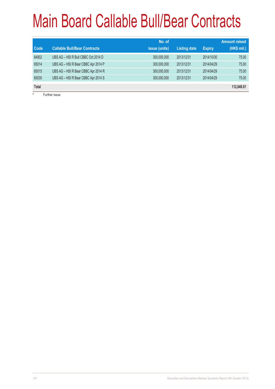| <b>Code</b>  | <b>Callable Bull/Bear Contracts</b> | No. of<br>issue (units) | <b>Listing date</b> | <b>Expiry</b> | <b>Amount raised</b><br>(HK\$ mil.) |
|--------------|-------------------------------------|-------------------------|---------------------|---------------|-------------------------------------|
| 64902        | UBS AG - HSI R Bull CBBC Oct 2014 D | 300,000,000             | 2013/12/31          | 2014/10/30    | 75.00                               |
| 65014        | UBS AG - HSI R Bear CBBC Apr 2014 P | 300,000,000             | 2013/12/31          | 2014/04/29    | 75.00                               |
| 65015        | UBS AG - HSI R Bear CBBC Apr 2014 R | 300,000,000             | 2013/12/31          | 2014/04/29    | 75.00                               |
| 65030        | UBS AG - HSI R Bear CBBC Apr 2014 S | 300,000,000             | 2013/12/31          | 2014/04/29    | 75.00                               |
| <b>Total</b> |                                     |                         |                     |               | 112,648.01                          |
|              | Eurthor inquo                       |                         |                     |               |                                     |

Further issue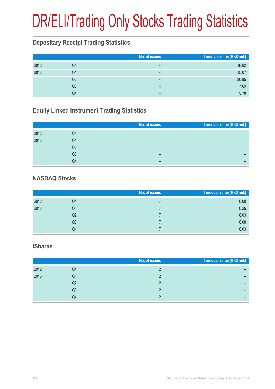# DR/ELI/Trading Only Stocks Trading Statistics

## **Depositary Receipt Trading Statistics**

|      |                | No. of issues | Turnover value (HK\$ mil.) |
|------|----------------|---------------|----------------------------|
| 2012 | Q4             |               | 18.62                      |
| 2013 | Q1             |               | 15.07                      |
|      | Q2             |               | 20.85                      |
|      | Q <sub>3</sub> | 4             | 7.69                       |
|      | Q4             |               | 5.78                       |

## **Equity Linked Instrument Trading Statistics**

|      |    | No. of issues | Turnover value (HK\$ mil.) |
|------|----|---------------|----------------------------|
| 2012 | Q4 |               |                            |
| 2013 | Q1 | –             |                            |
|      | Q2 | –             |                            |
|      | Q3 | -             |                            |
|      | Q4 | -             |                            |

### **NASDAQ Stocks**

|      |    | No. of issues | Turnover value (HK\$ mil.) |
|------|----|---------------|----------------------------|
| 2012 | Q4 |               | 0.00                       |
| 2013 | Q1 |               | 0.25                       |
|      | Q2 |               | 0.03                       |
|      | Q3 |               | 0.08                       |
|      | Q4 |               | 0.03                       |

#### **iShares**

|      |    | No. of issues | Turnover value (HK\$ mil.) |
|------|----|---------------|----------------------------|
| 2012 | Q4 |               |                            |
| 2013 | Q1 |               |                            |
|      | Q2 |               |                            |
|      | Q3 |               |                            |
|      | Q4 |               |                            |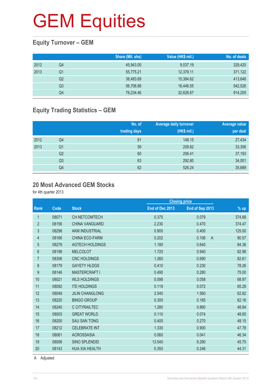## **Equity Turnover – GEM**

|      |    | Share (Mil. shs) | Value (HK\$ mil.) | No. of deals |
|------|----|------------------|-------------------|--------------|
| 2012 | Q4 | 45,943.00        | 9,037.19          | 329,420      |
| 2013 | Q1 | 55,775.21        | 12.379.11         | 371,122      |
|      | Q2 | 38,483.69        | 15,384.62         | 413,646      |
|      | Q3 | 56,706.88        | 18.446.55         | 542,526      |
|      | Q4 | 78,234.46        | 32,626.67         | 914,205      |

## **Equity Trading Statistics – GEM**

|      |                | No. of<br>trading days | <b>Average daily turnover</b><br>(HK\$ mil.) | Average value<br>per deal |
|------|----------------|------------------------|----------------------------------------------|---------------------------|
| 2012 | Q4             | 61                     | 148.15                                       | 27,434                    |
| 2013 | Q <sub>1</sub> | 59                     | 209.82                                       | 33,356                    |
|      | Q <sub>2</sub> | 60                     | 256.41                                       | 37,193                    |
|      | Q <sub>3</sub> | 63                     | 292.80                                       | 34,001                    |
|      | Q4             | 62                     | 526.24                                       | 35,689                    |

#### **20 Most Advanced GEM Stocks**

for 4th quarter 2013

|                |       |                        |                 | <b>Closing price</b>  |        |
|----------------|-------|------------------------|-----------------|-----------------------|--------|
| <b>Rank</b>    | Code  | <b>Stock</b>           | End of Dec 2013 | End of Sep 2013       | $%$ up |
| 1              | 08071 | <b>CH NETCOMTECH</b>   | 0.375           | 0.079                 | 374.68 |
| $\overline{2}$ | 08156 | <b>CHINA VANGUARD</b>  | 2.230           | 0.470                 | 374.47 |
| 3              | 08298 | <b>AKM INDUSTRIAL</b>  | 0.900           | 0.400                 | 125.00 |
| 4              | 08166 | <b>CHINA ECO-FARM</b>  | 0.202           | 0.106<br>$\mathsf{A}$ | 90.57  |
| 5              | 08279 | <b>AGTECH HOLDINGS</b> | 1.180           | 0.640                 | 84.38  |
| 6              | 08198 | <b>MELCOLOT</b>        | 1.720           | 0.940                 | 82.98  |
| $\overline{7}$ | 08356 | <b>CNC HOLDINGS</b>    | 1.260           | 0.690                 | 82.61  |
| 8              | 08179 | <b>GAYETY HLDGS</b>    | 0.410           | 0.230                 | 78.26  |
| 9              | 08146 | MASTERCRAFT I          | 0.490           | 0.280                 | 75.00  |
| 10             | 08021 | <b>WLS HOLDINGS</b>    | 0.098           | 0.058                 | 68.97  |
| 11             | 08092 | <b>ITE HOLDINGS</b>    | 0.119           | 0.072                 | 65.28  |
| 12             | 08049 | <b>JILIN CHANGLONG</b> | 2.540           | 1.560                 | 62.82  |
| 13             | 08220 | <b>BINGO GROUP</b>     | 0.300           | 0.185                 | 62.16  |
| 14             | 08240 | C CITYRAILTEC          | 1.280           | 0.860                 | 48.84  |
| 15             | 08003 | <b>GREAT WORLD</b>     | 0.110           | 0.074                 | 48.65  |
| 16             | 08200 | <b>SAU SAN TONG</b>    | 0.400           | 0.270                 | 48.15  |
| 17             | 08212 | <b>CELEBRATE INT</b>   | 1.330           | 0.900                 | 47.78  |
| 18             | 08061 | <b>ACROSSASIA</b>      | 0.060           | 0.041                 | 46.34  |
| 19             | 08006 | <b>SINO SPLENDID</b>   | 13.540          | 9.290                 | 45.75  |
| 20             | 08143 | <b>HUA XIA HEALTH</b>  | 0.355           | 0.246                 | 44.31  |
|                |       |                        |                 |                       |        |

A Adjusted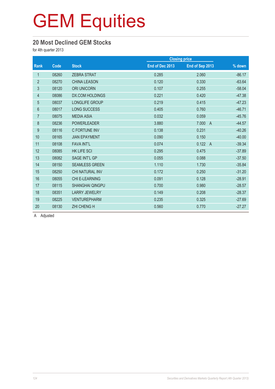### **20 Most Declined GEM Stocks**

for 4th quarter 2013

|                |       |                        |                 | <b>Closing price</b>    |          |
|----------------|-------|------------------------|-----------------|-------------------------|----------|
| <b>Rank</b>    | Code  | <b>Stock</b>           | End of Dec 2013 | End of Sep 2013         | % down   |
| $\mathbf{1}$   | 08260 | <b>ZEBRA STRAT</b>     | 0.285           | 2.060                   | $-86.17$ |
| $\overline{2}$ | 08270 | <b>CHINA LEASON</b>    | 0.120           | 0.330                   | $-63.64$ |
| 3              | 08120 | <b>ORI UNICORN</b>     | 0.107           | 0.255                   | $-58.04$ |
| 4              | 08086 | <b>DX.COM HOLDINGS</b> | 0.221           | 0.420                   | $-47.38$ |
| $\overline{5}$ | 08037 | <b>LONGLIFE GROUP</b>  | 0.219           | 0.415                   | $-47.23$ |
| 6              | 08017 | <b>LONG SUCCESS</b>    | 0.405           | 0.760                   | $-46.71$ |
| $\overline{7}$ | 08075 | <b>MEDIA ASIA</b>      | 0.032           | 0.059                   | $-45.76$ |
| $\,8\,$        | 08236 | <b>POWERLEADER</b>     | 3.880           | 7.000<br>$\overline{A}$ | $-44.57$ |
| 9              | 08116 | C FORTUNE INV          | 0.138           | 0.231                   | $-40.26$ |
| 10             | 08165 | <b>JIAN EPAYMENT</b>   | 0.090           | 0.150                   | $-40.00$ |
| 11             | 08108 | <b>FAVA INT'L</b>      | 0.074           | 0.122<br>$\overline{A}$ | $-39.34$ |
| 12             | 08085 | <b>HK LIFE SCI</b>     | 0.295           | 0.475                   | $-37.89$ |
| 13             | 08082 | SAGE INT'L GP          | 0.055           | 0.088                   | $-37.50$ |
| 14             | 08150 | <b>SEAMLESS GREEN</b>  | 1.110           | 1.730                   | $-35.84$ |
| 15             | 08250 | CHI NATURAL INV        | 0.172           | 0.250                   | $-31.20$ |
| 16             | 08055 | <b>CHI E-LEARNING</b>  | 0.091           | 0.128                   | $-28.91$ |
| 17             | 08115 | <b>SHANGHAI QINGPU</b> | 0.700           | 0.980                   | $-28.57$ |
| 18             | 08351 | <b>LARRY JEWELRY</b>   | 0.149           | 0.208                   | $-28.37$ |
| 19             | 08225 | <b>VENTUREPHARM</b>    | 0.235           | 0.325                   | $-27.69$ |
| 20             | 08130 | <b>ZHI CHENG H</b>     | 0.560           | 0.770                   | $-27.27$ |

A Adjusted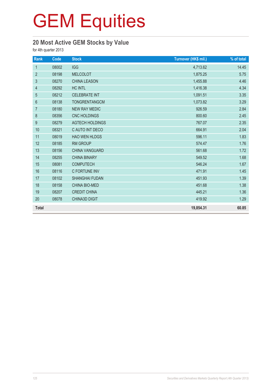## **20 Most Active GEM Stocks by Value**

for 4th quarter 2013

| Rank             | Code  | <b>Stock</b>           | Turnover (HK\$ mil.) | % of total |
|------------------|-------|------------------------|----------------------|------------|
| $\mathbf{1}$     | 08002 | <b>IGG</b>             | 4,713.62             | 14.45      |
| $\overline{2}$   | 08198 | <b>MELCOLOT</b>        | 1,875.25             | 5.75       |
| $\mathfrak{S}$   | 08270 | <b>CHINA LEASON</b>    | 1,455.88             | 4.46       |
| $\overline{4}$   | 08292 | <b>HC INTL</b>         | 1,416.38             | 4.34       |
| 5                | 08212 | <b>CELEBRATE INT</b>   | 1,091.51             | 3.35       |
| 6                | 08138 | <b>TONGRENTANGCM</b>   | 1,073.82             | 3.29       |
| $\overline{7}$   | 08180 | <b>NEW RAY MEDIC</b>   | 926.59               | 2.84       |
| $\,8\,$          | 08356 | <b>CNC HOLDINGS</b>    | 800.60               | 2.45       |
| $\boldsymbol{9}$ | 08279 | <b>AGTECH HOLDINGS</b> | 767.07               | 2.35       |
| 10               | 08321 | C AUTO INT DECO        | 664.91               | 2.04       |
| 11               | 08019 | <b>HAO WEN HLDGS</b>   | 596.11               | 1.83       |
| 12               | 08185 | <b>RM GROUP</b>        | 574.47               | 1.76       |
| 13               | 08156 | CHINA VANGUARD         | 561.68               | 1.72       |
| 14               | 08255 | <b>CHINA BINARY</b>    | 549.52               | 1.68       |
| 15               | 08081 | <b>COMPUTECH</b>       | 546.24               | 1.67       |
| 16               | 08116 | C FORTUNE INV          | 471.91               | 1.45       |
| 17               | 08102 | <b>SHANGHAI FUDAN</b>  | 451.93               | 1.39       |
| 18               | 08158 | <b>CHINA BIO-MED</b>   | 451.68               | 1.38       |
| 19               | 08207 | <b>CREDIT CHINA</b>    | 445.21               | 1.36       |
| 20               | 08078 | <b>CHINA3D DIGIT</b>   | 419.92               | 1.29       |
| <b>Total</b>     |       |                        | 19,854.31            | 60.85      |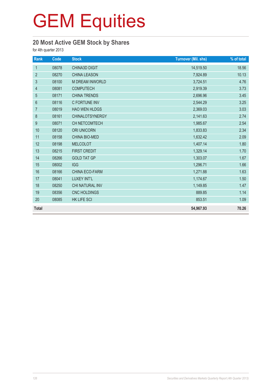## **20 Most Active GEM Stock by Shares**

for 4th quarter 2013

| Rank           | Code  | <b>Stock</b>           | <b>Turnover (Mil. shs)</b> | % of total |
|----------------|-------|------------------------|----------------------------|------------|
| $\mathbf{1}$   | 08078 | CHINA3D DIGIT          | 14,519.50                  | 18.56      |
| $\overline{2}$ | 08270 | <b>CHINA LEASON</b>    | 7,924.89                   | 10.13      |
| 3              | 08100 | M DREAM INWORLD        | 3,724.51                   | 4.76       |
| $\overline{4}$ | 08081 | <b>COMPUTECH</b>       | 2,919.39                   | 3.73       |
| 5              | 08171 | <b>CHINA TRENDS</b>    | 2,696.96                   | 3.45       |
| 6              | 08116 | C FORTUNE INV          | 2,544.29                   | 3.25       |
| $\overline{7}$ | 08019 | <b>HAO WEN HLDGS</b>   | 2,369.03                   | 3.03       |
| 8              | 08161 | <b>CHINALOTSYNERGY</b> | 2,141.63                   | 2.74       |
| 9              | 08071 | CH NETCOMTECH          | 1,985.67                   | 2.54       |
| 10             | 08120 | ORI UNICORN            | 1,833.83                   | 2.34       |
| 11             | 08158 | CHINA BIO-MED          | 1,632.42                   | 2.09       |
| 12             | 08198 | <b>MELCOLOT</b>        | 1,407.14                   | 1.80       |
| 13             | 08215 | <b>FIRST CREDIT</b>    | 1,329.14                   | 1.70       |
| 14             | 08266 | <b>GOLD TAT GP</b>     | 1,303.07                   | 1.67       |
| 15             | 08002 | <b>IGG</b>             | 1,296.71                   | 1.66       |
| 16             | 08166 | CHINA ECO-FARM         | 1,271.88                   | 1.63       |
| 17             | 08041 | <b>LUXEY INT'L</b>     | 1,174.67                   | 1.50       |
| 18             | 08250 | CHI NATURAL INV        | 1,149.85                   | 1.47       |
| 19             | 08356 | CNC HOLDINGS           | 889.85                     | 1.14       |
| 20             | 08085 | <b>HK LIFE SCI</b>     | 853.51                     | 1.09       |
| <b>Total</b>   |       |                        | 54,967.93                  | 70.26      |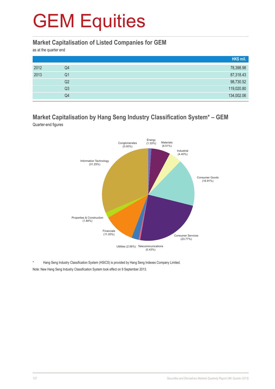### **Market Capitalisation of Listed Companies for GEM**

as at the quarter end

|      |    | HK\$ mil.  |
|------|----|------------|
| 2012 | Q4 | 78,398.98  |
| 2013 | Q1 | 87,318.43  |
|      | Q2 | 98,730.52  |
|      | Q3 | 119,020.80 |
|      | Q4 | 134,002.06 |

### **Market Capitalisation by Hang Seng Industry Classification System\* – GEM** Quarter-end figures



Hang Seng Industry Classification System (HSICS) is provided by Hang Seng Indexes Company Limited. Note: New Hang Seng Industry Classification System took effect on 9 September 2013.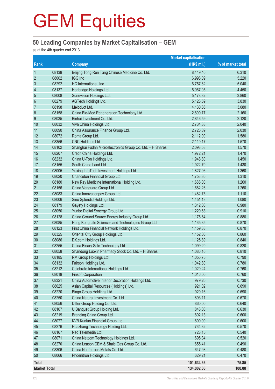## **50 Leading Companies by Market Capitalisation – GEM**

as at the 4th quarter end 2013

|                          | <b>Market capitalisation</b> |                                                           |             |                   |
|--------------------------|------------------------------|-----------------------------------------------------------|-------------|-------------------|
| <b>Rank</b>              |                              | <b>Company</b>                                            | (HK\$ mil.) | % of market total |
| $\mathbf{1}$             | 08138                        | Beijing Tong Ren Tang Chinese Medicine Co. Ltd.           | 8,449.40    | 6.310             |
| $\overline{2}$           | 08002                        | <b>IGG Inc</b>                                            | 6,998.09    | 5.220             |
| $\mathfrak{S}$           | 08292                        | HC International, Inc.                                    | 6,757.62    | 5.040             |
| $\overline{\mathcal{L}}$ | 08137                        | Honbridge Holdings Ltd.                                   | 5,967.05    | 4.450             |
| 5                        | 08008                        | Sunevision Holdings Ltd.                                  | 5,178.82    | 3.860             |
| $6\phantom{1}6$          | 08279                        | AGTech Holdings Ltd.                                      | 5,128.59    | 3.830             |
| $\overline{7}$           | 08198                        | MelcoLot Ltd.                                             | 4,130.86    | 3.080             |
| $\,8\,$                  | 08158                        | China Bio-Med Regeneration Technology Ltd.                | 2,890.77    | 2.160             |
| $\boldsymbol{9}$         | 08035                        | Binhai Investment Co. Ltd.                                | 2,846.59    | 2.120             |
| 10                       | 08032                        | Viva China Holdings Ltd.                                  | 2,734.38    | 2.040             |
| 11                       | 08090                        | China Assurance Finance Group Ltd.                        | 2,726.89    | 2.030             |
| 12                       | 08072                        | Roma Group Ltd.                                           | 2,112.00    | 1.580             |
| 13                       | 08356                        | CNC Holdings Ltd.                                         | 2,110.17    | 1.570             |
| 14                       | 08102                        | Shanghai Fudan Microelectronics Group Co. Ltd. - H Shares | 2,098.58    | 1.570             |
| 15                       | 08207                        | Credit China Holdings Ltd.                                | 1,972.21    | 1.470             |
| 16                       | 08232                        | China U-Ton Holdings Ltd.                                 | 1,948.80    | 1.450             |
| 17                       | 08155                        | South China Land Ltd.                                     | 1,922.70    | 1.430             |
| 18                       | 08005                        | Yuxing InfoTech Investment Holdings Ltd.                  | 1,827.96    | 1.360             |
| 19                       | 08020                        | Chanceton Financial Group Ltd.                            | 1,753.80    | 1.310             |
| 20                       | 08180                        | New Ray Medicine International Holding Ltd.               | 1,688.00    | 1.260             |
| 21                       | 08156                        | China Vanguard Group Ltd.                                 | 1,682.26    | 1.260             |
| 22                       | 08083                        | China Innovationpay Group Ltd.                            | 1,482.75    | 1.110             |
| 23                       | 08006                        | Sino Splendid Holdings Ltd.                               | 1,451.13    | 1.080             |
| 24                       | 08179                        | Gayety Holdings Ltd.                                      | 1,312.00    | 0.980             |
| 25                       | 08050                        | Yunbo Digital Synergy Group Ltd.                          | 1,220.63    | 0.910             |
| 26                       | 08128                        | China Ground Source Energy Industry Group Ltd.            | 1,175.64    | 0.880             |
| 27                       | 08085                        | Hong Kong Life Sciences and Technologies Group Ltd.       | 1,165.35    | 0.870             |
| 28                       | 08123                        | First China Financial Network Holdings Ltd.               | 1,159.33    | 0.870             |
| 29                       | 08325                        | Oriental City Group Holdings Ltd.                         | 1,152.00    | 0.860             |
| 30                       | 08086                        | DX.com Holdings Ltd.                                      | 1,125.89    | 0.840             |
| 31                       | 08255                        | China Binary Sale Technology Ltd.                         | 1,099.20    | 0.820             |
| 32                       | 08058                        | Shandong Luoxin Pharmacy Stock Co. Ltd. - H Shares        | 1,086.10    | 0.810             |
| 33                       | 08185                        | RM Group Holdings Ltd.                                    | 1,055.75    | 0.790             |
| 34                       | 08132                        | Fairson Holdings Ltd.                                     | 1,042.80    | 0.780             |
| 35                       | 08212                        | Celebrate International Holdings Ltd.                     | 1,020.24    | 0.760             |
| 36                       | 08018                        | <b>Finsoft Corporation</b>                                | 1,016.00    | 0.760             |
| 37                       | 08321                        | China Automotive Interior Decoration Holdings Ltd.        | 979.20      | 0.730             |
| 38                       | 08025                        | Asian Capital Resources (Holdings) Ltd.                   | 921.02      | 0.690             |
| 39                       | 08220                        | Bingo Group Holdings Ltd.                                 | 920.16      | 0.690             |
| 40                       | 08250                        | China Natural Investment Co. Ltd.                         | 893.11      | 0.670             |
| 41                       | 08056                        | Differ Group Holding Co. Ltd.                             | 860.00      | 0.640             |
| 42                       | 08107                        | U Banquet Group Holding Ltd.                              | 848.00      | 0.630             |
| 43                       | 08219                        | Branding China Group Ltd.                                 | 802.13      | 0.600             |
| 44                       | 08077                        | KVB Kunlun Financial Group Ltd.                           | 800.00      | 0.600             |
| 45                       | 08276                        | Huazhang Technology Holding Ltd.                          | 764.32      | 0.570             |
| 46                       | 08167                        | Neo Telemedia Ltd.                                        | 728.15      | 0.540             |
| 47                       | 08071                        | China Netcom Technology Holdings Ltd.                     | 695.34      | 0.520             |
| 48                       | 08270                        | China Leason CBM & Shale Gas Group Co. Ltd.               | 655.41      | 0.490             |
| 49                       | 08306                        | China Nonferrous Metals Co. Ltd.                          | 647.98      | 0.480             |
| 50                       | 08066                        | Phoenitron Holdings Ltd.                                  | 629.21      | 0.470             |
| <b>Total</b>             |                              |                                                           | 101,634.36  | 75.85             |
| <b>Market Total</b>      |                              |                                                           | 134,002.06  | 100.00            |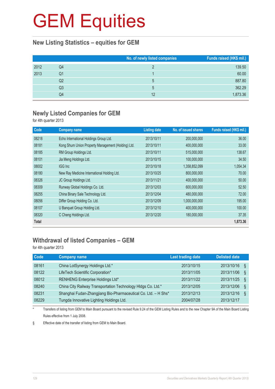### **New Listing Statistics – equities for GEM**

|      |    | No. of newly listed companies | Funds raised (HK\$ mil.) |
|------|----|-------------------------------|--------------------------|
| 2012 | Q4 |                               | 139.50                   |
| 2013 | Q1 |                               | 60.00                    |
|      | Q2 |                               | 887.80                   |
|      | Q3 | 5                             | 362.29                   |
|      | Q4 | 12                            | 1,873.36                 |

## **Newly Listed Companies for GEM**

for 4th quarter 2013

| Code  | <b>Company name</b>                                | <b>Listing date</b> | No. of issued shares | Funds raised (HK\$ mil.) |
|-------|----------------------------------------------------|---------------------|----------------------|--------------------------|
| 08218 | Echo International Holdings Group Ltd.             | 2013/10/11          | 200,000,000          | 36.00                    |
| 08181 | Kong Shum Union Property Management (Holding) Ltd. | 2013/10/11          | 400,000,000          | 33.00                    |
| 08185 | RM Group Holdings Ltd.                             | 2013/10/11          | 515,000,000          | 138.67                   |
| 08101 | Jia Meng Holdings Ltd.                             | 2013/10/15          | 100,000,000          | 34.50                    |
| 08002 | IGG Inc                                            | 2013/10/18          | 1,358,852,099        | 1,054.34                 |
| 08180 | New Ray Medicine International Holding Ltd.        | 2013/10/25          | 800,000,000          | 70.00                    |
| 08326 | JC Group Holdings Ltd.                             | 2013/11/21          | 400,000,000          | 50.00                    |
| 08309 | Runway Global Holdings Co. Ltd.                    | 2013/12/03          | 600,000,000          | 52.50                    |
| 08255 | China Binary Sale Technology Ltd.                  | 2013/12/04          | 480,000,000          | 72.00                    |
| 08056 | Differ Group Holding Co. Ltd.                      | 2013/12/09          | 1,000,000,000        | 195.00                   |
| 08107 | U Banquet Group Holding Ltd.                       | 2013/12/10          | 400,000,000          | 100.00                   |
| 08320 | C Cheng Holdings Ltd.                              | 2013/12/20          | 180,000,000          | 37.35                    |
| Total |                                                    |                     |                      | 1,873.36                 |

## **Withdrawal of listed Companies – GEM**

for 4th quarter 2013

| <b>Code</b> | <b>Company name</b>                                            | <b>Last trading date</b> | <b>Delisted date</b> |  |
|-------------|----------------------------------------------------------------|--------------------------|----------------------|--|
| 08161       | China LotSynergy Holdings Ltd.*                                | 2013/10/15               | 2013/10/16<br>Ş      |  |
| 08122       | LifeTech Scientific Corporation*                               | 2013/11/05               | 2013/11/06<br>Ş      |  |
| 08012       | RENHENG Enterprise Holdings Ltd*                               | 2013/11/22               | 2013/11/25<br>Ş      |  |
| 08240       | China City Railway Transportation Technology HIdgs Co. Ltd.*   | 2013/12/05               | 2013/12/06<br>Ş      |  |
| 08231       | Shanghai Fudan-Zhangjiang Bio-Pharmaceutical Co. Ltd. - H Shs* | 2013/12/13               | 2013/12/16<br>ξ      |  |
| 08229       | Tungda Innovative Lighting Holdings Ltd.                       | 2004/07/28               | 2013/12/17           |  |

Transfers of listing from GEM to Main Board pursuant to the revised Rule 9.24 of the GEM Listing Rules and to the new Chapter 9A of the Main Board Listing Rules effective from 1 July 2008.

§ Effective date of the transfer of listing from GEM to Main Board.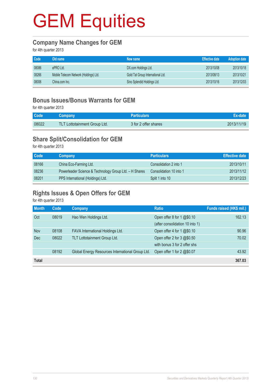### **Company Name Changes for GEM**

for 4th quarter 2013

| Code  | Old name                               | New name                          | <b>Effective date</b> | <b>Adoption date</b> |
|-------|----------------------------------------|-----------------------------------|-----------------------|----------------------|
| 08086 | ePRO Ltd.                              | DX.com Holdings Ltd.              | 2013/10/08            | 2013/10/18           |
| 08266 | Mobile Telecom Network (Holdings) Ltd. | Gold Tat Group International Ltd. | 2013/08/13            | 2013/10/21           |
| 08006 | China.com Inc.                         | Sino Splendid Holdings Ltd.       | 2013/10/16            | 2013/12/03           |

## **Bonus Issues/Bonus Warrants for GEM**

for 4th quarter 2013

| Code <sup>'</sup> | Company                             | <b>Particulars</b>   | Ex-date    |
|-------------------|-------------------------------------|----------------------|------------|
| 08022             | <b>TLT Lottotainment Group Ltd.</b> | 3 for 2 offer shares | 2013/11/19 |

## **Share Split/Consolidation for GEM**

for 4th quarter 2013

| Code  | Company                                                | <b>Particulars</b>      | Effective date |
|-------|--------------------------------------------------------|-------------------------|----------------|
| 08166 | China Eco-Farming Ltd.                                 | Consolidation 2 into 1  | 2013/10/11     |
| 08236 | Powerleader Science & Technology Group Ltd. - H Shares | Consolidation 10 into 1 | 2013/11/12     |
| 08201 | PPS International (Holdings) Ltd.                      | Split 1 into 10         | 2013/12/23     |

## **Rights Issues & Open Offers for GEM**

for 4th quarter 2013

| <b>Month</b> | Code  | Company                                          | <b>Ratio</b>                    | Funds raised (HK\$ mil.) |
|--------------|-------|--------------------------------------------------|---------------------------------|--------------------------|
| Oct          | 08019 | Hao Wen Holdings Ltd.                            | Open offer 8 for $1 \& 9.0.10$  | 162.13                   |
|              |       |                                                  | (after consolidation 10 into 1) |                          |
| Nov          | 08108 | FAVA International Holdings Ltd.                 | Open offer 4 for 1 @\$0.10      | 90.96                    |
| <b>Dec</b>   | 08022 | TLT Lottotainment Group Ltd.                     | Open offer 2 for $3 \& 0.50$    | 70.02                    |
|              |       |                                                  | with bonus 3 for 2 offer shs    |                          |
|              | 08192 | Global Energy Resources International Group Ltd. | Open offer 1 for 2 @\$0.07      | 43.92                    |
| <b>Total</b> |       |                                                  |                                 | 367.03                   |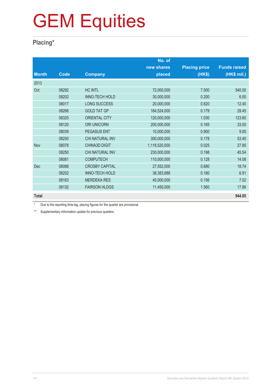## **Placing\***

|              |       |                        | No. of        |                      |                     |
|--------------|-------|------------------------|---------------|----------------------|---------------------|
|              |       |                        | new shares    | <b>Placing price</b> | <b>Funds raised</b> |
| <b>Month</b> | Code  | <b>Company</b>         | placed        | (HK\$)               | (HK\$ mil.)         |
| 2013         |       |                        |               |                      |                     |
| Oct          | 08292 | <b>HC INTL</b>         | 72,000,000    | 7.500                | 540.00              |
|              | 08202 | <b>INNO-TECH HOLD</b>  | 30,000,000    | 0.200                | 6.00                |
|              | 08017 | <b>LONG SUCCESS</b>    | 20,000,000    | 0.620                | 12.40               |
|              | 08266 | <b>GOLD TAT GP</b>     | 164,524,000   | 0.179                | 29.45               |
|              | 08325 | <b>ORIENTAL CITY</b>   | 120,000,000   | 1.030                | 123.60              |
|              | 08120 | <b>ORI UNICORN</b>     | 200,000,000   | 0.165                | 33.00               |
|              | 08039 | <b>PEGASUS ENT</b>     | 10,000,000    | 0.900                | 9.00                |
|              | 08250 | <b>CHI NATURAL INV</b> | 300,000,000   | 0.178                | 53.40               |
| Nov          | 08078 | <b>CHINA3D DIGIT</b>   | 1,118,520,000 | 0.025                | 27.85               |
|              | 08250 | CHI NATURAL INV        | 230,000,000   | 0.198                | 45.54               |
|              | 08081 | <b>COMPUTECH</b>       | 110,000,000   | 0.128                | 14.08               |
| <b>Dec</b>   | 08088 | <b>CROSBY CAPITAL</b>  | 27,552,000    | 0.680                | 18.74               |
|              | 08202 | <b>INNO-TECH HOLD</b>  | 38,383,688    | 0.180                | 6.91                |
|              | 08163 | <b>MERDEKA RES</b>     | 45,000,000    | 0.156                | 7.02                |
|              | 08132 | <b>FAIRSON HLDGS</b>   | 11,450,000    | 1.560                | 17.86               |
| <b>Total</b> |       |                        |               |                      | 944.85              |

Due to the reporting time-lag, placing figures for the quarter are provisional.

\*\* Supplementary information update for previous quarters.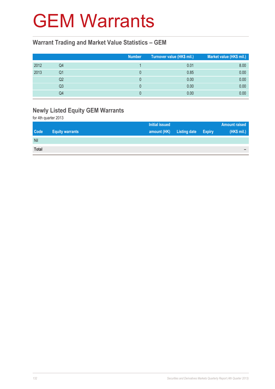## GEM Warrants

### **Warrant Trading and Market Value Statistics – GEM**

|      |                | <b>Number</b> | Turnover value (HK\$ mil.) | Market value (HK\$ mil.) |
|------|----------------|---------------|----------------------------|--------------------------|
| 2012 | Q4             |               | 0.01                       | 8.00                     |
| 2013 | Q1             |               | 0.85                       | 0.00                     |
|      | Q2             |               | 0.00                       | 0.00                     |
|      | Q <sub>3</sub> |               | 0.00                       | 0.00                     |
|      | Q4             |               | 0.00                       | 0.00                     |

## **Newly Listed Equity GEM Warrants**

for 4th quarter 2013

|              |                        | Initial issued |                     |               | <b>Amount raised</b> |
|--------------|------------------------|----------------|---------------------|---------------|----------------------|
| <b>Code</b>  | <b>Equity warrants</b> | amount (HK)    | <b>Listing date</b> | <b>Expiry</b> | (HK\$ mil.)          |
| Nil          |                        |                |                     |               |                      |
| <b>Total</b> |                        |                |                     |               | $\equiv$             |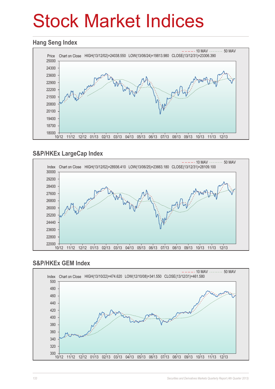# Stock Market Indices

### **Hang Seng Index**



## **S&P/HKEx LargeCap Index**



### **S&P/HKEx GEM Index**

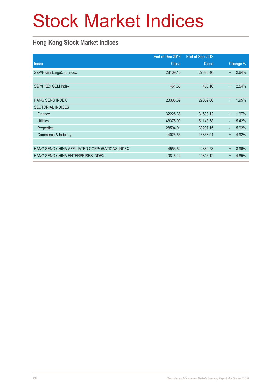# Stock Market Indices

## **Hong Kong Stock Market Indices**

|                                               | End of Dec 2013 | End of Sep 2013 |                          |          |
|-----------------------------------------------|-----------------|-----------------|--------------------------|----------|
| <b>Index</b>                                  | <b>Close</b>    | <b>Close</b>    |                          | Change % |
| S&P/HKEx LargeCap Index                       | 28109.10        | 27386.46        | $+$                      | 2.64%    |
|                                               |                 |                 |                          |          |
| S&P/HKEx GEM Index                            | 461.58          | 450.16          | $+$                      | 2.54%    |
|                                               |                 |                 |                          |          |
| <b>HANG SENG INDEX</b>                        | 23306.39        | 22859.86        | $+$                      | 1.95%    |
| <b>SECTORIAL INDICES</b>                      |                 |                 |                          |          |
| Finance                                       | 32225.38        | 31603.12        | $+$                      | 1.97%    |
| <b>Utilities</b>                              | 48375.90        | 51148.58        | $\blacksquare$           | 5.42%    |
| Properties                                    | 28504.91        | 30297.15        | $\overline{\phantom{a}}$ | 5.92%    |
| Commerce & Industry                           | 14026.66        | 13368.91        | $+$                      | 4.92%    |
|                                               |                 |                 |                          |          |
| HANG SENG CHINA-AFFILIATED CORPORATIONS INDEX | 4553.64         | 4380.23         | $\ddot{}$                | 3.96%    |
| HANG SENG CHINA ENTERPRISES INDEX             | 10816.14        | 10316.12        | $+$                      | 4.85%    |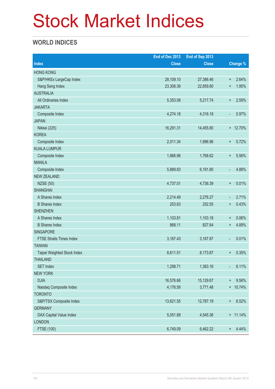# Stock Market Indices

## **WORLD INDICES**

|                                 | End of Dec 2013 | End of Sep 2013 |                                   |
|---------------------------------|-----------------|-----------------|-----------------------------------|
| <b>Index</b>                    | <b>Close</b>    | <b>Close</b>    | Change %                          |
| <b>HONG KONG</b>                |                 |                 |                                   |
| S&P/HKEx LargeCap Index         | 28,109.10       | 27,386.46       | 2.64%<br>$\ddot{}$                |
| Hang Seng Index                 | 23,306.39       | 22,859.80       | 1.95%<br>$\boldsymbol{+}$         |
| <b>AUSTRALIA</b>                |                 |                 |                                   |
| All Ordinaries Index            | 5,353.08        | 5,217.74        | 2.59%<br>$+$                      |
| <b>JAKARTA</b>                  |                 |                 |                                   |
| Composite Index                 | 4,274.18        | 4,316.18        | 0.97%<br>$\overline{\phantom{a}}$ |
| <b>JAPAN</b>                    |                 |                 |                                   |
| Nikkei (225)                    | 16,291.31       | 14,455.80       | + 12.70%                          |
| <b>KOREA</b>                    |                 |                 |                                   |
| Composite Index                 | 2,011.34        | 1,996.96        | 0.72%<br>$\ddot{}$                |
| <b>KUALA LUMPUR</b>             |                 |                 |                                   |
| Composite Index                 | 1,866.96        | 1,768.62        | 5.56%<br>$\ddot{}$                |
| <b>MANILA</b>                   |                 |                 |                                   |
| Composite Index                 | 5,889.83        | 6,191.80        | 4.88%<br>$\blacksquare$           |
| <b>NEW ZEALAND</b>              |                 |                 |                                   |
| <b>NZSE (50)</b>                | 4,737.01        | 4,736.39        | 0.01%<br>$\ddot{}$                |
| <b>SHANGHAI</b>                 |                 |                 |                                   |
| A Shares Index                  | 2,214.49        | 2,276.27        | 2.71%<br>٠                        |
| <b>B</b> Shares Index           | 253.63          | 252.55          | 0.43%<br>$\ddot{}$                |
| <b>SHENZHEN</b>                 |                 |                 |                                   |
| A Shares Index                  | 1,103.81        | 1,103.18        | 0.06%<br>$\ddot{}$                |
| <b>B</b> Shares Index           | 868.11          | 827.64          | 4.89%<br>$\ddot{}$                |
| <b>SINGAPORE</b>                |                 |                 |                                   |
| <b>FTSE Straits Times Index</b> | 3,167.43        | 3,167.87        | 0.01%<br>$\overline{\phantom{a}}$ |
| <b>TAIWAN</b>                   |                 |                 |                                   |
| Taipei Weighted Stock Index     | 8,611.51        | 8,173.87        | 5.35%<br>$\ddot{}$                |
| <b>THAILAND</b>                 |                 |                 |                                   |
| <b>SET Index</b>                | 1,298.71        | 1,383.16        | 6.11%<br>÷,                       |
| <b>NEW YORK</b>                 |                 |                 |                                   |
| <b>DJIA</b>                     | 16,576.66       | 15,129.67       | 9.56%<br>$^{+}$                   |
| Nasdaq Composite Index          | 4,176.59        | 3,771.48        | + 10.74%                          |
| <b>TORONTO</b>                  |                 |                 |                                   |
| S&P/TSX Composite Index         | 13,621.55       | 12,787.19       | 6.52%<br>$\boldsymbol{+}$         |
| <b>GERMANY</b>                  |                 |                 |                                   |
| DAX Capital Value Index         | 5,051.89        | 4,545.36        | $+ 11.14\%$                       |
| <b>LONDON</b>                   |                 |                 |                                   |
| FTSE (100)                      | 6,749.09        | 6,462.22        | 4.44%<br>$\boldsymbol{+}$         |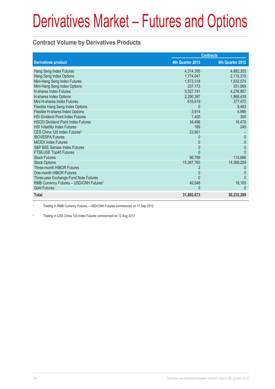## **Contract Volume by Derivatives Products**

|                                                     | <b>Contracts</b> |                  |  |
|-----------------------------------------------------|------------------|------------------|--|
| <b>Derivatives product</b>                          | 4th Quarter 2013 | 4th Quarter 2012 |  |
| Hang Seng Index Futures                             | 4,314,395        | 4,882,303        |  |
| Hang Seng Index Options                             | 1,774,047        | 2,115,315        |  |
| Mini-Hang Seng Index Futures                        | 1,573,318        | 1,832,074        |  |
| Mini-Hang Seng Index Options                        | 237.173          | 351,069          |  |
| <b>H-shares Index Futures</b>                       | 5,527,741        | 4,276,867        |  |
| H-shares Index Options                              | 2,290,397        | 1,868,439        |  |
| Mini H-shares Index Futures                         | 616,619          | 377,472          |  |
| Flexible Hang Seng Index Options                    | $\Omega$         | 8.483            |  |
| Flexible H-shares Index Options                     | 3,914            | 4.990            |  |
| <b>HSI Dividend Point Index Futures</b>             | 1,400            | 300              |  |
| <b>HSCEI Dividend Point Index Futures</b>           | 34,496           | 16,478           |  |
| <b>HSI Volatility Index Futures</b>                 | 169              | 249              |  |
| CES China 120 Index Futures <sup>2</sup>            | 23,901           |                  |  |
| <b>IBOVESPA Futures</b>                             | 0                | $\mathbf{0}$     |  |
| <b>MICEX Index Futures</b>                          | 0                | $\Omega$         |  |
| <b>S&amp;P BSE Sensex Index Futures</b>             | 0                | $\mathbf{0}$     |  |
| FTSE/JSE Top40 Futures                              |                  | $\Omega$         |  |
| <b>Stock Futures</b>                                | 86,788           | 114,886          |  |
| <b>Stock Options</b>                                | 15,367,765       | 14,366,259       |  |
| Three-month HIBOR Futures                           |                  |                  |  |
| One-month HIBOR Futures                             |                  |                  |  |
| Three-year Exchange Fund Note Futures               | $\mathbf{U}$     | <sup>0</sup>     |  |
| RMB Currency Futures - USD/CNH Futures <sup>1</sup> | 40,548           | 18,105           |  |
| <b>Gold Futures</b>                                 | $\Omega$         | $\Omega$         |  |
| <b>Total</b>                                        | 31,892,673       | 30,233,289       |  |

1 Trading in RMB Currency Futures – USD/CNH Futures commenced on 17 Sep 2012

2 Trading in CES China 120 Index Futures commenced on 12 Aug 2013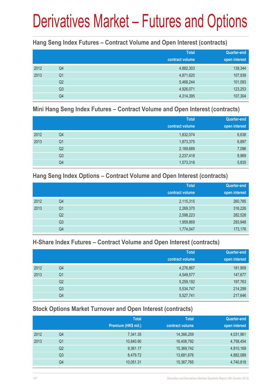### **Hang Seng Index Futures – Contract Volume and Open Interest (contracts)**

|      |                | <b>Total</b><br>contract volume | <b>Quarter-end</b><br>open interest |
|------|----------------|---------------------------------|-------------------------------------|
| 2012 | Q4             | 4,882,303                       | 139,344                             |
| 2013 | Q <sub>1</sub> | 4,871,620                       | 107,939                             |
|      | Q <sub>2</sub> | 5,468,244                       | 101,093                             |
|      | Q <sub>3</sub> | 4,926,071                       | 123,253                             |
|      | Q4             | 4,314,395                       | 107,304                             |

#### **Mini Hang Seng Index Futures – Contract Volume and Open Interest (contracts)**

|      |                | <b>Total</b><br>contract volume | <b>Quarter-end</b><br>open interest |
|------|----------------|---------------------------------|-------------------------------------|
| 2012 | Q4             | 1,832,074                       | 6,638                               |
| 2013 | Q <sub>1</sub> | 1,873,375                       | 6,897                               |
|      | Q <sub>2</sub> | 2,169,689                       | 7,096                               |
|      | Q <sub>3</sub> | 2,237,418                       | 8,969                               |
|      | Q4             | 1,573,318                       | 5,835                               |

### **Hang Seng Index Options – Contract Volume and Open Interest (contracts)**

|      |                | <b>Total</b>    | <b>Quarter-end</b> |
|------|----------------|-----------------|--------------------|
|      |                | contract volume | open interest      |
| 2012 | Q4             | 2,115,315       | 260,785            |
| 2013 | Q <sub>1</sub> | 2,269,370       | 316,226            |
|      | Q <sub>2</sub> | 2,598,223       | 282,528            |
|      | Q <sub>3</sub> | 1,959,869       | 293,948            |
|      | Q4             | 1,774,047       | 173,176            |

## **H-Share Index Futures – Contract Volume and Open Interest (contracts)**

|      |                | <b>Total</b>    | <b>Quarter-end</b> |
|------|----------------|-----------------|--------------------|
|      |                | contract volume | open interest      |
| 2012 | Q4             | 4,276,867       | 181,909            |
| 2013 | Q <sub>1</sub> | 4,549,577       | 147,677            |
|      | Q <sub>2</sub> | 5,259,192       | 197,763            |
|      | Q <sub>3</sub> | 5,534,747       | 214,299            |
|      | Q4             | 5,527,741       | 217,646            |

## **Stock Options Market Turnover and Open Interest (contracts)**

|      |    | <b>Total</b>        | <b>Total</b>    | Quarter-end   |
|------|----|---------------------|-----------------|---------------|
|      |    | Premium (HK\$ mil.) | contract volume | open interest |
| 2012 | Q4 | 7,341.35            | 14,366,259      | 4,031,961     |
| 2013 | Q1 | 10,840.90           | 16,408,792      | 4,758,454     |
|      | Q2 | 9,361.17            | 15,369,742      | 4,810,169     |
|      | Q3 | 8,479.72            | 13,681,676      | 4,882,089     |
|      | Q4 | 10,051.31           | 15,367,765      | 4,740,818     |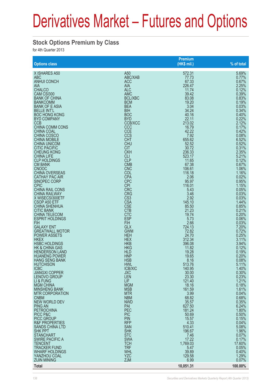### **Stock Options Premium by Class**

for 4th Quarter 2013

|                           |                 | <b>Premium</b>    |            |
|---------------------------|-----------------|-------------------|------------|
| <b>Options class</b>      |                 | (HK\$ mil.)       | % of total |
| X ISHARES A50             | A50             | 572.31            | 5.69%      |
| <b>ABC</b>                | ABC/XAB         | 77.73             | 0.77%      |
| <b>ANHUI CONCH</b>        | <b>ACC</b>      | 67.33             | 0.67%      |
| AIA                       | <b>AIA</b>      | 226.47            | 2.25%      |
| <b>CHALCO</b>             | <b>ALC</b>      | 11.74             | 0.12%      |
| CAM CSI300                | <b>AMC</b>      | 39.42             | 0.39%      |
| <b>BANK OF CHINA</b>      | <b>BCL/XBC</b>  | 83.08             | 0.83%      |
| <b>BANKCOMM</b>           | <b>BCM</b>      | 19.20             | 0.19%      |
| <b>BANK OF E ASIA</b>     | <b>BEA</b>      | 3.04              | 0.03%      |
| <b>BELLE INT'L</b>        | <b>BIH</b>      | 34.24             | 0.34%      |
| <b>BOC HONG KONG</b>      | <b>BOC</b>      | 40.16             | 0.40%      |
| <b>BYD COMPANY</b>        | <b>BYD</b>      | 22.11             | 0.22%      |
| <b>CCB</b>                | <b>CCB/XCC</b>  | 213.02            | 2.12%      |
| CHINA COMM CONS           | CCC             | 16.79             | 0.17%      |
| <b>CHINA COAL</b>         | <b>CCE</b>      | 42.22             | 0.42%      |
| CHINA COSCO               | CCS             | 7.92              | 0.08%      |
| <b>CHINA MOBILE</b>       | <b>CHT</b>      | 655.62            | 6.52%      |
| <b>CHINA UNICOM</b>       | <b>CHU</b>      | 52.52             | 0.52%      |
| <b>CITIC PACIFIC</b>      | <b>CIT</b>      | 30.72             | 0.31%      |
| <b>CHEUNG KONG</b>        | <b>CKH</b>      | 236.33            | 2.35%      |
| <b>CHINA LIFE</b>         | CLI             | 523.17            | 5.21%      |
| <b>CLP HOLDINGS</b>       | <b>CLP</b>      | 11.65             | 0.12%      |
| <b>CM BANK</b>            | <b>CMB</b>      | 67.38             | 0.67%      |
| <b>CNOOC</b>              | <b>CNC</b>      | 106.61            | 1.06%      |
| <b>CHINA OVERSEAS</b>     | <b>COL</b>      | 116.18            | 1.16%      |
| <b>CATHAY PAC AIR</b>     | <b>CPA</b>      | 2.06              | 0.02%      |
| SINOPEC CORP              | <b>CPC</b>      | 95.97             | 0.95%      |
| <b>CPIC</b>               | <b>CPI</b>      | 116.01            | 1.15%      |
| <b>CHINA RAIL CONS</b>    | <b>CRC</b>      | 5.43              | 0.05%      |
| <b>CHINA RAILWAY</b>      | <b>CRG</b>      | 3.46              | 0.03%      |
| X WISECSI300ETF           | CS <sub>3</sub> | 2.92              | 0.03%      |
| CSOP A50 ETF              | <b>CSA</b>      | 145.10            | 1.44%      |
| <b>CHINA SHENHUA</b>      | <b>CSE</b>      | 85.50             | 0.85%      |
| <b>CITIC BANK</b>         | <b>CTB</b>      | 21.23             | 0.21%      |
| <b>CHINA TELECOM</b>      | <b>CTC</b>      | 19.74             | 0.20%      |
| <b>ESPRIT HOLDINGS</b>    | <b>ESP</b>      | 5.73              | 0.06%      |
| <b>FIH</b>                | <b>FIH</b>      | 2.66              | 0.03%      |
| <b>GALAXY ENT</b>         | <b>GLX</b>      | 724.13            | 7.20%      |
| <b>GREATWALL MOTOR</b>    | <b>GWM</b>      | 72.82             | 0.72%      |
| <b>POWER ASSETS</b>       | <b>HEH</b>      | 24.70             | 0.25%      |
| <b>HKEX</b>               | <b>HEX</b>      | 312.34            | 3.11%      |
| <b>HSBC HOLDINGS</b>      | <b>HKB</b>      | 396.08            | 3.94%      |
| <b>HK &amp; CHINA GAS</b> | <b>HKG</b>      | 11.82             | 0.12%      |
| <b>HENDERSON LAND</b>     | <b>HLD</b>      | 19.28             | 0.19%      |
| <b>HUANENG POWER</b>      | <b>HNP</b>      | 19.65             | 0.20%      |
| <b>HANG SENG BANK</b>     | <b>HSB</b>      | 8.16              | 0.08%      |
| <b>HUTCHISON</b>          | HWL             | 513.76            | 5.11%      |
| <b>ICBC</b>               | <b>ICB/XIC</b>  | 140.95            | 1.40%      |
| <b>JIANGXI COPPER</b>     | <b>JXC</b>      | 30.00             | 0.30%      |
| <b>LENOVO GROUP</b>       | <b>LEN</b>      | 23.30             | 0.23%      |
| LI & FUNG                 | <b>LIF</b>      | 121.40            | 1.21%      |
| <b>MGM CHINA</b>          | <b>MGM</b>      | 18.16             | 0.18%      |
| <b>MINSHENG BANK</b>      | <b>MSB</b>      | 161.59            | 1.61%      |
| <b>MTR CORPORATION</b>    | <b>MTR</b>      | 3.99              | 0.04%      |
| <b>CNBM</b>               | <b>NBM</b>      | 68.82             | 0.68%      |
| NEW WORLD DEV             | <b>NWD</b>      |                   | 0.35%      |
| <b>PING AN</b>            | <b>PAI</b>      | 35.57<br>627.50   | 6.24%      |
| <b>PETROCHINA</b>         | PEC             | 181.24            | 1.80%      |
| PICC P&C                  | <b>PIC</b>      | 50.69             | 0.50%      |
| <b>PICC GROUP</b>         | <b>PIN</b>      | 15.57             | 0.15%      |
| <b>R&amp;F PROPERTIES</b> | <b>RFP</b>      | 4.33              | 0.04%      |
| SANDS CHINA LTD           | <b>SAN</b>      | 510.41            | 5.08%      |
| <b>SHK PPT</b>            | <b>SHK</b>      | 196.67            | 1.96%      |
| <b>STANCHART</b>          | <b>STC</b>      | 7.46              | 0.07%      |
| <b>SWIRE PACIFIC A</b>    | <b>SWA</b>      | 17.22             | 0.17%      |
| TENCENT                   | <b>TCH</b>      | 1,769.03          | 17.60%     |
| <b>TRACKER FUND</b>       | <b>TRF</b>      | 5.47              | 0.05%      |
| <b>WHARF HOLDINGS</b>     | <b>WHL</b>      | 39.89             | 0.40%      |
| YANZHOU COAL              | <b>YZC</b>      | 129.58            | 1.29%      |
| <b>ZIJIN MINING</b>       | <b>ZJM</b>      |                   | 0.07%      |
| <b>Total</b>              |                 | 6.99<br>10,051.31 | 100.00%    |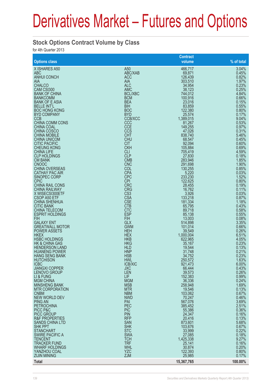### **Stock Options Contract Volume by Class**

for 4th Quarter 2013

|                                                   |                            | <b>Contract</b>     |                |
|---------------------------------------------------|----------------------------|---------------------|----------------|
| <b>Options class</b>                              |                            | volume              | % of total     |
| X ISHARES A50<br><b>ABC</b>                       | A <sub>50</sub><br>ABC/XAB | 466,717<br>69,871   | 3.04%<br>0.45% |
| <b>ANHUI CONCH</b>                                | <b>ACC</b>                 | 126,439             | 0.82%          |
| AIA<br><b>CHALCO</b>                              | <b>AIA</b><br><b>ALC</b>   | 303,510<br>34,954   | 1.97%<br>0.23% |
| CAM CSI300                                        | <b>AMC</b>                 | 38,123              | 0.25%          |
| <b>BANK OF CHINA</b>                              | <b>BCL/XBC</b>             | 744,012             | 4.84%          |
| <b>BANKCOMM</b><br><b>BANK OF E ASIA</b>          | <b>BCM</b><br><b>BEA</b>   | 100,916<br>23,016   | 0.66%<br>0.15% |
| <b>BELLE INT'L</b>                                | <b>BIH</b>                 | 83,859              | 0.55%          |
| <b>BOC HONG KONG</b><br><b>BYD COMPANY</b>        | <b>BOC</b><br><b>BYD</b>   | 122,380<br>25,574   | 0.80%<br>0.17% |
| <b>CCB</b>                                        | <b>CCB/XCC</b>             | 1,389,015           | 9.04%          |
| <b>CHINA COMM CONS</b>                            | CCC                        | 81,267              | 0.53%          |
| <b>CHINA COAL</b><br><b>CHINA COSCO</b>           | <b>CCE</b><br><b>CCS</b>   | 149,255<br>47,026   | 0.97%<br>0.31% |
| <b>CHINA MOBILE</b>                               | <b>CHT</b>                 | 838,740             | 5.46%          |
| <b>CHINA UNICOM</b><br><b>CITIC PACIFIC</b>       | <b>CHU</b><br><b>CIT</b>   | 68,547<br>92,094    | 0.45%<br>0.60% |
| <b>CHEUNG KONG</b>                                | <b>CKH</b>                 | 105,884             | 0.69%          |
| <b>CHINA LIFE</b><br><b>CLP HOLDINGS</b>          | <b>CLI</b><br><b>CLP</b>   | 705,419             | 4.59%<br>0.18% |
| <b>CM BANK</b>                                    | <b>CMB</b>                 | 27,830<br>283,946   | 1.85%          |
| <b>CNOOC</b>                                      | <b>CNC</b>                 | 291,698             | 1.90%          |
| <b>CHINA OVERSEAS</b><br><b>CATHAY PAC AIR</b>    | COL<br><b>CPA</b>          | 130,255<br>5,220    | 0.85%<br>0.03% |
| SINOPEC CORP                                      | <b>CPC</b>                 | 233,230             | 1.52%          |
| <b>CPIC</b><br><b>CHINA RAIL CONS</b>             | <b>CPI</b><br><b>CRC</b>   | 122,625<br>28,455   | 0.80%<br>0.19% |
| <b>CHINA RAILWAY</b>                              | <b>CRG</b>                 | 16.762              | 0.11%          |
| X WISECSI300ETF                                   | CS <sub>3</sub>            | 3,926               | 0.03%          |
| CSOP A50 ETF<br><b>CHINA SHENHUA</b>              | <b>CSA</b><br><b>CSE</b>   | 133,218<br>181,334  | 0.87%<br>1.18% |
| <b>CITIC BANK</b>                                 | <b>CTB</b>                 | 65,795              | 0.43%          |
| <b>CHINA TELECOM</b><br><b>ESPRIT HOLDINGS</b>    | <b>CTC</b><br><b>ESP</b>   | 89,718<br>85,138    | 0.58%<br>0.55% |
| <b>FIH</b>                                        | <b>FIH</b>                 | 13,003              | 0.08%          |
| <b>GALAXY ENT</b>                                 | <b>GLX</b><br><b>GWM</b>   | 514,898             | 3.35%<br>0.66% |
| <b>GREATWALL MOTOR</b><br><b>POWER ASSETS</b>     | <b>HEH</b>                 | 101,014<br>39,549   | 0.26%          |
| <b>HKEX</b>                                       | <b>HEX</b>                 | 1,000,004           | 6.51%          |
| <b>HSBC HOLDINGS</b><br><b>HK &amp; CHINA GAS</b> | <b>HKB</b><br><b>HKG</b>   | 622,965<br>35,167   | 4.05%<br>0.23% |
| <b>HENDERSON LAND</b>                             | <b>HLD</b>                 | 19,544              | 0.13%          |
| <b>HUANENG POWER</b><br><b>HANG SENG BANK</b>     | <b>HNP</b><br><b>HSB</b>   | 31,748<br>34,752    | 0.21%<br>0.23% |
| <b>HUTCHISON</b>                                  | <b>HWL</b>                 | 250,572             | 1.63%          |
| <b>ICBC</b>                                       | <b>ICB/XIC</b>             | 921,473             | 6.00%          |
| <b>JIANGXI COPPER</b><br><b>LENOVO GROUP</b>      | <b>JXC</b><br><b>LEN</b>   | 66,444<br>39,573    | 0.43%<br>0.26% |
| LI & FUNG                                         | <b>LIF</b>                 | 152,383             | 0.99%          |
| <b>MGM CHINA</b><br><b>MINSHENG BANK</b>          | <b>MGM</b><br><b>MSB</b>   | 36,336<br>258,948   | 0.24%<br>1.69% |
| <b>MTR CORPORATION</b>                            | <b>MTR</b>                 | 19,546              | 0.13%          |
| <b>CNBM</b><br><b>NEW WORLD DEV</b>               | <b>NBM</b><br><b>NWD</b>   | 103,062<br>70,247   | 0.67%<br>0.46% |
| <b>PING AN</b>                                    | PAI                        | 567,076             | 3.69%          |
| <b>PETROCHINA</b>                                 | <b>PEC</b>                 | 385,452             | 2.51%          |
| PICC P&C<br><b>PICC GROUP</b>                     | <b>PIC</b><br><b>PIN</b>   | 55,386<br>24,347    | 0.36%<br>0.16% |
| <b>R&amp;F PROPERTIES</b>                         | <b>RFP</b>                 | 20,416              | 0.13%          |
| <b>SANDS CHINA LTD</b><br><b>SHK PPT</b>          | <b>SAN</b><br><b>SHK</b>   | 873,601<br>103,676  | 5.68%<br>0.67% |
| <b>STANCHART</b>                                  | <b>STC</b>                 | 33,999              | 0.22%          |
| <b>SWIRE PACIFIC A</b><br><b>TENCENT</b>          | <b>SWA</b><br><b>TCH</b>   | 27,085<br>1,425,338 | 0.18%<br>9.27% |
| <b>TRACKER FUND</b>                               | <b>TRF</b>                 | 25,141              | 0.16%          |
| <b>WHARF HOLDINGS</b>                             | <b>WHL</b>                 | 30,874              | 0.20%          |
| YANZHOU COAL<br><b>ZIJIN MINING</b>               | YZC<br><b>ZJM</b>          | 122,393<br>25,985   | 0.80%<br>0.17% |
| <b>Total</b>                                      |                            | 15,367,765          | 100.00%        |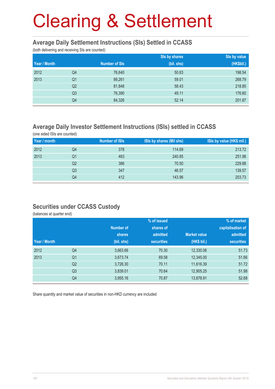#### **Average Daily Settlement Instructions (SIs) Settled in CCASS**

(both delivering and receiving SIs are counted)

|              |                | Sis by shares<br>Sis by value |            |            |
|--------------|----------------|-------------------------------|------------|------------|
| Year / Month |                | <b>Number of SIs</b>          | (bil. shs) | (HK\$bil.) |
| 2012         | Q4             | 76,640                        | 50.63      | 198.54     |
| 2013         | Q <sub>1</sub> | 89,261                        | 59.01      | 268.79     |
|              | Q <sub>2</sub> | 81,848                        | 58.43      | 218.85     |
|              | Q <sub>3</sub> | 76,390                        | 49.11      | 176.60     |
|              | Q4             | 84,326                        | 52.14      | 201.87     |

## **Average Daily Investor Settlement Instructions (ISIs) settled in CCASS**

(one sided ISIs are counted)

| Year / month |    | <b>Number of ISIs</b> | ISIs by shares (Mil shs) | ISIs by value (HK\$ mil.) |
|--------------|----|-----------------------|--------------------------|---------------------------|
| 2012         | Q4 | 378                   | 114.69                   | 213.72                    |
| 2013         | Q1 | 463                   | 240.85                   | 251.98                    |
|              | Q2 | 386                   | 70.50                    | 229.88                    |
|              | Q3 | 347                   | 46.57                    | 139.57                    |
|              | Q4 | 412                   | 143.96                   | 203.73                    |

### **Securities under CCASS Custody**

(balances at quarter end)

|              |                |               | % of issued       | % of market         |                   |  |
|--------------|----------------|---------------|-------------------|---------------------|-------------------|--|
|              |                | Number of     | shares of         |                     | capitalisation of |  |
|              |                | <b>shares</b> | admitted          | <b>Market value</b> | admitted          |  |
| Year / Month |                | (bil. shs)    | <b>securities</b> | (HK\$ bil.)         | <b>securities</b> |  |
| 2012         | Q <sub>4</sub> | 3,663.66      | 70.30             | 12,330.06           | 51.73             |  |
| 2013         | Q <sub>1</sub> | 3,673.74      | 69.58             | 12,345.00           | 51.66             |  |
|              | Q <sub>2</sub> | 3,726.30      | 70.11             | 11,616.39           | 51.72             |  |
|              | Q <sub>3</sub> | 3,839.01      | 70.64             | 12,905.25           | 51.98             |  |
|              | Q4             | 3,955.16      | 70.87             | 13,878.91           | 52.68             |  |

Share quantity and market value of securities in non-HKD currency are included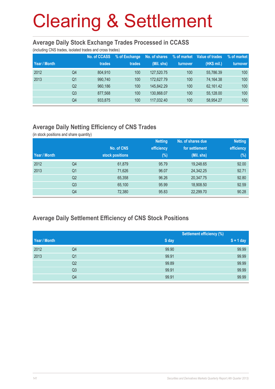#### **Average Daily Stock Exchange Trades Processed in CCASS**

(including CNS trades, isolated trades and cross trades)

|              |                | <b>No. of CCASS</b> | % of Exchange | No. of shares | % of market | Value of trades | % of market |
|--------------|----------------|---------------------|---------------|---------------|-------------|-----------------|-------------|
| Year / Month |                | trades              | trades        | (Mil. shs)    | turnover    | (HK\$ mil.)     | turnover    |
| 2012         | Q4             | 804.910             | 100           | 127,520.75    | 100         | 55,786.39       | 100         |
| 2013         | Q1             | 990.740             | 100           | 172,627.79    | 100         | 74.164.38       | 100         |
|              | Q <sub>2</sub> | 960.186             | 100           | 145.842.29    | 100         | 62.161.42       | 100         |
|              | Q <sub>3</sub> | 877.568             | 100           | 130.868.07    | 100         | 55,128.00       | 100         |
|              | Q4             | 933,875             | 100           | 117.032.40    | 100         | 58,954.27       | 100         |

## **Average Daily Netting Efficiency of CNS Trades**

(in stock positions and share quantity)

|              |                |                 | <b>Netting</b> | No. of shares due | <b>Netting</b> |
|--------------|----------------|-----------------|----------------|-------------------|----------------|
|              |                | No. of CNS      | efficiency     | for settlement    | efficiency     |
| Year / Month |                | stock positions | $(\%)$         | (Mil. shs)        | (%)            |
| 2012         | Q4             | 61,879          | 95.79          | 19,248.65         | 92.00          |
| 2013         | Q <sub>1</sub> | 71,626          | 96.07          | 24,342.25         | 92.71          |
|              | Q <sub>2</sub> | 65,358          | 96.26          | 20,347.75         | 92.80          |
|              | Q <sub>3</sub> | 65,100          | 95.99          | 18,908.50         | 92.59          |
|              | Q4             | 72,380          | 95.83          | 22,299.70         | 90.28          |

## **Average Daily Settlement Efficiency of CNS Stock Positions**

|              |                |       | <b>Settlement efficiency (%)</b> |
|--------------|----------------|-------|----------------------------------|
| Year / Month |                | S day | $S + 1$ day                      |
| 2012         | Q4             | 99.90 | 99.99                            |
| 2013         | Q <sub>1</sub> | 99.91 | 99.99                            |
|              | Q <sub>2</sub> | 99.89 | 99.99                            |
|              | Q <sub>3</sub> | 99.91 | 99.99                            |
|              | Q4             | 99.91 | 99.99                            |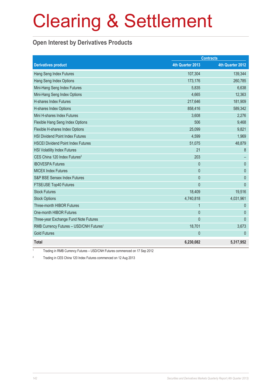## **Open Interest by Derivatives Products**

|                                                     | <b>Contracts</b> |                  |
|-----------------------------------------------------|------------------|------------------|
| <b>Derivatives product</b>                          | 4th Quarter 2013 | 4th Quarter 2012 |
| Hang Seng Index Futures                             | 107,304          | 139,344          |
| Hang Seng Index Options                             | 173,176          | 260,785          |
| Mini-Hang Seng Index Futures                        | 5,835            | 6,638            |
| Mini-Hang Seng Index Options                        | 4,665            | 12,363           |
| <b>H-shares Index Futures</b>                       | 217,646          | 181,909          |
| H-shares Index Options                              | 858,416          | 589,342          |
| Mini H-shares Index Futures                         | 3,608            | 2,276            |
| Flexible Hang Seng Index Options                    | 506              | 9,468            |
| Flexible H-shares Index Options                     | 25,099           | 9,821            |
| <b>HSI Dividend Point Index Futures</b>             | 4,599            | 1,969            |
| <b>HSCEI Dividend Point Index Futures</b>           | 51,075           | 48,879           |
| <b>HSI Volatility Index Futures</b>                 | 21               | 8                |
| CES China 120 Index Futures <sup>2</sup>            | 203              |                  |
| <b>IBOVESPA Futures</b>                             | $\mathbf{0}$     | $\mathbf{0}$     |
| <b>MICEX Index Futures</b>                          | $\mathbf{0}$     | $\mathbf{0}$     |
| S&P BSE Sensex Index Futures                        | $\mathbf{0}$     | $\mathbf{0}$     |
| FTSE/JSE Top40 Futures                              | $\overline{0}$   | $\Omega$         |
| <b>Stock Futures</b>                                | 18,409           | 19,516           |
| <b>Stock Options</b>                                | 4,740,818        | 4,031,961        |
| Three-month HIBOR Futures                           | $\mathbf{1}$     | $\Omega$         |
| One-month HIBOR Futures                             | $\mathbf{0}$     | $\theta$         |
| Three-year Exchange Fund Note Futures               | $\overline{0}$   | $\mathbf{0}$     |
| RMB Currency Futures - USD/CNH Futures <sup>1</sup> | 18,701           | 3,673            |
| <b>Gold Futures</b>                                 | $\mathbf{0}$     | $\theta$         |
| <b>Total</b>                                        | 6,230,082        | 5,317,952        |

1 Trading in RMB Currency Futures – USD/CNH Futures commenced on 17 Sep 2012

2 Trading in CES China 120 Index Futures commenced on 12 Aug 2013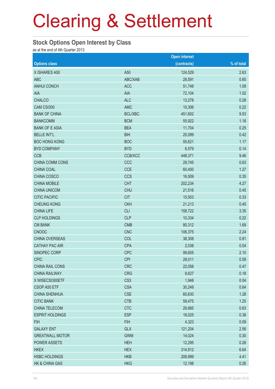#### **Stock Options Open Interest by Class**

as at the end of 4th Quarter 2013

|                        |                 | <b>Open interest</b> |            |
|------------------------|-----------------|----------------------|------------|
| <b>Options class</b>   |                 | (contracts)          | % of total |
| X ISHARES A50          | A50             | 124,529              | 2.63       |
| <b>ABC</b>             | ABC/XAB         | 28,591               | 0.60       |
| <b>ANHUI CONCH</b>     | <b>ACC</b>      | 51,748               | 1.09       |
| AIA                    | <b>AIA</b>      | 72,104               | 1.52       |
| <b>CHALCO</b>          | <b>ALC</b>      | 13,278               | 0.28       |
| CAM CSI300             | <b>AMC</b>      | 10,306               | 0.22       |
| <b>BANK OF CHINA</b>   | <b>BCL/XBC</b>  | 451,602              | 9.53       |
| <b>BANKCOMM</b>        | <b>BCM</b>      | 55,922               | 1.18       |
| <b>BANK OF E ASIA</b>  | <b>BEA</b>      | 11,704               | 0.25       |
| <b>BELLE INT'L</b>     | <b>BIH</b>      | 20,099               | 0.42       |
| <b>BOC HONG KONG</b>   | <b>BOC</b>      | 55,621               | 1.17       |
| <b>BYD COMPANY</b>     | <b>BYD</b>      | 6,579                | 0.14       |
| <b>CCB</b>             | CCB/XCC         | 448,371              | 9.46       |
| CHINA COMM CONS        | CCC             | 29,745               | 0.63       |
| CHINA COAL             | <b>CCE</b>      | 60,400               | 1.27       |
| CHINA COSCO            | CCS             | 16,509               | 0.35       |
| <b>CHINA MOBILE</b>    | <b>CHT</b>      | 202,234              | 4.27       |
| <b>CHINA UNICOM</b>    | <b>CHU</b>      | 21,516               | 0.45       |
| <b>CITIC PACIFIC</b>   | <b>CIT</b>      | 15,503               | 0.33       |
| <b>CHEUNG KONG</b>     | <b>CKH</b>      | 21,213               | 0.45       |
| <b>CHINA LIFE</b>      | <b>CLI</b>      | 158,722              | 3.35       |
| <b>CLP HOLDINGS</b>    | <b>CLP</b>      | 10,334               | 0.22       |
| <b>CM BANK</b>         | <b>CMB</b>      | 80,312               | 1.69       |
| <b>CNOOC</b>           | <b>CNC</b>      | 106,375              | 2.24       |
| CHINA OVERSEAS         | COL             | 38,308               | 0.81       |
| <b>CATHAY PAC AIR</b>  | <b>CPA</b>      | 2,038                | 0.04       |
| SINOPEC CORP           | <b>CPC</b>      | 99,605               | 2.10       |
| <b>CPIC</b>            | <b>CPI</b>      | 28,011               | 0.59       |
| CHINA RAIL CONS        | <b>CRC</b>      | 22,058               | 0.47       |
| <b>CHINA RAILWAY</b>   | <b>CRG</b>      | 8,627                | 0.18       |
| X WISECSI300ETF        | CS <sub>3</sub> | 1,948                | 0.04       |
| CSOP A50 ETF           | <b>CSA</b>      | 30,249               | 0.64       |
| <b>CHINA SHENHUA</b>   | <b>CSE</b>      | 60,630               | 1.28       |
| <b>CITIC BANK</b>      | <b>CTB</b>      | 59,475               | 1.25       |
| CHINA TELECOM          | <b>CTC</b>      | 29,885               | 0.63       |
| <b>ESPRIT HOLDINGS</b> | <b>ESP</b>      | 18,025               | 0.38       |
| <b>FIH</b>             | <b>FIH</b>      | 4,323                | 0.09       |
| <b>GALAXY ENT</b>      | <b>GLX</b>      | 121,204              | 2.56       |
| <b>GREATWALL MOTOR</b> | <b>GWM</b>      | 14,024               | 0.30       |
| POWER ASSETS           | <b>HEH</b>      | 12,295               | 0.26       |
| <b>HKEX</b>            | <b>HEX</b>      | 314,912              | 6.64       |
| <b>HSBC HOLDINGS</b>   | <b>HKB</b>      | 208,999              | 4.41       |
| HK & CHINA GAS         | <b>HKG</b>      | 12,198               | 0.26       |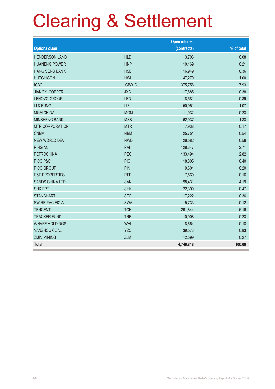# Clearing & Settlement

|                           |                | <b>Open interest</b> |            |
|---------------------------|----------------|----------------------|------------|
| <b>Options class</b>      |                | (contracts)          | % of total |
| <b>HENDERSON LAND</b>     | <b>HLD</b>     | 3,706                | 0.08       |
| <b>HUANENG POWER</b>      | <b>HNP</b>     | 10,169               | 0.21       |
| <b>HANG SENG BANK</b>     | <b>HSB</b>     | 16,949               | 0.36       |
| <b>HUTCHISON</b>          | <b>HWL</b>     | 47,279               | 1.00       |
| <b>ICBC</b>               | <b>ICB/XIC</b> | 375,756              | 7.93       |
| <b>JIANGXI COPPER</b>     | <b>JXC</b>     | 17,885               | 0.38       |
| <b>LENOVO GROUP</b>       | <b>LEN</b>     | 18,581               | 0.39       |
| LI & FUNG                 | LIF            | 50,951               | 1.07       |
| <b>MGM CHINA</b>          | <b>MGM</b>     | 11,032               | 0.23       |
| <b>MINSHENG BANK</b>      | <b>MSB</b>     | 62,937               | 1.33       |
| <b>MTR CORPORATION</b>    | <b>MTR</b>     | 7,938                | 0.17       |
| <b>CNBM</b>               | <b>NBM</b>     | 25,751               | 0.54       |
| <b>NEW WORLD DEV</b>      | <b>NWD</b>     | 26,582               | 0.56       |
| <b>PING AN</b>            | PAI            | 128,347              | 2.71       |
| <b>PETROCHINA</b>         | <b>PEC</b>     | 133,494              | 2.82       |
| PICC P&C                  | <b>PIC</b>     | 18,805               | 0.40       |
| <b>PICC GROUP</b>         | <b>PIN</b>     | 9,601                | 0.20       |
| <b>R&amp;F PROPERTIES</b> | <b>RFP</b>     | 7,560                | 0.16       |
| <b>SANDS CHINA LTD</b>    | <b>SAN</b>     | 198,431              | 4.19       |
| <b>SHK PPT</b>            | <b>SHK</b>     | 22,390               | 0.47       |
| <b>STANCHART</b>          | <b>STC</b>     | 17,222               | 0.36       |
| <b>SWIRE PACIFIC A</b>    | <b>SWA</b>     | 5,733                | 0.12       |
| <b>TENCENT</b>            | <b>TCH</b>     | 291,844              | 6.16       |
| <b>TRACKER FUND</b>       | <b>TRF</b>     | 10,908               | 0.23       |
| <b>WHARF HOLDINGS</b>     | <b>WHL</b>     | 8,664                | 0.18       |
| YANZHOU COAL              | <b>YZC</b>     | 39,573               | 0.83       |
| <b>ZIJIN MINING</b>       | ZJM            | 12,599               | 0.27       |
| <b>Total</b>              |                | 4,740,818            | 100.00     |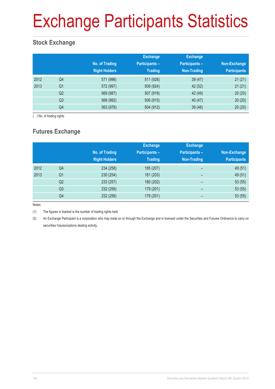### Exchange Participants Statistics

### **Stock Exchange**

|      |                | No. of Trading<br><b>Right Holders</b> | <b>Exchange</b><br><b>Participants -</b><br><b>Trading</b> | <b>Exchange</b><br><b>Participants -</b><br>Non-Trading | Non-Exchange<br><b>Participants</b> |
|------|----------------|----------------------------------------|------------------------------------------------------------|---------------------------------------------------------|-------------------------------------|
| 2012 | Q4             | 571 (996)                              | 511 (928)                                                  | 39(47)                                                  | 21(21)                              |
| 2013 | Q <sub>1</sub> | 572 (997)                              | 509 (924)                                                  | 42 (52)                                                 | 21(21)                              |
|      | Q <sub>2</sub> | 569 (987)                              | 507 (918)                                                  | 42 (49)                                                 | 20(20)                              |
|      | Q <sub>3</sub> | 566 (982)                              | 506 (915)                                                  | 40 (47)                                                 | 20(20)                              |
|      | Q4             | 563 (978)                              | 504 (912)                                                  | 39(46)                                                  | 20(20)                              |

( ) No. of trading rights

### **Futures Exchange**

|      |                | No. of Trading<br><b>Right Holders</b> | <b>Exchange</b><br><b>Participants -</b><br><b>Trading</b> | <b>Exchange</b><br><b>Participants -</b><br><b>Non-Trading</b> | Non-Exchange<br><b>Participants</b> |
|------|----------------|----------------------------------------|------------------------------------------------------------|----------------------------------------------------------------|-------------------------------------|
| 2012 | Q4             | 234 (258)                              | 185 (207)                                                  | $\overline{\phantom{0}}$                                       | 49 (51)                             |
| 2013 | Q <sub>1</sub> | 230 (254)                              | 181 (203)                                                  | -                                                              | 49 (51)                             |
|      | Q <sub>2</sub> | 233 (257)                              | 180 (202)                                                  | $\qquad \qquad$                                                | 53(55)                              |
|      | Q <sub>3</sub> | 232 (256)                              | 179 (201)                                                  | $\overline{\phantom{0}}$                                       | 53(55)                              |
|      | Q4             | 232 (256)                              | 179 (201)                                                  | -                                                              | 53(55)                              |

Notes:

(1) The figures in blanket is the number of trading rights held.

(2) An Exchange Participant is a corporation who may trade on or through the Exchange and is licensed under the Securities and Futures Ordinance to carry on securities/ futures/options dealing activity.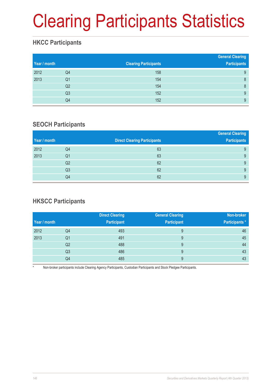## Clearing Participants Statistics

### **HKCC Participants**

| Year / month |                | <b>Clearing Participants</b> | <b>General Clearing</b><br><b>Participants</b> |
|--------------|----------------|------------------------------|------------------------------------------------|
| 2012         | Q4             | 158                          | 9                                              |
| 2013         | Q1             | 154                          | 8                                              |
|              | Q <sub>2</sub> | 154                          | 8                                              |
|              | Q <sub>3</sub> | 152                          | 9                                              |
|              | Q4             | 152                          | 9                                              |

#### **SEOCH Participants**

|    | <b>Direct Clearing Participants</b> | <b>General Clearing</b><br><b>Participants</b> |
|----|-------------------------------------|------------------------------------------------|
| Q4 | 63                                  | 9                                              |
| Q1 | 63                                  | 9                                              |
| Q2 | 62                                  | 9                                              |
| Q3 | 62                                  | 9                                              |
| Q4 | 62                                  | 9                                              |
|    |                                     |                                                |

### **HKSCC Participants**

|              |                | <b>Direct Clearing</b> | <b>General Clearing</b> | Non-broker            |
|--------------|----------------|------------------------|-------------------------|-----------------------|
| Year / month |                | <b>Participant</b>     | <b>Participant</b>      | <b>Participants</b> * |
| 2012         | Q4             | 493                    | 9                       | 46                    |
| 2013         | Q1             | 491                    | 9                       | 45                    |
|              | Q <sub>2</sub> | 488                    | 9                       | 44                    |
|              | Q3             | 486                    | 9                       | 43                    |
|              | Q4             | 485                    | 9                       | 43                    |

Non-broker participants include Clearing Agency Participants, Custodian Participants and Stock Pledgee Participants.